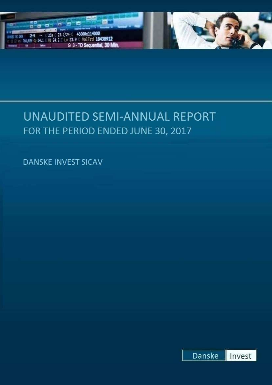



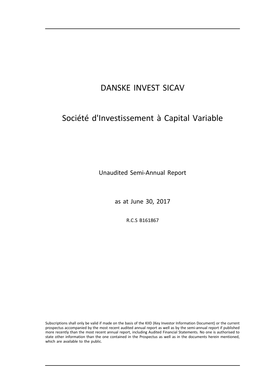# Société d'Investissement à Capital Variable

Unaudited Semi-Annual Report

as at June 30, 2017

R.C.S B161867

Subscriptions shall only be valid if made on the basis of the KIID (Key Investor Information Document) or the current prospectus accompanied by the most recent audited annual report as well as by the semi-annual report if published more recently than the most recent annual report, including Audited Financial Statements. No one is authorised to state other information than the one contained in the Prospectus as well as in the documents herein mentioned, which are available to the public.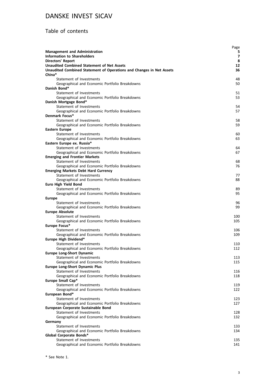### Table of contents

|                                                                            | Page           |
|----------------------------------------------------------------------------|----------------|
| <b>Management and Administration</b>                                       | 5              |
| <b>Information to Shareholders</b>                                         | $\overline{7}$ |
| <b>Directors' Report</b>                                                   | 8              |
| <b>Unaudited Combined Statement of Net Assets</b>                          | 12             |
| Unaudited Combined Statement of Operations and Changes in Net Assets       | 36             |
| China*                                                                     |                |
| Statement of Investments                                                   | 48             |
| Geographical and Economic Portfolio Breakdowns<br>Danish Bond*             | 50             |
| Statement of Investments                                                   | 51             |
| Geographical and Economic Portfolio Breakdowns                             | 53             |
| Danish Mortgage Bond*                                                      |                |
| Statement of Investments                                                   | 54             |
| Geographical and Economic Portfolio Breakdowns                             | 57             |
| Denmark Focus*                                                             |                |
| Statement of Investments                                                   | 58             |
| Geographical and Economic Portfolio Breakdowns                             | 59             |
| <b>Eastern Europe</b>                                                      |                |
| Statement of Investments                                                   | 60             |
| Geographical and Economic Portfolio Breakdowns                             | 63             |
| Eastern Europe ex. Russia*                                                 |                |
| Statement of Investments                                                   | 64             |
| Geographical and Economic Portfolio Breakdowns                             | 67             |
| <b>Emerging and Frontier Markets</b>                                       |                |
| Statement of Investments                                                   | 68             |
| Geographical and Economic Portfolio Breakdowns                             | 76             |
| <b>Emerging Markets Debt Hard Currency</b>                                 |                |
| Statement of Investments                                                   | 77             |
| Geographical and Economic Portfolio Breakdowns                             | 88             |
| <b>Euro High Yield Bond</b>                                                |                |
| Statement of Investments                                                   | 89             |
| Geographical and Economic Portfolio Breakdowns                             | 95             |
| <b>Europe</b>                                                              |                |
| Statement of Investments                                                   | 96             |
| Geographical and Economic Portfolio Breakdowns                             | 99             |
| <b>Europe Absolute</b>                                                     |                |
| Statement of Investments                                                   | 100            |
| Geographical and Economic Portfolio Breakdowns                             | 105            |
| Europe Focus*                                                              |                |
| Statement of Investments                                                   | 106            |
| Geographical and Economic Portfolio Breakdowns                             | 109            |
| Europe High Dividend*                                                      |                |
| Statement of Investments                                                   | 110            |
| Geographical and Economic Portfolio Breakdowns                             | 112            |
| <b>Europe Long-Short Dynamic</b>                                           |                |
| Statement of Investments                                                   | 113            |
| Geographical and Economic Portfolio Breakdowns                             | 115            |
| <b>Europe Long-Short Dynamic Plus</b>                                      |                |
| Statement of Investments<br>Geographical and Economic Portfolio Breakdowns | 116<br>118     |
| Europe Small Cap*                                                          |                |
| Statement of Investments                                                   | 119            |
| Geographical and Economic Portfolio Breakdowns                             | 122            |
| European Bond*                                                             |                |
| Statement of Investments                                                   | 123            |
| Geographical and Economic Portfolio Breakdowns                             | 127            |
| European Corporate Sustainable Bond                                        |                |
| Statement of Investments                                                   | 128            |
| Geographical and Economic Portfolio Breakdowns                             | 132            |
| Germany                                                                    |                |
| Statement of Investments                                                   | 133            |
| Geographical and Economic Portfolio Breakdowns                             | 134            |
| Global Corporate Bonds*                                                    |                |
| Statement of Investments                                                   | 135            |
| Geographical and Economic Portfolio Breakdowns                             | 141            |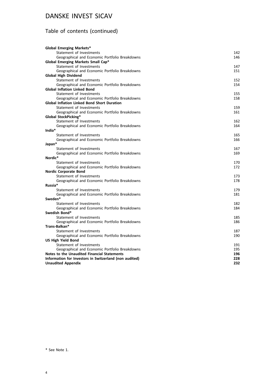## Table of contents (continued)

| <b>Global Emerging Markets*</b>                        |     |
|--------------------------------------------------------|-----|
| Statement of Investments                               | 142 |
| Geographical and Economic Portfolio Breakdowns         | 146 |
| Global Emerging Markets Small Cap*                     |     |
| Statement of Investments                               | 147 |
| Geographical and Economic Portfolio Breakdowns         | 151 |
| <b>Global High Dividend</b>                            |     |
| Statement of Investments                               | 152 |
| Geographical and Economic Portfolio Breakdowns         | 154 |
| <b>Global Inflation Linked Bond</b>                    |     |
| Statement of Investments                               | 155 |
| Geographical and Economic Portfolio Breakdowns         | 158 |
| <b>Global Inflation Linked Bond Short Duration</b>     |     |
| Statement of Investments                               | 159 |
| Geographical and Economic Portfolio Breakdowns         | 161 |
| <b>Global StockPicking*</b>                            |     |
| Statement of Investments                               | 162 |
| Geographical and Economic Portfolio Breakdowns         | 164 |
| India*                                                 |     |
| Statement of Investments                               | 165 |
| Geographical and Economic Portfolio Breakdowns         | 166 |
| Japan*<br>Statement of Investments                     | 167 |
| Geographical and Economic Portfolio Breakdowns         | 169 |
| Nordic*                                                |     |
| Statement of Investments                               | 170 |
| Geographical and Economic Portfolio Breakdowns         | 172 |
| <b>Nordic Corporate Bond</b>                           |     |
| Statement of Investments                               | 173 |
| Geographical and Economic Portfolio Breakdowns         | 178 |
| Russia*                                                |     |
| Statement of Investments                               | 179 |
| Geographical and Economic Portfolio Breakdowns         | 181 |
| Sweden*                                                |     |
| Statement of Investments                               | 182 |
| Geographical and Economic Portfolio Breakdowns         | 184 |
| Swedish Bond*                                          |     |
| Statement of Investments                               | 185 |
| Geographical and Economic Portfolio Breakdowns         | 186 |
| Trans-Balkan*                                          |     |
| Statement of Investments                               | 187 |
| Geographical and Economic Portfolio Breakdowns         | 190 |
| <b>US High Yield Bond</b>                              |     |
| Statement of Investments                               | 191 |
| Geographical and Economic Portfolio Breakdowns         | 195 |
| Notes to the Unaudited Financial Statements            | 196 |
| Information for Investors in Switzerland (non audited) | 228 |
| <b>Unaudited Appendix</b>                              | 232 |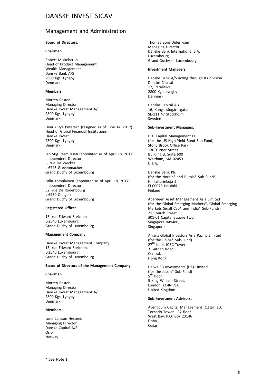#### Management and Administration

#### **Board of Directors:**

#### **Chairman**

Robert Mikkelstrup Head of Product Management Wealth Management Danske Bank A/S 2800 Kgs. Lyngby Denmark

#### **Members**

Morten Rasten Managing Director Danske Invest Management A/S 2800 Kgs. Lyngby Denmark

Henrik Rye Petersen (resigned as of June 14, 2017) Head of Global Financial Institutions Danske Invest 2800 Kgs. Lyngby Denmark

Jan Stig Rasmussen (appointed as of April 18, 2017) Independent Director II, rue De Wecker L-6795 Grevenmacher Grand Duchy of Luxembourg

Salla Komulainen (appointed as of April 18, 2017) Independent Director 52, rue De Rodenbourg L-6950 Olingen Grand Duchy of Luxembourg

#### **Registered Office:**

13, rue Edward Steichen L-2540 Luxembourg Grand Duchy of Luxembourg

#### **Management Company:**

Danske Invest Management Company 13, rue Edward Steichen, L-2540 Luxembourg, Grand Duchy of Luxembourg

#### **Board of Directors of the Management Company:**

#### **Chairman**

Morten Rasten Managing Director Danske Invest Management A/S 2800 Kgs. Lyngby Denmark

#### **Members**

Lone Larsson Hestnes Managing Director Danske Capital A/S Oslo Norway

Thomas Borg Dideriksen Managing Director Danske Bank International S.A. Luxembourg Grand Duchy of Luxembourg

#### **Investment Managers:**

Danske Bank A/S acting through its division Danske Capital 17, Parallelvej 2800 Kgs. Lyngby Denmark

Danske Capital AB 16, Kungsträdgårdsgatan SE-111 47 Stockholm Sweden

#### **Sub-Investment Managers:**

DDJ Capital Management LLC (for the US High Yield Bond Sub-Fund) Stony Brook Office Park 130 Turner Street Building 3, Suite 600 Waltham, MA 02453 U.S.A.

Danske Bank Plc (for the Nordic\* and Russia\* Sub-Funds) Hiililaiturinkuja 2, FI-00075 Helsinki, Finland

Aberdeen Asset Management Asia Limited (for the Global Emerging Markets\*, Global Emerging Markets Small Cap\* and India\* Sub-Funds) 21 Church Street #01-01 Capital Square Two, Singapore 049480, Singapore

Allianz Global Investors Asia Pacific Limited (for the China\* Sub-Fund) 27<sup>th</sup> floor, ICBC Tower 3 Garden Road Central, Hong Kong

Daiwa SB Investments (UK) Limited (for the Japan\* Sub-Fund) 5<sup>th</sup> floor, 5 King William Street, London, EC4N 7JA United Kingdom

#### **Sub-Investment Advisors:**

Aventicum Capital Management (Qatar) LLC Tornado Tower - 32 floor West Bay, P.O. Box 23146 Doha Qatar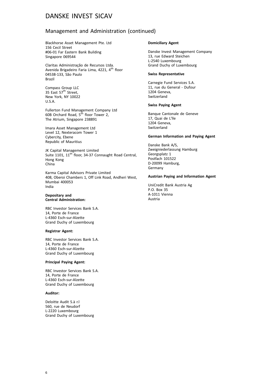### Management and Administration (continued)

Blackhorse Asset Management Pte. Ltd 156 Cecil Street #06-01 Far Eastern Bank Building Singapore 069544

Claritas Administração de Recursos Ltda. Avenida Brigadeiro Faria Lima, 4221, 4<sup>th</sup> floor 04538-133, São Paulo Brazil

Compass Group LLC<br>35 East 57<sup>th</sup> Street, New York, NY 10022 U.S.A.

Fullerton Fund Management Company Ltd 60B Orchard Road, 5<sup>th</sup> floor Tower 2, The Atrium, Singapore 238891

Imara Asset Management Ltd Level 12, Nexteracom Tower 1 Cybercity, Ebene Republic of Mauritius

JK Capital Management Limited Suite 1101, 11<sup>th</sup> floor, 34-37 Connaught Road Central, Hong Kong China

Karma Capital Advisors Private Limited 408, Oberoi Chambers 1, Off Link Road, Andheri West, Mumbai 400053 India

#### **Depositary and Central Administration:**

RBC Investor Services Bank S.A. 14, Porte de France L-4360 Esch-sur-Alzette Grand Duchy of Luxembourg

#### **Registrar Agent:**

RBC Investor Services Bank S.A. 14, Porte de France L-4360 Esch-sur-Alzette Grand Duchy of Luxembourg

#### **Principal Paying Agent:**

RBC Investor Services Bank S.A. 14, Porte de France L-4360 Esch-sur-Alzette Grand Duchy of Luxembourg

#### **Auditor:**

Deloitte Audit S.à r.l 560, rue de Neudorf L-2220 Luxembourg Grand Duchy of Luxembourg

#### **Domiciliary Agent**

Danske Invest Management Company 13, rue Edward Steichen L-2540 Luxembourg Grand Duchy of Luxembourg

#### **Swiss Representative**

Carnegie Fund Services S.A. 11, rue du General - Dufour 1204 Geneva, Switzerland

#### **Swiss Paying Agent**

Banque Cantonale de Geneve 17, Quai de L'lle 1204 Geneva, Switzerland

#### **German Information and Paying Agent**

Danske Bank A/S, Zweigniederlassung Hamburg Georgsplatz 1 Postfach 101522 D-20099 Hamburg, Germany

#### **Austrian Paying and Information Agent**

UniCredit Bank Austria Ag P.O. Box 35 A-1011 Vienna Austria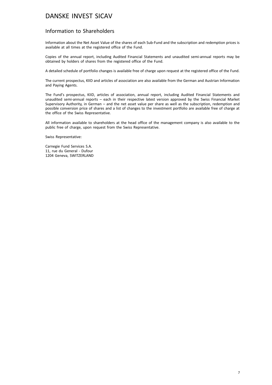### Information to Shareholders

Information about the Net Asset Value of the shares of each Sub-Fund and the subscription and redemption prices is available at all times at the registered office of the Fund.

Copies of the annual report, including Audited Financial Statements and unaudited semi-annual reports may be obtained by holders of shares from the registered office of the Fund.

A detailed schedule of portfolio changes is available free of charge upon request at the registered office of the Fund.

The current prospectus, KIID and articles of association are also available from the German and Austrian Information and Paying Agents.

The Fund's prospectus, KIID, articles of association, annual report, including Audited Financial Statements and unaudited semi-annual reports – each in their respective latest version approved by the Swiss Financial Market Supervisory Authority, in German – and the net asset value per share as well as the subscription, redemption and possible conversion price of shares and a list of changes to the investment portfolio are available free of charge at the office of the Swiss Representative.

All information available to shareholders at the head office of the management company is also available to the public free of charge, upon request from the Swiss Representative.

Swiss Representative:

Carnegie Fund Services S.A. 11, rue du General - Dufour 1204 Geneva, SWITZERLAND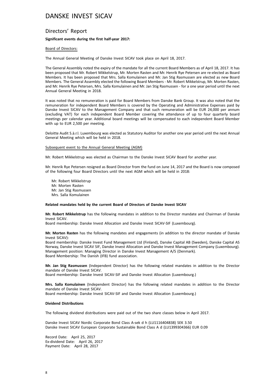#### Directors' Report

#### **Significant events during the first half-year 2017:**

#### Board of Directors:

The Annual General Meeting of Danske Invest SICAV took place on April 18, 2017.

The General Assembly noted the expiry of the mandate for all the current Board Members as of April 18, 2017. It has been proposed that Mr. Robert Mikkelstrup, Mr. Morten Rasten and Mr. Henrik Rye Petersen are re-elected as Board Members. It has been proposed that Mrs. Salla Komulainen and Mr. Jan Stig Rasmussen are elected as new Board Members. The General Assembly elected the following Board Members - Mr. Robert Mikkelstrup, Mr. Morten Rasten, and Mr. Henrik Rye Petersen, Mrs. Salla Komulainen and Mr. Jan Stig Rasmussen - for a one year period until the next Annual General Meeting in 2018.

It was noted that no remuneration is paid for Board Members from Danske Bank Group. It was also noted that the remuneration for independent Board Members is covered by the Operating and Administrative Expenses paid by Danske Invest SICAV to the Management Company and that such remuneration will be EUR 24,000 per annum (excluding VAT) for each independent Board Member covering the attendance of up to four quarterly board meetings per calendar year. Additional board meetings will be compensated to each independent Board Member with up to EUR 2,500 per meeting.

Deloitte Audit S.à.r.l. Luxembourg was elected as Statutory Auditor for another one year period until the next Annual General Meeting which will be held in 2018.

#### Subsequent event to the Annual General Meeting (AGM)

Mr. Robert Mikkelstrup was elected as Chairman to the Danske Invest SICAV Board for another year.

Mr. Henrik Rye Petersen resigned as Board Director from the fund on June 14, 2017 and the Board is now composed of the following four Board Directors until the next AGM which will be held in 2018:

Mr. Robert Mikkelstrup Mr. Morten Rasten Mr. Jan Stig Rasmussen Mrs. Salla Komulainen

#### **Related mandates held by the current Board of Directors of Danske Invest SICAV**

**Mr. Robert Mikkelstrup** has the following mandates in addition to the Director mandate and Chairman of Danske Invest SICAV.

Board membership: Danske Invest Allocation and Danske Invest SICAV-SIF (Luxembourg).

**Mr. Morten Rasten** has the following mandates and engagements (in addition to the director mandate of Danske Invest SICAV):

Board membership: Danske Invest Fund Management Ltd (Finland), Danske Capital AB (Sweden), Danske Capital AS Norway, Danske Invest SICAV SIF, Danske Invest Allocation and Danske Invest Management Company (Luxembourg). Management position: Managing Director in Danske Invest Management A/S (Denmark). Board Membership: The Danish (IFB) fund association.

**Mr. Jan Stig Rasmussen** (Independent Director) has the following related mandates in addition to the Director mandate of Danske Invest SICAV.

Board membership: Danske Invest SICAV-SIF and Danske Invest Allocation (Luxembourg.)

**Mrs. Salla Komulainen** (Independent Director) has the following related mandates in addition to the Director mandate of Danske Invest SICAV.

Board membership: Danske Invest SICAV-SIF and Danske Invest Allocation (Luxembourg.)

#### **Dividend Distributions**

The following dividend distributions were paid out of the two share classes below in April 2017.

Danske Invest SICAV Nordic Corporate Bond Class A-sek d h (LU1116404838) SEK 3.50 Danske Invest SICAV European Corporate Sustainable Bond Class A d (LU1399304366) EUR 0.09

Record Date: April 25, 2017 Ex-dividend Date: April 26, 2017 Payment Date: April 28, 2017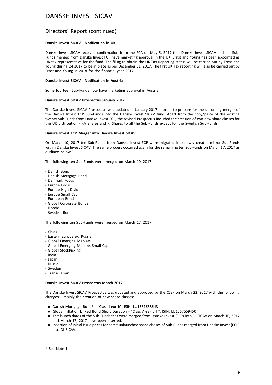### Directors' Report (continued)

#### **Danske Invest SICAV - Notification in UK**

Danske Invest SICAV received confirmation from the FCA on May 5, 2017 that Danske Invest SICAV and the Sub-Funds merged from Danske Invest FCP have marketing approval in the UK. Ernst and Young has been appointed as UK tax representative for the fund. The filing to obtain the UK Tax Reporting status will be carried out by Ernst and Young during Q4 2017 to be in place as per December 31, 2017. The first UK Tax reporting will also be carried out by Ernst and Young in 2018 for the financial year 2017.

#### **Danske Invest SICAV - Notification in Austria**

Some fourteen Sub-Funds now have marketing approval in Austria.

#### **Danske Invest SICAV Prospectus January 2017**

The Danske Invest SICAV Prospectus was updated in January 2017 in order to prepare for the upcoming merger of the Danske Invest FCP Sub-Funds into the Danske Invest SICAV fund. Apart from the copy/paste of the existing twenty Sub-Funds from Danske Invest FCP, the revised Prospectus included the creation of two new share classes for the UK distribution - RA Shares and RI Shares to all the Sub-Funds except for the Swedish Sub-Funds.

#### **Danske Invest FCP Merger into Danske Invest SICAV**

On March 10, 2017 ten Sub-Funds from Danske Invest FCP were migrated into newly created mirror Sub-Funds within Danske Invest SICAV. The same process occurred again for the remaining ten Sub-Funds on March 17, 2017 as outlined below.

The following ten Sub-Funds were merged on March 10, 2017:

- Danish Bond
- Danish Mortgage Bond
- Denmark Focus
- Europe Focus
- Europe High Dividend
- Europe Small Cap
- European Bond
- Global Corporate Bonds
- Nordic
- Swedish Bond

The following ten Sub-Funds were merged on March 17, 2017:

- China
- Eastern Europe ex. Russia
- Global Emerging Markets
- Global Emerging Markets Small Cap
- Global StockPicking
- India
- Japan
- Russia
- Sweden
- Trans-Balkan

#### **Danske Invest SICAV Prospectus March 2017**

The Danske Invest SICAV Prospectus was updated and approved by the CSSF on March 22, 2017 with the following changes – mainly the creation of new share classes:

- . Danish Mortgage Bond\* "Class I-eur h", ISIN: LU1567658643
- . Global Inflation Linked Bond Short Duration "Class A-sek d h", ISIN: LU1567659450
- . The launch dates of the Sub-Funds that were merged from Danske Invest (FCP) into DI SICAV on March 10, 2017 and March 17, 2017 have been inserted.
- . Insertion of initial issue prices for some unlaunched share classes of Sub-Funds merged from Danske Invest (FCP) into DI SICAV.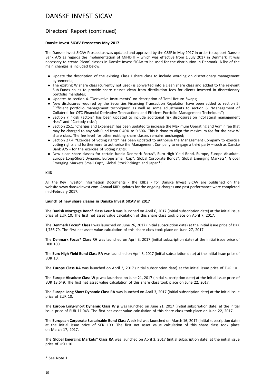#### Directors' Report (continued)

#### **Danske Invest SICAV Prospectus May 2017**

The Danske Invest SICAV Prospectus was updated and approved by the CSSF in May 2017 in order to support Danske Bank A/S as regards the implementation of MiFID II – which was effective from 1 July 2017 in Denmark. It was necessary to create 'clean' classes in Danske Invest SICAV to be used for the distribution in Denmark. A list of the main changes is included below:

- . Update the description of the existing Class I share class to include wording on discretionary management agreements;
- . The existing W share class (currently not used) is converted into a clean share class and added to the relevant Sub-Funds so as to provide share classes clean from distribution fees for clients invested in discretionary portfolio mandates;
- . Updates to section 4. "Derivative Instruments" on description of Total Return Swaps;
- . New disclosures required by the Securities Financing Transaction Regulation have been added to section 5. "Efficient portfolio management techniques" as well as some adjustments to section 6. "Management of Collateral for OTC Financial Derivative Transactions and Efficient Portfolio Management Techniques";
- . Section 7. "Risk Factors" has been updated to include additional risk disclosures on "Collateral management risks" and "Custody risks";
- . Section 25.1. "Charges and Expenses" has been updated to increase the Maximum Operating and Admin fee that may be charged to any Sub-Fund from 0.40% to 0.50%. This is done to align the maximum fee for the new W share class. The fee level for other existing share classes remains unchanged;
- . Section 27.4. "Exercise of voting rights" has been updated to authorise the Management Company to exercise voting rights and furthermore to authorise the Management Company to engage a third party – such as Danske Bank A/S - for the exercise of voting rights;
- . New clean share classes for certain funds: Denmark Focus\*, Euro High Yield Bond, Europe, Europe Absolute, Europe Long-Short Dynamic, Europe Small Cap\*, Global Corporate Bonds\*, Global Emerging Markets\*, Global Emerging Markets Small Cap\*, Global StockPicking\* and Japan\*;

#### **KIID**

All the Key Investor Information Documents - the KIIDs - for Danske Invest SICAV are published on the website www.danskeinvest.com. Annual KIID updates for the ongoing charges and past performance were completed mid-February 2017.

#### **Launch of new share classes in Danske Invest SICAV in 2017**

The **Danish Mortgage Bond\* class I-eur h** was launched on April 6, 2017 (initial subscription date) at the initial issue price of EUR 10. The first net asset value calculation of this share class took place on April 7, 2017.

The **Denmark Focus\* Class I** was launched on June 26, 2017 (initial subscription date) at the initial issue price of DKK 1,756.79. The first net asset value calculation of this share class took place on June 27, 2017.

The **Denmark Focus\* Class RA** was launched on April 3, 2017 (initial subscription date) at the initial issue price of DKK 100.

The **Euro High Yield Bond Class RA** was launched on April 3, 2017 (initial subscription date) at the initial issue price of EUR 10.

The **Europe Class RA** was launched on April 3, 2017 (initial subscription date) at the initial issue price of EUR 10.

The **Europe Absolute Class W p** was launched on June 21, 2017 (initial subscription date) at the initial issue price of EUR 13.649. The first net asset value calculation of this share class took place on June 22, 2017.

The **Europe Long-Short Dynamic Class RA** was launched on April 3, 2017 (initial subscription date) at the initial issue price of EUR 10.

The **Europe Long-Short Dynamic Class W p** was launched on June 21, 2017 (initial subscription date) at the initial issue price of EUR 11.043. The first net asset value calculation of this share class took place on June 22, 2017.

The **European Corporate Sustainable Bond Class A sek hd** was launched on March 16, 2017 (initial subscription date) at the initial issue price of SEK 100. The first net asset value calculation of this share class took place on March 17, 2017.

The **Global Emerging Markets\* Class RA** was launched on April 3, 2017 (initial subscription date) at the initial issue price of USD 10.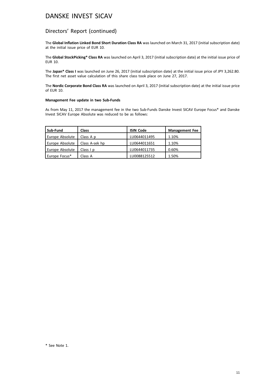### Directors' Report (continued)

The **Global Inflation Linked Bond Short Duration Class RA** was launched on March 31, 2017 (initial subscription date) at the initial issue price of EUR 10.

The **Global StockPicking\* Class RA** was launched on April 3, 2017 (initial subscription date) at the initial issue price of EUR 10.

The **Japan\* Class I** was launched on June 26, 2017 (initial subscription date) at the initial issue price of JPY 3,262.80. The first net asset value calculation of this share class took place on June 27, 2017.

The **Nordic Corporate Bond Class RA** was launched on April 3, 2017 (initial subscription date) at the initial issue price of EUR 10.

#### **Management Fee update in two Sub-Funds**

As from May 11, 2017 the management fee in the two Sub-Funds Danske Invest SICAV Europe Focus\* and Danske Invest SICAV Europe Absolute was reduced to be as follows:

| Sub-Fund        | <b>Class</b>   | <b>ISIN Code</b> | <b>Management Fee</b> |
|-----------------|----------------|------------------|-----------------------|
| Europe Absolute | Class A p      | LU0644011495     | 1.10%                 |
| Europe Absolute | Class A-sek hp | LU0644011651     | 1.10%                 |
| Europe Absolute | Class $ p $    | LU0644011735     | 0.60%                 |
| Europe Focus*   | Class A        | LU0088125512     | 1.50%                 |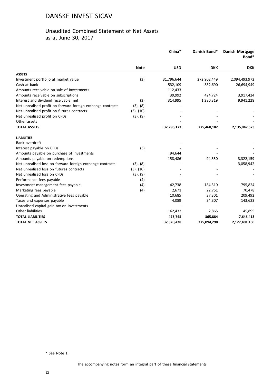### Unaudited Combined Statement of Net Assets as at June 30, 2017

|                                                             |             | China*     | Danish Bond* | <b>Danish Mortgage</b><br>Bond* |
|-------------------------------------------------------------|-------------|------------|--------------|---------------------------------|
|                                                             | <b>Note</b> | <b>USD</b> | <b>DKK</b>   | <b>DKK</b>                      |
| <b>ASSETS</b>                                               |             |            |              |                                 |
| Investment portfolio at market value                        | (3)         | 31,796,644 | 272,902,449  | 2,094,493,972                   |
| Cash at bank                                                |             | 532,109    | 852,690      | 26,694,949                      |
| Amounts receivable on sale of investments                   |             | 112,433    |              |                                 |
| Amounts receivable on subscriptions                         |             | 39,992     | 424,724      | 3,917,424                       |
| Interest and dividend receivable, net                       | (3)         | 314,995    | 1,280,319    | 9,941,228                       |
| Net unrealised profit on forward foreign exchange contracts | (3), (8)    |            |              |                                 |
| Net unrealised profit on futures contracts                  | (3), (10)   |            |              |                                 |
| Net unrealised profit on CFDs                               | (3), (9)    |            |              |                                 |
| Other assets                                                |             |            |              |                                 |
| <b>TOTAL ASSETS</b>                                         |             | 32,796,173 | 275,460,182  | 2,135,047,573                   |
| <b>LIABILITIES</b>                                          |             |            |              |                                 |
| Bank overdraft                                              |             |            |              |                                 |
| Interest payable on CFDs                                    | (3)         |            |              |                                 |
| Amounts payable on purchase of investments                  |             | 94,644     |              |                                 |
| Amounts payable on redemptions                              |             | 158,486    | 94,350       | 3,322,159                       |
| Net unrealised loss on forward foreign exchange contracts   | (3), (8)    |            |              | 3,058,942                       |
| Net unrealised loss on futures contracts                    | (3), (10)   |            |              |                                 |
| Net unrealised loss on CFDs                                 | (3), (9)    |            |              |                                 |
| Performance fees payable                                    | (4)         |            |              |                                 |
| Investment management fees payable                          | (4)         | 42,738     | 184,310      | 795,824                         |
| Marketing fees payable                                      | (4)         | 2,671      | 22,751       | 70,478                          |
| Operating and Administrative fees payable                   |             | 10,685     | 27,301       | 209,492                         |
| Taxes and expenses payable                                  |             | 4,089      | 34,307       | 143,623                         |
| Unrealised capital gain tax on investments                  |             |            |              |                                 |
| Other liabilities                                           |             | 162,432    | 2,865        | 45,895                          |
| <b>TOTAL LIABILITIES</b>                                    |             | 475,745    | 365,884      | 7,646,413                       |
| <b>TOTAL NET ASSETS</b>                                     |             | 32,320,428 | 275,094,298  | 2,127,401,160                   |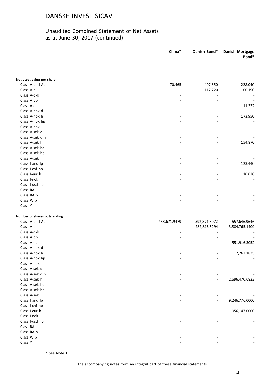### Unaudited Combined Statement of Net Assets as at June 30, 2017 (continued)

|                              | China*       | Danish Bond* | <b>Danish Mortgage</b><br>Bond* |
|------------------------------|--------------|--------------|---------------------------------|
|                              |              |              |                                 |
| Net asset value per share    |              |              |                                 |
| Class A and Ap               | 70.465       | 407.850      | 228.040                         |
| Class A d                    |              | 117.720      | 100.190                         |
| Class A-dkk                  |              |              |                                 |
| Class A dp                   |              |              |                                 |
| Class A-eur h                |              |              | 11.232                          |
| Class A-nok d                |              |              |                                 |
| Class A-nok h                |              |              | 173.950                         |
| Class A-nok hp               |              |              |                                 |
| Class A-nok                  |              |              |                                 |
| Class A-sek d                |              |              |                                 |
| Class A-sek d h              |              |              |                                 |
| Class A-sek h                |              |              | 154.870                         |
| Class A-sek hd               |              |              |                                 |
| Class A-sek hp               |              |              |                                 |
| Class A-sek                  |              |              |                                 |
| Class I and Ip               |              |              | 123.440                         |
| Class I-chf hp               |              |              |                                 |
| Class I-eur h                |              |              | 10.020                          |
| Class I-nok                  |              |              |                                 |
| Class I-usd hp               |              |              |                                 |
| Class RA                     |              |              |                                 |
| Class RA p                   |              |              |                                 |
| Class W p                    |              |              |                                 |
| Class Y                      |              |              |                                 |
|                              |              |              |                                 |
| Number of shares outstanding |              |              |                                 |
| Class A and Ap               | 458,671.9479 | 592,871.8072 | 657,646.9646                    |
| Class A d                    |              | 282,816.5294 | 3,884,765.1409                  |
| Class A-dkk                  |              |              |                                 |
| Class A dp                   |              |              |                                 |
| Class A-eur h                |              |              | 551,916.3052                    |
| Class A-nok d                |              |              |                                 |
| Class A-nok h                |              |              | 7,262.1835                      |
| Class A-nok hp               |              |              |                                 |
| Class A-nok                  |              |              |                                 |
| Class A-sek d                |              |              |                                 |
| Class A-sek d h              |              |              |                                 |
| Class A-sek h                |              |              | 2,696,470.6822                  |
| Class A-sek hd               |              |              |                                 |
| Class A-sek hp               |              |              |                                 |
| Class A-sek                  |              |              |                                 |
| Class I and Ip               |              |              | 9,246,776.0000                  |
| Class I-chf hp               |              |              |                                 |
| Class I-eur h                |              |              | 1,056,147.0000                  |
| Class I-nok                  |              |              |                                 |
| Class I-usd hp               |              |              |                                 |
| Class RA                     |              |              |                                 |
| Class RA p                   |              |              |                                 |
| Class W p                    |              |              |                                 |
| Class Y                      |              |              |                                 |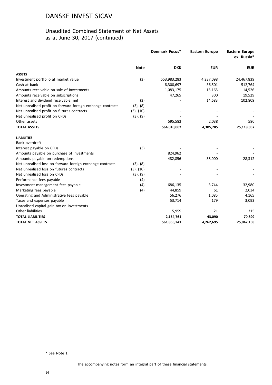### Unaudited Combined Statement of Net Assets as at June 30, 2017 (continued)

|                                                             |             | Denmark Focus* | <b>Eastern Europe</b> | <b>Eastern Europe</b><br>ex. Russia* |
|-------------------------------------------------------------|-------------|----------------|-----------------------|--------------------------------------|
|                                                             | <b>Note</b> | <b>DKK</b>     | <b>EUR</b>            | <b>EUR</b>                           |
| <b>ASSETS</b>                                               |             |                |                       |                                      |
| Investment portfolio at market value                        | (3)         | 553,983,283    | 4,237,098             | 24,467,839                           |
| Cash at bank                                                |             | 8,300,697      | 36,501                | 512,764                              |
| Amounts receivable on sale of investments                   |             | 1,083,175      | 15,165                | 14,526                               |
| Amounts receivable on subscriptions                         |             | 47,265         | 300                   | 19,529                               |
| Interest and dividend receivable, net                       | (3)         |                | 14,683                | 102,809                              |
| Net unrealised profit on forward foreign exchange contracts | (3), (8)    |                |                       |                                      |
| Net unrealised profit on futures contracts                  | (3), (10)   |                |                       |                                      |
| Net unrealised profit on CFDs                               | (3), (9)    |                |                       |                                      |
| Other assets                                                |             | 595,582        | 2,038                 | 590                                  |
| <b>TOTAL ASSETS</b>                                         |             | 564,010,002    | 4,305,785             | 25,118,057                           |
| <b>LIABILITIES</b>                                          |             |                |                       |                                      |
| Bank overdraft                                              |             |                |                       |                                      |
| Interest payable on CFDs                                    | (3)         |                |                       |                                      |
| Amounts payable on purchase of investments                  |             | 824,962        |                       |                                      |
| Amounts payable on redemptions                              |             | 482,856        | 38,000                | 28,312                               |
| Net unrealised loss on forward foreign exchange contracts   | (3), (8)    |                |                       |                                      |
| Net unrealised loss on futures contracts                    | (3), (10)   |                |                       |                                      |
| Net unrealised loss on CFDs                                 | (3), (9)    |                |                       |                                      |
| Performance fees payable                                    | (4)         |                |                       |                                      |
| Investment management fees payable                          | (4)         | 686,135        | 3,744                 | 32,980                               |
| Marketing fees payable                                      | (4)         | 44,859         | 61                    | 2,034                                |
| Operating and Administrative fees payable                   |             | 56,276         | 1,085                 | 4,165                                |
| Taxes and expenses payable                                  |             | 53,714         | 179                   | 3,093                                |
| Unrealised capital gain tax on investments                  |             |                |                       |                                      |
| Other liabilities                                           |             | 5,959          | 21                    | 315                                  |
| <b>TOTAL LIABILITIES</b>                                    |             | 2,154,761      | 43,090                | 70,899                               |
| <b>TOTAL NET ASSETS</b>                                     |             | 561,855,241    | 4,262,695             | 25,047,158                           |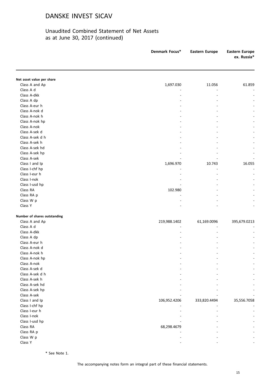### Unaudited Combined Statement of Net Assets as at June 30, 2017 (continued)

|                              | Denmark Focus* | <b>Eastern Europe</b> | <b>Eastern Europe</b><br>ex. Russia* |
|------------------------------|----------------|-----------------------|--------------------------------------|
|                              |                |                       |                                      |
| Net asset value per share    |                |                       |                                      |
| Class A and Ap               | 1,697.030      | 11.056                | 61.859                               |
| Class A d                    |                |                       |                                      |
| Class A-dkk                  |                |                       |                                      |
| Class A dp                   |                |                       |                                      |
| Class A-eur h                |                |                       |                                      |
| Class A-nok d                |                |                       |                                      |
| Class A-nok h                |                |                       |                                      |
| Class A-nok hp               |                |                       |                                      |
| Class A-nok                  |                |                       |                                      |
| Class A-sek d                |                |                       |                                      |
| Class A-sek d h              |                |                       |                                      |
| Class A-sek h                |                |                       |                                      |
| Class A-sek hd               |                |                       |                                      |
| Class A-sek hp               |                |                       |                                      |
| Class A-sek                  |                |                       |                                      |
| Class I and Ip               | 1,696.970      | 10.743                | 16.055                               |
| Class I-chf hp               |                |                       |                                      |
| Class I-eur h                |                |                       |                                      |
| Class I-nok                  |                |                       |                                      |
| Class I-usd hp               |                |                       |                                      |
| Class RA                     | 102.980        |                       |                                      |
| Class RA p                   |                |                       |                                      |
| Class W p                    |                |                       |                                      |
| Class Y                      |                |                       |                                      |
| Number of shares outstanding |                |                       |                                      |
| Class A and Ap               | 219,988.1402   | 61,169.0096           | 395,679.0213                         |
| Class A d                    |                |                       |                                      |
| Class A-dkk                  |                |                       |                                      |
| Class A dp                   |                |                       |                                      |
| Class A-eur h                |                |                       |                                      |
| Class A-nok d                |                |                       |                                      |
| Class A-nok h                |                |                       |                                      |
| Class A-nok hp               |                |                       |                                      |
| Class A-nok                  |                |                       |                                      |
| Class A-sek d                |                |                       |                                      |
| Class A-sek d h              |                |                       |                                      |
| Class A-sek h                |                |                       |                                      |
| Class A-sek hd               |                |                       |                                      |
| Class A-sek hp               |                |                       |                                      |
| Class A-sek                  |                |                       |                                      |
| Class I and Ip               | 106,952.4206   | 333,820.4494          | 35,556.7058                          |
| Class I-chf hp               |                |                       |                                      |
| Class I-eur h                |                |                       |                                      |
| Class I-nok                  |                |                       |                                      |
| Class I-usd hp               |                |                       |                                      |
| Class RA                     | 68,298.4679    |                       |                                      |
| Class RA p                   |                |                       |                                      |
| Class W p                    |                |                       |                                      |
| Class Y                      |                |                       |                                      |

\* See Note 1.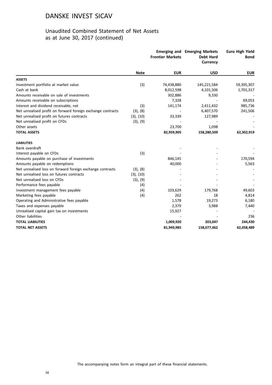### Unaudited Combined Statement of Net Assets as at June 30, 2017 (continued)

|                                                             |             | <b>Frontier Markets</b> | <b>Emerging and Emerging Markets</b><br><b>Debt Hard</b><br><b>Currency</b> | <b>Euro High Yield</b><br><b>Bond</b> |
|-------------------------------------------------------------|-------------|-------------------------|-----------------------------------------------------------------------------|---------------------------------------|
|                                                             | <b>Note</b> | <b>EUR</b>              | <b>USD</b>                                                                  | <b>EUR</b>                            |
| <b>ASSETS</b>                                               |             |                         |                                                                             |                                       |
| Investment portfolio at market value                        | (3)         | 74,438,880              | 145,221,584                                                                 | 59,305,307                            |
| Cash at bank                                                |             | 8,012,598               | 4,101,506                                                                   | 1,701,317                             |
| Amounts receivable on sale of investments                   |             | 302,886                 | 9,330                                                                       |                                       |
| Amounts receivable on subscriptions                         |             | 7,328                   |                                                                             | 69,053                                |
| Interest and dividend receivable, net                       | (3)         | 141,174                 | 2,411,432                                                                   | 985,736                               |
| Net unrealised profit on forward foreign exchange contracts | (3), (8)    |                         | 6,407,570                                                                   | 241,506                               |
| Net unrealised profit on futures contracts                  | (3), (10)   | 33,339                  | 127,989                                                                     |                                       |
| Net unrealised profit on CFDs                               | (3), (9)    |                         |                                                                             |                                       |
| Other assets                                                |             | 23,700                  | 1,098                                                                       |                                       |
| <b>TOTAL ASSETS</b>                                         |             | 82,959,905              | 158,280,509                                                                 | 62,302,919                            |
| <b>LIABILITIES</b>                                          |             |                         |                                                                             |                                       |
| Bank overdraft                                              |             |                         |                                                                             |                                       |
| Interest payable on CFDs                                    | (3)         |                         |                                                                             |                                       |
| Amounts payable on purchase of investments                  |             | 846,145                 |                                                                             | 170,594                               |
| Amounts payable on redemptions                              |             | 40,000                  |                                                                             | 5,563                                 |
| Net unrealised loss on forward foreign exchange contracts   | (3), (8)    |                         |                                                                             |                                       |
| Net unrealised loss on futures contracts                    | (3), (10)   |                         |                                                                             |                                       |
| Net unrealised loss on CFDs                                 | (3), (9)    |                         |                                                                             |                                       |
| Performance fees payable                                    | (4)         |                         |                                                                             |                                       |
| Investment management fees payable                          | (4)         | 103,629                 | 179,768                                                                     | 49,603                                |
| Marketing fees payable                                      | (4)         | 262                     | 18                                                                          | 4,814                                 |
| Operating and Administrative fees payable                   |             | 1,578                   | 19,273                                                                      | 6,180                                 |
| Taxes and expenses payable                                  |             | 2,379                   | 3,988                                                                       | 7,440                                 |
| Unrealised capital gain tax on investments                  |             | 15,927                  |                                                                             |                                       |
| Other liabilities                                           |             |                         |                                                                             | 236                                   |
| <b>TOTAL LIABILITIES</b>                                    |             | 1,009,920               | 203,047                                                                     | 244,430                               |
| <b>TOTAL NET ASSETS</b>                                     |             | 81,949,985              | 158,077,462                                                                 | 62,058,489                            |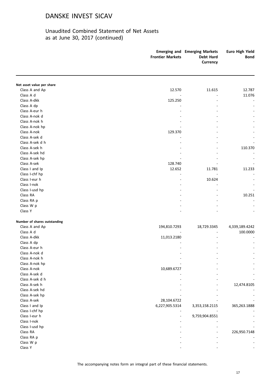### Unaudited Combined Statement of Net Assets as at June 30, 2017 (continued)

|                                  | <b>Frontier Markets</b> | <b>Emerging and Emerging Markets</b><br><b>Debt Hard</b><br>Currency | <b>Euro High Yield</b><br><b>Bond</b> |
|----------------------------------|-------------------------|----------------------------------------------------------------------|---------------------------------------|
|                                  |                         |                                                                      |                                       |
| Net asset value per share        |                         |                                                                      | 12.787                                |
| Class A and Ap                   | 12.570                  | 11.615                                                               |                                       |
| Class A d<br>Class A-dkk         |                         |                                                                      | 11.076                                |
|                                  | 125.250                 |                                                                      |                                       |
| Class A dp<br>Class A-eur h      |                         |                                                                      |                                       |
|                                  |                         |                                                                      |                                       |
| Class A-nok d<br>Class A-nok h   |                         |                                                                      |                                       |
|                                  |                         |                                                                      |                                       |
| Class A-nok hp                   |                         |                                                                      |                                       |
| Class A-nok                      | 129.370                 |                                                                      |                                       |
| Class A-sek d<br>Class A-sek d h |                         |                                                                      |                                       |
| Class A-sek h                    |                         |                                                                      |                                       |
| Class A-sek hd                   |                         |                                                                      | 110.370                               |
| Class A-sek hp                   |                         |                                                                      |                                       |
| Class A-sek                      |                         |                                                                      |                                       |
|                                  | 128.740<br>12.652       | 11.781                                                               | 11.233                                |
| Class I and Ip                   |                         |                                                                      |                                       |
| Class I-chf hp<br>Class I-eur h  |                         | 10.624                                                               |                                       |
| Class I-nok                      |                         |                                                                      |                                       |
|                                  |                         |                                                                      |                                       |
| Class I-usd hp                   |                         |                                                                      | 10.251                                |
| Class RA                         |                         |                                                                      |                                       |
| Class RA p                       |                         |                                                                      |                                       |
| Class W p                        |                         |                                                                      |                                       |
| Class Y                          |                         |                                                                      |                                       |
| Number of shares outstanding     |                         |                                                                      |                                       |
| Class A and Ap                   | 194,810.7293            | 18,729.3345                                                          | 4,339,189.4242                        |
| Class A d                        |                         |                                                                      | 100.0000                              |
| Class A-dkk                      | 11,013.2180             |                                                                      |                                       |
| Class A dp                       |                         |                                                                      |                                       |
| Class A-eur h                    |                         |                                                                      |                                       |
| Class A-nok d                    |                         |                                                                      | $\overline{\phantom{a}}$              |
| Class A-nok h                    |                         |                                                                      |                                       |
| Class A-nok hp                   |                         |                                                                      |                                       |
| Class A-nok                      | 10,689.6727             |                                                                      |                                       |
| Class A-sek d                    |                         |                                                                      |                                       |
| Class A-sek d h                  |                         |                                                                      |                                       |
| Class A-sek h                    |                         |                                                                      | 12,474.8105                           |
| Class A-sek hd                   |                         |                                                                      |                                       |
| Class A-sek hp                   |                         |                                                                      |                                       |
| Class A-sek                      | 28,104.6722             |                                                                      |                                       |
| Class I and Ip                   | 6,227,905.5314          | 3,353,158.2115                                                       | 365,263.1888                          |
| Class I-chf hp                   |                         |                                                                      |                                       |
| Class I-eur h                    |                         | 9,759,904.8551                                                       |                                       |
| Class I-nok                      |                         |                                                                      |                                       |
| Class I-usd hp                   |                         |                                                                      |                                       |
| Class RA                         |                         |                                                                      | 226,950.7148                          |
| Class RA p                       |                         |                                                                      |                                       |
| Class W p                        |                         |                                                                      |                                       |
| Class Y                          |                         |                                                                      |                                       |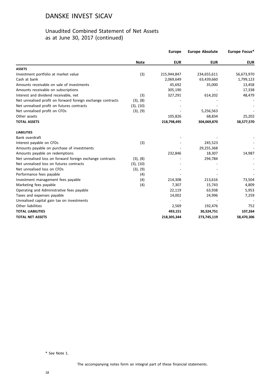### Unaudited Combined Statement of Net Assets as at June 30, 2017 (continued)

|                                                             |             | <b>Europe</b> | <b>Europe Absolute</b> | Europe Focus* |
|-------------------------------------------------------------|-------------|---------------|------------------------|---------------|
|                                                             | <b>Note</b> | <b>EUR</b>    | <b>EUR</b>             | <b>EUR</b>    |
| <b>ASSETS</b>                                               |             |               |                        |               |
| Investment portfolio at market value                        | (3)         | 215,944,847   | 234,655,611            | 56,673,970    |
| Cash at bank                                                |             | 2,069,649     | 63,439,660             | 1,799,123     |
| Amounts receivable on sale of investments                   |             | 45,692        | 35,000                 | 13,458        |
| Amounts receivable on subscriptions                         |             | 305,190       |                        | 17,338        |
| Interest and dividend receivable, net                       | (3)         | 327,291       | 614,202                | 48,479        |
| Net unrealised profit on forward foreign exchange contracts | (3), (8)    |               |                        |               |
| Net unrealised profit on futures contracts                  | (3), (10)   |               |                        |               |
| Net unrealised profit on CFDs                               | (3), (9)    |               | 5,256,563              |               |
| Other assets                                                |             | 105,826       | 68,834                 | 25,202        |
| <b>TOTAL ASSETS</b>                                         |             | 218,798,495   | 304,069,870            | 58,577,570    |
| <b>LIABILITIES</b>                                          |             |               |                        |               |
| Bank overdraft                                              |             |               |                        |               |
| Interest payable on CFDs                                    | (3)         |               | 245,523                |               |
| Amounts payable on purchase of investments                  |             |               | 29,255,368             |               |
| Amounts payable on redemptions                              |             | 232,846       | 18,307                 | 14,987        |
| Net unrealised loss on forward foreign exchange contracts   | (3), (8)    |               | 294,784                |               |
| Net unrealised loss on futures contracts                    | (3), (10)   |               |                        |               |
| Net unrealised loss on CFDs                                 | (3), (9)    |               |                        |               |
| Performance fees payable                                    | (4)         |               |                        |               |
| Investment management fees payable                          | (4)         | 214,308       | 213,616                | 73,504        |
| Marketing fees payable                                      | (4)         | 7,307         | 15,743                 | 4,809         |
| Operating and Administrative fees payable                   |             | 22,119        | 63,938                 | 5,953         |
| Taxes and expenses payable                                  |             | 14,002        | 24,996                 | 7,259         |
| Unrealised capital gain tax on investments                  |             |               |                        |               |
| Other liabilities                                           |             | 2,569         | 192,476                | 752           |
| <b>TOTAL LIABILITIES</b>                                    |             | 493,151       | 30,324,751             | 107,264       |
| <b>TOTAL NET ASSETS</b>                                     |             | 218,305,344   | 273,745,119            | 58,470,306    |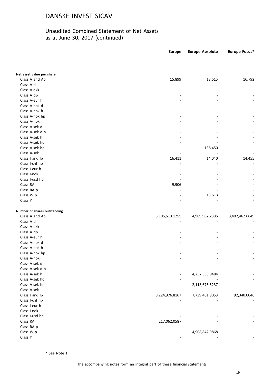### Unaudited Combined Statement of Net Assets as at June 30, 2017 (continued)

|                              | <b>Europe</b>  | <b>Europe Absolute</b> | Europe Focus*  |
|------------------------------|----------------|------------------------|----------------|
|                              |                |                        |                |
| Net asset value per share    |                |                        |                |
| Class A and Ap               | 15.899         | 13.615                 | 16.792         |
| Class A d                    |                |                        |                |
| Class A-dkk                  |                |                        |                |
| Class A dp                   |                |                        |                |
| Class A-eur h                |                |                        |                |
| Class A-nok d                |                |                        |                |
| Class A-nok h                |                |                        |                |
| Class A-nok hp               |                |                        |                |
| Class A-nok                  |                |                        |                |
| Class A-sek d                |                |                        |                |
| Class A-sek d h              |                |                        |                |
| Class A-sek h                |                |                        |                |
| Class A-sek hd               |                |                        |                |
| Class A-sek hp               |                | 138.450                |                |
| Class A-sek                  |                |                        |                |
| Class I and Ip               | 16.411         | 14.040                 | 14.455         |
| Class I-chf hp               |                |                        |                |
| Class I-eur h                |                |                        |                |
| Class I-nok                  |                |                        |                |
| Class I-usd hp               |                |                        |                |
| Class RA                     | 9.906          |                        |                |
| Class RA p                   |                |                        |                |
| Class W p                    |                | 13.613                 |                |
| Class Y                      |                |                        |                |
| Number of shares outstanding |                |                        |                |
| Class A and Ap               | 5,105,613.1255 | 4,989,902.2386         | 3,402,462.6649 |
| Class A d                    |                |                        |                |
| Class A-dkk                  |                |                        |                |
| Class A dp                   |                |                        |                |
| Class A-eur h                |                |                        |                |
| Class A-nok d                |                |                        |                |
| Class A-nok h                |                |                        |                |
| Class A-nok hp               |                |                        |                |
| Class A-nok                  |                |                        |                |
| Class A-sek d                |                |                        |                |
| Class A-sek d h              |                |                        |                |
| Class A-sek h                |                | 4,237,353.0484         |                |
| Class A-sek hd               |                |                        |                |
| Class A-sek hp               |                | 2,118,676.5237         |                |
| Class A-sek                  |                |                        |                |
| Class I and Ip               | 8,224,976.8167 | 7,739,461.8053         | 92,340.0046    |
| Class I-chf hp               |                |                        |                |
| Class I-eur h                |                |                        |                |
| Class I-nok                  |                |                        |                |
| Class I-usd hp               |                |                        |                |
| Class RA                     | 217,062.0587   |                        |                |
|                              |                |                        |                |
| Class RA p                   |                |                        |                |
| Class W p                    |                | 4,908,842.9868         |                |
| Class Y                      |                |                        |                |

\* See Note 1.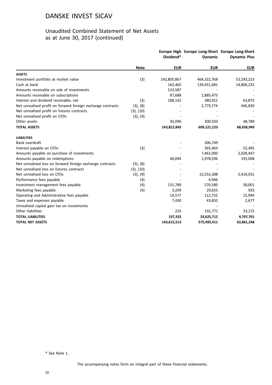### Unaudited Combined Statement of Net Assets as at June 30, 2017 (continued)

|                                                             |                | Dividend*   | Europe High Europe Long-Short Europe Long-Short<br><b>Dynamic</b> | <b>Dynamic Plus</b> |
|-------------------------------------------------------------|----------------|-------------|-------------------------------------------------------------------|---------------------|
|                                                             | <b>Note</b>    | <b>EUR</b>  | <b>EUR</b>                                                        | <b>EUR</b>          |
| <b>ASSETS</b>                                               |                |             |                                                                   |                     |
| Investment portfolio at market value                        | (3)            | 142,805,867 | 464,322,768                                                       | 53,293,223          |
| Cash at bank                                                |                | 162,465     | 139,451,681                                                       | 14,806,232          |
| Amounts receivable on sale of investments                   |                | 523,587     |                                                                   |                     |
| Amounts receivable on subscriptions                         |                | 87,688      | 1,885,475                                                         |                     |
| Interest and dividend receivable, net                       | (3)            | 188,142     | 380,922                                                           | 63,875              |
| Net unrealised profit on forward foreign exchange contracts | (3), (8)       |             | 2,779,774                                                         | 446,830             |
| Net unrealised profit on futures contracts                  | $(3)$ , $(10)$ |             |                                                                   |                     |
| Net unrealised profit on CFDs                               | (3), (9)       |             |                                                                   |                     |
| Other assets                                                |                | 45,096      | 300,503                                                           | 48,789              |
| <b>TOTAL ASSETS</b>                                         |                | 143,812,845 | 609,121,123                                                       | 68,658,949          |
| <b>LIABILITIES</b>                                          |                |             |                                                                   |                     |
| Bank overdraft                                              |                |             | 306,749                                                           |                     |
| Interest payable on CFDs                                    | (3)            |             | 365,463                                                           | 55,495              |
| Amounts payable on purchase of investments                  |                |             | 7,462,000                                                         | 2,028,447           |
| Amounts payable on redemptions                              |                | 40,094      | 1,978,596                                                         | 193,008             |
| Net unrealised loss on forward foreign exchange contracts   | (3), (8)       |             |                                                                   |                     |
| Net unrealised loss on futures contracts                    | $(3)$ , $(10)$ |             |                                                                   |                     |
| Net unrealised loss on CFDs                                 | (3), (9)       |             | 22,553,388                                                        | 2,410,031           |
| Performance fees payable                                    | (4)            |             | 4,946                                                             |                     |
| Investment management fees payable                          | (4)            | 131,789     | 576,580                                                           | 58,001              |
| Marketing fees payable                                      | (4)            | 3,209       | 29,655                                                            | 933                 |
| Operating and Administrative fees payable                   |                | 14,577      | 112,732                                                           | 15,994              |
| Taxes and expenses payable                                  |                | 7,430       | 43,832                                                            | 2,677               |
| Unrealised capital gain tax on investments                  |                |             |                                                                   |                     |
| Other liabilities                                           |                | 233         | 191,771                                                           | 33,115              |
| <b>TOTAL LIABILITIES</b>                                    |                | 197,332     | 33,625,712                                                        | 4,797,701           |
| <b>TOTAL NET ASSETS</b>                                     |                | 143,615,513 | 575,495,411                                                       | 63,861,248          |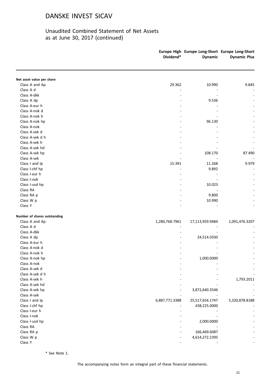### Unaudited Combined Statement of Net Assets as at June 30, 2017 (continued)

|                              | Dividend*      | Europe High Europe Long-Short Europe Long-Short<br><b>Dynamic</b> | <b>Dynamic Plus</b> |
|------------------------------|----------------|-------------------------------------------------------------------|---------------------|
| Net asset value per share    |                |                                                                   |                     |
| Class A and Ap               | 29.362         | 10.990                                                            | 9.845               |
| Class A d                    |                |                                                                   |                     |
| Class A-dkk                  |                |                                                                   |                     |
| Class A dp                   |                | 9.536                                                             |                     |
| Class A-eur h                |                |                                                                   |                     |
| Class A-nok d                |                |                                                                   |                     |
| Class A-nok h                |                |                                                                   |                     |
| Class A-nok hp               |                | 96.130                                                            |                     |
| Class A-nok                  |                |                                                                   |                     |
| Class A-sek d                |                |                                                                   |                     |
| Class A-sek d h              |                |                                                                   |                     |
| Class A-sek h                |                |                                                                   |                     |
| Class A-sek hd               |                |                                                                   |                     |
| Class A-sek hp               |                | 108.170                                                           | 87.490              |
| Class A-sek                  |                |                                                                   |                     |
| Class I and Ip               | 15.391         | 11.268                                                            | 9.979               |
| Class I-chf hp               |                | 9.892                                                             |                     |
| Class I-eur h                |                |                                                                   |                     |
| Class I-nok                  |                |                                                                   |                     |
| Class I-usd hp               |                | 10.023                                                            |                     |
| Class RA                     |                |                                                                   |                     |
| Class RA p                   |                | 9.800                                                             |                     |
| Class W p                    |                | 10.990                                                            |                     |
| Class Y                      |                |                                                                   |                     |
| Number of shares outstanding |                |                                                                   |                     |
| Class A and Ap               | 1,280,768.7961 | 17,113,959.9484                                                   | 1,091,476.3207      |
| Class A d                    |                |                                                                   |                     |
| Class A-dkk                  |                |                                                                   |                     |
| Class A dp                   |                | 24,514.0330                                                       |                     |
| Class A-eur h                |                |                                                                   |                     |
| Class A-nok d                |                |                                                                   |                     |
| Class A-nok h                |                |                                                                   |                     |
| Class A-nok hp               |                | 1,000.0000                                                        |                     |
| Class A-nok                  |                |                                                                   |                     |
| Class A-sek d                |                |                                                                   |                     |
| Class A-sek d h              |                |                                                                   |                     |
| Class A-sek h                |                |                                                                   | 1,793.2011          |
| Class A-sek hd               |                |                                                                   |                     |
| Class A-sek hp               |                | 3,872,640.3546                                                    |                     |
| Class A-sek                  |                |                                                                   |                     |
| Class I and Ip               | 6,887,771.3388 | 25,517,654.1747                                                   | 5,320,878.8188      |
| Class I-chf hp               |                | 438,225.0000                                                      |                     |
| Class I-eur h                |                |                                                                   |                     |
| Class I-nok                  |                |                                                                   |                     |
| Class I-usd hp               |                | 2,000.0000                                                        |                     |
| Class RA                     |                |                                                                   |                     |
| Class RA p                   |                | 166,469.6087                                                      |                     |
| Class W p                    |                | 4,614,272.2395                                                    |                     |
| Class Y                      |                |                                                                   |                     |

\* See Note 1.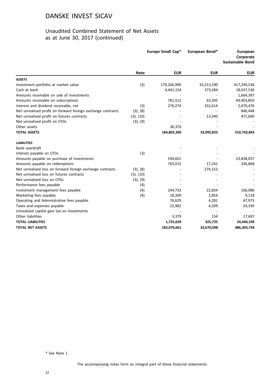### Unaudited Combined Statement of Net Assets as at June 30, 2017 (continued)

|                                                             | Europe Small Cap* |             | European Bond* | <b>European</b><br>Corporate<br><b>Sustainable Bond</b> |  |
|-------------------------------------------------------------|-------------------|-------------|----------------|---------------------------------------------------------|--|
|                                                             | <b>Note</b>       | <b>EUR</b>  | <b>EUR</b>     | <b>EUR</b>                                              |  |
| <b>ASSETS</b>                                               |                   |             |                |                                                         |  |
| Investment portfolio at market value                        | (3)               | 179,266,990 | 33,213,190     | 417,249,536                                             |  |
| Cash at bank                                                |                   | 4,441,154   | 373,284        | 18,637,536                                              |  |
| Amounts receivable on sale of investments                   |                   |             |                | 1,664,397                                               |  |
| Amounts receivable on subscriptions                         |                   | 781,512     | 63,395         | 69,403,850                                              |  |
| Interest and dividend receivable, net                       | (3)               | 276,274     | 332,614        | 2,470,476                                               |  |
| Net unrealised profit on forward foreign exchange contracts | (3), (8)          |             |                | 846,448                                                 |  |
| Net unrealised profit on futures contracts                  | $(3)$ , $(10)$    |             | 13,340         | 471,600                                                 |  |
| Net unrealised profit on CFDs                               | (3), (9)          |             |                |                                                         |  |
| Other assets                                                |                   | 36,370      |                |                                                         |  |
| <b>TOTAL ASSETS</b>                                         |                   | 184,802,300 | 33,995,823     | 510,743,843                                             |  |
| <b>LIABILITIES</b>                                          |                   |             |                |                                                         |  |
| Bank overdraft                                              |                   |             |                |                                                         |  |
| Interest payable on CFDs                                    | (3)               |             |                |                                                         |  |
| Amounts payable on purchase of investments                  |                   | 594,601     |                | 23,838,037                                              |  |
| Amounts payable on redemptions                              |                   | 765,015     | 17,241         | 336,868                                                 |  |
| Net unrealised loss on forward foreign exchange contracts   | (3), (8)          |             | 274,152        |                                                         |  |
| Net unrealised loss on futures contracts                    | (3), (10)         |             |                |                                                         |  |
| Net unrealised loss on CFDs                                 | (3), (9)          |             |                |                                                         |  |
| Performance fees payable                                    | (4)               |             |                |                                                         |  |
| Investment management fees payable                          | (4)               | 244,733     | 22,834         | 166,086                                                 |  |
| Marketing fees payable                                      | (4)               | 18,300      | 2,854          | 9,118                                                   |  |
| Operating and Administrative fees payable                   |                   | 76,629      | 4,281          | 47,973                                                  |  |
| Taxes and expenses payable                                  |                   | 22,982      | 4,209          | 24,330                                                  |  |
| Unrealised capital gain tax on investments                  |                   |             |                |                                                         |  |
| Other liabilities                                           |                   | 3,379       | 154            | 17,697                                                  |  |
| <b>TOTAL LIABILITIES</b>                                    |                   | 1,725,639   | 325,725        | 24,440,109                                              |  |
| <b>TOTAL NET ASSETS</b>                                     |                   | 183,076,661 | 33,670,098     | 486,303,734                                             |  |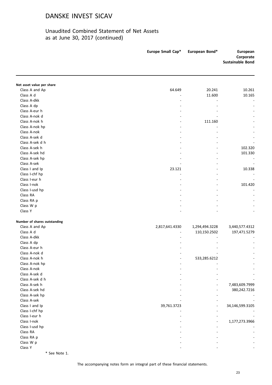### Unaudited Combined Statement of Net Assets as at June 30, 2017 (continued)

|                              | Europe Small Cap*        | European Bond* | European<br>Corporate<br><b>Sustainable Bond</b> |
|------------------------------|--------------------------|----------------|--------------------------------------------------|
|                              |                          |                |                                                  |
| Net asset value per share    |                          |                |                                                  |
| Class A and Ap               | 64.649                   | 20.241         | 10.261                                           |
| Class A d                    |                          | 11.600         | 10.165                                           |
| Class A-dkk                  | $\overline{\phantom{a}}$ |                |                                                  |
| Class A dp                   |                          |                |                                                  |
| Class A-eur h                |                          |                |                                                  |
| Class A-nok d                |                          |                |                                                  |
| Class A-nok h                |                          | 111.160        |                                                  |
| Class A-nok hp               |                          |                |                                                  |
| Class A-nok                  |                          |                |                                                  |
| Class A-sek d                |                          |                |                                                  |
| Class A-sek d h              |                          |                |                                                  |
| Class A-sek h                |                          | $\overline{a}$ | 102.320                                          |
| Class A-sek hd               |                          |                | 101.330                                          |
| Class A-sek hp               |                          |                |                                                  |
| Class A-sek                  |                          |                |                                                  |
| Class I and Ip               | 23.121                   |                | 10.338                                           |
| Class I-chf hp               |                          |                |                                                  |
| Class I-eur h                |                          |                |                                                  |
| Class I-nok                  |                          |                | 101.420                                          |
| Class I-usd hp               |                          |                |                                                  |
| Class RA                     |                          |                |                                                  |
| Class RA p                   |                          |                |                                                  |
| Class W p                    |                          |                |                                                  |
| Class Y                      |                          |                |                                                  |
| Number of shares outstanding |                          |                |                                                  |
| Class A and Ap               | 2,817,641.4330           | 1,294,494.3228 | 3,440,577.4312                                   |
| Class A d                    |                          | 110,150.2502   | 197,471.5279                                     |
| Class A-dkk                  |                          |                |                                                  |
| Class A dp                   |                          |                |                                                  |
| Class A-eur h                |                          |                |                                                  |
| Class A-nok d                |                          |                |                                                  |
| Class A-nok h                |                          | 533,285.6212   |                                                  |
| Class A-nok hp               |                          |                |                                                  |
| Class A-nok                  |                          |                |                                                  |
| Class A-sek d                |                          |                |                                                  |
| Class A-sek d h              |                          |                |                                                  |
| Class A-sek h                |                          |                | 7,483,609.7999                                   |
| Class A-sek hd               |                          |                | 380,242.7216                                     |
| Class A-sek hp               |                          |                |                                                  |
| Class A-sek                  |                          |                |                                                  |
| Class I and Ip               | 39,761.3723              |                | 34,146,599.3105                                  |
| Class I-chf hp               |                          |                |                                                  |
| Class I-eur h                |                          |                |                                                  |
| Class I-nok                  |                          |                | 1,177,273.3966                                   |
| Class I-usd hp               |                          |                |                                                  |
| Class RA                     |                          |                |                                                  |
| Class RA p                   |                          |                |                                                  |
| Class W p                    |                          |                |                                                  |
| Class Y                      |                          |                |                                                  |

\* See Note 1.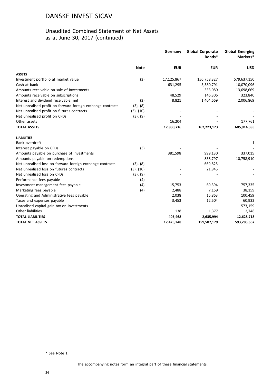### Unaudited Combined Statement of Net Assets as at June 30, 2017 (continued)

|                                                             |                | Germany    | <b>Global Corporate</b><br>Bonds* | <b>Global Emerging</b><br>Markets* |
|-------------------------------------------------------------|----------------|------------|-----------------------------------|------------------------------------|
|                                                             | <b>Note</b>    | <b>EUR</b> | <b>EUR</b>                        | <b>USD</b>                         |
| <b>ASSETS</b>                                               |                |            |                                   |                                    |
| Investment portfolio at market value                        | (3)            | 17,125,867 | 156,758,327                       | 579,637,150                        |
| Cash at bank                                                |                | 631,295    | 3,580,791                         | 10,070,096                         |
| Amounts receivable on sale of investments                   |                |            | 333,080                           | 13,698,669                         |
| Amounts receivable on subscriptions                         |                | 48,529     | 146,306                           | 323,840                            |
| Interest and dividend receivable, net                       | (3)            | 8,821      | 1,404,669                         | 2,006,869                          |
| Net unrealised profit on forward foreign exchange contracts | (3), (8)       |            |                                   |                                    |
| Net unrealised profit on futures contracts                  | $(3)$ , $(10)$ |            |                                   |                                    |
| Net unrealised profit on CFDs                               | (3), (9)       |            |                                   |                                    |
| Other assets                                                |                | 16,204     |                                   | 177,761                            |
| <b>TOTAL ASSETS</b>                                         |                | 17,830,716 | 162,223,173                       | 605,914,385                        |
| <b>LIABILITIES</b>                                          |                |            |                                   |                                    |
| Bank overdraft                                              |                |            |                                   | 1                                  |
| Interest payable on CFDs                                    | (3)            |            |                                   |                                    |
| Amounts payable on purchase of investments                  |                | 381,598    | 999,130                           | 337,015                            |
| Amounts payable on redemptions                              |                |            | 838,797                           | 10,758,910                         |
| Net unrealised loss on forward foreign exchange contracts   | (3), (8)       |            | 669,825                           |                                    |
| Net unrealised loss on futures contracts                    | (3), (10)      |            | 21,945                            |                                    |
| Net unrealised loss on CFDs                                 | (3), (9)       |            |                                   |                                    |
| Performance fees payable                                    | (4)            |            |                                   |                                    |
| Investment management fees payable                          | (4)            | 15,753     | 69,394                            | 757,335                            |
| Marketing fees payable                                      | (4)            | 2,488      | 7,159                             | 38,159                             |
| Operating and Administrative fees payable                   |                | 2,038      | 15,863                            | 100,459                            |
| Taxes and expenses payable                                  |                | 3,453      | 12,504                            | 60,932                             |
| Unrealised capital gain tax on investments                  |                |            |                                   | 573,159                            |
| Other liabilities                                           |                | 138        | 1,377                             | 2,748                              |
| <b>TOTAL LIABILITIES</b>                                    |                | 405,468    | 2,635,994                         | 12,628,718                         |
| <b>TOTAL NET ASSETS</b>                                     |                | 17,425,248 | 159,587,179                       | 593,285,667                        |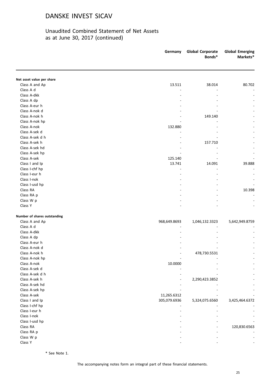### Unaudited Combined Statement of Net Assets as at June 30, 2017 (continued)

|                              | Germany      | <b>Global Corporate</b><br>Bonds* | <b>Global Emerging</b><br>Markets* |
|------------------------------|--------------|-----------------------------------|------------------------------------|
| Net asset value per share    |              |                                   |                                    |
| Class A and Ap               | 13.511       | 38.014                            | 80.702                             |
| Class A d                    |              |                                   |                                    |
| Class A-dkk                  |              |                                   |                                    |
| Class A dp                   |              |                                   |                                    |
| Class A-eur h                |              |                                   |                                    |
| Class A-nok d                |              |                                   |                                    |
| Class A-nok h                |              | 149.140                           |                                    |
| Class A-nok hp               |              |                                   |                                    |
| Class A-nok                  | 132.880      |                                   |                                    |
| Class A-sek d                |              |                                   |                                    |
| Class A-sek d h              |              |                                   |                                    |
| Class A-sek h                |              | 157.710                           |                                    |
| Class A-sek hd               |              |                                   |                                    |
| Class A-sek hp               |              |                                   |                                    |
| Class A-sek                  | 125.140      |                                   |                                    |
| Class I and Ip               | 13.741       | 14.091                            | 39.888                             |
| Class I-chf hp               |              | L.                                |                                    |
| Class I-eur h                |              |                                   |                                    |
| Class I-nok                  |              |                                   |                                    |
| Class I-usd hp               |              |                                   |                                    |
| Class RA                     |              |                                   | 10.398                             |
| Class RA p                   |              |                                   |                                    |
| Class W p                    |              |                                   |                                    |
| Class Y                      |              |                                   |                                    |
| Number of shares outstanding |              |                                   |                                    |
| Class A and Ap               | 968,649.8693 | 1,046,132.3323                    | 5,642,949.8759                     |
| Class A d                    |              |                                   |                                    |
| Class A-dkk                  |              |                                   |                                    |
| Class A dp                   |              |                                   |                                    |
| Class A-eur h                |              |                                   |                                    |
| Class A-nok d                |              |                                   |                                    |
| Class A-nok h                |              | 478,730.5531                      |                                    |
| Class A-nok hp               |              |                                   |                                    |
| Class A-nok                  | 10.0000      |                                   |                                    |
| Class A-sek d                |              |                                   |                                    |
| Class A-sek d h              |              |                                   |                                    |
| Class A-sek h                |              | 2,290,423.3852                    |                                    |
| Class A-sek hd               |              |                                   |                                    |
| Class A-sek hp               |              |                                   |                                    |
| Class A-sek                  | 11,265.6312  |                                   |                                    |
| Class I and Ip               | 305,079.6936 | 5,324,075.6560                    | 3,425,464.6372                     |
| Class I-chf hp               |              |                                   |                                    |
| Class I-eur h                |              |                                   |                                    |
| Class I-nok                  |              |                                   |                                    |
| Class I-usd hp               |              |                                   |                                    |
| Class RA                     |              |                                   | 120,830.6563                       |
| Class RA p                   |              |                                   |                                    |
| Class W p                    |              |                                   |                                    |
| Class Y                      |              |                                   |                                    |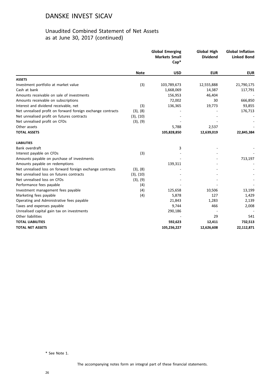### Unaudited Combined Statement of Net Assets as at June 30, 2017 (continued)

|                                                             |             | <b>Global Emerging</b><br><b>Markets Small</b><br>$Cap^*$ | <b>Global High</b><br><b>Dividend</b> | <b>Global Inflation</b><br><b>Linked Bond</b> |
|-------------------------------------------------------------|-------------|-----------------------------------------------------------|---------------------------------------|-----------------------------------------------|
|                                                             | <b>Note</b> | <b>USD</b>                                                | <b>EUR</b>                            | <b>EUR</b>                                    |
| <b>ASSETS</b>                                               |             |                                                           |                                       |                                               |
| Investment portfolio at market value                        | (3)         | 103,789,673                                               | 12,555,888                            | 21,790,175                                    |
| Cash at bank                                                |             | 1,668,069                                                 | 14,387                                | 117,791                                       |
| Amounts receivable on sale of investments                   |             | 156,953                                                   | 46,404                                |                                               |
| Amounts receivable on subscriptions                         |             | 72,002                                                    | 30                                    | 666,850                                       |
| Interest and dividend receivable, net                       | (3)         | 136,365                                                   | 19,773                                | 93,855                                        |
| Net unrealised profit on forward foreign exchange contracts | (3), (8)    |                                                           |                                       | 176,713                                       |
| Net unrealised profit on futures contracts                  | (3), (10)   |                                                           |                                       |                                               |
| Net unrealised profit on CFDs                               | (3), (9)    |                                                           |                                       |                                               |
| Other assets                                                |             | 5,788                                                     | 2,537                                 |                                               |
| <b>TOTAL ASSETS</b>                                         |             | 105,828,850                                               | 12,639,019                            | 22,845,384                                    |
| <b>LIABILITIES</b>                                          |             |                                                           |                                       |                                               |
| Bank overdraft                                              |             | 3                                                         |                                       |                                               |
| Interest payable on CFDs                                    | (3)         |                                                           |                                       |                                               |
| Amounts payable on purchase of investments                  |             |                                                           |                                       | 713,197                                       |
| Amounts payable on redemptions                              |             | 139,311                                                   |                                       |                                               |
| Net unrealised loss on forward foreign exchange contracts   | (3), (8)    |                                                           |                                       |                                               |
| Net unrealised loss on futures contracts                    | (3), (10)   |                                                           |                                       |                                               |
| Net unrealised loss on CFDs                                 | (3), (9)    |                                                           |                                       |                                               |
| Performance fees payable                                    | (4)         |                                                           |                                       |                                               |
| Investment management fees payable                          | (4)         | 125,658                                                   | 10,506                                | 13,199                                        |
| Marketing fees payable                                      | (4)         | 5,878                                                     | 127                                   | 1,429                                         |
| Operating and Administrative fees payable                   |             | 21,843                                                    | 1,283                                 | 2,139                                         |
| Taxes and expenses payable                                  |             | 9,744                                                     | 466                                   | 2,008                                         |
| Unrealised capital gain tax on investments                  |             | 290,186                                                   |                                       |                                               |
| Other liabilities                                           |             |                                                           | 29                                    | 541                                           |
| <b>TOTAL LIABILITIES</b>                                    |             | 592,623                                                   | 12,411                                | 732,513                                       |
| <b>TOTAL NET ASSETS</b>                                     |             | 105,236,227                                               | 12,626,608                            | 22,112,871                                    |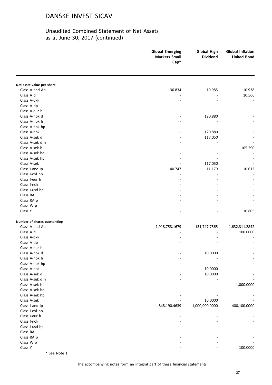### Unaudited Combined Statement of Net Assets as at June 30, 2017 (continued)

|                              | <b>Global Emerging</b><br><b>Markets Small</b><br>$Cap^*$ | <b>Global High</b><br><b>Dividend</b> | <b>Global Inflation</b><br><b>Linked Bond</b> |
|------------------------------|-----------------------------------------------------------|---------------------------------------|-----------------------------------------------|
|                              |                                                           |                                       |                                               |
| Net asset value per share    |                                                           |                                       |                                               |
| Class A and Ap               | 36.834                                                    | 10.985                                | 10.938                                        |
| Class A d                    | L,                                                        |                                       | 10.566                                        |
| Class A-dkk                  |                                                           |                                       |                                               |
| Class A dp                   |                                                           |                                       |                                               |
| Class A-eur h                |                                                           |                                       |                                               |
| Class A-nok d                |                                                           | 120.880                               |                                               |
| Class A-nok h                |                                                           |                                       |                                               |
| Class A-nok hp               |                                                           |                                       |                                               |
| Class A-nok                  |                                                           | 120.880                               |                                               |
| Class A-sek d                |                                                           | 117.050                               |                                               |
| Class A-sek d h              |                                                           |                                       |                                               |
| Class A-sek h                |                                                           |                                       | 105.290                                       |
| Class A-sek hd               |                                                           |                                       |                                               |
| Class A-sek hp               |                                                           |                                       |                                               |
| Class A-sek                  |                                                           | 117.050                               |                                               |
| Class I and Ip               | 40.747                                                    | 11.179                                | 10.612                                        |
| Class I-chf hp               |                                                           |                                       |                                               |
| Class I-eur h                |                                                           |                                       |                                               |
| Class I-nok                  |                                                           |                                       |                                               |
| Class I-usd hp               |                                                           |                                       |                                               |
| Class RA                     |                                                           |                                       |                                               |
| Class RA p                   |                                                           |                                       |                                               |
| Class W p                    |                                                           |                                       |                                               |
| Class Y                      |                                                           |                                       | 10.805                                        |
|                              |                                                           |                                       |                                               |
| Number of shares outstanding |                                                           |                                       |                                               |
| Class A and Ap               | 1,918,753.1679                                            | 131,747.7565                          | 1,632,311.2842                                |
| Class A d                    |                                                           |                                       | 100.0000                                      |
| Class A-dkk                  |                                                           |                                       |                                               |
| Class A dp                   |                                                           |                                       |                                               |
| Class A-eur h                |                                                           |                                       |                                               |
| Class A-nok d                |                                                           | 10.0000                               |                                               |
| Class A-nok h                |                                                           |                                       |                                               |
| Class A-nok hp               |                                                           |                                       |                                               |
| Class A-nok                  |                                                           | 10.0000                               |                                               |
| Class A-sek d                |                                                           | 10.0000                               |                                               |
| Class A-sek d h              |                                                           |                                       |                                               |
| Class A-sek h                |                                                           |                                       | 1,000.0000                                    |
| Class A-sek hd               |                                                           |                                       |                                               |
| Class A-sek hp               |                                                           |                                       |                                               |
| Class A-sek                  |                                                           | 10.0000                               |                                               |
| Class I and Ip               | 848,190.4639                                              | 1,000,000.0000                        | 400,100.0000                                  |
| Class I-chf hp               |                                                           |                                       |                                               |
| Class I-eur h                |                                                           |                                       |                                               |
| Class I-nok                  |                                                           |                                       |                                               |
| Class I-usd hp               |                                                           |                                       |                                               |
| Class RA                     |                                                           |                                       |                                               |
| Class RA p                   |                                                           |                                       |                                               |
| Class W p                    |                                                           |                                       |                                               |
| Class Y                      |                                                           |                                       | 100.0000                                      |

\* See Note 1.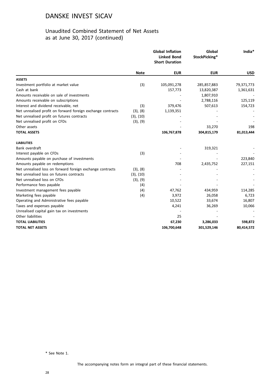### Unaudited Combined Statement of Net Assets as at June 30, 2017 (continued)

|                                                             |             | <b>Global Inflation</b><br><b>Linked Bond</b><br><b>Short Duration</b> | Global<br>StockPicking* | India*     |
|-------------------------------------------------------------|-------------|------------------------------------------------------------------------|-------------------------|------------|
|                                                             | <b>Note</b> | <b>EUR</b>                                                             | <b>EUR</b>              | <b>USD</b> |
| <b>ASSETS</b>                                               |             |                                                                        |                         |            |
| Investment portfolio at market value                        | (3)         | 105,091,278                                                            | 285,857,883             | 79,371,773 |
| Cash at bank                                                |             | 157,773                                                                | 13,820,387              | 1,361,631  |
| Amounts receivable on sale of investments                   |             |                                                                        | 1,807,910               |            |
| Amounts receivable on subscriptions                         |             |                                                                        | 2,788,116               | 125,119    |
| Interest and dividend receivable, net                       | (3)         | 379,476                                                                | 507,613                 | 154,723    |
| Net unrealised profit on forward foreign exchange contracts | (3), (8)    | 1,139,351                                                              |                         |            |
| Net unrealised profit on futures contracts                  | (3), (10)   |                                                                        |                         |            |
| Net unrealised profit on CFDs                               | (3), (9)    |                                                                        |                         |            |
| Other assets                                                |             |                                                                        | 33,270                  | 198        |
| <b>TOTAL ASSETS</b>                                         |             | 106,767,878                                                            | 304,815,179             | 81,013,444 |
| <b>LIABILITIES</b>                                          |             |                                                                        |                         |            |
| Bank overdraft                                              |             |                                                                        | 319,321                 |            |
| Interest payable on CFDs                                    | (3)         |                                                                        |                         |            |
| Amounts payable on purchase of investments                  |             |                                                                        |                         | 223,840    |
| Amounts payable on redemptions                              |             | 708                                                                    | 2,435,752               | 227,151    |
| Net unrealised loss on forward foreign exchange contracts   | (3), (8)    |                                                                        |                         |            |
| Net unrealised loss on futures contracts                    | (3), (10)   |                                                                        |                         |            |
| Net unrealised loss on CFDs                                 | (3), (9)    |                                                                        |                         |            |
| Performance fees payable                                    | (4)         |                                                                        |                         |            |
| Investment management fees payable                          | (4)         | 47,762                                                                 | 434,959                 | 114,285    |
| Marketing fees payable                                      | (4)         | 3,972                                                                  | 26,058                  | 6,723      |
| Operating and Administrative fees payable                   |             | 10,522                                                                 | 33,674                  | 16,807     |
| Taxes and expenses payable                                  |             | 4,241                                                                  | 36,269                  | 10,066     |
| Unrealised capital gain tax on investments                  |             |                                                                        |                         |            |
| Other liabilities                                           |             | 25                                                                     |                         |            |
| <b>TOTAL LIABILITIES</b>                                    |             | 67,230                                                                 | 3,286,033               | 598,872    |
| <b>TOTAL NET ASSETS</b>                                     |             | 106,700,648                                                            | 301,529,146             | 80,414,572 |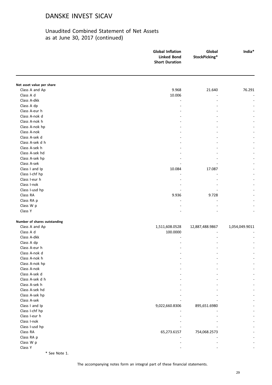### Unaudited Combined Statement of Net Assets as at June 30, 2017 (continued)

|                                  | <b>Global Inflation</b><br><b>Linked Bond</b><br><b>Short Duration</b> | Global<br>StockPicking* | India*         |
|----------------------------------|------------------------------------------------------------------------|-------------------------|----------------|
|                                  |                                                                        |                         |                |
| Net asset value per share        |                                                                        |                         |                |
| Class A and Ap                   | 9.968                                                                  | 21.640                  | 76.291         |
| Class A d                        | 10.006                                                                 |                         |                |
| Class A-dkk                      |                                                                        |                         |                |
| Class A dp                       |                                                                        |                         |                |
| Class A-eur h                    |                                                                        |                         |                |
| Class A-nok d                    |                                                                        |                         |                |
| Class A-nok h                    |                                                                        |                         |                |
| Class A-nok hp                   |                                                                        |                         |                |
| Class A-nok                      |                                                                        |                         |                |
| Class A-sek d<br>Class A-sek d h |                                                                        |                         |                |
|                                  |                                                                        |                         |                |
| Class A-sek h                    |                                                                        |                         |                |
| Class A-sek hd                   |                                                                        |                         |                |
| Class A-sek hp<br>Class A-sek    |                                                                        |                         |                |
| Class I and Ip                   |                                                                        |                         |                |
|                                  | 10.084                                                                 | 17.087                  |                |
| Class I-chf hp<br>Class I-eur h  |                                                                        |                         |                |
| Class I-nok                      |                                                                        |                         |                |
| Class I-usd hp                   |                                                                        |                         |                |
| Class RA                         | 9.936                                                                  | 9.728                   |                |
| Class RA p                       |                                                                        |                         |                |
| Class W p                        |                                                                        |                         |                |
| Class Y                          |                                                                        |                         |                |
|                                  |                                                                        |                         |                |
| Number of shares outstanding     |                                                                        |                         |                |
| Class A and Ap                   | 1,511,608.0528                                                         | 12,887,488.9867         | 1,054,049.9011 |
| Class A d                        | 100.0000                                                               |                         |                |
| Class A-dkk                      |                                                                        |                         |                |
| Class A dp                       |                                                                        |                         |                |
| Class A-eur h                    |                                                                        |                         |                |
| Class A-nok d                    |                                                                        |                         |                |
| Class A-nok h                    |                                                                        |                         |                |
| Class A-nok hp                   |                                                                        |                         |                |
| Class A-nok                      |                                                                        |                         |                |
| Class A-sek d                    |                                                                        |                         |                |
| Class A-sek d h                  |                                                                        |                         |                |
| Class A-sek h                    |                                                                        |                         |                |
| Class A-sek hd                   |                                                                        |                         |                |
| Class A-sek hp                   |                                                                        |                         |                |
| Class A-sek                      |                                                                        |                         |                |
| Class I and Ip                   | 9,022,660.8306                                                         | 895,651.6980            |                |
| Class I-chf hp                   |                                                                        |                         |                |
| Class I-eur h                    |                                                                        |                         |                |
| Class I-nok                      |                                                                        |                         |                |
| Class I-usd hp                   |                                                                        |                         |                |
| Class RA                         | 65,273.6157                                                            | 754,068.2573            |                |
| Class RA p                       |                                                                        |                         |                |
| Class W p                        |                                                                        |                         |                |
| Class Y                          |                                                                        |                         |                |
|                                  |                                                                        |                         |                |

\* See Note 1.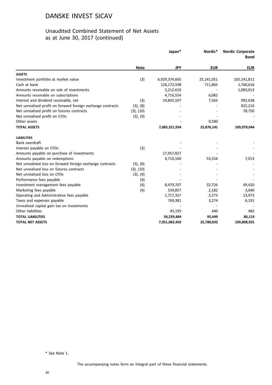### Unaudited Combined Statement of Net Assets as at June 30, 2017 (continued)

|                                                             |             |               | Japan*     | Nordic*     | <b>Nordic Corporate</b><br><b>Bond</b> |
|-------------------------------------------------------------|-------------|---------------|------------|-------------|----------------------------------------|
|                                                             | <b>Note</b> | <b>JPY</b>    | <b>EUR</b> | <b>EUR</b>  |                                        |
| <b>ASSETS</b>                                               |             |               |            |             |                                        |
| Investment portfolio at market value                        | (3)         | 6,929,374,665 | 25,141,051 | 105,141,811 |                                        |
| Cash at bank                                                |             | 126,172,598   | 711,865    | 1,760,616   |                                        |
| Amounts receivable on sale of investments                   |             | 5,212,610     |            | 1,083,013   |                                        |
| Amounts receivable on subscriptions                         |             | 4,716,554     | 6,082      |             |                                        |
| Interest and dividend receivable, net                       | (3)         | 19,845,507    | 7,563      | 992,638     |                                        |
| Net unrealised profit on forward foreign exchange contracts | (3), (8)    |               |            | 922,216     |                                        |
| Net unrealised profit on futures contracts                  | (3), (10)   |               |            | 78,750      |                                        |
| Net unrealised profit on CFDs                               | (3), (9)    |               |            |             |                                        |
| Other assets                                                |             |               | 9,580      |             |                                        |
| <b>TOTAL ASSETS</b>                                         |             | 7,085,321,934 | 25,876,141 | 109,979,044 |                                        |
| <b>LIABILITIES</b>                                          |             |               |            |             |                                        |
| Bank overdraft                                              |             |               |            |             |                                        |
| Interest payable on CFDs                                    | (3)         |               |            |             |                                        |
| Amounts payable on purchase of investments                  |             | 17,957,827    |            |             |                                        |
| Amounts payable on redemptions                              |             | 4,710,160     | 53,554     | 7,013       |                                        |
| Net unrealised loss on forward foreign exchange contracts   | (3), (8)    |               |            |             |                                        |
| Net unrealised loss on futures contracts                    | (3), (10)   |               |            |             |                                        |
| Net unrealised loss on CFDs                                 | (3), (9)    |               |            |             |                                        |
| Performance fees payable                                    | (4)         |               |            |             |                                        |
| Investment management fees payable                          | (4)         | 8,479,707     | 32,726     | 49,420      |                                        |
| Marketing fees payable                                      | (4)         | 559,857       | 2,182      | 3,040       |                                        |
| Operating and Administrative fees payable                   |             | 1,717,357     | 3,273      | 13,973      |                                        |
| Taxes and expenses payable                                  |             | 769,381       | 3,274      | 6,191       |                                        |
| Unrealised capital gain tax on investments                  |             |               |            |             |                                        |
| Other liabilities                                           |             | 45,195        | 440        | 482         |                                        |
| <b>TOTAL LIABILITIES</b>                                    |             | 34,239,484    | 95,449     | 80,119      |                                        |
| <b>TOTAL NET ASSETS</b>                                     |             | 7,051,082,450 | 25,780,692 | 109,898,925 |                                        |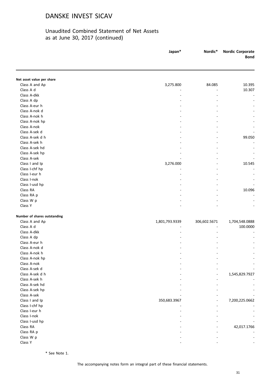### Unaudited Combined Statement of Net Assets as at June 30, 2017 (continued)

|                              | Japan*         | Nordic*      | <b>Nordic Corporate</b><br><b>Bond</b> |
|------------------------------|----------------|--------------|----------------------------------------|
|                              |                |              |                                        |
| Net asset value per share    |                |              |                                        |
| Class A and Ap               | 3,275.800      | 84.085       | 10.395                                 |
| Class A d                    |                |              | 10.307                                 |
| Class A-dkk                  |                |              |                                        |
| Class A dp                   |                |              |                                        |
| Class A-eur h                |                |              |                                        |
| Class A-nok d                |                |              |                                        |
| Class A-nok h                |                |              |                                        |
| Class A-nok hp               |                |              |                                        |
| Class A-nok                  |                |              |                                        |
| Class A-sek d                |                |              |                                        |
| Class A-sek d h              |                |              | 99.050                                 |
| Class A-sek h                |                |              |                                        |
| Class A-sek hd               |                |              |                                        |
| Class A-sek hp               |                |              |                                        |
| Class A-sek                  |                |              |                                        |
| Class I and Ip               | 3,276.000      |              | 10.545                                 |
| Class I-chf hp               |                |              |                                        |
| Class I-eur h                |                |              |                                        |
| Class I-nok                  |                |              |                                        |
| Class I-usd hp               |                |              |                                        |
| Class RA                     |                |              | 10.096                                 |
| Class RA p                   |                |              |                                        |
| Class W p                    |                |              |                                        |
| Class Y                      |                |              |                                        |
|                              |                |              |                                        |
| Number of shares outstanding |                |              |                                        |
| Class A and Ap               | 1,801,793.9339 | 306,602.5671 | 1,704,548.0888                         |
| Class A d                    |                |              | 100.0000                               |
| Class A-dkk                  |                |              |                                        |
| Class A dp                   |                |              |                                        |
| Class A-eur h                |                |              |                                        |
| Class A-nok d                |                |              |                                        |
| Class A-nok h                |                |              |                                        |
| Class A-nok hp               |                |              |                                        |
| Class A-nok                  |                |              |                                        |
| Class A-sek d                |                |              |                                        |
| Class A-sek d h              |                |              | 1,545,829.7927                         |
| Class A-sek h                |                |              |                                        |
| Class A-sek hd               |                |              |                                        |
| Class A-sek hp               |                |              |                                        |
| Class A-sek                  |                |              |                                        |
| Class I and Ip               | 350,683.3967   |              | 7,200,225.0662                         |
| Class I-chf hp               |                |              |                                        |
| Class I-eur h                |                |              |                                        |
| Class I-nok                  |                |              |                                        |
| Class I-usd hp               |                |              |                                        |
| Class RA                     |                |              | 42,017.1766                            |
| Class RA p                   |                |              |                                        |
| Class W p                    |                |              |                                        |
| Class Y                      |                |              |                                        |

\* See Note 1.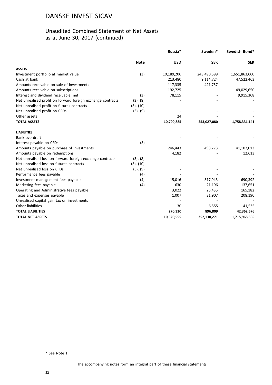### Unaudited Combined Statement of Net Assets as at June 30, 2017 (continued)

|                                                             |             | Russia*    | Sweden*     | Swedish Bond* |
|-------------------------------------------------------------|-------------|------------|-------------|---------------|
|                                                             | <b>Note</b> | <b>USD</b> | <b>SEK</b>  | <b>SEK</b>    |
| <b>ASSETS</b>                                               |             |            |             |               |
| Investment portfolio at market value                        | (3)         | 10,189,206 | 243,490,599 | 1,651,863,660 |
| Cash at bank                                                |             | 213,480    | 9,114,724   | 47,522,463    |
| Amounts receivable on sale of investments                   |             | 117,335    | 421,757     |               |
| Amounts receivable on subscriptions                         |             | 192,725    |             | 49,029,650    |
| Interest and dividend receivable, net                       | (3)         | 78,115     |             | 9,915,368     |
| Net unrealised profit on forward foreign exchange contracts | (3), (8)    |            |             |               |
| Net unrealised profit on futures contracts                  | (3), (10)   |            |             |               |
| Net unrealised profit on CFDs                               | (3), (9)    |            |             |               |
| Other assets                                                |             | 24         |             |               |
| <b>TOTAL ASSETS</b>                                         |             | 10,790,885 | 253,027,080 | 1,758,331,141 |
| <b>LIABILITIES</b>                                          |             |            |             |               |
| Bank overdraft                                              |             |            |             |               |
| Interest payable on CFDs                                    | (3)         |            |             |               |
| Amounts payable on purchase of investments                  |             | 246,443    | 493,773     | 41,107,013    |
| Amounts payable on redemptions                              |             | 4,182      |             | 12,613        |
| Net unrealised loss on forward foreign exchange contracts   | (3), (8)    |            |             |               |
| Net unrealised loss on futures contracts                    | (3), (10)   |            |             |               |
| Net unrealised loss on CFDs                                 | (3), (9)    |            |             |               |
| Performance fees payable                                    | (4)         |            |             |               |
| Investment management fees payable                          | (4)         | 15,016     | 317,943     | 690,392       |
| Marketing fees payable                                      | (4)         | 630        | 21,196      | 137,651       |
| Operating and Administrative fees payable                   |             | 3,022      | 25,435      | 165,182       |
| Taxes and expenses payable                                  |             | 1,007      | 31,907      | 208,190       |
| Unrealised capital gain tax on investments                  |             |            |             |               |
| Other liabilities                                           |             | 30         | 6,555       | 41,535        |
| <b>TOTAL LIABILITIES</b>                                    |             | 270,330    | 896,809     | 42,362,576    |
| <b>TOTAL NET ASSETS</b>                                     |             | 10,520,555 | 252,130,271 | 1,715,968,565 |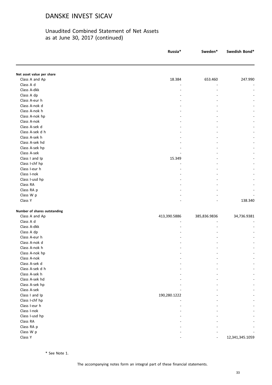### Unaudited Combined Statement of Net Assets as at June 30, 2017 (continued)

|                              | Russia*      | Sweden*      | Swedish Bond*   |
|------------------------------|--------------|--------------|-----------------|
|                              |              |              |                 |
| Net asset value per share    |              |              |                 |
| Class A and Ap               | 18.384       | 653.460      | 247.990         |
| Class A d                    |              |              |                 |
| Class A-dkk                  |              |              |                 |
| Class A dp                   |              |              |                 |
| Class A-eur h                |              |              |                 |
| Class A-nok d                |              |              |                 |
| Class A-nok h                |              |              |                 |
| Class A-nok hp               |              |              |                 |
| Class A-nok                  |              |              |                 |
| Class A-sek d                |              |              |                 |
| Class A-sek d h              |              |              |                 |
| Class A-sek h                |              |              |                 |
| Class A-sek hd               |              |              |                 |
| Class A-sek hp               |              |              |                 |
| Class A-sek                  |              |              |                 |
| Class I and Ip               | 15.349       |              |                 |
| Class I-chf hp               |              |              |                 |
| Class I-eur h                |              |              |                 |
| Class I-nok                  |              |              |                 |
| Class I-usd hp               |              |              |                 |
| Class RA                     |              |              |                 |
| Class RA p                   |              |              |                 |
| Class W p                    |              |              |                 |
| Class Y                      |              |              | 138.340         |
| Number of shares outstanding |              |              |                 |
| Class A and Ap               | 413,390.5886 | 385,836.9836 | 34,736.9381     |
| Class A d                    |              |              |                 |
| Class A-dkk                  |              |              |                 |
| Class A dp                   |              |              |                 |
| Class A-eur h                |              |              |                 |
| Class A-nok d                |              |              |                 |
| Class A-nok h                |              |              |                 |
| Class A-nok hp               |              |              |                 |
| Class A-nok                  |              |              |                 |
| Class A-sek d                |              |              |                 |
| Class A-sek d h              |              |              |                 |
| Class A-sek h                |              |              |                 |
| Class A-sek hd               |              |              |                 |
| Class A-sek hp               |              |              |                 |
| Class A-sek                  |              |              |                 |
| Class I and Ip               | 190,280.1222 |              |                 |
| Class I-chf hp               |              |              |                 |
| Class I-eur h                |              |              |                 |
| Class I-nok                  |              |              |                 |
| Class I-usd hp               |              |              |                 |
|                              |              |              |                 |
| Class RA                     |              |              |                 |
| Class RA p                   |              |              |                 |
| Class W p                    |              |              |                 |
| Class Y                      |              |              | 12,341,345.1059 |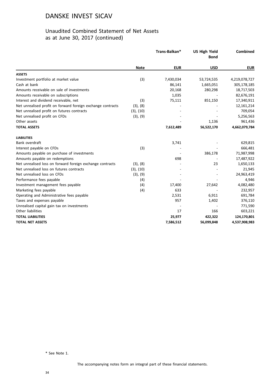### Unaudited Combined Statement of Net Assets as at June 30, 2017 (continued)

|                                                             |             | Trans-Balkan* | <b>US High Yield</b><br><b>Bond</b> | Combined      |
|-------------------------------------------------------------|-------------|---------------|-------------------------------------|---------------|
|                                                             | <b>Note</b> | <b>EUR</b>    | <b>USD</b>                          | <b>EUR</b>    |
| <b>ASSETS</b>                                               |             |               |                                     |               |
| Investment portfolio at market value                        | (3)         | 7,430,034     | 53,724,535                          | 4,219,078,727 |
| Cash at bank                                                |             | 86,141        | 1,665,051                           | 305,178,185   |
| Amounts receivable on sale of investments                   |             | 20,168        | 280,298                             | 18,717,503    |
| Amounts receivable on subscriptions                         |             | 1,035         |                                     | 82,676,191    |
| Interest and dividend receivable, net                       | (3)         | 75,111        | 851,150                             | 17,340,911    |
| Net unrealised profit on forward foreign exchange contracts | (3), (8)    |               |                                     | 12,161,214    |
| Net unrealised profit on futures contracts                  | (3), (10)   |               |                                     | 709,054       |
| Net unrealised profit on CFDs                               | (3), (9)    |               |                                     | 5,256,563     |
| Other assets                                                |             |               | 1,136                               | 961,436       |
| <b>TOTAL ASSETS</b>                                         |             | 7,612,489     | 56,522,170                          | 4,662,079,784 |
| <b>LIABILITIES</b>                                          |             |               |                                     |               |
| Bank overdraft                                              |             | 3,741         |                                     | 629,815       |
| Interest payable on CFDs                                    | (3)         |               |                                     | 666,481       |
| Amounts payable on purchase of investments                  |             |               | 386,178                             | 71,987,998    |
| Amounts payable on redemptions                              |             | 698           |                                     | 17,487,922    |
| Net unrealised loss on forward foreign exchange contracts   | (3), (8)    |               | 23                                  | 1,650,133     |
| Net unrealised loss on futures contracts                    | (3), (10)   |               |                                     | 21,945        |
| Net unrealised loss on CFDs                                 | (3), (9)    |               |                                     | 24,963,419    |
| Performance fees payable                                    | (4)         |               |                                     | 4,946         |
| Investment management fees payable                          | (4)         | 17,400        | 27,642                              | 4,082,480     |
| Marketing fees payable                                      | (4)         | 633           |                                     | 232,957       |
| Operating and Administrative fees payable                   |             | 2,531         | 6,911                               | 691,784       |
| Taxes and expenses payable                                  |             | 957           | 1,402                               | 376,110       |
| Unrealised capital gain tax on investments                  |             |               |                                     | 771,590       |
| Other liabilities                                           |             | 17            | 166                                 | 603,221       |
| <b>TOTAL LIABILITIES</b>                                    |             | 25,977        | 422,322                             | 124,170,801   |
| <b>TOTAL NET ASSETS</b>                                     |             | 7,586,512     | 56,099,848                          | 4,537,908,983 |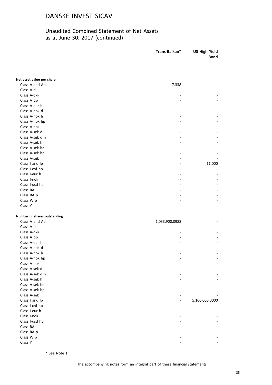### Unaudited Combined Statement of Net Assets as at June 30, 2017 (continued)

|                              | Trans-Balkan*  | <b>US High Yield</b><br><b>Bond</b> |  |
|------------------------------|----------------|-------------------------------------|--|
|                              |                |                                     |  |
| Net asset value per share    |                |                                     |  |
| Class A and Ap               | 7.338          |                                     |  |
| Class A d                    |                |                                     |  |
| Class A-dkk                  |                |                                     |  |
| Class A dp                   |                |                                     |  |
| Class A-eur h                |                |                                     |  |
| Class A-nok d                |                |                                     |  |
| Class A-nok h                |                |                                     |  |
| Class A-nok hp               |                |                                     |  |
| Class A-nok                  |                |                                     |  |
| Class A-sek d                |                |                                     |  |
| Class A-sek d h              |                |                                     |  |
| Class A-sek h                |                |                                     |  |
| Class A-sek hd               |                |                                     |  |
| Class A-sek hp               |                |                                     |  |
| Class A-sek                  |                |                                     |  |
| Class I and Ip               |                | 11.000                              |  |
| Class I-chf hp               |                |                                     |  |
| Class I-eur h                |                |                                     |  |
| Class I-nok                  |                |                                     |  |
| Class I-usd hp               |                |                                     |  |
| Class RA                     |                |                                     |  |
| Class RA p                   |                |                                     |  |
| Class W p                    |                |                                     |  |
| Class Y                      |                |                                     |  |
| Number of shares outstanding |                |                                     |  |
| Class A and Ap               | 1,033,900.0988 |                                     |  |
| Class A d                    |                |                                     |  |
| Class A-dkk                  |                |                                     |  |
| Class A dp                   |                |                                     |  |
| Class A-eur h                |                |                                     |  |
| Class A-nok d                |                |                                     |  |
| Class A-nok h                |                |                                     |  |
| Class A-nok hp               |                |                                     |  |
| Class A-nok                  |                |                                     |  |
| Class A-sek d                |                |                                     |  |
| Class A-sek d h              |                |                                     |  |
| Class A-sek h                |                |                                     |  |
| Class A-sek hd               |                |                                     |  |
| Class A-sek hp               |                |                                     |  |
| Class A-sek                  |                |                                     |  |
| Class I and Ip               |                | 5,100,000.0000                      |  |
| Class I-chf hp               |                |                                     |  |
| Class I-eur h                |                |                                     |  |
| Class I-nok                  |                |                                     |  |
| Class I-usd hp               |                |                                     |  |
| Class RA                     |                |                                     |  |
| Class RA p                   |                |                                     |  |
| Class W p                    |                |                                     |  |
| Class Y                      |                |                                     |  |
|                              |                |                                     |  |

\* See Note 1.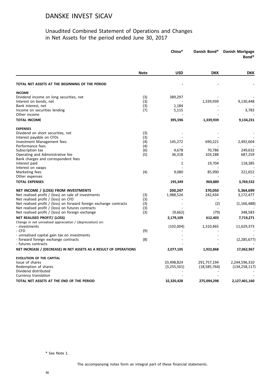### Unaudited Combined Statement of Operations and Changes in Net Assets for the period ended June 30, 2017

|                                                                    |             | China*      | Danish Bond*   | Danish Mortgage<br>Bond* |
|--------------------------------------------------------------------|-------------|-------------|----------------|--------------------------|
|                                                                    | <b>Note</b> | <b>USD</b>  | <b>DKK</b>     | <b>DKK</b>               |
| TOTAL NET ASSETS AT THE BEGINNING OF THE PERIOD                    |             |             |                |                          |
| <b>INCOME</b>                                                      |             |             |                |                          |
| Dividend income on long securities, net                            | (3)         | 389,297     |                |                          |
| Interest on bonds, net                                             | (3)         |             | 1,339,939      | 9,130,448                |
| Bank interest, net                                                 | (3)         | 1,184       |                |                          |
| Income on securities lending                                       | (7)         | 5,115       |                | 3,783                    |
| Other income                                                       |             |             |                |                          |
| <b>TOTAL INCOME</b>                                                |             | 395,596     | 1,339,939      | 9,134,231                |
| <b>EXPENSES</b>                                                    |             |             |                |                          |
| Dividend on short securities, net                                  | (3)         |             |                |                          |
| Interest payable on CFDs                                           | (3)         |             |                |                          |
| Investment Management fees<br>Performance fees                     | (4)<br>(4)  | 145,272     | 690,221        | 2,492,604                |
| Subscription tax                                                   | (6)         | 4,678       | 70,786         | 249,632                  |
| Operating and Administrative fee                                   | (5)         | 36,318      | 103,188        | 687,259                  |
| Bank charges and correspondent fees                                |             |             |                |                          |
| Interest paid                                                      |             | 1           | 19,704         | 118,385                  |
| Interest on swaps                                                  |             |             |                |                          |
| Marketing fees                                                     | (4)         | 9,080       | 85,990         | 221,652                  |
| Other expenses                                                     |             |             |                |                          |
| <b>TOTAL EXPENSES</b>                                              |             | 195,349     | 969,889        | 3,769,532                |
| NET INCOME / (LOSS) FROM INVESTMENTS                               |             | 200,247     | 370,050        | 5,364,699                |
| Net realised profit / (loss) on sale of investments                | (3)         | 1,988,524   | 242,434        | 3,172,477                |
| Net realised profit / (loss) on CFD                                | (3)         |             |                |                          |
| Net realised profit / (loss) on forward foreign exchange contracts | (3)         |             | (2)            | (1, 166, 488)            |
| Net realised profit / (loss) on futures contracts                  | (3)         |             |                |                          |
| Net realised profit / (loss) on foreign exchange                   | (3)         | (9,662)     | (79)           | 348,583                  |
| NET REALISED PROFIT/ (LOSS)                                        |             | 2,179,109   | 612,403        | 7,719,271                |
| Change in net unrealised appreciation / (depreciation) on:         |             |             |                |                          |
| - investments<br>- CFD                                             | (9)         | (102,004)   | 1,310,465      | 11,629,373               |
| - unrealised capital gain tax on investments                       |             |             |                |                          |
| - forward foreign exchange contracts                               | (8)         |             |                | (2, 285, 677)            |
| - futures contracts                                                |             |             |                |                          |
| NET INCREASE / (DECREASE) IN NET ASSETS AS A RESULT OF OPERATIONS  |             | 2,077,105   | 1,922,868      | 17,062,967               |
| <b>EVOLUTION OF THE CAPITAL</b>                                    |             |             |                |                          |
| Issue of shares                                                    |             | 33,498,824  | 291,757,194    | 2,244,596,310            |
| Redemption of shares                                               |             | (3,255,501) | (18, 585, 764) | (134, 258, 117)          |
| Dividend distributed                                               |             |             |                |                          |
| Currency translation                                               |             |             |                |                          |
| TOTAL NET ASSETS AT THE END OF THE PERIOD                          |             | 32,320,428  | 275,094,298    | 2,127,401,160            |

\* See Note 1.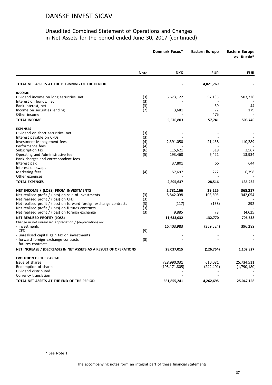#### Unaudited Combined Statement of Operations and Changes in Net Assets for the period ended June 30, 2017 (continued)

|                                                                    |             | Denmark Focus*  | <b>Eastern Europe</b>    | <b>Eastern Europe</b><br>ex. Russia* |
|--------------------------------------------------------------------|-------------|-----------------|--------------------------|--------------------------------------|
|                                                                    | <b>Note</b> | <b>DKK</b>      | <b>EUR</b>               | <b>EUR</b>                           |
| TOTAL NET ASSETS AT THE BEGINNING OF THE PERIOD                    |             |                 | 4,021,769                |                                      |
| <b>INCOME</b>                                                      |             |                 |                          |                                      |
| Dividend income on long securities, net                            | (3)         | 5,673,122       | 57,135                   | 503,226                              |
| Interest on bonds, net                                             | (3)         |                 |                          |                                      |
| Bank interest, net                                                 | (3)         |                 | 59                       | 44                                   |
| Income on securities lending                                       | (7)         | 3,681           | 72                       | 179                                  |
| Other income                                                       |             |                 | 475                      |                                      |
| <b>TOTAL INCOME</b>                                                |             | 5,676,803       | 57,741                   | 503,449                              |
| <b>EXPENSES</b>                                                    |             |                 |                          |                                      |
| Dividend on short securities, net                                  | (3)         |                 |                          |                                      |
| Interest payable on CFDs                                           | (3)         |                 |                          |                                      |
| Investment Management fees                                         | (4)         | 2,391,050       | 21,438                   | 110,289                              |
| Performance fees<br>Subscription tax                               | (4)<br>(6)  | 115,621         | 319                      | 3,567                                |
| Operating and Administrative fee                                   | (5)         | 193,468         | 6,421                    | 13,934                               |
| Bank charges and correspondent fees                                |             |                 |                          |                                      |
| Interest paid                                                      |             | 37,801          | 66                       | 644                                  |
| Interest on swaps                                                  |             |                 |                          |                                      |
| Marketing fees                                                     | (4)         | 157,697         | 272                      | 6,798                                |
| Other expenses                                                     |             |                 | $\overline{\phantom{a}}$ |                                      |
| <b>TOTAL EXPENSES</b>                                              |             | 2,895,637       | 28,516                   | 135,232                              |
| NET INCOME / (LOSS) FROM INVESTMENTS                               |             | 2,781,166       | 29,225                   | 368,217                              |
| Net realised profit / (loss) on sale of investments                | (3)         | 8,842,098       | 103,605                  | 342,054                              |
| Net realised profit / (loss) on CFD                                | (3)         |                 |                          |                                      |
| Net realised profit / (loss) on forward foreign exchange contracts | (3)         | (117)           | (138)                    | 892                                  |
| Net realised profit / (loss) on futures contracts                  | (3)         |                 |                          |                                      |
| Net realised profit / (loss) on foreign exchange                   | (3)         | 9,885           | 78                       | (4,625)                              |
| NET REALISED PROFIT/ (LOSS)                                        |             | 11,633,032      | 132,770                  | 706,538                              |
| Change in net unrealised appreciation / (depreciation) on:         |             |                 |                          |                                      |
| - investments                                                      |             | 16,403,983      | (259, 524)               | 396,289                              |
| - CFD                                                              | (9)         |                 |                          |                                      |
| - unrealised capital gain tax on investments                       |             |                 |                          |                                      |
| - forward foreign exchange contracts                               | (8)         |                 |                          |                                      |
| - futures contracts                                                |             |                 |                          |                                      |
| NET INCREASE / (DECREASE) IN NET ASSETS AS A RESULT OF OPERATIONS  |             | 28,037,015      | (126, 754)               | 1,102,827                            |
| <b>EVOLUTION OF THE CAPITAL</b>                                    |             |                 |                          |                                      |
| Issue of shares                                                    |             | 728,990,031     | 610,081                  | 25,734,511                           |
| Redemption of shares                                               |             | (195, 171, 805) | (242, 401)               | (1,790,180)                          |
| Dividend distributed                                               |             |                 |                          |                                      |
| Currency translation                                               |             |                 |                          |                                      |
| TOTAL NET ASSETS AT THE END OF THE PERIOD                          |             | 561,855,241     | 4,262,695                | 25,047,158                           |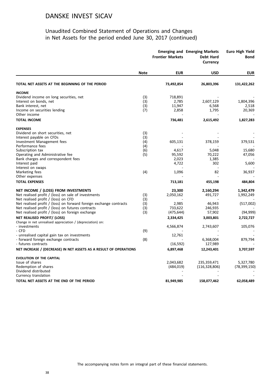#### Unaudited Combined Statement of Operations and Changes in Net Assets for the period ended June 30, 2017 (continued)

|                                                                    |             | <b>Frontier Markets</b> | <b>Emerging and Emerging Markets</b><br><b>Debt Hard</b><br><b>Currency</b> | <b>Euro High Yield</b><br><b>Bond</b> |
|--------------------------------------------------------------------|-------------|-------------------------|-----------------------------------------------------------------------------|---------------------------------------|
|                                                                    | <b>Note</b> | <b>EUR</b>              | <b>USD</b>                                                                  | <b>EUR</b>                            |
| TOTAL NET ASSETS AT THE BEGINNING OF THE PERIOD                    |             | 73,492,854              | 26,803,396                                                                  | 131,422,262                           |
| <b>INCOME</b>                                                      |             |                         |                                                                             |                                       |
| Dividend income on long securities, net                            | (3)         | 718,891                 |                                                                             |                                       |
| Interest on bonds, net                                             | (3)         | 2,785                   | 2,607,129                                                                   | 1,804,396                             |
| Bank interest, net                                                 | (3)         | 11,947                  | 6,568                                                                       | 2,518                                 |
| Income on securities lending                                       | (7)         | 2,858                   | 1,795                                                                       | 20,369                                |
| Other income                                                       |             |                         |                                                                             |                                       |
| <b>TOTAL INCOME</b>                                                |             | 736,481                 | 2,615,492                                                                   | 1,827,283                             |
| <b>EXPENSES</b>                                                    |             |                         |                                                                             |                                       |
| Dividend on short securities, net                                  | (3)         |                         |                                                                             |                                       |
| Interest payable on CFDs                                           | (3)         |                         |                                                                             |                                       |
| Investment Management fees                                         | (4)         | 605,131                 | 378,159                                                                     | 379,531                               |
| Performance fees                                                   | (4)         |                         |                                                                             |                                       |
| Subscription tax                                                   | (6)         | 4,617                   | 5,048                                                                       | 15,680                                |
| Operating and Administrative fee                                   | (5)         | 95,592                  | 70,222                                                                      | 47,056                                |
| Bank charges and correspondent fees                                |             | 2,023                   | 1,385                                                                       |                                       |
| Interest paid                                                      |             | 4,722                   | 302                                                                         | 5,600                                 |
| Interest on swaps                                                  |             |                         |                                                                             |                                       |
| Marketing fees                                                     | (4)         | 1,096                   | 82                                                                          | 36,937                                |
| Other expenses                                                     |             |                         |                                                                             |                                       |
| <b>TOTAL EXPENSES</b>                                              |             | 713,181                 | 455,198                                                                     | 484,804                               |
|                                                                    |             |                         |                                                                             |                                       |
| NET INCOME / (LOSS) FROM INVESTMENTS                               |             | 23,300                  | 2,160,294                                                                   | 1,342,479                             |
| Net realised profit / (loss) on sale of investments                | (3)         | 2,050,162               | 491,727                                                                     | 1,992,249                             |
| Net realised profit / (loss) on CFD                                | (3)         |                         |                                                                             |                                       |
| Net realised profit / (loss) on forward foreign exchange contracts | (3)         | 2,985                   | 46,943                                                                      | (517,002)                             |
| Net realised profit / (loss) on futures contracts                  | (3)         | 733,622                 | 246,935                                                                     |                                       |
| Net realised profit / (loss) on foreign exchange                   | (3)         | (475, 644)              | 57,902                                                                      | (94, 999)                             |
| NET REALISED PROFIT/ (LOSS)                                        |             | 2,334,425               | 3,003,801                                                                   | 2,722,727                             |
| Change in net unrealised appreciation / (depreciation) on:         |             |                         |                                                                             |                                       |
| - investments                                                      |             | 4,566,874               | 2,743,607                                                                   | 105,076                               |
| - CFD                                                              | (9)         |                         |                                                                             |                                       |
| - unrealised capital gain tax on investments                       |             | 12,761                  |                                                                             |                                       |
| - forward foreign exchange contracts                               | (8)         |                         | 6,368,004                                                                   | 879,794                               |
| - futures contracts                                                |             | (16, 592)               | 127,989                                                                     |                                       |
| NET INCREASE / (DECREASE) IN NET ASSETS AS A RESULT OF OPERATIONS  |             | 6,897,468               | 12,243,401                                                                  | 3,707,597                             |
| <b>EVOLUTION OF THE CAPITAL</b>                                    |             |                         |                                                                             |                                       |
| Issue of shares                                                    |             | 2,043,682               | 235,359,471                                                                 | 5,327,780                             |
| Redemption of shares                                               |             | (484, 019)              | (116, 328, 806)                                                             | (78, 399, 150)                        |
| Dividend distributed                                               |             |                         |                                                                             |                                       |
| Currency translation                                               |             |                         |                                                                             |                                       |
| TOTAL NET ASSETS AT THE END OF THE PERIOD                          |             | 81,949,985              | 158,077,462                                                                 | 62,058,489                            |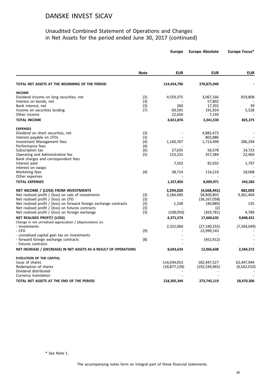#### Unaudited Combined Statement of Operations and Changes in Net Assets for the period ended June 30, 2017 (continued)

|                                                                                      | <b>Note</b> | <b>EUR</b>        | <b>EUR</b>      | <b>EUR</b>    |  |
|--------------------------------------------------------------------------------------|-------------|-------------------|-----------------|---------------|--|
| TOTAL NET ASSETS AT THE BEGINNING OF THE PERIOD                                      |             | 114,454,796       | 270,875,949     |               |  |
| <b>INCOME</b>                                                                        |             |                   |                 |               |  |
| Dividend income on long securities, net                                              | (3)         | 4,559,375         | 3,067,166       | 819,808       |  |
| Interest on bonds, net                                                               | (3)         |                   | 57,892          |               |  |
| Bank interest, net                                                                   | (3)         | 260               | 17,355          | 39            |  |
| Income on securities lending                                                         | (7)         | 69,591            | 191,924         | 5,528         |  |
| Other income                                                                         |             | 22,650            | 7,193           |               |  |
| <b>TOTAL INCOME</b>                                                                  |             | 4,651,876         | 3,341,530       | 825,375       |  |
| <b>EXPENSES</b>                                                                      |             |                   |                 |               |  |
| Dividend on short securities, net                                                    | (3)         |                   | 4,882,473       |               |  |
| Interest payable on CFDs                                                             | (3)         |                   | 802,886         |               |  |
| Investment Management fees                                                           | (4)         | 1,160,767         | 1,713,499       | 286,294       |  |
| Performance fees                                                                     | (4)         |                   |                 |               |  |
| Subscription tax<br>Operating and Administrative fee                                 | (6)<br>(5)  | 27,635<br>123,232 | 56,578          | 14,723        |  |
| Bank charges and correspondent fees                                                  |             |                   | 357,384         | 22,460        |  |
| Interest paid                                                                        |             | 7,502             | 82,932          | 1,797         |  |
| Interest on swaps                                                                    |             |                   |                 |               |  |
| Marketing fees                                                                       | (4)         | 38,714            | 114,219         | 18,008        |  |
| Other expenses                                                                       |             |                   |                 |               |  |
| <b>TOTAL EXPENSES</b>                                                                |             | 1,357,850         | 8,009,971       | 343,282       |  |
| NET INCOME / (LOSS) FROM INVESTMENTS                                                 |             | 3,294,026         | (4,668,441)     | 482,093       |  |
| Net realised profit / (loss) on sale of investments                                  | (3)         | 3,184,490         | 58,800,803      | 9,361,404     |  |
| Net realised profit / (loss) on CFD                                                  | (3)         |                   | (36, 167, 058)  |               |  |
| Net realised profit / (loss) on forward foreign exchange contracts                   | (3)         | 1,108             | (40, 889)       | 135           |  |
| Net realised profit / (loss) on futures contracts                                    | (3)         |                   | (2)             |               |  |
| Net realised profit / (loss) on foreign exchange                                     | (3)         | (108,050)         | (263, 781)      | 4,789         |  |
| NET REALISED PROFIT/ (LOSS)                                                          |             | 6,371,574         | 17,660,632      | 9,848,421     |  |
| Change in net unrealised appreciation / (depreciation) on:                           |             |                   |                 |               |  |
| - investments                                                                        |             | 2,322,060         | (27, 240, 255)  | (7, 264, 049) |  |
| - CFD                                                                                | (9)         |                   | 22,999,143      |               |  |
| - unrealised capital gain tax on investments<br>- forward foreign exchange contracts | (8)         |                   | (452, 912)      |               |  |
| - futures contracts                                                                  |             |                   |                 |               |  |
| NET INCREASE / (DECREASE) IN NET ASSETS AS A RESULT OF OPERATIONS                    |             | 8,693,634         | 12,966,608      | 2,584,372     |  |
|                                                                                      |             |                   |                 |               |  |
| <b>EVOLUTION OF THE CAPITAL</b>                                                      |             |                   |                 |               |  |
| Issue of shares<br>Redemption of shares                                              |             | 114,034,053       | 182,447,527     | 62,447,944    |  |
| Dividend distributed                                                                 |             | (18, 877, 139)    | (192, 544, 965) | (6, 562, 010) |  |
| Currency translation                                                                 |             |                   |                 |               |  |
| TOTAL NET ASSETS AT THE END OF THE PERIOD                                            |             | 218,305,344       | 273,745,119     | 58,470,306    |  |
|                                                                                      |             |                   |                 |               |  |

\* See Note 1.

**Europe Europe Absolute Europe Focus\***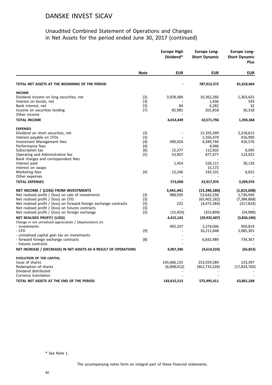#### Unaudited Combined Statement of Operations and Changes in Net Assets for the period ended June 30, 2017 (continued)

|                                                                    |             | <b>Europe High</b><br>Dividend* | <b>Europe Long-</b><br><b>Short Dynamic</b> | Europe Long-<br><b>Short Dynamic</b><br><b>Plus</b> |
|--------------------------------------------------------------------|-------------|---------------------------------|---------------------------------------------|-----------------------------------------------------|
|                                                                    | <b>Note</b> | <b>EUR</b>                      | <b>EUR</b>                                  | <b>EUR</b>                                          |
| TOTAL NET ASSETS AT THE BEGINNING OF THE PERIOD                    |             |                                 | 787,913,372                                 | 81,618,464                                          |
| <b>INCOME</b>                                                      |             |                                 |                                             |                                                     |
| Dividend income on long securities, net                            | (3)         | 3,928,384                       | 10,362,260                                  | 1,363,425                                           |
| Interest on bonds, net                                             | (3)         |                                 | 1,436                                       | 593                                                 |
| Bank interest, net                                                 | (3)         | 84                              | 6,282                                       | 32                                                  |
| Income on securities lending                                       | (7)         | 85,981                          | 201,818                                     | 30,318                                              |
| Other income                                                       |             |                                 |                                             |                                                     |
| <b>TOTAL INCOME</b>                                                |             | 4,014,449                       | 10,571,796                                  | 1,394,368                                           |
| <b>EXPENSES</b>                                                    |             |                                 |                                             |                                                     |
| Dividend on short securities, net                                  | (3)         |                                 | 15,393,349                                  | 2,218,615                                           |
| Interest payable on CFDs                                           | (3)         |                                 | 2,356,474                                   | 416,990                                             |
| Investment Management fees                                         | (4)         | 490,024                         | 4,389,744                                   | 416,576                                             |
| Performance fees                                                   | (4)         |                                 | 4,946                                       |                                                     |
| Subscription tax                                                   | (6)         | 15,377                          | 112,602                                     | 6,095                                               |
| Operating and Administrative fee                                   | (5)         | 53,907                          | 877,477                                     | 114,922                                             |
| Bank charges and correspondent fees                                |             |                                 |                                             |                                                     |
| Interest paid                                                      |             | 1,454                           | 526,111                                     | 30,126                                              |
| Interest on swaps                                                  |             |                                 | 15,172                                      |                                                     |
| Marketing fees                                                     | (4)         | 12,246                          | 242,101                                     | 6,652                                               |
| Other expenses                                                     |             |                                 |                                             |                                                     |
| <b>TOTAL EXPENSES</b>                                              |             | 573,008                         | 23,917,976                                  | 3,209,976                                           |
| NET INCOME / (LOSS) FROM INVESTMENTS                               |             | 3,441,441                       | (13, 346, 180)                              | (1,815,608)                                         |
| Net realised profit / (loss) on sale of investments                | (3)         | 988,930                         | 53,642,238                                  | 5,736,949                                           |
| Net realised profit / (loss) on CFD                                | (3)         |                                 | (65, 402, 182)                              | (7, 384, 868)                                       |
| Net realised profit / (loss) on forward foreign exchange contracts | (3)         | 222                             | (4,472,384)                                 | (317, 824)                                          |
| Net realised profit / (loss) on futures contracts                  | (3)         |                                 |                                             |                                                     |
| Net realised profit / (loss) on foreign exchange                   | (3)         | (15, 450)                       | (353,899)                                   | (54,989)                                            |
| NET REALISED PROFIT/ (LOSS)                                        |             | 4,415,143                       | (29, 932, 407)                              | (3,836,340)                                         |
| Change in net unrealised appreciation / (depreciation) on:         |             |                                 |                                             |                                                     |
| - investments                                                      |             | 492,247                         | 2,274,046                                   | 950,819                                             |
| - CFD                                                              | (9)         |                                 | 16,211,648                                  | 2,085,301                                           |
| - unrealised capital gain tax on investments                       |             |                                 |                                             |                                                     |
| - forward foreign exchange contracts                               | (8)         |                                 | 6,832,489                                   | 734,367                                             |
| - futures contracts                                                |             |                                 |                                             |                                                     |
| NET INCREASE / (DECREASE) IN NET ASSETS AS A RESULT OF OPERATIONS  |             | 4,907,390                       | (4,614,224)                                 | (65, 853)                                           |
| <b>EVOLUTION OF THE CAPITAL</b>                                    |             |                                 |                                             |                                                     |
| Issue of shares                                                    |             | 145,606,135                     | 253,929,589                                 | 133,397                                             |
| Redemption of shares                                               |             | (6,898,012)                     | (461, 733, 326)                             | (17, 824, 760)                                      |
| Dividend distributed                                               |             |                                 |                                             |                                                     |
| Currency translation                                               |             |                                 |                                             |                                                     |
|                                                                    |             |                                 |                                             |                                                     |
| TOTAL NET ASSETS AT THE END OF THE PERIOD                          |             | 143,615,513                     | 575,495,411                                 | 63,861,248                                          |

\* See Note 1.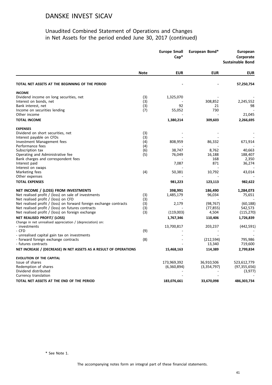#### Unaudited Combined Statement of Operations and Changes in Net Assets for the period ended June 30, 2017 (continued)

|                                                                    |             | <b>Europe Small</b><br>$Cap*$ | European Bond* | <b>European</b><br>Corporate<br><b>Sustainable Bond</b> |
|--------------------------------------------------------------------|-------------|-------------------------------|----------------|---------------------------------------------------------|
|                                                                    | <b>Note</b> | <b>EUR</b>                    | <b>EUR</b>     | <b>EUR</b>                                              |
| TOTAL NET ASSETS AT THE BEGINNING OF THE PERIOD                    |             |                               |                | 57,250,754                                              |
| <b>INCOME</b>                                                      |             |                               |                |                                                         |
| Dividend income on long securities, net                            | (3)         | 1,325,070                     |                |                                                         |
| Interest on bonds, net                                             | (3)         |                               | 308,852        | 2,245,552                                               |
| Bank interest, net                                                 | (3)         | 92                            | 21             | 98                                                      |
| Income on securities lending                                       | (7)         | 55,052                        | 730            |                                                         |
| Other income                                                       |             |                               |                | 21,045                                                  |
| <b>TOTAL INCOME</b>                                                |             | 1,380,214                     | 309,603        | 2,266,695                                               |
| <b>EXPENSES</b>                                                    |             |                               |                |                                                         |
| Dividend on short securities, net                                  | (3)         |                               |                |                                                         |
| Interest payable on CFDs                                           | (3)         |                               |                |                                                         |
| Investment Management fees                                         | (4)         | 808,959                       | 86,332         | 671,914                                                 |
| Performance fees                                                   | (4)         |                               |                |                                                         |
| Subscription tax                                                   | (6)         | 38,747                        | 8,762          | 40,663                                                  |
| Operating and Administrative fee                                   | (5)         | 76,049                        | 16,188         | 188,407                                                 |
| Bank charges and correspondent fees                                |             |                               | 168            | 2,350                                                   |
| Interest paid                                                      |             | 7,087                         | 871            | 36,274                                                  |
| Interest on swaps                                                  |             |                               |                |                                                         |
| Marketing fees                                                     | (4)         | 50,381                        | 10,792         | 43,014                                                  |
| Other expenses                                                     |             |                               |                |                                                         |
| <b>TOTAL EXPENSES</b>                                              |             | 981,223                       | 123,113        | 982,622                                                 |
| NET INCOME / (LOSS) FROM INVESTMENTS                               |             | 398,991                       | 186,490        | 1,284,073                                               |
| Net realised profit / (loss) on sale of investments                | (3)         | 1,485,179                     | 96,034         | 75,651                                                  |
| Net realised profit / (loss) on CFD                                | (3)         |                               |                |                                                         |
| Net realised profit / (loss) on forward foreign exchange contracts | (3)         | 2,179                         | (98, 767)      | (60, 188)                                               |
| Net realised profit / (loss) on futures contracts                  | (3)         |                               | (77, 855)      | 542,573                                                 |
| Net realised profit / (loss) on foreign exchange                   | (3)         | (119,003)                     | 4,504          | (115, 270)                                              |
| NET REALISED PROFIT/ (LOSS)                                        |             | 1,767,346                     | 110,406        | 1,726,839                                               |
| Change in net unrealised appreciation / (depreciation) on:         |             |                               |                |                                                         |
| - investments                                                      |             | 13,700,817                    | 203,237        | (442, 591)                                              |
| - CFD                                                              | (9)         |                               |                |                                                         |
| - unrealised capital gain tax on investments                       |             |                               |                |                                                         |
| - forward foreign exchange contracts                               | (8)         |                               | (212, 594)     | 795,986                                                 |
| - futures contracts                                                |             |                               | 13,340         | 719,600                                                 |
| NET INCREASE / (DECREASE) IN NET ASSETS AS A RESULT OF OPERATIONS  |             | 15,468,163                    | 114,389        | 2,799,834                                               |
| <b>EVOLUTION OF THE CAPITAL</b>                                    |             |                               |                |                                                         |
| Issue of shares                                                    |             | 173,969,392                   | 36,910,506     | 523,612,779                                             |
| Redemption of shares                                               |             | (6,360,894)                   | (3,354,797)    | (97, 355, 656)                                          |
| Dividend distributed                                               |             |                               |                | (3,977)                                                 |
| Currency translation                                               |             |                               |                |                                                         |
| TOTAL NET ASSETS AT THE END OF THE PERIOD                          |             | 183,076,661                   | 33,670,098     | 486,303,734                                             |
|                                                                    |             |                               |                |                                                         |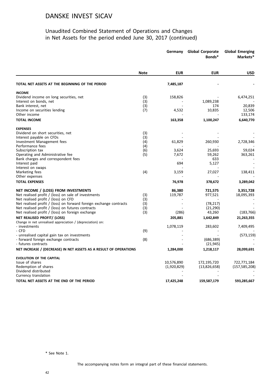#### Unaudited Combined Statement of Operations and Changes in Net Assets for the period ended June 30, 2017 (continued)

|                                                                                            |             | Germany     | <b>Global Corporate</b><br>Bonds* | <b>Global Emerging</b><br>Markets* |
|--------------------------------------------------------------------------------------------|-------------|-------------|-----------------------------------|------------------------------------|
|                                                                                            | <b>Note</b> | <b>EUR</b>  | <b>EUR</b>                        | <b>USD</b>                         |
| TOTAL NET ASSETS AT THE BEGINNING OF THE PERIOD                                            |             | 7,485,187   |                                   |                                    |
| <b>INCOME</b>                                                                              |             |             |                                   |                                    |
| Dividend income on long securities, net                                                    | (3)         | 158,826     |                                   | 6,474,251                          |
| Interest on bonds, net                                                                     | (3)         |             | 1,089,238                         |                                    |
| Bank interest, net                                                                         | (3)         |             | 174                               | 20,839                             |
| Income on securities lending                                                               | (7)         | 4,532       | 10,835                            | 12,506                             |
| Other income                                                                               |             |             |                                   | 133,174                            |
| <b>TOTAL INCOME</b>                                                                        |             | 163,358     | 1,100,247                         | 6,640,770                          |
| <b>EXPENSES</b>                                                                            |             |             |                                   |                                    |
| Dividend on short securities, net                                                          | (3)         |             |                                   |                                    |
| Interest payable on CFDs                                                                   | (3)         |             |                                   |                                    |
| Investment Management fees                                                                 | (4)         | 61,829      | 260,930                           | 2,728,346                          |
| Performance fees                                                                           | (4)         |             |                                   |                                    |
| Subscription tax                                                                           | (6)         | 3,624       | 25,693                            | 59,024                             |
| Operating and Administrative fee                                                           | (5)         | 7,672       | 59,262                            | 363,261                            |
| Bank charges and correspondent fees                                                        |             | 694         | 633                               |                                    |
| Interest paid<br>Interest on swaps                                                         |             |             | 5,127                             |                                    |
| Marketing fees                                                                             | (4)         | 3,159       | 27,027                            | 138,411                            |
| Other expenses                                                                             |             |             |                                   |                                    |
| <b>TOTAL EXPENSES</b>                                                                      |             | 76,978      | 378,672                           | 3,289,042                          |
|                                                                                            |             |             |                                   |                                    |
| NET INCOME / (LOSS) FROM INVESTMENTS                                                       |             | 86,380      | 721,575                           | 3,351,728                          |
| Net realised profit / (loss) on sale of investments<br>Net realised profit / (loss) on CFD | (3)<br>(3)  | 119,787     | 977,521                           | 18,095,393                         |
| Net realised profit / (loss) on forward foreign exchange contracts                         | (3)         |             | (78, 217)                         |                                    |
| Net realised profit / (loss) on futures contracts                                          | (3)         |             | (21, 290)                         |                                    |
| Net realised profit / (loss) on foreign exchange                                           | (3)         | (286)       | 43,260                            | (183, 766)                         |
| NET REALISED PROFIT/ (LOSS)                                                                |             | 205,881     | 1,642,849                         | 21,263,355                         |
| Change in net unrealised appreciation / (depreciation) on:                                 |             |             |                                   |                                    |
| - investments                                                                              |             | 1,078,119   | 283,602                           | 7,409,495                          |
| - CFD                                                                                      | (9)         |             |                                   |                                    |
| - unrealised capital gain tax on investments                                               |             |             |                                   | (573, 159)                         |
| - forward foreign exchange contracts                                                       | (8)         |             | (686, 389)                        |                                    |
| - futures contracts                                                                        |             |             | (21, 945)                         |                                    |
| NET INCREASE / (DECREASE) IN NET ASSETS AS A RESULT OF OPERATIONS                          |             | 1,284,000   | 1,218,117                         | 28,099,691                         |
| <b>EVOLUTION OF THE CAPITAL</b>                                                            |             |             |                                   |                                    |
| Issue of shares                                                                            |             | 10,576,890  | 172,195,720                       | 722,771,184                        |
| Redemption of shares                                                                       |             | (1,920,829) | (13,826,658)                      | (157, 585, 208)                    |
| Dividend distributed                                                                       |             |             |                                   |                                    |
| Currency translation                                                                       |             |             |                                   |                                    |
| TOTAL NET ASSETS AT THE END OF THE PERIOD                                                  |             | 17,425,248  | 159,587,179                       | 593,285,667                        |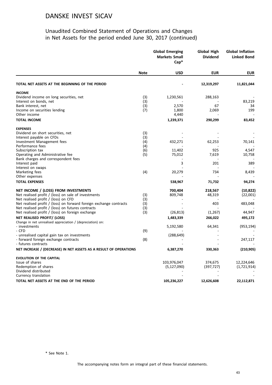#### Unaudited Combined Statement of Operations and Changes in Net Assets for the period ended June 30, 2017 (continued)

|                                                                    | <b>Global Emerging</b><br><b>Markets Small</b><br>$Cap^*$ |               | Global High<br><b>Dividend</b> | <b>Global Inflation</b><br><b>Linked Bond</b> |  |
|--------------------------------------------------------------------|-----------------------------------------------------------|---------------|--------------------------------|-----------------------------------------------|--|
|                                                                    | <b>Note</b>                                               | <b>USD</b>    | <b>EUR</b>                     | <b>EUR</b>                                    |  |
| TOTAL NET ASSETS AT THE BEGINNING OF THE PERIOD                    |                                                           |               | 12,319,297                     | 11,821,044                                    |  |
| <b>INCOME</b>                                                      |                                                           |               |                                |                                               |  |
| Dividend income on long securities, net                            | (3)                                                       | 1,230,561     | 288,163                        |                                               |  |
| Interest on bonds, net                                             | (3)                                                       |               |                                | 83,219                                        |  |
| Bank interest, net                                                 | (3)                                                       | 2,570         | 67                             | 34                                            |  |
| Income on securities lending                                       | (7)                                                       | 1,800         | 2,069                          | 199                                           |  |
| Other income                                                       |                                                           | 4,440         |                                |                                               |  |
| <b>TOTAL INCOME</b>                                                |                                                           | 1,239,371     | 290,299                        | 83,452                                        |  |
| <b>EXPENSES</b>                                                    |                                                           |               |                                |                                               |  |
| Dividend on short securities, net                                  | (3)                                                       |               |                                |                                               |  |
| Interest payable on CFDs                                           | (3)                                                       |               |                                |                                               |  |
| Investment Management fees                                         | (4)                                                       | 432,271       | 62,253                         | 70,141                                        |  |
| Performance fees                                                   | (4)                                                       |               |                                |                                               |  |
| Subscription tax                                                   | (6)                                                       | 11,402        | 925                            | 4,547                                         |  |
| Operating and Administrative fee                                   | (5)                                                       | 75,012        | 7,619                          | 10,758                                        |  |
| Bank charges and correspondent fees                                |                                                           |               |                                |                                               |  |
| Interest paid                                                      |                                                           | 3             | 201                            | 389                                           |  |
| Interest on swaps                                                  |                                                           |               |                                |                                               |  |
| Marketing fees                                                     | (4)                                                       | 20,279        | 734                            | 8,439                                         |  |
| Other expenses                                                     |                                                           |               |                                |                                               |  |
| <b>TOTAL EXPENSES</b>                                              |                                                           | 538,967       | 71,732                         | 94,274                                        |  |
| NET INCOME / (LOSS) FROM INVESTMENTS                               |                                                           | 700,404       | 218,567                        | (10, 822)                                     |  |
| Net realised profit / (loss) on sale of investments                | (3)                                                       | 809,748       | 48,319                         | (22,001)                                      |  |
| Net realised profit / (loss) on CFD                                | (3)                                                       |               |                                |                                               |  |
| Net realised profit / (loss) on forward foreign exchange contracts | (3)                                                       |               | 403                            | 483,048                                       |  |
| Net realised profit / (loss) on futures contracts                  | (3)                                                       |               |                                |                                               |  |
| Net realised profit / (loss) on foreign exchange                   | (3)                                                       | (26, 813)     | (1,267)                        | 44,947                                        |  |
| NET REALISED PROFIT/ (LOSS)                                        |                                                           | 1,483,339     | 266,022                        | 495,172                                       |  |
| Change in net unrealised appreciation / (depreciation) on:         |                                                           |               |                                |                                               |  |
| - investments                                                      |                                                           | 5,192,580     | 64,341                         | (953, 194)                                    |  |
| - CFD                                                              | (9)                                                       |               |                                |                                               |  |
| - unrealised capital gain tax on investments                       |                                                           | (288, 649)    |                                |                                               |  |
| - forward foreign exchange contracts                               | (8)                                                       |               |                                | 247,117                                       |  |
| - futures contracts                                                |                                                           |               |                                |                                               |  |
| NET INCREASE / (DECREASE) IN NET ASSETS AS A RESULT OF OPERATIONS  |                                                           | 6,387,270     | 330,363                        | (210, 905)                                    |  |
| <b>EVOLUTION OF THE CAPITAL</b>                                    |                                                           |               |                                |                                               |  |
| Issue of shares                                                    |                                                           | 103,976,047   | 374,675                        | 12,224,646                                    |  |
| Redemption of shares                                               |                                                           | (5, 127, 090) | (397, 727)                     | (1,721,914)                                   |  |
| Dividend distributed                                               |                                                           |               |                                |                                               |  |
| Currency translation                                               |                                                           |               |                                |                                               |  |
| TOTAL NET ASSETS AT THE END OF THE PERIOD                          |                                                           | 105,236,227   | 12,626,608                     | 22,112,871                                    |  |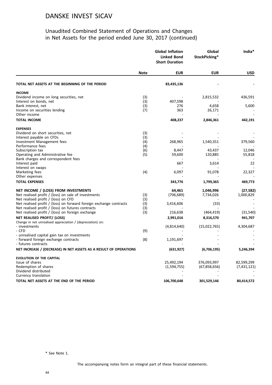#### Unaudited Combined Statement of Operations and Changes in Net Assets for the period ended June 30, 2017 (continued)

|                                                                    |             | <b>Global Inflation</b><br><b>Linked Bond</b><br><b>Short Duration</b> | Global<br>StockPicking* | India*      |
|--------------------------------------------------------------------|-------------|------------------------------------------------------------------------|-------------------------|-------------|
|                                                                    | <b>Note</b> | <b>EUR</b>                                                             | <b>EUR</b>              | <b>USD</b>  |
| TOTAL NET ASSETS AT THE BEGINNING OF THE PERIOD                    |             | 83,435,136                                                             |                         |             |
| <b>INCOME</b>                                                      |             |                                                                        |                         |             |
| Dividend income on long securities, net                            | (3)         |                                                                        | 2,815,532               | 436,591     |
| Interest on bonds, net                                             | (3)         | 407,598                                                                |                         |             |
| Bank interest, net                                                 | (3)         | 276                                                                    | 4,658                   | 5,600       |
| Income on securities lending                                       | (7)         | 363                                                                    | 26,171                  |             |
| Other income                                                       |             |                                                                        |                         |             |
| <b>TOTAL INCOME</b>                                                |             | 408,237                                                                | 2,846,361               | 442,191     |
| <b>EXPENSES</b>                                                    |             |                                                                        |                         |             |
| Dividend on short securities, net                                  | (3)         |                                                                        |                         |             |
| Interest payable on CFDs                                           | (3)         |                                                                        |                         |             |
| Investment Management fees                                         | (4)         | 268,965                                                                | 1,540,351               | 379,560     |
| Performance fees                                                   | (4)         |                                                                        |                         |             |
| Subscription tax                                                   | (6)         | 8,447                                                                  | 43,437                  | 12,046      |
| Operating and Administrative fee                                   | (5)         | 59,600                                                                 | 120,885                 | 55,818      |
| Bank charges and correspondent fees                                |             |                                                                        |                         |             |
| Interest paid                                                      |             | 667                                                                    | 3,614                   | 22          |
| Interest on swaps                                                  |             |                                                                        |                         |             |
| Marketing fees                                                     | (4)         | 6,097                                                                  | 91,078                  | 22,327      |
| Other expenses                                                     |             |                                                                        |                         |             |
| <b>TOTAL EXPENSES</b>                                              |             | 343,776                                                                | 1,799,365               | 469,773     |
| NET INCOME / (LOSS) FROM INVESTMENTS                               |             | 64,461                                                                 | 1,046,996               | (27, 582)   |
| Net realised profit / (loss) on sale of investments                | (3)         | (706, 689)                                                             | 7,734,026               | 1,000,829   |
| Net realised profit / (loss) on CFD                                | (3)         |                                                                        |                         |             |
| Net realised profit / (loss) on forward foreign exchange contracts | (3)         | 3,416,606                                                              | (33)                    |             |
| Net realised profit / (loss) on futures contracts                  | (3)         |                                                                        |                         |             |
| Net realised profit / (loss) on foreign exchange                   | (3)         | 216,638                                                                | (464, 419)              | (31, 540)   |
| NET REALISED PROFIT/ (LOSS)                                        |             | 2,991,016                                                              | 8,316,570               | 941,707     |
| Change in net unrealised appreciation / (depreciation) on:         |             |                                                                        |                         |             |
| - investments                                                      |             | (4,814,640)                                                            | (15,022,765)            | 4,304,687   |
| - CFD                                                              | (9)         |                                                                        |                         |             |
| - unrealised capital gain tax on investments                       |             |                                                                        |                         |             |
| - forward foreign exchange contracts                               | (8)         | 1,191,697                                                              |                         |             |
| - futures contracts                                                |             |                                                                        |                         |             |
| NET INCREASE / (DECREASE) IN NET ASSETS AS A RESULT OF OPERATIONS  |             | (631, 927)                                                             | (6,706,195)             | 5,246,394   |
| <b>EVOLUTION OF THE CAPITAL</b>                                    |             |                                                                        |                         |             |
| Issue of shares                                                    |             | 25,492,194                                                             | 376,093,997             | 82,599,299  |
| Redemption of shares                                               |             | (1,594,755)                                                            | (67,858,656)            | (7,431,121) |
| Dividend distributed                                               |             |                                                                        |                         |             |
| Currency translation                                               |             |                                                                        |                         |             |
| TOTAL NET ASSETS AT THE END OF THE PERIOD                          |             | 106,700,648                                                            | 301,529,146             | 80,414,572  |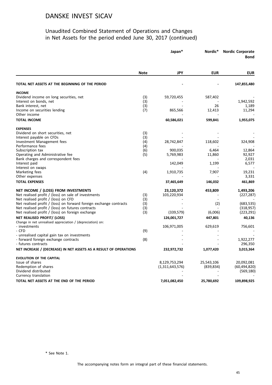#### Unaudited Combined Statement of Operations and Changes in Net Assets for the period ended June 30, 2017 (continued)

|                                                                         |             | Japan*          | Nordic*    | <b>Nordic Corporate</b><br><b>Bond</b> |
|-------------------------------------------------------------------------|-------------|-----------------|------------|----------------------------------------|
|                                                                         | <b>Note</b> | JPY             | <b>EUR</b> | <b>EUR</b>                             |
| TOTAL NET ASSETS AT THE BEGINNING OF THE PERIOD                         |             |                 |            | 147,855,480                            |
| <b>INCOME</b>                                                           |             |                 |            |                                        |
| Dividend income on long securities, net                                 | (3)         | 59,720,455      | 587,402    |                                        |
| Interest on bonds, net                                                  | (3)         |                 |            | 1,942,592                              |
| Bank interest, net                                                      | (3)         |                 | 26         | 1,189                                  |
| Income on securities lending                                            | (7)         | 865,566         | 12,413     | 11,294                                 |
| Other income                                                            |             |                 |            |                                        |
| <b>TOTAL INCOME</b>                                                     |             | 60,586,021      | 599,841    | 1,955,075                              |
| <b>EXPENSES</b>                                                         |             |                 |            |                                        |
| Dividend on short securities, net                                       | (3)         |                 |            |                                        |
| Interest payable on CFDs                                                | (3)         |                 |            |                                        |
| Investment Management fees                                              | (4)         | 28,742,847      | 118,602    | 324,908                                |
| Performance fees                                                        | (4)         |                 |            |                                        |
| Subscription tax                                                        | (6)<br>(5)  | 900,035         | 6,464      | 12,864                                 |
| Operating and Administrative fee<br>Bank charges and correspondent fees |             | 5,769,983       | 11,860     | 92,927<br>2,031                        |
| Interest paid                                                           |             | 142,049         | 1,199      | 6,577                                  |
| Interest on swaps                                                       |             |                 |            |                                        |
| Marketing fees                                                          | (4)         | 1,910,735       | 7,907      | 19,231                                 |
| Other expenses                                                          |             |                 |            | 3,331                                  |
| <b>TOTAL EXPENSES</b>                                                   |             | 37,465,649      | 146,032    | 461,869                                |
| NET INCOME / (LOSS) FROM INVESTMENTS                                    |             | 23,120,372      | 453,809    | 1,493,206                              |
| Net realised profit / (loss) on sale of investments                     | (3)         | 103,220,934     |            | (227, 287)                             |
| Net realised profit / (loss) on CFD                                     | (3)         |                 |            |                                        |
| Net realised profit / (loss) on forward foreign exchange contracts      | (3)         |                 | (2)        | (683, 535)                             |
| Net realised profit / (loss) on futures contracts                       | (3)         |                 |            | (318, 957)                             |
| Net realised profit / (loss) on foreign exchange                        | (3)         | (339,579)       | (6,006)    | (223, 291)                             |
| NET REALISED PROFIT/ (LOSS)                                             |             | 126,001,727     | 447,801    | 40,136                                 |
| Change in net unrealised appreciation / (depreciation) on:              |             |                 |            |                                        |
| - investments                                                           |             | 106,971,005     | 629,619    | 756,601                                |
| - CFD                                                                   | (9)         |                 |            |                                        |
| - unrealised capital gain tax on investments                            |             |                 |            |                                        |
| - forward foreign exchange contracts                                    | (8)         |                 |            | 1,922,277                              |
| - futures contracts                                                     |             |                 |            | 296,350                                |
| NET INCREASE / (DECREASE) IN NET ASSETS AS A RESULT OF OPERATIONS       |             | 232,972,732     | 1,077,420  | 3,015,364                              |
| <b>EVOLUTION OF THE CAPITAL</b>                                         |             |                 |            |                                        |
| Issue of shares                                                         |             | 8,129,753,294   | 25,543,106 | 20,092,081                             |
| Redemption of shares                                                    |             | (1,311,643,576) | (839, 834) | (60, 494, 820)                         |
| Dividend distributed                                                    |             |                 |            | (569, 180)                             |
| Currency translation                                                    |             |                 |            |                                        |
| TOTAL NET ASSETS AT THE END OF THE PERIOD                               |             | 7,051,082,450   | 25,780,692 | 109,898,925                            |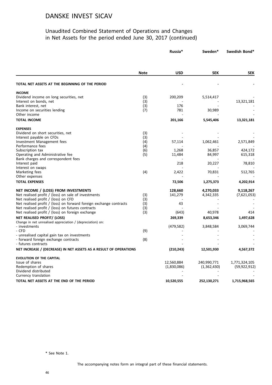#### Unaudited Combined Statement of Operations and Changes in Net Assets for the period ended June 30, 2017 (continued)

|                                                                                      |             | Russia*     | Sweden*     | Swedish Bond*  |
|--------------------------------------------------------------------------------------|-------------|-------------|-------------|----------------|
|                                                                                      | <b>Note</b> | <b>USD</b>  | <b>SEK</b>  | <b>SEK</b>     |
|                                                                                      |             |             |             |                |
| TOTAL NET ASSETS AT THE BEGINNING OF THE PERIOD                                      |             |             |             |                |
| <b>INCOME</b>                                                                        |             |             |             |                |
| Dividend income on long securities, net                                              | (3)         | 200,209     | 5,514,417   |                |
| Interest on bonds, net                                                               | (3)         |             |             | 13,321,181     |
| Bank interest, net                                                                   | (3)         | 176<br>781  |             |                |
| Income on securities lending<br>Other income                                         | (7)         | ÷.          | 30,989      |                |
| <b>TOTAL INCOME</b>                                                                  |             | 201,166     | 5,545,406   | 13,321,181     |
| <b>EXPENSES</b>                                                                      |             |             |             |                |
| Dividend on short securities, net                                                    | (3)         |             |             |                |
| Interest payable on CFDs                                                             | (3)         |             |             |                |
| Investment Management fees                                                           | (4)         | 57,114      | 1,062,461   | 2,571,849      |
| Performance fees                                                                     | (4)         |             |             |                |
| Subscription tax                                                                     | (6)         | 1,268       | 36,857      | 424,172        |
| Operating and Administrative fee                                                     | (5)         | 11,484      | 84,997      | 615,318        |
| Bank charges and correspondent fees<br>Interest paid                                 |             | 218         |             |                |
| Interest on swaps                                                                    |             |             | 20,227      | 78,810         |
| Marketing fees                                                                       | (4)         | 2,422       | 70,831      | 512,765        |
| Other expenses                                                                       |             |             |             |                |
| <b>TOTAL EXPENSES</b>                                                                |             | 72,506      | 1,275,373   | 4,202,914      |
| NET INCOME / (LOSS) FROM INVESTMENTS                                                 |             | 128,660     | 4,270,033   | 9,118,267      |
| Net realised profit / (loss) on sale of investments                                  | (3)         | 141,279     | 4,342,335   | (7,621,053)    |
| Net realised profit / (loss) on CFD                                                  | (3)         |             |             |                |
| Net realised profit / (loss) on forward foreign exchange contracts                   | (3)         | 43          |             |                |
| Net realised profit / (loss) on futures contracts                                    | (3)         |             |             |                |
| Net realised profit / (loss) on foreign exchange                                     | (3)         | (643)       | 40,978      | 414            |
| NET REALISED PROFIT/ (LOSS)                                                          |             | 269,339     | 8,653,346   | 1,497,628      |
| Change in net unrealised appreciation / (depreciation) on:                           |             |             |             |                |
| - investments                                                                        |             | (479, 582)  | 3,848,584   | 3,069,744      |
| - CFD                                                                                | (9)         |             |             |                |
| - unrealised capital gain tax on investments<br>- forward foreign exchange contracts | (8)         |             |             |                |
| - futures contracts                                                                  |             |             |             |                |
| NET INCREASE / (DECREASE) IN NET ASSETS AS A RESULT OF OPERATIONS                    |             | (210, 243)  | 12,501,930  | 4,567,372      |
| <b>EVOLUTION OF THE CAPITAL</b>                                                      |             |             |             |                |
| Issue of shares                                                                      |             | 12,560,884  | 240,990,771 | 1,771,324,105  |
| Redemption of shares                                                                 |             | (1,830,086) | (1,362,430) | (59, 922, 912) |
| Dividend distributed                                                                 |             |             |             |                |
| Currency translation                                                                 |             |             |             |                |
| TOTAL NET ASSETS AT THE END OF THE PERIOD                                            |             | 10,520,555  | 252,130,271 | 1,715,968,565  |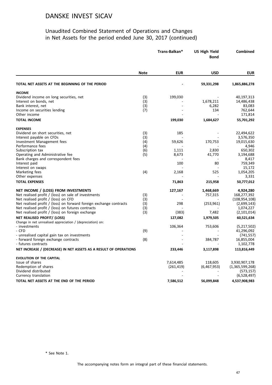#### Unaudited Combined Statement of Operations and Changes in Net Assets for the period ended June 30, 2017 (continued)

|                                                                    |             | Trans-Balkan* | <b>US High Yield</b><br><b>Bond</b> | <b>Combined</b> |
|--------------------------------------------------------------------|-------------|---------------|-------------------------------------|-----------------|
|                                                                    | <b>Note</b> | <b>EUR</b>    | <b>USD</b>                          | <b>EUR</b>      |
| TOTAL NET ASSETS AT THE BEGINNING OF THE PERIOD                    |             |               | 59,331,298                          | 1,865,886,278   |
| <b>INCOME</b>                                                      |             |               |                                     |                 |
| Dividend income on long securities, net                            | (3)         | 199,030       |                                     | 40,197,313      |
| Interest on bonds, net                                             | (3)         |               | 1,678,211                           | 14,486,438      |
| Bank interest, net                                                 | (3)         |               | 6,282                               | 83,083          |
| Income on securities lending                                       | (7)         |               | 134                                 | 762,644         |
| Other income                                                       |             |               |                                     | 171,814         |
| <b>TOTAL INCOME</b>                                                |             | 199,030       | 1,684,627                           | 55,701,292      |
| <b>EXPENSES</b>                                                    |             |               |                                     |                 |
| Dividend on short securities, net                                  | (3)         | 185           |                                     | 22,494,622      |
| Interest payable on CFDs                                           | (3)         |               |                                     | 3,576,350       |
| Investment Management fees                                         | (4)         | 59,626        | 170,753                             | 19,015,630      |
| Performance fees                                                   | (4)         |               |                                     | 4,946           |
| Subscription tax                                                   | (6)         | 1,111         | 2,830                               | 650,302         |
| Operating and Administrative fee                                   | (5)         | 8,673         | 41,770                              | 3,194,688       |
| Bank charges and correspondent fees                                |             |               |                                     | 8,417           |
| Interest paid                                                      |             | 100           | 80                                  | 759,349         |
| Interest on swaps                                                  |             |               |                                     | 15,172          |
| Marketing fees                                                     | (4)         | 2,168         | 525                                 | 1,054,205       |
| Other expenses                                                     |             |               |                                     | 3,331           |
| <b>TOTAL EXPENSES</b>                                              |             | 71,863        | 215,958                             | 50,777,012      |
| NET INCOME / (LOSS) FROM INVESTMENTS                               |             | 127,167       | 1,468,669                           | 4,924,280       |
| Net realised profit / (loss) on sale of investments                | (3)         |               | 757,315                             | 168,277,392     |
| Net realised profit / (loss) on CFD                                | (3)         |               |                                     | (108, 954, 108) |
| Net realised profit / (loss) on forward foreign exchange contracts | (3)         | 298           | (253, 961)                          | (2,699,143)     |
| Net realised profit / (loss) on futures contracts                  | (3)         |               |                                     | 1,074,227       |
| Net realised profit / (loss) on foreign exchange                   | (3)         | (383)         | 7,482                               | (2,101,014)     |
| NET REALISED PROFIT/ (LOSS)                                        |             | 127,082       | 1,979,505                           | 60,521,634      |
| Change in net unrealised appreciation / (depreciation) on:         |             |               |                                     |                 |
| - investments                                                      |             | 106,364       | 753,606                             | (5,217,502)     |
| - CFD                                                              | (9)         |               |                                     | 41,296,092      |
| - unrealised capital gain tax on investments                       |             |               |                                     | (741, 557)      |
| - forward foreign exchange contracts                               | (8)         |               | 384,787                             | 16,855,004      |
| - futures contracts                                                |             |               |                                     | 1,102,778       |
| NET INCREASE / (DECREASE) IN NET ASSETS AS A RESULT OF OPERATIONS  |             | 233,446       | 3,117,898                           | 113,816,449     |
| <b>EVOLUTION OF THE CAPITAL</b>                                    |             |               |                                     |                 |
| Issue of shares                                                    |             | 7,614,485     | 118,605                             | 3,930,907,178   |
| Redemption of shares                                               |             | (261, 419)    | (6,467,953)                         | (1,365,599,268) |
| Dividend distributed                                               |             |               |                                     | (573, 157)      |
| Currency translation                                               |             |               |                                     | (6,528,497)     |
| TOTAL NET ASSETS AT THE END OF THE PERIOD                          |             | 7,586,512     | 56,099,848                          | 4,537,908,983   |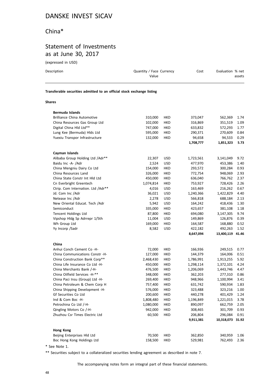# China\*

# Statement of Investments as at June 30, 2017

(expressed in USD)

| Description                                                            | Quantity / Face Currency<br>Value | Cost | Evaluation % net<br>assets |  |  |  |
|------------------------------------------------------------------------|-----------------------------------|------|----------------------------|--|--|--|
| Transferable securities admitted to an official stock exchange listing |                                   |      |                            |  |  |  |
| <b>Shares</b>                                                          |                                   |      |                            |  |  |  |

| Bermuda Islands                     |           |            |           |            |       |
|-------------------------------------|-----------|------------|-----------|------------|-------|
| <b>Brilliance China Automotive</b>  | 310,000   | HKD        | 373,047   | 562,369    | 1.74  |
| China Resources Gas Group Ltd       | 102,000   | <b>HKD</b> | 316,869   | 351,519    | 1.09  |
| Digital China Hld Ltd**             | 747,000   | HKD        | 633,832   | 572,293    | 1.77  |
| Lung Kee (Bermuda) Hlds Ltd         | 595,000   | HKD        | 290,371   | 270,609    | 0.84  |
| Yuexiu Transpor Infrastructure      | 132,000   | <b>HKD</b> | 94,658    | 94,533     | 0.29  |
|                                     |           |            | 1,708,777 | 1,851,323  | 5.73  |
| Cayman Islands                      |           |            |           |            |       |
| Alibaba Group Holding Ltd /Adr**    | 22,307    | <b>USD</b> | 1,723,561 | 3,141,049  | 9.72  |
| Baidu Inc -A- /Adr                  | 2,524     | <b>USD</b> | 477,970   | 453,386    | 1.40  |
| China Mengniu Dairy Co Ltd          | 154,000   | HKD        | 293,572   | 300,284    | 0.93  |
| China Resources Land                | 326,000   | <b>HKD</b> | 772,754   | 948,069    | 2.93  |
| China State Constr Int Hld Ltd      | 450,000   | HKD        | 636,040   | 766,762    | 2.37  |
| Cn Everbright Greentech             | 1,074,814 | <b>HKD</b> | 753,927   | 728,426    | 2.26  |
| Ctrip. Com Internation. Ltd / Adr** | 4,016     | <b>USD</b> | 163,469   | 216,262    | 0.67  |
| Jd. Com Inc /Adr                    | 36,021    | <b>USD</b> | 1,240,366 | 1,422,829  | 4.40  |
| Netease Inc /Adr                    | 2,278     | <b>USD</b> | 566,818   | 688,184    | 2.13  |
| New Oriental Educat. Tech / Adr     | 5,942     | <b>USD</b> | 164,242   | 418,436    | 1.30  |
| Semiconduct                         | 335,000   | HKD        | 423,657   | 381,108    | 1.18  |
| <b>Tencent Holdings Ltd</b>         | 87,800    | <b>HKD</b> | 694,080   | 3,147,305  | 9.74  |
| Vipshop Hldg Sp Adrrepr 1/5th       | 11,004    | <b>USD</b> | 149,869   | 126,876    | 0.39  |
| Wh Group Ltd                        | 169,000   | <b>HKD</b> | 164,587   | 168,880    | 0.52  |
| Yy Incorp / Sadr                    | 8,582     | <b>USD</b> | 422,182   | 492,263    | 1.52  |
|                                     |           |            | 8,647,094 | 13,400,119 | 41.46 |
| China                               |           |            |           |            |       |
| Anhui Conch Cement Co -H-           | 72,000    | <b>HKD</b> | 166,936   | 249,515    | 0.77  |
| China Communications Constr -H-     | 127,000   | HKD        | 144,379   | 164,006    | 0.51  |
| China Construction Bank Corp**      | 2,468,430 | <b>HKD</b> | 1,786,991 | 1,913,255  | 5.92  |
| China Life Insurance Co Ltd -H-     | 450,000   | HKD        | 1,298,114 | 1,372,101  | 4.24  |
| China Merchants Bank /-H-           | 476,500   | <b>HKD</b> | 1,206,069 | 1,443,746  | 4.47  |
| China Oilfield Services -H-**       |           |            |           |            |       |
|                                     | 348,000   | HKD        | 362,203   | 277,310    | 0.86  |
| China Paci Insu (Group) Ltd -H-     | 269,400   | <b>HKD</b> | 948,966   | 1,100,994  | 3.41  |
| China Petroleum & Chem Corp H       | 757,400   | HKD        | 631,742   | 590,934    | 1.83  |
| China Shipping Development -H-      | 576,000   | HKD        | 323,488   | 323,216    | 1.00  |
| Gf Securities Co Ltd                | 200,600   | HKD        | 440,278   | 401,429    | 1.24  |
| Ind & Com Boc -H-                   | 1,808,480 | HKD        | 1,196,849 | 1,221,015  | 3.78  |
| Petrochina Co Ltd /-H-              | 1,080,000 | <b>HKD</b> | 890,097   | 662,759    | 2.05  |
| Qingling Motors Co /-H-             | 942,000   | HKD        | 308,465   | 301,709    | 0.93  |
| Zhuzhou Csr Times Electric Ltd      | 60,500    | <b>HKD</b> | 206,804   | 296,084    | 0.91  |
|                                     |           |            | 9,911,381 | 10,318,073 | 31.92 |
| Hong Kong                           |           |            |           |            |       |
| Beijing Enterprises Hld Ltd         | 70,500    | HKD        | 362,850   | 340,959    | 1.06  |

\* See Note 1.

\*\* Securities subject to a collateralized securities lending agreement as described in note 7.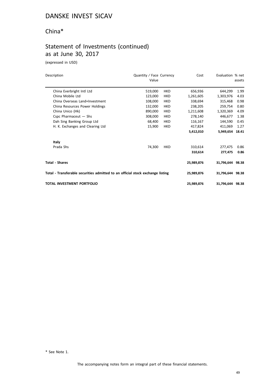# China\*

## Statement of Investments (continued) as at June 30, 2017

(expressed in USD)

| Description                                                                    | Quantity / Face Currency<br>Value |            | Cost       | Evaluation % net | assets |
|--------------------------------------------------------------------------------|-----------------------------------|------------|------------|------------------|--------|
| China Everbright Intl Ltd                                                      | 519,000                           | <b>HKD</b> | 656,936    | 644,299          | 1.99   |
| China Mobile Ltd                                                               | 123,000                           | <b>HKD</b> | 1,261,605  | 1,303,976        | 4.03   |
| China Overseas Land+Investment                                                 | 108,000                           | <b>HKD</b> | 338,694    | 315,468          | 0.98   |
| China Resources Power Holdings                                                 | 132,000                           | <b>HKD</b> | 238,205    | 259,754          | 0.80   |
| China Unico (Hk)                                                               | 890,000                           | <b>HKD</b> | 1,211,608  | 1,320,369        | 4.09   |
| Cspc Pharmaceut $-$ Shs                                                        | 308,000                           | <b>HKD</b> | 278,140    | 446,677          | 1.38   |
| Dah Sing Banking Group Ltd                                                     | 68,400                            | <b>HKD</b> | 116,167    | 144,590          | 0.45   |
| H. K. Exchanges and Clearing Ltd                                               | 15,900                            | <b>HKD</b> | 417,824    | 411,069          | 1.27   |
|                                                                                |                                   |            | 5,412,010  | 5,949,654        | 18.41  |
| Italy                                                                          |                                   |            |            |                  |        |
| Prada Shs                                                                      | 74,300                            | <b>HKD</b> | 310,614    | 277,475          | 0.86   |
|                                                                                |                                   |            | 310,614    | 277,475          | 0.86   |
| <b>Total - Shares</b>                                                          |                                   |            | 25,989,876 | 31,796,644 98.38 |        |
| Total - Transferable securities admitted to an official stock exchange listing |                                   |            | 25,989,876 | 31,796,644 98.38 |        |
| <b>TOTAL INVESTMENT PORTFOLIO</b>                                              |                                   |            | 25,989,876 | 31,796,644 98.38 |        |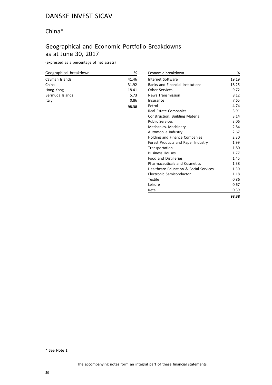# China\*

# Geographical and Economic Portfolio Breakdowns as at June 30, 2017

(expressed as a percentage of net assets)

| Geographical breakdown | %     |
|------------------------|-------|
| Cayman Islands         | 41.46 |
| China                  | 31.92 |
| Hong Kong              | 18.41 |
| Bermuda Islands        | 5.73  |
| Italy                  | 0.86  |
|                        | 98.38 |

| Economic breakdown                                | %     |
|---------------------------------------------------|-------|
| Internet Software                                 | 19.19 |
| <b>Banks and Financial Institutions</b>           | 18.25 |
| <b>Other Services</b>                             | 9.72  |
| <b>News Transmission</b>                          | 8.12  |
| Insurance                                         | 7.65  |
| Petrol                                            | 4.74  |
| Real Estate Companies                             | 3.91  |
| Construction, Building Material                   | 3.14  |
| <b>Public Services</b>                            | 3.06  |
| Mechanics, Machinery                              | 2.84  |
| Automobile Industry                               | 2.67  |
| Holding and Finance Companies                     | 2.30  |
| Forest Products and Paper Industry                | 1.99  |
| Transportation                                    | 1.80  |
| <b>Business Houses</b>                            | 1.77  |
| <b>Food and Distilleries</b>                      | 1.45  |
| <b>Pharmaceuticals and Cosmetics</b>              | 1.38  |
| <b>Healthcare Education &amp; Social Services</b> | 1.30  |
| Electronic Semiconductor                          | 1.18  |
| Textile                                           | 0.86  |
| Leisure                                           | 0.67  |
| Retail                                            | 0.39  |
|                                                   | 98.38 |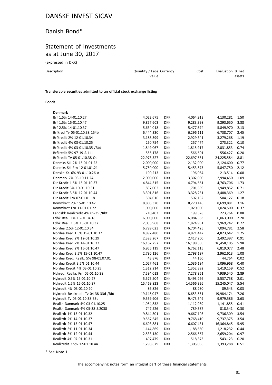# Danish Bond\*

## Statement of Investments as at June 30, 2017

(expressed in DKK)

| Description                                                            | Quantity / Face Currency<br>Value | Cost | Evaluation % net<br>assets |
|------------------------------------------------------------------------|-----------------------------------|------|----------------------------|
| Transferable securities admitted to an official stock exchange listing |                                   |      |                            |

#### **Bonds**

| <b>Denmark</b>                        |            |            |            |            |      |
|---------------------------------------|------------|------------|------------|------------|------|
| Brf 1.5% 14-01.10.27                  | 4,022,675  | <b>DKK</b> | 4,064,913  | 4,130,281  | 1.50 |
| Brf 1.5% 15-01.10.47                  | 9,857,603  | <b>DKK</b> | 9,283,398  | 9,293,650  | 3.38 |
| Brf 2.5% 14-01.10.37                  | 5,634,018  | <b>DKK</b> | 5,477,674  | 5,849,970  | 2.13 |
| Brfkred Tv 05-01.10.38 154b           | 6,444,330  | <b>DKK</b> | 6,296,111  | 6,738,707  | 2.45 |
| Brfkredit 2% 12-01.10.34              | 3,188,399  | <b>DKK</b> | 2,929,341  | 3,279,268  | 1.19 |
| Brfkredit 4% 03-01.10.25              | 250,754    | <b>DKK</b> | 257,474    | 273,322    | 0.10 |
| Brfkredit 4% 03-01.10.35 /Rbt         | 1,849,067  | <b>DKK</b> | 1,815,917  | 2,031,853  | 0.74 |
| Brfkredit 5% 97-19 S.111              | 555,178    | <b>DKK</b> | 566,601    | 556,427    | 0.20 |
| Brfkredit Tv 05-01.10.38 Oa           | 22,973,527 | <b>DKK</b> | 22,697,631 | 24,225,584 | 8.81 |
| Danmks Ski 2% 15-01.01.22             | 2,000,000  | <b>DKK</b> | 2,132,000  | 2,124,600  | 0.77 |
| Danmks Ski Frn 12-01.01.21            | 5,750,000  | <b>DKK</b> | 5,453,875  | 5,847,750  | 2.12 |
| Danske Kr. 6% 93-01.10.26 A           | 190,213    | <b>DKK</b> | 196,054    | 213,514    | 0.08 |
| Denmark 7% 93-10.11.24                | 2,000,000  | <b>DKK</b> | 3,302,000  | 2,994,450  | 1.09 |
| Dlr Kredit 1.5% 15-01.10.37           | 4,844,315  | <b>DKK</b> | 4,794,661  | 4,763,706  | 1.73 |
| Dlr Kredit 3% 10-01.10.31             | 1,857,002  | <b>DKK</b> | 1,701,639  | 1,949,852  | 0.71 |
| Dlr Kredit 3.5% 12-01.10.44           | 3,301,816  | <b>DKK</b> | 3,328,231  | 3,488,369  | 1.27 |
| Dlr Kredit Frn 07-01.01.18            | 504,016    | <b>DKK</b> | 502,152    | 504,127    | 0.18 |
| Kommkrdt 2% 15-01.10.47               | 8,803,320  | <b>DKK</b> | 8,270,146  | 8,699,881  | 3.16 |
| Kommkrdt Frn 11-01.01.22              | 1,000,000  | <b>DKK</b> | 1,020,000  | 1,024,500  | 0.37 |
| Landsbk Realkredit 4% 05-35 /Rbt      | 210,403    | <b>DKK</b> | 199,528    | 223,764    | 0.08 |
| Ldbk Reall 1% 16-01.04.18             | 6,000,000  | <b>DKK</b> | 6,084,583  | 6,063,000  | 2.20 |
| Ldbk Reall 1.5% 15-01.10.37           | 2,053,968  | <b>DKK</b> | 1,824,951  | 1,969,242  | 0.72 |
| Nordea 2.5% 12-01.10.34               | 6,799,023  | <b>DKK</b> | 6,704,425  | 7,094,781  | 2.58 |
| Nordea Kred 1.5% 15-01.10.37          | 4,892,480  | <b>DKK</b> | 4,871,442  | 4,823,642  | 1.75 |
| Nordea Kred 2% 12-01.10.29            | 2,393,267  | <b>DKK</b> | 2,417,200  | 2,492,397  | 0.91 |
| Nordea Kred 2% 14-01.10.37            | 16,167,257 | <b>DKK</b> | 16,198,505 | 16,458,105 | 5.98 |
| Nordea Kred 2% 15-01.10.47            | 6,955,119  | <b>DKK</b> | 6,762,115  | 6,819,077  | 2.48 |
| Nordea Kred 3.5% 15-01.10.47          | 2,780,126  | <b>DKK</b> | 2,798,197  | 2,962,613  | 1.08 |
| Nordea Kred. Realk. 5% 98-01.07.01    | 43,876     | <b>DKK</b> | 44,150     | 44,764     | 0.02 |
| Nordea Kredit 3.5% 01.10.44           | 1,027,461  | <b>DKK</b> | 1,036,194  | 1,096,968  | 0.40 |
| Nordea Kredit 4% 03-01.10.25          | 1,312,214  | <b>DKK</b> | 1,352,892  | 1,419,159  | 0.52 |
| Nykred. Realkr. Frn 05-01.10.38       | 7,594,013  | <b>DKK</b> | 7,278,861  | 7,939,540  | 2.89 |
| Nykredit 0.5% 15-01.10.27             | 5,575,504  | <b>DKK</b> | 5,493,266  | 5,537,758  | 2.01 |
| Nykredit 1.5% 15-01.10.37             | 15,469,823 | <b>DKK</b> | 14,566,326 | 15,245,047 | 5.54 |
| Nykredit 4% 03-01.10.20               | 86,826     | <b>DKK</b> | 88,280     | 89,543     | 0.03 |
| Nykredit Realkredit Tv 04-38 33d /Rbt | 19,145,047 | <b>DKK</b> | 18,653,531 | 19,984,174 | 7.26 |
| Nykredit Tv 05-01.10.38 33d           | 9,559,906  | <b>DKK</b> | 9,473,549  | 9,979,586  | 3.63 |
| Realkr. Danmark 4% 03-01.10.25        | 1,054,832  | <b>DKK</b> | 1,112,989  | 1,141,855  | 0.41 |
| Realkr. Danmark 4% 05-38 S.2038       | 747,526    | <b>DKK</b> | 789,387    | 818,541    | 0.30 |
| Realkrdt 1% 15-01.10.32               | 9,844,301  | <b>DKK</b> | 9,667,103  | 9,736,309  | 3.54 |
| Realkrdt 2% 14-01.10.37               | 9,567,645  | <b>DKK</b> | 9,768,410  | 9,737,375  | 3.54 |
| Realkrdt 2% 15-01.10.47               | 16,693,881 | <b>DKK</b> | 16,607,431 | 16,364,845 | 5.95 |
| Realkrdt 3% 11-01.10.34               | 1,144,869  | <b>DKK</b> | 1,188,660  | 1,218,232  | 0.44 |
| Realkrdt 3% 12-01.10.44               | 2,533,130  | <b>DKK</b> | 2,566,567  | 2,659,204  | 0.97 |
| Realkrdt 4% 07-01.10.31               | 497,479    | <b>DKK</b> | 518,373    | 543,123    | 0.20 |
| Realkredit 3.5% 12-01.10.44           | 1,298,679  | <b>DKK</b> | 1,305,056  | 1,393,288  | 0.51 |

\* See Note 1.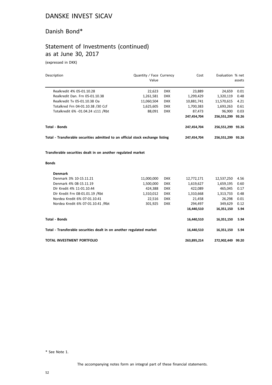#### Danish Bond\*

# Statement of Investments (continued) as at June 30, 2017

(expressed in DKK)

| Description                                                                    | Quantity / Face Currency |            | Cost        | Evaluation % net  |        |
|--------------------------------------------------------------------------------|--------------------------|------------|-------------|-------------------|--------|
|                                                                                | Value                    |            |             |                   | assets |
| Realkredit 4% 05-01.10.28                                                      | 22,623                   | <b>DKK</b> | 23,889      | 24,659            | 0.01   |
| Realkredit Dan. Frn 05-01.10.38                                                | 1,261,581                | <b>DKK</b> | 1,299,429   | 1,320,119         | 0.48   |
| Realkredit Tv 05-01.10.38 Oa                                                   | 11,060,504               | <b>DKK</b> | 10,881,741  | 11,570,615        | 4.21   |
| Totalkred Frn 04-01.10.38 /30 Ccf                                              | 1,625,605                | <b>DKK</b> | 1,700,383   | 1,693,263         | 0.61   |
| Totalkredit 6% -01.04.24 s111 /Rbt                                             | 88,091                   | <b>DKK</b> | 87,473      | 96,900            | 0.03   |
|                                                                                |                          |            | 247,454,704 | 256,551,299 93.26 |        |
| <b>Total - Bonds</b>                                                           |                          |            | 247,454,704 | 256,551,299 93.26 |        |
| Total - Transferable securities admitted to an official stock exchange listing |                          |            | 247,454,704 | 256,551,299 93.26 |        |
| Transferable securities dealt in on another regulated market<br><b>Bonds</b>   |                          |            |             |                   |        |
| <b>Denmark</b>                                                                 |                          |            |             |                   |        |
| Denmark 3% 10-15.11.21                                                         | 11,000,000               | <b>DKK</b> | 12,772,171  | 12,537,250        | 4.56   |
| Denmark 4% 08-15.11.19                                                         | 1,500,000                | <b>DKK</b> | 1,619,627   | 1,659,195         | 0.60   |
| Dlr Kredit 4% 11-01.10.44                                                      | 424,388                  | <b>DKK</b> | 422,089     | 465,045           | 0.17   |
| Dlr Kredit Frn 08-01.01.19 / Rbt                                               | 1,310,012                | <b>DKK</b> | 1,310,668   | 1,313,733         | 0.48   |
| Nordea Kredit 6% 07-01.10.41                                                   | 22,516                   | <b>DKK</b> | 21,458      | 26,298            | 0.01   |
| Nordea Kredit 6% 07-01.10.41 /Rbt                                              | 301,925                  | <b>DKK</b> | 294,497     | 349,629           | 0.12   |
|                                                                                |                          |            | 16,440,510  | 16,351,150        | 5.94   |
| <b>Total - Bonds</b>                                                           |                          |            | 16,440,510  | 16,351,150        | 5.94   |
| Total - Transferable securities dealt in on another regulated market           |                          |            | 16,440,510  | 16,351,150        | 5.94   |
| TOTAL INVESTMENT PORTFOLIO                                                     |                          |            | 263,895,214 | 272,902,449 99.20 |        |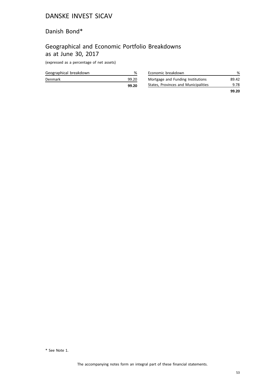#### Danish Bond\*

# Geographical and Economic Portfolio Breakdowns as at June 30, 2017

(expressed as a percentage of net assets)

| Geographical breakdown |       |
|------------------------|-------|
| Denmark                | 99.20 |
|                        | 99.20 |

| Economic breakdown                   | ℅     |
|--------------------------------------|-------|
| Mortgage and Funding Institutions    | 89.42 |
| States, Provinces and Municipalities | 9.78  |
|                                      | 99.20 |

<sup>\*</sup> See Note 1.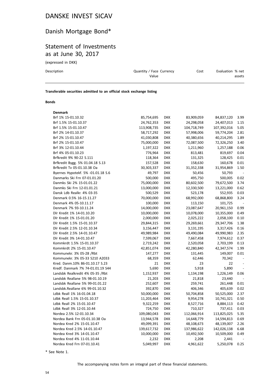# Danish Mortgage Bond\*

## Statement of Investments as at June 30, 2017

(expressed in DKK)

| Description | Quantity / Face Currency<br>Value | Cost | Evaluation % net<br>assets |
|-------------|-----------------------------------|------|----------------------------|
|             |                                   |      |                            |

**Transferable securities admitted to an official stock exchange listing**

#### **Bonds**

| <b>Denmark</b>                     |             |            |             |             |                          |
|------------------------------------|-------------|------------|-------------|-------------|--------------------------|
| Brf 1% 15-01.10.32                 | 85,754,695  | <b>DKK</b> | 83,909,059  | 84,837,120  | 3.99                     |
| Brf 1.5% 15-01.10.37               | 24,762,353  | <b>DKK</b> | 24,298,058  | 24,407,013  | 1.15                     |
| Brf 1.5% 15-01.10.47               | 113,908,735 | <b>DKK</b> | 104,718,749 | 107,392,016 | 5.05                     |
| Brf 2% 14-01.10.37                 | 58,717,292  | <b>DKK</b> | 57,998,006  | 59,774,204  | 2.81                     |
| Brf 2% 15-01.10.47                 | 41,030,808  | <b>DKK</b> | 40,380,656  | 40,214,295  | 1.89                     |
| Brf 2% 15-01.10.47                 | 75,000,000  | <b>DKK</b> | 72,087,500  | 72,326,250  | 3.40                     |
| Brf 3% 12-01.10.44                 | 1,197,322   | <b>DKK</b> | 1,211,960   | 1,257,188   | 0.06                     |
| Brf 4% 05-01.10.23                 | 776,964     | <b>DKK</b> | 813,481     | 819,697     | 0.04                     |
| Brfkredit 9% 90-22 S.111           | 118,364     | <b>DKK</b> | 131,325     | 128,425     | 0.01                     |
| Brfkredit Bygg. 5% 01.04.18 S.13   | 157,528     | <b>DKK</b> | 158,630     | 160,678     | 0.01                     |
| Brfkredit Tv 05-01.10.38 Oa        | 30,303,337  | DKK        | 31,352,338  | 31,954,869  | 1.50                     |
| Byernes Hypotekf. 5% -01.01.18 S.6 | 49,797      | <b>DKK</b> | 50,456      | 50,793      |                          |
| Danmarks Ski Frn 07-01.01.20       | 500,000     | <b>DKK</b> | 495,750     | 500,005     | 0.02                     |
| Danmks Ski 2% 15-01.01.22          | 75,000,000  | <b>DKK</b> | 80,602,500  | 79,672,500  | 3.74                     |
| Danmks Ski Frn 12-01.01.21         | 13,000,000  | <b>DKK</b> | 12,330,500  | 13,221,000  | 0.62                     |
| Dansk Ldb Realkr. 4% 03-35         | 500,529     | <b>DKK</b> | 523,178     | 552,935     | 0.03                     |
| Denmark 0.5% 16-15.11.27           | 70,000,000  | <b>DKK</b> | 68,992,000  | 68,868,800  | 3.24                     |
| Denmark 4% 05-10.11.17             | 100,000     | <b>DKK</b> | 113,150     | 101,725     |                          |
| Denmark 7% 93-10.11.24             | 14,000,000  | <b>DKK</b> | 23,087,647  | 20,961,150  | 0.99                     |
| Dlr Kredit 1% 14-01.10.20          | 10,000,000  | <b>DKK</b> | 10,078,000  | 10,355,000  | 0.49                     |
| Dlr Kredit 1% 15-01.01.20          | 2,000,000   | <b>DKK</b> | 2,025,222   | 2,058,100   | 0.10                     |
| Dlr Kredit 1.5% 15-01.10.37        | 29,844,315  | <b>DKK</b> | 29,269,661  | 29,347,706  | 1.38                     |
| Dlr Kredit 2.5% 12-01.10.34        | 3,156,447   | <b>DKK</b> | 3,131,195   | 3,317,426   | 0.16                     |
| Dlr Kredit 2.5% 14-01.10.47        | 49,989,984  | <b>DKK</b> | 49,490,084  | 49,990,983  | 2.35                     |
| Dlr Kredit 3% 14-01.10.47          | 7,599,067   | <b>DKK</b> | 7,667,458   | 7,974,612   | 0.37                     |
| Kommkrdt 1.5% 15-01.10.37          | 2,719,242   | <b>DKK</b> | 2,520,058   | 2,703,199   | 0.13                     |
| Kommkrdt 2% 15-01.10.47            | 42,851,074  | <b>DKK</b> | 42,280,840  | 42,347,574  | 1.99                     |
| Kommunekr. 3% 05-28 /Rbt           | 147,277     | <b>DKK</b> | 131,445     | 149,007     | 0.01                     |
| Kommunekr. 3% 05-33 S210 A2033     | 68,359      | <b>DKK</b> | 62,446      | 70,342      | $\overline{\phantom{a}}$ |
| Kred. Danm.10% 86-01.10.17 S.23    | 21          | <b>DKK</b> | 23          | 22          |                          |
| Kredf. Danmark 7% 74-01.01.19 S44  | 5,690       | <b>DKK</b> | 5,918       | 5,890       | $\overline{\phantom{a}}$ |
| Landsbk Realkredit 4% 05-35 /Rbt   | 1,152,937   | <b>DKK</b> | 1,134,198   | 1,226,149   | 0.06                     |
| Landsbk Reallane 5% 98-01.10.19    | 21,203      | <b>DKK</b> | 21,818      | 23,440      |                          |
| Landsbk Reallane 5% 99-01.01.22    | 252,607     | <b>DKK</b> | 259,741     | 261,448     | 0.01                     |
| Landsbk.Reallane 6% 99-01.10.32    | 392,870     | <b>DKK</b> | 406,346     | 405,639     | 0.02                     |
| Ldbk Reall 1% 16-01.04.18          | 50,000,000  | <b>DKK</b> | 50,704,858  | 50,525,000  | 2.37                     |
| Ldbk Reall 1.5% 15-01.10.37        | 11,203,464  | <b>DKK</b> | 9,954,278   | 10,741,321  | 0.50                     |
| Ldbk Reall 2% 15-01.10.47          | 9,322,259   | <b>DKK</b> | 8,527,716   | 8,884,113   | 0.42                     |
| Ldbk Reall 3% 12-01.10.44          | 724,750     | <b>DKK</b> | 710,327     | 737,411     | 0.03                     |
| Nordea 2.5% 12-01.10.34            | 109,080,043 | <b>DKK</b> | 112,066,914 | 113,825,025 | 5.35                     |
| Nordea Bank Frn 05-01.10.38 Oa     | 13,944,578  | <b>DKK</b> | 14,648,779  | 14,594,813  | 0.69                     |
| Nordea Kred 2% 15-01.10.47         | 49,099,391  | <b>DKK</b> | 48,108,673  | 48,139,007  | 2.26                     |
| Nordea Kred 2.5% 14-01.10.47       | 139,617,732 | <b>DKK</b> | 137,986,622 | 142,026,138 | 6.68                     |
| Nordea Kred 3% 14-01.10.47         | 10,000,000  | <b>DKK</b> | 10,492,500  | 10,509,000  | 0.49                     |
| Nordea Kred 4% 11-01.10.44         | 2,232       | <b>DKK</b> | 2,208       | 2,441       |                          |
| Nordea Kred Frn 07-01.10.41        | 5,049,997   | <b>DKK</b> | 4,961,622   | 5,250,078   | 0.25                     |
|                                    |             |            |             |             |                          |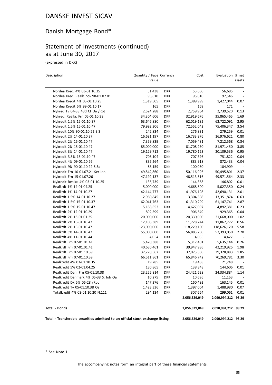# Danish Mortgage Bond\*

## Statement of Investments (continued) as at June 30, 2017

(expressed in DKK)

| Description                                                                    | Quantity / Face Currency<br>Value |            | Cost          | Evaluation % net    | assets                   |
|--------------------------------------------------------------------------------|-----------------------------------|------------|---------------|---------------------|--------------------------|
| Nordea Kred. 4% 03-01.10.35                                                    | 51,438                            | <b>DKK</b> | 53,650        | 56,685              |                          |
| Nordea Kred. Realk. 5% 98-01.07.01                                             | 95,610                            | <b>DKK</b> | 95,610        | 97,546              | $\overline{\phantom{a}}$ |
| Nordea Kredit 4% 03-01.10.25                                                   | 1,319,505                         | <b>DKK</b> | 1,389,999     | 1,427,044           | 0.07                     |
| Nordea Kredit 6% 99-01.10.17                                                   | 165                               | <b>DKK</b> | 169           | 171                 |                          |
| Nykred Tv 04-38 43d Cf Oa /Rbt                                                 | 2,624,288                         | <b>DKK</b> | 2,759,964     | 2,739,520           | 0.13                     |
| Nykred. Realkr. Frn 05-01.10.38                                                | 34,304,606                        | <b>DKK</b> | 32,919,676    | 35,865,465          | 1.69                     |
| Nykredit 1.5% 15-01.10.37                                                      | 63,646,880                        | <b>DKK</b> | 62,019,182    | 62,722,091          | 2.95                     |
| Nykredit 1.5% 15-01.10.47                                                      | 79,992,306                        | DKK        | 72,552,042    | 75,406,347          | 3.54                     |
| Nykredit 10% 90-01.10.22 S.3                                                   | 242,834                           | <b>DKK</b> | 276,831       | 279,259             | 0.01                     |
| Nykredit 2% 14-01.10.37                                                        | 16,681,197                        | <b>DKK</b> | 16,733,876    | 16,976,621          | 0.80                     |
| Nykredit 2% 15-01.10.47                                                        | 7,359,839                         | <b>DKK</b> | 7,059,481     | 7,212,568           | 0.34                     |
| Nykredit 2% 15-01.10.47                                                        | 85,000,000                        | <b>DKK</b> | 81,708,250    | 81,971,450          | 3.85                     |
| Nykredit 3% 14-01.10.47                                                        | 19,129,712                        | <b>DKK</b> | 19,780,123    | 20,109,536          | 0.95                     |
| Nykredit 3.5% 15-01.10.47                                                      | 708,104                           | <b>DKK</b> | 707,396       | 751,822             | 0.04                     |
| Nykredit 4% 09-01.10.26                                                        | 835,264                           | <b>DKK</b> | 883,918       | 872,433             | 0.04                     |
| Nykredit 9% 90-01.10.22 S.3a                                                   | 88,159                            | <b>DKK</b> | 100,060       | 104,909             |                          |
| Nykredit Frn 10-01.07.21 Ser Ioh                                               | 49,842,860                        | <b>DKK</b> | 50,116,996    | 50,495,801          | 2.37                     |
| Nykredit Frn 15-01.07.26                                                       | 47,192,137                        | <b>DKK</b> | 48,513,516    | 49,571,564          | 2.33                     |
| Nykredit Realkr. 4% 03-01.10.25                                                | 135,739                           | <b>DKK</b> | 144,358       | 146,802             | 0.01                     |
| Realkrdt 1% 14-01.04.25                                                        | 5,000,000                         | DKK        | 4,668,500     | 5,027,350           | 0.24                     |
| Realkrdt 1% 14-01.10.27                                                        | 42,144,777                        | <b>DKK</b> | 41,976,198    | 42,690,131          | 2.01                     |
| Realkrdt 1.5% 14-01.10.27                                                      | 12,960,845                        | <b>DKK</b> | 13,304,308    | 13,351,874          | 0.63                     |
| Realkrdt 1.5% 15-01.10.37                                                      | 62,041,763                        | <b>DKK</b> | 61,310,299    | 61,147,741          | 2.87                     |
| Realkrdt 1.5% 15-01.10.47                                                      | 5,188,653                         | <b>DKK</b> | 4,627,097     | 4,892,381           | 0.23                     |
| Realkrdt 2% 12-01.10.29                                                        | 892,599                           | <b>DKK</b> | 906,549       | 929,365             | 0.04                     |
| Realkrdt 2% 13-01.01.25                                                        | 20,000,000                        | <b>DKK</b> | 20,330,000    | 21,668,000          | 1.02                     |
| Realkrdt 2% 15-01.10.47                                                        | 12,106,389                        | <b>DKK</b> | 11,728,744    | 11,867,772          | 0.56                     |
| Realkrdt 2% 15-01.10.47                                                        | 123,000,000                       | <b>DKK</b> | 118,229,100   | 118,626,120         | 5.58                     |
| Realkrdt 3% 14-01.10.47                                                        | 55,000,000                        | <b>DKK</b> | 56,883,750    | 57,393,050          | 2.70                     |
| Realkrdt 4% 11-01.10.44                                                        | 4,054                             | <b>DKK</b> | 4,035         | 4,427               |                          |
| Realkrdt Frn 07-01.01.41                                                       | 5,420,388                         | <b>DKK</b> | 5,317,401     | 5,635,144           | 0.26                     |
| Realkrdt Frn 07-01.01.41                                                       | 40,630,461                        | DKK        | 39,947,986    | 42,219,925          | 1.98                     |
| Realkrdt Frn 07-01.10.39                                                       | 37,278,562                        | DKK        | 37,073,530    | 39,328,883          | 1.85                     |
| Realkrdt Frn 07-01.10.39                                                       | 66,511,861                        | <b>DKK</b> | 65,846,742    | 70,269,781          | 3.30                     |
| Realkredit 4% 03-01.10.35                                                      | 19,285                            | DKK        | 19,488        | 21,248              |                          |
| Realkredit 5% 02-01.04.25                                                      | 130,865                           | DKK        | 138,848       | 144,606             | 0.01                     |
| Realkredit Dan. Frn 05-01.10.38                                                | 23,255,814                        | <b>DKK</b> | 24,421,628    | 24,334,884          | 1.14                     |
| Realkredit Danmark 4% 05-38 S. Ioh Oa                                          | 10,275                            | <b>DKK</b> | 10,696        | 11,163              |                          |
| Realkredit Dk 5% 06-28 /Rbt                                                    | 147,376                           | <b>DKK</b> | 160,492       | 163,145             | 0.01                     |
| Realkredit Tv 05-01.10.38 Oa                                                   | 1,423,336                         | <b>DKK</b> | 1,397,004     | 1,488,980           | 0.07                     |
| Totalkredit 4% 03-01.10.20 N.111                                               | 294,134                           | <b>DKK</b> | 307,664       | 299,061             | 0.01                     |
|                                                                                |                                   |            | 2,056,329,049 | 2,090,994,212 98.29 |                          |
| <b>Total - Bonds</b>                                                           |                                   |            | 2,056,329,049 | 2,090,994,212 98.29 |                          |
| Total - Transferable securities admitted to an official stock exchange listing |                                   |            | 2,056,329,049 | 2,090,994,212 98.29 |                          |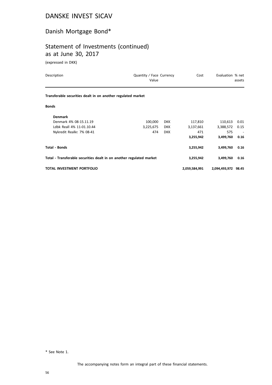# Danish Mortgage Bond\*

# Statement of Investments (continued) as at June 30, 2017

(expressed in DKK)

| Description                                                          | Quantity / Face Currency<br>Value |            | Cost          | Evaluation % net    | assets                   |
|----------------------------------------------------------------------|-----------------------------------|------------|---------------|---------------------|--------------------------|
| Transferable securities dealt in on another regulated market         |                                   |            |               |                     |                          |
| <b>Bonds</b>                                                         |                                   |            |               |                     |                          |
| <b>Denmark</b>                                                       |                                   |            |               |                     |                          |
| Denmark 4% 08-15.11.19                                               | 100,000                           | <b>DKK</b> | 117,810       | 110,613             | 0.01                     |
| Ldbk Reall 4% 11-01.10.44                                            | 3,225,675                         | <b>DKK</b> | 3,137,661     | 3,388,572           | 0.15                     |
| Nykredit Realkr. 7% 08-41                                            | 474                               | <b>DKK</b> | 471           | 575                 | $\overline{\phantom{a}}$ |
|                                                                      |                                   |            | 3,255,942     | 3,499,760           | 0.16                     |
| <b>Total - Bonds</b>                                                 |                                   |            | 3,255,942     | 3,499,760           | 0.16                     |
| Total - Transferable securities dealt in on another regulated market |                                   |            | 3,255,942     | 3,499,760           | 0.16                     |
| TOTAL INVESTMENT PORTFOLIO                                           |                                   |            | 2,059,584,991 | 2,094,493,972 98.45 |                          |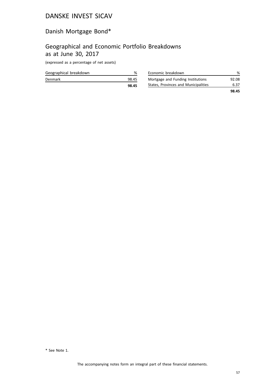# Danish Mortgage Bond\*

#### Geographical and Economic Portfolio Breakdowns as at June 30, 2017

(expressed as a percentage of net assets)

| Geographical breakdown |       |
|------------------------|-------|
| Denmark                | 98.45 |
|                        | 98.45 |

| Economic breakdown                   | ℅     |
|--------------------------------------|-------|
| Mortgage and Funding Institutions    | 92.08 |
| States, Provinces and Municipalities | 6.37  |
|                                      | 98.45 |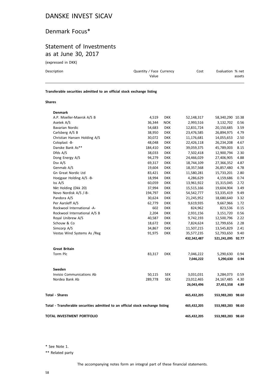#### Denmark Focus\*

#### Statement of Investments as at June 30, 2017

(expressed in DKK)

| Description | Quantity / Face Currency<br>Value | Cost | Evaluation % net<br>assets |
|-------------|-----------------------------------|------|----------------------------|
|             |                                   |      |                            |

#### **Transferable securities admitted to an official stock exchange listing**

#### **Shares**

| Denmark                                                                        |         |            |             |                   |      |
|--------------------------------------------------------------------------------|---------|------------|-------------|-------------------|------|
| A.P. Moeller-Maersk A/S B                                                      | 4,519   | <b>DKK</b> | 52,148,317  | 58,340,290 10.38  |      |
| Asetek A/S                                                                     | 36,344  | <b>NOK</b> | 2,993,516   | 3,132,702         | 0.56 |
| Bavarian Nordic                                                                | 54,683  | <b>DKK</b> | 12,831,724  | 20,150,685        | 3.59 |
| Carlsberg A/S B                                                                | 38,950  | <b>DKK</b> | 23,476,585  | 26,894,975        | 4.79 |
| Christian Hansen Holding A/S                                                   | 30,072  | <b>DKK</b> | 11,176,681  | 14,055,653        | 2.50 |
| Coloplast -B-                                                                  | 48,048  | <b>DKK</b> | 22,426,118  | 26,234,208        | 4.67 |
| Danske Bank As**                                                               | 184,410 | <b>DKK</b> | 39,059,375  | 45,789,003        | 8.15 |
| Dfds A/S                                                                       | 38,033  | <b>DKK</b> | 7,502,418   | 12,900,794        | 2.30 |
| Dong Energy A/S                                                                | 94,279  | <b>DKK</b> | 24,466,029  | 27,406,905        | 4.88 |
| Dsv A/S                                                                        | 69,317  | <b>DKK</b> | 18,744,109  | 27,366,352        | 4.87 |
| Genmab A/S                                                                     | 19,604  | <b>DKK</b> | 18,357,568  | 26,857,480        | 4.78 |
| Gn Great Nordic Ltd                                                            | 83,421  | <b>DKK</b> | 11,580,281  | 15,733,201        | 2.80 |
| Hoejgaar Holding A/S -B-                                                       | 18,994  | <b>DKK</b> | 4,286,629   | 4,159,686         | 0.74 |
| Iss A/S                                                                        | 60,059  | <b>DKK</b> | 13,961,922  | 15,315,045        | 2.72 |
| Nkt Holding (Dkk 20)                                                           | 37,994  | <b>DKK</b> | 15,515,166  | 19,604,904        | 3.49 |
| Novo Nordisk A/S /-B-                                                          | 194,797 | <b>DKK</b> | 54,542,777  | 53,335,419        | 9.49 |
| Pandora A/S                                                                    | 30,624  | <b>DKK</b> | 21,245,952  | 18,680,640        | 3.32 |
| Per Aarsleff A/S                                                               | 62,779  | <b>DKK</b> | 9,619,935   | 9,667,966         | 1.72 |
| Rockwool International -A-                                                     | 602     | <b>DKK</b> | 824,962     | 823,536           | 0.15 |
| Rockwool International A/S B                                                   | 2,204   | <b>DKK</b> | 2,931,156   | 3,151,720         | 0.56 |
| Royal Unibrew A/S                                                              | 40,587  | <b>DKK</b> | 9,742,193   | 12,500,796        | 2.22 |
| Schouw & Co                                                                    | 18,672  | <b>DKK</b> | 7,824,624   | 12,799,656        | 2.28 |
| Simcorp A/S                                                                    | 34,867  | <b>DKK</b> | 11,507,215  | 13,545,829        | 2.41 |
| Vestas Wind Systems As / Reg                                                   | 91,975  | <b>DKK</b> | 35,577,235  | 52,793,650        | 9.40 |
|                                                                                |         |            | 432,342,487 | 521,241,095 92.77 |      |
| <b>Great Britain</b>                                                           |         |            |             |                   |      |
| Torm Plc                                                                       | 83,317  | <b>DKK</b> | 7,046,222   | 5,290,630         | 0.94 |
|                                                                                |         |            | 7,046,222   | 5,290,630         | 0.94 |
| Sweden                                                                         |         |            |             |                   |      |
| Invisio Communications Ab                                                      | 50,115  | <b>SEK</b> | 3,031,031   | 3,284,073         | 0.59 |
| Nordea Bank Ab                                                                 | 289,778 | <b>SEK</b> | 23,012,465  | 24,167,485        | 4.30 |
|                                                                                |         |            | 26,043,496  | 27,451,558        | 4.89 |
| <b>Total - Shares</b>                                                          |         |            | 465,432,205 | 553,983,283 98.60 |      |
| Total - Transferable securities admitted to an official stock exchange listing |         |            | 465,432,205 | 553,983,283 98.60 |      |
| TOTAL INVESTMENT PORTFOLIO                                                     |         |            | 465,432,205 | 553,983,283 98.60 |      |

\* See Note 1.

\*\* Related party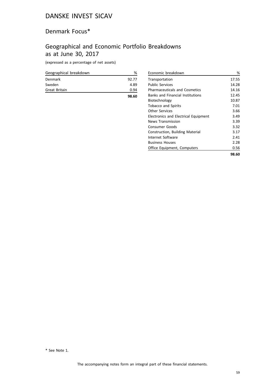### Denmark Focus\*

# Geographical and Economic Portfolio Breakdowns as at June 30, 2017

(expressed as a percentage of net assets)

| Geographical breakdown | %     |
|------------------------|-------|
| Denmark                | 92.77 |
| Sweden                 | 4.89  |
| Great Britain          | 0.94  |
|                        | 98.60 |

| Economic breakdown                          | %     |
|---------------------------------------------|-------|
| Transportation                              | 17.55 |
| <b>Public Services</b>                      | 14.28 |
| <b>Pharmaceuticals and Cosmetics</b>        | 14.16 |
| <b>Banks and Financial Institutions</b>     | 12.45 |
| Biotechnology                               | 10.87 |
| <b>Tobacco and Spirits</b>                  | 7.01  |
| <b>Other Services</b>                       | 3.66  |
| <b>Electronics and Electrical Equipment</b> | 3.49  |
| <b>News Transmission</b>                    | 3.39  |
| <b>Consumer Goods</b>                       | 3.32  |
| Construction, Building Material             | 3.17  |
| Internet Software                           | 2.41  |
| <b>Business Houses</b>                      | 2.28  |
| Office Equipment, Computers                 | 0.56  |
|                                             | 98.60 |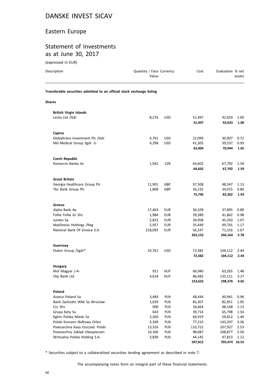#### Eastern Europe

#### Statement of Investments as at June 30, 2017

| (expressed in EUR)                                                     |                                   |                          |                  |                    |              |
|------------------------------------------------------------------------|-----------------------------------|--------------------------|------------------|--------------------|--------------|
| Description                                                            | Quantity / Face Currency<br>Value |                          | Cost             | Evaluation % net   | assets       |
| Transferable securities admitted to an official stock exchange listing |                                   |                          |                  |                    |              |
| <b>Shares</b>                                                          |                                   |                          |                  |                    |              |
| <b>British Virgin Islands</b>                                          |                                   |                          |                  |                    |              |
| Lenta Ltd /Gdr                                                         | 8,276                             | <b>USD</b>               | 51,497           | 42,633             | 1.00         |
|                                                                        |                                   |                          | 51,497           | 42,633             | 1.00         |
| <b>Cyprus</b>                                                          |                                   |                          |                  |                    |              |
| Globaltrans Investment Plc /Gdr                                        | 4,761                             | <b>USD</b>               | 22,099           | 30,907             | 0.72         |
| Md Medical Group Sgdr -S-                                              | 4,298                             | <b>USD</b>               | 41,305           | 39,537             | 0.93         |
|                                                                        |                                   |                          | 63,404           | 70,444             | 1.65         |
| <b>Czech Republic</b>                                                  |                                   |                          |                  |                    |              |
| Komercni Banka As                                                      | 1,942                             | <b>CZK</b>               | 64,602           | 67,792             | 1.59         |
|                                                                        |                                   |                          | 64,602           | 67,792             | 1.59         |
| <b>Great Britain</b>                                                   |                                   |                          |                  |                    |              |
| Georgia Healthcare Group Plc                                           | 11,901                            | GBP                      | 37,508           | 48,347             | 1.13         |
| Tbc Bank Group Plc                                                     | 1,868                             | <b>GBP</b>               | 36,232           | 34,015             | 0.80         |
|                                                                        |                                   |                          | 73,740           | 82,362             | 1.93         |
| Greece                                                                 |                                   |                          |                  |                    |              |
| Alpha Bank Ae                                                          | 17,463                            | <b>EUR</b>               | 36,109           | 37,895             | 0.89         |
| Follie Follie Gr Shs                                                   | 1,984                             | <b>EUR</b>               | 39,389           | 41,862             | 0.98         |
| Jumbo Sa                                                               | 2,822                             | EUR                      | 34,958           | 45,350             | 1.07         |
| Mytilineos Holdings / Reg                                              | 5,957                             | <b>EUR</b>               | 35,449           | 49,741             | 1.17         |
| National Bank Of Greece S.A.                                           | 218,093                           | <b>EUR</b>               | 56,247           | 71,316             | 1.67         |
|                                                                        |                                   |                          | 202,152          | 246,164            | 5.78         |
| Guernsey                                                               |                                   |                          |                  |                    |              |
| Etalon Group /Sgdr*                                                    | 33,761                            | <b>USD</b>               | 72,382<br>72,382 | 104,112<br>104,112 | 2.44<br>2.44 |
|                                                                        |                                   |                          |                  |                    |              |
| Hungary                                                                | 921                               |                          |                  |                    |              |
| Mol Magyar /-A-<br>Otp Bank Ltd                                        | 4,618                             | <b>HUF</b><br><b>HUF</b> | 66,940<br>86,682 | 63,265<br>135,111  | 1.48<br>3.17 |
|                                                                        |                                   |                          | 153,622          | 198,376            | 4.65         |
| Poland                                                                 |                                   |                          |                  |                    |              |
| Asseco Poland Sa                                                       | 3,484                             | PLN                      | 48,444           | 40,941             | 0.96         |
| Bank Zachodni Wbk Sa Wroclaw                                           | 1,029                             | PLN                      | 85,307           | 82,951             | 1.95         |
| Ccc Shs                                                                | 906                               | PLN                      | 26,664           | 48,148             | 1.13         |
| Grupa Kety Sa                                                          | 643                               | PLN                      | 39,714           | 65,798             | 1.54         |
| Kghm Polska Miedz Sa                                                   | 2,260                             | PLN                      | 66,919           | 59,812             | 1.40         |
| Polski Koncern Naftowy Orlen                                           | 5,349                             | PLN                      | 77,210           | 143,207            | 3.36         |
| Powszechna Kasa Oszczed. Polski                                        | 13,316                            | PLN                      | 110,722          | 107,927            | 2.53         |
| Powszechny Zaklad Ubezpieczen                                          | 10,160                            | PLN                      | 98,687           | 108,877            | 2.56         |
| Wirtualna Polska Holding S.A.                                          | 3,830                             | PLN                      | 44,145           | 47,813             | 1.12         |

\* Securities subject to a collateralized securities lending agreement as described in note 7.

**597,812 705,474 16.55**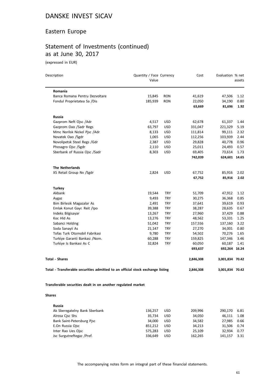## Eastern Europe

# Statement of Investments (continued) as at June 30, 2017

(expressed in EUR)

| Description                                                                    | Quantity / Face Currency<br>Value |            | Cost      | Evaluation % net | assets |
|--------------------------------------------------------------------------------|-----------------------------------|------------|-----------|------------------|--------|
| Romania                                                                        |                                   |            |           |                  |        |
| Banca Romana Pentru Dezvoltare                                                 | 15,845                            | RON        | 41,619    | 47,506           | 1.12   |
| Fondul Proprietatea Sa /Dis                                                    | 185,939                           | <b>RON</b> | 22,050    | 34,190           | 0.80   |
|                                                                                |                                   |            | 63,669    | 81,696           | 1.92   |
| <b>Russia</b>                                                                  |                                   |            |           |                  |        |
| Gazprom Neft Ojsc /Adr                                                         | 4,517                             | <b>USD</b> | 62,678    | 61,337           | 1.44   |
| Gazprom Oao /Sadr Regs                                                         | 63,797                            | <b>USD</b> | 331,047   | 221,329          | 5.19   |
| Mmc Norilsk Nickel Pjsc /Adr                                                   | 8,133                             | <b>USD</b> | 111,814   | 99,111           | 2.32   |
| Novatek Oao /Sgdr                                                              | 1,065                             | <b>USD</b> | 112,256   | 103,939          | 2.44   |
| Novolipetsk Steel Regs /Gdr                                                    | 2,387                             | <b>USD</b> | 29,828    | 40,778           | 0.96   |
| Phosagro Ojsc /Sgdr                                                            | 2,110                             | <b>USD</b> | 25,011    | 24,493           | 0.57   |
| Sberbank of Russia Ojsc /Sadr                                                  | 8,303                             | <b>USD</b> | 69,405    | 73,614           | 1.73   |
|                                                                                |                                   |            | 742,039   | 624,601 14.65    |        |
| <b>The Netherlands</b>                                                         |                                   |            |           |                  |        |
| X5 Retail Group Nv /Sgdr                                                       | 2,824                             | <b>USD</b> | 67,752    | 85,916           | 2.02   |
|                                                                                |                                   |            | 67,752    | 85,916           | 2.02   |
| <b>Turkey</b>                                                                  |                                   |            |           |                  |        |
| Akbank                                                                         | 19,544                            | <b>TRY</b> | 51,709    | 47,912           | 1.12   |
| Aygaz                                                                          | 9,493                             | <b>TRY</b> | 30,275    | 36,368           | 0.85   |
| Bim Birlesik Magazalar As                                                      | 2,491                             | <b>TRY</b> | 37,641    | 39,619           | 0.93   |
| Emlak Konut Gayr. Reit /Ipo                                                    | 39,388                            | TRY        | 38,287    | 28,635           | 0.67   |
| Indeks Bilgisayar                                                              | 13,267                            | <b>TRY</b> | 27,960    | 37,429           | 0.88   |
| Koc Hld As                                                                     | 13,276                            | <b>TRY</b> | 48,562    | 53,331           | 1.25   |
| Sabanci Holding                                                                | 51,042                            | <b>TRY</b> | 157,556   | 137,160          | 3.22   |
| Soda Sanayii As                                                                | 21,147                            | <b>TRY</b> | 27,270    | 34,001           | 0.80   |
| Tofas Turk Otomobil Fabrikasi                                                  | 9,780                             | <b>TRY</b> | 54,502    | 70,276           | 1.65   |
| Turkiye Garanti Bankasi /Nom.                                                  | 60,288                            | <b>TRY</b> | 159,825   | 147,346          | 3.46   |
| Turkiye Is Bankasi As C                                                        | 32,824                            | TRY        | 60,050    | 60,187           | 1.41   |
|                                                                                |                                   |            | 693,637   | 692,264 16.24    |        |
| <b>Total - Shares</b>                                                          |                                   |            | 2,846,308 | 3,001,834 70.42  |        |
| Total - Transferable securities admitted to an official stock exchange listing |                                   |            | 2,846,308 | 3,001,834 70.42  |        |
|                                                                                |                                   |            |           |                  |        |

**Transferable securities dealt in on another regulated market**

**Shares**

| Russia                        |         |            |         |         |      |
|-------------------------------|---------|------------|---------|---------|------|
| Ak Sberegatelny Bank Sberbank | 136.257 | <b>USD</b> | 209.996 | 290.170 | 6.81 |
| Alrosa Cisc Shs               | 35.734  | <b>USD</b> | 34.050  | 46.111  | 1.08 |
| Bank Saint-Petersburg Pisc    | 34.000  | <b>USD</b> | 34.582  | 27.985  | 0.66 |
| E.On Russia Ojsc              | 851.212 | <b>USD</b> | 34.213  | 31.506  | 0.74 |
| Inter Rao Ues Ojsc            | 575.283 | <b>USD</b> | 25.109  | 32.934  | 0.77 |
| Jsc Surgutneftegaz /Pref.     | 336.649 | <b>USD</b> | 162.265 | 141.157 | 3.31 |
|                               |         |            |         |         |      |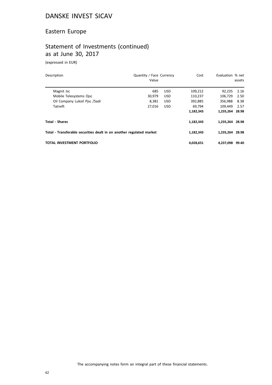## Eastern Europe

# Statement of Investments (continued) as at June 30, 2017

(expressed in EUR)

| Description                                                          | Quantity / Face Currency<br>Value |            | Cost      | Evaluation % net | assets |
|----------------------------------------------------------------------|-----------------------------------|------------|-----------|------------------|--------|
| Magnit Jsc                                                           | 685                               | <b>USD</b> | 109,212   | 92,235           | 2.16   |
| Mobile Telesystems Ojsc                                              | 30.979                            | <b>USD</b> | 110.237   | 106.729          | 2.50   |
| Oil Company Lukoil Pisc /Sadr                                        | 8.381                             | <b>USD</b> | 392.885   | 356.988          | 8.38   |
| Tatneft                                                              | 27,016                            | <b>USD</b> | 69.794    | 109.449          | 2.57   |
|                                                                      |                                   |            | 1,182,343 | 1,235,264 28.98  |        |
| <b>Total - Shares</b>                                                |                                   |            | 1,182,343 | 1.235.264 28.98  |        |
| Total - Transferable securities dealt in on another regulated market |                                   |            | 1,182,343 | 1,235,264 28.98  |        |
| <b>TOTAL INVESTMENT PORTFOLIO</b>                                    |                                   |            | 4,028,651 | 4.237.098        | 99.40  |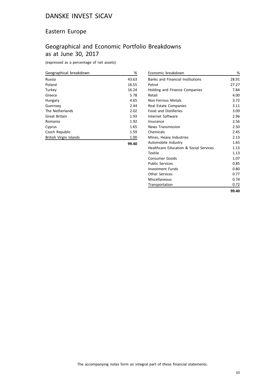## Eastern Europe

# Geographical and Economic Portfolio Breakdowns as at June 30, 2017

(expressed as a percentage of net assets)

| Geographical breakdown | %     |
|------------------------|-------|
| Russia                 | 43.63 |
| Poland                 | 16.55 |
| Turkey                 | 16.24 |
| Greece                 | 5.78  |
| Hungary                | 4.65  |
| Guernsey               | 2.44  |
| The Netherlands        | 2.02  |
| Great Britain          | 1.93  |
| Romania                | 1.92  |
| Cyprus                 | 1.65  |
| Czech Republic         | 1.59  |
| British Virgin Islands | 1.00  |
|                        | 99.40 |

| Economic breakdown                      | %     |
|-----------------------------------------|-------|
| <b>Banks and Financial Institutions</b> | 28.91 |
| Petrol                                  | 27.27 |
| Holding and Finance Companies           | 7.84  |
| Retail                                  | 4.00  |
| Non-Ferrous Metals                      | 3.72  |
| Real Estate Companies                   | 3.11  |
| <b>Food and Distilleries</b>            | 3.09  |
| Internet Software                       | 2.96  |
| Insurance                               | 2.56  |
| News Transmission                       | 2.50  |
| Chemicals                               | 2.45  |
| Mines, Heavy Industries                 | 2.13  |
| Automobile Industry                     | 1.65  |
| Healthcare Education & Social Services  | 1.13  |
| Textile                                 | 1.13  |
| Consumer Goods                          | 1.07  |
| <b>Public Services</b>                  | 0.85  |
| <b>Investment Funds</b>                 | 0.80  |
| <b>Other Services</b>                   | 0.77  |
| Miscellaneous                           | 0.74  |
| Transportation                          | 0.72  |
|                                         | 99.40 |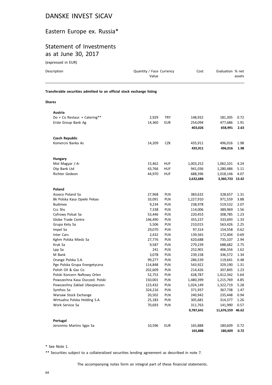## Eastern Europe ex. Russia\*

# Statement of Investments as at June 30, 2017

(expressed in EUR)

| (expressed in EUR)                                                     |                                   |            |                    |                    |              |
|------------------------------------------------------------------------|-----------------------------------|------------|--------------------|--------------------|--------------|
| Description                                                            | Quantity / Face Currency<br>Value |            | Cost               | Evaluation % net   | assets       |
| Transferable securities admitted to an official stock exchange listing |                                   |            |                    |                    |              |
| <b>Shares</b>                                                          |                                   |            |                    |                    |              |
| Austria                                                                |                                   |            |                    |                    |              |
| Do + Co Restaur. + Catering**                                          | 2,929                             | <b>TRY</b> | 148,932            | 181,305            | 0.72         |
| Erste Group Bank Ag                                                    | 14,360                            | <b>EUR</b> | 254,094            | 477,686            | 1.91         |
|                                                                        |                                   |            | 403,026            | 658,991            | 2.63         |
| <b>Czech Republic</b>                                                  |                                   |            |                    |                    |              |
| Komercni Banka As                                                      | 14,209                            | <b>CZK</b> | 435,911            | 496,016            | 1.98         |
|                                                                        |                                   |            | 435,911            | 496,016            | 1.98         |
|                                                                        |                                   |            |                    |                    |              |
| <b>Hungary</b><br>Mol Magyar /-A-                                      | 15,462                            | <b>HUF</b> | 1,003,252          | 1,062,101          | 4.24         |
| Otp Bank Ltd                                                           | 43,766                            | HUF        | 941,036            | 1,280,486          | 5.11         |
| Richter Gedeon                                                         | 44,970                            | HUF        | 688,396            | 1,018,146          | 4.07         |
|                                                                        |                                   |            | 2,632,684          | 3,360,733 13.42    |              |
|                                                                        |                                   |            |                    |                    |              |
| Poland                                                                 |                                   |            |                    |                    |              |
| Asseco Poland Sa                                                       | 27,968                            | PLN        | 383,632            | 328,657            | 1.31         |
| Bk Polska Kasa Opieki Pekao                                            | 33,091                            | PLN        | 1,227,910          | 971,559            | 3.88         |
| <b>Budimex</b>                                                         | 9,234                             | <b>PLN</b> | 238,978            | 519,532            | 2.07         |
| Ccc Shs                                                                | 7,338                             | PLN        | 114,006            | 389,969            | 1.56         |
| Cyfrowy Polsat Sa                                                      | 53,446                            | PLN        | 220,453            | 308,785            | 1.23         |
| Globe Trade Centre                                                     | 146,490                           | PLN        | 355,237            | 333,693            | 1.33         |
| Grupa Kety Sa                                                          | 5,506                             | PLN        | 210,015            | 563,426            | 2.25         |
| Impel Sa                                                               | 29,070                            | PLN        | 97,314             | 154,558            | 0.62         |
| Inter Cars                                                             | 2,432                             | <b>PLN</b> | 139,565            | 172,404            | 0.69         |
| Kghm Polska Miedz Sa                                                   | 27,776                            | PLN        | 620,688            | 735,107            | 2.94         |
| Kruk Sa                                                                | 9,587                             | PLN        | 279,239            | 688,682            | 2.75         |
| Lpp Sa                                                                 | 241                               | PLN        | 252,901            | 406,556            | 1.62         |
| M Bank                                                                 | 3,078                             | PLN        | 239,158            | 336,572            | 1.34         |
| Orange Polska S.A.                                                     | 99,277                            | <b>PLN</b> | 286,539            | 119,641            | 0.48         |
| Pge Polska Grupa Energetyczna                                          | 114,848                           | <b>PLN</b> | 543,922            | 329,190            | 1.31         |
| Polish Oil & Gas Co                                                    | 202,609                           | PLN        | 214,426            | 307,845            | 1.23         |
| Polski Koncern Naftowy Orlen                                           | 52,753                            | PLN        | 628,787            | 1,412,342          | 5.64         |
| Powszechna Kasa Oszczed. Polski                                        | 150,001                           | PLN        | 1,480,399          | 1,215,769          | 4.85         |
| Powszechny Zaklad Ubezpieczen                                          | 123,432                           | PLN        | 1,024,149          | 1,322,719          | 5.28         |
| Synthos Sa                                                             | 324,216                           | PLN        | 371,937            | 367,738            | 1.47         |
| Warsaw Stock Exchange                                                  | 20,502                            | PLN        | 240,942            | 235,448            | 0.94         |
| Wirtualna Polska Holding S.A.<br>Work Service Sa                       | 25,183<br>70,693                  | PLN<br>PLN | 305,681<br>311,763 | 314,377<br>141,990 | 1.26<br>0.57 |
|                                                                        |                                   |            |                    |                    |              |
|                                                                        |                                   |            | 9,787,641          | 11,676,559 46.62   |              |

| Portugal                 |        |     |         |              |      |
|--------------------------|--------|-----|---------|--------------|------|
| Jeronimo Martins Sgps Sa | 10.596 | EUR | 165.888 | 180.609 0.72 |      |
|                          |        |     | 165,888 | 180.609      | 0.72 |

\* See Note 1.

\*\* Securities subject to a collateralized securities lending agreement as described in note 7.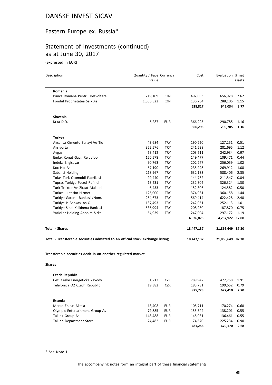## Eastern Europe ex. Russia\*

# Statement of Investments (continued) as at June 30, 2017

(expressed in EUR)

| Description                                                                    | Quantity / Face Currency<br>Value |            | Cost       | Evaluation % net | assets |
|--------------------------------------------------------------------------------|-----------------------------------|------------|------------|------------------|--------|
| <b>Romania</b>                                                                 |                                   |            |            |                  |        |
| Banca Romana Pentru Dezvoltare                                                 | 219,109                           | <b>RON</b> | 492,033    | 656,928          | 2.62   |
| Fondul Proprietatea Sa /Dis                                                    | 1,566,822                         | <b>RON</b> | 136,784    | 288,106          | 1.15   |
|                                                                                |                                   |            | 628,817    | 945,034          | 3.77   |
| Slovenia                                                                       |                                   |            |            |                  |        |
| Krka D.D.                                                                      | 5,287                             | <b>EUR</b> | 366,295    | 290,785          | 1.16   |
|                                                                                |                                   |            | 366,295    | 290,785          | 1.16   |
| <b>Turkey</b>                                                                  |                                   |            |            |                  |        |
| Akcansa Cimento Sanayi Ve Tic                                                  | 43,684                            | TRY        | 190,220    | 127,251          | 0.51   |
| Aksigorta                                                                      | 352,576                           | TRY        | 241,539    | 281,695          | 1.12   |
| Aygaz                                                                          | 63,412                            | TRY        | 203,611    | 242,934          | 0.97   |
| Emlak Konut Gayr. Reit /Ipo                                                    | 150,578                           | TRY        | 149,477    | 109,471          | 0.44   |
| Indeks Bilgisayar                                                              | 90,763                            | TRY        | 202,277    | 256,059          | 1.02   |
| Koc Hld As                                                                     | 67,190                            | <b>TRY</b> | 235,998    | 269,912          | 1.08   |
| Sabanci Holding                                                                | 218,967                           | TRY        | 632,133    | 588,406          | 2.35   |
| Tofas Turk Otomobil Fabrikasi                                                  | 29,440                            | <b>TRY</b> | 144,782    | 211,547          | 0.84   |
| Tupras Turkiye Petrol Rafinel                                                  | 13,231                            | <b>TRY</b> | 232,302    | 326,324          | 1.30   |
| Turk Traktor Ve Ziraat Makinel                                                 | 6,433                             | TRY        | 152,806    | 124,582          | 0.50   |
| Turkcell Iletisim Hizmet                                                       | 126,000                           | TRY        | 374,981    | 360,158          | 1.44   |
| Turkiye Garanti Bankasi / Nom.                                                 | 254,673                           | TRY        | 569,414    | 622,428          | 2.48   |
| Turkiye Is Bankasi As C                                                        | 137,493                           | TRY        | 242,051    | 252,113          | 1.01   |
| Turkiye Sinai Kalkinma Bankasi                                                 | 536,994                           | TRY        | 208,280    | 187,870          | 0.75   |
| Yazicilar Holding Anonim Sirke                                                 | 54,939                            | TRY        | 247,004    | 297,172          | 1.19   |
|                                                                                |                                   |            | 4,026,875  | 4,257,922 17.00  |        |
| <b>Total - Shares</b>                                                          |                                   |            | 18,447,137 | 21,866,649 87.30 |        |
| Total - Transferable securities admitted to an official stock exchange listing |                                   |            | 18,447,137 | 21,866,649 87.30 |        |
| Transferable securities dealt in on another regulated market<br><b>Shares</b>  |                                   |            |            |                  |        |
|                                                                                |                                   |            |            |                  |        |
| <b>Czech Republic</b>                                                          |                                   |            |            |                  |        |
| Cez. Ceske Energeticke Zavody                                                  | 31,213                            | <b>CZK</b> | 789,942    | 477,758          | 1.91   |
| Telefonica O2 Czech Republic                                                   | 19,382                            | <b>CZK</b> | 185,781    | 199,652          | 0.79   |
|                                                                                |                                   |            | 975,723    | 677,410          | 2.70   |
| Estonia                                                                        |                                   |            |            |                  |        |
| Merko Ehitus Aktsia                                                            | 18,408                            | <b>EUR</b> | 105,711    | 170,274          | 0.68   |
| Olympic Entertainment Group As                                                 | 79,885                            | <b>EUR</b> | 155,844    | 138,201          | 0.55   |
| Tallink Group As                                                               | 148,488                           | <b>EUR</b> | 145,031    | 136,461          | 0.55   |
| Tallinn Department Store                                                       | 24,482                            | <b>EUR</b> | 74,670     | 225,234          | 0.90   |
|                                                                                |                                   |            | 481,256    | 670,170          | 2.68   |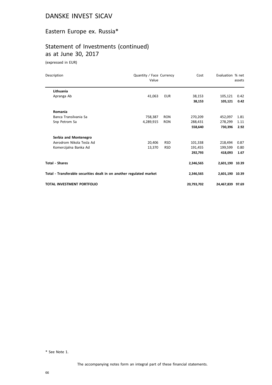## Eastern Europe ex. Russia\*

# Statement of Investments (continued) as at June 30, 2017

(expressed in EUR)

| Description                                                          | Quantity / Face Currency<br>Value |            | Cost       | Evaluation % net | assets |
|----------------------------------------------------------------------|-----------------------------------|------------|------------|------------------|--------|
| Lithuania                                                            |                                   |            |            |                  |        |
| Apranga Ab                                                           | 41,063                            | <b>EUR</b> | 38,153     | 105,121          | 0.42   |
|                                                                      |                                   |            | 38,153     | 105,121          | 0.42   |
| Romania                                                              |                                   |            |            |                  |        |
| Banca Transilvania Sa                                                | 758,387                           | <b>RON</b> | 270,209    | 452,097          | 1.81   |
| Snp Petrom Sa                                                        | 4,289,915                         | <b>RON</b> | 288,431    | 278,299          | 1.11   |
|                                                                      |                                   |            | 558,640    | 730,396          | 2.92   |
| Serbia and Montenegro                                                |                                   |            |            |                  |        |
| Aerodrom Nikola Tesla Ad                                             | 20,406                            | <b>RSD</b> | 101,338    | 218,494          | 0.87   |
| Komercijalna Banka Ad                                                | 13,370                            | <b>RSD</b> | 191,455    | 199,599          | 0.80   |
|                                                                      |                                   |            | 292,793    | 418,093          | 1.67   |
| <b>Total - Shares</b>                                                |                                   |            | 2,346,565  | 2,601,190 10.39  |        |
| Total - Transferable securities dealt in on another regulated market |                                   |            | 2,346,565  | 2,601,190 10.39  |        |
| TOTAL INVESTMENT PORTFOLIO                                           |                                   |            | 20,793,702 | 24,467,839 97.69 |        |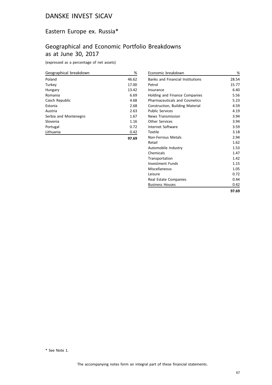## Eastern Europe ex. Russia\*

## Geographical and Economic Portfolio Breakdowns as at June 30, 2017

(expressed as a percentage of net assets)

| Geographical breakdown | %     |
|------------------------|-------|
| Poland                 | 46.62 |
| Turkey                 | 17.00 |
| Hungary                | 13.42 |
| Romania                | 6.69  |
| Czech Republic         | 4.68  |
| Estonia                | 2.68  |
| Austria                | 2.63  |
| Serbia and Montenegro  | 1.67  |
| Slovenia               | 1.16  |
| Portugal               | 0.72  |
| Lithuania              | 0.42  |
|                        | 97.69 |

| Economic breakdown                      | %     |
|-----------------------------------------|-------|
| <b>Banks and Financial Institutions</b> | 28.54 |
| Petrol                                  | 15.77 |
| Insurance                               | 6.40  |
| Holding and Finance Companies           | 5.56  |
| <b>Pharmaceuticals and Cosmetics</b>    | 5.23  |
| Construction, Building Material         | 4.59  |
| <b>Public Services</b>                  | 4.19  |
| <b>News Transmission</b>                | 3.94  |
| Other Services                          | 3.94  |
| Internet Software                       | 3.59  |
| Textile                                 | 3.18  |
| Non-Ferrous Metals                      | 2.94  |
| Retail                                  | 1.62  |
| Automobile Industry                     | 1.53  |
| Chemicals                               | 1.47  |
| Transportation                          | 1.42  |
| Investment Funds                        | 1.15  |
| Miscellaneous                           | 1.05  |
| l eisure                                | 0.72  |
| Real Estate Companies                   | 0.44  |
| <b>Business Houses</b>                  | 0.42  |
|                                         | 97.69 |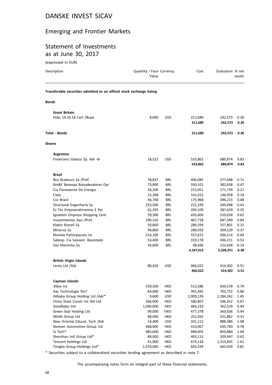# Emerging and Frontier Markets

#### Statement of Investments as at June 30, 2017

(expressed in EUR)

| Description                                                            | Quantity / Face Currency<br>Value |            | Cost               | Evaluation % net   | assets       |
|------------------------------------------------------------------------|-----------------------------------|------------|--------------------|--------------------|--------------|
| Transferable securities admitted to an official stock exchange listing |                                   |            |                    |                    |              |
| <b>Bonds</b>                                                           |                                   |            |                    |                    |              |
| <b>Great Britain</b>                                                   |                                   |            |                    |                    |              |
| Hsbc 19.10.18 Cert / Bupa                                              | 8,000                             | <b>USD</b> | 211,689            | 242,573            | 0.30         |
|                                                                        |                                   |            | 211,689            | 242,573            | 0.30         |
| Total - Bonds                                                          |                                   |            | 211,689            | 242,573            | 0.30         |
| Shares                                                                 |                                   |            |                    |                    |              |
| Argentina                                                              |                                   |            |                    |                    |              |
| Financiero Galacia Sp. Adr -B-                                         | 18,522                            | <b>USD</b> | 533,862            | 680,874            | 0.83         |
|                                                                        |                                   |            | 533,862            | 680,874            | 0.83         |
| <b>Brazil</b>                                                          |                                   |            |                    |                    |              |
| Bco Bradesco Sa /Pref.                                                 | 78,837                            | BRL        | 406,085            | 577,948            | 0.71         |
| Bm&F Bovespa Bolsadevalores Opr                                        | 73,900                            | <b>BRL</b> | 350,101            | 382,658            | 0.47         |
| Cia Paranaense De Energia                                              | 34,200                            | BRL        | 215,051            | 171,739            | 0.21         |
| Cielo                                                                  | 22,368                            | BRL        | 161,015            | 146,958            | 0.18         |
| Cvc Brasil                                                             | 46,700                            | <b>BRL</b> | 175,968            | 396,215            | 0.48         |
| Direcional Engenharia Sa                                               | 253,500                           | BRL        | 222,249            | 349,498            | 0.43         |
| Ez Tec Empreendimentos E Par                                           | 61,293                            | BRL        | 204,109            | 287,639            | 0.35         |
| Iguatemi Empresa Shopping Cent                                         | 59,300                            | BRL        | 433,600            | 510,034            | 0.62         |
| Investimentos Itau /Pref.                                              | 290,310                           | <b>BRL</b> | 467,718            | 687,349            | 0.84         |
| Klabin Riocell Sa                                                      | 59,800                            | BRL        | 286,594            | 257,801            | 0.31         |
| Minerva Sa                                                             | 94,800                            | BRL        | 289,033            | 304,129            | 0.37         |
| Movida Participacoes Sa                                                | 214,100                           | <b>BRL</b> | 557,615            | 566,514            | 0.69         |
| Sabesp. Cia Saneam. Basestado                                          | 53,400                            | BRL        | 319,178            | 436,211            | 0.53         |
| Sao Martinho Sa                                                        | 34,600                            | BRL        | 98,696             | 153,658            | 0.19         |
|                                                                        |                                   |            | 4,187,012          | 5,228,351          | 6.38         |
| <b>British Virgin Islands</b>                                          |                                   |            |                    |                    |              |
| Lenta Ltd /Gdr                                                         | 80,426                            | <b>USD</b> | 466,022            | 414,302            | 0.51         |
|                                                                        |                                   |            | 466,022            | 414,302            | 0.51         |
| Cayman Islands                                                         |                                   |            |                    |                    |              |
| 3Sbio Inc                                                              | 559,500                           | HKD        | 512,586            | 650,578            | 0.79         |
| Aac Technologie Shs*                                                   | 64,000                            | HKD        | 391,445            | 705,752            | 0.86         |
| Alibaba Group Holding Ltd /Adr*                                        | 9,600                             | <b>USD</b> | 1,009,139          | 1,184,262          | 1.45         |
| China State Constr Int Hld Ltd                                         | 366,000                           | HKD        | 580,807            | 546,352            | 0.67         |
| Goodbaby Intl                                                          | 1,000,000                         | HKD        | 466,233            | 362,529            | 0.44         |
| Green Seal Holding Ltd                                                 | 99,000                            | TWD        | 477,378            | 360,636            | 0.44         |
| Minth Group Ltd                                                        | 68,000                            | HKD        | 251,565            | 251,862            | 0.31         |
| New Oriental Educat. Tech / Adr<br>Nexteer Automotive Group Ltd        | 14,400                            | <b>USD</b> | 501,112            | 888,386            | 1.08         |
| Q Tech*                                                                | 468,000<br>982,000                | HKD<br>HKD | 414,067<br>489,005 | 639,783<br>850,880 | 0.78<br>1.04 |
| Shenzhou Intl Group Ltd*                                               | 89,000                            | HKD        | 403,113            | 509,947            | 0.62         |
| <b>Tencent Holdings Ltd</b>                                            | 41,900                            | HKD        | 679,126            | 1,315,835          | 1.61         |
| Tongda Group Holdings Ltd*                                             | 2,570,000                         | HKD        | 643,539            | 663,439            | 0.81         |
|                                                                        |                                   |            |                    |                    |              |

\* Securities subject to a collateralized securities lending agreement as described in note 7.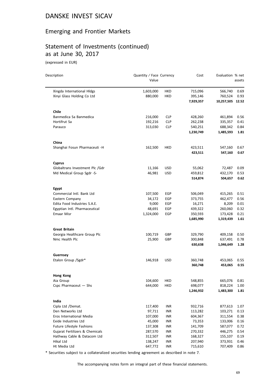## Emerging and Frontier Markets

#### Statement of Investments (continued) as at June 30, 2017

(expressed in EUR)

| Description                     | Quantity / Face Currency<br>Value |            | Cost               | Evaluation % net   | assets       |
|---------------------------------|-----------------------------------|------------|--------------------|--------------------|--------------|
| Xingda International Hldgs      | 1,603,000                         | HKD        | 715,096            | 566,740            | 0.69         |
| Xinyi Glass Holding Co Ltd      | 880,000                           | HKD        | 395,146            | 760,524            | 0.93         |
|                                 |                                   |            | 7,929,357          | 10,257,505 12.52   |              |
| Chile                           |                                   |            |                    |                    |              |
| Banmedica Sa Banmedica          | 216,000                           | <b>CLP</b> | 428,260            | 461,894            | 0.56         |
| Hortifrut Sa                    | 192,216                           | <b>CLP</b> | 262,238            | 335,357            | 0.41         |
| Parauco                         | 313,030                           | <b>CLP</b> | 540,251            | 688,342            | 0.84         |
|                                 |                                   |            | 1,230,749          | 1,485,593          | 1.81         |
| China                           |                                   |            |                    |                    |              |
| Shanghai Fosun Pharmaceuti -H   | 162,500                           | HKD        | 423,511            | 547,160            | 0.67         |
|                                 |                                   |            | 423,511            | 547,160            | 0.67         |
| <b>Cyprus</b>                   |                                   |            |                    |                    |              |
| Globaltrans Investment Plc /Gdr | 11,166                            | <b>USD</b> | 55,062             | 72,487             | 0.09         |
| Md Medical Group Sgdr -S-       | 46,981                            | USD        | 459,812            | 432,170            | 0.53         |
|                                 |                                   |            | 514,874            | 504,657            | 0.62         |
| Egypt                           |                                   |            |                    |                    |              |
| Commercial Intl. Bank Ltd       | 107,500                           | EGP        | 506,049            | 415,265            | 0.51         |
| Eastern Company                 | 34,172                            | EGP        | 373,755            | 462,477            | 0.56         |
| Edita Food Industries S.A.E.    | 9,000                             | EGP        | 16,271             | 8,209              | 0.01         |
| Egyptian Intl. Pharmaceutical   | 48,691                            | EGP        | 439,322            | 260,060            | 0.32         |
| Emaar Misr                      | 1,324,000                         | EGP        | 350,593            | 173,428            | 0.21         |
|                                 |                                   |            | 1,685,990          | 1,319,439          | 1.61         |
| <b>Great Britain</b>            |                                   |            |                    |                    |              |
| Georgia Healthcare Group Plc    | 100,719                           | GBP        | 329,790            | 409,158            | 0.50         |
| Nmc Health Plc                  | 25,900                            | GBP        | 300,848            | 637,491            | 0.78         |
|                                 |                                   |            | 630,638            | 1,046,649          | 1.28         |
| Guernsey<br>Etalon Group /Sgdr* | 146,918                           | <b>USD</b> |                    |                    |              |
|                                 |                                   |            | 360,748<br>360,748 | 453,065<br>453,065 | 0.55<br>0.55 |
|                                 |                                   |            |                    |                    |              |
| <b>Hong Kong</b>                |                                   |            |                    |                    |              |
| Aia Group                       | 104,600                           | <b>HKD</b> | 548,855            | 665,076            | 0.81         |
| Cspc Pharmaceut - Shs           | 644,000                           | HKD        | 698,077            | 818,224            | 1.00         |
|                                 |                                   |            | 1,246,932          | 1,483,300          | 1.81         |
| India                           |                                   |            |                    |                    |              |
| Cipla Ltd /Demat.               | 117,400                           | <b>INR</b> | 932,716            | 877,613            | 1.07         |
| Den Networks Ltd                | 97,711                            | <b>INR</b> | 113,282            | 103,271            | 0.13         |
| Eros International Media        | 107,000                           | INR        | 604,367            | 311,554            | 0.38         |
| Exide Industries Ltd            | 45,000                            | INR        | 73,353             | 133,006            | 0.16         |
| Future Lifestyle Fashions       | 137,308                           | INR        | 141,709            | 587,077            | 0.72         |
| Gujarat Fertilizers & Chemicals | 287,570                           | INR        | 270,332            | 446,275            | 0.54         |
| Hathway Cable & Datacom Ltd     | 312,507                           | <b>INR</b> | 168,327            | 155,107            | 0.19         |
| Hikal Ltd                       | 138,247                           | <b>INR</b> | 207,940            | 373,931            | 0.46         |
| Ht Media Ltd                    | 647,772                           | <b>INR</b> | 715,610            | 707,409            | 0.86         |

\* Securities subject to a collateralized securities lending agreement as described in note 7.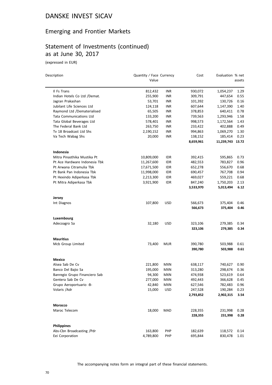## Emerging and Frontier Markets

# Statement of Investments (continued) as at June 30, 2017

(expressed in EUR)

| Description                    | Quantity / Face Currency<br>Value |            | Cost                 | Evaluation % net     | assets       |
|--------------------------------|-----------------------------------|------------|----------------------|----------------------|--------------|
| Il Fs Trans                    | 812,432                           | INR        | 930,072              | 1,054,237            | 1.29         |
| Indian Hotels Co Ltd /Demat.   | 255,900                           | <b>INR</b> | 309,791              | 447,654              | 0.55         |
| Jagran Prakashan               | 53,701                            | INR        | 101,392              | 130,726              | 0.16         |
| Jubilant Life Sciences Ltd     | 124,118                           | INR        | 607,644              | 1,147,390            | 1.40         |
| Raymond Ltd /Dematerialised    | 65,505                            | <b>INR</b> | 378,853              | 640,411              | 0.78         |
| <b>Tata Communications Ltd</b> | 133,200                           | INR        | 739,563              | 1,293,946            | 1.58         |
| Tata Global Beverages Ltd      | 578,401                           | INR        | 998,573              | 1,172,564            | 1.43         |
| The Federal Bank Ltd           | 263,750                           | INR        | 233,422              | 402,888              | 0.49         |
| Tv 18 Broadcast Ltd Shs        | 2,190,152                         | INR        | 994,863              | 1,069,270            | 1.30         |
| Va Tech Wabag Shs              | 20,000                            | <b>INR</b> | 138,152              | 185,414              | 0.23         |
|                                |                                   |            | 8,659,961            | 11,239,743 13.72     |              |
| Indonesia                      |                                   |            |                      |                      |              |
| Mitra Pinasthika Mustika Pt    | 10,809,000                        | IDR        | 392,415              | 595,865              | 0.73         |
| Pt Ace Hardware Indonesia Tbk  | 11,267,600                        | <b>IDR</b> | 482,553              | 783,827              | 0.96         |
| Pt Arwana Citramulia Tbk       | 17,671,500                        | IDR        | 652,278              | 556,670              | 0.68         |
| Pt Bank Pan Indonesia Tbk      | 11,998,000                        | <b>IDR</b> | 690,457              | 767,708              | 0.94         |
| Pt Hexindo Adiperkasa Tbk      | 2,213,300                         | IDR        | 469,027              | 559,221              | 0.68         |
| Pt Mitra Adiperkasa Tbk        | 3,921,900                         | IDR        | 847,240              | 1,750,203            | 2.13         |
|                                |                                   |            | 3,533,970            | 5,013,494            | 6.12         |
| Jersey                         |                                   |            |                      |                      |              |
| Int Diagnos                    | 107,800                           | USD        | 566,673<br>566,673   | 375,404<br>375,404   | 0.46<br>0.46 |
| Luxembourg                     |                                   |            |                      |                      |              |
| Adecoagro Sa                   | 32,180                            | <b>USD</b> | 323,106              | 279,385              | 0.34         |
|                                |                                   |            | 323,106              | 279,385              | 0.34         |
| <b>Mauritius</b>               |                                   |            |                      |                      |              |
| Mcb Group Limited              | 73,400                            | <b>MUR</b> | 390,780              | 503,988              | 0.61         |
|                                |                                   |            | 390,780              | 503,988              | 0.61         |
| Mexico                         |                                   |            |                      |                      |              |
| Alsea Sab De Cv                | 221,800                           | MXN        | 638,117              | 740,627              | 0.90         |
| Banco Del Bajio Sa             | 195,000                           | <b>MXN</b> | 313,280              | 298,674              | 0.36         |
| Banregio Grupo Financiero Sab  | 94,300                            | <b>MXN</b> | 474,938              | 523,619              | 0.64         |
| Gentera Sab De Cv              | 277,000                           | MXN        | 492,443              | 366,628              | 0.45         |
| Grupo Aeroportuario -B-        | 42,840                            | <b>MXN</b> | 627,546              | 782,483              | 0.96         |
| Volaris /Adr                   | 15,000                            | <b>USD</b> | 247,528<br>2,793,852 | 190,284<br>2,902,315 | 0.23<br>3.54 |
|                                |                                   |            |                      |                      |              |
| Morocco<br>Maroc Telecom       | 18,000                            | MAD        | 228,355              | 231,998              | 0.28         |
|                                |                                   |            | 228,355              | 231,998              | 0.28         |
| <b>Philippines</b>             |                                   |            |                      |                      |              |
| Abs-Cbn Broadcasting /Pdr      | 163,800                           | PHP        | 182,639              | 118,572              | 0.14         |
| Eei Corporation                | 4,789,800                         | PHP        | 695,844              | 830,478              | 1.01         |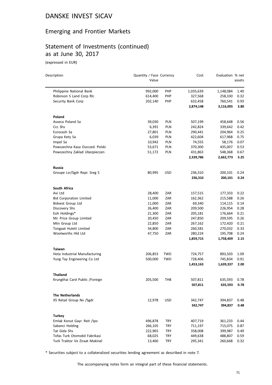## Emerging and Frontier Markets

# Statement of Investments (continued) as at June 30, 2017

(expressed in EUR)

| Description                     | Quantity / Face Currency<br>Value |            | Cost                 | Evaluation % net     | assets       |
|---------------------------------|-----------------------------------|------------|----------------------|----------------------|--------------|
|                                 |                                   |            |                      |                      |              |
| Philippine National Bank        | 992,000                           | <b>PHP</b> | 1,035,639            | 1,148,084            | 1.40         |
| Robinson S Land Corp Rlc        | 614,400                           | PHP        | 327,568              | 258,330              | 0.32         |
| Security Bank Corp              | 202,140                           | PHP        | 632,458<br>2,874,148 | 760,541<br>3,116,005 | 0.93<br>3.80 |
| Poland                          |                                   |            |                      |                      |              |
| Asseco Poland Sa                | 39,030                            | <b>PLN</b> | 507,199              | 458,648              | 0.56         |
| Ccc Shs                         | 6,391                             | <b>PLN</b> | 242,824              | 339,642              | 0.42         |
| Eurocash Sa                     | 27,801                            | PLN        | 290,441              | 204,964              | 0.25         |
| Grupa Kety Sa                   | 6,039                             | <b>PLN</b> | 422,604              | 617,968              | 0.75         |
| Impel Sa                        | 10,942                            | <b>PLN</b> | 74,555               | 58,176               | 0.07         |
| Powszechna Kasa Oszczed. Polski | 53,671                            | PLN        | 370,300              | 435,007              | 0.53         |
| Powszechny Zaklad Ubezpieczen   | 51,172                            | PLN        | 431,863              | 548,368              | 0.67         |
|                                 |                                   |            | 2,339,786            | 2,662,773            | 3.25         |
| <b>Russia</b>                   |                                   |            |                      |                      |              |
| Groupe Lsr/Sgdr Repr. Sreg S    | 80,995                            | <b>USD</b> | 236,310              | 200,101              | 0.24         |
|                                 |                                   |            | 236,310              | 200,101              | 0.24         |
| South Africa                    |                                   |            |                      |                      |              |
| Avi Ltd                         | 28,400                            | ZAR        | 157,515              | 177,333              | 0.22         |
| <b>Bid Corporation Limited</b>  | 11,000                            | ZAR        | 162,362              | 215,588              | 0.26         |
| <b>Bidvest Group Ltd</b>        | 11,000                            | ZAR        | 69,340               | 114,115              | 0.14         |
| Discovery Shs                   | 26,400                            | ZAR        | 209,500              | 226,954              | 0.28         |
| Eoh Holdings*                   | 21,300                            | ZAR        | 205,181              | 176,664              | 0.21         |
| Mr. Price Group Limited         | 20,450                            | ZAR        | 247,850              | 209,595              | 0.26         |
| Mtn Group Ltd                   | 22,850                            | ZAR        | 267,162              | 172,420              | 0.21         |
| Tongaat Hulett Limited          | 34,800                            | ZAR        | 260,581              | 270,032              | 0.33         |
| Woolworths Hld Ltd              | 47,750                            | ZAR        | 280,224<br>1,859,715 | 195,708<br>1,758,409 | 0.24<br>2.15 |
| <b>Taiwan</b>                   |                                   |            |                      |                      |              |
| Hota Industrial Manufacturing   | 206,853                           | TWD        | 724,757              | 893,503              | 1.09         |
| Yung Tay Engineering Co Ltd     | 500,000                           | TWD        | 728,406              | 745,834              | 0.91         |
|                                 |                                   |            | 1,453,163            | 1,639,337            | 2.00         |
| <b>Thailand</b>                 |                                   |            |                      |                      |              |
| Krungthai Card Public /Foreign  | 205,500                           | THB        | 507,811              | 635,593              | 0.78         |
|                                 |                                   |            | 507,811              | 635,593              | 0.78         |
| <b>The Netherlands</b>          |                                   |            |                      |                      |              |
| X5 Retail Group Nv /Sgdr        | 12,978                            | <b>USD</b> | 342,747              | 394,837              | 0.48         |
|                                 |                                   |            | 342,747              | 394,837              | 0.48         |
| <b>Turkey</b>                   |                                   |            |                      |                      |              |
| Emlak Konut Gayr. Reit /Ipo     | 496,878                           | TRY        | 407,719              | 361,233              | 0.44         |
| Sabanci Holding                 | 266,105                           | TRY        | 711,197              | 715,075              | 0.87         |
| Tat Gida Shs                    | 222,965                           | TRY        | 358,008              | 399,987              | 0.49         |
| Tofas Turk Otomobil Fabrikasi   | 68,025                            | <b>TRY</b> | 449,638              | 488,807              | 0.59         |
| Turk Traktor Ve Ziraat Makinel  | 13,460                            | <b>TRY</b> | 295,341              | 260,668              | 0.32         |

\* Securities subject to a collateralized securities lending agreement as described in note 7.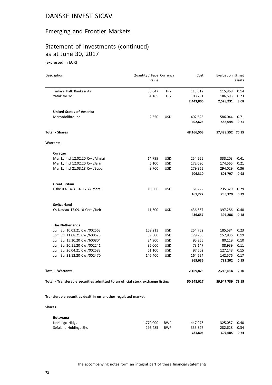## Emerging and Frontier Markets

#### Statement of Investments (continued) as at June 30, 2017

(expressed in EUR)

| Description                                                                    | Quantity / Face Currency<br>Value |            | Cost       | Evaluation % net | assets |
|--------------------------------------------------------------------------------|-----------------------------------|------------|------------|------------------|--------|
| Turkiye Halk Bankasi As                                                        | 35,647                            | <b>TRY</b> | 113,612    | 115,868          | 0.14   |
| Yatak Ve Yo                                                                    | 64,165                            | <b>TRY</b> | 108,291    | 186,593          | 0.23   |
|                                                                                |                                   |            | 2,443,806  | 2,528,231        | 3.08   |
| <b>United States of America</b>                                                |                                   |            |            |                  |        |
| Mercadolibre Inc                                                               | 2,650                             | <b>USD</b> | 402,625    | 586,044          | 0.71   |
|                                                                                |                                   |            | 402,625    | 586,044          | 0.71   |
| <b>Total - Shares</b>                                                          |                                   |            | 48,166,503 | 57,488,552 70.15 |        |
| Warrants                                                                       |                                   |            |            |                  |        |
| Curaçao                                                                        |                                   |            |            |                  |        |
| Mer Ly Intl 12.02.20 Cw / Almrai                                               | 14,799                            | <b>USD</b> | 254,255    | 333,203          | 0.41   |
| Mer Ly Intl 12.02.20 Cw /Jarir                                                 | 5,100                             | <b>USD</b> | 172,090    | 174,565          | 0.21   |
| Mer Ly Intl 21.03.18 Cw / Bupa                                                 | 9,700                             | <b>USD</b> | 279,965    | 294,029          | 0.36   |
|                                                                                |                                   |            | 706,310    | 801,797          | 0.98   |
| <b>Great Britain</b>                                                           |                                   |            |            |                  |        |
| Hsbc 0% 14-31.07.17 / Almarai                                                  | 10,666                            | <b>USD</b> | 161,222    | 235,329          | 0.29   |
|                                                                                |                                   |            | 161,222    | 235,329          | 0.29   |
| <b>Switzerland</b>                                                             |                                   |            |            |                  |        |
| Cs Nassau 17.09.18 Cert /Jarir                                                 | 11,600                            | <b>USD</b> | 436,657    | 397,286          | 0.48   |
|                                                                                |                                   |            | 436,657    | 397,286          | 0.48   |
| <b>The Netherlands</b>                                                         |                                   |            |            |                  |        |
| Jpm Str 10.03.21 Cw /002563                                                    | 169,213                           | <b>USD</b> | 254,752    | 185,584          | 0.23   |
| Jpm Str 11.08.21 Cw /600525                                                    | 89,800                            | <b>USD</b> | 179,756    | 157,836          | 0.19   |
| Jpm Str 15.10.20 Cw /600804                                                    | 34,900                            | <b>USD</b> | 95,855     | 80,119           | 0.10   |
| Jpm Str 20.11.20 Cw /002241                                                    | 36,000                            | <b>USD</b> | 73,147     | 88,939           | 0.11   |
| Jpm Str 26.04.21 Cw /002583                                                    | 61,100                            | <b>USD</b> | 97,502     | 127,148          | 0.15   |
| Jpm Str 31.12.20 Cw /002470                                                    | 146,400                           | <b>USD</b> | 164,624    | 142,576          | 0.17   |
|                                                                                |                                   |            | 865,636    | 782,202          | 0.95   |
| Total - Warrants                                                               |                                   |            | 2,169,825  | 2,216,614        | 2.70   |
| Total - Transferable securities admitted to an official stock exchange listing |                                   |            | 50,548,017 | 59,947,739 73.15 |        |
|                                                                                |                                   |            |            |                  |        |

**Transferable securities dealt in on another regulated market**

#### **Shares**

| <b>Botswana</b>       |           |            |         |              |      |
|-----------------------|-----------|------------|---------|--------------|------|
| Letshego Hidgs        | 1.770.000 | <b>BWP</b> | 447.978 | 325.057      | 0.40 |
| Sefalana Holdings Shs | 296.485   | <b>BWP</b> | 333.827 | 282.628 0.34 |      |
|                       |           |            | 781.805 | 607.685      | 0.74 |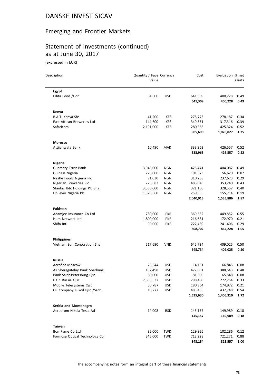#### Emerging and Frontier Markets

## Statement of Investments (continued) as at June 30, 2017

(expressed in EUR)

| Description                   | Quantity / Face Currency<br>Value |            | Cost      | Evaluation % net | assets |
|-------------------------------|-----------------------------------|------------|-----------|------------------|--------|
| Egypt                         |                                   |            |           |                  |        |
| Edita Food /Gdr               | 84,600                            | <b>USD</b> | 641,309   | 400,228          | 0.49   |
|                               |                                   |            | 641,309   | 400,228          | 0.49   |
| Kenya                         |                                   |            |           |                  |        |
| B.A.T. Kenya-Shs              | 41,200                            | KES        | 275,773   | 278,187          | 0.34   |
| East African Breweries Ltd    | 144,600                           | <b>KES</b> | 349,551   | 317,316          | 0.39   |
| Safaricom                     | 2,191,000                         | <b>KES</b> | 280,366   | 425,324          | 0.52   |
|                               |                                   |            | 905,690   | 1,020,827        | 1.25   |
| Morocco                       |                                   |            |           |                  |        |
| Attijariwafa Bank             | 10,490                            | MAD        | 333,963   | 426,557          | 0.52   |
|                               |                                   |            | 333,963   | 426,557          | 0.52   |
| <b>Nigeria</b>                |                                   |            |           |                  |        |
| <b>Guaranty Trust Bank</b>    | 3,945,000                         | <b>NGN</b> | 425,441   | 404,082          | 0.49   |
| Guiness Nigeria               | 276,000                           | <b>NGN</b> | 191,673   | 56,620           | 0.07   |
| Nestle Foods Nigeria Plc      | 91,030                            | <b>NGN</b> | 310,268   | 237,673          | 0.29   |
| Nigerian Breweries Plc        | 775,682                           | <b>NGN</b> | 483,046   | 353,240          | 0.43   |
| Stanbic Ibtc Holdings Plc Shs | 3,530,000                         | <b>NGN</b> | 371,150   | 328,557          | 0.40   |
| Unilever Nigeria Plc          | 1,328,560                         | <b>NGN</b> | 259,335   | 155,714          | 0.19   |
|                               |                                   |            | 2,040,913 | 1,535,886        | 1.87   |
| Pakistan                      |                                   |            |           |                  |        |
| Adamjee Insurance Co Ltd      | 780,000                           | <b>PKR</b> | 369,532   | 449,852          | 0.55   |
| Hum Network Ltd               | 1,800,000                         | <b>PKR</b> | 216,681   | 172,970          | 0.21   |
| Shifa Intl                    | 90,000                            | <b>PKR</b> | 222,489   | 241,406          | 0.29   |
|                               |                                   |            | 808,702   | 864,228          | 1.05   |
| <b>Philippines</b>            |                                   |            |           |                  |        |
| Vietnam Sun Corporation Shs   | 517,690                           | <b>VND</b> | 645,734   | 409,025          | 0.50   |
|                               |                                   |            | 645,734   | 409,025          | 0.50   |
| <b>Russia</b>                 |                                   |            |           |                  |        |
| Aeroflot Moscow               | 23,544                            | <b>USD</b> | 14,131    | 66,845           | 0.08   |
| Ak Sberegatelny Bank Sberbank | 182,498                           | <b>USD</b> | 477,801   | 388,643          | 0.48   |
| Bank Saint-Petersburg Pjsc    | 80,000                            | <b>USD</b> | 81,369    | 65,848           | 0.08   |
| E.On Russia Ojsc              | 7,355,532                         | <b>USD</b> | 298,480   | 272,254          | 0.33   |
| Mobile Telesystems Ojsc       | 50,787                            | <b>USD</b> | 180,364   | 174,972          | 0.21   |
| Oil Company Lukoil Pisc /Sadr | 10,277                            | <b>USD</b> | 483,485   | 437,748          | 0.54   |
|                               |                                   |            | 1,535,630 | 1,406,310        | 1.72   |
| Serbia and Montenegro         |                                   |            |           |                  |        |
| Aerodrom Nikola Tesla Ad      | 14,008                            | <b>RSD</b> | 145,157   | 149,989          | 0.18   |
|                               |                                   |            | 145,157   | 149,989          | 0.18   |
| Taiwan                        |                                   |            |           |                  |        |
| Bon Fame Co Ltd               | 32,000                            | TWD        | 129,926   | 102,286          | 0.12   |
| Formosa Optical Technology Co | 345,000                           | <b>TWD</b> | 713,228   | 721,271          | 0.88   |
|                               |                                   |            | 843,154   | 823,557          | 1.00   |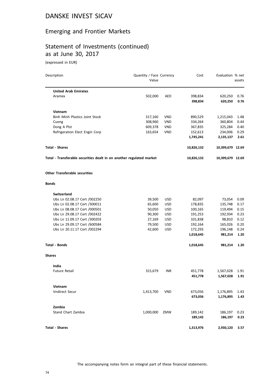#### Emerging and Frontier Markets

## Statement of Investments (continued) as at June 30, 2017

(expressed in EUR)

| Description                                                          | Quantity / Face Currency |            | Cost             | Evaluation % net |        |
|----------------------------------------------------------------------|--------------------------|------------|------------------|------------------|--------|
|                                                                      | Value                    |            |                  |                  | assets |
| <b>United Arab Emirates</b>                                          |                          |            |                  |                  |        |
| Aramex                                                               | 502,000                  | <b>AED</b> | 398,834          | 620,250          | 0.76   |
|                                                                      |                          |            | 398,834          | 620,250          | 0.76   |
| <b>Vietnam</b>                                                       |                          |            |                  |                  |        |
| Binh Minh Plastics Joint Stock                                       | 317,160                  | <b>VND</b> | 890,529          | 1,215,043        | 1.48   |
| Cuong                                                                | 308,960                  | <b>VND</b> | 334,264          | 360,804          | 0.44   |
| Dong A Plst                                                          | 609,378                  | <b>VND</b> | 367,835          | 325,284          | 0.40   |
| Refrigeration Elect Engin Corp                                       | 163,654                  | VND        | 152,613          | 234,006          | 0.29   |
|                                                                      |                          |            | 1,745,241        | 2,135,137        | 2.61   |
| <b>Total - Shares</b>                                                |                          |            | 10,826,132       | 10,399,679 12.69 |        |
| Total - Transferable securities dealt in on another regulated market |                          | 10,826,132 | 10,399,679 12.69 |                  |        |
| <b>Other Transferable securities</b>                                 |                          |            |                  |                  |        |
| <b>Bonds</b>                                                         |                          |            |                  |                  |        |
| Switzerland                                                          |                          |            |                  |                  |        |
| Ubs Ln 02.08.17 Cert /002250                                         | 39,500                   | <b>USD</b> | 82,097           | 73,054           | 0.09   |
| Ubs Ln 02.08.17 Cert /300011                                         | 65,600                   | <b>USD</b> | 178,835          | 135,748          | 0.17   |
| Ubs Ln 08.08.17 Cert /000501                                         | 50,050                   | <b>USD</b> | 100,165          | 119,494          | 0.15   |
| Ubs Ln 29.08.17 Cert /002422                                         | 90,300                   | <b>USD</b> | 191,253          | 192,934          | 0.23   |
| Ubs Ln 11.09.17 Cert /300203                                         | 27,169                   | <b>USD</b> | 101,838          | 98,810           | 0.12   |
| Ubs Ln 29.09.17 Cert /600584                                         | 79,500                   | <b>USD</b> | 192,164          | 165,026          | 0.20   |
| Ubs Ln 20.11.17 Cert /002294                                         | 42,600                   | <b>USD</b> | 172,293          | 196,148          | 0.24   |
|                                                                      |                          |            | 1,018,645        | 981,214          | 1.20   |
| <b>Total - Bonds</b>                                                 |                          |            | 1,018,645        | 981,214          | 1.20   |
| <b>Shares</b>                                                        |                          |            |                  |                  |        |
| India                                                                |                          |            |                  |                  |        |
| <b>Future Retail</b>                                                 | 315,679                  | <b>INR</b> | 451,778          | 1,567,028        | 1.91   |
|                                                                      |                          |            | 451,778          | 1,567,028        | 1.91   |
| Vietnam                                                              |                          |            |                  |                  |        |
| Vndirect Secur                                                       | 1,413,700                | <b>VND</b> | 673,056          | 1,176,895        | 1.43   |
|                                                                      |                          |            | 673,056          | 1,176,895        | 1.43   |
| Zambia                                                               |                          |            |                  |                  |        |
| Stand Chart Zambia                                                   | 1,000,000                | ZMW        | 189,142          | 186,197          | 0.23   |
|                                                                      |                          |            | 189,142          | 186,197          | 0.23   |
| <b>Total - Shares</b>                                                |                          |            | 1,313,976        | 2,930,120        | 3.57   |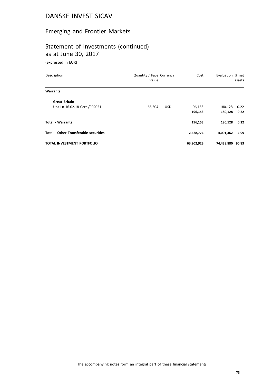# Emerging and Frontier Markets

## Statement of Investments (continued) as at June 30, 2017

(expressed in EUR)

| Description                                  | Quantity / Face Currency<br>Value | Cost       | Evaluation % net | assets |
|----------------------------------------------|-----------------------------------|------------|------------------|--------|
| <b>Warrants</b>                              |                                   |            |                  |        |
| <b>Great Britain</b>                         |                                   |            |                  |        |
| Ubs Ln 16.02.18 Cert /002051                 | 66,604<br><b>USD</b>              | 196,153    | 180,128          | 0.22   |
|                                              |                                   | 196,153    | 180,128          | 0.22   |
| <b>Total - Warrants</b>                      |                                   | 196,153    | 180,128          | 0.22   |
| <b>Total - Other Transferable securities</b> |                                   | 2,528,774  | 4,091,462        | 4.99   |
| <b>TOTAL INVESTMENT PORTFOLIO</b>            |                                   | 63,902,923 | 74,438,880       | 90.83  |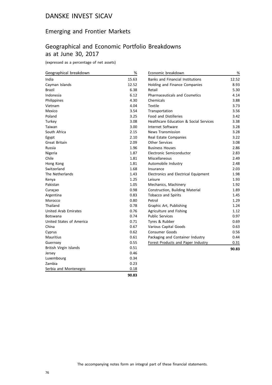#### Emerging and Frontier Markets

## Geographical and Economic Portfolio Breakdowns as at June 30, 2017

(expressed as a percentage of net assets)

| Geographical breakdown      | $\%$  | Economic breakdown                                | %     |
|-----------------------------|-------|---------------------------------------------------|-------|
| India                       | 15.63 | <b>Banks and Financial Institutions</b>           | 12.52 |
| Cayman Islands              | 12.52 | Holding and Finance Companies                     | 8.93  |
| <b>Brazil</b>               | 6.38  | Retail                                            | 5.30  |
| Indonesia                   | 6.12  | <b>Pharmaceuticals and Cosmetics</b>              | 4.14  |
| Philippines                 | 4.30  | Chemicals                                         | 3.88  |
| Vietnam                     | 4.04  | Textile                                           | 3.73  |
| Mexico                      | 3.54  | Transportation                                    | 3.56  |
| Poland                      | 3.25  | <b>Food and Distilleries</b>                      | 3.42  |
| Turkey                      | 3.08  | <b>Healthcare Education &amp; Social Services</b> | 3.38  |
| Taiwan                      | 3.00  | Internet Software                                 | 3.28  |
| South Africa                | 2.15  | <b>News Transmission</b>                          | 3.28  |
| Egypt                       | 2.10  | Real Estate Companies                             | 3.22  |
| Great Britain               | 2.09  | <b>Other Services</b>                             | 3.08  |
| Russia                      | 1.96  | <b>Business Houses</b>                            | 2.86  |
| Nigeria                     | 1.87  | Electronic Semiconductor                          | 2.83  |
| Chile                       | 1.81  | Miscellaneous                                     | 2.49  |
| Hong Kong                   | 1.81  | Automobile Industry                               | 2.48  |
| Switzerland                 | 1.68  | Insurance                                         | 2.03  |
| The Netherlands             | 1.43  | Electronics and Electrical Equipment              | 1.98  |
| Kenya                       | 1.25  | Leisure                                           | 1.93  |
| Pakistan                    | 1.05  | Mechanics, Machinery                              | 1.92  |
| Curaçao                     | 0.98  | Construction, Building Material                   | 1.89  |
| Argentina                   | 0.83  | Tobacco and Spirits                               | 1.45  |
| Morocco                     | 0.80  | Petrol                                            | 1.29  |
| Thailand                    | 0.78  | Graphic Art, Publishing                           | 1.24  |
| <b>United Arab Emirates</b> | 0.76  | Agriculture and Fishing                           | 1.12  |
| <b>Botswana</b>             | 0.74  | <b>Public Services</b>                            | 0.97  |
| United States of America    | 0.71  | Tyres & Rubber                                    | 0.69  |
| China                       | 0.67  | Various Capital Goods                             | 0.63  |
| Cyprus                      | 0.62  | <b>Consumer Goods</b>                             | 0.56  |
| <b>Mauritius</b>            | 0.61  | Packaging and Container Industry                  | 0.44  |
| Guernsey                    | 0.55  | Forest Products and Paper Industry                | 0.31  |
| British Virgin Islands      | 0.51  |                                                   | 90.83 |
| Jersey                      | 0.46  |                                                   |       |
| Luxembourg                  | 0.34  |                                                   |       |
| Zambia                      | 0.23  |                                                   |       |
| Serbia and Montenegro       | 0.18  |                                                   |       |
|                             | 90.83 |                                                   |       |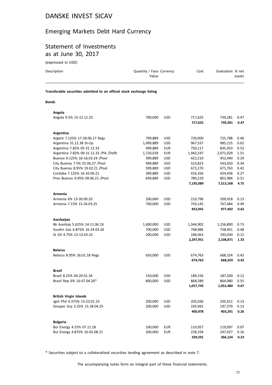#### Emerging Markets Debt Hard Currency

## Statement of Investments as at June 30, 2017

(expressed in USD)

| Description                                                            | Quantity / Face Currency<br>Value | Cost | Evaluation % net<br>assets |
|------------------------------------------------------------------------|-----------------------------------|------|----------------------------|
| Transferable securities admitted to an official stock exchange listing |                                   |      |                            |
| <b>Bonds</b>                                                           |                                   |      |                            |

| Angola                                                  |                      |                          |                    |                    |              |
|---------------------------------------------------------|----------------------|--------------------------|--------------------|--------------------|--------------|
| Angola 9.5% 15-12.11.25                                 | 700,000              | <b>USD</b>               | 717,625            | 739,281            | 0.47         |
|                                                         |                      |                          | 717,625            | 739,281            | 0.47         |
|                                                         |                      |                          |                    |                    |              |
| <b>Argentina</b>                                        |                      |                          |                    |                    |              |
| Argent 7.125% 17-28.06.17 Regs                          | 799,889<br>1,499,889 | <b>USD</b><br><b>USD</b> | 720,000<br>967,537 | 725,788<br>985,125 | 0.46<br>0.62 |
| Argentina 31.12.38 St-Up<br>Argentina 7.82% 05-31.12.33 | 499,889              | <b>EUR</b>               | 750,117            | 835,953            | 0.53         |
| Argentina 7.82% 09-31.12.33 /Pik /Deflt                 | 1,720,018            | <b>EUR</b>               | 1,942,547          | 2,071,029          | 1.31         |
| Buenos 9.125% 16-16.03.24 /Pool                         | 399,889              | <b>USD</b>               | 422,210            | 452,440            | 0.29         |
| City Buenos 7.5% 01.06.27 / Pool                        | 499,889              | <b>USD</b>               | 523,823            | 543,650            | 0.34         |
| City Buenos 8.95% 19.02.21 / Pool                       | 599,889              | <b>USD</b>               | 672,270            | 671,763            | 0.42         |
| Cordoba 7.125% 16-10.06.21                              | 399,889              | <b>USD</b>               | 416,356            | 424,436            | 0.27         |
| Prov Buenos 9.95% 09.06.21 /Pool                        | 699,889              | <b>USD</b>               | 780,229            | 802,984            | 0.51         |
|                                                         |                      |                          | 7,195,089          | 7,513,168          | 4.75         |
|                                                         |                      |                          |                    |                    |              |
| Armenia<br>Armenia 6% 13-30.09.20                       | 200,000              | <b>USD</b>               | 210,796            | 209,918            | 0.13         |
| Armenia 7.15% 15-26.03.25                               | 700,000              | <b>USD</b>               | 743,145            | 767,484            | 0.49         |
|                                                         |                      |                          | 953,941            | 977,402            | 0.62         |
|                                                         |                      |                          |                    |                    |              |
| Azerbaijan                                              |                      |                          |                    |                    |              |
| Bk Azerbaij 5.625% 14-11.06.19                          | 1,400,000            | USD                      | 1,344,902          | 1,156,890          | 0.73         |
| Southn Gas 6.875% 16-24.03.26                           | 700,000              | <b>USD</b>               | 768,986            | 758,951            | 0.48         |
| St Oil 4.75% 13-13.03.23                                | 200,000              | <b>USD</b>               | 184,063            | 193,030            | 0.12         |
|                                                         |                      |                          | 2,297,951          | 2,108,871          | 1.33         |
| <b>Belarus</b>                                          |                      |                          |                    |                    |              |
| Belarus 8.95% 26.01.18 Regs                             | 650,000              | <b>USD</b>               | 674,763            | 668,324            | 0.42         |
|                                                         |                      |                          | 674,763            | 668,324            | 0.42         |
| <b>Brazil</b>                                           |                      |                          |                    |                    |              |
| Brazil 8.25% 04-20.01.34                                | 150,000              | <b>USD</b>               | 189,156            | 187,500            | 0.12         |
| Brazil Rep 6% 16-07.04.26*                              | 800,000              | <b>USD</b>               | 868,589            | 864,980            | 0.55         |
|                                                         |                      |                          | 1,057,745          | 1,052,480          | 0.67         |
|                                                         |                      |                          |                    |                    |              |
| <b>British Virgin Islands</b>                           |                      |                          |                    |                    |              |
| Jgsh Phil 4.375% 13-23.01.23                            | 200,000              | <b>USD</b>               | 205,036            | 205,912            | 0.13         |
| Sinopec Grp 3.25% 15-28.04.25                           | 200,000              | <b>USD</b>               | 195,942            | 197,379            | 0.13         |
|                                                         |                      |                          | 400,978            | 403,291            | 0.26         |
| <b>Bulgaria</b>                                         |                      |                          |                    |                    |              |
| Bul Energy 4.25% 07.11.18                               | 100,000              | <b>EUR</b>               | 110,957            | 119,097            | 0.07         |
| Bul Energy 4.875% 16-02.08.21                           | 200,000              | <b>EUR</b>               | 228,334            | 247,027            | 0.16         |
|                                                         |                      |                          | 339,291            | 366,124            | 0.23         |

\* Securities subject to a collateralized securities lending agreement as described in note 7.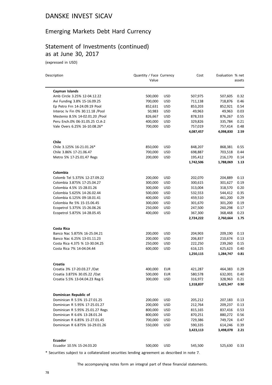## Emerging Markets Debt Hard Currency

#### Statement of Investments (continued) as at June 30, 2017

(expressed in USD)

| Description                      | Quantity / Face Currency |            | Cost      | Evaluation % net |        |
|----------------------------------|--------------------------|------------|-----------|------------------|--------|
|                                  | Value                    |            |           |                  | assets |
| Cayman Islands                   |                          |            |           |                  |        |
| Amb Circle 3.25% 12-04.12.22     | 500,000                  | <b>USD</b> | 507,975   | 507,605          | 0.32   |
| Avi Funding 3.8% 15-16.09.25     | 700,000                  | <b>USD</b> | 711,138   | 718,876          | 0.46   |
| Ep Petro Frn 14-24.09.19 Pool    | 852,631                  | <b>USD</b> | 853,203   | 852,921          | 0.54   |
| Interoc Iv Fin 0% 30.11.18 /Pool | 50,983                   | <b>USD</b> | 49,963    | 49,963           | 0.03   |
| Mestenio 8.5% 14-02.01.20 /Pool  | 826,667                  | <b>USD</b> | 878,333   | 876,267          | 0.55   |
| Peru Ench.0% 06-31.05.25 Cl.A-2  | 400,000                  | <b>USD</b> | 329,826   | 335,784          | 0.21   |
| Vale Overs 6.25% 16-10.08.26*    | 700,000                  | <b>USD</b> | 757,019   | 757,414          | 0.48   |
|                                  |                          |            | 4,087,457 | 4,098,830        | 2.59   |
| Chile                            |                          |            |           |                  |        |
| Chile 3.125% 16-21.01.26*        | 850,000                  | <b>USD</b> | 848,207   | 868,381          | 0.55   |
| Chile 3.86% 17-21.06.47          | 700,000                  | <b>USD</b> | 698,887   | 703,518          | 0.44   |
| Metro 5% 17-25.01.47 Regs        | 200,000                  | <b>USD</b> | 195,412   | 216,170          | 0.14   |
|                                  |                          |            | 1,742,506 | 1,788,069        | 1.13   |
| Colombia                         |                          |            |           |                  |        |
| Colomb Tel 5.375% 12-27.09.22    | 200,000                  | <b>USD</b> | 202,070   | 204,889          | 0.13   |
| Colombia 3.875% 17-25.04.27      | 300,000                  | <b>USD</b> | 300,615   | 301,627          | 0.19   |
| Colombia 4.5% 15-28.01.26        | 300,000                  | <b>USD</b> | 313,004   | 318,570          | 0.20   |
| Colombia 5.625% 14-26.02.44      | 500,000                  | <b>USD</b> | 532,553   | 544,412          | 0.35   |
| Colombia 6.125% 09-18.01.41      | 400,000                  | <b>USD</b> | 459,510   | 461,200          | 0.29   |
| Colombia Re 5% 15-15.06.45       | 300,000                  | <b>USD</b> | 301,670   | 301,200          | 0.19   |
| Ecopetrol 5.375% 15-26.06.26     | 250,000                  | <b>USD</b> | 247,500   | 260,298          | 0.17   |
| Ecopetrol 5.875% 14-28.05.45     | 400,000                  | <b>USD</b> | 367,300   | 368,468          | 0.23   |
|                                  |                          |            | 2,724,222 | 2,760,664        | 1.75   |
| Costa Rica                       |                          |            |           |                  |        |
| Banco Nac 5.875% 16-25.04.21     | 200,000                  | <b>USD</b> | 204,903   | 209,190          | 0.13   |
| Banco Nac 6.25% 13-01.11.23      | 200,000                  | <b>USD</b> | 206,837   | 210,674          | 0.13   |
| Costa Rica 4.375 % 13-30.04.25   | 250,000                  | <b>USD</b> | 222,250   | 239,260          | 0.15   |
| Costa Rica 7% 14-04.04.44        | 600,000                  | <b>USD</b> | 616,125   | 625,623          | 0.40   |
|                                  |                          |            | 1,250,115 | 1,284,747        | 0.81   |
| Croatia                          |                          |            |           |                  |        |
| Croatia 3% 17-20.03.27 / Oat     | 400,000                  | <b>EUR</b> | 421,287   | 464,383          | 0.29   |
| Croatia 3.875% 30.05.22 / Oat    | 500,000                  | <b>EUR</b> | 580,578   | 632,001          | 0.40   |
| Croatia 5.5% 13-04.04.23 Reg-S   | 300,000                  | <b>USD</b> | 316,972   | 328,963          | 0.21   |
|                                  |                          |            | 1,318,837 | 1,425,347        | 0.90   |
| Dominican Republic of            |                          |            |           |                  |        |
| Dominican R 5.5% 15-27.01.25     | 200,000                  | <b>USD</b> | 205,212   | 207,183          | 0.13   |
| Dominican R 5.95% 17-25.01.27    | 200,000                  | <b>USD</b> | 212,764   | 209,237          | 0.13   |
| Dominican R 5.95% 25.01.27 Regs  | 800,000                  | <b>USD</b> | 815,165   | 837,416          | 0.53   |
| Dominican R 6.6% 13-28.01.24     | 800,000                  | USD        | 870,251   | 880,272          | 0.56   |
| Dominican R 6.85% 15-27.01.45    | 700,000                  | <b>USD</b> | 729,386   | 749,724          | 0.47   |
| Dominican R 6.875% 16-29.01.26   | 550,000                  | <b>USD</b> | 590,335   | 614,246          | 0.39   |
|                                  |                          |            | 3,423,113 | 3,498,078        | 2.21   |
| Ecuador                          |                          |            |           |                  |        |
| Ecuador 10.5% 15-24.03.20        | 500,000                  | <b>USD</b> | 545,500   | 525,630          | 0.33   |

\* Securities subject to a collateralized securities lending agreement as described in note 7.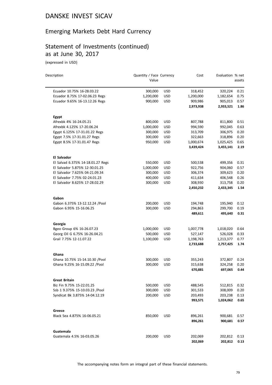#### Emerging Markets Debt Hard Currency

#### Statement of Investments (continued) as at June 30, 2017

(expressed in USD)

| Description                       | Quantity / Face Currency |            | Cost      | Evaluation % net |        |
|-----------------------------------|--------------------------|------------|-----------|------------------|--------|
|                                   | Value                    |            |           |                  | assets |
| Ecuador 10.75% 16-28.03.22        | 300,000                  | <b>USD</b> | 318,452   | 320,224          | 0.21   |
| Ecuador 8.75% 17-02.06.23 Regs    | 1,200,000                | <b>USD</b> | 1,200,000 | 1,182,654        | 0.75   |
| Ecuador 9.65% 16-13.12.26 Regs    | 900,000                  | <b>USD</b> | 909,986   | 905,013          | 0.57   |
|                                   |                          |            | 2,973,938 | 2,933,521        | 1.86   |
| Egypt                             |                          |            |           |                  |        |
| Afrexbk 4% 16-24.05.21            | 800,000                  | <b>USD</b> | 807,788   | 811,800          | 0.51   |
| Afrexbk 4.125% 17-20.06.24        | 1,000,000                | <b>USD</b> | 994,590   | 992,045          | 0.63   |
| Egypt 6.125% 17-31.01.22 Regs     | 300,000                  | <b>USD</b> | 313,709   | 306,975          | 0.20   |
| Egypt 7.5% 17-31.01.27 Regs       | 300,000                  | <b>USD</b> | 322,663   | 318,896          | 0.20   |
| Egypt 8.5% 17-31.01.47 Regs       | 950,000                  | <b>USD</b> | 1,000,674 | 1,025,425        | 0.65   |
|                                   |                          |            | 3,439,424 | 3,455,141        | 2.19   |
| <b>El Salvador</b>                |                          |            |           |                  |        |
| El Salvad 6.375% 14-18.01.27 Regs | 550,000                  | <b>USD</b> | 500,538   | 499,356          | 0.31   |
| El Salvador 5.875% 12-30.01.25    | 1,000,000                | <b>USD</b> | 922,756   | 904,060          | 0.57   |
| El Salvador 7.625% 04-21.09.34    | 300,000                  | <b>USD</b> | 306,374   | 309,623          | 0.20   |
| El Salvador 7.75% 02-24.01.23     | 400,000                  | <b>USD</b> | 411,634   | 406,548          | 0.26   |
| El Salvador 8.625% 17-28.02.29    | 300,000                  | <b>USD</b> | 308,930   | 313,758          | 0.20   |
|                                   |                          |            | 2,450,232 | 2,433,345        | 1.54   |
| Gabon                             |                          |            |           |                  |        |
| Gabon 6.375% 13-12.12.24 /Pool    | 200,000                  | <b>USD</b> | 194,748   | 195,940          | 0.12   |
| Gabon 6.95% 15-16.06.25           | 300,000                  | <b>USD</b> | 294,863   | 299,700          | 0.19   |
|                                   |                          |            | 489,611   | 495,640          | 0.31   |
| Georgia                           |                          |            |           |                  |        |
| Bgeo Group 6% 16-26.07.23         | 1,000,000                | <b>USD</b> | 1,007,778 | 1,018,020        | 0.64   |
| Georg Oil G 6.75% 16-26.04.21     | 500,000                  | <b>USD</b> | 527,147   | 526,028          | 0.33   |
| Grail 7.75% 12-11.07.22           | 1,100,000                | <b>USD</b> | 1,198,763 | 1,213,377        | 0.77   |
|                                   |                          |            | 2,733,688 | 2,757,425        | 1.74   |
| Ghana                             |                          |            |           |                  |        |
| Ghana 10.75% 15-14.10.30 /Pool    | 300,000                  | <b>USD</b> | 355,243   | 372,807          | 0.24   |
| Ghana 9.25% 16-15.09.22 / Pool    | 300,000                  | <b>USD</b> | 315,638   | 324,258          | 0.20   |
|                                   |                          |            | 670,881   | 697,065          | 0.44   |
| Great Britain                     |                          |            |           |                  |        |
| Biz Fin 9.75% 15-22.01.25         | 500,000                  | <b>USD</b> | 488,545   | 512,815          | 0.32   |
| Ssb 1 9.375% 15-10.03.23 /Pool    | 300,000                  | <b>USD</b> | 301,533   | 308,009          | 0.20   |
| Syndicat Bk 3.875% 14-04.12.19    | 200,000                  | USD        | 203,493   | 203,238          | 0.13   |
|                                   |                          |            | 993,571   | 1,024,062        | 0.65   |
| Greece                            |                          |            |           |                  |        |
| Black Sea 4.875% 16-06.05.21      | 850,000                  | <b>USD</b> | 896,261   | 900,681          | 0.57   |
|                                   |                          |            | 896,261   | 900,681          | 0.57   |
| Guatemala                         |                          |            |           |                  |        |
| Guatemala 4.5% 16-03.05.26        | 200,000                  | USD        | 202,069   | 202,812          | 0.13   |
|                                   |                          |            | 202,069   | 202,812          | 0.13   |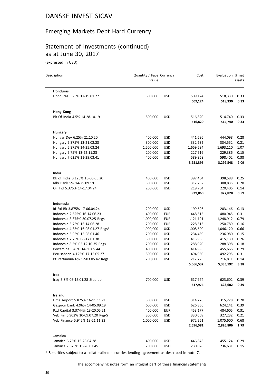#### Emerging Markets Debt Hard Currency

## Statement of Investments (continued) as at June 30, 2017

(expressed in USD)

| Description                       | Quantity / Face Currency<br>Value |            | Cost      | Evaluation % net | assets |
|-----------------------------------|-----------------------------------|------------|-----------|------------------|--------|
| <b>Honduras</b>                   |                                   |            |           |                  |        |
| Honduras 6.25% 17-19.01.27        | 500,000                           | <b>USD</b> | 509,124   | 518,330          | 0.33   |
|                                   |                                   |            | 509,124   | 518,330          | 0.33   |
| <b>Hong Kong</b>                  |                                   |            |           |                  |        |
| Bk Of India 4.5% 14-28.10.19      | 500,000                           | <b>USD</b> | 516,820   | 514,740          | 0.33   |
|                                   |                                   |            | 516,820   | 514,740          | 0.33   |
| Hungary                           |                                   |            |           |                  |        |
| Hungar Dev 6.25% 21.10.20         | 400,000                           | USD.       | 441,686   | 444,098          | 0.28   |
| Hungary 5.375% 13-21.02.23        | 300,000                           | <b>USD</b> | 332,632   | 334,552          | 0.21   |
| Hungary 5.375% 14-25.03.24        | 1,500,000                         | <b>USD</b> | 1,659,594 | 1,693,110        | 1.07   |
| Hungary 5.75% 13-22.11.23         | 200,000                           | USD        | 227,516   | 229,386          | 0.15   |
| Hungary 7.625% 11-29.03.41        | 400,000                           | <b>USD</b> | 589,968   | 598,402          | 0.38   |
|                                   |                                   |            | 3,251,396 | 3,299,548        | 2.09   |
| India                             |                                   |            |           |                  |        |
| Bk of India 3.125% 15-06.05.20    | 400,000                           | <b>USD</b> | 397,404   | 398,588          | 0.25   |
| Idbi Bank 5% 14-25.09.19          | 300,000                           | <b>USD</b> | 312,752   | 308,835          | 0.20   |
| Oil Ind 5.375% 14-17.04.24        | 200,000                           | <b>USD</b> | 219,704   | 220,405          | 0.14   |
|                                   |                                   |            | 929,860   | 927,828          | 0.59   |
| Indonesia                         |                                   |            |           |                  |        |
| Id Exi Bk 3.875% 17-06.04.24      | 200,000                           | <b>USD</b> | 199,696   | 203,146          | 0.13   |
| Indonesia 2.625% 16-14.06.23      | 400,000                           | <b>EUR</b> | 448,515   | 480,945          | 0.31   |
| Indonesia 3.375% 30.07.25 Regs    | 1,000,000                         | <b>EUR</b> | 1,121,191 | 1,248,912        | 0.79   |
| Indonesia 3.75% 16-14.06.28       | 200,000                           | <b>EUR</b> | 228,513   | 250,789          | 0.16   |
| Indonesia 4.35% 16-08.01.27 Regs* | 1,000,000                         | <b>USD</b> | 1,008,600 | 1,046,120        | 0.66   |
| Indonesia 5.95% 15-08.01.46       | 200,000                           | <b>USD</b> | 234,439   | 236,980          | 0.15   |
| Indonesia 7.75% 08-17.01.38       | 300,000                           | <b>USD</b> | 413,986   | 415,130          | 0.26   |
| Indonesia 8.5% 05-12.10.35 Regs   | 200,000                           | <b>USD</b> | 288,920   | 288,398          | 0.18   |
| Pertamina 6.45% 14-30.05.44       | 400,000                           | <b>USD</b> | 414,996   | 455,666          | 0.29   |
| Perusahaan 4.125% 17-15.05.27     | 500,000                           | USD        | 494,950   | 492,295          | 0.31   |
| Pt Pertamina 6% 12-03.05.42 Regs  | 200,000                           | <b>USD</b> | 212,726   | 216,811          | 0.14   |
|                                   |                                   |            | 5,066,532 | 5,335,192        | 3.38   |
| Iraq                              |                                   |            |           |                  |        |
| Iraq 5.8% 06-15.01.28 Step-up     | 700,000                           | USD        | 617,974   | 623,602          | 0.39   |
|                                   |                                   |            | 617,974   | 623,602          | 0.39   |
| Ireland                           |                                   |            |           |                  |        |
| Dme Airport 5.875% 16-11.11.21    | 300,000                           | <b>USD</b> | 314,278   | 315,228          | 0.20   |
| Gazprombank 4.96% 14-05.09.19     | 600,000                           | <b>USD</b> | 626,856   | 624,141          | 0.39   |
| Rzd Capital 3.3744% 13-20.05.21   | 400,000                           | <b>EUR</b> | 453,177   | 484,605          | 0.31   |
| Veb Fin 6.902% 10-09.07.20 Reg-S  | 300,000                           | <b>USD</b> | 330,009   | 327,232          | 0.21   |
| Veb Finance 5.942% 13-21.11.23    | 1,000,000                         | USD        | 972,261   | 1,075,600        | 0.68   |
|                                   |                                   |            | 2,696,581 | 2,826,806        | 1.79   |
| Jamaica                           |                                   |            |           |                  |        |
| Jamaica 6.75% 15-28.04.28         | 400,000                           | <b>USD</b> | 446,846   | 455,124          | 0.29   |
| Jamaica 7.875% 15-28.07.45        | 200,000                           | <b>USD</b> | 230,028   | 236,631          | 0.15   |
|                                   |                                   |            |           |                  |        |

\* Securities subject to a collateralized securities lending agreement as described in note 7.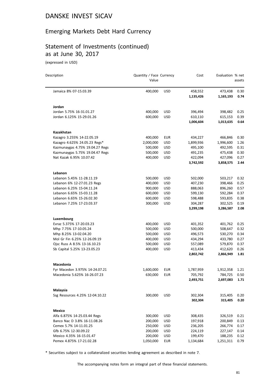### Emerging Markets Debt Hard Currency

# Statement of Investments (continued) as at June 30, 2017

(expressed in USD)

| Description                     | Quantity / Face Currency<br>Value |            | Cost      | Evaluation % net | assets |
|---------------------------------|-----------------------------------|------------|-----------|------------------|--------|
| Jamaica 8% 07-15.03.39          | 400,000                           | <b>USD</b> | 458,552   | 473,438          | 0.30   |
|                                 |                                   |            | 1,135,426 | 1,165,193        | 0.74   |
| Jordan                          |                                   |            |           |                  |        |
| Jordan 5.75% 16-31.01.27        | 400,000                           | <b>USD</b> | 396,494   | 398,482          | 0.25   |
| Jordan 6.125% 15-29.01.26       | 600,000                           | <b>USD</b> | 610,110   | 615,153          | 0.39   |
|                                 |                                   |            | 1,006,604 | 1,013,635        | 0.64   |
| Kazakhstan                      |                                   |            |           |                  |        |
| Kazagro 3.255% 14-22.05.19      | 400,000                           | <b>EUR</b> | 434,227   | 466,846          | 0.30   |
| Kazagro 4.625% 24.05.23 Regs*   | 2,000,000                         | <b>USD</b> | 1,899,936 | 1,996,600        | 1.26   |
| Kazmunaygas 4.75% 19.04.27 Regs | 500,000                           | <b>USD</b> | 495,100   | 492,595          | 0.31   |
| Kazmunaygas 5.75% 19.04.47 Regs | 500,000                           | USD        | 491,235   | 475,438          | 0.30   |
| Nat Kazak 6.95% 10.07.42        | 400,000                           | <b>USD</b> | 422,094   | 427,096          | 0.27   |
|                                 |                                   |            | 3,742,592 | 3,858,575        | 2.44   |
| Lebanon                         |                                   |            |           |                  |        |
| Lebanon 5.45% 11-28.11.19       | 500,000                           | <b>USD</b> | 502,000   | 503,217          | 0.32   |
| Lebanon 6% 12-27.01.23 Regs     | 400,000                           | <b>USD</b> | 407,230   | 398,466          | 0.25   |
| Lebanon 6.25% 15-04.11.24       | 900,000                           | <b>USD</b> | 888,063   | 896,260          | 0.57   |
| Lebanon 6.65% 15-03.11.28       | 600,000                           | <b>USD</b> | 599,130   | 592,284          | 0.37   |
| Lebanon 6.65% 15-26.02.30       | 600,000                           | <b>USD</b> | 598,488   | 593,835          | 0.38   |
| Lebanon 7.25% 17-23.03.37       | 300,000                           | <b>USD</b> | 304,287   | 302,525          | 0.19   |
|                                 |                                   |            | 3,299,198 | 3,286,587        | 2.08   |
| Luxembourg                      |                                   |            |           |                  |        |
| Evraz 5.375% 17-20.03.23        | 400,000                           | USD        | 401,352   | 401,762          | 0.25   |
| Mhp 7.75% 17-10.05.24           | 500,000                           | <b>USD</b> | 500,000   | 508,647          | 0.32   |
| Mhp 8.25% 13-02.04.20           | 500,000                           | <b>USD</b> | 496,573   | 530,270          | 0.34   |
| Mol Gr Fin 6.25% 12-26.09.19    | 400,000                           | <b>USD</b> | 434,294   | 433,780          | 0.27   |
| Ojsc Russ A 8.5% 13-16.10.23    | 500,000                           | <b>USD</b> | 557,089   | 579,870          | 0.37   |
| Sb Capital 5.25% 13-23.05.23    | 400,000                           | <b>USD</b> | 413,434   | 412,620          | 0.26   |
|                                 |                                   |            | 2,802,742 | 2,866,949        | 1.81   |
| Macedonia                       |                                   |            |           |                  |        |
| Fyr Macedon 3.975% 14-24.07.21  | 1,600,000                         | <b>EUR</b> | 1,787,959 | 1,912,358        | 1.21   |
| Macedonia 5.625% 16-26.07.23    | 630,000                           | <b>EUR</b> | 705,792   | 784,725          | 0.50   |
|                                 |                                   |            | 2,493,751 | 2,697,083        | 1.71   |
| Malaysia                        |                                   |            |           |                  |        |
| Ssg Resources 4.25% 12-04.10.22 | 300,000                           | <b>USD</b> | 302,304   | 315,405          | 0.20   |
|                                 |                                   |            | 302,304   | 315,405          | 0.20   |
| Mexico                          |                                   |            |           |                  |        |
| Alfa 6.875% 14-25.03.44 Regs    | 300,000                           | USD        | 308,435   | 326,519          | 0.21   |
| Banco Nac D 3.8% 16-11.08.26    | 200,000                           | <b>USD</b> | 197,918   | 200,849          | 0.13   |
| Cemex 5.7% 14-11.01.25          | 250,000                           | <b>USD</b> | 236,205   | 266,774          | 0.17   |
| Gfb 6.75% 12-30.09.22           | 200,000                           | USD        | 224,119   | 227,147          | 0.14   |
| Mexico 4.35% 16-15.01.47        | 200,000                           | USD        | 199,470   | 188,235          | 0.12   |
| Pemex 4.875% 17-21.02.28        | 1,050,000                         | <b>EUR</b> | 1,134,684 | 1,251,311        | 0.79   |

\* Securities subject to a collateralized securities lending agreement as described in note 7.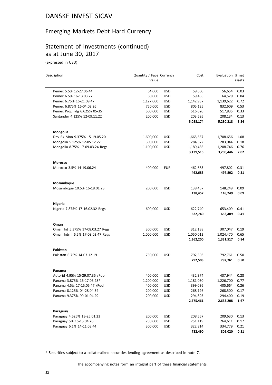## Emerging Markets Debt Hard Currency

#### Statement of Investments (continued) as at June 30, 2017

(expressed in USD)

| Description                       | Quantity / Face Currency<br>Value |            | Cost      | Evaluation % net | assets |
|-----------------------------------|-----------------------------------|------------|-----------|------------------|--------|
|                                   |                                   |            |           |                  |        |
| Pemex 5.5% 12-27.06.44            | 64,000                            | <b>USD</b> | 59,600    | 56,654           | 0.03   |
| Pemex 6.5% 16-13.03.27            | 60,000                            | <b>USD</b> | 59,456    | 64,529           | 0.04   |
| Pemex 6.75% 16-21.09.47           | 1,127,000                         | <b>USD</b> | 1,142,937 | 1,139,622        | 0.72   |
| Pemex 6.875% 16-04.02.26          | 750,000                           | <b>USD</b> | 805,135   | 832,609          | 0.53   |
| Pemex Proj. Fdg 6.625% 05-35      | 500,000                           | <b>USD</b> | 516,620   | 517,835          | 0.33   |
| Santander 4.125% 12-09.11.22      | 200,000                           | <b>USD</b> | 203,595   | 208,134          | 0.13   |
|                                   |                                   |            | 5,088,174 | 5,280,218        | 3.34   |
| Mongolia                          |                                   |            |           |                  |        |
| Dev Bk Mon 9.375% 15-19.05.20     | 1,600,000                         | USD        | 1,665,657 | 1,708,656        | 1.08   |
| Mongolia 5.125% 12-05.12.22       | 300,000                           | <b>USD</b> | 284,372   | 283,044          | 0.18   |
| Mongolia 8.75% 17-09.03.24 Regs   | 1,100,000                         | <b>USD</b> | 1,189,486 | 1,208,746        | 0.76   |
|                                   |                                   |            | 3,139,515 | 3,200,446        | 2.02   |
| <b>Morocco</b>                    |                                   |            |           |                  |        |
| Morocco 3.5% 14-19.06.24          | 400,000                           | <b>EUR</b> | 462,683   | 497,802          | 0.31   |
|                                   |                                   |            | 462,683   | 497,802          | 0.31   |
| Mozambique                        |                                   |            |           |                  |        |
| Mozambique 10.5% 16-18.01.23      | 200,000                           | <b>USD</b> | 138,457   | 148,249          | 0.09   |
|                                   |                                   |            | 138,457   | 148,249          | 0.09   |
| <b>Nigeria</b>                    |                                   |            |           |                  |        |
| Nigeria 7.875% 17-16.02.32 Regs   | 600,000                           | <b>USD</b> | 622,740   | 653,409          | 0.41   |
|                                   |                                   |            | 622,740   | 653,409          | 0.41   |
| Oman                              |                                   |            |           |                  |        |
| Oman Int 5.375% 17-08.03.27 Regs  | 300,000                           | <b>USD</b> | 312,188   | 307,047          | 0.19   |
| Oman Intrnl 6.5% 17-08.03.47 Regs | 1,000,000                         | <b>USD</b> | 1,050,012 | 1,024,470        | 0.65   |
|                                   |                                   |            | 1,362,200 | 1,331,517        | 0.84   |
| Pakistan                          |                                   |            |           |                  |        |
| Pakistan 6.75% 14-03.12.19        | 750,000                           | <b>USD</b> | 792,503   | 792,761          | 0.50   |
|                                   |                                   |            | 792,503   | 792,761          | 0.50   |
| Panama                            |                                   |            |           |                  |        |
| Autorid 4.95% 15-29.07.35 /Pool   | 400,000                           | <b>USD</b> | 432,374   | 437,944          | 0.28   |
| Panama 3.875% 16-17.03.28*        | 1,200,000                         | <b>USD</b> | 1,181,030 | 1,226,700        | 0.77   |
| Panama 4.5% 17-15.05.47 /Pool     | 400,000                           | <b>USD</b> | 399,036   | 405,664          | 0.26   |
| Panama 8.125% 04-28.04.34         | 200,000                           | <b>USD</b> | 268,126   | 268,500          | 0.17   |
| Panama 9.375% 99-01.04.29         | 200,000                           | <b>USD</b> | 294,895   | 294,400          | 0.19   |
|                                   |                                   |            | 2,575,461 | 2,633,208        | 1.67   |
| Paraguay                          |                                   |            |           |                  |        |
| Paraguay 4.625% 13-25.01.23       | 200,000                           | <b>USD</b> | 208,557   | 209,630          | 0.13   |
| Paraguay 5% 16-15.04.26           | 250,000                           | <b>USD</b> | 251,119   | 264,611          | 0.17   |
| Paraguay 6.1% 14-11.08.44         | 300,000                           | USD        | 322,814   | 334,779          | 0.21   |
|                                   |                                   |            | 782,490   | 809,020          | 0.51   |

\* Securities subject to a collateralized securities lending agreement as described in note 7.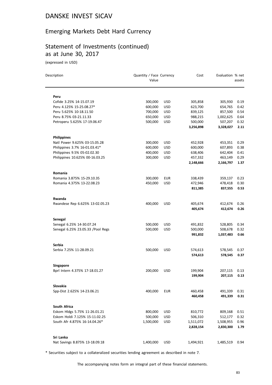## Emerging Markets Debt Hard Currency

## Statement of Investments (continued) as at June 30, 2017

(expressed in USD)

| Description                        | Quantity / Face Currency<br>Value |            | Cost               | Evaluation % net | assets       |
|------------------------------------|-----------------------------------|------------|--------------------|------------------|--------------|
| Peru                               |                                   |            |                    |                  |              |
| Cofide 3.25% 14-15.07.19           | 300,000                           | <b>USD</b> | 305,858            | 305,930          | 0.19         |
| Peru 4.125% 15-25.08.27*           | 600,000                           | <b>USD</b> | 623,700            | 654,765          | 0.42         |
| Peru 5.625% 10-18.11.50            | 700,000                           | <b>USD</b> | 839,125            | 857,500          | 0.54         |
| Peru 8.75% 03-21.11.33             | 650,000                           | <b>USD</b> | 988,215            | 1,002,625        | 0.64         |
| Petroperu 5.625% 17-19.06.47       | 500,000                           | <b>USD</b> | 500,000            | 507,207          | 0.32         |
|                                    |                                   |            | 3,256,898          | 3,328,027        | 2.11         |
| <b>Philippines</b>                 |                                   |            |                    |                  |              |
| Natl Power 9.625% 03-15.05.28      | 300,000                           | <b>USD</b> | 452,928            | 453,351          | 0.29         |
| Philippines 3.7% 16-01.03.41*      | 600,000                           | <b>USD</b> | 600,000            | 607,893          | 0.38         |
| Philippines 9.5% 05-02.02.30       | 400,000                           | <b>USD</b> | 638,406            | 642,404          | 0.41         |
| Philippines 10.625% 00-16.03.25    | 300,000                           | <b>USD</b> | 457,332            | 463,149          | 0.29         |
|                                    |                                   |            | 2,148,666          | 2,166,797        | 1.37         |
| Romania                            |                                   |            |                    |                  |              |
| Romania 3.875% 15-29.10.35         | 300,000                           | <b>EUR</b> | 338,439            | 359,137          | 0.23         |
| Romania 4.375% 13-22.08.23         | 450,000                           | <b>USD</b> | 472,946            | 478,418          | 0.30         |
|                                    |                                   |            | 811,385            | 837,555          | 0.53         |
| Rwanda                             |                                   |            |                    |                  |              |
| Rwandese Rep 6.625% 13-02.05.23    | 400,000                           | <b>USD</b> | 405,674            | 412,674          | 0.26         |
|                                    |                                   |            | 405,674            | 412,674          | 0.26         |
| Senegal                            |                                   |            |                    |                  |              |
| Senegal 6.25% 14-30.07.24          | 500,000                           | <b>USD</b> | 491,832            | 528,805          | 0.34         |
| Senegal 6.25% 23.05.33 / Pool Regs | 500,000                           | <b>USD</b> | 500,000            | 508,678          | 0.32         |
|                                    |                                   |            | 991,832            | 1,037,483        | 0.66         |
| <b>Serbia</b>                      |                                   |            |                    |                  |              |
| Serbia 7.25% 11-28.09.21           | 500,000                           | <b>USD</b> | 574,613            | 578,545          | 0.37         |
|                                    |                                   |            | 574,613            | 578,545          | 0.37         |
| <b>Singapore</b>                   |                                   |            |                    |                  |              |
| Bprl Intern 4.375% 17-18.01.27     | 200,000                           | <b>USD</b> | 199,904            | 207,115          | 0.13<br>0.13 |
|                                    |                                   |            | 199,904            | 207,115          |              |
| Slovakia                           |                                   |            |                    |                  |              |
| Spp-Dist 2.625% 14-23.06.21        | 400,000                           | <b>EUR</b> | 460,458<br>460,458 | 491,339          | 0.31         |
|                                    |                                   |            |                    | 491,339          | 0.31         |
| South Africa                       |                                   |            |                    |                  |              |
| Eskom Hldgs 5.75% 11-26.01.21      | 800,000                           | <b>USD</b> | 810,772            | 809,168          | 0.51         |
| Eskom Holdi 7.125% 15-11.02.25     | 500,000                           | USD        | 506,310            | 512,177          | 0.32         |
| South Afr 4.875% 16-14.04.26*      | 1,500,000                         | USD        | 1,511,072          | 1,508,955        | 0.96         |
|                                    |                                   |            | 2,828,154          | 2,830,300        | 1.79         |
| Sri Lanka                          |                                   |            |                    |                  |              |
| Nat Savings 8.875% 13-18.09.18     | 1,400,000                         | USD        | 1,494,921          | 1,485,519        | 0.94         |

\* Securities subject to a collateralized securities lending agreement as described in note 7.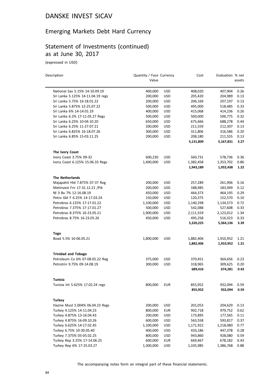## Emerging Markets Debt Hard Currency

## Statement of Investments (continued) as at June 30, 2017

(expressed in USD)

| Description                                                   | Quantity / Face Currency<br>Value |            | Cost               | Evaluation % net   | assets       |
|---------------------------------------------------------------|-----------------------------------|------------|--------------------|--------------------|--------------|
| National Sav 5.15% 14-10.09.19                                | 400,000                           | <b>USD</b> | 408,020            | 407,904            | 0.26         |
| Sri Lanka 5.125% 14-11.04.19 regs                             | 200,000                           | <b>USD</b> | 205,420            | 204,989            | 0.13         |
| Sri Lanka 5.75% 16-18.01.22                                   | 200,000                           | <b>USD</b> | 206,169            | 207,197            | 0.13         |
| Sri Lanka 5.875% 12-25.07.22                                  | 500,000                           | USD        | 495,000            | 518,485            | 0.33         |
| Sri Lanka 6% 14-14.01.19                                      | 400,000                           | <b>USD</b> | 415,068            | 414,236            | 0.26         |
| Sri Lanka 6.2% 17-11.05.27 Regs                               | 500,000                           | <b>USD</b> | 500,000            | 500,775            | 0.32         |
| Sri Lanka 6.25% 10-04.10.20                                   | 650,000                           | <b>USD</b> | 675,666            | 688,278            | 0.44         |
| Sri Lanka 6.25% 11-27.07.21                                   | 200,000                           | <b>USD</b> | 211,559            | 212,307            | 0.13         |
| Sri Lanka 6.825% 16-18.07.26                                  | 300,000                           | <b>USD</b> | 311,806            | 316,586            | 0.20         |
| Sri Lanka 6.85% 15-03.11.25                                   | 200,000                           | <b>USD</b> | 208,180            | 211,555            | 0.13         |
|                                                               |                                   |            | 5,131,809          | 5,167,831          | 3.27         |
| The Ivory Coast                                               |                                   |            |                    |                    |              |
| Ivory Coast 3.75% 09-32                                       | 600,230                           | USD        | 560,731            | 578,736            | 0.36         |
| Ivory Coast 6.125% 15.06.33 Regs                              | 1,400,000                         | <b>USD</b> | 1,382,458          | 1,353,702          | 0.86         |
|                                                               |                                   |            | 1,943,189          | 1,932,438          | 1.22         |
| <b>The Netherlands</b>                                        |                                   |            |                    |                    |              |
| Majapahit Hld 7.875% 07-37 Reg                                | 200,000                           | <b>USD</b> | 257,289            | 261,906            | 0.16         |
| Metinvest Frn 17-31.12.21 / Pik                               | 200,000                           | <b>USD</b> | 188,985            | 183,949            | 0.12         |
| NI 3 Bv 7% 12-16.08.19                                        | 450,000                           | <b>USD</b> | 464,373            | 464,195            | 0.29         |
| Petro Gbl F 6.25% 14-17.03.24                                 | 150,000                           | <b>USD</b> | 120,375            | 152,570            | 0.10         |
| Petrobras 6.125% 17-17.01.22                                  | 1,100,000                         | <b>USD</b> | 1,140,298          | 1,134,573          | 0.72         |
| Petrobras 7.375% 17-17.01.27                                  | 500,000                           | <b>USD</b> | 542,088            | 527,608            | 0.33         |
| Petrobras 8.375% 16-23.05.21                                  | 1,900,000                         | <b>USD</b> | 2,111,559          | 2,123,012          | 1.34         |
| Petrobras 8.75% 16-23.05.26                                   | 450,000                           | <b>USD</b> | 495,258            | 516,323            | 0.33         |
|                                                               |                                   |            | 5,320,225          | 5,364,136          | 3.39         |
| Togo                                                          |                                   |            |                    |                    |              |
| Boad 5.5% 16-06.05.21                                         | 1,800,000                         | <b>USD</b> | 1,882,406          | 1,910,952          | 1.21         |
|                                                               |                                   |            | 1,882,406          | 1,910,952          | 1.21         |
| <b>Trinidad and Tobago</b><br>Petroleum Co 6% 07-08.05.22 Reg | 375,000                           | USD        |                    | 364,656            | 0.23         |
| Petrotrin 9.75% 09-14.08.19                                   | 300,000                           | <b>USD</b> | 370,451<br>318,965 |                    |              |
|                                                               |                                   |            | 689,416            | 309,625<br>674,281 | 0.20<br>0.43 |
| Tunisia                                                       |                                   |            |                    |                    |              |
| Tunisia Int 5.625% 17.02.24 regs                              | 800,000                           | <b>EUR</b> | 855,952            | 932,094            | 0.59         |
|                                                               |                                   |            | 855,952            | 932,094            | 0.59         |
| <b>Turkey</b>                                                 |                                   |            |                    |                    |              |
| Hazine Must 5.004% 06.04.23 Regs                              | 200,000                           | USD        | 201,053            | 204,629            | 0.13         |
| Turkey 4.125% 14-11.04.23                                     | 800,000                           | <b>EUR</b> | 902,718            | 979,752            | 0.62         |
| Turkey 4.875% 13-16.04.43                                     | 200,000                           | <b>USD</b> | 173,895            | 177,565            | 0.11         |
| Turkey 4.875% 16-09.10.26                                     | 600,000                           | USD        | 563,558            | 593,817            | 0.37         |
| Turkey 6.625% 14-17.02.45                                     | 1,100,000                         | <b>USD</b> | 1,171,922          | 1,218,080          | 0.77         |
| Turkey 6.75% 10-30.05.40                                      | 400,000                           | <b>USD</b> | 433,186            | 447,378            | 0.28         |
| Turkey 7.375% 05-05.02.25                                     | 800,000                           | <b>USD</b> | 943,860            | 928,080            | 0.59         |
| Turkey Rep 3.25% 17-14.06.25                                  | 600,000                           | <b>EUR</b> | 669,467            | 678,182            | 0.43         |
| Turkey Rep 6% 17-25.03.27                                     | 1,300,000                         | <b>USD</b> | 1,335,985          | 1,386,768          | 0.88         |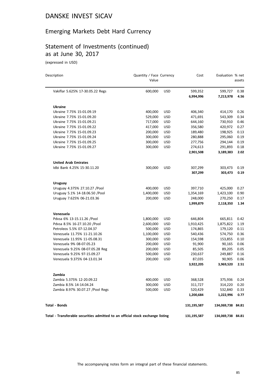### Emerging Markets Debt Hard Currency

#### Statement of Investments (continued) as at June 30, 2017

(expressed in USD)

| Description                                                                    | Quantity / Face Currency<br>Value |            | Cost        | Evaluation % net  | assets |
|--------------------------------------------------------------------------------|-----------------------------------|------------|-------------|-------------------|--------|
| Vakiflar 5.625% 17-30.05.22 Regs                                               | 600,000                           | <b>USD</b> | 599,352     | 599,727           | 0.38   |
|                                                                                |                                   |            | 6,994,996   | 7,213,978         | 4.56   |
| <b>Ukraine</b>                                                                 |                                   |            |             |                   |        |
| Ukraine 7.75% 15-01.09.19                                                      | 400,000                           | <b>USD</b> | 406,340     | 414,170           | 0.26   |
| Ukraine 7.75% 15-01.09.20                                                      | 529,000                           | <b>USD</b> | 471,691     | 543,309           | 0.34   |
| Ukraine 7.75% 15-01.09.21                                                      | 717,000                           | <b>USD</b> | 644,160     | 730,910           | 0.46   |
| Ukraine 7.75% 15-01.09.22                                                      | 417,000                           | <b>USD</b> | 356,580     | 420,972           | 0.27   |
| Ukraine 7.75% 15-01.09.23                                                      | 200,000                           | <b>USD</b> | 189,480     | 198,925           | 0.13   |
| Ukraine 7.75% 15-01.09.24                                                      | 300,000                           | <b>USD</b> | 280,888     | 295,060           | 0.19   |
| Ukraine 7.75% 15-01.09.25                                                      | 300,000                           | <b>USD</b> | 277,756     | 294,144           | 0.19   |
| Ukraine 7.75% 15-01.09.27                                                      | 300,000                           | <b>USD</b> | 274,613     | 291,893           | 0.18   |
|                                                                                |                                   |            | 2,901,508   | 3,189,383         | 2.02   |
| <b>United Arab Emirates</b>                                                    |                                   |            |             |                   |        |
| Idbi Bank 4.25% 15-30.11.20                                                    | 300,000                           | <b>USD</b> | 307,299     | 303,473           | 0.19   |
|                                                                                |                                   |            | 307,299     | 303,473           | 0.19   |
| Uruguay                                                                        |                                   |            |             |                   |        |
| Uruguay 4.375% 27.10.27 / Pool                                                 | 400,000                           | <b>USD</b> | 397,710     | 425,000           | 0.27   |
| Uruguay 5.1% 14-18.06.50 /Pool                                                 | 1,400,000                         | <b>USD</b> | 1,354,169   | 1,423,100         | 0.90   |
| Uruguay 7.625% 06-21.03.36                                                     | 200,000                           | <b>USD</b> | 248,000     | 270,250           | 0.17   |
|                                                                                |                                   |            | 1,999,879   | 2,118,350         | 1.34   |
| Venezuela                                                                      |                                   |            |             |                   |        |
| Pdvsa 6% 13-15.11.26 /Pool                                                     | 1,800,000                         | <b>USD</b> | 646,804     | 665,811           | 0.42   |
| Pdvsa 8.5% 16-27.10.20 /Pool                                                   | 2,600,000                         | <b>USD</b> | 1,910,425   | 1,875,822         | 1.19   |
| Petroleos 5.5% 07-12.04.37                                                     | 500,000                           | <b>USD</b> | 174,865     | 179,120           | 0.11   |
| Venezuela 11.75% 11-21.10.26                                                   | 1,100,000                         | <b>USD</b> | 540,436     | 574,750           | 0.36   |
| Venezuela 11.95% 11-05.08.31                                                   | 300,000                           | <b>USD</b> | 154,598     | 153,855           | 0.10   |
| Venezuela 9% 08-07.05.23                                                       | 200,000                           | <b>USD</b> | 91,900      | 90,165            | 0.06   |
| Venezuela 9.25% 08-07.05.28 Reg                                                | 200,000                           | <b>USD</b> | 85,505      | 89,205            | 0.05   |
| Venezuela 9.25% 97-15.09.27                                                    | 500,000                           | <b>USD</b> | 230,637     | 249,887           | 0.16   |
| Venezuela 9.375% 04-13.01.34                                                   | 200,000                           | <b>USD</b> | 87,035      | 90,905            | 0.06   |
|                                                                                |                                   |            | 3,922,205   | 3,969,520         | 2.51   |
| Zambia                                                                         |                                   |            |             |                   |        |
| Zambia 5.375% 12-20.09.22                                                      | 400,000                           | USD        | 368,528     | 375,936           | 0.24   |
| Zambia 8.5% 14-14.04.24                                                        | 300,000                           | <b>USD</b> | 311,727     | 314,220           | 0.20   |
| Zambia 8.97% 30.07.27 / Pool Regs                                              | 500,000                           | <b>USD</b> | 520,429     | 532,840           | 0.33   |
|                                                                                |                                   |            | 1,200,684   | 1,222,996         | 0.77   |
| <b>Total - Bonds</b>                                                           |                                   |            | 131,195,587 | 134,069,738 84.81 |        |
| Total - Transferable securities admitted to an official stock exchange listing |                                   |            | 131,195,587 | 134,069,738 84.81 |        |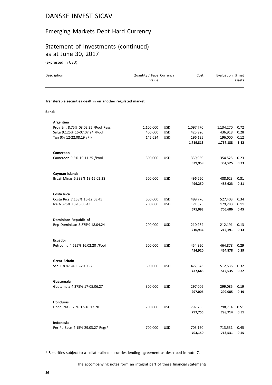#### Emerging Markets Debt Hard Currency

## Statement of Investments (continued) as at June 30, 2017

(expressed in USD)

| Description                                                  | Quantity / Face Currency<br>Value |            | Cost                 | Evaluation % net     | assets       |
|--------------------------------------------------------------|-----------------------------------|------------|----------------------|----------------------|--------------|
| Transferable securities dealt in on another regulated market |                                   |            |                      |                      |              |
| <b>Bonds</b>                                                 |                                   |            |                      |                      |              |
| Argentina                                                    |                                   |            |                      |                      |              |
| Prov Ent 8.75% 08.02.25 /Pool Regs                           | 1,100,000                         | <b>USD</b> | 1,097,770            | 1,134,270            | 0.72         |
| Salta 9.125% 16-07.07.24 /Pool                               | 400,000                           | <b>USD</b> | 425,920              | 436,918              | 0.28         |
| Tgn 9% 12-22.08.19 / Pik                                     | 145,624                           | <b>USD</b> | 196,125<br>1,719,815 | 196,000<br>1,767,188 | 0.12<br>1.12 |
|                                                              |                                   |            |                      |                      |              |
| Cameroon<br>Cameroon 9.5% 19.11.25 / Pool                    | 300,000                           | <b>USD</b> | 339,959              | 354,525              | 0.23         |
|                                                              |                                   |            | 339,959              | 354,525              | 0.23         |
| Cayman Islands                                               |                                   |            |                      |                      |              |
| Brazil Minas 5.333% 13-15.02.28                              | 500,000                           | <b>USD</b> | 496,250              | 488,623              | 0.31         |
|                                                              |                                   |            | 496,250              | 488,623              | 0.31         |
| Costa Rica                                                   |                                   |            |                      |                      |              |
| Costa Rica 7.158% 15-12.03.45                                | 500,000                           | <b>USD</b> | 499,770              | 527,403              | 0.34         |
| Ice 6.375% 13-15.05.43                                       | 200,000                           | <b>USD</b> | 171,323              | 179,283              | 0.11         |
|                                                              |                                   |            | 671,093              | 706,686              | 0.45         |
| Dominican Republic of                                        |                                   |            |                      |                      |              |
| Rep Dominican 5.875% 18.04.24                                | 200,000                           | <b>USD</b> | 210,934              | 212,191              | 0.13         |
|                                                              |                                   |            | 210,934              | 212,191              | 0.13         |
| <b>Ecuador</b><br>Petroama 4.625% 16.02.20 / Pool            | 500,000                           | <b>USD</b> |                      | 464,878              | 0.29         |
|                                                              |                                   |            | 454,920<br>454,920   | 464,878              | 0.29         |
| <b>Great Britain</b>                                         |                                   |            |                      |                      |              |
| Ssb 1 8.875% 15-20.03.25                                     | 500,000                           | <b>USD</b> | 477,643              | 512,535              | 0.32         |
|                                                              |                                   |            | 477,643              | 512,535              | 0.32         |
| Guatemala                                                    |                                   |            |                      |                      |              |
| Guatemala 4.375% 17-05.06.27                                 | 300,000                           | <b>USD</b> | 297,006              | 299,085              | 0.19         |
|                                                              |                                   |            | 297,006              | 299,085              | 0.19         |
| <b>Honduras</b>                                              |                                   |            |                      |                      |              |
| Honduras 8.75% 13-16.12.20                                   | 700,000                           | <b>USD</b> | 797,755              | 798,714              | 0.51         |
|                                                              |                                   |            | 797,755              | 798,714              | 0.51         |
| Indonesia                                                    |                                   |            |                      |                      |              |
| Per Pe Sbsn 4.15% 29.03.27 Regs*                             | 700,000                           | <b>USD</b> | 703,150              | 713,531              | 0.45         |
|                                                              |                                   |            | 703,150              | 713,531              | 0.45         |

\* Securities subject to a collateralized securities lending agreement as described in note 7.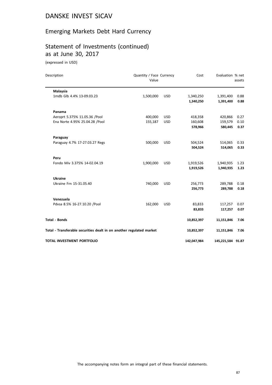# Emerging Markets Debt Hard Currency

## Statement of Investments (continued) as at June 30, 2017

(expressed in USD)

| Description                                                          | Quantity / Face Currency<br>Value |            | Cost                   | Evaluation % net       | assets       |
|----------------------------------------------------------------------|-----------------------------------|------------|------------------------|------------------------|--------------|
| Malaysia                                                             |                                   |            |                        |                        |              |
| 1mdb Glb 4.4% 13-09.03.23                                            | 1,500,000                         | <b>USD</b> | 1,340,250<br>1,340,250 | 1,391,400<br>1,391,400 | 0.88<br>0.88 |
| Panama                                                               |                                   |            |                        |                        |              |
| Aeroprt 5.375% 11.05.36 /Pool                                        | 400,000                           | <b>USD</b> | 418,358                | 420,866                | 0.27         |
| Ena Norte 4.95% 25.04.28 /Pool                                       | 155,187                           | <b>USD</b> | 160,608                | 159,579                | 0.10         |
|                                                                      |                                   |            | 578,966                | 580,445                | 0.37         |
| Paraguay                                                             |                                   |            |                        |                        |              |
| Paraguay 4.7% 17-27.03.27 Regs                                       | 500,000                           | <b>USD</b> | 504,524                | 514,065                | 0.33         |
|                                                                      |                                   |            | 504,524                | 514,065                | 0.33         |
| Peru                                                                 |                                   |            |                        |                        |              |
| Fondo Miv 3.375% 14-02.04.19                                         | 1,900,000                         | <b>USD</b> | 1,919,526              | 1,940,935              | 1.23         |
|                                                                      |                                   |            | 1,919,526              | 1,940,935              | 1.23         |
| <b>Ukraine</b>                                                       |                                   |            |                        |                        |              |
| Ukraine Frn 15-31.05.40                                              | 740,000                           | <b>USD</b> | 256,773                | 289,788                | 0.18         |
|                                                                      |                                   |            | 256,773                | 289,788                | 0.18         |
| Venezuela                                                            |                                   |            |                        |                        |              |
| Pdvsa 8.5% 16-27.10.20 /Pool                                         | 162,000                           | <b>USD</b> | 83,833                 | 117,257                | 0.07         |
|                                                                      |                                   |            | 83,833                 | 117,257                | 0.07         |
| <b>Total - Bonds</b>                                                 |                                   |            | 10,852,397             | 11,151,846             | 7.06         |
| Total - Transferable securities dealt in on another regulated market |                                   |            | 10,852,397             | 11,151,846             | 7.06         |
| <b>TOTAL INVESTMENT PORTFOLIO</b>                                    |                                   |            | 142,047,984            | 145,221,584 91.87      |              |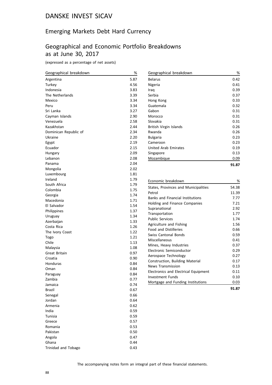#### Emerging Markets Debt Hard Currency

## Geographical and Economic Portfolio Breakdowns as at June 30, 2017

(expressed as a percentage of net assets)

| Geographical breakdown | %    |
|------------------------|------|
| Argentina              | 5.87 |
| Turkey                 | 4.56 |
| Indonesia              | 3.83 |
| The Netherlands        | 3.39 |
| Mexico                 | 3.34 |
| Peru                   | 3.34 |
| Sri Lanka              | 3.27 |
| Cayman Islands         | 2.90 |
| Venezuela              | 2.58 |
| Kazakhstan             | 2.44 |
| Dominican Republic of  | 2.34 |
| Ukraine                | 2.20 |
| Egypt                  | 2.19 |
| Ecuador                | 2.15 |
| Hungary                | 2.09 |
| Lebanon                | 2.08 |
| Panama                 | 2.04 |
| Mongolia               | 2.02 |
| Luxembourg             | 1.81 |
| Ireland                | 1.79 |
| South Africa           | 1.79 |
| Colombia               | 1.75 |
| Georgia                | 1.74 |
| Macedonia              | 1.71 |
| El Salvador            | 1.54 |
| Philippines            | 1.37 |
| Uruguay                | 1.34 |
| Azerbaijan             | 1.33 |
| Costa Rica             | 1.26 |
| The Ivory Coast        | 1.22 |
| Togo                   | 1.21 |
| Chile                  | 1.13 |
| Malaysia               | 1.08 |
| Great Britain          | 0.97 |
| Croatia                | 0.90 |
| Honduras               | 0.84 |
| Oman                   | 0.84 |
| Paraguay               | 0.84 |
| Zambia                 | 0.77 |
| Jamaica                | 0.74 |
| <b>Brazil</b>          | 0.67 |
| Senegal                | 0.66 |
| Jordan                 | 0.64 |
| Armenia                | 0.62 |
| India                  | 0.59 |
| Tunisia                | 0.59 |
| Greece                 | 0.57 |
| Romania                | 0.53 |
| Pakistan               | 0.50 |
| Angola                 | 0.47 |
| Ghana                  | 0.44 |
| Trinidad and Tobago    | 0.43 |

| Geographical breakdown | %     |
|------------------------|-------|
| <b>Belarus</b>         | 0.42  |
| Nigeria                | 0.41  |
| Iraq                   | 0.39  |
| Serbia                 | 0.37  |
| Hong Kong              | 0.33  |
| Guatemala              | 0.32  |
| Gabon                  | 0.31  |
| Morocco                | 0.31  |
| Slovakia               | 0.31  |
| British Virgin Islands | 0.26  |
| Rwanda                 | 0.26  |
| <b>Bulgaria</b>        | 0.23  |
| Cameroon               | 0.23  |
| United Arab Emirates   | 0.19  |
| Singapore              | 0.13  |
| Mozambique             | 0.09  |
|                        | 91.87 |

| Economic breakdown                      | %     |
|-----------------------------------------|-------|
| States, Provinces and Municipalities    | 54.38 |
| Petrol                                  | 11.39 |
| <b>Banks and Financial Institutions</b> | 7.77  |
| Holding and Finance Companies           | 7.21  |
| Supranational                           | 2.92  |
| Transportation                          | 1.77  |
| <b>Public Services</b>                  | 1.74  |
| Agriculture and Fishing                 | 1.56  |
| <b>Food and Distilleries</b>            | 0.66  |
| <b>Swiss Cantonal Bonds</b>             | 0.59  |
| Miscellaneous                           | 0.41  |
| Mines, Heavy Industries                 | 0.37  |
| Electronic Semiconductor                | 0.29  |
| Aerospace Technology                    | 0.27  |
| Construction, Building Material         | 0.17  |
| <b>News Transmission</b>                | 0.13  |
| Electronics and Electrical Equipment    | 0.11  |
| Investment Funds                        | 0.10  |
| Mortgage and Funding Institutions       | 0.03  |
|                                         | 91.87 |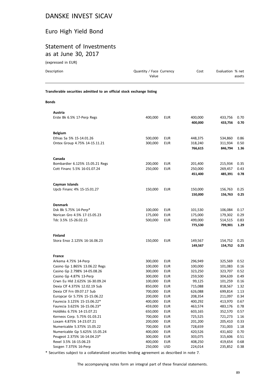# Euro High Yield Bond

#### Statement of Investments as at June 30, 2017

(expressed in EUR)

| Description                                                            | Quantity / Face Currency<br>Value | Cost               | Evaluation % net<br>assets         |
|------------------------------------------------------------------------|-----------------------------------|--------------------|------------------------------------|
| Transferable securities admitted to an official stock exchange listing |                                   |                    |                                    |
| <b>Bonds</b>                                                           |                                   |                    |                                    |
| Austria<br>Erste Bk 6.5% 17-Perp Regs                                  | 400.000<br><b>EUR</b>             | 400,000<br>400,000 | 0.70<br>433.756<br>433,756<br>0.70 |

| <b>Belgium</b>                  |         |            |         |         |      |
|---------------------------------|---------|------------|---------|---------|------|
| Ethias Sa 5% 15-14.01.26        | 500,000 | <b>EUR</b> | 448,375 | 534,860 | 0.86 |
| Ontex Group 4.75% 14-15.11.21   | 300,000 | <b>EUR</b> | 318,240 | 311,934 | 0.50 |
|                                 |         |            | 766,615 | 846,794 | 1.36 |
|                                 |         |            |         |         |      |
| Canada                          |         |            |         |         |      |
| Bombardier 6.125% 15.05.21 Regs | 200,000 | <b>EUR</b> | 201,400 | 215,934 | 0.35 |
| Cott Financ 5.5% 16-01.07.24    | 250,000 | <b>EUR</b> | 250,000 | 269,457 | 0.43 |
|                                 |         |            | 451,400 | 485,391 | 0.78 |
| Cayman Islands                  |         |            |         |         |      |
| Upcb Financ 4% 15-15.01.27      | 150,000 | <b>EUR</b> | 150,000 | 156,763 | 0.25 |
|                                 |         |            | 150,000 | 156,763 | 0.25 |
|                                 |         |            |         |         |      |
| <b>Denmark</b>                  |         |            |         |         |      |
| Dsk Bk 5.75% 14-Perp*           | 100,000 | <b>EUR</b> | 101,530 | 106,084 | 0.17 |
| Norican Gro 4.5% 17-15.05.23    | 175,000 | <b>EUR</b> | 175,000 | 179,302 | 0.29 |
| Tdc 3.5% 15-26.02.15            | 500,000 | <b>EUR</b> | 499,000 | 514,515 | 0.83 |
|                                 |         |            | 775,530 | 799,901 | 1.29 |
|                                 |         |            |         |         |      |
| <b>Finland</b>                  |         |            |         |         |      |
| Stora Enso 2.125% 16-16.06.23   | 150,000 | <b>EUR</b> | 149,567 | 154,752 | 0.25 |
|                                 |         |            | 149,567 | 154,752 | 0.25 |
|                                 |         |            |         |         |      |
| <b>France</b>                   |         |            |         |         |      |
| Arkema 4.75% 14-Perp            | 300,000 | <b>EUR</b> | 296,949 | 325,569 | 0.52 |
| Casino Gp 1.865% 13.06.22 Regs  | 100,000 | <b>EUR</b> | 100,000 | 101,083 | 0.16 |
| Casino Gp 2.798% 14-05.08.26    | 300,000 | <b>EUR</b> | 323,250 | 323,707 | 0.52 |
| Casino Gp 4.87% 13-Perp         | 300,000 | <b>EUR</b> | 259,500 | 304,639 | 0.49 |
| Crwn Eu Hld 2.625% 16-30.09.24  | 100,000 | <b>EUR</b> | 99,125  | 101,259 | 0.16 |
| Dexia Clf 4.375% 12.02.19 Sub   | 850,000 | <b>EUR</b> | 715,088 | 818,567 | 1.32 |
| Dexia Clf Frn 09.07.17 Sub      | 700,000 | <b>EUR</b> | 626,088 | 699,814 | 1.13 |
| Europcar Gr 5.75% 15-15.06.22   | 200,000 | <b>EUR</b> | 208,354 | 211,097 | 0.34 |
| Faurecia 3.125% 15-15.06.22*    | 400,000 | <b>EUR</b> | 400,292 | 413,970 | 0.67 |
| Faurecia 3.625% 16-15.06.23*    | 459,000 | <b>EUR</b> | 463,574 | 483,176 | 0.78 |
| Holdikks 6.75% 14-15.07.21      | 650,000 | <b>EUR</b> | 603,165 | 352,570 | 0.57 |
| Kerneos Corp. 5.75% 01.03.21    | 700,000 | <b>EUR</b> | 725,525 | 721,273 | 1.16 |
| Loxam 4.875% 14-23.07.21        | 200,000 | <b>EUR</b> | 201,200 | 205,410 | 0.33 |
| Numericable 5.375% 15.05.22     | 700,000 | <b>EUR</b> | 728,659 | 731,003 | 1.18 |
| Numericable Gp 5.625% 15.05.24  | 400,000 | <b>EUR</b> | 420,526 | 431,602 | 0.70 |
| Peugeot 2.375% 16-14.04.23*     | 300,000 | <b>EUR</b> | 303,075 | 315,606 | 0.51 |
| Rexel 3.5% 16-15.06.23          | 400,000 | <b>EUR</b> | 408,250 | 419,654 | 0.68 |
| Socgen 7.375% 16-Perp           | 250,000 | <b>USD</b> | 224,014 | 235,852 | 0.38 |

\* Securities subject to a collateralized securities lending agreement as described in note 7.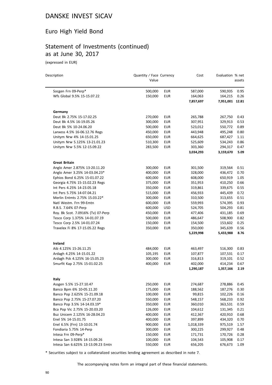#### Euro High Yield Bond

#### Statement of Investments (continued) as at June 30, 2017

(expressed in EUR)

| Description                        | Quantity / Face Currency<br>Value |            | Cost      | Evaluation % net | assets |
|------------------------------------|-----------------------------------|------------|-----------|------------------|--------|
|                                    |                                   |            |           |                  |        |
| Socgen Frn 09-Perp*                | 500,000                           | <b>EUR</b> | 587,000   | 590,935          | 0.95   |
| Wfs Global 9.5% 15-15.07.22        | 150,000                           | <b>EUR</b> | 164,063   | 164,215          | 0.26   |
|                                    |                                   |            | 7,857,697 | 7,951,001 12.81  |        |
| Germany                            |                                   |            |           |                  |        |
| Deut Bk 2.75% 15-17.02.25          | 270,000                           | <b>EUR</b> | 265,788   | 267,750          | 0.43   |
| Deut Bk 4.5% 16-19.05.26           | 300,000                           | <b>EUR</b> | 307,951   | 329,913          | 0.53   |
| Deut Bk 5% 10-24.06.20             | 500,000                           | <b>EUR</b> | 523,012   | 550,772          | 0.89   |
| Lanxess 4.5% 16-06.12.76 Regs      | 450,000                           | <b>EUR</b> | 443,948   | 495,248          | 0.80   |
| Unitym Nrw 4% 14-15.01.25          | 650,000                           | <b>EUR</b> | 664,625   | 687,427          | 1.11   |
| Unitym Nrw 5.125% 13-21.01.23      | 510,300                           | <b>EUR</b> | 525,609   | 534,243          | 0.86   |
| Unitym Nrw 5.5% 12-15.09.22        | 283,500                           | <b>EUR</b> | 303,360   | 294,317          | 0.47   |
|                                    |                                   |            | 3,034,293 | 3,159,670        | 5.09   |
| <b>Great Britain</b>               |                                   |            |           |                  |        |
| Anglo Amer 2.875% 13-20.11.20      | 300,000                           | <b>EUR</b> | 301,500   | 319,564          | 0.51   |
| Anglo Amer 3.25% 14-03.04.23*      | 400,000                           | <b>EUR</b> | 328,000   | 436,472          | 0.70   |
| Ephios Bond 6.25% 15-01.07.22      | 600,000                           | <b>EUR</b> | 608,000   | 650,919          | 1.05   |
| Georgia 4.75% 15-15.02.23 Regs     | 375,000                           | <b>EUR</b> | 351,953   | 410,250          | 0.66   |
| Int Pers 4.25% 14-23.05.18         | 350,000                           | <b>EUR</b> | 319,861   | 339,675          | 0.55   |
| Int Pers 5.75% 14-07.04.21         | 515,000                           | <b>EUR</b> | 456,933   | 445,439          | 0.72   |
| Merlin Entmts 2.75% 15.03.22*      | 300,000                           | <b>EUR</b> | 310,500   | 313,655          | 0.51   |
| Natl Westm. Frn 99-Emtn            | 600,000                           | <b>EUR</b> | 559,993   | 574,395          | 0.93   |
| R.B.S. 7.64% 07-Perp               | 600,000                           | <b>USD</b> | 524,705   | 504,293          | 0.81   |
| Roy. Bk Scot. 7.0916% (Tv) 07-Perp | 450,000                           | <b>EUR</b> | 477,406   | 431,185          | 0.69   |
| Tesco Corp 1.375% 14-01.07.19      | 500,000                           | <b>EUR</b> | 486,647   | 508,900          | 0.82   |
| Tesco Corp 2.5% 14-01.07.24        | 150,000                           | <b>EUR</b> | 154,500   | 153,602          | 0.25   |
| Travelex Fi 8% 17-15.05.22 Regs    | 350,000                           | <b>EUR</b> | 350,000   | 345,639          | 0.56   |
|                                    |                                   |            | 5,229,998 | 5,433,988        | 8.76   |
| Ireland                            |                                   |            |           |                  |        |
| Aib 4.125% 15-26.11.25             | 484,000                           | <b>EUR</b> | 463,497   | 516,300          | 0.83   |
| Ardagh 4.25% 14-15.01.22           | 105,195                           | <b>EUR</b> | 107,877   | 107,531          | 0.17   |
| Ardagh Pck 4.125% 16-15.05.23      | 300,000                           | EUR        | 316,813   | 319,101          | 0.52   |
| Smurfit Kap 2.75% 15-01.02.25      | 400,000                           | <b>EUR</b> | 402,000   | 414,234          | 0.67   |
|                                    |                                   |            | 1,290,187 | 1,357,166        | 2.19   |
| Italy                              |                                   |            |           |                  |        |
| Assgen 5.5% 15-27.10.47            | 250,000                           | <b>EUR</b> | 274,687   | 278,886          | 0.45   |
| Banco Bpm 6% 10-05.11.20           | 175,000                           | <b>EUR</b> | 188,562   | 187,276          | 0.30   |
| Banco Pop 2.625% 15-21.09.18       | 100,000                           | <b>EUR</b> | 99,815    | 102,226          | 0.16   |
| Banco Pop 2.75% 15-27.07.20        | 550,000                           | <b>EUR</b> | 548,157   | 568,233          | 0.92   |
| Banco Pop 3.5% 14-14.03.19*        | 350,000                           | <b>EUR</b> | 360,010   | 363,531          | 0.59   |
| Bca Pop Vic 2.75% 15-20.03.20      | 126,000                           | <b>EUR</b> | 104,612   | 131,345          | 0.21   |
| Buz Unicem 2.125% 16-28.04.23      | 400,000                           | <b>EUR</b> | 412,367   | 420,910          | 0.68   |
| Enel 5% 14-15.01.75                | 400,000                           | <b>EUR</b> | 397,899   | 434,320          | 0.70   |
| Enel 6.5% (Frn) 13-10.01.74        | 900,000                           | <b>EUR</b> | 1,018,339 | 975,519          | 1.57   |
| Fondiaria 5.75% 14-Perp            | 300,000                           | <b>EUR</b> | 300,225   | 299,927          | 0.48   |
| Intesa Frn 09-Perp*                | 150,000                           | <b>EUR</b> | 171,731   | 170,726          | 0.28   |
| Intesa San 3.928% 14-15.09.26      | 100,000                           | EUR        | 104,543   | 105,908          | 0.17   |
| Intesa San 6.625% 13-13.09.23 Emtn | 550,000                           | <b>EUR</b> | 656,205   | 676,673          | 1.09   |

\* Securities subject to a collateralized securities lending agreement as described in note 7.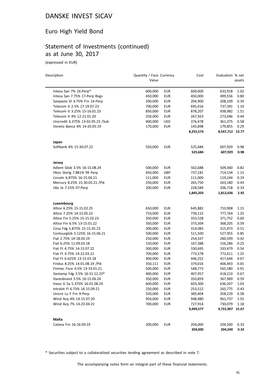#### Euro High Yield Bond

#### Statement of Investments (continued) as at June 30, 2017

(expressed in EUR)

 $\overline{a}$ 

| Description                        | Quantity / Face Currency<br>Value |            | Cost      | Evaluation % net | assets |
|------------------------------------|-----------------------------------|------------|-----------|------------------|--------|
| Intesa San 7% 16-Perp*             | 600,000                           | <b>EUR</b> | 600,000   | 633,918          | 1.02   |
| Intesa San 7.75% 17-Perp Regs      | 450,000                           | <b>EUR</b> | 450,000   | 499,556          | 0.80   |
| Sanpaolo VI 4.75% Frn 14-Perp      | 200,000                           | <b>EUR</b> | 204,900   | 208,109          | 0.34   |
| Telecom It 2.5% 17-19.07.23        | 700,000                           | <b>EUR</b> | 695,016   | 737,391          | 1.19   |
| Telecom It 3.25% 15-16.01.23       | 850,000                           | <b>EUR</b> | 878,207   | 938,982          | 1.51   |
| Telecom It 4% 12-21.01.20          | 250,000                           | <b>EUR</b> | 267,923   | 273,046          | 0.44   |
| Unicredit 6.375% 13-02.05.23 / Sub | 400,000                           | <b>USD</b> | 376,478   | 361,375          | 0.58   |
| Veneto Banca 4% 14-20.05.19        | 170,000                           | <b>EUR</b> | 145,898   | 179,855          | 0.29   |
|                                    |                                   |            | 8,255,574 | 8,547,712 13.77  |        |
| Japan                              |                                   |            |           |                  |        |
| Softbank 4% 15-30.07.22            | 550,000                           | EUR        | 525,684   | 607,929          | 0.98   |
|                                    |                                   |            | 525,684   | 607,929          | 0.98   |
| Jersey                             |                                   |            |           |                  |        |
| Adient Glob 3.5% 16-15.08.24       | 500,000                           | EUR        | 502,688   | 509,360          | 0.82   |
| Hbos Sterlg 7.881% 99 Perp         | 450,000                           | GBP        | 737,181   | 714,134          | 1.15   |
| Lincoln 6.875% 16-15.04.21         | 111,000                           | <b>EUR</b> | 111,000   | 119,244          | 0.19   |
| Mercury 8.25% 15-30.05.21 / Pik    | 250,000                           | <b>EUR</b> | 265,750   | 263,180          | 0.43   |
| Ubs Je 7.15% 07-Perp               | 200,000                           | <b>EUR</b> | 228,584   | 206,718          | 0.33   |
|                                    |                                   |            | 1,845,203 | 1,812,636        | 2.92   |
| Luxembourg                         |                                   |            |           |                  |        |
| Altice 6.25% 15-15.02.25           | 650,000                           | <b>EUR</b> | 645,882   | 710,908          | 1.15   |
| Altice 7.25% 14-15.05.22           | 733,000                           | <b>EUR</b> | 739,115   | 777,764          | 1.25   |
| Altice Fin 5.25% 15-15.02.23       | 350,000                           | <b>EUR</b> | 353,528   | 371,752          | 0.60   |
| Altice Fin 6.5% 13-15.01.22        | 350,000                           | <b>EUR</b> | 373,504   | 368,205          | 0.59   |
| Cirsa Fdg 5.875% 15-15.05.23       | 300,000                           | <b>EUR</b> | 314,083   | 315,473          | 0.51   |
| Contourglob 5.125% 16-15.06.21     | 500,000                           | <b>EUR</b> | 511,500   | 527,955          | 0.85   |
| Fiat 2.75% 14-18.03.19             | 250,000                           | <b>EUR</b> | 254,337   | 260,599          | 0.42   |
| Fiat 6.25% 11-09.03.18             | 150,000                           | <b>EUR</b> | 167,388   | 156,286          | 0.25   |
| Fiat Ft 4.75% 14-15.07.22          | 300,000                           | <b>EUR</b> | 330,695   | 333,479          | 0.54   |
| Fiat Ft 4.75% 14-22.03.21          | 700,000                           | <b>EUR</b> | 773,578   | 772,611          | 1.25   |
| Fiat Ft 6.625% 13-15.03.18         | 400,000                           | <b>EUR</b> | 446,252   | 417,646          | 0.67   |
| Findus 8.25% 14-01.08.19 / Pik     | 350,111                           | <b>EUR</b> | 379,016   | 406,443          | 0.65   |
| Finmec Fnce 4.5% 13-19.01.21       | 500,000                           | <b>EUR</b> | 548,773   | 565,580          | 0.91   |
| Gestamp Fdg 3.5% 16-31.12.23*      | 400,000                           | <b>EUR</b> | 407,957   | 418,210          | 0.67   |
| Hanesbrand 3.5% 16-15.06.24        | 350,000                           | <b>EUR</b> | 350,859   | 367,969 0.59     |        |
| Ineos G Sa 5.375% 16-01.08.24      | 600,000                           | EUR        | 603,300   | 636,207          | 1.03   |
| Intralot Fl 6.75% 16-15.09.21      | 250,000                           | <b>EUR</b> | 253,512   | 265,775          | 0.43   |
| Unicre Lu F Frn 9-Perp             | 320,000                           | <b>EUR</b> | 369,404   | 358,229          | 0.58   |
| Wind Acq 4% 14-15.07.20            | 950,000                           | <b>EUR</b> | 948,980   | 961,737          | 1.55   |
| Wind Acq 7% 14-23.04.21            | 700,000                           | <b>EUR</b> | 727,914   | 730,079          | 1.18   |
|                                    |                                   |            | 9,499,577 | 9,722,907 15.67  |        |
| Malta                              |                                   |            |           |                  |        |
| Catena Frn 16-16.09.19             | 200,000                           | <b>EUR</b> | 204,000   | 204,500          | 0.33   |
|                                    |                                   |            | 204,000   | 204,500          | 0.33   |

\* Securities subject to a collateralized securities lending agreement as described in note 7.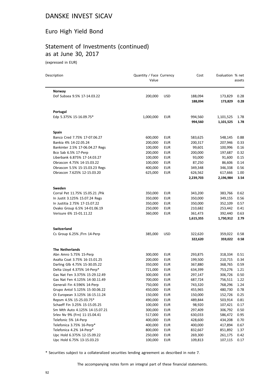#### Euro High Yield Bond

#### Statement of Investments (continued) as at June 30, 2017

(expressed in EUR)

 $\overline{a}$ 

| Description                      | Quantity / Face Currency<br>Value |            | Cost      | Evaluation % net | assets |
|----------------------------------|-----------------------------------|------------|-----------|------------------|--------|
| Norway                           |                                   |            |           |                  |        |
| Dof Subsea 9.5% 17-14.03.22      | 200,000                           | <b>USD</b> | 188,094   | 173,829          | 0.28   |
|                                  |                                   |            | 188,094   | 173,829          | 0.28   |
| Portugal                         |                                   |            |           |                  |        |
| Edp 5.375% 15-16.09.75*          | 1,000,000                         | <b>EUR</b> | 994,560   | 1,101,525        | 1.78   |
|                                  |                                   |            | 994,560   | 1,101,525        | 1.78   |
| Spain                            |                                   |            |           |                  |        |
| Banco Cred 7.75% 17-07.06.27     | 600,000                           | EUR        | 583,625   | 548,145          | 0.88   |
| Bankia 4% 14-22.05.24            | 200,000                           | <b>EUR</b> | 200,317   | 207,946          | 0.33   |
| Bankinter 2.5% 17-06.04.27 Regs  | 100,000                           | <b>EUR</b> | 99,601    | 100,996          | 0.16   |
| Bco Sab 6.5% 17-Perp             | 200,000                           | <b>EUR</b> | 200,000   | 197,687          | 0.32   |
| Liberbank 6.875% 17-14.03.27     | 100,000                           | <b>EUR</b> | 93,000    | 91,600           | 0.15   |
| Obrascon 4.75% 14-15.03.22       | 100,000                           | <b>EUR</b> | 87,250    | 86,606           | 0.14   |
| Obrascon 5.5% 15-15.03.23 Regs   | 400,000                           | <b>EUR</b> | 349,348   | 346,338          | 0.56   |
| Obrascon 7.625% 12-15.03.20      | 625,000                           | <b>EUR</b> | 626,562   | 617,666          | 1.00   |
|                                  |                                   |            | 2,239,703 | 2,196,984        | 3.54   |
| Sweden                           |                                   |            |           |                  |        |
| Corral Pet 11.75% 15.05.21 / Pik | 350,000                           | EUR        | 343,200   | 383,766          | 0.62   |
| In Justit 3.125% 15.07.24 Regs   | 350,000                           | <b>EUR</b> | 350,000   | 349,155          | 0.56   |
| In Justitia 2.75% 17-15.07.22    | 350,000                           | <b>EUR</b> | 350,000   | 352,109          | 0.57   |
| Ovako Group 6.5% 14-01.06.19     | 250,000                           | <b>EUR</b> | 210,682   | 253,442          | 0.41   |
| Verisure 6% 15-01.11.22          | 360,000                           | <b>EUR</b> | 361,473   | 392,440          | 0.63   |
|                                  |                                   |            | 1,615,355 | 1,730,912        | 2.79   |
| <b>Switzerland</b>               |                                   |            |           |                  |        |
| Cs Group 6.25% / Frn 14-Perp     | 385,000                           | <b>USD</b> | 322,620   | 359,022          | 0.58   |
|                                  |                                   |            | 322,620   | 359,022          | 0.58   |
| <b>The Netherlands</b>           |                                   |            |           |                  |        |
| Abn Amro 5.75% 15-Perp           | 300,000                           | <b>EUR</b> | 293,875   | 318,334          | 0.51   |
| Axalta Coat 3.75% 16-15.01.25    | 200,000                           | <b>EUR</b> | 199,500   | 210,715          | 0.34   |
| Darling Glb 4.75% 15-30.05.22    | 350,000                           | <b>EUR</b> | 367,880   | 368,765          | 0.59   |
| Delta Lloyd 4.375% 14-Perp*      | 721,000                           | <b>EUR</b> | 634,399   | 753,276          | 1.21   |
| Gas Nat Fen 3.375% 15-29.12.49   | 300,000                           | <b>EUR</b> | 297,147   | 306,726          | 0.50   |
| Gas Nat Fen 4.125% 14-30.11.49   | 700,000                           | <b>EUR</b> | 687,724   | 756,511          | 1.22   |
| Generali Fin 4.596% 14-Perp      | 750,000                           | <b>EUR</b> | 743,320   | 768,296          | 1.24   |
| Grupo Antol 5.125% 15-30.06.22   | 450,000                           | <b>EUR</b> | 455,965   | 480,730          | 0.78   |
| Oi European 3.125% 16-15.11.24   | 150,000                           | <b>EUR</b> | 150,000   | 152,726          | 0.25   |
| Repsm 4.5% 15-25.03.75*          | 490,000                           | EUR        | 489,844   | 503,914          | 0.81   |
| Schaeff Fin 3.25% 15-15.05.25    | 100,000                           | <b>EUR</b> | 98,920    | 107,421          | 0.17   |
| Sm Mth Auto 4.125% 14-15.07.21   | 300,000                           | <b>EUR</b> | 297,409   | 306,792          | 0.50   |
| Srlev Nv 9% (Frn) 11-15.04.41    | 517,000                           | <b>EUR</b> | 630,033   | 586,472          | 0.95   |
| Telefonic 5% 14-Perp             | 400,000                           | <b>EUR</b> | 428,600   | 434,208          | 0.70   |
| Telefonica 3.75% 16-Perp*        | 400,000                           | <b>EUR</b> | 400,000   | 417,894          | 0.67   |
| Telefonica 4.2% 14-Perp*         | 800,000                           | EUR        | 832,667   | 851,892          | 1.37   |
| Upc Hold 6.375% 12-15.09.22      | 250,000                           | <b>EUR</b> | 269,300   | 261,175          | 0.42   |
| Upc Hold 6.75% 13-15.03.23       | 100,000                           | <b>EUR</b> | 109,813   | 107,115          | 0.17   |

\* Securities subject to a collateralized securities lending agreement as described in note 7.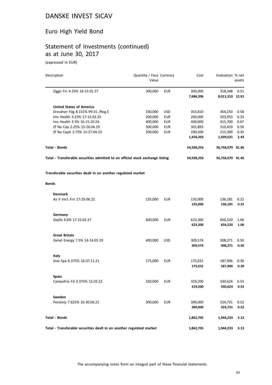# Euro High Yield Bond

## Statement of Investments (continued) as at June 30, 2017

(expressed in EUR)

| Description                                                                    | Quantity / Face Currency<br>Value |            | Cost                 | Evaluation % net           | assets       |
|--------------------------------------------------------------------------------|-----------------------------------|------------|----------------------|----------------------------|--------------|
| Ziggo Fin 4.25% 16-15.01.27                                                    | 300,000                           | <b>EUR</b> | 300,000<br>7,686,396 | 318,348<br>8,011,310 12.91 | 0.51         |
| <b>United States of America</b>                                                |                                   |            |                      |                            |              |
| Dresdner Fdg 8.151% 99-31 / Reg.S                                              | 330,000                           | USD        | 353,810              | 364,250                    | 0.58         |
| Ims Health 3.25% 17-15.03.25                                                   | 200,000                           | <b>EUR</b> | 200,000              | 203,953                    | 0.33         |
| Ims Health 3.5% 16-15.10.24                                                    | 400,000                           | <b>EUR</b> | 400,000              | 415,700                    | 0.67         |
| Zf Na Cap 2.25% 15-26.04.19                                                    | 300,000                           | <b>EUR</b> | 301,893              | 310,419                    | 0.50         |
| Zf Na Capit 2.75% 15-27.04.23                                                  | 200,000                           | <b>EUR</b> | 200,500              | 215,309                    | 0.35         |
|                                                                                |                                   |            | 1,456,203            | 1,509,631                  | 2.43         |
| <b>Total - Bonds</b>                                                           |                                   |            | 54,938,256           | 56,758,079 91.46           |              |
| Total - Transferable securities admitted to an official stock exchange listing |                                   |            | 54,938,256           | 56,758,079 91.46           |              |
| Transferable securities dealt in on another regulated market                   |                                   |            |                      |                            |              |
| <b>Bonds</b>                                                                   |                                   |            |                      |                            |              |
| <b>Denmark</b>                                                                 |                                   |            |                      |                            |              |
| Ax V Inv1 Frn 17-29.06.22                                                      | 135,000                           | EUR        | 135,000<br>135,000   | 136,181<br>136,181         | 0.22<br>0.22 |
|                                                                                |                                   |            |                      |                            |              |
| Germany                                                                        |                                   |            |                      |                            |              |
| Depfa 4.6% 17-22.02.27                                                         | 600,000                           | EUR        | 623,300              | 656,520                    | 1.06         |
|                                                                                |                                   |            | 623,300              | 656,520                    | 1.06         |
| <b>Great Britain</b>                                                           |                                   |            |                      |                            |              |
| Genel Energy 7.5% 14-14.05.19                                                  | 400,000                           | <b>USD</b> | 309,574              | 308,271                    | 0.50         |
|                                                                                |                                   |            | 309,574              | 308,271                    | 0.50         |
| Italy                                                                          |                                   |            |                      |                            |              |
| Snai Spa 6.375% 16-07.11.21                                                    | 175,000                           | EUR        | 175,631              | 187,906                    | 0.30         |
|                                                                                |                                   |            | 175,631              | 187,906                    | 0.30         |
| <b>Spain</b>                                                                   |                                   |            |                      |                            |              |
| Campofrio Fd 3.375% 15.03.22                                                   | 320,000                           | <b>EUR</b> | 319,200              | 330,624                    | 0.53         |
|                                                                                |                                   |            | 319,200              | 330,624                    | 0.53         |
| Sweden                                                                         |                                   |            |                      |                            |              |
| Perstorp 7.625% 16-30.06.21                                                    | 300,000                           | <b>EUR</b> | 300,000              | 324,731                    | 0.52         |
|                                                                                |                                   |            | 300,000              | 324,731                    | 0.52         |
| <b>Total - Bonds</b>                                                           |                                   |            | 1,862,705            | 1,944,233                  | 3.13         |
| Total - Transferable securities dealt in on another regulated market           |                                   |            | 1,862,705            | 1,944,233                  | 3.13         |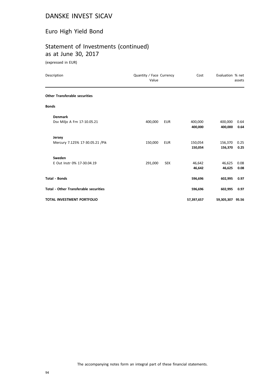#### Euro High Yield Bond

## Statement of Investments (continued) as at June 30, 2017

(expressed in EUR)

| Description                                  | Quantity / Face Currency<br>Value |            | Cost       | Evaluation % net | assets |
|----------------------------------------------|-----------------------------------|------------|------------|------------------|--------|
| <b>Other Transferable securities</b>         |                                   |            |            |                  |        |
| <b>Bonds</b>                                 |                                   |            |            |                  |        |
| <b>Denmark</b>                               |                                   |            |            |                  |        |
| Dsv Miljo A Frn 17-10.05.21                  | 400,000                           | <b>EUR</b> | 400,000    | 400,000          | 0.64   |
|                                              |                                   |            | 400,000    | 400,000          | 0.64   |
| Jersey                                       |                                   |            |            |                  |        |
| Mercury 7.125% 17-30.05.21 / Pik             | 150,000                           | <b>EUR</b> | 150,054    | 156,370          | 0.25   |
|                                              |                                   |            | 150,054    | 156,370          | 0.25   |
| Sweden                                       |                                   |            |            |                  |        |
| E Out Instr 0% 17-30.04.19                   | 291,000                           | <b>SEK</b> | 46,642     | 46,625           | 0.08   |
|                                              |                                   |            | 46,642     | 46,625           | 0.08   |
| <b>Total - Bonds</b>                         |                                   |            | 596,696    | 602,995          | 0.97   |
| <b>Total - Other Transferable securities</b> |                                   |            | 596,696    | 602,995          | 0.97   |
| <b>TOTAL INVESTMENT PORTFOLIO</b>            |                                   |            | 57,397,657 | 59,305,307 95.56 |        |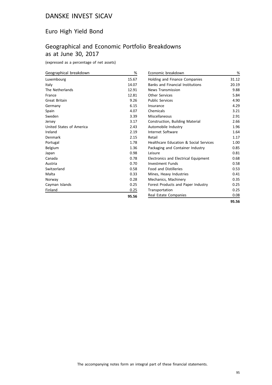#### Euro High Yield Bond

## Geographical and Economic Portfolio Breakdowns as at June 30, 2017

(expressed as a percentage of net assets)

| Geographical breakdown   | %     |
|--------------------------|-------|
| Luxembourg               | 15.67 |
| Italy                    | 14.07 |
| The Netherlands          | 12.91 |
| France                   | 12.81 |
| <b>Great Britain</b>     | 9.26  |
| Germany                  | 6.15  |
| Spain                    | 4.07  |
| Sweden                   | 3.39  |
| Jersey                   | 3.17  |
| United States of America | 2.43  |
| Ireland                  | 2.19  |
| Denmark                  | 2.15  |
| Portugal                 | 1.78  |
| Belgium                  | 1.36  |
| Japan                    | 0.98  |
| Canada                   | 0.78  |
| Austria                  | 0.70  |
| Switzerland              | 0.58  |
| Malta                    | 0.33  |
| Norway                   | 0.28  |
| Cayman Islands           | 0.25  |
| Finland                  | 0.25  |
|                          | 95.56 |

| Economic breakdown                                | %     |
|---------------------------------------------------|-------|
| <b>Holding and Finance Companies</b>              | 31.12 |
| <b>Banks and Financial Institutions</b>           | 20.19 |
| <b>News Transmission</b>                          | 9.88  |
| <b>Other Services</b>                             | 5.84  |
| <b>Public Services</b>                            | 4.90  |
| Insurance                                         | 4.29  |
| Chemicals                                         | 3.21  |
| Miscellaneous                                     | 2.91  |
| <b>Construction, Building Material</b>            | 2.66  |
| Automobile Industry                               | 1.96  |
| Internet Software                                 | 1.64  |
| Retail                                            | 1.17  |
| <b>Healthcare Education &amp; Social Services</b> | 1.00  |
| Packaging and Container Industry                  | 0.85  |
| l eisure                                          | 0.81  |
| <b>Electronics and Electrical Equipment</b>       | 0.68  |
| <b>Investment Funds</b>                           | 0.58  |
| <b>Food and Distilleries</b>                      | 0.53  |
| Mines, Heavy Industries                           | 0.41  |
| Mechanics, Machinery                              | 0.35  |
| Forest Products and Paper Industry                | 0.25  |
| Transportation                                    | 0.25  |
| Real Estate Companies                             | 0.08  |
|                                                   | 95.56 |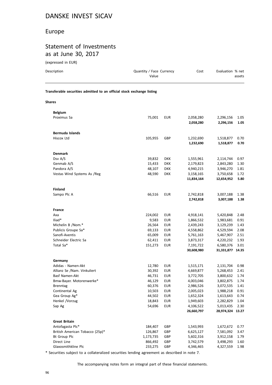#### Europe

#### Statement of Investments as at June 30, 2017

| (expressed in EUR)                                                     |                                   |                          |                         |                               |              |
|------------------------------------------------------------------------|-----------------------------------|--------------------------|-------------------------|-------------------------------|--------------|
| Description                                                            | Quantity / Face Currency<br>Value |                          | Cost                    | Evaluation % net              | assets       |
| Transferable securities admitted to an official stock exchange listing |                                   |                          |                         |                               |              |
| <b>Shares</b>                                                          |                                   |                          |                         |                               |              |
| <b>Belgium</b>                                                         |                                   |                          |                         |                               |              |
| Proximus Sa                                                            | 75,001                            | <b>EUR</b>               | 2,058,280               | 2,296,156                     | 1.05         |
|                                                                        |                                   |                          | 2,058,280               | 2,296,156                     | 1.05         |
| <b>Bermuda Islands</b>                                                 |                                   |                          |                         |                               |              |
| Hiscox Ltd                                                             | 105,955                           | GBP                      | 1,232,690               | 1,518,877                     | 0.70         |
|                                                                        |                                   |                          | 1,232,690               | 1,518,877                     | 0.70         |
| <b>Denmark</b>                                                         |                                   |                          |                         |                               |              |
| Dsv A/S                                                                | 39,832                            | <b>DKK</b>               | 1,555,961               | 2,114,744                     | 0.97         |
| Genmab A/S                                                             | 15,433                            | <b>DKK</b>               | 2,179,823               | 2,843,280                     | 1.30         |
| Pandora A/S                                                            | 48,107                            | <b>DKK</b>               | 4,940,215               | 3,946,270                     | 1.81         |
| Vestas Wind Systems As /Reg                                            | 48,590                            | <b>DKK</b>               | 3,158,165               | 3,750,658                     | 1.72         |
|                                                                        |                                   |                          | 11,834,164              | 12,654,952                    | 5.80         |
| <b>Finland</b>                                                         |                                   |                          |                         |                               |              |
| Sampo Plc A                                                            | 66,516                            | <b>EUR</b>               | 2,742,818               | 3,007,188                     | 1.38         |
|                                                                        |                                   |                          | 2,742,818               | 3,007,188                     | 1.38         |
| France                                                                 |                                   |                          |                         |                               |              |
| Axa                                                                    | 224,002                           | <b>EUR</b>               | 4,918,141               | 5,420,848                     | 2.48         |
| Iliad*                                                                 | 9,583                             | <b>EUR</b>               | 1,866,532               | 1,983,681                     | 0.91         |
| Michelin B /Nom.*                                                      | 26,564                            | <b>EUR</b>               | 2,439,243               | 3,129,239                     | 1.43         |
| Publicis Groupe Sa*                                                    | 69,133                            | <b>EUR</b>               | 4,558,862               | 4,529,594                     | 2.08         |
| Sanofi-Aventis                                                         | 65,009                            | <b>EUR</b>               | 5,761,163               | 5,467,907                     | 2.51         |
| Schneider Electric Sa                                                  | 62,411                            | <b>EUR</b>               | 3,873,317               | 4,220,232                     | 1.93         |
| Total Sa*                                                              | 151,273                           | <b>EUR</b>               | 7,191,722<br>30,608,980 | 6,580,376<br>31,331,877 14.35 | 3.01         |
|                                                                        |                                   |                          |                         |                               |              |
| Germany                                                                |                                   |                          |                         |                               |              |
| Adidas - Namen-Akt                                                     | 12,780                            | EUR                      | 1,515,171               | 2,131,704                     | 0.98         |
| Allianz Se /Nam. Vinkuliert<br><b>Basf Namen-Akt</b>                   | 30,392<br>46,731                  | <b>EUR</b><br><b>EUR</b> | 4,669,877<br>3,772,705  | 5,268,453<br>3,800,632        | 2.41<br>1.74 |
| Bmw-Bayer. Motorenwerke*                                               | 46,129                            | <b>EUR</b>               | 4,003,046               | 3,802,875                     | 1.74         |
| Brenntag                                                               | 60,376                            | <b>EUR</b>               | 2,986,526               | 3,072,535                     | 1.41         |
| Continental Ag                                                         | 10,503                            | EUR                      | 2,005,023               | 1,988,218                     | 0.91         |
| Gea Group Ag*                                                          | 44,502                            | <b>EUR</b>               | 1,652,324               | 1,613,643                     | 0.74         |
| Henkel /Vorzug                                                         | 18,843                            | <b>EUR</b>               | 1,949,603               | 2,282,829                     | 1.04         |
| Sap Ag                                                                 | 54,696                            | EUR                      | 4,106,522               | 5,013,435                     | 2.30         |
|                                                                        |                                   |                          | 26,660,797              | 28,974,324 13.27              |              |
| <b>Great Britain</b>                                                   |                                   |                          |                         |                               |              |
| Antofagasta Plc*                                                       | 184,407                           | GBP                      | 1,543,993               | 1,672,672                     | 0.77         |
| British American Tobacco (25p)*                                        | 126,867                           | GBP                      | 6,625,127               | 7,581,092                     | 3.47         |
| <b>Bt Group Plc</b>                                                    | 1,173,735                         | GBP                      | 5,602,316               | 3,912,158                     | 1.79         |
| Direct Line                                                            | 866,492                           | GBP                      | 3,742,579               | 3,498,293                     | 1.60         |

\* Securities subject to a collateralized securities lending agreement as described in note 7.

Glaxosmithkline Plc **233,275** GBP 4,346,465 4,327,559 1.98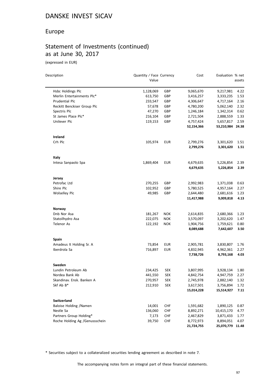#### Europe

### Statement of Investments (continued) as at June 30, 2017

(expressed in EUR)

| Description                    | Quantity / Face Currency<br>Value |            | Cost       | Evaluation % net | assets |
|--------------------------------|-----------------------------------|------------|------------|------------------|--------|
|                                |                                   |            |            |                  |        |
| Hsbc Holdings Plc              | 1,128,069                         | GBP        | 9,065,670  | 9,217,981        | 4.22   |
| Merlin Entertainments Plc*     | 613,750                           | GBP        | 3,416,257  | 3,333,235        | 1.53   |
| Prudential Plc                 | 233,547                           | GBP        | 4,306,647  | 4,717,164        | 2.16   |
| Reckitt Benckiser Group Plc    | 57,678                            | GBP        | 4,780,200  | 5,062,140        | 2.32   |
| Spectris Plc                   | 47,270                            | GBP        | 1,246,184  | 1,342,314        | 0.62   |
| St James Place Plc*            | 216,104                           | GBP        | 2,721,504  | 2,888,559        | 1.33   |
| Unilever Plc                   | 119,153                           | GBP        | 4,757,424  | 5,657,817        | 2.59   |
|                                |                                   |            | 52,154,366 | 53,210,984 24.38 |        |
| Ireland                        |                                   |            |            |                  |        |
| Crh Plc                        | 105,974                           | <b>EUR</b> | 2,799,276  | 3,301,620        | 1.51   |
|                                |                                   |            | 2,799,276  | 3,301,620        | 1.51   |
| Italy                          |                                   |            |            |                  |        |
| Intesa Sanpaolo Spa            | 1,869,404                         | <b>EUR</b> | 4,679,635  | 5,226,854        | 2.39   |
|                                |                                   |            | 4,679,635  | 5,226,854        | 2.39   |
| Jersey                         |                                   |            |            |                  |        |
| Petrofac Ltd                   | 270,255                           | GBP        | 2,992,983  | 1,371,038        | 0.63   |
| Shire Plc                      | 102,952                           | GBP        | 5,780,525  | 4,957,164        | 2.27   |
| <b>Wolselley Plc</b>           | 49,985                            | GBP        | 2,644,480  | 2,681,616        | 1.23   |
|                                |                                   |            | 11,417,988 | 9,009,818        | 4.13   |
| Norway                         |                                   |            |            |                  |        |
| Dnb Nor Asa                    | 181,267                           | <b>NOK</b> | 2,614,835  | 2,680,366        | 1.23   |
| Statoilhydro Asa               | 222,075                           | <b>NOK</b> | 3,570,097  | 3,202,620        | 1.47   |
| <b>Telenor As</b>              | 122,192                           | <b>NOK</b> | 1,904,756  | 1,759,621        | 0.80   |
|                                |                                   |            | 8,089,688  | 7,642,607        | 3.50   |
| Spain                          |                                   |            |            |                  |        |
| Amadeus It Holding Sr. A       | 73,854                            | <b>EUR</b> | 2,905,781  | 3,830,807        | 1.76   |
| Iberdrola Sa                   | 716,897                           | <b>EUR</b> | 4,832,945  | 4,962,361        | 2.27   |
|                                |                                   |            | 7,738,726  | 8,793,168        | 4.03   |
| Sweden                         |                                   |            |            |                  |        |
| Lundin Petroleum Ab            | 234,425                           | <b>SEK</b> | 3,807,995  | 3,928,134        | 1.80   |
| Nordea Bank Ab                 | 441,550                           | <b>SEK</b> | 4,842,754  | 4,947,759        | 2.27   |
| Skandinav. Ensk. Banken A      | 270,957                           | <b>SEK</b> | 2,745,978  | 2,882,140        | 1.32   |
| Skf Ab B*                      | 212,910                           | SEK        | 3,617,501  | 3,756,894        | 1.72   |
|                                |                                   |            | 15,014,228 | 15,514,927       | 7.11   |
| Switzerland                    |                                   |            |            |                  |        |
| Baloise Holding /Namen         | 14,001                            | <b>CHF</b> | 1,591,682  | 1,890,125        | 0.87   |
| Nestle Sa                      | 136,060                           | <b>CHF</b> | 8,892,271  | 10,415,170       | 4.77   |
| Partners Group Holding*        | 7,173                             | <b>CHF</b> | 2,467,829  | 3,871,433        | 1.77   |
| Roche Holding Ag /Genussschein | 39,750                            | <b>CHF</b> | 8,772,973  | 8,894,051        | 4.07   |
|                                |                                   |            | 21,724,755 | 25,070,779 11.48 |        |

\* Securities subject to a collateralized securities lending agreement as described in note 7.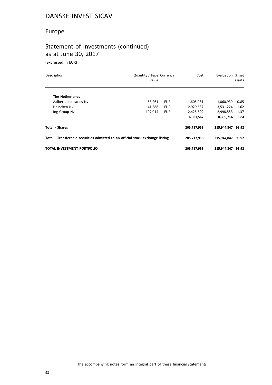#### Europe

## Statement of Investments (continued) as at June 30, 2017

(expressed in EUR)

| Description                                                                    | Quantity / Face Currency<br>Value |            | Cost        | Evaluation % net | assets |
|--------------------------------------------------------------------------------|-----------------------------------|------------|-------------|------------------|--------|
| <b>The Netherlands</b>                                                         |                                   |            |             |                  |        |
| Aalberts Industries Nv                                                         | 53,261                            | EUR        | 1,605,981   | 1,860,939        | 0.85   |
| Heineken Nv                                                                    | 41.388                            | <b>EUR</b> | 2,929,687   | 3,531,224        | 1.62   |
| Ing Group Nv                                                                   | 197,014                           | <b>EUR</b> | 2,425,899   | 2,998,553        | 1.37   |
|                                                                                |                                   |            | 6,961,567   | 8,390,716        | 3.84   |
| <b>Total - Shares</b>                                                          |                                   |            | 205,717,958 | 215,944,847      | 98.92  |
| Total - Transferable securities admitted to an official stock exchange listing |                                   |            | 205,717,958 | 215.944.847      | 98.92  |
| TOTAL INVESTMENT PORTFOLIO                                                     |                                   |            | 205,717,958 | 215,944,847      | 98.92  |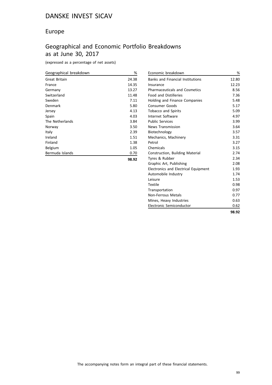#### Europe

## Geographical and Economic Portfolio Breakdowns as at June 30, 2017

(expressed as a percentage of net assets)

| Geographical breakdown | %     |
|------------------------|-------|
| Great Britain          | 24.38 |
| France                 | 14.35 |
| Germany                | 13.27 |
| Switzerland            | 11.48 |
| Sweden                 | 7.11  |
| Denmark                | 5.80  |
| Jersey                 | 4.13  |
| Spain                  | 4.03  |
| The Netherlands        | 3.84  |
| Norway                 | 3.50  |
| Italy                  | 2.39  |
| Ireland                | 1.51  |
| Finland                | 1.38  |
| Belgium                | 1.05  |
| Bermuda Islands        | 0.70  |
|                        | 98.92 |

| Economic breakdown                          | %     |
|---------------------------------------------|-------|
| <b>Banks and Financial Institutions</b>     | 12.80 |
| Insurance                                   | 12.23 |
| <b>Pharmaceuticals and Cosmetics</b>        | 8.56  |
| <b>Food and Distilleries</b>                | 7.36  |
| <b>Holding and Finance Companies</b>        | 5.48  |
| <b>Consumer Goods</b>                       | 5.17  |
| <b>Tobacco and Spirits</b>                  | 5.09  |
| Internet Software                           | 4.97  |
| <b>Public Services</b>                      | 3.99  |
| <b>News Transmission</b>                    | 3.64  |
| Biotechnology                               | 3.57  |
| Mechanics, Machinery                        | 3.31  |
| Petrol                                      | 3.27  |
| Chemicals                                   | 3.15  |
| Construction, Building Material             | 2.74  |
| Tyres & Rubber                              | 2.34  |
| Graphic Art, Publishing                     | 2.08  |
| <b>Electronics and Electrical Equipment</b> | 1.93  |
| Automobile Industry                         | 1.74  |
| Leisure                                     | 1.53  |
| <b>Textile</b>                              | 0.98  |
| Transportation                              | 0.97  |
| Non-Ferrous Metals                          | 0.77  |
| Mines, Heavy Industries                     | 0.63  |
| Electronic Semiconductor                    | 0.62  |
|                                             | 98.92 |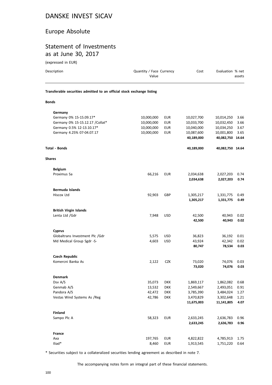#### Europe Absolute

#### Statement of Investments as at June 30, 2017

(expressed in EUR)

| Description                                                            | Quantity / Face Currency<br>Value |            | Cost             | Evaluation % net | assets       |
|------------------------------------------------------------------------|-----------------------------------|------------|------------------|------------------|--------------|
| Transferable securities admitted to an official stock exchange listing |                                   |            |                  |                  |              |
| <b>Bonds</b>                                                           |                                   |            |                  |                  |              |
| Germany                                                                |                                   |            |                  |                  |              |
| Germany 0% 15-15.09.17*                                                | 10,000,000                        | <b>EUR</b> | 10,027,700       | 10,014,250       | 3.66         |
| Germany 0% 15-15.12.17 / Collat*                                       | 10,000,000                        | <b>EUR</b> | 10,033,700       | 10,032,450       | 3.66         |
| Germany 0.5% 12-13.10.17*                                              | 10,000,000                        | <b>EUR</b> | 10,040,000       | 10,034,250       | 3.67         |
| Germany 4.25% 07-04.07.17                                              | 10,000,000                        | <b>EUR</b> | 10,087,600       | 10,001,800       | 3.65         |
|                                                                        |                                   |            | 40,189,000       | 40,082,750 14.64 |              |
| <b>Total - Bonds</b>                                                   |                                   |            | 40,189,000       | 40,082,750 14.64 |              |
| <b>Shares</b>                                                          |                                   |            |                  |                  |              |
| <b>Belgium</b>                                                         |                                   |            |                  |                  |              |
| Proximus Sa                                                            | 66,216                            | <b>EUR</b> | 2,034,638        | 2,027,203        | 0.74         |
|                                                                        |                                   |            | 2,034,638        | 2,027,203        | 0.74         |
| <b>Bermuda Islands</b>                                                 |                                   |            |                  |                  |              |
| Hiscox Ltd                                                             | 92,903                            | GBP        | 1,305,217        | 1,331,775        | 0.49         |
|                                                                        |                                   |            | 1,305,217        | 1,331,775        | 0.49         |
| <b>British Virgin Islands</b>                                          |                                   |            |                  |                  |              |
| Lenta Ltd /Gdr                                                         | 7,948                             | <b>USD</b> | 42,500           | 40,943           | 0.02         |
|                                                                        |                                   |            | 42,500           | 40,943           | 0.02         |
| <b>Cyprus</b>                                                          |                                   |            |                  |                  |              |
| Globaltrans Investment Plc /Gdr                                        | 5,575                             | <b>USD</b> | 36,823           | 36,192           | 0.01         |
| Md Medical Group Sgdr -S-                                              | 4,603                             | <b>USD</b> | 43,924<br>80,747 | 42,342<br>78,534 | 0.02<br>0.03 |
| <b>Czech Republic</b>                                                  |                                   |            |                  |                  |              |
| Komercni Banka As                                                      | 2,122                             | <b>CZK</b> | 73,020           | 74,076           | 0.03         |
|                                                                        |                                   |            | 73,020           | 74,076           | 0.03         |
| <b>Denmark</b>                                                         |                                   |            |                  |                  |              |
| Dsv A/S                                                                | 35,073                            | <b>DKK</b> | 1,869,117        | 1,862,082        | 0.68         |
| Genmab A/S                                                             | 13,532                            | <b>DKK</b> | 2,549,667        | 2,493,051        | 0.91         |
| Pandora A/S                                                            | 42,472                            | <b>DKK</b> | 3,785,390        | 3,484,024        | 1.27         |
| Vestas Wind Systems As /Reg                                            | 42,786                            | <b>DKK</b> | 3,470,829        | 3,302,648        | 1.21         |
|                                                                        |                                   |            | 11,675,003       | 11,141,805       | 4.07         |
| <b>Finland</b>                                                         |                                   |            |                  |                  |              |
| Sampo Plc A                                                            | 58,323                            | <b>EUR</b> | 2,633,245        | 2,636,783        | 0.96         |
|                                                                        |                                   |            | 2,633,245        | 2,636,783        | 0.96         |
| France                                                                 |                                   |            |                  |                  |              |
| Axa                                                                    | 197,765                           | <b>EUR</b> | 4,822,822        | 4,785,913        | 1.75         |

\* Securities subject to a collateralized securities lending agreement as described in note 7.

Iliad\* 8,460 EUR 1,913,545 1,751,220 0.64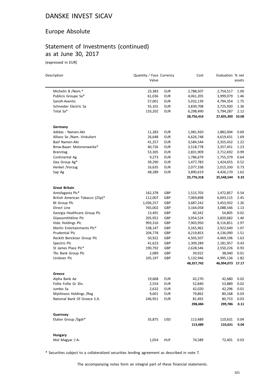#### Europe Absolute

## Statement of Investments (continued) as at June 30, 2017

(expressed in EUR)

 $\overline{a}$ 

| Description                     | Quantity / Face Currency<br>Value |            | Cost                    | Evaluation % net              | assets       |
|---------------------------------|-----------------------------------|------------|-------------------------|-------------------------------|--------------|
| Michelin B /Nom.*               |                                   | <b>EUR</b> |                         |                               |              |
| Publicis Groupe Sa*             | 23,383<br>61,036                  | <b>EUR</b> | 2,788,507<br>4,061,205  | 2,754,517<br>3,999,079        | 1.00<br>1.46 |
| Sanofi-Aventis                  | 57,001                            | EUR        | 5,032,139               | 4,794,354                     | 1.75         |
| Schneider Electric Sa           | 55,101                            | <b>EUR</b> | 3,839,708               | 3,725,930                     | 1.36         |
| Total Sa*                       | 133,202                           | EUR        | 6,298,490               | 5,794,287                     | 2.12         |
|                                 |                                   |            | 28,756,416              | 27,605,300                    | 10.08        |
| Germany                         |                                   |            |                         |                               |              |
| Adidas - Namen-Akt              | 11,283                            | EUR        | 1,981,920               | 1,882,004                     | 0.69         |
| Allianz Se /Nam. Vinkuliert     | 26,648                            | <b>EUR</b> | 4,626,748               | 4,619,431                     | 1.69         |
| Basf Namen-Akt                  | 41,257                            | EUR        | 3,584,544               | 3,355,432                     | 1.22         |
| Bmw-Bayer. Motorenwerke*        | 40,726                            | <b>EUR</b> | 3,518,778               | 3,357,451                     | 1.23         |
| <b>Brenntag</b>                 | 53,305                            | <b>EUR</b> | 2,831,909               | 2,712,692                     | 0.99         |
| Continental Ag                  | 9,273                             | <b>EUR</b> | 1,786,679               | 1,755,379                     | 0.64         |
| Gea Group Ag*                   | 39,290                            | <b>EUR</b> | 1,477,783               | 1,424,655                     | 0.52         |
| Henkel /Vorzug                  | 16,635                            | <b>EUR</b> | 2,077,338               | 2,015,330                     | 0.73         |
| Sap Ag                          | 48,289                            | <b>EUR</b> | 3,890,619               | 4,426,170                     | 1.62         |
|                                 |                                   |            | 25,776,318              | 25,548,544                    | 9.33         |
| <b>Great Britain</b>            |                                   |            |                         |                               |              |
| Antofagasta Plc*                | 162,378                           | GBP        | 1,515,703               | 1,472,857                     | 0.54         |
| British American Tobacco (25p)* | 112,007                           | GBP        | 7,069,898               | 6,693,115                     | 2.45         |
| Bt Group Plc                    | 1,036,257                         | GBP        | 3,687,242               | 3,453,932                     | 1.26         |
| Direct Line                     | 765,002                           | GBP        | 3,164,058               | 3,088,546                     | 1.13         |
| Georgia Healthcare Group Plc    | 13,491                            | GBP        | 60,342                  | 54,805                        | 0.02         |
| Glaxosmithkline Plc             | 205,952                           | GBP        | 3,954,524               | 3,820,682                     | 1.40         |
| Hsbc Holdings Plc               | 993,316                           | GBP        | 7,903,950               | 8,116,851                     | 2.97         |
| Merlin Entertainments Plc*      | 538,147                           | GBP        | 3,165,962               | 2,922,640                     | 1.07         |
| Prudential Plc                  | 204,778                           | GBP        | 4,219,853               | 4,136,090                     | 1.51         |
| Reckitt Benckiser Group Plc     | 50,922                            | GBP        | 4,505,507               | 4,469,196                     | 1.63         |
| Spectris Plc                    | 41,623                            | GBP        | 1,309,289               | 1,181,957                     | 0.43         |
| St James Place Plc*             | 190,792                           | GBP        | 2,628,546               | 2,550,226                     | 0.93         |
| Tbc Bank Group Plc              | 2,089                             | GBP        | 39,922                  | 38,040                        | 0.01         |
| Unilever Plc                    | 105,197                           | GBP        | 5,132,946<br>48,357,742 | 4,995,136<br>46,994,073 17.17 | 1.82         |
|                                 |                                   |            |                         |                               |              |
| Greece<br>Alpha Bank Ae         | 19,668                            | <b>EUR</b> | 42,270                  | 42,680                        | 0.02         |
| Follie Follie Gr Shs            | 2,554                             | EUR        | 52,840                  | 53,889                        | 0.02         |
| Jumbo Sa                        | 2,632                             | <b>EUR</b> | 42,020                  | 42,296                        | 0.01         |
| Mytilineos Holdings / Reg       | 9,601                             | <b>EUR</b> | 79,862                  | 80,168                        | 0.03         |
| National Bank Of Greece S.A.    | 246,951                           | <b>EUR</b> | 81,492                  | 80,753                        | 0.03         |
|                                 |                                   |            | 298,484                 | 299,786                       | 0.11         |
| Guernsey                        |                                   |            |                         |                               |              |
| Etalon Group /Sgdr*             | 35,875                            | <b>USD</b> | 113,489                 | 110,631                       | 0.04         |
|                                 |                                   |            | 113,489                 | 110,631                       | 0.04         |
| Hungary                         |                                   |            |                         |                               |              |
| Mol Magyar /-A-                 | 1,054                             | <b>HUF</b> | 74,589                  | 72,401                        | 0.03         |
|                                 |                                   |            |                         |                               |              |

\* Securities subject to a collateralized securities lending agreement as described in note 7.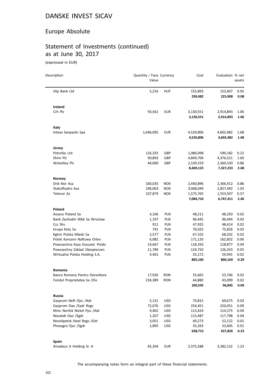#### Europe Absolute

# Statement of Investments (continued) as at June 30, 2017

(expressed in EUR)

 $\equiv$ 

| Description                                                    | Quantity / Face Currency<br>Value |            | Cost                   | Evaluation % net       | assets       |
|----------------------------------------------------------------|-----------------------------------|------------|------------------------|------------------------|--------------|
| Otp Bank Ltd                                                   | 5,216                             | <b>HUF</b> | 155,893<br>230,482     | 152,607<br>225,008     | 0.05<br>0.08 |
| Ireland                                                        |                                   |            |                        |                        |              |
| Crh Plc                                                        | 93,561                            | <b>EUR</b> | 3,130,551<br>3,130,551 | 2,914,893<br>2,914,893 | 1.06<br>1.06 |
| Italy                                                          |                                   |            |                        |                        |              |
| Intesa Sanpaolo Spa                                            | 1,646,095                         | <b>EUR</b> | 4,520,806<br>4,520,806 | 4,602,482<br>4,602,482 | 1.68<br>1.68 |
| Jersey                                                         |                                   |            |                        |                        |              |
| Petrofac Ltd                                                   | 116,335                           | GBP        | 1,080,098              | 590,182                | 0.22         |
| Shire Plc                                                      | 90,893                            | GBP        | 4,849,706              | 4,376,521              | 1.60         |
| <b>Wolselley Plc</b>                                           | 44,000                            | GBP        | 2,539,319<br>8,469,123 | 2,360,530<br>7,327,233 | 0.86<br>2.68 |
|                                                                |                                   |            |                        |                        |              |
| <b>Norway</b>                                                  |                                   |            |                        |                        |              |
| Dnb Nor Asa                                                    | 160,035                           | <b>NOK</b> | 2,440,896              | 2,366,412              | 0.86         |
| Statoilhydro Asa                                               | 196,063                           | <b>NOK</b> | 3,068,049              | 2,827,492              | 1.03         |
| <b>Telenor As</b>                                              | 107,879                           | <b>NOK</b> | 1,575,765<br>7,084,710 | 1,553,507<br>6,747,411 | 0.57<br>2.46 |
|                                                                |                                   |            |                        |                        |              |
| Poland                                                         |                                   |            |                        |                        |              |
| Asseco Poland Sa                                               | 4,106                             | PLN        | 48,211                 | 48,250                 | 0.02         |
| Bank Zachodni Wbk Sa Wroclaw                                   | 1,197                             | PLN        | 96,445                 | 96,494                 | 0.03         |
| Ccc Shs                                                        | 911                               | PLN        | 47,925                 | 48,414                 | 0.02         |
| Grupa Kety Sa                                                  | 741                               | PLN        | 76,025                 | 75,826                 | 0.03         |
| Kghm Polska Miedz Sa                                           | 2,577                             | PLN        | 67,102                 | 68,202                 | 0.02         |
| Polski Koncern Naftowy Orlen                                   | 6,082                             | PLN        | 171,120                | 162,832                | 0.06         |
| Powszechna Kasa Oszczed. Polski                                | 14,667                            | PLN<br>PLN | 118,350                | 118,877                | 0.04<br>0.05 |
| Powszechny Zaklad Ubezpieczen<br>Wirtualna Polska Holding S.A. | 11,789<br>4,401                   | PLN        | 124,750<br>55,172      | 126,333<br>54,941      | 0.02         |
|                                                                |                                   |            | 805,100                | 800,169                | 0.29         |
| Romania                                                        |                                   |            |                        |                        |              |
| Banca Romana Pentru Dezvoltare                                 | 17,926                            | <b>RON</b> | 55,665                 | 53,746                 | 0.02         |
| Fondul Proprietatea Sa /Dis                                    | 234,389                           | <b>RON</b> | 44,880                 | 43,099                 | 0.02         |
|                                                                |                                   |            | 100,545                | 96,845                 | 0.04         |
| <b>Russia</b>                                                  |                                   |            |                        |                        |              |
| Gazprom Neft Ojsc /Adr                                         | 5,131                             | <b>USD</b> | 70,815                 | 69,675                 | 0.03         |
| Gazprom Oao /Sadr Regs                                         | 72,076                            | <b>USD</b> | 254,451                | 250,051                | 0.09         |
| Mmc Norilsk Nickel Pisc /Adr                                   | 9,402                             | <b>USD</b> | 113,424                | 114,575                | 0.04         |
| Novatek Oao /Sgdr                                              | 1,207                             | <b>USD</b> | 115,487                | 117,798                | 0.04         |
| Novolipetsk Steel Regs /Gdr                                    | 3,051                             | <b>USD</b> | 49,273                 | 52,122                 | 0.02         |
| Phosagro Ojsc /Sgdr                                            | 2,895                             | <b>USD</b> | 35,263                 | 33,605                 | 0.01         |
|                                                                |                                   |            | 638,713                | 637,826                | 0.23         |
| Spain                                                          |                                   |            |                        |                        |              |
| Amadeus It Holding Sr. A                                       | 65,204                            | <b>EUR</b> | 3,375,588              | 3,382,132              | 1.23         |
|                                                                |                                   |            |                        |                        |              |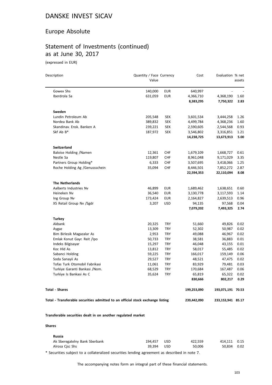#### Europe Absolute

## Statement of Investments (continued) as at June 30, 2017

(expressed in EUR)

 $\overline{a}$ 

| Description                                                                    | Quantity / Face Currency<br>Value |            | Cost        | Evaluation % net  | assets |
|--------------------------------------------------------------------------------|-----------------------------------|------------|-------------|-------------------|--------|
| Gowex Shs                                                                      | 140,000                           | <b>EUR</b> | 640,997     |                   |        |
| Iberdrola Sa                                                                   | 631,059                           | <b>EUR</b> | 4,366,710   | 4,368,190         | 1.60   |
|                                                                                |                                   |            | 8,383,295   | 7,750,322         | 2.83   |
| Sweden                                                                         |                                   |            |             |                   |        |
| Lundin Petroleum Ab                                                            | 205,548                           | <b>SEK</b> | 3,601,534   | 3,444,258         | 1.26   |
| Nordea Bank Ab                                                                 | 389,832                           | <b>SEK</b> | 4,499,784   | 4,368,236         | 1.60   |
| Skandinav. Ensk. Banken A                                                      | 239,221                           | <b>SEK</b> | 2,590,605   | 2,544,568         | 0.93   |
| Skf Ab B*                                                                      | 187,972                           | <b>SEK</b> | 3,546,802   | 3,316,851         | 1.21   |
|                                                                                |                                   |            | 14,238,725  | 13,673,913        | 5.00   |
| Switzerland                                                                    |                                   |            |             |                   |        |
| Baloise Holding /Namen                                                         | 12,361                            | <b>CHF</b> | 1,679,109   | 1,668,727         | 0.61   |
| Nestle Sa                                                                      | 119,807                           | <b>CHF</b> | 8,961,048   | 9,171,029         | 3.35   |
| Partners Group Holding*                                                        | 6,333                             | <b>CHF</b> | 3,507,695   | 3,418,066         | 1.25   |
| Roche Holding Ag /Genussschein                                                 | 35,094                            | <b>CHF</b> | 8,446,501   | 7,852,272         | 2.87   |
|                                                                                |                                   |            | 22,594,353  | 22,110,094        | 8.08   |
| <b>The Netherlands</b>                                                         |                                   |            |             |                   |        |
| Aalberts Industries Nv                                                         | 46,899                            | EUR        | 1,689,462   | 1,638,651         | 0.60   |
| Heineken Nv                                                                    | 36,540                            | EUR        | 3,130,778   | 3,117,593         | 1.14   |
| Ing Group Nv                                                                   | 173,424                           | EUR        | 2,164,827   | 2,639,513         | 0.96   |
| X5 Retail Group Nv /Sgdr                                                       | 3,207                             | <b>USD</b> | 94,135      | 97,568            | 0.04   |
|                                                                                |                                   |            | 7,079,202   | 7,493,325         | 2.74   |
| <b>Turkey</b>                                                                  |                                   |            |             |                   |        |
| Akbank                                                                         | 20,325                            | TRY        | 51,660      | 49,826            | 0.02   |
| Aygaz                                                                          | 13,309                            | <b>TRY</b> | 52,302      | 50,987            | 0.02   |
| Bim Birlesik Magazalar As                                                      | 2,953                             | <b>TRY</b> | 49,088      | 46,967            | 0.02   |
| Emlak Konut Gayr. Reit /Ipo                                                    | 50,733                            | <b>TRY</b> | 38,581      | 36,883            | 0.01   |
| Indeks Bilgisayar                                                              | 15,297                            | <b>TRY</b> | 46,048      | 43,155            | 0.01   |
| Koc Hld As                                                                     | 13,812                            | <b>TRY</b> | 58,017      | 55,485            | 0.02   |
| Sabanci Holding                                                                | 59,225                            | <b>TRY</b> | 166,017     | 159,149           | 0.06   |
| Soda Sanayii As                                                                | 29,527                            | <b>TRY</b> | 48,521      | 47,475            | 0.02   |
| Tofas Turk Otomobil Fabrikasi                                                  | 11,061                            | <b>TRY</b> | 83,929      | 79,481            | 0.03   |
| Turkiye Garanti Bankasi /Nom.                                                  | 68,529                            | <b>TRY</b> | 170,684     | 167,487           | 0.06   |
| Turkiye Is Bankasi As C                                                        | 35,624                            | <b>TRY</b> | 65,819      | 65,322            | 0.02   |
|                                                                                |                                   |            | 830,666     | 802,217           | 0.29   |
| Total - Shares                                                                 |                                   |            | 199,253,090 | 193,071,191 70.53 |        |
| Total - Transferable securities admitted to an official stock exchange listing |                                   |            | 239,442,090 | 233,153,941 85.17 |        |

**Transferable securities dealt in on another regulated market**

#### **Shares**

| <b>Russia</b>                 |         |            |         |              |  |
|-------------------------------|---------|------------|---------|--------------|--|
| Ak Sberegatelny Bank Sberbank | 194.457 | <b>USD</b> | 422.559 | 414.111 0.15 |  |
| Alrosa Cisc Shs               | 39.394  | USD.       | 50.006  | 50.834 0.02  |  |

\* Securities subject to a collateralized securities lending agreement as described in note 7.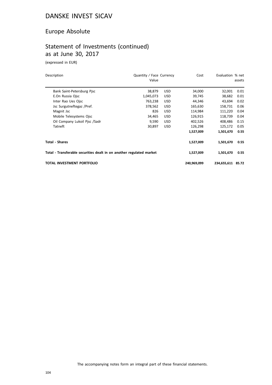#### Europe Absolute

## Statement of Investments (continued) as at June 30, 2017

(expressed in EUR)

| Description                                                          | Quantity / Face Currency<br>Value |            | Cost        | Evaluation % net  | assets |
|----------------------------------------------------------------------|-----------------------------------|------------|-------------|-------------------|--------|
| Bank Saint-Petersburg Pisc                                           | 38,879                            | <b>USD</b> | 34,000      | 32,001            | 0.01   |
| E.On Russia Ojsc                                                     | 1,045,073                         | <b>USD</b> | 39,745      | 38,682            | 0.01   |
| Inter Rao Ues Ojsc                                                   | 763,238                           | <b>USD</b> | 44,346      | 43,694            | 0.02   |
| Jsc Surgutneftegaz /Pref.                                            | 378,562                           | <b>USD</b> | 165,630     | 158,731           | 0.06   |
| Magnit Jsc                                                           | 826                               | <b>USD</b> | 114,984     | 111,220           | 0.04   |
| Mobile Telesystems Ojsc                                              | 34,465                            | <b>USD</b> | 126,915     | 118,739           | 0.04   |
| Oil Company Lukoil Pisc /Sadr                                        | 9,590                             | <b>USD</b> | 402,526     | 408,486           | 0.15   |
| Tatneft                                                              | 30,897                            | <b>USD</b> | 126,298     | 125,172           | 0.05   |
|                                                                      |                                   |            | 1,527,009   | 1,501,670         | 0.55   |
| <b>Total - Shares</b>                                                |                                   |            | 1,527,009   | 1,501,670         | 0.55   |
| Total - Transferable securities dealt in on another regulated market |                                   |            | 1,527,009   | 1,501,670         | 0.55   |
| TOTAL INVESTMENT PORTFOLIO                                           |                                   |            | 240,969,099 | 234,655,611 85.72 |        |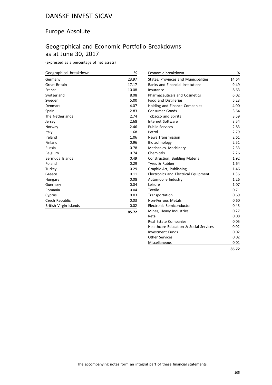#### Europe Absolute

#### Geographical and Economic Portfolio Breakdowns as at June 30, 2017

(expressed as a percentage of net assets)

| Geographical breakdown | %     | Economic breakdown                      | %     |
|------------------------|-------|-----------------------------------------|-------|
| Germany                | 23.97 | States, Provinces and Municipalities    | 14.64 |
| <b>Great Britain</b>   | 17.17 | <b>Banks and Financial Institutions</b> | 9.49  |
| France                 | 10.08 | Insurance                               | 8.63  |
| Switzerland            | 8.08  | <b>Pharmaceuticals and Cosmetics</b>    | 6.02  |
| Sweden                 | 5.00  | <b>Food and Distilleries</b>            | 5.23  |
| Denmark                | 4.07  | Holding and Finance Companies           | 4.00  |
| Spain                  | 2.83  | Consumer Goods                          | 3.64  |
| The Netherlands        | 2.74  | Tobacco and Spirits                     | 3.59  |
| Jersey                 | 2.68  | Internet Software                       | 3.54  |
| Norway                 | 2.46  | <b>Public Services</b>                  | 2.83  |
| Italy                  | 1.68  | Petrol                                  | 2.79  |
| Ireland                | 1.06  | <b>News Transmission</b>                | 2.61  |
| Finland                | 0.96  | Biotechnology                           | 2.51  |
| Russia                 | 0.78  | Mechanics, Machinery                    | 2.33  |
| Belgium                | 0.74  | Chemicals                               | 2.26  |
| Bermuda Islands        | 0.49  | Construction, Building Material         | 1.92  |
| Poland                 | 0.29  | Tyres & Rubber                          | 1.64  |
| Turkey                 | 0.29  | Graphic Art, Publishing                 | 1.46  |
| Greece                 | 0.11  | Electronics and Electrical Equipment    | 1.36  |
| Hungary                | 0.08  | Automobile Industry                     | 1.26  |
| Guernsey               | 0.04  | Leisure                                 | 1.07  |
| Romania                | 0.04  | Textile                                 | 0.71  |
| Cyprus                 | 0.03  | Transportation                          | 0.69  |
| Czech Republic         | 0.03  | Non-Ferrous Metals                      | 0.60  |
| British Virgin Islands | 0.02  | Electronic Semiconductor                | 0.43  |
|                        | 85.72 | Mines, Heavy Industries                 | 0.27  |

| ٦<br>- - - - | ۰, |  |
|--------------|----|--|
|              |    |  |

Retail 0.08 Real Estate Companies **0.05** Healthcare Education & Social Services 0.02 Investment Funds 0.02 Other Services 0.02 Miscellaneous 0.01

**85.72**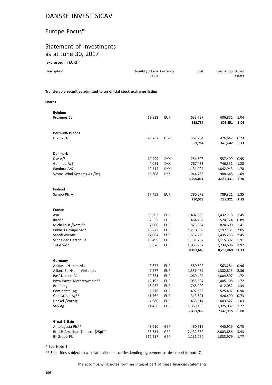# Europe Focus\*

#### Statement of Investments as at June 30, 2017

(expressed in EUR)

| Description                                                            | Quantity / Face Currency<br>Value |            | Cost                   | Evaluation % net             | assets       |
|------------------------------------------------------------------------|-----------------------------------|------------|------------------------|------------------------------|--------------|
| Transferable securities admitted to an official stock exchange listing |                                   |            |                        |                              |              |
| <b>Shares</b>                                                          |                                   |            |                        |                              |              |
| <b>Belgium</b>                                                         |                                   |            |                        |                              |              |
| Proximus Sa                                                            | 19,822                            | <b>EUR</b> | 633,737                | 606,851                      | 1.04         |
|                                                                        |                                   |            | 633,737                | 606,851                      | 1.04         |
| Bermuda Islands                                                        |                                   |            |                        |                              |              |
| Hiscox Ltd                                                             | 29,762                            | GBP        | 351,764                | 426,642                      | 0.73         |
|                                                                        |                                   |            | 351,764                | 426,642                      | 0.73         |
| <b>Denmark</b>                                                         |                                   |            |                        |                              |              |
| Dsv A/S                                                                | 10,499                            | <b>DKK</b> | 256,696                | 557,409                      | 0.95         |
| Genmab A/S                                                             | 4,051                             | <b>DKK</b> | 767,433                | 746,331                      | 1.28         |
| Pandora A/S                                                            | 12,714                            | <b>DKK</b> | 1,131,094              | 1,042,943                    | 1.78         |
| Vestas Wind Systems As /Reg                                            | 12,808                            | <b>DKK</b> | 1,044,788              | 988,648                      | 1.69         |
|                                                                        |                                   |            | 3,200,011              | 3,335,331                    | 5.70         |
| <b>Finland</b>                                                         |                                   |            |                        |                              |              |
| Sampo Plc A                                                            | 17,459                            | <b>EUR</b> | 780,573<br>780,573     | 789,321<br>789,321           | 1.35<br>1.35 |
| France                                                                 |                                   |            |                        |                              |              |
| Axa                                                                    | 59,203                            | <b>EUR</b> | 1,402,009              | 1,432,713                    | 2.45         |
| $Iliad**$                                                              | 2,532                             | <b>EUR</b> | 464,102                | 524,124                      | 0.89         |
| Michelin B /Nom.**                                                     | 7,000                             | <b>EUR</b> | 825,834                | 824,600                      | 1.41         |
| Publicis Groupe Sa**                                                   | 18,272                            | <b>EUR</b> | 1,210,500              | 1,197,181                    | 2.05         |
| Sanofi-Aventis                                                         | 17,064                            | <b>EUR</b> | 1,512,229              | 1,435,253                    | 2.45         |
| Schneider Electric Sa                                                  | 16,495                            | <b>EUR</b> | 1,131,207              | 1,115,392                    | 1.91         |
| Total Sa**                                                             | 39,876                            | <b>EUR</b> | 1,935,767<br>8,481,648 | 1,734,606<br>8,263,869 14.13 | 2.97         |
|                                                                        |                                   |            |                        |                              |              |
| Germany                                                                |                                   |            |                        |                              |              |
| Adidas - Namen-Akt                                                     | 3,377                             | <b>EUR</b> | 580,622                | 563,284                      | 0.96         |
| Allianz Se /Nam. Vinkuliert                                            | 7,977                             | <b>EUR</b> | 1,356,459              | 1,382,813                    | 2.36         |
| Basf Namen-Akt                                                         | 12,351                            | <b>EUR</b> | 1,060,404              | 1,004,507                    | 1.72         |
| Bmw-Bayer. Motorenwerke**                                              | 12,192                            | <b>EUR</b> | 1,055,594              | 1,005,108                    | 1.72         |
| Brenntag                                                               | 15,957                            | <b>EUR</b> | 765,000                | 812,052                      | 1.39         |
| Continental Ag                                                         | 2,776                             | <b>EUR</b> | 497,586                | 525,497                      | 0.90         |
| Gea Group Ag**                                                         | 11,762                            | <b>EUR</b> | 313,621                | 426,490                      | 0.73         |
| Henkel /Vorzug                                                         | 4,980                             | <b>EUR</b> | 463,514                | 603,327                      | 1.03         |
| Sap Ag                                                                 | 14,456                            | <b>EUR</b> | 1,359,136<br>7,451,936 | 1,325,037<br>7,648,115 13.08 | 2.27         |
| <b>Great Britain</b>                                                   |                                   |            |                        |                              |              |
| Antofagasta Plc**                                                      | 48,610                            | GBP        | 460,315                | 440,919                      | 0.75         |
| British American Tobacco (25p)**                                       | 33,531                            | GBP        | 2,132,352              | 2,003,686                    | 3.43         |
| <b>Bt Group Plc</b>                                                    | 310,217                           | GBP        | 1,131,260              | 1,033,979                    | 1.77         |
|                                                                        |                                   |            |                        |                              |              |

\* See Note 1.

\*\* Securities subject to a collateralized securities lending agreement as described in note 7.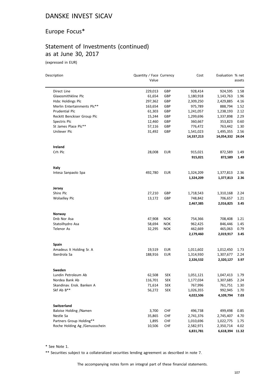#### Europe Focus\*

## Statement of Investments (continued) as at June 30, 2017

(expressed in EUR)

| Description                                   | Quantity / Face Currency<br>Value |            | Cost                   | Evaluation % net       | assets       |
|-----------------------------------------------|-----------------------------------|------------|------------------------|------------------------|--------------|
|                                               |                                   |            |                        |                        |              |
| Direct Line                                   | 229,013                           | GBP        | 928,414                | 924,595                | 1.58         |
| Glaxosmithkline Plc                           | 61,654                            | GBP        | 1,180,918              | 1,143,763              | 1.96         |
| Hsbc Holdings Plc                             | 297,362                           | GBP        | 2,309,250              | 2,429,885              | 4.16         |
| Merlin Entertainments Plc**<br>Prudential Plc | 163,654                           | GBP        | 975,789                | 888,794                | 1.52         |
| Reckitt Benckiser Group Plc                   | 61,303<br>15,244                  | GBP<br>GBP | 1,241,057<br>1,299,696 | 1,238,193<br>1,337,898 | 2.12<br>2.29 |
| Spectris Plc                                  | 12,460                            | GBP        | 360,667                | 353,823                | 0.60         |
| St James Place Plc**                          | 57,116                            | GBP        | 776,472                | 763,442                | 1.30         |
| Unilever Plc                                  | 31,492                            | GBP        | 1,541,023              | 1,495,355              | 2.56         |
|                                               |                                   |            | 14,337,213             | 14,054,332 24.04       |              |
| Ireland                                       |                                   |            |                        |                        |              |
| Crh Plc                                       | 28,008                            | <b>EUR</b> | 915,021                | 872,589                | 1.49         |
|                                               |                                   |            | 915,021                | 872,589                | 1.49         |
| Italy                                         |                                   |            |                        |                        |              |
| Intesa Sanpaolo Spa                           | 492,780                           | <b>EUR</b> | 1,324,209              | 1,377,813              | 2.36         |
|                                               |                                   |            | 1,324,209              | 1,377,813              | 2.36         |
| Jersey                                        |                                   |            |                        |                        |              |
| Shire Plc                                     | 27,210                            | GBP        | 1,718,543              | 1,310,168              | 2.24         |
| <b>Wolselley Plc</b>                          | 13,172                            | GBP        | 748,842                | 706,657                | 1.21         |
|                                               |                                   |            | 2,467,385              | 2,016,825              | 3.45         |
| Norway                                        |                                   |            |                        |                        |              |
| Dnb Nor Asa                                   | 47,908                            | <b>NOK</b> | 754,366                | 708,408                | 1.21         |
| Statoilhydro Asa                              | 58,694                            | <b>NOK</b> | 962,425                | 846,446                | 1.45         |
| <b>Telenor As</b>                             | 32,295                            | <b>NOK</b> | 462,669                | 465,063                | 0.79         |
|                                               |                                   |            | 2,179,460              | 2,019,917              | 3.45         |
| <b>Spain</b>                                  |                                   |            |                        |                        |              |
| Amadeus It Holding Sr. A                      | 19,519                            | <b>EUR</b> | 1,011,602              | 1,012,450              | 1.73         |
| Iberdrola Sa                                  | 188,916                           | <b>EUR</b> | 1,314,930              | 1,307,677              | 2.24         |
|                                               |                                   |            | 2,326,532              | 2,320,127              | 3.97         |
| Sweden                                        |                                   |            |                        |                        |              |
| Lundin Petroleum Ab                           | 62,508                            | <b>SEK</b> | 1,051,121              | 1,047,413              | 1.79         |
| Nordea Bank Ab                                | 116,701                           | <b>SEK</b> | 1,177,034              | 1,307,685              | 2.24         |
| Skandinav. Ensk. Banken A                     | 71,614                            | <b>SEK</b> | 767,996                | 761,751                | 1.30         |
| Skf Ab B**                                    | 56,272                            | <b>SEK</b> | 1,026,355              | 992,945                | 1.70         |
|                                               |                                   |            | 4,022,506              | 4,109,794              | 7.03         |
| <b>Switzerland</b>                            |                                   |            |                        |                        |              |
| Baloise Holding /Namen                        | 3,700                             | <b>CHF</b> | 496,738                | 499,498                | 0.85         |
| Nestle Sa                                     | 35,865                            | <b>CHF</b> | 2,741,376              | 2,745,407              | 4.70         |
| Partners Group Holding**                      | 1,895                             | <b>CHF</b> | 1,010,696              | 1,022,775              | 1.75         |
| Roche Holding Ag /Genussschein                | 10,506                            | <b>CHF</b> | 2,582,971              | 2,350,714              | 4.02         |
|                                               |                                   |            | 6,831,781              | 6,618,394 11.32        |              |

\* See Note 1.

\*\* Securities subject to a collateralized securities lending agreement as described in note 7.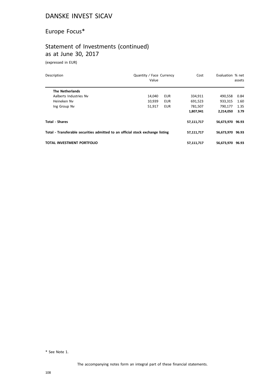# Europe Focus\*

## Statement of Investments (continued) as at June 30, 2017

(expressed in EUR)

| Description                                                                    | Quantity / Face Currency<br>Value | Cost       | Evaluation % net | assets |
|--------------------------------------------------------------------------------|-----------------------------------|------------|------------------|--------|
| <b>The Netherlands</b>                                                         |                                   |            |                  |        |
| Aalberts Industries Nv                                                         | 14.040<br><b>EUR</b>              | 334,911    | 490,558          | 0.84   |
| Heineken Nv                                                                    | 10,939<br><b>EUR</b>              | 691,523    | 933,315          | 1.60   |
| Ing Group Nv                                                                   | 51,917<br><b>EUR</b>              | 781,507    | 790,177          | 1.35   |
|                                                                                |                                   | 1,807,941  | 2,214,050        | 3.79   |
| <b>Total - Shares</b>                                                          |                                   | 57,111,717 | 56,673,970 96.93 |        |
| Total - Transferable securities admitted to an official stock exchange listing |                                   | 57,111,717 | 56,673,970 96.93 |        |
| <b>TOTAL INVESTMENT PORTFOLIO</b>                                              |                                   | 57,111,717 | 56,673,970       | 96.93  |

\* See Note 1.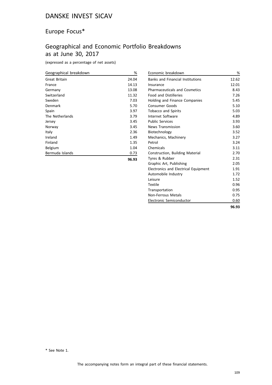# Europe Focus\*

# Geographical and Economic Portfolio Breakdowns as at June 30, 2017

(expressed as a percentage of net assets)

| Geographical breakdown | %     |
|------------------------|-------|
| Great Britain          | 24.04 |
| France                 | 14.13 |
| Germany                | 13.08 |
| Switzerland            | 11.32 |
| Sweden                 | 7.03  |
| Denmark                | 5.70  |
| Spain                  | 3.97  |
| The Netherlands        | 3.79  |
| Jersey                 | 3.45  |
| Norway                 | 3.45  |
| Italy                  | 2.36  |
| Ireland                | 1.49  |
| Finland                | 1.35  |
| Belgium                | 1.04  |
| Bermuda Islands        | 0.73  |
|                        | 96.93 |

| Economic breakdown                      | %     |
|-----------------------------------------|-------|
| <b>Banks and Financial Institutions</b> | 12.62 |
| Insurance                               | 12.01 |
| <b>Pharmaceuticals and Cosmetics</b>    | 8.43  |
| <b>Food and Distilleries</b>            | 7.26  |
| <b>Holding and Finance Companies</b>    | 5.45  |
| <b>Consumer Goods</b>                   | 5.10  |
| <b>Tobacco and Spirits</b>              | 5.03  |
| Internet Software                       | 4.89  |
| <b>Public Services</b>                  | 3.93  |
| <b>News Transmission</b>                | 3.60  |
| Biotechnology                           | 3.52  |
| Mechanics, Machinery                    | 3.27  |
| Petrol                                  | 3.24  |
| Chemicals                               | 3.11  |
| Construction, Building Material         | 2.70  |
| Tyres & Rubber                          | 2.31  |
| Graphic Art, Publishing                 | 2.05  |
| Electronics and Electrical Equipment    | 1.91  |
| Automobile Industry                     | 1.72  |
| Leisure                                 | 1.52  |
| Textile                                 | 0.96  |
| Transportation                          | 0.95  |
| Non-Ferrous Metals                      | 0.75  |
| Electronic Semiconductor                | 0.60  |
|                                         | 96.93 |

\* See Note 1.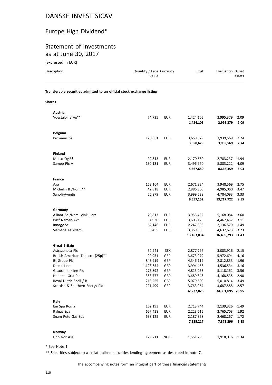# Europe High Dividend\*

#### Statement of Investments as at June 30, 2017

(expressed in EUR)

| Description                                                            | Quantity / Face Currency<br>Value |            | Cost                    | Evaluation % net              | assets        |
|------------------------------------------------------------------------|-----------------------------------|------------|-------------------------|-------------------------------|---------------|
| Transferable securities admitted to an official stock exchange listing |                                   |            |                         |                               |               |
| <b>Shares</b>                                                          |                                   |            |                         |                               |               |
| Austria                                                                |                                   |            |                         |                               |               |
| Voestalpine Ag**                                                       | 74,735                            | EUR        | 1,424,105<br>1,424,105  | 2,995,379<br>2,995,379        | 2.09<br>2.09  |
| <b>Belgium</b>                                                         |                                   |            |                         |                               |               |
| Proximus Sa                                                            | 128,681                           | EUR        | 3,658,629               | 3,939,569                     | 2.74          |
|                                                                        |                                   |            | 3,658,629               | 3,939,569                     | 2.74          |
| <b>Finland</b>                                                         |                                   |            |                         |                               |               |
| Metso Oyj**                                                            | 92,313                            | <b>EUR</b> | 2,170,680               | 2,783,237                     | 1.94          |
| Sampo Plc A                                                            | 130,131                           | <b>EUR</b> | 3,496,970               | 5,883,222                     | 4.09          |
|                                                                        |                                   |            | 5,667,650               | 8,666,459                     | 6.03          |
| France                                                                 |                                   |            |                         |                               |               |
| Axa                                                                    | 163,164                           | <b>EUR</b> | 2,671,324               | 3,948,569                     | 2.75          |
| Michelin B /Nom.**                                                     | 42,318                            | <b>EUR</b> | 2,886,300               | 4,985,060                     | 3.47          |
| Sanofi-Aventis                                                         | 56,879                            | <b>EUR</b> | 3,999,528<br>9,557,152  | 4,784,093<br>13,717,722       | 3.33<br>9.55  |
| Germany                                                                |                                   |            |                         |                               |               |
| Allianz Se /Nam. Vinkuliert                                            | 29,813                            | <b>EUR</b> | 3,953,432               | 5,168,084                     | 3.60          |
| Basf Namen-Akt                                                         | 54,930                            | <b>EUR</b> | 3,603,126               | 4,467,457                     | 3.11          |
| Innogy Se                                                              | 62,146                            | <b>EUR</b> | 2,247,893               | 2,136,579                     | 1.49          |
| Siemens Ag /Nam.                                                       | 38,455                            | <b>EUR</b> | 3,359,383<br>13,163,834 | 4,637,673<br>16,409,793 11.43 | 3.23          |
|                                                                        |                                   |            |                         |                               |               |
| <b>Great Britain</b><br>Astrazeneca Plc                                | 52,941                            | <b>SEK</b> | 2,877,797               | 3,083,916                     | 2.15          |
| British American Tobacco (25p)**                                       | 99,951                            | GBP        | 3,673,979               | 5,972,694                     | 4.16          |
| <b>Bt Group Plc</b>                                                    | 843,919                           | GBP        | 4,346,119               | 2,812,853                     | 1.96          |
| Direct Line                                                            | 1,123,654                         | GBP        | 3,994,458               | 4,536,534                     | 3.16          |
| Glaxosmithkline Plc                                                    | 275,892                           | GBP        | 4,813,063               | 5,118,161                     | 3.56          |
| National Grid Plc                                                      | 383,777                           | GBP        | 3,689,843               | 4,168,535                     | 2.90          |
| Royal Dutch Shell /-B-                                                 | 213,255                           | GBP        | 5,079,500               | 5,010,814                     | 3.49          |
| Scottish & Southern Energy Plc                                         | 221,499                           | GBP        | 3,763,064<br>32,237,823 | 3,687,588<br>34,391,095       | 2.57<br>23.95 |
| Italy                                                                  |                                   |            |                         |                               |               |
| Eni Spa Roma                                                           | 162,193                           | <b>EUR</b> | 2,713,744               | 2,139,326                     | 1.49          |
| Italgas Spa                                                            | 627,428                           | <b>EUR</b> | 2,223,615               | 2,765,703                     | 1.92          |
| Snam Rete Gas Spa                                                      | 638,125                           | <b>EUR</b> | 2,187,858               | 2,468,267                     | 1.72          |
|                                                                        |                                   |            | 7,125,217               | 7,373,296                     | 5.13          |
| Norway                                                                 |                                   |            |                         |                               |               |
| Dnb Nor Asa                                                            | 129,711                           | <b>NOK</b> | 1,551,293               | 1,918,016                     | 1.34          |

\* See Note 1.

\*\* Securities subject to a collateralized securities lending agreement as described in note 7.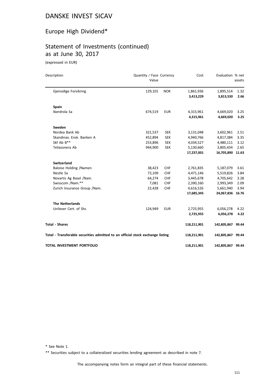# Europe High Dividend\*

# Statement of Investments (continued) as at June 30, 2017

(expressed in EUR)

| Description                                                                    | Quantity / Face Currency<br>Value |            | Cost                   | Evaluation % net       | assets       |
|--------------------------------------------------------------------------------|-----------------------------------|------------|------------------------|------------------------|--------------|
| Gjensidige Forsikring                                                          | 129,101                           | <b>NOK</b> | 1,861,936<br>3,413,229 | 1,895,514<br>3,813,530 | 1.32<br>2.66 |
| <b>Spain</b>                                                                   |                                   |            |                        |                        |              |
| Iberdrola Sa                                                                   | 674,519                           | <b>EUR</b> | 4,315,961              | 4,669,020              | 3.25         |
|                                                                                |                                   |            | 4,315,961              | 4,669,020              | 3.25         |
| Sweden                                                                         |                                   |            |                        |                        |              |
| Nordea Bank Ab                                                                 | 321,537                           | <b>SEK</b> | 3,131,048              | 3,602,961              | 2.51         |
| Skandinav. Ensk. Banken A                                                      | 452,894                           | <b>SEK</b> | 4,940,766              | 4,817,384              | 3.35         |
| Skf Ab B**                                                                     | 253,896                           | <b>SEK</b> | 4,034,527              | 4,480,111              | 3.12         |
| Teliasonera Ab                                                                 | 944,900                           | <b>SEK</b> | 5,130,660              | 3,805,434              | 2.65         |
|                                                                                |                                   |            | 17,237,001             | 16,705,890 11.63       |              |
| <b>Switzerland</b>                                                             |                                   |            |                        |                        |              |
| Baloise Holding /Namen                                                         | 38,423                            | CHF        | 2,761,835              | 5,187,079              | 3.61         |
| Nestle Sa                                                                      | 72,109                            | CHF        | 4,471,146              | 5,519,826              | 3.84         |
| Novartis Ag Basel / Nam.                                                       | 64,274                            | <b>CHF</b> | 3,445,678              | 4,705,642              | 3.28         |
| Swisscom /Nam.**                                                               | 7,081                             | <b>CHF</b> | 2,390,160              | 2,993,349              | 2.09         |
| Zurich Insurance Group / Nam.                                                  | 22,428                            | CHF        | 4,616,526              | 5,661,940              | 3.94         |
|                                                                                |                                   |            | 17,685,345             | 24,067,836 16.76       |              |
| <b>The Netherlands</b>                                                         |                                   |            |                        |                        |              |
| Unilever Cert. of Shs                                                          | 124,949                           | <b>EUR</b> | 2,725,955              | 6,056,278              | 4.22         |
|                                                                                |                                   |            | 2,725,955              | 6,056,278              | 4.22         |
| <b>Total - Shares</b>                                                          |                                   |            | 118,211,901            | 142,805,867 99.44      |              |
| Total - Transferable securities admitted to an official stock exchange listing |                                   |            | 118,211,901            | 142,805,867 99.44      |              |
| <b>TOTAL INVESTMENT PORTFOLIO</b>                                              |                                   |            | 118,211,901            | 142,805,867 99.44      |              |

\* See Note 1.

\*\* Securities subject to a collateralized securities lending agreement as described in note 7.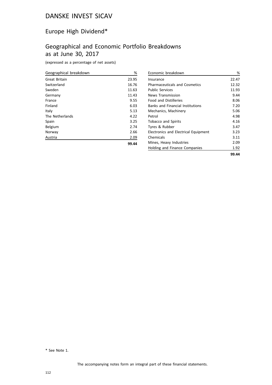# Europe High Dividend\*

# Geographical and Economic Portfolio Breakdowns as at June 30, 2017

(expressed as a percentage of net assets)

| Geographical breakdown | %     |
|------------------------|-------|
| Great Britain          | 23.95 |
| Switzerland            | 16.76 |
| Sweden                 | 11.63 |
| Germany                | 11.43 |
| France                 | 9.55  |
| Finland                | 6.03  |
| Italy                  | 5.13  |
| The Netherlands        | 4.22  |
| Spain                  | 3.25  |
| Belgium                | 2.74  |
| Norway                 | 2.66  |
| Austria                | 2.09  |
|                        | 99.44 |

| Economic breakdown                      | %     |
|-----------------------------------------|-------|
| Insurance                               | 22.47 |
| <b>Pharmaceuticals and Cosmetics</b>    | 12.32 |
| <b>Public Services</b>                  | 11.93 |
| News Transmission                       | 9.44  |
| <b>Food and Distilleries</b>            | 8.06  |
| <b>Banks and Financial Institutions</b> | 7.20  |
| Mechanics, Machinery                    | 5.06  |
| Petrol                                  | 4.98  |
| <b>Tobacco and Spirits</b>              | 4.16  |
| Tyres & Rubber                          | 3.47  |
| Electronics and Electrical Equipment    | 3.23  |
| Chemicals                               | 3.11  |
| Mines, Heavy Industries                 | 2.09  |
| Holding and Finance Companies           | 1.92  |
|                                         | 99.44 |

\* See Note 1.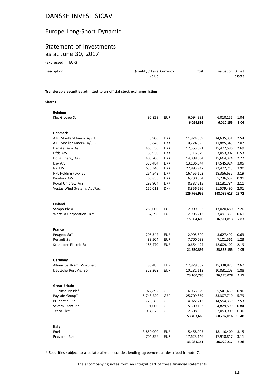## Europe Long-Short Dynamic

## Statement of Investments as at June 30, 2017

(expressed in EUR)

**Belgium**

| Description                                                            | Quantity / Face Currency<br>Value | Cost | Evaluation % net<br>assets |
|------------------------------------------------------------------------|-----------------------------------|------|----------------------------|
| Transferable securities admitted to an official stock exchange listing |                                   |      |                            |
| <b>Shares</b>                                                          |                                   |      |                            |

| Kbc Groupe Sa               | 90,829    | <b>EUR</b> | 6,094,392   | 6,010,155   | 1.04  |
|-----------------------------|-----------|------------|-------------|-------------|-------|
|                             |           |            | 6,094,392   | 6,010,155   | 1.04  |
| <b>Denmark</b>              |           |            |             |             |       |
| A.P. Moeller-Maersk A/S A   | 8,906     | <b>DKK</b> | 11,824,309  | 14,635,331  | 2.54  |
| A.P. Moeller-Maersk A/S B   | 6,846     | <b>DKK</b> | 10,774,325  | 11,885,345  | 2.07  |
| Danske Bank As              | 463,530   | <b>DKK</b> | 12,553,691  | 15,477,586  | 2.69  |
| Dfds A/S                    | 66,950    | <b>DKK</b> | 1,116,579   | 3,053,902   | 0.53  |
| Dong Energy A/S             | 400,700   | <b>DKK</b> | 14,088,034  | 15,664,374  | 2.72  |
| Dsv A/S                     | 330,484   | <b>DKK</b> | 13,136,644  | 17,545,924  | 3.05  |
| Iss A/S                     | 655,340   | DKK        | 22,893,947  | 22,472,713  | 3.90  |
| Nkt Holding (Dkk 20)        | 264,542   | <b>DKK</b> | 16,455,102  | 18,356,632  | 3.19  |
| Pandora A/S                 | 63,836    | <b>DKK</b> | 6,730,554   | 5,236,537   | 0.91  |
| Royal Unibrew A/S           | 292,904   | <b>DKK</b> | 8,337,215   | 12,131,784  | 2.11  |
| Vestas Wind Systems As /Reg | 150,013   | <b>DKK</b> | 8,856,596   | 11,579,490  | 2.01  |
|                             |           |            | 126,766,996 | 148,039,618 | 25.72 |
| <b>Finland</b>              |           |            |             |             |       |
| Sampo Plc A                 | 288,000   | <b>EUR</b> | 12,999,393  | 13,020,480  | 2.26  |
| Wartsila Corporation -B-*   | 67,596    | <b>EUR</b> | 2,905,212   | 3,491,333   | 0.61  |
|                             |           |            | 15,904,605  | 16,511,813  | 2.87  |
|                             |           |            |             |             |       |
| <b>France</b>               |           |            |             |             |       |
| Peugeot Sa*                 | 206,342   | <b>EUR</b> | 2,995,800   | 3,627,492   | 0.63  |
| Renault Sa                  | 88,504    | <b>EUR</b> | 7,700,098   | 7,101,561   | 1.23  |
| Schneider Electric Sa       | 186,470   | <b>EUR</b> | 10,654,494  | 12,609,102  | 2.19  |
|                             |           |            | 21,350,392  | 23,338,155  | 4.05  |
| Germany                     |           |            |             |             |       |
| Allianz Se /Nam. Vinkuliert | 88,485    | <b>EUR</b> | 12,879,667  | 15,338,875  | 2.67  |
| Deutsche Post Ag. Bonn      | 328,268   | <b>EUR</b> | 10,281,113  | 10,831,203  | 1.88  |
|                             |           |            | 23,160,780  | 26,170,078  | 4.55  |
| <b>Great Britain</b>        |           |            |             |             |       |
| J. Sainsbury Plc*           | 1,922,892 | GBP        | 6,053,829   | 5,541,459   | 0.96  |
| Paysafe Group*              | 5,748,220 | GBP        | 25,709,859  | 33,307,710  | 5.79  |
| Prudential Plc              | 720,586   | GBP        | 14,022,212  | 14,554,339  | 2.53  |
| Severn Trent Plc            | 191,000   | GBP        | 5,309,103   | 4,829,599   | 0.84  |
| Tesco Plc*                  | 1,054,675 | GBP        | 2,308,666   | 2,053,909   | 0.36  |
|                             |           |            | 53,403,669  | 60,287,016  | 10.48 |
|                             |           |            |             |             |       |
| Italy                       |           |            |             |             |       |
| Enel                        | 3,850,000 | <b>EUR</b> | 15,458,005  | 18,110,400  | 3.15  |
| Prysmian Spa                | 704,356   | <b>EUR</b> | 17,623,146  | 17,918,817  | 3.11  |
|                             |           |            | 33,081,151  | 36,029,217  | 6.26  |

\* Securities subject to a collateralized securities lending agreement as described in note 7.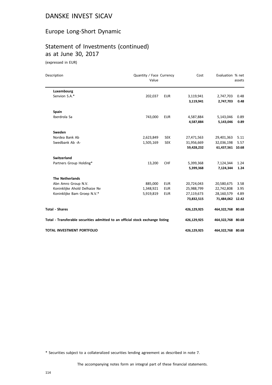## Europe Long-Short Dynamic

# Statement of Investments (continued) as at June 30, 2017

(expressed in EUR)

| Description                                                                    | Quantity / Face Currency<br>Value |            | Cost        | Evaluation % net  | assets |
|--------------------------------------------------------------------------------|-----------------------------------|------------|-------------|-------------------|--------|
| Luxembourg                                                                     |                                   |            |             |                   |        |
| Senvion S.A.*                                                                  | 202,037                           | <b>EUR</b> | 3,119,941   | 2,747,703         | 0.48   |
|                                                                                |                                   |            | 3,119,941   | 2,747,703         | 0.48   |
| <b>Spain</b>                                                                   |                                   |            |             |                   |        |
| Iberdrola Sa                                                                   | 743,000                           | <b>EUR</b> | 4,587,884   | 5,143,046         | 0.89   |
|                                                                                |                                   |            | 4,587,884   | 5,143,046         | 0.89   |
| Sweden                                                                         |                                   |            |             |                   |        |
| Nordea Bank Ab                                                                 | 2,623,849                         | <b>SEK</b> | 27,471,563  | 29,401,363        | 5.11   |
| Swedbank Ab -A-                                                                | 1,505,169                         | <b>SEK</b> | 31,956,669  | 32,036,198        | 5.57   |
|                                                                                |                                   |            | 59,428,232  | 61,437,561 10.68  |        |
| <b>Switzerland</b>                                                             |                                   |            |             |                   |        |
| Partners Group Holding*                                                        | 13,200                            | <b>CHF</b> | 5,399,368   | 7,124,344         | 1.24   |
|                                                                                |                                   |            | 5,399,368   | 7,124,344         | 1.24   |
| <b>The Netherlands</b>                                                         |                                   |            |             |                   |        |
| Abn Amro Group N.V.                                                            | 885,000                           | <b>EUR</b> | 20,724,043  | 20,580,675        | 3.58   |
| Koninklijke Ahold Delhaize Nv                                                  | 1,348,921                         | <b>EUR</b> | 25,988,799  | 22,742,808        | 3.95   |
| Koninklijke Bam Groep N.V.*                                                    | 5,919,819                         | <b>EUR</b> | 27,119,673  | 28,160,579        | 4.89   |
|                                                                                |                                   |            | 73,832,515  | 71,484,062 12.42  |        |
| <b>Total - Shares</b>                                                          |                                   |            | 426,129,925 | 464,322,768 80.68 |        |
| Total - Transferable securities admitted to an official stock exchange listing |                                   |            | 426,129,925 | 464,322,768 80.68 |        |
| <b>TOTAL INVESTMENT PORTFOLIO</b>                                              |                                   |            | 426,129,925 | 464,322,768 80.68 |        |

\* Securities subject to a collateralized securities lending agreement as described in note 7.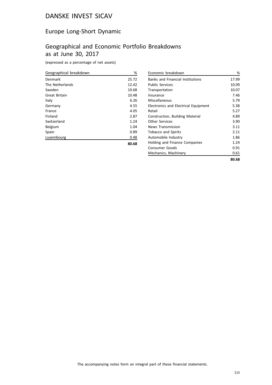## Europe Long-Short Dynamic

# Geographical and Economic Portfolio Breakdowns as at June 30, 2017

(expressed as a percentage of net assets)

| Geographical breakdown | %     |
|------------------------|-------|
| Denmark                | 25.72 |
| The Netherlands        | 12.42 |
| Sweden                 | 10.68 |
| <b>Great Britain</b>   | 10.48 |
| Italy                  | 6.26  |
| Germany                | 4.55  |
| France                 | 4.05  |
| Finland                | 2.87  |
| Switzerland            | 1.24  |
| Belgium                | 1.04  |
| Spain                  | 0.89  |
| Luxembourg             | 0.48  |
|                        | 80.68 |

| Economic breakdown                      | %     |
|-----------------------------------------|-------|
| <b>Banks and Financial Institutions</b> | 17.99 |
| <b>Public Services</b>                  | 10.09 |
| Transportation                          | 10.07 |
| Insurance                               | 7.46  |
| Miscellaneous                           | 5.79  |
| Electronics and Electrical Equipment    | 5.38  |
| Retail                                  | 5.27  |
| Construction, Building Material         | 4.89  |
| <b>Other Services</b>                   | 3.90  |
| <b>News Transmission</b>                | 3.11  |
| <b>Tobacco and Spirits</b>              | 2.11  |
| Automobile Industry                     | 1.86  |
| Holding and Finance Companies           | 1.24  |
| Consumer Goods                          | 0.91  |
| Mechanics, Machinery                    | 0.61  |
|                                         | 80.68 |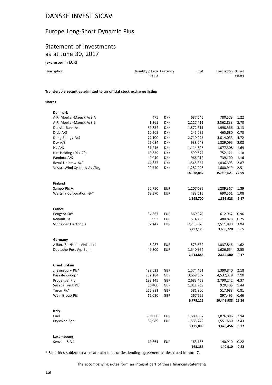## Europe Long-Short Dynamic Plus

## Statement of Investments as at June 30, 2017

(expressed in EUR)

| Description                                                            | Quantity / Face Currency<br>Value |            | Cost      | Evaluation % net | assets |
|------------------------------------------------------------------------|-----------------------------------|------------|-----------|------------------|--------|
| Transferable securities admitted to an official stock exchange listing |                                   |            |           |                  |        |
| <b>Shares</b>                                                          |                                   |            |           |                  |        |
| <b>Denmark</b>                                                         |                                   |            |           |                  |        |
| A.P. Moeller-Maersk A/S A                                              | 475                               | <b>DKK</b> | 687,645   | 780.573          | 1.22   |
| A.P. Moeller-Maersk A/S B                                              | 1,361                             | <b>DKK</b> | 2,117,411 | 2,362,833        | 3.70   |
| Danske Bank As                                                         | 59.854                            | <b>DKK</b> | 1.872.311 | 1.998.566        | 3.13   |

| A.P. MORTER-MARISK A/S D    | TOC'T   | אחט        | 4,117,411  | 2,302,033        | 3.7U  |
|-----------------------------|---------|------------|------------|------------------|-------|
| Danske Bank As              | 59,854  | <b>DKK</b> | 1,872,311  | 1,998,566        | 3.13  |
| Dfds A/S                    | 10,209  | <b>DKK</b> | 245,232    | 465,680          | 0.73  |
| Dong Energy A/S             | 77,100  | DKK        | 2,710,275  | 3,014,033        | 4.72  |
| Dsv A/S                     | 25,034  | <b>DKK</b> | 938,048    | 1,329,095        | 2.08  |
| Iss A/S                     | 31,416  | <b>DKK</b> | 1,114,626  | 1,077,308        | 1.69  |
| Nkt Holding (Dkk 20)        | 10,839  | <b>DKK</b> | 599,677    | 752,121          | 1.18  |
| Pandora A/S                 | 9,010   | <b>DKK</b> | 966,012    | 739,100          | 1.16  |
| Royal Unibrew A/S           | 44,337  | <b>DKK</b> | 1,545,387  | 1,836,393        | 2.87  |
| Vestas Wind Systems As /Reg | 20,740  | <b>DKK</b> | 1,282,228  | 1,600,919        | 2.51  |
|                             |         |            | 14,078,852 | 15,956,621 24.99 |       |
| <b>Finland</b>              |         |            |            |                  |       |
| Sampo Plc A                 | 26,750  | <b>EUR</b> | 1,207,085  | 1,209,367        | 1.89  |
| Wartsila Corporation -B-*   | 13,370  | <b>EUR</b> | 488,615    | 690,561          | 1.08  |
|                             |         |            | 1,695,700  | 1,899,928        | 2.97  |
| France                      |         |            |            |                  |       |
| Peugeot Sa*                 | 34,867  | <b>EUR</b> | 569,970    | 612,962          | 0.96  |
| Renault Sa                  | 5,993   | <b>EUR</b> | 514,133    | 480,878          | 0.75  |
| Schneider Electric Sa       | 37,147  | <b>EUR</b> | 2,213,070  | 2,511,880        | 3.94  |
|                             |         |            | 3,297,173  | 3,605,720        | 5.65  |
| Germany                     |         |            |            |                  |       |
| Allianz Se /Nam. Vinkuliert | 5,987   | <b>EUR</b> | 873,532    | 1,037,846        | 1.62  |
| Deutsche Post Ag. Bonn      | 49,300  | <b>EUR</b> | 1,540,354  | 1,626,654        | 2.55  |
|                             |         |            | 2,413,886  | 2,664,500        | 4.17  |
| <b>Great Britain</b>        |         |            |            |                  |       |
| J. Sainsbury Plc*           | 482,623 | GBP        | 1,574,451  | 1,390,840        | 2.18  |
| Paysafe Group*              | 782,184 | GBP        | 3,659,867  | 4,532,318        | 7.10  |
| Prudential Plc              | 138,145 | GBP        | 2,683,453  | 2,790,242        | 4.37  |
| Severn Trent Plc            | 36,400  | GBP        | 1,011,789  | 920,405          | 1.44  |
| Tesco Plc*                  | 265,831 | GBP        | 581,900    | 517,688          | 0.81  |
| Weir Group Plc              | 15,030  | GBP        | 267,665    | 297,495          | 0.46  |
|                             |         |            | 9,779,125  | 10,448,988       | 16.36 |
|                             |         |            |            |                  |       |
| Italy<br>Enel               | 399,000 | <b>EUR</b> | 1,589,857  | 1,876,896        | 2.94  |
|                             | 60,989  | <b>EUR</b> | 1,535,242  | 1,551,560        | 2.43  |
| Prysmian Spa                |         |            | 3,125,099  | 3,428,456        | 5.37  |
|                             |         |            |            |                  |       |
| Luxembourg                  |         |            |            |                  |       |
| Senvion S.A.*               | 10,361  | <b>EUR</b> | 163,186    | 140,910          | 0.22  |
|                             |         |            | 163,186    | 140,910          | 0.22  |

\* Securities subject to a collateralized securities lending agreement as described in note 7.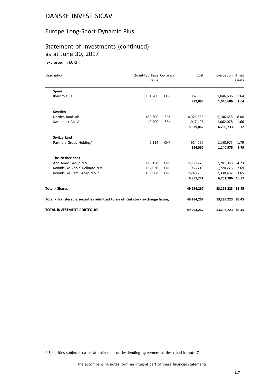## Europe Long-Short Dynamic Plus

# Statement of Investments (continued) as at June 30, 2017

(expressed in EUR)

| Description                                                                    | Quantity / Face Currency<br>Value |            | Cost       | Evaluation % net | assets |
|--------------------------------------------------------------------------------|-----------------------------------|------------|------------|------------------|--------|
| <b>Spain</b>                                                                   |                                   |            |            |                  |        |
| Iberdrola Sa                                                                   | 151,200                           | <b>EUR</b> | 932,883    | 1,046,606        | 1.64   |
|                                                                                |                                   |            | 932,883    | 1,046,606        | 1.64   |
| Sweden                                                                         |                                   |            |            |                  |        |
| Nordea Bank Ab                                                                 | 459,300                           | <b>SEK</b> | 4,921,655  | 5,146,655        | 8.06   |
| Swedbank Ab -A-                                                                | 49,900                            | <b>SEK</b> | 1,017,407  | 1,062,078        | 1.66   |
|                                                                                |                                   |            | 5,939,062  | 6,208,733        | 9.72   |
| <b>Switzerland</b>                                                             |                                   |            |            |                  |        |
| Partners Group Holding*                                                        | 2,114                             | <b>CHF</b> | 914,060    | 1,140,975        | 1.79   |
|                                                                                |                                   |            | 914,060    | 1,140,975        | 1.79   |
| <b>The Netherlands</b>                                                         |                                   |            |            |                  |        |
| Abn Amro Group N.V.                                                            | 116,150                           | <b>EUR</b> | 2,739,273  | 2,701,068        | 4.23   |
| Koninklijke Ahold Delhaize N.V.                                                | 102,030                           | <b>EUR</b> | 1,966,715  | 1,720,226        | 2.69   |
| Koninklijke Bam Groep N.V.*                                                    | 489,908                           | <b>EUR</b> | 2,249,253  | 2,330,492        | 3.65   |
|                                                                                |                                   |            | 6,955,241  | 6,751,786 10.57  |        |
| <b>Total - Shares</b>                                                          |                                   |            | 49,294,267 | 53,293,223 83.45 |        |
| Total - Transferable securities admitted to an official stock exchange listing |                                   |            | 49,294,267 | 53,293,223 83.45 |        |
| <b>TOTAL INVESTMENT PORTFOLIO</b>                                              |                                   |            | 49,294,267 | 53,293,223 83.45 |        |

\* Securities subject to a collateralized securities lending agreement as described in note 7.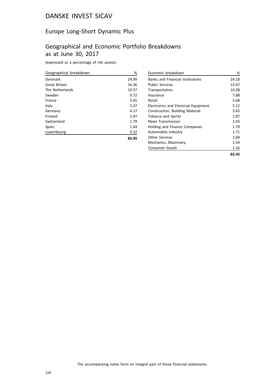## Europe Long-Short Dynamic Plus

## Geographical and Economic Portfolio Breakdowns as at June 30, 2017

(expressed as a percentage of net assets)

| Geographical breakdown | %     |
|------------------------|-------|
| Denmark                | 24.99 |
| Great Britain          | 16.36 |
| The Netherlands        | 10.57 |
| Sweden                 | 9.72  |
| France                 | 5.65  |
| Italy                  | 5.37  |
| Germany                | 4.17  |
| Finland                | 2.97  |
| Switzerland            | 1.79  |
| Spain                  | 1.64  |
| Luxembourg             | 0.22  |
|                        | 83.45 |

| Economic breakdown                          | %     |
|---------------------------------------------|-------|
| <b>Banks and Financial Institutions</b>     | 24.18 |
| <b>Public Services</b>                      | 13.47 |
| Transportation                              | 10.28 |
| Insurance                                   | 7.88  |
| Retail                                      | 5.68  |
| <b>Electronics and Electrical Equipment</b> | 5.12  |
| Construction, Building Material             | 3.65  |
| <b>Tobacco and Spirits</b>                  | 2.87  |
| <b>News Transmission</b>                    | 2.43  |
| Holding and Finance Companies               | 1.79  |
| Automobile Industry                         | 1.71  |
| <b>Other Services</b>                       | 1.69  |
| Mechanics, Machinery                        | 1.54  |
| Consumer Goods                              | 1.16  |
|                                             | 83.45 |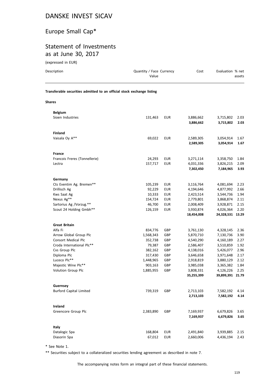# Europe Small Cap\*

## Statement of Investments as at June 30, 2017

(expressed in EUR)

| Description                                                            | Quantity / Face Currency<br>Value |                          | Cost                                | Evaluation % net                    | assets               |
|------------------------------------------------------------------------|-----------------------------------|--------------------------|-------------------------------------|-------------------------------------|----------------------|
| Transferable securities admitted to an official stock exchange listing |                                   |                          |                                     |                                     |                      |
| <b>Shares</b>                                                          |                                   |                          |                                     |                                     |                      |
| <b>Belgium</b>                                                         |                                   |                          |                                     |                                     |                      |
| Sioen Industries                                                       | 131,463                           | <b>EUR</b>               | 3,886,662<br>3,886,662              | 3,715,802<br>3,715,802              | 2.03<br>2.03         |
| <b>Finland</b>                                                         |                                   |                          |                                     |                                     |                      |
| Vaisala Oy A**                                                         | 69,022                            | <b>EUR</b>               | 2,589,305<br>2,589,305              | 3,054,914<br>3,054,914              | 1.67<br>1.67         |
| <b>France</b>                                                          |                                   |                          |                                     |                                     |                      |
| Francois Freres (Tonnellerie)<br>Lectra                                | 24,293<br>157,717                 | <b>EUR</b><br><b>EUR</b> | 3,271,114<br>4,031,336<br>7,302,450 | 3,358,750<br>3,826,215<br>7,184,965 | 1.84<br>2.09<br>3.93 |
|                                                                        |                                   |                          |                                     |                                     |                      |
| Germany<br>Cts Eventim Ag. Bremen**                                    | 105,239                           | EUR                      | 3,116,764                           | 4,081,694                           | 2.23                 |
| Drillisch Ag                                                           | 92,229                            | <b>EUR</b>               | 4,194,646                           | 4,877,992                           | 2.66                 |
| Kws Saat Ag                                                            | 10,333                            | <b>EUR</b><br><b>EUR</b> | 2,423,514                           | 3,544,736                           | 1.94                 |
| Nexus Ag**<br>Sartorius Ag /Vorzug.**                                  | 154,724<br>46,700                 | <b>EUR</b>               | 2,779,801<br>2,008,409              | 3,868,874<br>3,928,871              | 2.11<br>2.15         |
| Scout 24 Holding Gmbh**                                                | 126,159                           | <b>EUR</b>               | 3,930,874<br>18,454,008             | 4,026,364<br>24,328,531 13.29       | 2.20                 |
| <b>Great Britain</b>                                                   |                                   |                          |                                     |                                     |                      |
| Alfa Fi                                                                | 834,776                           | GBP                      | 3,761,130                           | 4,328,145                           | 2.36                 |
| Arrow Global Group Plc                                                 | 1,568,343                         | GBP                      | 5,870,710                           | 7,130,736                           | 3.90                 |
| <b>Consort Medical Plc</b>                                             | 352,738                           | GBP                      | 4,540,290                           | 4,160,189                           | 2.27                 |
| Croda International Plc**                                              | 79,387                            | GBP                      | 2,586,407                           | 3,510,859                           | 1.92                 |
| Cvs Group Plc                                                          | 382,162                           | GBP                      | 4,138,016                           | 5,426,077                           | 2.96                 |
| Diploma Plc                                                            | 317,430                           | GBP                      | 3,646,658                           | 3,971,648                           | 2.17                 |
| Luceco Plc**                                                           | 1,448,965                         | GBP                      | 2,918,819                           | 3,880,129                           | 2.12                 |
| Majestic Wine Plc**                                                    | 903,163                           | GBP                      | 3,985,038                           | 3,365,382                           | 1.84                 |
| Volution Group Plc                                                     | 1,885,955 GBP                     |                          | 3,808,331<br>35,255,399             | 4,126,226 2.25<br>39,899,391 21.79  |                      |
| Guernsey                                                               |                                   |                          |                                     |                                     |                      |
| <b>Burford Capital Limited</b>                                         | 739,319                           | GBP                      | 2,713,103<br>2,713,103              | 7,582,192<br>7,582,192              | 4.14<br>4.14         |
| Ireland                                                                |                                   |                          |                                     |                                     |                      |
| Greencore Group Plc                                                    | 2,383,890                         | GBP                      | 7,169,937<br>7,169,937              | 6,679,826<br>6,679,826              | 3.65<br>3.65         |
| Italy                                                                  |                                   |                          |                                     |                                     |                      |
| Datalogic Spa<br>Diasorin Spa                                          | 168,804<br>67,012                 | <b>EUR</b><br><b>EUR</b> | 2,491,840<br>2,660,006              | 3,939,885<br>4,436,194              | 2.15<br>2.43         |

\* See Note 1.

\*\* Securities subject to a collateralized securities lending agreement as described in note 7.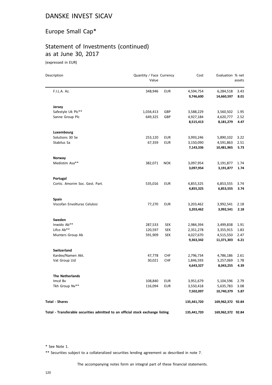## Europe Small Cap\*

# Statement of Investments (continued) as at June 30, 2017

(expressed in EUR)

| Description                                                                    | Quantity / Face Currency<br>Value |            | Cost        | Evaluation % net  | assets |
|--------------------------------------------------------------------------------|-----------------------------------|------------|-------------|-------------------|--------|
|                                                                                |                                   |            |             |                   |        |
| F.I.L.A. Az.                                                                   | 348,946                           | <b>EUR</b> | 4,594,754   | 6,284,518         | 3.43   |
|                                                                                |                                   |            | 9,746,600   | 14,660,597        | 8.01   |
| Jersey                                                                         |                                   |            |             |                   |        |
| Safestyle Uk Plc**                                                             | 1,034,413                         | GBP        | 3,588,229   | 3,560,502         | 1.95   |
| Sanne Group Plc                                                                | 649,325                           | GBP        | 4,927,184   | 4,620,777         | 2.52   |
|                                                                                |                                   |            | 8,515,413   | 8,181,279         | 4.47   |
| Luxembourg                                                                     |                                   |            |             |                   |        |
| Solutions 30 Se                                                                | 253,120                           | <b>EUR</b> | 3,993,246   | 5,890,102         | 3.22   |
| Stabilus Sa                                                                    | 67,359                            | <b>EUR</b> | 3,150,090   | 4,591,863         | 2.51   |
|                                                                                |                                   |            | 7,143,336   | 10,481,965        | 5.73   |
| Norway                                                                         |                                   |            |             |                   |        |
| Medistim Asa**                                                                 | 382,071                           | <b>NOK</b> | 3,097,954   | 3,191,877         | 1.74   |
|                                                                                |                                   |            | 3,097,954   | 3,191,877         | 1.74   |
| Portugal                                                                       |                                   |            |             |                   |        |
| Cortic. Amorim Soc. Gest. Part.                                                | 535,016                           | <b>EUR</b> | 4,855,325   | 6,853,555         | 3.74   |
|                                                                                |                                   |            | 4,855,325   | 6,853,555         | 3.74   |
| <b>Spain</b>                                                                   |                                   |            |             |                   |        |
| Viscofan Envolturas Celulosi                                                   | 77,270                            | <b>EUR</b> | 3,203,462   | 3,992,541         | 2.18   |
|                                                                                |                                   |            | 3,203,462   | 3,992,541         | 2.18   |
| Sweden                                                                         |                                   |            |             |                   |        |
| Inwido Ab**                                                                    | 287,533                           | <b>SEK</b> | 2,984,394   | 3,499,838         | 1.91   |
| Lifco Ab**                                                                     | 120,597                           | <b>SEK</b> | 2,351,278   | 3,355,915         | 1.83   |
| Munters Group Ab                                                               | 591,909                           | <b>SEK</b> | 4,027,670   | 4,515,550         | 2.47   |
|                                                                                |                                   |            | 9,363,342   | 11,371,303        | 6.21   |
| <b>Switzerland</b>                                                             |                                   |            |             |                   |        |
| Kardex/Namen Akt.                                                              | 47,778                            | <b>CHF</b> | 2,796,734   | 4,786,186         | 2.61   |
| Vat Group Ltd                                                                  | 30,021                            | <b>CHF</b> | 1,846,593   | 3,257,069         | 1.78   |
|                                                                                |                                   |            | 4,643,327   | 8,043,255         | 4.39   |
| <b>The Netherlands</b>                                                         |                                   |            |             |                   |        |
| Imcd Bv                                                                        | 108,840                           | <b>EUR</b> | 3,951,679   | 5,104,596         | 2.79   |
| Tkh Group Nv**                                                                 | 116,094                           | <b>EUR</b> | 3,550,418   | 5,635,783         | 3.08   |
|                                                                                |                                   |            | 7,502,097   | 10,740,379        | 5.87   |
| <b>Total - Shares</b>                                                          |                                   |            | 135,441,720 | 169,962,372 92.84 |        |
|                                                                                |                                   |            |             |                   |        |
| Total - Transferable securities admitted to an official stock exchange listing |                                   |            | 135,441,720 | 169,962,372 92.84 |        |

\* See Note 1.

\*\* Securities subject to a collateralized securities lending agreement as described in note 7.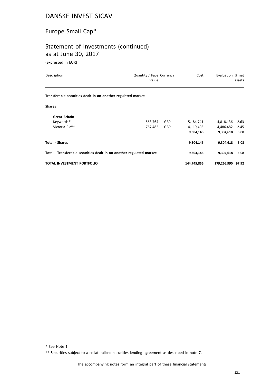# Europe Small Cap\*

## Statement of Investments (continued) as at June 30, 2017

(expressed in EUR)

| Description                                                          | Quantity / Face Currency<br>Value |            | Cost        | Evaluation % net  | assets |
|----------------------------------------------------------------------|-----------------------------------|------------|-------------|-------------------|--------|
| Transferable securities dealt in on another regulated market         |                                   |            |             |                   |        |
| <b>Shares</b>                                                        |                                   |            |             |                   |        |
| <b>Great Britain</b>                                                 |                                   |            |             |                   |        |
| Keywords**                                                           | 563,764                           | GBP        | 5,184,741   | 4,818,136         | 2.63   |
| Victoria Plc**                                                       | 767,482                           | <b>GBP</b> | 4,119,405   | 4,486,482         | 2.45   |
|                                                                      |                                   |            | 9,304,146   | 9,304,618         | 5.08   |
| <b>Total - Shares</b>                                                |                                   |            | 9,304,146   | 9,304,618         | 5.08   |
| Total - Transferable securities dealt in on another regulated market |                                   |            | 9,304,146   | 9,304,618         | 5.08   |
| TOTAL INVESTMENT PORTFOLIO                                           |                                   |            | 144,745,866 | 179,266,990 97.92 |        |

\* See Note 1.

\*\* Securities subject to a collateralized securities lending agreement as described in note 7.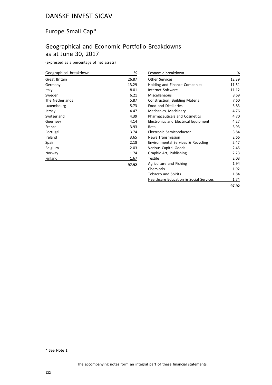## Europe Small Cap\*

# Geographical and Economic Portfolio Breakdowns as at June 30, 2017

(expressed as a percentage of net assets)

| Geographical breakdown | %     |
|------------------------|-------|
| <b>Great Britain</b>   | 26.87 |
| Germany                | 13.29 |
| Italy                  | 8.01  |
| Sweden                 | 6.21  |
| The Netherlands        | 5.87  |
| Luxembourg             | 5.73  |
| Jersey                 | 4.47  |
| Switzerland            | 4.39  |
| Guernsey               | 4.14  |
| France                 | 3.93  |
| Portugal               | 3.74  |
| Ireland                | 3.65  |
| Spain                  | 2.18  |
| Belgium                | 2.03  |
| Norway                 | 1.74  |
| Finland                | 1.67  |
|                        | 97.92 |

| Economic breakdown                                | %     |
|---------------------------------------------------|-------|
| Other Services                                    | 12.39 |
| Holding and Finance Companies                     | 11.51 |
| Internet Software                                 | 11.12 |
| Miscellaneous                                     | 8.69  |
| Construction, Building Material                   | 7.60  |
| <b>Food and Distilleries</b>                      | 5.83  |
| Mechanics, Machinery                              | 4.76  |
| <b>Pharmaceuticals and Cosmetics</b>              | 4.70  |
| Electronics and Electrical Equipment              | 4.27  |
| Retail                                            | 3.93  |
| Electronic Semiconductor                          | 3.84  |
| <b>News Transmission</b>                          | 2.66  |
| Environmental Services & Recycling                | 2.47  |
| Various Capital Goods                             | 2.45  |
| Graphic Art, Publishing                           | 2.23  |
| Textile                                           | 2.03  |
| Agriculture and Fishing                           | 1.94  |
| Chemicals                                         | 1.92  |
| Tobacco and Spirits                               | 1.84  |
| <b>Healthcare Education &amp; Social Services</b> | 1.74  |
|                                                   | 97.92 |

\* See Note 1.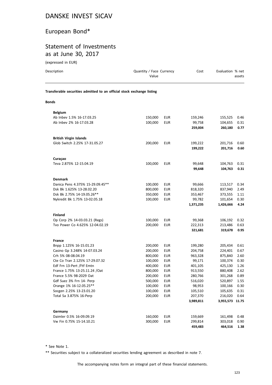## European Bond\*

## Statement of Investments as at June 30, 2017

(expressed in EUR)

| Description                                                            | Quantity / Face Currency<br>Value |                          | Cost                 | Evaluation % net           | assets       |
|------------------------------------------------------------------------|-----------------------------------|--------------------------|----------------------|----------------------------|--------------|
| Transferable securities admitted to an official stock exchange listing |                                   |                          |                      |                            |              |
| <b>Bonds</b>                                                           |                                   |                          |                      |                            |              |
| <b>Belgium</b>                                                         |                                   |                          |                      |                            |              |
| Ab Inbev 1.5% 16-17.03.25                                              | 150,000                           | <b>EUR</b>               | 159,246              | 155,525                    | 0.46         |
| Ab Inbev 2% 16-17.03.28                                                | 100,000                           | <b>EUR</b>               | 99,758               | 104,655                    | 0.31         |
|                                                                        |                                   |                          | 259,004              | 260,180                    | 0.77         |
| <b>British Virgin Islands</b>                                          |                                   |                          |                      |                            |              |
| Glob Switch 2.25% 17-31.05.27                                          | 200,000                           | <b>EUR</b>               | 199,222              | 201,716                    | 0.60         |
|                                                                        |                                   |                          | 199,222              | 201,716                    | 0.60         |
| Curaçao                                                                |                                   |                          |                      |                            |              |
| Teva 2.875% 12-15.04.19                                                | 100,000                           | <b>EUR</b>               | 99,648               | 104,763                    | 0.31         |
|                                                                        |                                   |                          | 99,648               | 104,763                    | 0.31         |
| <b>Denmark</b>                                                         |                                   |                          |                      |                            |              |
| Danica Pens 4.375% 15-29.09.45**                                       | 100,000                           | <b>EUR</b>               | 99,666               | 113,517                    | 0.34         |
| Dsk Bk 1.625% 13-28.02.20                                              | 800,000                           | <b>EUR</b>               | 818,320              | 837,940                    | 2.49         |
| Dsk Bk 2.75% 14-19.05.26**                                             | 350,000                           | <b>EUR</b>               | 353,467              | 373,555                    | 1.11         |
| Nykredit Bk 1.75% 13-02.05.18                                          | 100,000                           | <b>EUR</b>               | 99,782               | 101,654                    | 0.30         |
|                                                                        |                                   |                          | 1,371,235            | 1,426,666                  | 4.24         |
| <b>Finland</b>                                                         |                                   |                          |                      |                            |              |
| Op Corp 2% 14-03.03.21 (Regs)                                          | 100,000                           | <b>EUR</b>               | 99,368               | 106,192                    | 0.32         |
| Tvo Power Co 4.625% 12-04.02.19                                        | 200,000                           | <b>EUR</b>               | 222,313              | 213,486                    | 0.63         |
|                                                                        |                                   |                          | 321,681              | 319,678                    | 0.95         |
| <b>France</b>                                                          |                                   |                          |                      |                            |              |
| Bnpp 1.125% 16-15.01.23                                                | 200,000                           | <b>EUR</b>               | 199,280              | 205,434                    | 0.61         |
| Casino Gp 3.248% 14-07.03.24                                           | 200,000                           | <b>EUR</b>               | 204,758              | 224,401                    | 0.67         |
| Crh 5% 08-08.04.19                                                     | 800,000                           | <b>EUR</b>               | 963,328              | 875,840                    | 2.60         |
| Cte Co Tran 2.125% 17-29.07.32                                         | 100,000                           | <b>EUR</b>               | 99,171               | 100,374                    | 0.30         |
| Edf Frn 13-Pert /Ftf Emtn                                              | 400,000                           | <b>EUR</b>               | 401,105              | 425,130                    | 1.26         |
| France 1.75% 13-25.11.24 / Oat                                         | 800,000                           | <b>EUR</b>               | 913,550              | 880,408                    | 2.62         |
| France 5.5% 98-2029 Oat                                                | 200,000                           | EUR                      | 280,766              | 301,268                    | 0.89         |
| Gdf Suez 3% Frn 14- Perp                                               | 500,000                           | <b>EUR</b>               | 516,020              | 520,897                    | 1.55         |
| Orange 1% 16-12.05.25**                                                | 100,000                           | <b>EUR</b>               | 98,953               | 100,166                    | 0.30         |
| Socgen 2.25% 13-23.01.20                                               | 100,000                           | <b>EUR</b>               | 105,510              | 105,635                    | 0.31         |
| Total Sa 3.875% 16-Perp                                                | 200,000                           | <b>EUR</b>               | 207,370<br>3,989,811 | 216,020<br>3,955,573 11.75 | 0.64         |
|                                                                        |                                   |                          |                      |                            |              |
| Germany                                                                |                                   |                          |                      |                            |              |
| Daimler 0.5% 16-09.09.19<br>Vw Fin 0.75% 15-14.10.21                   | 160,000<br>300,000                | <b>EUR</b><br><b>EUR</b> | 159,669<br>299,814   | 161,498<br>303,018         | 0.48<br>0.90 |
|                                                                        |                                   |                          | 459,483              | 464,516                    | 1.38         |

\* See Note 1.

\*\* Securities subject to a collateralized securities lending agreement as described in note 7.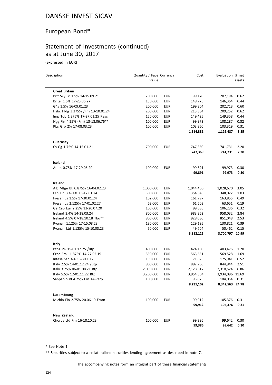## European Bond\*

## Statement of Investments (continued) as at June 30, 2017

(expressed in EUR)

| Description                                     | Quantity / Face Currency<br>Value |                          | Cost      | Evaluation % net | assets       |
|-------------------------------------------------|-----------------------------------|--------------------------|-----------|------------------|--------------|
|                                                 |                                   |                          |           |                  |              |
| <b>Great Britain</b>                            |                                   |                          |           |                  |              |
| Brit Sky Br 1.5% 14-15.09.21                    | 200,000                           | <b>EUR</b><br><b>EUR</b> | 199,170   | 207,194          | 0.62<br>0.44 |
| Britel 1.5% 17-23.06.27<br>G4s 1.5% 16-09.01.23 | 150,000                           |                          | 148,775   | 146,364          |              |
|                                                 | 200,000                           | EUR                      | 199,804   | 202,713          | 0.60         |
| Hsbc Hldg 3.375% /Frn 13-10.01.24               | 200,000                           | <b>EUR</b>               | 213,384   | 209,252          | 0.62         |
| Imp Tob 1.375% 17-27.01.25 Regs                 | 150,000                           | <b>EUR</b>               | 149,425   | 149,358          | 0.44         |
| Ngg Fin 4.25% (Frn) 13-18.06.76**               | 100,000                           | <b>EUR</b>               | 99,973    | 108,287          | 0.32         |
| Rbs Grp 2% 17-08.03.23                          | 100,000                           | <b>EUR</b>               | 103,850   | 103,319          | 0.31         |
|                                                 |                                   |                          | 1,114,381 | 1,126,487        | 3.35         |
| Guernsey                                        |                                   |                          |           |                  |              |
| Cs Gg 1.75% 14-15.01.21                         | 700,000                           | EUR                      | 747,369   | 741,731          | 2.20         |
|                                                 |                                   |                          | 747,369   | 741,731          | 2.20         |
| Iceland                                         |                                   |                          |           |                  |              |
| Arion 0.75% 17-29.06.20                         | 100,000                           | EUR                      | 99,891    | 99,973           | 0.30         |
|                                                 |                                   |                          | 99,891    | 99,973           | 0.30         |
|                                                 |                                   |                          |           |                  |              |
| Ireland                                         |                                   |                          |           |                  |              |
| Aib Mtge Bk 0.875% 16-04.02.23                  | 1,000,000                         | EUR                      | 1,044,400 | 1,028,670        | 3.05         |
| Esb Fin 3.494% 13-12.01.24                      | 300,000                           | <b>EUR</b>               | 354,348   | 348,022          | 1.03         |
| Fresenius 1.5% 17-30.01.24                      | 162,000                           | <b>EUR</b>               | 161,797   | 163,855          | 0.49         |
| Fresenius 2.125% 17-01.02.27                    | 62,000                            | <b>EUR</b>               | 61,603    | 63,651           | 0.19         |
| Ge Cap Eur 2.25% 13-20.07.20                    | 100,000                           | <b>EUR</b>               | 99,636    | 106,236          | 0.32         |
| Ireland 3.4% 14-18.03.24                        | 800,000                           | <b>EUR</b>               | 983,362   | 958,032          | 2.84         |
| Ireland 4.5% 07-18.10.18 Tbo**                  | 800,000                           | <b>EUR</b>               | 928,080   | 851,048          | 2.53         |
| Ryanair 1.125% 17-15.08.23                      | 130,000                           | <b>EUR</b>               | 129,195   | 130,821          | 0.39         |
| Ryanair Ltd 1.125% 15-10.03.23                  | 50,000                            | <b>EUR</b>               | 49,704    | 50,462           | 0.15         |
|                                                 |                                   |                          | 3,812,125 | 3,700,797 10.99  |              |
| Italy                                           |                                   |                          |           |                  |              |
| Btps 2% 15-01.12.25 /Btp                        | 400,000                           | EUR                      | 424,100   | 403,476          | 1.20         |
| Cred Emil 1.875% 14-27.02.19                    | 550,000                           | <b>EUR</b>               | 563,651   | 569,528          | 1.69         |
| Intesa San 4% 13-30.10.23                       | 150,000                           | EUR                      | 171,825   | 175,941          | 0.52         |
| Italy 2.5% 14-01.12.24 /Btp                     | 800,000                           | <b>EUR</b>               | 892,730   | 844,944          | 2.51         |
| Italy 3.75% 06-01.08.21 Btp                     | 2,050,000                         | <b>EUR</b>               | 2,128,617 | 2,310,524        | 6.86         |
| Italy 5.5% 12-01.11.22 Btp                      | 3,200,000                         | <b>EUR</b>               | 3,954,304 | 3,934,096 11.69  |              |
| Sanpaolo VI 4.75% Frn 14-Perp                   | 100,000 EUR                       |                          | 95,875    | 104,054 0.31     |              |
|                                                 |                                   |                          | 8,231,102 | 8,342,563 24.78  |              |
| Luxembourg                                      |                                   |                          |           |                  |              |
| Michln Fin 2.75% 20.06.19 Emtn                  | 100,000                           | <b>EUR</b>               | 99,912    | 105,376          | 0.31         |
|                                                 |                                   |                          | 99,912    | 105,376          | 0.31         |
|                                                 |                                   |                          |           |                  |              |
| <b>New Zealand</b>                              |                                   |                          |           |                  |              |
| Chorus Ltd Frn 16-18.10.23                      | 100,000                           | <b>EUR</b>               | 99,386    | 99,642           | 0.30         |
|                                                 |                                   |                          | 99,386    | 99,642           | 0.30         |

\* See Note 1.

\*\* Securities subject to a collateralized securities lending agreement as described in note 7.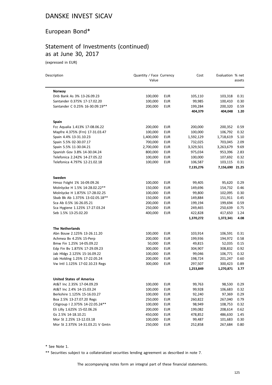## European Bond\*

# Statement of Investments (continued) as at June 30, 2017

(expressed in EUR)

 $\overline{a}$ 

| Description                      | Quantity / Face Currency<br>Value |            | Cost      | Evaluation % net | assets |
|----------------------------------|-----------------------------------|------------|-----------|------------------|--------|
|                                  |                                   |            |           |                  |        |
| Norway                           |                                   |            |           |                  |        |
| Dnb Bank As 3% 13-26.09.23       | 100,000                           | <b>EUR</b> | 105,110   | 103,318          | 0.31   |
| Santander 0.375% 17-17.02.20     | 100,000                           | <b>EUR</b> | 99,985    | 100,410          | 0.30   |
| Santander C 0.25% 16-30.09.19**  | 200,000                           | <b>EUR</b> | 199,284   | 200,320          | 0.59   |
|                                  |                                   |            | 404,379   | 404,048          | 1.20   |
| <b>Spain</b>                     |                                   |            |           |                  |        |
| Fcc Aqualia 1.413% 17-08.06.22   | 200,000                           | EUR        | 200,000   | 200,352          | 0.59   |
| Mapfre 4.375% (Frn) 17-31.03.47  | 100,000                           | <b>EUR</b> | 100,000   | 106,792          | 0.32   |
| Spain 4.4% 13-31.10.23           | 1,400,000                         | <b>EUR</b> | 1,592,129 | 1,718,619        | 5.10   |
| Spain 5.5% 02-30.07.17           | 700,000                           | <b>EUR</b> | 732,025   | 703,045          | 2.09   |
| Spain 5.5% 11-30.04.21           | 2,700,000                         | <b>EUR</b> | 3,329,501 | 3,263,679        | 9.69   |
| Spanish Gov 3.8% 14-30.04.24     | 800,000                           | <b>EUR</b> | 975,034   | 953,396          | 2.83   |
| Telefonica 2.242% 14-27.05.22    | 100,000                           | <b>EUR</b> | 100,000   | 107,692          | 0.32   |
| Telefonica 4.797% 12-21.02.18    | 100,000                           | <b>EUR</b> | 106,587   | 103,115          | 0.31   |
|                                  |                                   |            | 7,135,276 | 7,156,690 21.25  |        |
| Sweden                           |                                   |            |           |                  |        |
| Hmso Fstght 1% 16-09.09.26       | 100,000                           | <b>EUR</b> | 99,405    | 95,620           | 0.29   |
| Molnlycke H 1.5% 14-28.02.22**   | 150,000                           | <b>EUR</b> | 149,696   | 154,732          | 0.46   |
| Molnlycke H 1.875% 17-28.02.25   | 100,000                           | <b>EUR</b> | 99,800    | 102,095          | 0.30   |
| Sbab Bk Ab 1.375% 13-02.05.18**  | 150,000                           | <b>EUR</b> | 149,884   | 151,911          | 0.45   |
| Sca Ab 0.5% 16-26.05.21          | 200,000                           | <b>EUR</b> | 199,194   | 199,694          | 0.59   |
| Sca Hygiene 1.125% 17-27.03.24   | 250,000                           | <b>EUR</b> | 249,465   | 250,639          | 0.75   |
| Seb 1.5% 13-25.02.20             | 400,000                           | <b>EUR</b> | 422,828   | 417,650          | 1.24   |
|                                  |                                   |            | 1,370,272 | 1,372,341        | 4.08   |
| <b>The Netherlands</b>           |                                   |            |           |                  |        |
| Abn Bouw 2.125% 13-26.11.20      | 100,000                           | <b>EUR</b> | 103,914   | 106,591          | 0.31   |
| Achmea Bv 4.25% 15-Perp          | 200,000                           | <b>EUR</b> | 199,936   | 194,972          | 0.58   |
| Bmw Fin 1.25% 14-05.09.22        | 50,000                            | <b>EUR</b> | 49,815    | 52,035           | 0.15   |
| Edp Fin Bv 1.875% 17-29.09.23    | 300,000                           | <b>EUR</b> | 304,907   | 308,832          | 0.92   |
| Jab Hldgs 2.125% 15-16.09.22     | 100,000                           | <b>EUR</b> | 99,046    | 106,771          | 0.32   |
| Jab Holding 1.25% 17-22.05.24    | 200,000                           | EUR        | 198,724   | 201,247          | 0.60   |
| Vw Intl 1.125% 17-02.10.23 Regs  | 300,000                           | <b>EUR</b> | 297,507   | 300,423          | 0.89   |
|                                  |                                   |            | 1,253,849 | 1,270,871        | 3.77   |
| <b>United States of America</b>  |                                   |            |           |                  |        |
| At&T Inc 2.35% 17-04.09.29       | 100,000                           | <b>EUR</b> | 99,763    | 98,530           | 0.29   |
| At&T Inc 2.4% 14-15.03.24        | 100,000                           | <b>EUR</b> | 99,928    | 106,683          | 0.32   |
| Berkshire 1.125% 15-16.03.27     | 100,000                           | EUR        | 92,240    | 97,369           | 0.29   |
| Boa 2.5% 13-27.07.20 Regs        | 250,000                           | <b>EUR</b> | 260,822   | 267,040          | 0.79   |
| Citigroup   2.375% 14-22.05.24** | 100,000                           | <b>EUR</b> | 98,949    | 108,753          | 0.32   |
| Eli Lilly 1.625% 15-02.06.26     | 200,000                           | <b>EUR</b> | 199,082   | 208,614          | 0.62   |
| Gs 2.5% 14-18.10.21              | 450,000                           | <b>EUR</b> | 478,852   | 486,630          | 1.45   |
| Mor St 2.25% 13-12.03.18         | 100,000                           | <b>EUR</b> | 99,487    | 101,683          | 0.30   |
| Mor St 2.375% 14-31.03.21 V Gmtn | 250,000                           | <b>EUR</b> | 252,858   | 267,684          | 0.80   |
|                                  |                                   |            |           |                  |        |

\* See Note 1.

\*\* Securities subject to a collateralized securities lending agreement as described in note 7.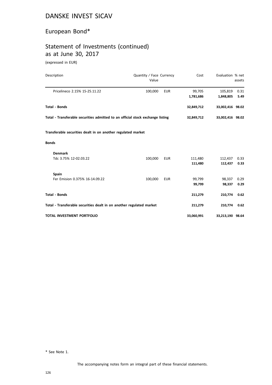# European Bond\*

# Statement of Investments (continued) as at June 30, 2017

(expressed in EUR)

| Description                                                                    | Quantity / Face Currency<br>Value |            | Cost       | Evaluation % net | assets |
|--------------------------------------------------------------------------------|-----------------------------------|------------|------------|------------------|--------|
| Pricelineco 2.15% 15-25.11.22                                                  | 100,000                           | <b>EUR</b> | 99,705     | 105,819          | 0.31   |
|                                                                                |                                   |            | 1,781,686  | 1,848,805        | 5.49   |
| <b>Total - Bonds</b>                                                           |                                   |            | 32,849,712 | 33,002,416 98.02 |        |
| Total - Transferable securities admitted to an official stock exchange listing |                                   |            | 32,849,712 | 33,002,416 98.02 |        |
| Transferable securities dealt in on another regulated market                   |                                   |            |            |                  |        |
| <b>Bonds</b>                                                                   |                                   |            |            |                  |        |
| <b>Denmark</b>                                                                 |                                   |            |            |                  |        |
| Tdc 3.75% 12-02.03.22                                                          | 100,000                           | <b>EUR</b> | 111,480    | 112,437          | 0.33   |
|                                                                                |                                   |            | 111,480    | 112,437          | 0.33   |
| Spain                                                                          |                                   |            |            |                  |        |
| Fer Emision 0.375% 16-14.09.22                                                 | 100,000                           | <b>EUR</b> | 99,799     | 98,337           | 0.29   |
|                                                                                |                                   |            | 99,799     | 98,337           | 0.29   |
| <b>Total - Bonds</b>                                                           |                                   |            | 211,279    | 210,774          | 0.62   |
| Total - Transferable securities dealt in on another regulated market           |                                   |            | 211,279    | 210,774          | 0.62   |
| TOTAL INVESTMENT PORTFOLIO                                                     |                                   |            | 33,060,991 | 33,213,190 98.64 |        |

\* See Note 1.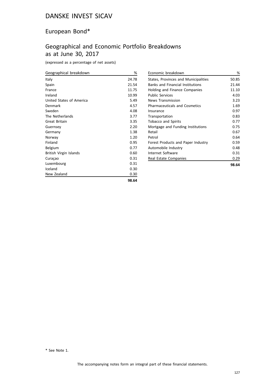## European Bond\*

# Geographical and Economic Portfolio Breakdowns as at June 30, 2017

(expressed as a percentage of net assets)

| Geographical breakdown   | %     |
|--------------------------|-------|
| Italy                    | 24.78 |
| Spain                    | 21.54 |
| France                   | 11.75 |
| Ireland                  | 10.99 |
| United States of America | 5.49  |
| Denmark                  | 4.57  |
| Sweden                   | 4.08  |
| The Netherlands          | 3.77  |
| Great Britain            | 3.35  |
| Guernsey                 | 2.20  |
| Germany                  | 1.38  |
| Norway                   | 1.20  |
| Finland                  | 0.95  |
| Belgium                  | 0.77  |
| British Virgin Islands   | 0.60  |
| Curaçao                  | 0.31  |
| Luxembourg               | 0.31  |
| Iceland                  | 0.30  |
| New Zealand              | 0.30  |
|                          | 98.64 |

| Economic breakdown                      | ℅     |
|-----------------------------------------|-------|
| States, Provinces and Municipalities    | 50.85 |
| <b>Banks and Financial Institutions</b> | 21.44 |
| Holding and Finance Companies           | 11.10 |
| <b>Public Services</b>                  | 4.03  |
| <b>News Transmission</b>                | 3.23  |
| <b>Pharmaceuticals and Cosmetics</b>    | 1.69  |
| Insurance                               | 0.97  |
| Transportation                          | 0.83  |
| <b>Tobacco and Spirits</b>              | 0.77  |
| Mortgage and Funding Institutions       | 0.75  |
| Retail                                  | 0.67  |
| Petrol                                  | 0.64  |
| Forest Products and Paper Industry      | 0.59  |
| Automobile Industry                     | 0.48  |
| Internet Software                       | 0.31  |
| Real Estate Companies                   | 0.29  |
|                                         | 98.64 |

\* See Note 1.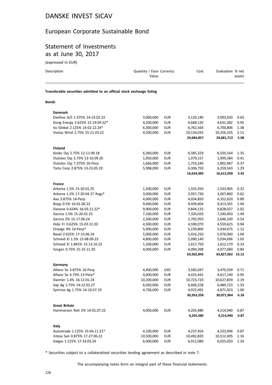## European Corporate Sustainable Bond

#### Statement of Investments as at June 30, 2017

| (expressed in EUR)                                                     |                                   |            |            |                  |        |
|------------------------------------------------------------------------|-----------------------------------|------------|------------|------------------|--------|
| Description                                                            | Quantity / Face Currency<br>Value |            | Cost       | Evaluation % net | assets |
| Transferable securities admitted to an official stock exchange listing |                                   |            |            |                  |        |
| <b>Bonds</b>                                                           |                                   |            |            |                  |        |
| <b>Denmark</b>                                                         |                                   |            |            |                  |        |
| Danfoss A/S 1.375% 14-23.02.22                                         | 3,000,000                         | EUR        | 3,120,140  | 3,093,420        | 0.64   |
| Dong Energy 2.625% 12-19.09.22*                                        | 4,200,000                         | <b>EUR</b> | 4,668,120  | 4,631,382        | 0.95   |
| Iss Global 2.125% 14-02.12.24*                                         | 6,300,000                         | <b>EUR</b> | 6,762,564  | 6,700,806        | 1.38   |
| Vestas Wind 2.75% 15-11.03.22                                          | 9,500,000                         | <b>EUR</b> | 10,134,033 | 10,256,105       | 2.11   |
|                                                                        |                                   |            | 24,684,857 | 24,681,713       | 5.08   |
| <b>Finland</b>                                                         |                                   |            |            |                  |        |
| Kesko Oyj 2.75% 12-11.09.18                                            | 6,360,000                         | EUR        | 6,585,329  | 6,550,164        | 1.35   |
| Outotec Oyj 3.75% 13-16.09.20                                          | 1,950,000                         | <b>EUR</b> | 1,979,157  | 1,999,384        | 0.41   |
| Outotec Oyj 7.375% 16-Perp                                             | 1,660,000                         | EUR        | 1,753,240  | 1,802,967        | 0.37   |
| Tieto Corp 2.875% 13-23.05.19                                          | 5,998,000                         | <b>EUR</b> | 6,306,759  | 6,259,543        | 1.29   |
|                                                                        |                                   |            | 16,624,485 | 16,612,058       | 3.42   |
| <b>France</b>                                                          |                                   |            |            |                  |        |
| Arkema 1.5% 15-20.01.25                                                | 1,500,000                         | EUR        | 1,555,350  | 1,543,905        | 0.32   |
| Arkema 1.5% 17-20.04.27 Regs*                                          | 3,000,000                         | <b>EUR</b> | 2,957,730  | 3,007,860        | 0.62   |
| Axa 3.875% 14-Perp                                                     | 4,000,000                         | <b>EUR</b> | 4,034,850  | 4,352,620        | 0.89   |
| Bnpp 0.5% 16-01.06.22                                                  | 9,400,000                         | <b>EUR</b> | 9,439,404  | 9,413,301        | 1.94   |
| Danone 0.424% 16-03.11.22*                                             | 9,900,000                         | <b>EUR</b> | 9,844,133  | 9,828,027        | 2.02   |
| Gecina 1.5% 15-20.01.25                                                | 7,100,000                         | <b>EUR</b> | 7,320,020  | 7,240,403        | 1.49   |
| Gecina 2% 15-17.06.24                                                  | 2,500,000                         | <b>EUR</b> | 2,702,950  | 2,646,100        | 0.54   |
| Hsbc Fr 0.625% 15-03.12.20                                             | 4,500,000                         | <b>EUR</b> | 4,590,070  | 4,559,625        | 0.94   |
| Orange 4% 14-Perp*                                                     | 5,000,000                         | <b>EUR</b> | 5,239,800  | 5,434,675        | 1.12   |
| Rexel 2.625% 17-15.06.24                                               | 5,000,000                         | <b>EUR</b> | 5,016,250  | 5,076,000        | 1.04   |
| Schneid El 1.5% 15-08.09.23                                            | 4,800,000                         | <b>EUR</b> | 5,090,140  | 5,034,696        | 1.03   |
| Schneid El 1.841% 15-13.10.25                                          | 1,500,000                         | <b>EUR</b> | 1,617,750  | 1,612,170        | 0.33   |
| Socgen 0.75% 15-25.11.20                                               | 4,000,000                         | <b>EUR</b> | 4,094,398  | 4,077,680        | 0.84   |
|                                                                        |                                   |            | 63,502,845 | 63,827,062 13.12 |        |
| Germany                                                                |                                   |            |            |                  |        |
| Allianz Se 3.875% 16-Perp                                              | 4,400,000                         | <b>USD</b> | 3,585,047  | 3,470,339        | 0.71   |
| Allianz Se 4.75% 13-Perp*                                              | 4,000,000                         | <b>EUR</b> | 4,425,442  | 4,617,140        | 0.95   |
| Daimler 1.4% 16-12.01.24                                               | 10,200,000                        | <b>EUR</b> | 10,723,720 | 10,627,839       | 2.19   |
| Sap Ag 1.75% 14-22.02.27                                               | 6,050,000                         | <b>EUR</b> | 6,606,558  | 6,484,723        | 1.33   |
| Symrise Ag 1.75% 14-10.07.19                                           | 4,736,000                         | <b>EUR</b> | 4,922,491  | 4,871,923        | 1.00   |
|                                                                        |                                   |            | 30,263,258 | 30,071,964       | 6.18   |
|                                                                        |                                   |            |            |                  |        |
| <b>Great Britain</b>                                                   |                                   |            |            |                  |        |
| Hammerson Reit 2% 14-01.07.22                                          | 4,000,000                         | EUR        | 4,205,480  | 4,214,940        | 0.87   |

|                                |            |     | 4,205,480  | 4.214.940  | 0.87 |
|--------------------------------|------------|-----|------------|------------|------|
| Italy                          |            |     |            |            |      |
| Autostrade 1.125% 15-04.11.21* | 4.100.000  | EUR | 4.237.454  | 4.233.496  | 0.87 |
| Intesa San 0.875% 17-27.06.22  | 10.500.000 | EUR | 10.492.820 | 10.512.495 | 2.16 |
| Italgas 1.125% 17-14.03.24     | 6.000.000  | EUR | 6,011,080  | 6.025.020  | 1.24 |

\* Securities subject to a collateralized securities lending agreement as described in note 7.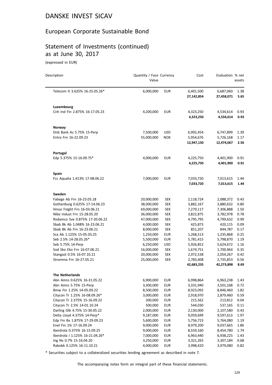## European Corporate Sustainable Bond

# Statement of Investments (continued) as at June 30, 2017

(expressed in EUR)

 $\overline{a}$ 

| Description                     | Quantity / Face Currency<br>Value |            | Cost                    | Evaluation % net        | assets       |
|---------------------------------|-----------------------------------|------------|-------------------------|-------------------------|--------------|
| Telecom It 3.625% 16-25.05.26*  | 6,000,000                         | <b>EUR</b> | 6,401,500<br>27,142,854 | 6,687,060<br>27,458,071 | 1.38<br>5.65 |
| Luxembourg                      |                                   |            |                         |                         |              |
| Cnh Ind Fin 2.875% 16-17.05.23  | 4,200,000                         | <b>EUR</b> | 4,323,250<br>4,323,250  | 4,534,614<br>4,534,614  | 0.93<br>0.93 |
| Norway                          |                                   |            |                         |                         |              |
| Dnb Bank As 5.75% 15-Perp       | 7,500,000                         | <b>USD</b> | 6,992,454               | 6,747,899               | 1.39         |
| Entra Frn 16-22.09.23           | 55,000,000                        | <b>NOK</b> | 5,954,676<br>12,947,130 | 5,726,168<br>12,474,067 | 1.17<br>2.56 |
| Portugal                        |                                   |            |                         |                         |              |
| Edp 5.375% 15-16.09.75*         | 4,000,000                         | <b>EUR</b> | 4,225,750<br>4,225,750  | 4,401,900<br>4,401,900  | 0.91<br>0.91 |
| <b>Spain</b>                    |                                   |            |                         |                         |              |
| Fcc Aqualia 1.413% 17-08.06.22  | 7,000,000                         | <b>EUR</b> | 7,033,720<br>7,033,720  | 7,013,615<br>7,013,615  | 1.44<br>1.44 |
| Sweden                          |                                   |            |                         |                         |              |
| Fabege Ab Frn 16-23.05.18       | 20,000,000                        | <b>SEK</b> | 2,118,724               | 2,088,372               | 0.43         |
| Gothenburg 0.625% 17-14.06.23   | 38,000,000                        | <b>SEK</b> | 3,882,167               | 3,880,632               | 0.80         |
| Hmso Fstght Frn 16-03.06.21     | 69,000,000                        | <b>SEK</b> | 7,279,117               | 7,306,888               | 1.50         |
| Nibe Indust Frn 15-28.05.20     | 36,000,000                        | <b>SEK</b> | 3,822,875               | 3,782,978               | 0.78         |
| Rodamco Sve 0.875% 17-20.06.22  | 47,000,000                        | <b>SEK</b> | 4,795,795               | 4,799,632               | 0.99         |
| Sbab Bk Ab 1.048% 16-23.06.21   | 4,000,000                         | <b>SEK</b> | 425,873                 | 420,115                 | 0.09         |
| Sbab Bk Ab Frn 16-23.06.21      | 8,000,000                         | <b>SEK</b> | 851,207                 | 844,787                 | 0.17         |
| Sca Ab 1.125% 15-05.03.25       | 1,250,000                         | <b>EUR</b> | 1,268,513               | 1,235,868               | 0.25         |
| Seb 2.5% 14-28.05.26*           | 5,500,000                         | <b>EUR</b> | 5,781,415               | 5,798,870               | 1.19         |
| Seb 5.75% 14-Perp               | 6,250,000                         | <b>USD</b> | 5,926,852               | 5,624,672               | 1.16         |
| Sod Sko Eko Frn 16-07.06.21     | 16,000,000                        | <b>SEK</b> | 1,674,751               | 1,700,964               | 0.35         |
| Stangast 0.5% 16-07.10.21       | 20,000,000                        | <b>SEK</b> | 2,072,538               | 2,054,267               | 0.42         |
| Stromma Frn 16-27.05.21         | 25,000,000                        | <b>SEK</b> | 2,783,408<br>42,683,235 | 2,735,853<br>42,273,898 | 0.56<br>8.69 |
| <b>The Netherlands</b>          |                                   |            |                         |                         |              |
| Abn Amro 0.625% 16-31.05.22     | 6,900,000                         | EUR        | 6,998,864               | 6,963,238               | 1.43         |
| Abn Amro 5.75% 15-Perp          | 3,300,000                         | <b>EUR</b> | 3,331,940               | 3,501,168               | 0.72         |
| Bmw Fin 1.25% 14-05.09.22       | 8,500,000                         | <b>EUR</b> | 8,923,092               | 8,846,460               | 1.82         |
| Citycon Tr 1.25% 16-08.09.26*   | 3,000,000                         | <b>EUR</b> | 2,918,970               | 2,879,460               | 0.59         |
| Citycon Tr 2.375% 15-16.09.22   | 200,000                           | <b>EUR</b> | 215,562                 | 213,812                 | 0.04         |
| Citycon Tr 2.5% 14-01.10.24     | 500,000                           | <b>EUR</b> | 544,030                 | 537,165                 | 0.11         |
| Darling Glb 4.75% 15-30.05.22   | 2,000,000                         | <b>EUR</b> | 2,130,000               | 2,107,580               | 0.43         |
| Delta Lloyd 4.375% 14-Perp*     | 9,187,000                         | <b>EUR</b> | 9,059,699               | 9,597,613               | 1.97         |
| Edp Fin Bv 1.875% 17-29.09.23   | 5,600,000                         | <b>EUR</b> | 5,756,723               | 5,764,080               | 1.19         |
| Enel Fin 1% 17-16.09.24         | 9,000,000                         | <b>EUR</b> | 8,979,200               | 9,037,665               | 1.86         |
| Iberdrola 0.375% 16-15.09.25    | 9,000,000                         | <b>EUR</b> | 8,559,160               | 8,454,780               | 1.74         |
| Iberdrola   1.125% 16-21.04.26* | 7,000,000                         | <b>EUR</b> | 6,963,440               | 6,938,225               | 1.43         |
| Ing Nv 0.7% 15-16.04.20         | 3,250,000                         | <b>EUR</b> | 3,321,265               | 3,307,184               | 0.68         |
| Rabobk 0.125% 16-11.10.21       | 4,000,000                         | <b>EUR</b> | 3,998,420               | 3,979,080               | 0.82         |

\* Securities subject to a collateralized securities lending agreement as described in note 7.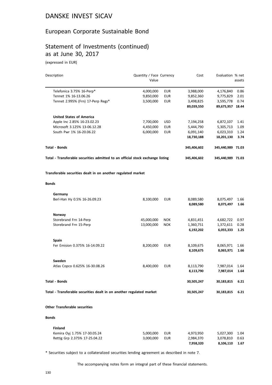#### European Corporate Sustainable Bond

## Statement of Investments (continued) as at June 30, 2017

(expressed in EUR)

| Description                                                                    |            | Quantity / Face Currency<br>Value |             | Evaluation % net  |              |
|--------------------------------------------------------------------------------|------------|-----------------------------------|-------------|-------------------|--------------|
|                                                                                |            |                                   |             |                   | assets       |
| Telefonica 3.75% 16-Perp*                                                      | 4,000,000  | <b>EUR</b>                        | 3,988,000   | 4,176,840         | 0.86         |
| Tennet 1% 16-13.06.26                                                          | 9,850,000  | <b>EUR</b>                        | 9,852,360   | 9,775,829         | 2.01         |
| Tennet 2.995% (Frn) 17-Perp Regs*                                              | 3,500,000  | <b>EUR</b>                        | 3,498,825   | 3,595,778         | 0.74         |
|                                                                                |            |                                   | 89,039,550  | 89,675,957 18.44  |              |
| <b>United States of America</b>                                                |            |                                   |             |                   |              |
| Apple Inc 2.85% 16-23.02.23                                                    | 7,700,000  | <b>USD</b>                        | 7,194,258   | 6,872,107         | 1.41         |
| Microsoft 3.125% 13-06.12.28                                                   | 4,450,000  | <b>EUR</b>                        | 5,444,790   | 5,305,713         | 1.09         |
| South Pwr 1% 16-20.06.22                                                       | 6,000,000  | <b>EUR</b>                        | 6,091,140   | 6,023,310         | 1.24         |
|                                                                                |            |                                   | 18,730,188  | 18,201,130        | 3.74         |
| <b>Total - Bonds</b>                                                           |            |                                   | 345,406,602 | 345,440,989 71.03 |              |
| Total - Transferable securities admitted to an official stock exchange listing |            |                                   | 345,406,602 | 345,440,989 71.03 |              |
| Transferable securities dealt in on another regulated market                   |            |                                   |             |                   |              |
| <b>Bonds</b>                                                                   |            |                                   |             |                   |              |
| Germany                                                                        |            |                                   |             |                   |              |
| Berl-Han Hy 0.5% 16-26.09.23                                                   | 8,100,000  | <b>EUR</b>                        | 8,089,580   | 8,075,497         | 1.66         |
|                                                                                |            |                                   | 8,089,580   | 8,075,497         | 1.66         |
| Norway                                                                         |            |                                   |             |                   |              |
| Storebrand Frn 14-Perp                                                         | 45,000,000 | <b>NOK</b>                        | 4,831,451   | 4,682,722         | 0.97         |
| Storebrand Frn 15-Perp                                                         | 13,000,000 | <b>NOK</b>                        | 1,360,751   | 1,372,611         | 0.28         |
|                                                                                |            |                                   | 6,192,202   | 6,055,333         | 1.25         |
| <b>Spain</b>                                                                   |            |                                   |             |                   |              |
| Fer Emision 0.375% 16-14.09.22                                                 | 8,200,000  | <b>EUR</b>                        | 8,109,675   | 8,065,971         | 1.66         |
|                                                                                |            |                                   | 8,109,675   | 8,065,971         | 1.66         |
| Sweden                                                                         |            |                                   |             |                   |              |
| Atlas Copco 0.625% 16-30.08.26                                                 | 8,400,000  | <b>EUR</b>                        | 8,113,790   | 7,987,014         | 1.64         |
|                                                                                |            |                                   | 8,113,790   | 7,987,014         | 1.64         |
| <b>Total - Bonds</b>                                                           |            |                                   | 30,505,247  | 30,183,815        | 6.21         |
| Total - Transferable securities dealt in on another regulated market           |            |                                   | 30,505,247  | 30,183,815        | 6.21         |
| <b>Other Transferable securities</b>                                           |            |                                   |             |                   |              |
| Bonds                                                                          |            |                                   |             |                   |              |
| <b>Finland</b>                                                                 |            |                                   |             |                   |              |
| Kemira Oyj 1.75% 17-30.05.24                                                   | 5,000,000  | <b>EUR</b>                        | 4,973,950   | 5,027,300         | 1.04         |
| Rettig Grp 2.375% 17-25.04.22                                                  | 3,000,000  | <b>EUR</b>                        | 2,984,370   | 3,078,810         |              |
|                                                                                |            |                                   | 7,958,320   | 8,106,110         | 0.63<br>1.67 |
|                                                                                |            |                                   |             |                   |              |

\* Securities subject to a collateralized securities lending agreement as described in note 7.

The accompanying notes form an integral part of these financial statements.

**7,958,320 8,106,110 1.67**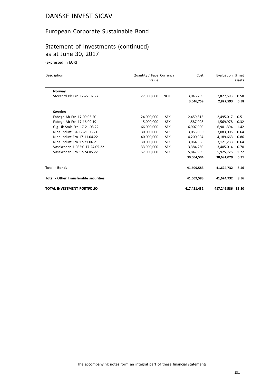## European Corporate Sustainable Bond

# Statement of Investments (continued) as at June 30, 2017

(expressed in EUR)

| Description                                  | Quantity / Face Currency<br>Value |            | Cost        | Evaluation % net  | assets |
|----------------------------------------------|-----------------------------------|------------|-------------|-------------------|--------|
| Norway                                       |                                   |            |             |                   |        |
| Storebrd Bk Frn 17-22.02.27                  | 27,000,000                        | <b>NOK</b> | 3,046,759   | 2,827,593         | 0.58   |
|                                              |                                   |            | 3,046,759   | 2,827,593         | 0.58   |
| Sweden                                       |                                   |            |             |                   |        |
| Fabege Ab Frn 17-09.06.20                    | 24,000,000                        | <b>SEK</b> | 2,459,815   | 2,495,017         | 0.51   |
| Fabege Ab Frn 17-16.09.19                    | 15,000,000                        | <b>SEK</b> | 1,587,098   | 1,569,978         | 0.32   |
| Glg Uk Smlr Frn 17-21.03.22                  | 66,000,000                        | <b>SEK</b> | 6,907,000   | 6,901,394         | 1.42   |
| Nibe Indust 1% 17-21.06.21                   | 30,000,000                        | <b>SEK</b> | 3,053,030   | 3,083,005         | 0.64   |
| Nibe Indust Frn 17-11.04.22                  | 40,000,000                        | <b>SEK</b> | 4,200,994   | 4,189,663         | 0.86   |
| Nibe Indust Frn 17-21.06.21                  | 30,000,000                        | <b>SEK</b> | 3,064,368   | 3,121,233         | 0.64   |
| Vasakronan 1.083% 17-24.05.22                | 33,000,000                        | <b>SEK</b> | 3,384,260   | 3,405,014         | 0.70   |
| Vasakronan Frn 17-24.05.22                   | 57,000,000                        | <b>SEK</b> | 5,847,939   | 5,925,725         | 1.22   |
|                                              |                                   |            | 30,504,504  | 30,691,029        | 6.31   |
| Total - Bonds                                |                                   |            | 41,509,583  | 41,624,732        | 8.56   |
| <b>Total - Other Transferable securities</b> |                                   |            | 41,509,583  | 41,624,732        | 8.56   |
| TOTAL INVESTMENT PORTFOLIO                   |                                   |            | 417,421,432 | 417,249,536 85.80 |        |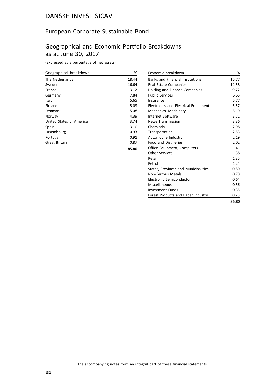## European Corporate Sustainable Bond

# Geographical and Economic Portfolio Breakdowns as at June 30, 2017

(expressed as a percentage of net assets)

| Geographical breakdown   | %     |
|--------------------------|-------|
| The Netherlands          | 18.44 |
| Sweden                   | 16.64 |
| France                   | 13.12 |
| Germany                  | 7.84  |
| Italy                    | 5.65  |
| Finland                  | 5.09  |
| Denmark                  | 5.08  |
| Norway                   | 4.39  |
| United States of America | 3.74  |
| Spain                    | 3.10  |
| Luxembourg               | 0.93  |
| Portugal                 | 0.91  |
| <b>Great Britain</b>     | 0.87  |
|                          | 85.80 |

| Economic breakdown                      | %     |
|-----------------------------------------|-------|
| <b>Banks and Financial Institutions</b> | 15.77 |
| Real Estate Companies                   | 11.58 |
| <b>Holding and Finance Companies</b>    | 9.72  |
| <b>Public Services</b>                  | 6.65  |
| Insurance                               | 5.77  |
| Electronics and Electrical Equipment    | 5.57  |
| Mechanics, Machinery                    | 5.19  |
| Internet Software                       | 3.71  |
| <b>News Transmission</b>                | 3.36  |
| Chemicals                               | 2.98  |
| Transportation                          | 2.53  |
| Automobile Industry                     | 2.19  |
| <b>Food and Distilleries</b>            | 2.02  |
| Office Equipment, Computers             | 1.41  |
| <b>Other Services</b>                   | 1.38  |
| Retail                                  | 1.35  |
| Petrol                                  | 1.24  |
| States, Provinces and Municipalities    | 0.80  |
| Non-Ferrous Metals                      | 0.78  |
| Electronic Semiconductor                | 0.64  |
| Miscellaneous                           | 0.56  |
| <b>Investment Funds</b>                 | 0.35  |
| Forest Products and Paper Industry      | 0.25  |
|                                         | 85.80 |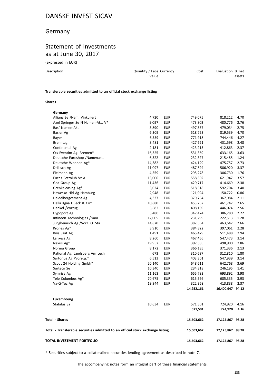#### Germany

## Statement of Investments as at June 30, 2017

(expressed in EUR)

| Description | Quantity / Face Currency<br>Value | Cost | Evaluation % net<br>assets |
|-------------|-----------------------------------|------|----------------------------|
|             |                                   |      |                            |

**Transferable securities admitted to an official stock exchange listing**

#### **Shares**

| TOTAL INVESTMENT PORTFOLIO                                                     |        |            | 15,503,662 | 17,125,867 98.28 |      |
|--------------------------------------------------------------------------------|--------|------------|------------|------------------|------|
| Total - Transferable securities admitted to an official stock exchange listing |        |            | 15,503,662 | 17,125,867 98.28 |      |
| <b>Total - Shares</b>                                                          |        |            | 15,503,662 | 17,125,867 98.28 |      |
|                                                                                |        |            | 571,501    | 724,920          | 4.16 |
| Stabilus Sa                                                                    | 10,634 | <b>EUR</b> | 571,501    | 724,920          | 4.16 |
| Luxembourg                                                                     |        |            |            |                  |      |
|                                                                                |        |            |            |                  |      |
|                                                                                |        |            | 14,932,161 | 16,400,947 94.12 |      |
| Va-Q-Tec Ag                                                                    | 19,944 | <b>EUR</b> | 322,368    | 413,838          | 2.37 |
| Tele Columbus Ag*                                                              | 70,675 | EUR        | 615,566    | 685,335          | 3.93 |
| Symrise Ag                                                                     | 11,163 | <b>EUR</b> | 655,783    | 693,892          | 3.98 |
| Surteco Se                                                                     | 10,340 | <b>EUR</b> | 234,318    | 246,195          | 1.41 |
| Scout 24 Holding Gmbh*                                                         | 20,140 | <b>EUR</b> | 648,611    | 642,768          | 3.69 |
| Sartorius Ag /Vorzug.*                                                         | 6,513  | <b>EUR</b> | 403,301    | 547,939          | 3.14 |
| Rational Ag. Landsberg Am Lech                                                 | 673    | <b>EUR</b> | 310,697    | 312,810          | 1.80 |
| Norma Group                                                                    | 8,172  | <b>EUR</b> | 366,185    | 371,336          | 2.13 |
| Nexus Ag*                                                                      | 19,952 | <b>EUR</b> | 397,385    | 498,900          | 2.86 |
| Lanxess Ag                                                                     | 8,260  | <b>EUR</b> | 467,456    | 547,473          | 3.14 |
| Kws Saat Ag                                                                    | 1,491  | <b>EUR</b> | 465,479    | 511,488          | 2.94 |
| Krones Ag*                                                                     | 3,910  | <b>EUR</b> | 384,822    | 397,061          | 2.28 |
| Jungheinrich Ag /Vorz. O. Sta                                                  | 14,870 | <b>EUR</b> | 387,554    | 463,647          | 2.66 |
| Infineon Technologies /Nam.                                                    | 12,005 | <b>EUR</b> | 231,299    | 222,513          | 1.28 |
| Hypoport Ag                                                                    | 3,480  | <b>EUR</b> | 347,474    | 386,280          | 2.22 |
| Henkel /Vorzug                                                                 | 3,682  | <b>EUR</b> | 408,189    | 446,074          | 2.56 |
| Hella Kgaa Hueck & Co*                                                         | 10,880 | <b>EUR</b> | 453,252    | 461,747          | 2.65 |
| Heidelbergcement Ag                                                            | 4,337  | <b>EUR</b> | 370,754    | 367,084          | 2.11 |
| Hawesko Hld Ag Hamburg                                                         | 2,948  | <b>EUR</b> | 121,994    | 150,722          | 0.86 |
| Grenkeleasing Ag*                                                              | 3,024  | <b>EUR</b> | 518,518    | 592,704          | 3.40 |
| Gea Group Ag                                                                   | 11,436 | <b>EUR</b> | 429,717    | 414,669          | 2.38 |
| Fuchs Petrolub Vz A                                                            | 13,006 | <b>EUR</b> | 558,502    | 621,947          | 3.57 |
| Fielmann Ag                                                                    | 4,559  | <b>EUR</b> | 295,278    | 306,730          | 1.76 |
| Drillisch Ag                                                                   | 11,097 | <b>EUR</b> | 487,594    | 586,920          | 3.37 |
| Deutsche Wohnen Ag*                                                            | 14,382 | <b>EUR</b> | 424,129    | 475,757          | 2.73 |
| Deutsche Euroshop / Namenakt.                                                  | 6,322  | <b>EUR</b> | 232,327    | 215,485          | 1.24 |
| Cts Eventim Ag. Bremen*                                                        | 16,325 | <b>EUR</b> | 531,369    | 633,165          | 3.63 |
| Continental Ag                                                                 | 2,181  | <b>EUR</b> | 423,213    | 412,863          | 2.37 |
| <b>Brenntag</b>                                                                | 8,481  | <b>EUR</b> | 427,621    | 431,598          | 2.48 |
| Bayer                                                                          | 6,559  | <b>EUR</b> | 771,918    | 744,446          | 4.27 |
| Basler Ag                                                                      | 6,309  | <b>EUR</b> | 518,753    | 819,539          | 4.70 |
| Basf Namen-Akt                                                                 | 5,890  | <b>EUR</b> | 497,857    | 479,034          | 2.75 |
| Axel Springer Se N Namen-Akt. V*                                               | 9,097  | <b>EUR</b> | 473,803    | 480,776          | 2.76 |
| Allianz Se /Nam. Vinkuliert                                                    | 4,720  | <b>EUR</b> | 749,075    | 818,212          | 4.70 |
| Germany                                                                        |        |            |            |                  |      |

\* Securities subject to a collateralized securities lending agreement as described in note 7.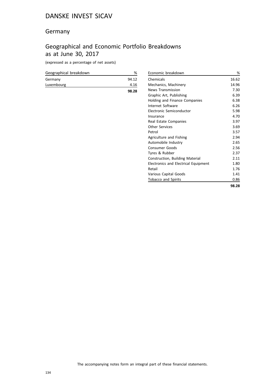#### Germany

# Geographical and Economic Portfolio Breakdowns as at June 30, 2017

(expressed as a percentage of net assets)

| Geographical breakdown | %     |
|------------------------|-------|
| Germany                | 94.12 |
| Luxembourg             | 4.16  |
|                        | 98.28 |

| Economic breakdown                   | %     |
|--------------------------------------|-------|
| Chemicals                            | 16.62 |
| Mechanics, Machinery                 | 14.96 |
| <b>News Transmission</b>             | 7.30  |
| Graphic Art, Publishing              | 6.39  |
| Holding and Finance Companies        | 6.38  |
| Internet Software                    | 6.26  |
| Electronic Semiconductor             | 5.98  |
| Insurance                            | 4.70  |
| Real Estate Companies                | 3.97  |
| <b>Other Services</b>                | 3.69  |
| Petrol                               | 3.57  |
| Agriculture and Fishing              | 2.94  |
| Automobile Industry                  | 2.65  |
| <b>Consumer Goods</b>                | 2.56  |
| Tyres & Rubber                       | 2.37  |
| Construction, Building Material      | 2.11  |
| Electronics and Electrical Equipment | 1.80  |
| Retail                               | 1.76  |
| Various Capital Goods                | 1.41  |
| <b>Tobacco and Spirits</b>           | 0.86  |
|                                      | 98.28 |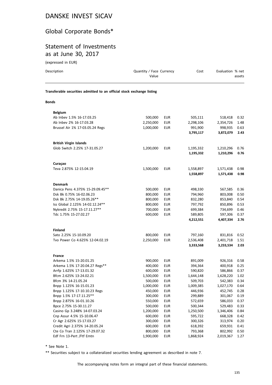#### Global Corporate Bonds\*

#### Statement of Investments as at June 30, 2017

| (expressed in EUR)                                                     |                                   |            |           |                  |        |
|------------------------------------------------------------------------|-----------------------------------|------------|-----------|------------------|--------|
| Description                                                            | Quantity / Face Currency<br>Value |            | Cost      | Evaluation % net | assets |
| Transferable securities admitted to an official stock exchange listing |                                   |            |           |                  |        |
| <b>Bonds</b>                                                           |                                   |            |           |                  |        |
| <b>Belgium</b>                                                         |                                   |            |           |                  |        |
| Ab Inbev 1.5% 16-17.03.25                                              | 500,000                           | <b>EUR</b> | 505,111   | 518,418          | 0.32   |
| Ab Inbev 2% 16-17.03.28                                                | 2,250,000                         | <b>EUR</b> | 2,298,106 | 2,354,726        | 1.48   |
| Brussel Air 1% 17-03.05.24 Regs                                        | 1,000,000                         | <b>EUR</b> | 991,900   | 998,935          | 0.63   |
|                                                                        |                                   |            | 3,795,117 | 3,872,079        | 2.43   |
| <b>British Virgin Islands</b>                                          |                                   |            |           |                  |        |
| Glob Switch 2.25% 17-31.05.27                                          | 1,200,000                         | <b>EUR</b> | 1,195,332 | 1,210,296        | 0.76   |
|                                                                        |                                   |            | 1,195,332 | 1,210,296        | 0.76   |
| Curaçao                                                                |                                   |            |           |                  |        |
| Teva 2.875% 12-15.04.19                                                | 1,500,000                         | EUR        | 1,558,897 | 1,571,438        | 0.98   |
|                                                                        |                                   |            | 1,558,897 | 1,571,438        | 0.98   |
| <b>Denmark</b>                                                         |                                   |            |           |                  |        |
| Danica Pens 4.375% 15-29.09.45**                                       | 500,000                           | <b>EUR</b> | 498,330   | 567,585          | 0.36   |
| Dsk Bk 0.75% 16-02.06.23                                               | 800,000                           | <b>EUR</b> | 794,960   | 803,008          | 0.50   |
| Dsk Bk 2.75% 14-19.05.26**                                             | 800,000                           | <b>EUR</b> | 832,280   | 853,840          | 0.54   |
| Iss Global 2.125% 14-02.12.24**                                        | 800,000                           | <b>EUR</b> | 797,792   | 850,896          | 0.53   |
| Nykredit 2.75% 15-17.11.27**                                           | 700,000                           | <b>EUR</b> | 699,384   | 734,699          | 0.46   |
| Tdc 1.75% 15-27.02.27                                                  | 600,000                           | <b>EUR</b> | 589,805   | 597,306          | 0.37   |
|                                                                        |                                   |            | 4,212,551 | 4,407,334        | 2.76   |
| <b>Finland</b>                                                         |                                   |            |           |                  |        |
| Sato 2.25% 15-10.09.20                                                 | 800,000                           | <b>EUR</b> | 797,160   | 831,816          | 0.52   |
| Tvo Power Co 4.625% 12-04.02.19                                        | 2,250,000                         | <b>EUR</b> | 2,536,408 | 2,401,718        | 1.51   |
|                                                                        |                                   |            | 3,333,568 | 3,233,534        | 2.03   |
| <b>France</b>                                                          |                                   |            |           |                  |        |
| Arkema 1.5% 15-20.01.25                                                | 900,000                           | EUR        | 891,009   | 926,316          | 0.58   |
| Arkema 1.5% 17-20.04.27 Regs**                                         | 400,000                           | <b>EUR</b> | 394,364   | 400,918 0.25     |        |
| Arrfp 1.625% 17-13.01.32                                               | 600,000                           | <b>EUR</b> | 590,820   | 586,866          | 0.37   |
| Bfcm 2.625% 13-24.02.21                                                | 1,500,000                         | <b>EUR</b> | 1,644,148 | 1,628,220        | 1.02   |
| Bfcm 3% 14-21.05.24                                                    | 500,000                           | <b>EUR</b> | 509,703   | 542,383          | 0.34   |
| Bnpp 1.125% 16-15.01.23                                                | 1,000,000                         | <b>EUR</b> | 1,009,385 | 1,027,170        | 0.64   |
| Bnpp 1.125% 17-10.10.23 Regs                                           | 450,000                           | <b>EUR</b> | 446,936   | 452,745          | 0.28   |
| Bnpp 1.5% 17-17.11.25**                                                | 300,000                           | <b>EUR</b> | 299,889   | 301,067          | 0.19   |
| Bnpp 2.875% 16-01.10.26                                                | 550,000                           | <b>EUR</b> | 572,659   | 586,033          | 0.37   |
| Bpce 2.75% 15-30.11.27                                                 | 500,000                           | <b>EUR</b> | 500,344   | 529,483          | 0.33   |
| Casino Gp 3.248% 14-07.03.24                                           | 1,200,000                         | <b>EUR</b> | 1,250,500 | 1,346,406        | 0.84   |
| Cnp Assur 4.5% 15-10.06.47                                             | 600,000                           | <b>EUR</b> | 595,722   | 668,328          | 0.42   |
| Cr Agr 2.625% 15-17.03.27                                              | 300,000                           | <b>EUR</b> | 300,326   | 313,974          | 0.20   |
| Credit Agri 2.375% 14-20.05.24                                         | 600,000                           | <b>EUR</b> | 618,392   | 659,931          | 0.41   |

\* See Note 1.

\*\* Securities subject to a collateralized securities lending agreement as described in note 7.

Edf Frn 13-Pert /Ftf Emtn 1,900,000 EUR 1,868,924

Cte Co Tran 2.125% 17-29.07.32 <br>
Edf Frn 13-Pert /Ftf Emtn **127** 1.900,000 EUR 1,868,924 2,019,367 1.27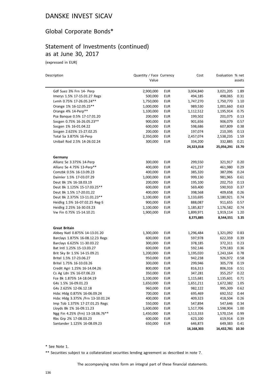## Global Corporate Bonds\*

#### Statement of Investments (continued) as at June 30, 2017

(expressed in EUR)

| Description                       | Quantity / Face Currency<br>Value |            | Cost       | Evaluation % net | assets |
|-----------------------------------|-----------------------------------|------------|------------|------------------|--------|
|                                   |                                   |            |            |                  |        |
| Gdf Suez 3% Frn 14- Perp          | 2,900,000                         | <b>EUR</b> | 3,004,840  | 3,021,205        | 1.89   |
| Imerys 1.5% 17-15.01.27 Regs      | 500,000                           | <b>EUR</b> | 494,185    | 498,065          | 0.31   |
| Lvmh 0.75% 17-26.05.24**          | 1,750,000                         | <b>EUR</b> | 1,747,270  | 1,750,770        | 1.10   |
| Orange 1% 16-12.05.25**           | 1,000,000                         | <b>EUR</b> | 989,530    | 1,001,660        | 0.63   |
| Orange 4% 14-Perp**               | 1,100,000                         | <b>EUR</b> | 1,112,512  | 1,195,914        | 0.75   |
| Psa Banque 0.5% 17-17.01.20       | 200,000                           | <b>EUR</b> | 199,502    | 201,075          | 0.13   |
| Socgen 0.75% 16-26.05.23**        | 900,000                           | <b>EUR</b> | 901,656    | 906,079          | 0.57   |
| Socgen 1% 16-01.04.22             | 600,000                           | <b>EUR</b> | 598,686    | 607,809          | 0.38   |
| Socgen 2.625% 15-27.02.25         | 200,000                           | <b>EUR</b> | 197,074    | 210,395          | 0.13   |
| Total Sa 3.875% 16-Perp           | 2,350,000                         | <b>EUR</b> | 2,457,074  | 2,538,235        | 1.59   |
| Unibail Rod 2.5% 14-26.02.24      | 300,000                           | <b>EUR</b> | 334,200    | 332,885          | 0.21   |
|                                   |                                   |            | 24,323,018 | 25,056,291 15.70 |        |
| Germany                           |                                   |            |            |                  |        |
| Allianz Se 3.375% 14-Perp         | 300,000                           | <b>EUR</b> | 299,550    | 321,917          | 0.20   |
| Allianz Se 4.75% 13-Perp**        | 400,000                           | <b>EUR</b> | 421,237    | 461,980          | 0.29   |
| Comzbk 0.5% 16-13.09.23           | 400,000                           | <b>EUR</b> | 385,320    | 387,096          | 0.24   |
| Daimler 1.5% 17-03.07.29          | 1,000,000                         | <b>EUR</b> | 999,130    | 981,965          | 0.61   |
| Deut Bk 1% 16-18.03.19            | 200,000                           | <b>EUR</b> | 195,100    | 202,753          | 0.13   |
| Deut Bk 1.125% 15-17.03.25**      | 600,000                           | <b>EUR</b> | 569,400    | 590,910          | 0.37   |
| Deut Bk 1.5% 17-20.01.22          | 400,000                           | <b>EUR</b> | 398,568    | 409,658          | 0.26   |
| Deut Bk 2.375% 13-11.01.23**      | 1,100,000                         | <b>EUR</b> | 1,133,695  | 1,180,921        | 0.74   |
| Heidlrg 1.5% 16-07.02.25 Reg-S    | 900,000                           | <b>EUR</b> | 888,087    | 911,655          | 0.57   |
| Heidlrg 2.25% 16-30.03.23         | 1,100,000                         | <b>EUR</b> | 1,185,827  | 1,176,582        | 0.74   |
| Vw Fin 0.75% 15-14.10.21          | 1,900,000                         | EUR        | 1,899,971  | 1,919,114        | 1.20   |
|                                   |                                   |            | 8,375,885  | 8,544,551        | 5.35   |
| <b>Great Britain</b>              |                                   |            |            |                  |        |
| Abbey Natl 0.875% 14-13.01.20     | 1,300,000                         | EUR        | 1,296,484  | 1,321,092        | 0.83   |
| Barclays 1.875% 16-08.12.23 Regs  | 600,000                           | <b>EUR</b> | 597,978    | 622,359          | 0.39   |
| Barclays 6.625% 11-30.03.22       | 300,000                           | EUR        | 378,185    | 372,311          | 0.23   |
| Bat Intl 1.25% 15-13.03.27        | 600,000                           | <b>EUR</b> | 592,146    | 579,183          | 0.36   |
| Brit Sky Br 1.5% 14-15.09.21      | 1,200,000                         | <b>EUR</b> | 1,195,020  | 1,243,164        | 0.78   |
| Britel 1.5% 17-23.06.27           | 950,000                           | <b>EUR</b> | 942,238    | 926,972          | 0.58   |
| Britel 1.75% 16-10.03.26          | 300,000                           | <b>EUR</b> | 299,946    | 305,778          | 0.19   |
| Credit Agri 1.25% 16-14.04.26     | 800,000                           | <b>EUR</b> | 816,313    | 806,316          | 0.51   |
| Cs Ag Ldn 1% 16-07.06.23          | 350,000                           | <b>EUR</b> | 347,281    | 355,257          | 0.22   |
| Fce Bk 1.875% 14-18.04.19         | 1,100,000                         | <b>EUR</b> | 1,115,681  | 1,135,601        | 0.71   |
| G4s 1.5% 16-09.01.23              | 1,650,000                         | <b>EUR</b> | 1,651,211  | 1,672,382        | 1.05   |
| G4s 2.625% 12-06.12.18            | 960,000                           | <b>EUR</b> | 982,122    | 995,309          | 0.62   |
| Hsbc Hldg 0.875% 16-06.09.24      | 700,000                           | <b>EUR</b> | 695,469    | 692,552          | 0.44   |
| Hsbc Hldg 3.375% /Frn 13-10.01.24 | 400,000                           | EUR        | 409,323    | 418,504          | 0.26   |
| Imp Tob 1.375% 17-27.01.25 Regs   | 550,000                           | <b>EUR</b> | 547,894    | 547,646          | 0.34   |
| Lloyds Bk 1% 16-09.11.23          | 1,600,000                         | <b>EUR</b> | 1,517,706  | 1,598,904        | 1.00   |
| Ngg Fin 4.25% (Frn) 13-18.06.76** | 1,450,000                         | <b>EUR</b> | 1,513,333  | 1,570,154        | 0.99   |
| Rbs Grp 2% 17-08.03.23            | 600,000                           | <b>EUR</b> | 623,100    | 619,914          | 0.39   |
| Santander 1.125% 16-08.09.23      | 650,000                           | <b>EUR</b> | 646,873    | 649,383          | 0.41   |
|                                   |                                   |            | 16,168,303 | 16,432,781 10.30 |        |

\* See Note 1.

\*\* Securities subject to a collateralized securities lending agreement as described in note 7.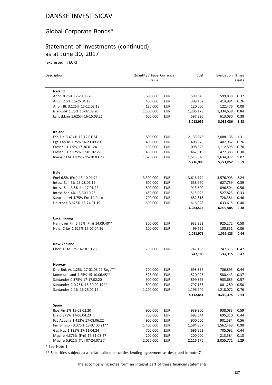# Global Corporate Bonds\*

## Statement of Investments (continued) as at June 30, 2017

(expressed in EUR)

| Description                         | Quantity / Face Currency<br>Value |            | Cost      | Evaluation % net | assets |
|-------------------------------------|-----------------------------------|------------|-----------|------------------|--------|
| Iceland                             |                                   |            |           |                  |        |
| Arion 0.75% 17-29.06.20             | 600,000                           | <b>EUR</b> | 599,346   | 599,838          | 0.37   |
| Arion 2.5% 16-26.04.19              | 400,000                           | <b>EUR</b> | 399,132   | 414,984          | 0.26   |
| Arion Bk 3.125% 15-12.03.18         | 120,000                           | <b>EUR</b> | 120,000   | 122,476          | 0.08   |
| Islandsbk 1.75% 16-07.09.20         | 1,300,000                         | <b>EUR</b> | 1,296,178 | 1,334,658        | 0.84   |
| Landsbknn 1.625% 16-15.03.21        | 600,000                           | <b>EUR</b> | 597,396   | 613,080          | 0.38   |
|                                     |                                   |            | 3,012,052 | 3,085,036        | 1.93   |
| Ireland                             |                                   |            |           |                  |        |
| Esb Fin 3.494% 13-12.01.24          | 1,800,000                         | EUR        | 2,133,843 | 2,088,135        | 1.31   |
| Fga Cap le 1.25% 16-23.09.20        | 400,000                           | <b>EUR</b> | 408,876   | 407,962          | 0.26   |
| Fresenius 1.5% 17-30.01.24          | 1,100,000                         | <b>EUR</b> | 1,098,625 | 1,112,595        | 0.70   |
| Fresenius 2.125% 17-01.02.27        | 465,000                           | <b>EUR</b> | 462,019   | 477,383          | 0.30   |
| Ryanair Ltd 1.125% 15-10.03.23      | 1,620,000                         | <b>EUR</b> | 1,613,540 | 1,634,977        | 1.02   |
|                                     |                                   |            | 5,716,903 | 5,721,052        | 3.59   |
| Italy                               |                                   |            |           |                  |        |
| Enel 6.5% (Frn) 13-10.01.74         | 3,300,000                         | EUR        | 3,616,174 | 3,576,903        | 2.24   |
| Intesa San 3% 13-28.01.19           | 600,000                           | <b>EUR</b> | 638,970   | 627,759          | 0.39   |
| Intesa San 3.5% 14-17.01.22         | 800,000                           | <b>EUR</b> | 913,600   | 896,504          | 0.56   |
| Intesa San 4% 13-30.10.23           | 450,000                           | <b>EUR</b> | 515,025   | 527,823          | 0.33   |
| Sanpaolo VI 4.75% Frn 14-Perp       | 700,000                           | <b>EUR</b> | 682,818   | 728,381          | 0.46   |
| Unicredit 3.625% 13-24.01.19        | 600,000                           | <b>EUR</b> | 616,928   | 633,615          | 0.40   |
|                                     |                                   |            | 6,983,515 | 6,990,985        | 4.38   |
| Luxembourg                          |                                   |            |           |                  |        |
| Hannover Fin 5.75% (Frn) 14.09.40** | 800,000                           | <b>EUR</b> | 932,352   | 925,272          | 0.58   |
| Heid. C lux 1.625% 17-07.04.26      | 100,000                           | <b>EUR</b> | 99,626    | 100,851          | 0.06   |
|                                     |                                   |            | 1,031,978 | 1,026,123        | 0.64   |
| <b>New Zealand</b>                  |                                   |            |           |                  |        |
| Chorus Ltd Frn 16-18.10.23          | 750,000                           | <b>EUR</b> | 747,183   | 747,315          | 0.47   |
|                                     |                                   |            | 747,183   | 747,315          | 0.47   |
| Norway                              |                                   |            |           |                  |        |
| Dnb Bnk As 1.25% 17-01.03.27 Regs** | 700,000                           | <b>EUR</b> | 698,887   | 706,895          | 0.44   |
| Kommun Land 4.25% 15-10.06.45**     | 525,000                           | <b>EUR</b> | 520,023   | 580,443          | 0.37   |
| Santander 0.375% 17-17.02.20        | 900,000                           | <b>EUR</b> | 899,865   | 903,685          | 0.57   |
| Santander C 0.25% 16-30.09.19**     | 800,000                           | <b>EUR</b> | 797,136   | 801,280          | 0.50   |
| Santander C 1% 16-25.02.19          | 1,200,000                         | <b>EUR</b> | 1,196,940 | 1,218,072        | 0.76   |
|                                     |                                   |            | 4,112,851 | 4,210,375        | 2.64   |
| <b>Spain</b>                        |                                   |            |           |                  |        |
| Bpe Fin 2% 15-03.02.20              | 900,000                           | <b>EUR</b> | 939,900   | 938,083          | 0.59   |
| Dia 0.875% 17-06.04.23              | 700,000                           | <b>EUR</b> | 693,644   | 695,310          | 0.44   |
| Fcc Aqualia 1.413% 17-08.06.22      | 900,000                           | EUR        | 900,000   | 901,584          | 0.56   |
| Fer Emision 3.375% 13-07.06.21**    | 1,400,000                         | <b>EUR</b> | 1,584,857 | 1,562,463        | 0.98   |
| Gas Ncp 1.125% 17-11.04.24          | 700,000                           | <b>EUR</b> | 696,262   | 705,092          | 0.44   |
| Mapfre 4.375% (Frn) 17-31.03.47     | 200,000                           | EUR        | 200,000   | 213,584          | 0.13   |
| Mapfre 5.921% (Tv) 07-24.07.37      | 2,050,000                         | <b>EUR</b> | 2,116,176 | 2,055,771        | 1.29   |

\* See Note 1.

\*\* Securities subject to a collateralized securities lending agreement as described in note 7.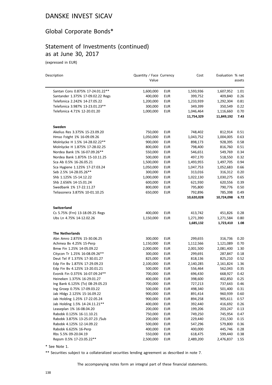# Global Corporate Bonds\*

# Statement of Investments (continued) as at June 30, 2017

(expressed in EUR)

| Description                       | Quantity / Face Currency<br>Value |            | Cost       | Evaluation % net | assets |
|-----------------------------------|-----------------------------------|------------|------------|------------------|--------|
| Santan Cons 0.875% 17-24.01.22**  | 1,600,000                         | <b>EUR</b> | 1,593,936  | 1,607,952        | 1.01   |
| Santander 1.375% 17-09.02.22 Regs | 400,000                           | <b>EUR</b> | 399,752    | 409,840          | 0.26   |
| Telefonica 2.242% 14-27.05.22     | 1,200,000                         | <b>EUR</b> | 1,233,939  | 1,292,304        | 0.81   |
| Telefonica 3.987% 13-23.01.23**   | 300,000                           | EUR        | 349,399    | 350,549          | 0.22   |
| Telefonica 4.71% 12-20.01.20      | 1,000,000                         | <b>EUR</b> | 1,046,464  | 1,116,660        | 0.70   |
|                                   |                                   |            | 11,754,329 | 11,849,192       | 7.43   |
| Sweden                            |                                   |            |            |                  |        |
| Akelius Res 3.375% 15-23.09.20    | 750,000                           | <b>EUR</b> | 748,402    | 812,914          | 0.51   |
| Hmso Fstght 1% 16-09.09.26        | 1,050,000                         | <b>EUR</b> | 1,043,752  | 1,004,005        | 0.63   |
| Molnlycke H 1.5% 14-28.02.22**    | 900,000                           | EUR        | 898,173    | 928,395          | 0.58   |
| Molnlycke H 1.875% 17-28.02.25    | 800,000                           | <b>EUR</b> | 798,400    | 816,760          | 0.51   |
| Nordea Bank 1% 16-07.09.26**      | 550,000                           | <b>EUR</b> | 546,651    | 549,769          | 0.34   |
| Nordea Bank 1.875% 15-10.11.25    | 500,000                           | <b>EUR</b> | 497,170    | 518,550          | 0.32   |
| Sca Ab 0.5% 16-26.05.21           | 1,500,000                         | <b>EUR</b> | 1,493,955  | 1,497,705        | 0.94   |
| Sca Hygiene 1.125% 17-27.03.24    | 1,050,000                         | <b>EUR</b> | 1,047,753  | 1,052,683        | 0.66   |
| Seb 2.5% 14-28.05.26**            | 300,000                           | <b>EUR</b> | 313,016    | 316,312          | 0.20   |
| Shb 1.125% 15-14.12.22            | 1,000,000                         | <b>EUR</b> | 1,022,130  | 1,030,275        | 0.65   |
| Shb 2.656% 14-15.01.24            | 600,000                           | <b>EUR</b> | 621,930    | 620,556          | 0.39   |
| Swedbank 1% 17-22.11.27           | 800,000                           | <b>EUR</b> | 795,800    | 790,776          | 0.50   |
| Teliasonera 3.875% 10-01.10.25    | 650,000                           | <b>EUR</b> | 792,896    | 785,398          | 0.49   |
|                                   |                                   |            | 10,620,028 | 10,724,098       | 6.72   |
| <b>Switzerland</b>                |                                   |            |            |                  |        |
| Cs 5.75% (Frn) 13-18.09.25 Regs   | 400,000                           | <b>EUR</b> | 413,742    | 451,826          | 0.28   |
| Ubs Ln 4.75% 14-12.02.26          | 1,150,000                         | EUR        | 1,271,390  | 1,271,584        | 0.80   |
|                                   |                                   |            | 1,685,132  | 1,723,410        | 1.08   |
| <b>The Netherlands</b>            |                                   |            |            |                  |        |
| Abn Amro 2.875% 15-30.06.25       | 300,000                           | EUR        | 299,655    | 316,736          | 0.20   |
| Achmea Bv 4.25% 15-Perp           | 1,150,000                         | <b>EUR</b> | 1,112,566  | 1,121,089        | 0.70   |
| Bmw Fin 1.25% 14-05.09.22         | 2,000,000                         | <b>EUR</b> | 2,001,500  | 2,081,400        | 1.30   |
| Citycon Tr 1.25% 16-08.09.26**    | 300,000                           | EUR        | 299,691    | 287,847          | 0.18   |
| Deut Tel If 1.375% 17-30.01.27    | 825,000                           | <b>EUR</b> | 818,136    | 825,210          | 0.52   |
| Edp Fin By 1.875% 17-29.09.23     | 2,100,000                         | EUR        | 2,140,285  | 2,161,824        | 1.36   |
| Edp Fin Bv 4.125% 13-20.01.21     | 500,000                           | EUR        | 556,464    | 562,043          | 0.35   |
| Evonik Fin 0.375% 16-07.09.24**   | 700,000                           | <b>EUR</b> | 696,430    | 668,927          | 0.42   |
| Heineken 1.375% 16-29.01.27       | 400,000                           | EUR        | 398,600    | 402,850          | 0.25   |
| Ing Bank 6.125% (Tv) 08-29.05.23  | 700,000                           | <b>EUR</b> | 727,213    | 737,643          | 0.46   |
| Ing Groep 0.75% 17-09.03.22       | 500,000                           | <b>EUR</b> | 498,340    | 501,400          | 0.31   |
| Jab Hldgs 2.125% 15-16.09.22      | 900,000                           | <b>EUR</b> | 891,414    | 960,939          | 0.60   |
| Jab Holding 1.25% 17-22.05.24     | 900,000                           | <b>EUR</b> | 894,258    | 905,611          | 0.57   |
| Jab Holding 1.5% 14-24.11.21**    | 400,000                           | <b>EUR</b> | 392,440    | 416,692          | 0.26   |
| Leaseplan 1% 16-08.04.20          | 200,000                           | <b>EUR</b> | 199,206    | 203,247          | 0.13   |
| Rabobk 0.125% 16-11.10.21         | 750,000                           | <b>EUR</b> | 749,250    | 745,954          | 0.47   |
| Rabobk 3.875% 13-25.07.23 /Sub    | 200,000                           | <b>EUR</b> | 229,440    | 231,530          | 0.15   |
| Rabobk 4.125% 12-14.09.22         | 500,000                           | <b>EUR</b> | 547,296    | 579,800          | 0.36   |
| Rabobk 6.625% 16-Perp             | 400,000                           | <b>EUR</b> | 400,000    | 445,746          | 0.28   |
| Rbs 5.5% 09-20.04.19              | 550,000                           | <b>EUR</b> | 618,475    | 599,440          | 0.38   |
| Repsm 0.5% 17-23.05.22**          | 2,500,000                         | <b>EUR</b> | 2,489,200  | 2,476,837        | 1.55   |

\* See Note 1.

\*\* Securities subject to a collateralized securities lending agreement as described in note 7.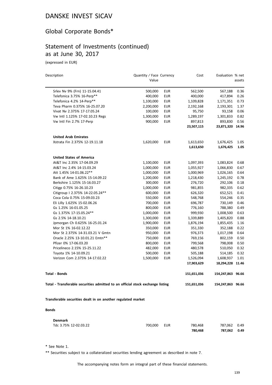#### Global Corporate Bonds\*

#### Statement of Investments (continued) as at June 30, 2017

(expressed in EUR)

| Description                                                                    | Quantity / Face Currency<br>Value |            | Cost        | Evaluation % net  | assets |
|--------------------------------------------------------------------------------|-----------------------------------|------------|-------------|-------------------|--------|
| Srlev Nv 9% (Frn) 11-15.04.41                                                  | 500,000                           | <b>EUR</b> | 562,500     | 567,188           | 0.36   |
| Telefonica 3.75% 16-Perp**                                                     | 400,000                           | <b>EUR</b> | 400,000     | 417,894           | 0.26   |
| Telefonica 4.2% 14-Perp**                                                      | 1,100,000                         | <b>EUR</b> | 1,109,828   | 1,171,351         | 0.73   |
| Teva Pharm 0.375% 16-25.07.20                                                  | 2,200,000                         | <b>EUR</b> | 2,192,168   | 2,193,301         | 1.37   |
| Vivat Nv 2.375% 17-17.05.24                                                    | 100,000                           | <b>EUR</b> | 95,750      | 93,158            | 0.06   |
| Vw Intl 1.125% 17-02.10.23 Regs                                                | 1,300,000                         | <b>EUR</b> | 1,289,197   | 1,301,833         | 0.82   |
| Vw Intl Fin 2.7% 17-Perp                                                       | 900,000                           | <b>EUR</b> | 897,813     | 893,830           | 0.56   |
|                                                                                |                                   |            | 23,507,115  | 23,871,320        | 14.96  |
| <b>United Arab Emirates</b>                                                    |                                   |            |             |                   |        |
| Xstrata Fin 2.375% 12-19.11.18                                                 | 1,620,000                         | <b>EUR</b> | 1,613,650   | 1,676,425         | 1.05   |
|                                                                                |                                   |            | 1,613,650   | 1,676,425         | 1.05   |
| <b>United States of America</b>                                                |                                   |            |             |                   |        |
| At&T Inc 2.35% 17-04.09.29                                                     | 1,100,000                         | <b>EUR</b> | 1,097,393   | 1,083,824         | 0.68   |
| At&T Inc 2.4% 14-15.03.24                                                      | 1,000,000                         | <b>EUR</b> | 1,055,927   | 1,066,830         | 0.67   |
| Att 1.45% 14-01.06.22**                                                        | 1,000,000                         | <b>EUR</b> | 1,000,969   | 1,026,165         | 0.64   |
| Bank of Ame 1.625% 15-14.09.22                                                 | 1,200,000                         | <b>EUR</b> | 1,218,430   | 1,245,192         | 0.78   |
| Berkshire 1.125% 15-16.03.27                                                   | 300,000                           | <b>EUR</b> | 276,720     | 292,106           | 0.18   |
| Citigp 0.75% 16-26.10.23                                                       | 1,000,000                         | <b>EUR</b> | 981,855     | 982,335           | 0.62   |
| Citigroup   2.375% 14-22.05.24**                                               | 600,000                           | <b>EUR</b> | 626,320     | 652,521           | 0.41   |
| Coca Cola 0.75% 15-09.03.23                                                    | 550,000                           | <b>EUR</b> | 548,768     | 554,246           | 0.35   |
| Eli Lilly 1.625% 15-02.06.26                                                   | 700,000                           | <b>EUR</b> | 696,787     | 730,149           | 0.46   |
| Gs 1.25% 16-01.05.25                                                           | 800,000                           | <b>EUR</b> | 776,160     | 788,380           | 0.49   |
| Gs 1.375% 17-15.05.24**                                                        | 1,000,000                         | <b>EUR</b> | 999,930     | 1,008,500         | 0.63   |
| Gs 2.5% 14-18.10.21                                                            | 1,300,000                         | <b>EUR</b> | 1,339,889   | 1,405,820         | 0.88   |
| Jpmorgan Ch 0.625% 16-25.01.24                                                 | 1,900,000                         | <b>EUR</b> | 1,876,194   | 1,855,435         | 1.16   |
| Mor St 1% 16-02.12.22                                                          | 350,000                           | <b>EUR</b> | 351,330     | 352,188           | 0.22   |
| Mor St 2.375% 14-31.03.21 V Gmtn                                               | 950,000                           | <b>EUR</b> | 976,373     | 1,017,198         | 0.64   |
| Oracle 2.25% 13-10.01.21 Emtn**                                                | 750,000                           | <b>EUR</b> | 769,156     | 802,159           | 0.50   |
| Pfizer 0% 17-06.03.20                                                          | 800,000                           | <b>EUR</b> | 799,568     | 798,008           | 0.50   |
| Pricelineco 2.15% 15-25.11.22                                                  | 482,000                           | <b>EUR</b> | 480,578     | 510,050           | 0.32   |
| Toyota 1% 14-10.09.21                                                          | 500,000                           | <b>EUR</b> | 505,188     | 514,185           | 0.32   |
| Verizon Com 2.375% 14-17.02.22                                                 | 1,500,000                         | <b>EUR</b> | 1,526,094   | 1,608,937         | 1.01   |
|                                                                                |                                   |            | 17,903,629  | 18,294,228        | 11.46  |
| <b>Total - Bonds</b>                                                           |                                   |            | 151,651,036 | 154,247,863 96.66 |        |
| Total - Transferable securities admitted to an official stock exchange listing |                                   |            | 151,651,036 | 154,247,863 96.66 |        |
| Transferable securities dealt in on another regulated market                   |                                   |            |             |                   |        |

#### **Bonds**

| <b>Denmark</b>        |         |     |         |              |  |
|-----------------------|---------|-----|---------|--------------|--|
| Tdc 3.75% 12-02.03.22 | 700.000 | EUR | 780.468 | 787.062 0.49 |  |
|                       |         |     | 780.468 | 787.062 0.49 |  |

\* See Note 1.

\*\* Securities subject to a collateralized securities lending agreement as described in note 7.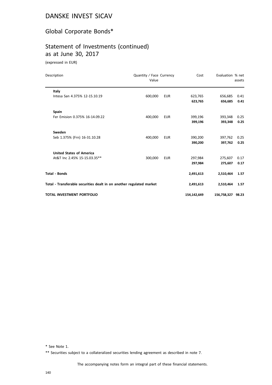# Global Corporate Bonds\*

# Statement of Investments (continued) as at June 30, 2017

(expressed in EUR)

| Description                                                          | Quantity / Face Currency<br>Value |            | Cost        | Evaluation % net  | assets |
|----------------------------------------------------------------------|-----------------------------------|------------|-------------|-------------------|--------|
| Italy                                                                |                                   |            |             |                   |        |
| Intesa San 4.375% 12-15.10.19                                        | 600,000                           | <b>EUR</b> | 623,765     | 656,685           | 0.41   |
|                                                                      |                                   |            | 623,765     | 656,685           | 0.41   |
| <b>Spain</b>                                                         |                                   |            |             |                   |        |
| Fer Emision 0.375% 16-14.09.22                                       | 400,000                           | <b>EUR</b> | 399,196     | 393,348           | 0.25   |
|                                                                      |                                   |            | 399,196     | 393.348           | 0.25   |
| Sweden                                                               |                                   |            |             |                   |        |
| Seb 1.375% (Frn) 16-31.10.28                                         | 400,000                           | <b>EUR</b> | 390,200     | 397,762           | 0.25   |
|                                                                      |                                   |            | 390,200     | 397,762           | 0.25   |
| <b>United States of America</b>                                      |                                   |            |             |                   |        |
| At&T Inc 2.45% 15-15.03.35**                                         | 300,000                           | <b>EUR</b> | 297,984     | 275,607           | 0.17   |
|                                                                      |                                   |            | 297,984     | 275,607           | 0.17   |
| <b>Total - Bonds</b>                                                 |                                   |            | 2,491,613   | 2,510,464         | 1.57   |
| Total - Transferable securities dealt in on another regulated market |                                   |            | 2,491,613   | 2,510,464         | 1.57   |
| <b>TOTAL INVESTMENT PORTFOLIO</b>                                    |                                   |            | 154,142,649 | 156,758,327 98.23 |        |

\* See Note 1.

\*\* Securities subject to a collateralized securities lending agreement as described in note 7.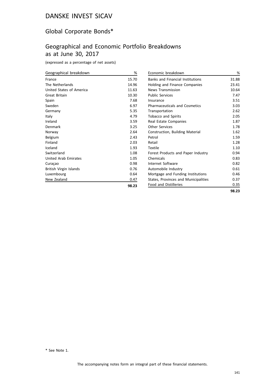## Global Corporate Bonds\*

## Geographical and Economic Portfolio Breakdowns as at June 30, 2017

(expressed as a percentage of net assets)

| Geographical breakdown   | %     |
|--------------------------|-------|
| France                   | 15.70 |
| The Netherlands          | 14.96 |
| United States of America | 11.63 |
| Great Britain            | 10.30 |
| Spain                    | 7.68  |
| Sweden                   | 6.97  |
| Germany                  | 5.35  |
| Italy                    | 4.79  |
| Ireland                  | 3.59  |
| Denmark                  | 3.25  |
| Norway                   | 2.64  |
| Belgium                  | 2.43  |
| Finland                  | 2.03  |
| Iceland                  | 1.93  |
| Switzerland              | 1.08  |
| United Arab Emirates     | 1.05  |
| Curaçao                  | 0.98  |
| British Virgin Islands   | 0.76  |
| Luxembourg               | 0.64  |
| New Zealand              | 0.47  |
|                          | 98.23 |

| Economic breakdown                      | %     |
|-----------------------------------------|-------|
| <b>Banks and Financial Institutions</b> | 31.88 |
| Holding and Finance Companies           | 23.41 |
| <b>News Transmission</b>                | 10.64 |
| <b>Public Services</b>                  | 7.47  |
| Insurance                               | 3.51  |
| <b>Pharmaceuticals and Cosmetics</b>    | 3.03  |
| Transportation                          | 2.62  |
| <b>Tobacco and Spirits</b>              | 2.05  |
| Real Estate Companies                   | 1.87  |
| Other Services                          | 1.78  |
| Construction, Building Material         | 1.62  |
| Petrol                                  | 1.59  |
| Retail                                  | 1.28  |
| Textile                                 | 1.10  |
| Forest Products and Paper Industry      | 0.94  |
| Chemicals                               | 0.83  |
| Internet Software                       | 0.82  |
| Automobile Industry                     | 0.61  |
| Mortgage and Funding Institutions       | 0.46  |
| States, Provinces and Municipalities    | 0.37  |
| <b>Food and Distilleries</b>            | 0.35  |
|                                         | 98.23 |

\* See Note 1.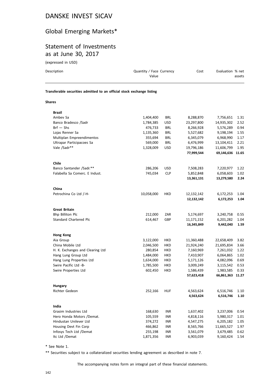# Global Emerging Markets\*

## Statement of Investments as at June 30, 2017

(expressed in USD)

| Description                                                            | Quantity / Face Currency<br>Value |            | Cost       | Evaluation % net | assets               |
|------------------------------------------------------------------------|-----------------------------------|------------|------------|------------------|----------------------|
| Transferable securities admitted to an official stock exchange listing |                                   |            |            |                  |                      |
| <b>Shares</b>                                                          |                                   |            |            |                  |                      |
| <b>Brazil</b>                                                          |                                   |            |            |                  |                      |
| Ambey Sa                                                               | 1,404,400                         | <b>BRL</b> | 8,288,870  | 7,756,651        | 1.31                 |
| Banco Bradesco /Sadr                                                   | 1,784,385                         | <b>USD</b> | 23,297,800 | 14,935,302       | 2.52                 |
| $Brf - Shs$                                                            | 476,733                           | <b>BRL</b> | 8,266,928  | 5,576,289        | 0.94                 |
| Lojas Renner Sa                                                        | 1,135,360                         | <b>BRL</b> | 5,527,682  | 9,198,194        | 1.55                 |
| Multiplan Empreendimentos                                              | 355,694                           | <b>BRL</b> | 6,345,079  | 6,968,990        | 1.17                 |
| $\blacksquare$                                                         | 50000                             | <b>DDI</b> | 0.17000    | 10.101.11        | $\sim$ $\sim$ $\sim$ |

| widitipidii Enipreendinientos    | <b>,,,,,</b> |            | 0,0 10,0 1 0 | <u>,,,,,,,,,</u> |       |
|----------------------------------|--------------|------------|--------------|------------------|-------|
| Ultrapar Participacoes Sa        | 569,000      | <b>BRL</b> | 6,476,999    | 13,104,411       | 2.21  |
| Vale /Sadr**                     | 1,328,009    | <b>USD</b> | 19,796,186   | 11,606,799       | 1.95  |
|                                  |              |            | 77,999,544   | 69,146,636 11.65 |       |
| Chile                            |              |            |              |                  |       |
| Banco Santander /Sadr.**         | 286,206      | <b>USD</b> | 7,508,283    | 7,220,977        | 1.22  |
| Falabella Sa Comerc. E Indust.   | 745,034      | <b>CLP</b> | 5,852,848    | 6,058,603        | 1.02  |
|                                  |              |            | 13,361,131   | 13,279,580       | 2.24  |
| China                            |              |            |              |                  |       |
| Petrochina Co Ltd /-H-           | 10,058,000   | <b>HKD</b> | 12,132,142   | 6,172,253        | 1.04  |
|                                  |              |            | 12,132,142   | 6,172,253        | 1.04  |
| Great Britain                    |              |            |              |                  |       |
| <b>Bhp Billiton Plc</b>          | 212,000      | ZAR        | 5,174,697    | 3,240,758        | 0.55  |
| Standard Chartered Plc           | 614,467      | GBP        | 11,171,152   | 6,201,282        | 1.04  |
|                                  |              |            | 16,345,849   | 9,442,040        | 1.59  |
| <b>Hong Kong</b>                 |              |            |              |                  |       |
| Aia Group                        | 3,122,000    | HKD        | 11,360,488   | 22,658,409       | 3.82  |
| China Mobile Ltd                 | 2,046,500    | <b>HKD</b> | 21,924,240   | 21,695,834       | 3.66  |
| H. K. Exchanges and Clearing Ltd | 280,854      | HKD        | 7,160,969    | 7,261,032        | 1.22  |
| Hang Lung Group Ltd              | 1,484,000    | <b>HKD</b> | 7,410,907    | 6,064,865        | 1.02  |
| Hang Lung Properties Ltd         | 1,634,000    | HKD        | 5,171,126    | 4,082,096        | 0.69  |
| Swire Pacific Ltd -B-            | 1,785,500    | <b>HKD</b> | 3,009,249    | 3,115,542        | 0.53  |
| Swire Properties Ltd             | 602,450      | HKD        | 1,586,439    | 1,983,585        | 0.33  |
|                                  |              |            | 57,623,418   | 66,861,363       | 11.27 |
| Hungary                          |              |            |              |                  |       |
| Richter Gedeon                   | 252,166      | <b>HUF</b> | 4,563,624    | 6,516,746        | 1.10  |
|                                  |              |            | 4,563,624    | 6,516,746        | 1.10  |
| India                            |              |            |              |                  |       |
| Grasim Industries Ltd            | 168,630      | <b>INR</b> | 1,637,402    | 3,237,006        | 0.54  |
| Hero Honda Motors /Demat.        | 105,559      | INR        | 4,818,116    | 5,980,317        | 1.01  |
| Hindustan Unilever Ltd           | 374,272      | <b>INR</b> | 4,547,275    | 6,205,182        | 1.05  |
| Housing Devt Fin Corp            | 466,862      | <b>INR</b> | 8,565,766    | 11,665,527       | 1.97  |
| Infosys Tech Ltd /Demat          | 255,198      | <b>INR</b> | 3,561,079    | 3,679,485        | 0.62  |
| Itc Ltd /Demat                   | 1,871,356    | <b>INR</b> | 6,903,039    | 9,160,424        | 1.54  |

\* See Note 1.

\*\* Securities subject to a collateralized securities lending agreement as described in note 7.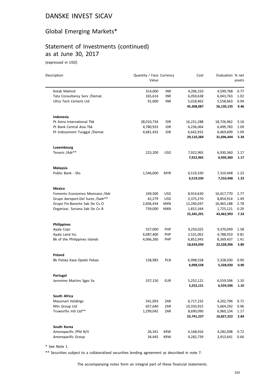# Global Emerging Markets\*

# Statement of Investments (continued) as at June 30, 2017

(expressed in USD)

| Description                      | Quantity / Face Currency<br>Value |            | Cost                    | Evaluation % net        | assets       |
|----------------------------------|-----------------------------------|------------|-------------------------|-------------------------|--------------|
| Kotak Mahind                     | 314,000                           | <b>INR</b> | 4,206,310               | 4,599,768               | 0.77         |
| Tata Consultancy Serv /Demat.    | 165,614                           | INR        | 6,050,638               | 6,043,763               | 1.02         |
| Ultra Tech Cement Ltd            | 91,000                            | INR        | 5,018,462               | 5,558,663               | 0.94         |
|                                  |                                   |            | 45,308,087              | 56,130,135              | 9.46         |
| Indonesia                        |                                   |            |                         |                         |              |
| Pt Astra International Tbk       | 28,010,734                        | IDR        | 16,231,288              | 18,726,962              | 3.16         |
| Pt Bank Central Asia Tbk         | 4,780,933                         | <b>IDR</b> | 6,236,064               | 6,499,783               | 1.09         |
| Pt Indocement Tunggal /Demat.    | 4,681,433                         | <b>IDR</b> | 6,642,932               | 6,469,699               | 1.09         |
|                                  |                                   |            | 29,110,284              | 31,696,444              | 5.34         |
| Luxembourg                       |                                   |            |                         |                         |              |
| Tenaris / Adr**                  | 223,200                           | <b>USD</b> | 7,922,965               | 6,930,360               | 1.17         |
|                                  |                                   |            | 7,922,965               | 6,930,360               | 1.17         |
| Malaysia                         |                                   |            |                         |                         |              |
| Public Bank - Shs                | 1,546,000                         | <b>MYR</b> | 6,519,330               | 7,310,448               | 1.23         |
|                                  |                                   |            | 6,519,330               | 7,310,448               | 1.23         |
| <b>Mexico</b>                    |                                   |            |                         |                         |              |
| Fomento Economico Mexicano /Adr  | 169,500                           | <b>USD</b> | 8,914,630               | 16,417,770              | 2.77         |
| Grupo Aeroport.Del Sures /Sadr** | 42,279                            | <b>USD</b> | 2,375,270               | 8,854,914               | 1.49         |
| Grupo Fin.Banorte Sab De Cv O    | 2,606,434                         | <b>MXN</b> | 12,240,047              | 16,465,188              | 2.78         |
| Organizac. Soriana Sab De Cv B   | 739,000                           | <b>MXN</b> | 1,815,344<br>25,345,291 | 1,725,121<br>43,462,993 | 0.29<br>7.33 |
| <b>Philippines</b>               |                                   |            |                         |                         |              |
| Ayala Copr                       | 557,000                           | <b>PHP</b> | 9,250,025               | 9,370,049               | 1.58         |
| Ayala Land Inc.                  | 6,087,400                         | <b>PHP</b> | 2,531,062               | 4,788,910               | 0.81         |
| Bk of the Philippines Islands    | 4,066,260                         | <b>PHP</b> | 6,852,943               | 8,369,437               | 1.41         |
|                                  |                                   |            | 18,634,030              | 22,528,396              | 3.80         |
| Poland                           |                                   |            |                         |                         |              |
| Bk Polska Kasa Opieki Pekao      | 158,983                           | PLN        | 6,998,558               | 5,328,030               | 0.90         |
|                                  |                                   |            | 6,998,558               | 5,328,030               | 0.90         |
| Portugal                         |                                   |            |                         |                         |              |
| Jeronimo Martins Sgps Sa         | 337,150                           | <b>EUR</b> | 5,252,121               | 6,559,596               | 1.10         |
|                                  |                                   |            | 5,252,121               | 6,559,596               | 1.10         |
| South Africa                     |                                   |            |                         |                         |              |
| <b>Massmart Holdings</b>         | 541,093                           | ZAR        | 6,717,232               | 4,202,796               | 0.71         |
| Mtn Group Ltd                    | 657,640                           | ZAR        | 10,333,915              | 5,664,292               | 0.96         |
| Truworths Intl Ltd**             | 1,299,042                         | ZAR        | 8,690,090<br>25,741,237 | 6,960,134<br>16,827,222 | 1.17<br>2.84 |
|                                  |                                   |            |                         |                         |              |
| South Korea                      |                                   |            |                         |                         |              |
| Amorepacific / Pfd N/V           | 26,341                            | <b>KRW</b> | 4,168,916               | 4,282,098               | 0.72         |
| Amorepacific Group               | 34,445                            | KRW        | 4,282,739               | 3,913,641               | 0.66         |

\* See Note 1.

\*\* Securities subject to a collateralized securities lending agreement as described in note 7.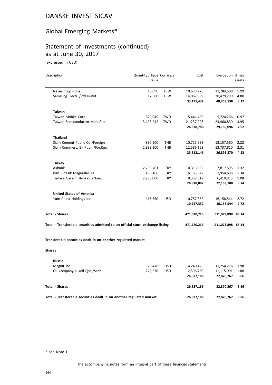# Global Emerging Markets\*

### Statement of Investments (continued) as at June 30, 2017

(expressed in USD)

| Description                                                                    | Quantity / Face Currency |            | Cost        | Evaluation % net  |        |
|--------------------------------------------------------------------------------|--------------------------|------------|-------------|-------------------|--------|
|                                                                                | Value                    |            |             |                   | assets |
| Naver Corp - Shs                                                               | 16,090                   | <b>KRW</b> | 10,675,778  | 11,784,509        | 1.99   |
| Samsung Electr. / Pfd N-Vot.                                                   | 17,500                   | <b>KRW</b> | 14,067,999  | 28,479,290        | 4.80   |
|                                                                                |                          |            | 33,195,432  | 48,459,538        | 8.17   |
| <b>Taiwan</b>                                                                  |                          |            |             |                   |        |
| Taiwan Mobile Corp.                                                            | 1,520,949                | <b>TWD</b> | 5,441,490   | 5,724,266         | 0.97   |
| Taiwan Semiconductor Manufact.                                                 | 3,423,242                | <b>TWD</b> | 21,237,298  | 23,460,830        | 3.95   |
|                                                                                |                          |            | 26,678,788  | 29,185,096        | 4.92   |
| <b>Thailand</b>                                                                |                          |            |             |                   |        |
| Siam Cement Public Co /Foreign                                                 | 890,900                  | THB        | 10,725,988  | 13,157,560        | 2.22   |
| Siam Commerc. Bk Publ. /For.Reg.                                               | 2,993,300                | THB        | 12,586,158  | 13,737,810        | 2.31   |
|                                                                                |                          |            | 23,312,146  | 26,895,370        | 4.53   |
| <b>Turkey</b>                                                                  |                          |            |             |                   |        |
| Akbank                                                                         | 2,793,761                | <b>TRY</b> | 10,315,533  | 7,817,595         | 1.32   |
| Bim Birlesik Magazalar As                                                      | 438,166                  | <b>TRY</b> | 6,163,842   | 7,954,698         | 1.34   |
| Turkiye Garanti Bankasi /Nom.                                                  | 2,298,000                | <b>TRY</b> | 8,339,512   | 6,410,815         | 1.08   |
|                                                                                |                          |            | 24,818,887  | 22,183,108        | 3.74   |
| <b>United States of America</b>                                                |                          |            |             |                   |        |
| Yum China Holdings Inc                                                         | 416,350                  | <b>USD</b> | 10,757,352  | 16,158,544        | 2.72   |
|                                                                                |                          |            | 10,757,352  | 16,158,544        | 2.72   |
| <b>Total - Shares</b>                                                          |                          |            | 471,620,216 | 511,073,898 86.14 |        |
| Total - Transferable securities admitted to an official stock exchange listing |                          |            | 471,620,216 | 511,073,898 86.14 |        |
| Transferable securities dealt in on another regulated market                   |                          |            |             |                   |        |
| <b>Shares</b>                                                                  |                          |            |             |                   |        |
| <b>Russia</b>                                                                  |                          |            |             |                   |        |
| Magnit Jsc                                                                     | 76,478                   | <b>USD</b> | 14,240,426  | 11,754,276        | 1.98   |
| Oil Company Lukoil Pisc /Sadr                                                  | 228,630                  | <b>USD</b> | 12,596,760  | 11,115,991        | 1.88   |
|                                                                                |                          |            | 26,837,186  | 22,870,267        | 3.86   |

| Total - Shares                                                       | 26.837.186 | 22.870.267 | - 3.86 |
|----------------------------------------------------------------------|------------|------------|--------|
| Total - Transferable securities dealt in on another regulated market | 26.837.186 | 22.870.267 | - 3.86 |

\* See Note 1.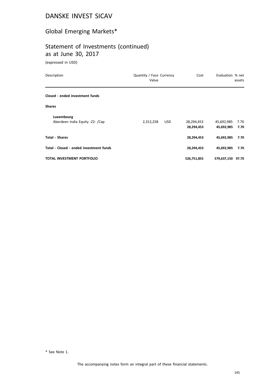# Global Emerging Markets\*

## Statement of Investments (continued) as at June 30, 2017

(expressed in USD)

| Description                             | Quantity / Face Currency<br>Value |            | Cost        | Evaluation % net  | assets |
|-----------------------------------------|-----------------------------------|------------|-------------|-------------------|--------|
| Closed - ended investment funds         |                                   |            |             |                   |        |
| <b>Shares</b>                           |                                   |            |             |                   |        |
| Luxembourg                              |                                   |            |             |                   |        |
| Aberdeen India Equity -Z2- /Cap         | 2,312,258                         | <b>USD</b> | 28,294,453  | 45,692,985        | 7.70   |
|                                         |                                   |            | 28,294,453  | 45,692,985        | 7.70   |
| <b>Total - Shares</b>                   |                                   |            | 28,294,453  | 45,692,985        | 7.70   |
| Total - Closed - ended investment funds |                                   |            | 28,294,453  | 45,692,985        | 7.70   |
| <b>TOTAL INVESTMENT PORTFOLIO</b>       |                                   |            | 526,751,855 | 579,637,150 97.70 |        |

\* See Note 1.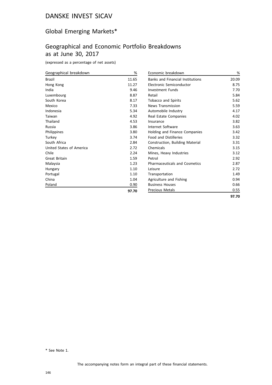# Global Emerging Markets\*

# Geographical and Economic Portfolio Breakdowns as at June 30, 2017

(expressed as a percentage of net assets)

| Geographical breakdown   | %     |
|--------------------------|-------|
| <b>Brazil</b>            | 11.65 |
| Hong Kong                | 11.27 |
| India                    | 9.46  |
| Luxembourg               | 8.87  |
| South Korea              | 8.17  |
| Mexico                   | 7.33  |
| Indonesia                | 5.34  |
| Taiwan                   | 4.92  |
| Thailand                 | 4.53  |
| Russia                   | 3.86  |
| Philippines              | 3.80  |
| Turkey                   | 3.74  |
| South Africa             | 2.84  |
| United States of America | 2.72  |
| Chile                    | 2.24  |
| <b>Great Britain</b>     | 1.59  |
| Malaysia                 | 1.23  |
| Hungary                  | 1.10  |
| Portugal                 | 1.10  |
| China                    | 1.04  |
| Poland                   | 0.90  |
|                          | 97.70 |

| Economic breakdown                      | %     |
|-----------------------------------------|-------|
| <b>Banks and Financial Institutions</b> | 20.09 |
| Electronic Semiconductor                | 8.75  |
| Investment Funds                        | 7.70  |
| Retail                                  | 5.84  |
| <b>Tobacco and Spirits</b>              | 5.62  |
| <b>News Transmission</b>                | 5.59  |
| Automobile Industry                     | 4.17  |
| Real Estate Companies                   | 4.02  |
| Insurance                               | 3.82  |
| Internet Software                       | 3.63  |
| <b>Holding and Finance Companies</b>    | 3.42  |
| <b>Food and Distilleries</b>            | 3.32  |
| <b>Construction, Building Material</b>  | 3.31  |
| Chemicals                               | 3.15  |
| Mines, Heavy Industries                 | 3.12  |
| Petrol                                  | 2.92  |
| <b>Pharmaceuticals and Cosmetics</b>    | 2.87  |
| Leisure                                 | 2.72  |
| Transportation                          | 1.49  |
| Agriculture and Fishing                 | 0.94  |
| <b>Business Houses</b>                  | 0.66  |
| <b>Precious Metals</b>                  | 0.55  |
|                                         | 97.70 |

\* See Note 1.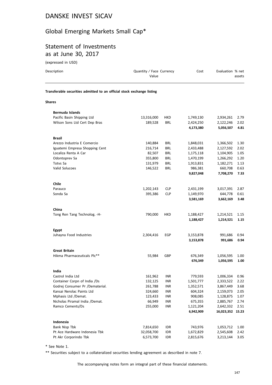# Global Emerging Markets Small Cap\*

# Statement of Investments as at June 30, 2017

(expressed in USD)

| Description                                                            | Quantity / Face Currency<br>Value |            | Cost      | Evaluation % net | assets |
|------------------------------------------------------------------------|-----------------------------------|------------|-----------|------------------|--------|
| Transferable securities admitted to an official stock exchange listing |                                   |            |           |                  |        |
| Shares                                                                 |                                   |            |           |                  |        |
| <b>Bermuda Islands</b>                                                 |                                   |            |           |                  |        |
| Pacific Basin Shipping Ltd                                             | 13,316,000                        | <b>HKD</b> | 1,749,130 | 2,934,261        | 2.79   |
| Wilson Sons Ltd Cert Dep Bras                                          | 189,528                           | BRL        | 2,424,250 | 2,122,246        | 2.02   |
|                                                                        |                                   |            | 4,173,380 | 5,056,507        | 4.81   |
| <b>Brazil</b>                                                          |                                   |            |           |                  |        |
| Arezzo Industria E Comercio                                            | 140,884                           | BRL        | 1,848,031 | 1,366,502        | 1.30   |
| Iguatemi Empresa Shopping Cent                                         | 216,714                           | BRL        | 2,433,488 | 2,127,592        | 2.02   |
| Localiza Renta A Car                                                   | 82,507                            | <b>BRL</b> | 1,175,118 | 1,104,905        | 1.05   |
| Odontoprev Sa                                                          | 355,800                           | <b>BRL</b> | 1,470,199 | 1,266,292        | 1.20   |
| Totvs Sa                                                               | 131,979                           | BRL        | 1,913,831 | 1,182,271        | 1.13   |
| Valid Solucoes                                                         | 146,522                           | <b>BRL</b> | 986,381   | 660,708          | 0.63   |
|                                                                        |                                   |            | 9,827,048 | 7,708,270        | 7.33   |
| <b>Chile</b>                                                           |                                   |            |           |                  |        |
| Parauco                                                                | 1,202,143                         | <b>CLP</b> | 2,431,199 | 3,017,391        | 2.87   |
| Sonda Sa                                                               | 395,386                           | <b>CLP</b> | 1,149,970 | 644,778          | 0.61   |
|                                                                        |                                   |            | 3,581,169 | 3,662,169        | 3.48   |
| China                                                                  |                                   |            |           |                  |        |
| Tong Ren Tang Technolog. -H-                                           | 790,000                           | HKD        | 1,188,427 | 1,214,521        | 1.15   |
|                                                                        |                                   |            | 1,188,427 | 1,214,521        | 1.15   |
| Egypt                                                                  |                                   |            |           |                  |        |
| Juhayna Food Industries                                                | 2,304,416                         | EGP        | 3,153,878 | 991,686          | 0.94   |
|                                                                        |                                   |            | 3,153,878 | 991,686          | 0.94   |
| <b>Great Britain</b>                                                   |                                   |            |           |                  |        |
| Hikma Pharmaceuticals Plc**                                            | 55,984                            | GBP        | 676,349   | 1,056,595        | 1.00   |
|                                                                        |                                   |            | 676,349   | 1,056,595        | 1.00   |
| India                                                                  |                                   |            |           |                  |        |
| Castrol India Ltd                                                      | 161,962                           | INR        | 779,593   | 1,006,334        | 0.96   |
| Container Corpn of India /Ds                                           | 132,125                           | <b>INR</b> | 1,501,777 | 2,333,522        | 2.22   |
| Godrej Consumer Pr /Dematerial.                                        | 261,788                           | <b>INR</b> | 1,352,571 | 3,867,449        | 3.68   |
| Kansai Nerolac Paints Ltd                                              | 324,660                           | INR        | 604,324   | 2,159,073        | 2.05   |
| Mphasis Ltd /Demat.                                                    | 123,433                           | <b>INR</b> | 908,085   | 1,128,875        | 1.07   |
| Nicholas Piramal India /Demat.                                         | 66,949                            | INR        | 675,355   | 2,885,767        | 2.74   |
| Ramco Cements/Ds                                                       | 255,000                           | INR        | 1,121,204 | 2,642,332        | 2.51   |
|                                                                        |                                   |            | 6,942,909 | 16,023,352 15.23 |        |
| Indonesia                                                              |                                   |            |           |                  |        |
| Bank Nisp Tbk                                                          | 7,814,650                         | idr        | 743,976   | 1,053,712        | 1.00   |
| Pt Ace Hardware Indonesia Tbk                                          | 32,058,700                        | <b>IDR</b> | 1,672,829 | 2,545,608        | 2.42   |
| Pt Akr Corporindo Tbk                                                  | 6,573,700                         | <b>IDR</b> | 2,815,676 | 3,213,144        | 3.05   |

\* See Note 1.

\*\* Securities subject to a collateralized securities lending agreement as described in note 7.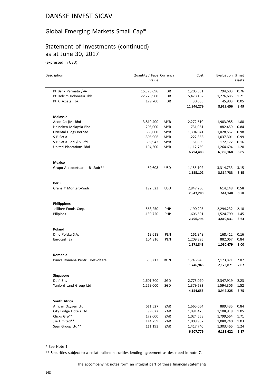## Global Emerging Markets Small Cap\*

## Statement of Investments (continued) as at June 30, 2017

(expressed in USD)

| Description                    | Quantity / Face Currency<br>Value |            | Cost       | Evaluation % net | assets |
|--------------------------------|-----------------------------------|------------|------------|------------------|--------|
|                                |                                   |            |            |                  |        |
| Pt Bank Permata /-A-           | 15,373,096                        | IDR        | 1,205,531  | 794,603          | 0.76   |
| Pt Holcim Indonesia Tbk        | 22,723,900                        | <b>IDR</b> | 5,478,182  | 1,276,686        | 1.21   |
| Pt XI Axiata Tbk               | 179,700                           | <b>IDR</b> | 30,085     | 45,903           | 0.05   |
|                                |                                   |            | 11,946,279 | 8,929,656        | 8.49   |
| Malaysia                       |                                   |            |            |                  |        |
| Aeon Co (M) Bhd                | 3,819,400                         | <b>MYR</b> | 2,272,610  | 1,983,985        | 1.88   |
| Heineken Malaysia Bhd          | 205,000                           | <b>MYR</b> | 731,061    | 882,459          | 0.84   |
| Oriental Hldgs Berhad          | 665,000                           | <b>MYR</b> | 1,304,041  | 1,028,557        | 0.98   |
| S P Setia                      | 1,305,906                         | <b>MYR</b> | 1,222,358  | 1,037,301        | 0.99   |
| S P Setia Bhd / Cv Pfd         | 659,942                           | <b>MYR</b> | 151,659    | 172,172          | 0.16   |
| United Plantations Bhd         | 194,600                           | <b>MYR</b> | 1,112,759  | 1,264,694        | 1.20   |
|                                |                                   |            | 6,794,488  | 6,369,168        | 6.05   |
| Mexico                         |                                   |            |            |                  |        |
| Grupo Aeroportuario -B- Sadr** | 69,608                            | <b>USD</b> | 1,155,102  | 3,314,733        | 3.15   |
|                                |                                   |            | 1,155,102  | 3,314,733        | 3.15   |
| Peru                           |                                   |            |            |                  |        |
| Grana Y Montero/Sadr           | 192,523                           | <b>USD</b> | 2,847,280  | 614,148          | 0.58   |
|                                |                                   |            | 2,847,280  | 614,148          | 0.58   |
| <b>Philippines</b>             |                                   |            |            |                  |        |
| Jollibee Foods Corp.           | 568,250                           | <b>PHP</b> | 1,190,205  | 2,294,232        | 2.18   |
| Pilipinas                      | 1,139,720                         | <b>PHP</b> | 1,606,591  | 1,524,799        | 1.45   |
|                                |                                   |            | 2,796,796  | 3,819,031        | 3.63   |
| Poland                         |                                   |            |            |                  |        |
| Dino Polska S.A.               | 13,618                            | <b>PLN</b> | 161,948    | 168,412          | 0.16   |
| Eurocash Sa                    | 104,816                           | PLN        | 1,209,895  | 882,067          | 0.84   |
|                                |                                   |            | 1,371,843  | 1,050,479        | 1.00   |
| Romania                        |                                   |            |            |                  |        |
| Banca Romana Pentru Dezvoltare | 635,213                           | <b>RON</b> | 1,746,946  | 2,173,871        | 2.07   |
|                                |                                   |            | 1,746,946  | 2,173,871        | 2.07   |
| Singapore                      |                                   |            |            |                  |        |
| Delfi Shs                      | 1,601,700                         | SGD        | 2,775,070  | 2,347,919        | 2.23   |
| Yanlord Land Group Ltd         | 1,259,000                         | SGD        | 1,379,583  | 1,594,306        | 1.52   |
|                                |                                   |            | 4,154,653  | 3,942,225        | 3.75   |
| South Africa                   |                                   |            |            |                  |        |
| African Oxygen Ltd             | 611,527                           | ZAR        | 1,665,054  | 889,435          | 0.84   |
| City Lodge Hotels Ltd          | 99,627                            | ZAR        | 1,091,475  | 1,108,918        | 1.05   |
| Clicks Grp**                   | 172,000                           | ZAR        | 1,024,558  | 1,799,564        | 1.71   |
| Jse Limited**                  | 114,259                           | ZAR        | 1,008,952  | 1,080,240        | 1.03   |
| Spar Group Ltd**               | 111,193                           | ZAR        | 1,417,740  | 1,303,465        | 1.24   |
|                                |                                   |            | 6,207,779  | 6,181,622        | 5.87   |

\* See Note 1.

\*\* Securities subject to a collateralized securities lending agreement as described in note 7.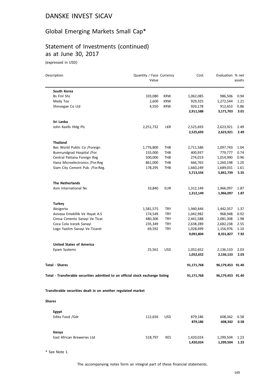# Global Emerging Markets Small Cap\*

# Statement of Investments (continued) as at June 30, 2017

(expressed in USD)

| Description                                                                    | Quantity / Face Currency<br>Value |            | Cost       | Evaluation % net | assets |
|--------------------------------------------------------------------------------|-----------------------------------|------------|------------|------------------|--------|
|                                                                                |                                   |            |            |                  |        |
| South Korea                                                                    |                                   |            |            |                  |        |
| <b>Bs Finl Shs</b>                                                             | 103,080                           | <b>KRW</b> | 1,062,085  | 986,506          | 0.94   |
| Medy Tox                                                                       | 2,600                             | <b>KRW</b> | 929,325    | 1,272,544        | 1.21   |
| Shinsegae Co Ltd                                                               | 4,550                             | <b>KRW</b> | 920,178    | 912,653          | 0.86   |
|                                                                                |                                   |            | 2,911,588  | 3,171,703        | 3.01   |
| Sri Lanka                                                                      |                                   |            |            |                  |        |
| John Keells Hldg Plc                                                           | 2,251,732                         | <b>LKR</b> | 2,525,693  | 2,623,921        | 2.49   |
|                                                                                |                                   |            | 2,525,693  | 2,623,921        | 2.49   |
| <b>Thailand</b>                                                                |                                   |            |            |                  |        |
| Bec World Public Co /Foreign                                                   | 1,776,800                         | THB        | 2,711,586  | 1,097,743        | 1.04   |
| Bumrundgrad Hospital /For.                                                     | 155,000                           | THB        | 400,937    | 779,777          | 0.74   |
| Central Pattana Foreign Reg                                                    | 500,000                           | THB        | 274,019    | 1,014,990        | 0.96   |
| Hana Microelectronics /For.Reg                                                 | 861,000                           | THB        | 666,765    | 1,260,198        | 1.20   |
| Siam City Cement Pub. /For.Reg.                                                | 178,295                           | <b>THB</b> | 1,660,249  | 1,689,031        | 1.61   |
|                                                                                |                                   |            | 5,713,556  | 5,841,739        | 5.55   |
| <b>The Netherlands</b>                                                         |                                   |            |            |                  |        |
| Asm International Nv                                                           | 33,840                            | <b>EUR</b> | 1,312,149  | 1,966,097        | 1.87   |
|                                                                                |                                   |            | 1,312,149  | 1,966,097        | 1.87   |
| <b>Turkey</b>                                                                  |                                   |            |            |                  |        |
| Aksigorta                                                                      | 1,581,575                         | TRY        | 1,940,446  | 1,442,357        | 1.37   |
| Avivasa Emeklilik Ve Hayat A.S                                                 | 174,549                           | <b>TRY</b> | 1,042,982  | 968,948          | 0.92   |
| Cimsa Cimento Sanayi Ve Ticar.                                                 | 480,306                           | <b>TRY</b> | 2,441,588  | 2,081,308        | 1.98   |
| Coca Cola Icecek Sanayi                                                        | 235,349                           | <b>TRY</b> | 2,638,289  | 2,682,238        | 2.55   |
| Logo Yazilim Sanayi Ve Ticaret                                                 | 69,592                            | <b>TRY</b> | 1,028,499  | 1,156,976        | 1.10   |
|                                                                                |                                   |            | 9,091,804  | 8,331,827        | 7.92   |
| <b>United States of America</b>                                                |                                   |            |            |                  |        |
| Epam Systems                                                                   | 25,561                            | <b>USD</b> | 1,052,652  | 2,136,133        | 2.03   |
|                                                                                |                                   |            | 1,052,652  | 2,136,133        | 2.03   |
| <b>Total - Shares</b>                                                          |                                   |            | 91,171,768 | 96,179,453 91.40 |        |
| Total - Transferable securities admitted to an official stock exchange listing |                                   |            | 91,171,768 | 96,179,453 91.40 |        |
| Transferable securities dealt in on another regulated market                   |                                   |            |            |                  |        |
|                                                                                |                                   |            |            |                  |        |
| <b>Shares</b>                                                                  |                                   |            |            |                  |        |
| Egypt                                                                          |                                   |            |            |                  |        |
| Edita Food /Gdr                                                                | 112,656                           | <b>USD</b> | 879,186    | 608,342          | 0.58   |
|                                                                                |                                   |            | 879,186    | 608,342          | 0.58   |
| Kenya                                                                          |                                   |            |            |                  |        |
| East African Breweries Ltd                                                     | 518,797                           | KES        | 1,420,024  | 1,299,504        | 1.23   |
|                                                                                |                                   |            | 1,420,024  | 1,299,504        | 1.23   |

\* See Note 1.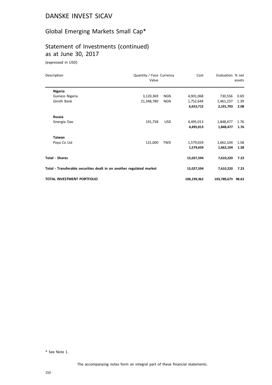# Global Emerging Markets Small Cap\*

# Statement of Investments (continued) as at June 30, 2017

(expressed in USD)

| Description                                                          | Quantity / Face Currency<br>Value |            | Cost        | Evaluation % net  | assets |
|----------------------------------------------------------------------|-----------------------------------|------------|-------------|-------------------|--------|
| <b>Nigeria</b>                                                       |                                   |            |             |                   |        |
| Guiness Nigeria                                                      | 3,120,369                         | NGN        | 4,901,068   | 730,556           | 0.69   |
| Zenith Bank                                                          | 21,348,780                        | <b>NGN</b> | 1,752,644   | 1,461,237         | 1.39   |
|                                                                      |                                   |            | 6,653,712   | 2,191,793         | 2.08   |
| <b>Russia</b>                                                        |                                   |            |             |                   |        |
| Sinergia Oao                                                         | 191,758                           | <b>USD</b> | 4,495,013   | 1,848,477         | 1.76   |
|                                                                      |                                   |            | 4,495,013   | 1,848,477         | 1.76   |
| <b>Taiwan</b>                                                        |                                   |            |             |                   |        |
| Poya Co Ltd                                                          | 131,000                           | <b>TWD</b> | 1,579,659   | 1,662,104         | 1.58   |
|                                                                      |                                   |            | 1,579,659   | 1,662,104         | 1.58   |
| <b>Total - Shares</b>                                                |                                   |            | 15,027,594  | 7,610,220         | 7.23   |
| Total - Transferable securities dealt in on another regulated market |                                   |            | 15,027,594  | 7,610,220         | 7.23   |
| <b>TOTAL INVESTMENT PORTFOLIO</b>                                    |                                   |            | 106,199,362 | 103,789,673 98.63 |        |

\* See Note 1.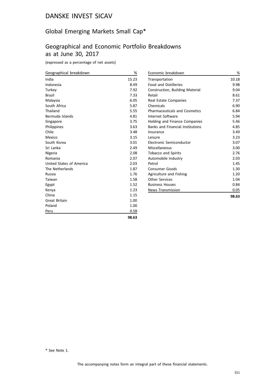# Global Emerging Markets Small Cap\*

# Geographical and Economic Portfolio Breakdowns as at June 30, 2017

(expressed as a percentage of net assets)

| Geographical breakdown   | %     | Ec  |
|--------------------------|-------|-----|
| India                    | 15.23 | Tr  |
| Indonesia                | 8.49  | Fc  |
| Turkey                   | 7.92  | Сc  |
| <b>Brazil</b>            | 7.33  | Re  |
| Malaysia                 | 6.05  | Re  |
| South Africa             | 5.87  | Cł  |
| Thailand                 | 5.55  | Pł  |
| Bermuda Islands          | 4.81  | In  |
| Singapore                | 3.75  | H   |
| Philippines              | 3.63  | Βa  |
| Chile                    | 3.48  | In. |
| Mexico                   | 3.15  | Le  |
| South Korea              | 3.01  | E١  |
| Sri Lanka                | 2.49  | M   |
| Nigeria                  | 2.08  | Тc  |
| Romania                  | 2.07  | Αι  |
| United States of America | 2.03  | Pe  |
| The Netherlands          | 1.87  | Сc  |
| Russia                   | 1.76  | A٤  |
| Taiwan                   | 1.58  | O   |
| Egypt                    | 1.52  | Βι  |
| Kenya                    | 1.23  | N٥  |
| China                    | 1.15  |     |
| <b>Great Britain</b>     | 1.00  |     |
| Poland                   | 1.00  |     |
| Peru                     | 0.58  |     |

| Economic breakdown                      | %     |
|-----------------------------------------|-------|
| Transportation                          | 10.18 |
| <b>Food and Distilleries</b>            | 9.98  |
| <b>Construction, Building Material</b>  | 9.04  |
| Retail                                  | 8.61  |
| Real Estate Companies                   | 7.37  |
| Chemicals                               | 6.90  |
| <b>Pharmaceuticals and Cosmetics</b>    | 6.84  |
| Internet Software                       | 5.94  |
| Holding and Finance Companies           | 5.46  |
| <b>Banks and Financial Institutions</b> | 4.85  |
| Insurance                               | 3.49  |
| Leisure                                 | 3.23  |
| Electronic Semiconductor                | 3.07  |
| Miscellaneous                           | 3.00  |
| <b>Tobacco and Spirits</b>              | 2.76  |
| Automobile Industry                     | 2.03  |
| Petrol                                  | 1.45  |
| <b>Consumer Goods</b>                   | 1.30  |
| Agriculture and Fishing                 | 1.20  |
| Other Services                          | 1.04  |
| <b>Business Houses</b>                  | 0.84  |
| <b>News Transmission</b>                | 0.05  |
|                                         | 98.63 |

**98.63**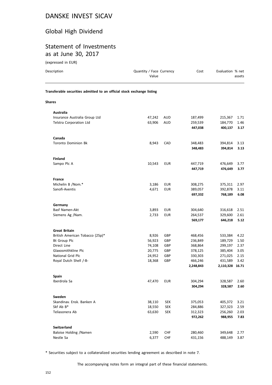# Global High Dividend

# Statement of Investments as at June 30, 2017

(expressed in EUR)

| Description                                                            | Quantity / Face Currency<br>Value |            | Cost               | Evaluation % net           | assets |
|------------------------------------------------------------------------|-----------------------------------|------------|--------------------|----------------------------|--------|
| Transferable securities admitted to an official stock exchange listing |                                   |            |                    |                            |        |
| <b>Shares</b>                                                          |                                   |            |                    |                            |        |
| Australia                                                              |                                   |            |                    |                            |        |
| Insurance Australia Group Ltd                                          | 47,242                            | <b>AUD</b> | 187,499            | 215,367                    | 1.71   |
| Telstra Corporation Ltd                                                | 63,906                            | <b>AUD</b> | 259,539            | 184,770                    | 1.46   |
|                                                                        |                                   |            | 447,038            | 400,137                    | 3.17   |
| Canada                                                                 |                                   |            |                    |                            |        |
| <b>Toronto Dominion Bk</b>                                             | 8,943                             | CAD        | 348,483            | 394,814                    | 3.13   |
|                                                                        |                                   |            | 348,483            | 394,814                    | 3.13   |
| <b>Finland</b>                                                         |                                   |            |                    |                            |        |
| Sampo Plc A                                                            | 10,543                            | <b>EUR</b> | 447,719            | 476,649                    | 3.77   |
|                                                                        |                                   |            | 447,719            | 476,649                    | 3.77   |
| France                                                                 |                                   |            |                    |                            |        |
| Michelin B /Nom.*                                                      | 3,186                             | <b>EUR</b> | 308,275            | 375,311                    | 2.97   |
| Sanofi-Aventis                                                         | 4,671                             | <b>EUR</b> | 389,057            | 392,878                    | 3.11   |
|                                                                        |                                   |            | 697,332            | 768,189                    | 6.08   |
| Germany                                                                |                                   |            |                    |                            |        |
| Basf Namen-Akt                                                         | 3,893                             | <b>EUR</b> | 304,640            | 316,618                    | 2.51   |
| Siemens Ag /Nam.                                                       | 2,733                             | <b>EUR</b> | 264,537            | 329,600                    | 2.61   |
|                                                                        |                                   |            | 569,177            | 646,218                    | 5.12   |
| <b>Great Britain</b>                                                   |                                   |            |                    |                            |        |
| British American Tobacco (25p)*                                        | 8,926                             | GBP        | 468,456            | 533,384                    | 4.22   |
| <b>Bt Group Plc</b>                                                    | 56,923                            | <b>GBP</b> | 236,849            | 189,729                    | 1.50   |
| Direct Line                                                            | 74,108                            | <b>GBP</b> | 368,864            | 299,197                    | 2.37   |
| Glaxosmithkline Plc                                                    | 20,775                            | GBP        | 378,125            | 385,404                    | 3.05   |
| National Grid Plc                                                      | 24,952                            | GBP        | 330,303<br>466,246 | 271,025                    | 2.15   |
| Royal Dutch Shell /-B-                                                 | 18,368                            | GBP        | 2,248,843          | 431,589<br>2,110,328 16.71 | 3.42   |
| Spain                                                                  |                                   |            |                    |                            |        |
| Iberdrola Sa                                                           | 47,470                            | <b>EUR</b> | 304,294            | 328,587                    | 2.60   |
|                                                                        |                                   |            | 304,294            | 328,587                    | 2.60   |
| Sweden                                                                 |                                   |            |                    |                            |        |
| Skandinav. Ensk. Banken A                                              | 38,110                            | <b>SEK</b> | 375,053            | 405,372                    | 3.21   |
| Skf Ab B*                                                              | 18,550                            | <b>SEK</b> | 284,886            | 327,323                    | 2.59   |
| Teliasonera Ab                                                         | 63,630                            | <b>SEK</b> | 312,323            | 256,260                    | 2.03   |
|                                                                        |                                   |            | 972,262            | 988,955                    | 7.83   |
| <b>Switzerland</b>                                                     |                                   |            |                    |                            |        |
| Baloise Holding / Namen                                                | 2,590                             | CHF        | 280,460            | 349,648                    | 2.77   |
| Nestle Sa                                                              | 6,377                             | CHF        | 431,156            | 488,149                    | 3.87   |

\* Securities subject to a collateralized securities lending agreement as described in note 7.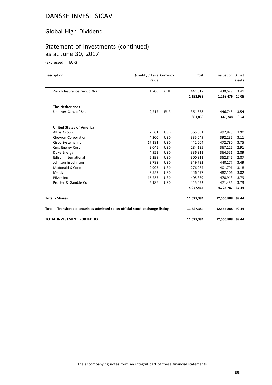# Global High Dividend

# Statement of Investments (continued) as at June 30, 2017

(expressed in EUR)

| Description                                                                    | Quantity / Face Currency<br>Value |            | Cost                 | Evaluation % net     | assets        |
|--------------------------------------------------------------------------------|-----------------------------------|------------|----------------------|----------------------|---------------|
| Zurich Insurance Group / Nam.                                                  | 1,706                             | <b>CHF</b> | 441,317<br>1,152,933 | 430,679<br>1,268,476 | 3.41<br>10.05 |
| <b>The Netherlands</b>                                                         |                                   |            |                      |                      |               |
| Unilever Cert. of Shs                                                          | 9,217                             | <b>EUR</b> | 361,838<br>361,838   | 446,748<br>446,748   | 3.54<br>3.54  |
| <b>United States of America</b>                                                |                                   |            |                      |                      |               |
| Altria Group                                                                   | 7,561                             | <b>USD</b> | 365,051              | 492,828              | 3.90          |
| Chevron Corporation                                                            | 4,300                             | <b>USD</b> | 335,049              | 392,235              | 3.11          |
| Cisco Systems Inc                                                              | 17,181                            | <b>USD</b> | 442,004              | 472,780              | 3.75          |
| Cms Energy Corp.                                                               | 9,045                             | <b>USD</b> | 284,135              | 367,125              | 2.91          |
| Duke Energy                                                                    | 4,952                             | <b>USD</b> | 336,911              | 364,551              | 2.89          |
| Edison International                                                           | 5,299                             | <b>USD</b> | 300,811              | 362,845              | 2.87          |
| Johnson & Johnson                                                              | 3,788                             | <b>USD</b> | 349,732              | 440,177              | 3.49          |
| Mcdonald S Corp                                                                | 2,995                             | <b>USD</b> | 276,934              | 401,791              | 3.18          |
| Merck                                                                          | 8,553                             | <b>USD</b> | 446,477              | 482,106              | 3.82          |
| Pfizer Inc.                                                                    | 16,255                            | <b>USD</b> | 495,339              | 478,913              | 3.79          |
| Procter & Gamble Co                                                            | 6,186                             | <b>USD</b> | 445,022              | 471,436              | 3.73          |
|                                                                                |                                   |            | 4,077,465            | 4,726,787 37.44      |               |
| <b>Total - Shares</b>                                                          |                                   |            | 11,627,384           | 12,555,888 99.44     |               |
| Total - Transferable securities admitted to an official stock exchange listing |                                   |            | 11,627,384           | 12,555,888 99.44     |               |
| TOTAL INVESTMENT PORTFOLIO                                                     |                                   |            | 11,627,384           | 12,555,888 99.44     |               |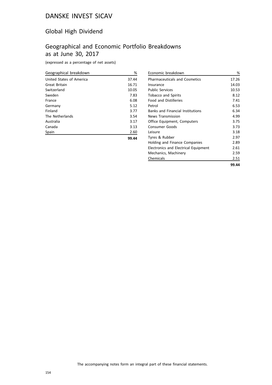## Global High Dividend

# Geographical and Economic Portfolio Breakdowns as at June 30, 2017

(expressed as a percentage of net assets)

| Geographical breakdown   | %     |
|--------------------------|-------|
| United States of America | 37.44 |
| Great Britain            | 16.71 |
| Switzerland              | 10.05 |
| Sweden                   | 7.83  |
| France                   | 6.08  |
| Germany                  | 5.12  |
| Finland                  | 3.77  |
| The Netherlands          | 3.54  |
| Australia                | 3.17  |
| Canada                   | 3.13  |
| Spain                    | 2.60  |
|                          | 99.44 |

|                                         | 99.44 |
|-----------------------------------------|-------|
| Chemicals                               | 2.51  |
| Mechanics, Machinery                    | 2.59  |
| Electronics and Electrical Equipment    | 2.61  |
| Holding and Finance Companies           | 2.89  |
| Tyres & Rubber                          | 2.97  |
| l eisure                                | 3.18  |
| Consumer Goods                          | 3.73  |
| Office Equipment, Computers             | 3.75  |
| <b>News Transmission</b>                | 4.99  |
| <b>Banks and Financial Institutions</b> | 6.34  |
| Petrol                                  | 6.53  |
| <b>Food and Distilleries</b>            | 7.41  |
| <b>Tobacco and Spirits</b>              | 8.12  |
| <b>Public Services</b>                  | 10.53 |
| Insurance                               | 14.03 |
| <b>Pharmaceuticals and Cosmetics</b>    | 17.26 |
| Economic breakdown                      | %     |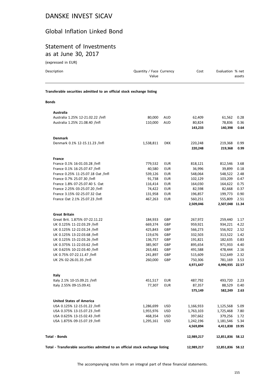#### Global Inflation Linked Bond

# Statement of Investments as at June 30, 2017

(expressed in EUR)

| Description                                                                    | Quantity / Face Currency<br>Value |            | Cost       | Evaluation % net | assets |
|--------------------------------------------------------------------------------|-----------------------------------|------------|------------|------------------|--------|
| Transferable securities admitted to an official stock exchange listing         |                                   |            |            |                  |        |
| <b>Bonds</b>                                                                   |                                   |            |            |                  |        |
| <b>Australia</b>                                                               |                                   |            |            |                  |        |
| Australia 1.25% 12-21.02.22 /Infl                                              | 80,000                            | AUD        | 62,409     | 61,562           | 0.28   |
| Australia 1.25% 21.08.40 /Infl                                                 | 110,000                           | AUD        | 80,824     | 78,836           | 0.36   |
|                                                                                |                                   |            | 143,233    | 140,398          | 0.64   |
| <b>Denmark</b>                                                                 |                                   |            |            |                  |        |
| Denmark 0.1% 12-15.11.23 /Infl                                                 | 1,538,811                         | <b>DKK</b> | 220,248    | 219,368          | 0.99   |
|                                                                                |                                   |            | 220,248    | 219,368          | 0.99   |
| France                                                                         |                                   |            |            |                  |        |
| France 0.1% 16-01.03.28 /Infl                                                  | 779,532                           | <b>EUR</b> | 818,121    | 812,546          | 3.68   |
| France 0.1% 16-25.07.47 /Infl                                                  | 40,580                            | <b>EUR</b> | 36.996     | 39,899           | 0.18   |
| France 0.25% 11-25.07.18 Oat /Infl                                             | 539,126                           | <b>EUR</b> | 548,064    | 548,522          | 2.48   |
| France 0.7% 25.07.30 /Infl                                                     | 91,738                            | EUR        | 102,129    | 103,209          | 0.47   |
| France 1.8% 07-25.07.40 S. Oat                                                 | 116,414                           | <b>EUR</b> | 164,030    | 164,622          | 0.75   |
| France 2.25% 03-25.07.20 /Infl                                                 | 74,422                            | <b>EUR</b> | 82,598     | 82,668           | 0.37   |
| France 3.15% 02-25.07.32 Oat                                                   | 131,958                           | <b>EUR</b> | 196,857    | 199,773          | 0.90   |
| France Oat 2.1% 25.07.23 /Infl                                                 | 467,263                           | <b>EUR</b> | 560,251    | 555,809          | 2.51   |
|                                                                                |                                   |            | 2,509,046  | 2,507,048 11.34  |        |
| <b>Great Britain</b>                                                           |                                   |            |            |                  |        |
| Great Brit. 1.875% 07-22.11.22                                                 | 184,933                           | GBP        | 267,972    | 259,440          | 1.17   |
| UK 0.125% 11-22.03.29 /Infl                                                    | 669,374                           | GBP        | 959,921    | 934,221          | 4.22   |
| UK 0.125% 12-22.03.24 /Infl                                                    | 425,843                           | GBP        | 566,273    | 556,922          | 2.52   |
| UK 0.125% 13-22.03.68 /Infl                                                    | 119,676                           | <b>GBP</b> | 332,503    | 313,522          | 1.42   |
| UK 0.125% 15-22.03.26 /Infl                                                    | 136,757                           | GBP        | 191,821    | 182,635          | 0.83   |
| UK 0.375% 11-22.03.62 /Infl                                                    | 385,907                           | GBP        | 895,654    | 971,933          | 4.40   |
| UK 0.625% 10-22.03.40 /Infl                                                    | 263,481                           | GBP        | 491,588    | 478,444          | 2.16   |
| UK 0.75% 07-22.11.47 /Infl                                                     | 241,897                           | GBP        | 515,609    | 512,649          | 2.32   |
| UK 2% 02-26.01.35 /Infl                                                        | 260,000                           | <b>GBP</b> | 750,306    | 781,169          | 3.53   |
|                                                                                |                                   |            | 4,971,647  | 4,990,935 22.57  |        |
| Italy                                                                          |                                   |            |            |                  |        |
| Italy 2.1% 10-15.09.21 /Infl                                                   | 451,517                           | EUR        | 487,792    | 493,720          | 2.23   |
| Italy 2.55% 09-15.09.41                                                        | 77,307                            | <b>EUR</b> | 87,357     | 88,529           | 0.40   |
|                                                                                |                                   |            | 575,149    | 582,249          | 2.63   |
| <b>United States of America</b>                                                |                                   |            |            |                  |        |
| USA 0.125% 12-15.01.22 /Infl                                                   | 1,286,699                         | <b>USD</b> | 1,166,933  | 1,125,568        | 5.09   |
| USA 0.375% 13-15.07.23 /Infl                                                   | 1,955,976                         | <b>USD</b> | 1,763,103  | 1,725,468        | 7.80   |
| USA 0.625% 13-15.02.43 /Infl                                                   | 468,354                           | <b>USD</b> | 397,662    | 379,256          | 1.72   |
| USA 1.875% 09-15.07.19 /Infl                                                   | 1,295,161                         | <b>USD</b> | 1,242,196  | 1,181,546        | 5.34   |
|                                                                                |                                   |            | 4,569,894  | 4,411,838 19.95  |        |
| Total - Bonds                                                                  |                                   |            | 12,989,217 | 12,851,836 58.12 |        |
|                                                                                |                                   |            |            |                  |        |
| Total - Transferable securities admitted to an official stock exchange listing |                                   |            | 12,989,217 | 12,851,836 58.12 |        |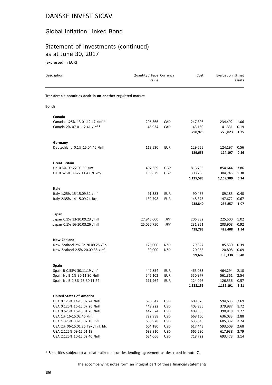#### Global Inflation Linked Bond

#### Statement of Investments (continued) as at June 30, 2017

(expressed in EUR)

| Description                                                  | Quantity / Face Currency<br>Value |            | Cost      | Evaluation % net | assets |
|--------------------------------------------------------------|-----------------------------------|------------|-----------|------------------|--------|
| Transferable securities dealt in on another regulated market |                                   |            |           |                  |        |
| <b>Bonds</b>                                                 |                                   |            |           |                  |        |
| Canada                                                       |                                   |            |           |                  |        |
| Canada 1.25% 13-01.12.47 /Infl*                              | 296,366                           | CAD        | 247,806   | 234,492          | 1.06   |
| Canada 2% 07-01.12.41 /Infl*                                 | 46,934                            | CAD        | 43,169    | 41,331           | 0.19   |
|                                                              |                                   |            | 290,975   | 275,823          | 1.25   |
| Germany                                                      |                                   |            |           |                  |        |
| Deutschland 0.1% 15.04.46 /Infl                              | 113,530                           | <b>EUR</b> | 129,655   | 124,197          | 0.56   |
|                                                              |                                   |            | 129,655   | 124,197          | 0.56   |
| <b>Great Britain</b>                                         |                                   |            |           |                  |        |
| UK 0.5% 09-22.03.50 /Infl                                    | 407,369                           | GBP        | 816,795   | 854,644          | 3.86   |
| UK 0.625% 09-22.11.42 / Ukrpi                                | 159,829                           | GBP        | 308,788   | 304,745          | 1.38   |
|                                                              |                                   |            | 1,125,583 | 1,159,389        | 5.24   |
| Italy                                                        |                                   |            |           |                  |        |
| Italy 1.25% 15-15.09.32 /Infl                                | 91,383                            | <b>EUR</b> | 90,467    | 89,185           | 0.40   |
| Italy 2.35% 14-15.09.24 Btp                                  | 132,798                           | <b>EUR</b> | 148,373   | 147,672          | 0.67   |
|                                                              |                                   |            | 238,840   | 236,857          | 1.07   |
| Japan                                                        |                                   |            |           |                  |        |
| Japan 0.1% 13-10.09.23 /Infl                                 | 27,945,000                        | JPY        | 206,832   | 225,500          | 1.02   |
| Japan 0.1% 16-10.03.26 /Infl                                 | 25,050,750                        | JPY        | 231,951   | 203,908          | 0.92   |
|                                                              |                                   |            | 438,783   | 429,408          | 1.94   |
| <b>New Zealand</b>                                           |                                   |            |           |                  |        |
| New Zealand 2% 12-20.09.25 /Cpi                              | 125,000                           | NZD        | 79,627    | 85,530           | 0.39   |
| New Zealand 2.5% 20.09.35 /Infl                              | 30,000                            | <b>NZD</b> | 20,055    | 20,808           | 0.09   |
|                                                              |                                   |            | 99,682    | 106,338          | 0.48   |
| <b>Spain</b>                                                 |                                   |            |           |                  |        |
| Spain B 0.55% 30.11.19 /Infl                                 | 447,854                           | <b>EUR</b> | 463,083   | 464,294          | 2.10   |
| Spain I/L B 1% 30.11.30 /Infl                                | 546,102                           | <b>EUR</b> | 550,977   | 561,361          | 2.54   |
| Spain I/L B 1.8% 13-30.11.24                                 | 111,964                           | EUR        | 124,096   | 126,536          | 0.57   |
|                                                              |                                   |            | 1,138,156 | 1,152,191        | 5.21   |
| <b>United States of America</b>                              |                                   |            |           |                  |        |
| USA 0.125% 14-15.07.24 /Infl                                 | 690,542                           | USD        | 609,676   | 594,633          | 2.69   |
| USA 0.125% 16-15.07.26 /Infl                                 | 449,222                           | <b>USD</b> | 403,935   | 379,987          | 1.72   |
| USA 0.625% 16-15.01.26 /Infl                                 | 442,874                           | USD        | 409,535   | 390,818          | 1.77   |
| USA 1% 16-15.02.46 /Infl                                     | 722,988                           | <b>USD</b> | 668,160   | 636,033          | 2.88   |
| USA 1.375% 08-15.07.18 Infl                                  | 680,928                           | <b>USD</b> | 635,348   | 605,332          | 2.74   |
| USA 2% 06-15.01.26 Tsy /Infl. Idx                            | 604,180                           | USD        | 617,443   | 593,509          | 2.68   |
| USA 2.125% 09-15.01.19                                       | 683,910                           | USD        | 665,230   | 617,938          | 2.79   |
| USA 2.125% 10-15.02.40 /Infl                                 | 634,066                           | <b>USD</b> | 718,722   | 693,473          | 3.14   |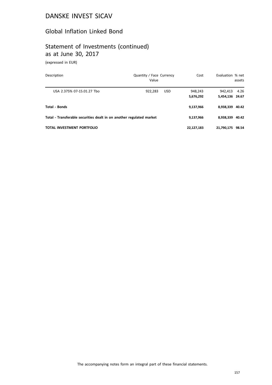#### Global Inflation Linked Bond

# Statement of Investments (continued) as at June 30, 2017

(expressed in EUR)

| Description                                                          | Quantity / Face Currency<br>Value |            | Cost                 | Evaluation % net           | assets |
|----------------------------------------------------------------------|-----------------------------------|------------|----------------------|----------------------------|--------|
| USA 2.375% 07-15.01.27 Tbo                                           | 922,283                           | <b>USD</b> | 948,243<br>5,676,292 | 942.413<br>5,454,136 24.67 | 4.26   |
| Total - Bonds                                                        |                                   | 9,137,966  | 8,938,339 40.42      |                            |        |
| Total - Transferable securities dealt in on another regulated market |                                   | 9,137,966  | 8.938.339 40.42      |                            |        |
| TOTAL INVESTMENT PORTFOLIO                                           |                                   |            | 22,127,183           | 21,790,175                 | 98.54  |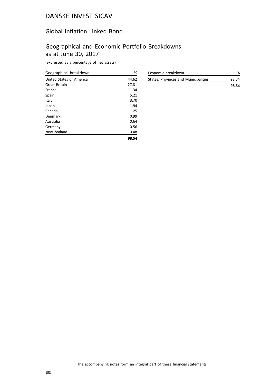#### Global Inflation Linked Bond

# Geographical and Economic Portfolio Breakdowns as at June 30, 2017

(expressed as a percentage of net assets)

| Geographical breakdown   | %     |
|--------------------------|-------|
| United States of America | 44.62 |
| Great Britain            | 27.81 |
| France                   | 11.34 |
| Spain                    | 5.21  |
| Italy                    | 3.70  |
| Japan                    | 1.94  |
| Canada                   | 1.25  |
| Denmark                  | 0.99  |
| Australia                | 0.64  |
| Germany                  | 0.56  |
| New Zealand              | 0.48  |
|                          | 98.54 |

| Economic breakdown                   | %     |
|--------------------------------------|-------|
| States, Provinces and Municipalities | 98.54 |
|                                      | 98.54 |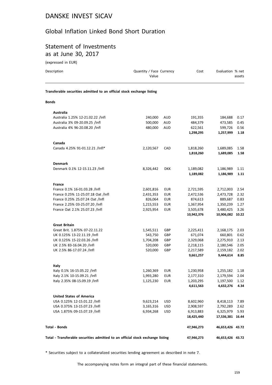## Global Inflation Linked Bond Short Duration

## Statement of Investments as at June 30, 2017

(expressed in EUR)

| Description                                                                    | Quantity / Face Currency<br>Value |            | Cost       | Evaluation % net | assets |
|--------------------------------------------------------------------------------|-----------------------------------|------------|------------|------------------|--------|
| Transferable securities admitted to an official stock exchange listing         |                                   |            |            |                  |        |
| <b>Bonds</b>                                                                   |                                   |            |            |                  |        |
| <b>Australia</b>                                                               |                                   |            |            |                  |        |
| Australia 1.25% 12-21.02.22 /Infl                                              | 240,000                           | AUD        | 191,355    | 184,688          | 0.17   |
| Australia 3% 09-20.09.25 /Infl                                                 | 500,000                           | <b>AUD</b> | 484,379    | 473,585          | 0.45   |
| Australia 4% 96-20.08.20 /Infl                                                 | 480,000                           | <b>AUD</b> | 622,561    | 599,726          | 0.56   |
|                                                                                |                                   |            | 1,298,295  | 1,257,999        | 1.18   |
| Canada                                                                         |                                   |            |            |                  |        |
| Canada 4.25% 91-01.12.21 /Infl*                                                | 2,120,567                         | CAD        | 1,818,260  | 1,689,085        | 1.58   |
|                                                                                |                                   |            | 1,818,260  | 1,689,085        | 1.58   |
| <b>Denmark</b>                                                                 |                                   |            |            |                  |        |
| Denmark 0.1% 12-15.11.23 /Infl                                                 | 8,326,442                         | <b>DKK</b> | 1,189,082  | 1,186,989        | 1.11   |
|                                                                                |                                   |            | 1,189,082  | 1,186,989        | 1.11   |
| France                                                                         |                                   |            |            |                  |        |
| France 0.1% 16-01.03.28 /Infl                                                  | 2,601,816                         | <b>EUR</b> | 2,721,595  | 2,712,003        | 2.54   |
| France 0.25% 11-25.07.18 Oat /Infl                                             | 2,431,353                         | EUR        | 2,472,536  | 2,473,728        | 2.32   |
| France 0.25% 25.07.24 Oat /Infl                                                | 826,064                           | EUR        | 874,613    | 889,687          | 0.83   |
| France 2.25% 03-25.07.20 /Infl                                                 | 1,215,553                         | EUR        | 1,367,954  | 1,350,239        | 1.27   |
| France Oat 2.1% 25.07.23 /Infl                                                 | 2,925,954                         | EUR        | 3,505,678  | 3,480,425        | 3.26   |
|                                                                                |                                   |            | 10,942,376 | 10,906,082 10.22 |        |
| <b>Great Britain</b>                                                           |                                   |            |            |                  |        |
| Great Brit. 1.875% 07-22.11.22                                                 | 1,545,511                         | GBP        | 2,225,411  | 2,168,175        | 2.03   |
| UK 0.125% 13-22.11.19 /Infl                                                    | 543,750                           | GBP        | 671,074    | 660,801          | 0.62   |
| UK 0.125% 15-22.03.26 /Infl                                                    | 1,704,208                         | GBP        | 2,329,068  | 2,275,910        | 2.13   |
| UK 2.5% 83-16.04.20 /Infl                                                      | 520,000                           | GBP        | 2,218,115  | 2,180,546        | 2.05   |
| UK 2.5% 86-17.07.24 /Infl                                                      | 520,000                           | GBP        | 2,217,589  | 2,159,182        | 2.02   |
|                                                                                |                                   |            | 9,661,257  | 9,444,614        | 8.85   |
| Italy                                                                          |                                   |            |            |                  |        |
| Italy 0.1% 16-15.05.22 /Infl                                                   | 1,260,369                         | <b>EUR</b> | 1,230,958  | 1,255,182        | 1.18   |
| Italy 2.1% 10-15.09.21 /Infl                                                   | 1,993,280                         | EUR        | 2,177,310  | 2,179,594        | 2.04   |
| Italy 2.35% 08-15.09.19 /Infl                                                  | 1,125,230                         | <b>EUR</b> | 1,203,295  | 1,197,500        | 1.12   |
|                                                                                |                                   |            | 4,611,563  | 4,632,276        | 4.34   |
| <b>United States of America</b>                                                |                                   |            |            |                  |        |
| USA 0.125% 12-15.01.22 /Infl                                                   | 9,623,214                         | USD        | 8,602,960  | 8,418,113        | 7.89   |
| USA 0.375% 13-15.07.23 /Infl                                                   | 3,165,316                         | USD        | 2,908,597  | 2,792,289        | 2.62   |
| USA 1.875% 09-15.07.19 /Infl                                                   | 6,934,268                         | <b>USD</b> | 6,913,883  | 6,325,979        | 5.93   |
|                                                                                |                                   |            | 18,425,440 | 17,536,381 16.44 |        |
| <b>Total - Bonds</b>                                                           |                                   |            | 47,946,273 | 46,653,426 43.72 |        |
| Total - Transferable securities admitted to an official stock exchange listing |                                   |            | 47,946,273 | 46,653,426 43.72 |        |

\* Securities subject to a collateralized securities lending agreement as described in note 7.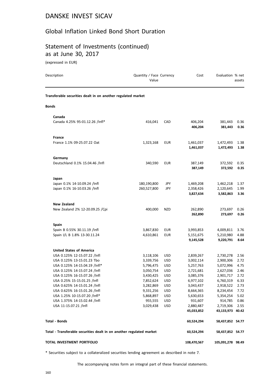#### Global Inflation Linked Bond Short Duration

#### Statement of Investments (continued) as at June 30, 2017

(expressed in EUR)

| Description                                                          | Quantity / Face Currency<br>Value |                          | Cost                                | Evaluation % net                    | assets               |
|----------------------------------------------------------------------|-----------------------------------|--------------------------|-------------------------------------|-------------------------------------|----------------------|
| Transferable securities dealt in on another regulated market         |                                   |                          |                                     |                                     |                      |
| <b>Bonds</b>                                                         |                                   |                          |                                     |                                     |                      |
| Canada                                                               |                                   |                          |                                     |                                     |                      |
| Canada 4.25% 95-01.12.26 /Infl*                                      | 416,041                           | CAD                      | 406,204<br>406,204                  | 381,443<br>381,443                  | 0.36<br>0.36         |
| <b>France</b>                                                        |                                   |                          |                                     |                                     |                      |
| France 1.1% 09-25.07.22 Oat                                          | 1,323,168                         | <b>EUR</b>               | 1,461,037<br>1,461,037              | 1,472,493<br>1,472,493              | 1.38<br>1.38         |
| Germany                                                              |                                   |                          |                                     |                                     |                      |
| Deutschland 0.1% 15.04.46 /Infl                                      | 340,590                           | <b>EUR</b>               | 387,149<br>387,149                  | 372,592<br>372,592                  | 0.35<br>0.35         |
| Japan                                                                |                                   |                          |                                     |                                     |                      |
| Japan 0.1% 14-10.09.24 /Infl<br>Japan 0.1% 16-10.03.26 /Infl         | 180,190,800<br>260,527,800        | JPY<br>JPY               | 1,469,208<br>2,358,426<br>3,827,634 | 1,462,218<br>2,120,645<br>3,582,863 | 1.37<br>1.99<br>3.36 |
|                                                                      |                                   |                          |                                     |                                     |                      |
| <b>New Zealand</b>                                                   |                                   |                          |                                     |                                     |                      |
| New Zealand 2% 12-20.09.25 / Cpi                                     | 400,000                           | <b>NZD</b>               | 262,890<br>262,890                  | 273,697<br>273,697                  | 0.26<br>0.26         |
| <b>Spain</b>                                                         |                                   |                          |                                     |                                     |                      |
| Spain B 0.55% 30.11.19 /Infl                                         | 3,867,830                         | <b>EUR</b>               | 3,993,853                           | 4,009,811                           | 3.76                 |
| Spain I/L B 1.8% 13-30.11.24                                         | 4,610,861                         | <b>EUR</b>               | 5,151,675<br>9,145,528              | 5,210,980<br>9,220,791              | 4.88<br>8.64         |
| <b>United States of America</b>                                      |                                   |                          |                                     |                                     |                      |
| USA 0.125% 12-15.07.22 /Infl                                         | 3,118,106                         | <b>USD</b>               | 2,839,267                           | 2,730,278                           | 2.56                 |
| USA 0.125% 13-15.01.23 Tbo                                           | 3,339,756                         | <b>USD</b>               | 3,002,114                           | 2,900,306                           | 2.72                 |
| USA 0.125% 14-15.04.19 /Infl*                                        | 5,796,475                         | <b>USD</b>               | 5,257,763                           | 5,072,996                           | 4.75                 |
| USA 0.125% 14-15.07.24 /Infl                                         | 3,050,754                         | <b>USD</b>               | 2,721,681                           | 2,627,036                           | 2.46                 |
| USA 0.125% 16-15.07.26 /Infl                                         | 3,430,425                         | <b>USD</b>               | 3,085,376                           | 2,901,717                           | 2.72                 |
| USA 0.25% 15-15.01.25 /Infl                                          | 7,852,624                         | <b>USD</b>               | 6,977,102                           | 6,760,319                           | 6.33                 |
| USA 0.625% 14-15.01.24 /Infl                                         | 3,282,869                         | <b>USD</b>               | 3,043,437                           | 2,918,522                           | 2.73                 |
| USA 0.625% 16-15.01.26 /Infl<br>USA 1.25% 10-15.07.20 /Infl*         | 9,331,256<br>5,868,897            | <b>USD</b><br><b>USD</b> | 8,664,365<br>5,630,653              | 8,234,454<br>5,354,254              | 7.72<br>5.02         |
| USA 1.375% 14-15.02.44 /Infl                                         | 955,555                           | <b>USD</b>               | 931,607                             | 914,785                             | 0.86                 |
| USA 11-15.07.21 /Infl                                                | 3,029,438                         | <b>USD</b>               | 2,880,487                           | 2,719,306                           | 2.55                 |
|                                                                      |                                   |                          | 45,033,852                          | 43,133,973 40.42                    |                      |
| <b>Total - Bonds</b>                                                 |                                   |                          | 60,524,294                          | 58,437,852 54.77                    |                      |
| Total - Transferable securities dealt in on another regulated market |                                   |                          | 60,524,294                          | 58,437,852 54.77                    |                      |
| TOTAL INVESTMENT PORTFOLIO                                           |                                   |                          | 108,470,567                         | 105,091,278 98.49                   |                      |

\* Securities subject to a collateralized securities lending agreement as described in note 7.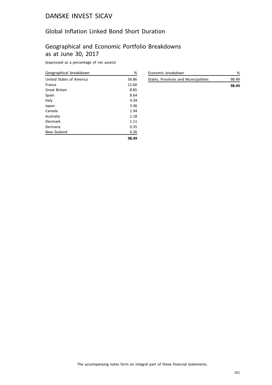## Global Inflation Linked Bond Short Duration

# Geographical and Economic Portfolio Breakdowns as at June 30, 2017

(expressed as a percentage of net assets)

| Geographical breakdown   | %     |
|--------------------------|-------|
| United States of America | 56.86 |
| France                   | 11.60 |
| Great Britain            | 8.85  |
| Spain                    | 8.64  |
| Italy                    | 4.34  |
| Japan                    | 3.36  |
| Canada                   | 1.94  |
| Australia                | 1.18  |
| Denmark                  | 1.11  |
| Germany                  | 0.35  |
| New Zealand              | 0.26  |
|                          | 98.49 |

| Economic breakdown                   | %     |
|--------------------------------------|-------|
| States, Provinces and Municipalities | 98.49 |
|                                      | 98.49 |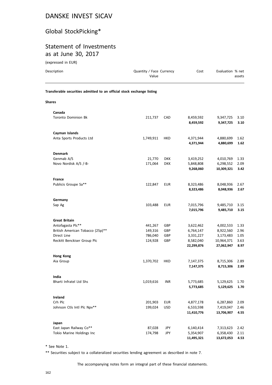# Global StockPicking\*

## Statement of Investments as at June 30, 2017

(expressed in EUR)

| Description                                                            | Quantity / Face Currency<br>Value |            | Cost                   | Evaluation % net       | assets       |
|------------------------------------------------------------------------|-----------------------------------|------------|------------------------|------------------------|--------------|
| Transferable securities admitted to an official stock exchange listing |                                   |            |                        |                        |              |
| <b>Shares</b>                                                          |                                   |            |                        |                        |              |
| Canada                                                                 |                                   |            |                        |                        |              |
| <b>Toronto Dominion Bk</b>                                             | 211,737                           | CAD        | 8,459,592<br>8,459,592 | 9,347,725<br>9,347,725 | 3.10<br>3.10 |
| Cayman Islands                                                         |                                   |            |                        |                        |              |
| Anta Sports Products Ltd                                               | 1,749,911                         | HKD        | 4,371,944<br>4,371,944 | 4,880,699<br>4,880,699 | 1.62<br>1.62 |
| <b>Denmark</b>                                                         |                                   |            |                        |                        |              |
| Genmab A/S                                                             | 21,770                            | <b>DKK</b> | 3,419,252              | 4,010,769              | 1.33         |
| Novo Nordisk A/S /-B-                                                  | 171,064                           | <b>DKK</b> | 5,848,808              | 6,298,552              | 2.09         |
|                                                                        |                                   |            | 9,268,060              | 10,309,321             | 3.42         |
| <b>France</b>                                                          |                                   |            |                        |                        |              |
| Publicis Groupe Sa**                                                   | 122,847                           | <b>EUR</b> | 8,323,486              | 8,048,936              | 2.67         |
|                                                                        |                                   |            | 8,323,486              | 8,048,936              | 2.67         |
| Germany                                                                |                                   |            |                        |                        |              |
| Sap Ag                                                                 | 103,488                           | <b>EUR</b> | 7,015,796              | 9,485,710              | 3.15         |
|                                                                        |                                   |            | 7,015,796              | 9,485,710              | 3.15         |
| <b>Great Britain</b>                                                   |                                   |            |                        |                        |              |
| Antofagasta Plc**                                                      | 441,267                           | GBP        | 3,622,462              | 4,002,533              | 1.33         |
| British American Tobacco (25p)**                                       | 149,316                           | GBP        | 6,764,147              | 8,922,560              | 2.96         |
| Direct Line                                                            | 786,040                           | GBP        | 3,331,227              | 3,173,483              | 1.05         |
| Reckitt Benckiser Group Plc                                            | 124,928                           | GBP        | 8,582,040              | 10,964,371             | 3.63         |
|                                                                        |                                   |            | 22,299,876             | 27,062,947             | 8.97         |
| <b>Hong Kong</b>                                                       |                                   |            |                        |                        |              |
| Aia Group                                                              | 1,370,702                         | <b>HKD</b> | 7,147,375              | 8,715,306              | 2.89         |
|                                                                        |                                   |            | 7,147,375              | 8,715,306              | 2.89         |
| India                                                                  |                                   |            |                        |                        |              |
| Bharti Infratel Ltd Shs                                                | 1,019,616                         | <b>INR</b> | 5,773,685              | 5,129,625              | 1.70         |
|                                                                        |                                   |            | 5,773,685              | 5,129,625              | 1.70         |
| Ireland                                                                |                                   |            |                        |                        |              |
| Crh Plc                                                                | 201,903                           | <b>EUR</b> | 4,877,178              | 6,287,860              | 2.09         |
| Johnson Ctls Intl Plc Npv**                                            | 199,024                           | <b>USD</b> | 6,533,598              | 7,419,047              | 2.46         |
|                                                                        |                                   |            | 11,410,776             | 13,706,907             | 4.55         |
| Japan                                                                  |                                   |            |                        |                        |              |
| East Japan Railway Co**                                                | 87,028                            | JPY        | 6,140,414              | 7,313,623              | 2.42         |
| Tokio Marine Holdings Inc                                              | 174,798                           | JPY        | 5,354,907              | 6,358,430              | 2.11         |
|                                                                        |                                   |            | 11,495,321             | 13,672,053             | 4.53         |

\* See Note 1.

\*\* Securities subject to a collateralized securities lending agreement as described in note 7.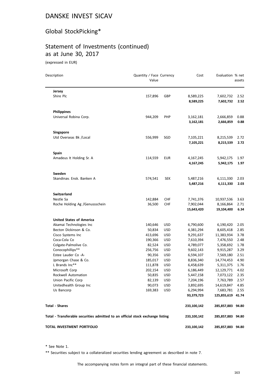# Global StockPicking\*

# Statement of Investments (continued) as at June 30, 2017

(expressed in EUR)

| Description                                                                    | Quantity / Face Currency<br>Value |                          | Cost                    | Evaluation % net        | assets       |
|--------------------------------------------------------------------------------|-----------------------------------|--------------------------|-------------------------|-------------------------|--------------|
| Jersey                                                                         |                                   |                          |                         |                         |              |
| Shire Plc                                                                      | 157,896                           | GBP                      | 8,589,225<br>8,589,225  | 7,602,732<br>7,602,732  | 2.52<br>2.52 |
| <b>Philippines</b>                                                             |                                   |                          |                         |                         |              |
| Universal Robina Corp.                                                         | 944,209                           | <b>PHP</b>               | 3,162,181               | 2,666,859               | 0.88         |
|                                                                                |                                   |                          | 3,162,181               | 2,666,859               | 0.88         |
| <b>Singapore</b>                                                               |                                   |                          |                         |                         |              |
| Utd Overseas Bk /Local                                                         | 556,999                           | SGD                      | 7,105,221               | 8,215,539               | 2.72         |
|                                                                                |                                   |                          | 7,105,221               | 8,215,539               | 2.72         |
| <b>Spain</b>                                                                   |                                   |                          |                         |                         |              |
| Amadeus It Holding Sr. A                                                       | 114,559                           | <b>EUR</b>               | 4,167,245               | 5,942,175               | 1.97         |
|                                                                                |                                   |                          | 4,167,245               | 5,942,175               | 1.97         |
| Sweden                                                                         |                                   |                          |                         |                         |              |
| Skandinav. Ensk. Banken A                                                      | 574,541                           | <b>SEK</b>               | 5,487,216               | 6,111,330               | 2.03         |
|                                                                                |                                   |                          | 5,487,216               | 6,111,330               | 2.03         |
| <b>Switzerland</b>                                                             |                                   |                          |                         |                         |              |
| Nestle Sa                                                                      | 142,884                           | <b>CHF</b>               | 7,741,376               | 10,937,536              | 3.63         |
| Roche Holding Ag /Genussschein                                                 | 36,500                            | CHF                      | 7,902,044<br>15,643,420 | 8,166,864<br>19,104,400 | 2.71<br>6.34 |
|                                                                                |                                   |                          |                         |                         |              |
| <b>United States of America</b>                                                |                                   |                          |                         |                         |              |
| Akamai Technologies Inc                                                        | 140,646                           | <b>USD</b>               | 6,790,600               | 6,190,420               | 2.05         |
| Becton Dickinson & Co.                                                         | 50,834                            | <b>USD</b>               | 4,381,294               | 8,605,418               | 2.85         |
| Cisco Systems Inc<br>Coca-Cola Co                                              | 413,696                           | <b>USD</b><br><b>USD</b> | 9,291,637               | 11,383,934              | 3.78<br>2.48 |
| Colgate-Palmolive Co.                                                          | 190,366                           | <b>USD</b>               | 7,610,394               | 7,476,550               | 1.78         |
| Conocophillips**                                                               | 82,524<br>256,756                 | <b>USD</b>               | 4,789,077<br>9,602,143  | 5,358,692<br>9,915,287  | 3.29         |
| Estee Lauder Co -A-                                                            | 90,356                            | <b>USD</b>               | 6,594,107               | 7,569,180               | 2.51         |
| Jpmorgan Chase & Co.                                                           | 185,017                           | <b>USD</b>               | 8,836,340               | 14,774,453              | 4.90         |
| L Brands Inc**                                                                 | 111,878                           | <b>USD</b>               | 6,458,639               | 5,311,375               | 1.76         |
| Microsoft Corp                                                                 | 202,154                           | <b>USD</b>               | 6,186,449               | 12,129,771              | 4.02         |
| Rockwell Automation                                                            | 50,835                            | <b>USD</b>               | 5,447,158               | 7,073,122               | 2.35         |
| Union Pacific Corp                                                             | 82,139                            | <b>USD</b>               | 7,204,196               | 7,763,789               | 2.57         |
| Unitedhealth Group Inc                                                         | 90,073                            | <b>USD</b>               | 3,892,695               | 14,619,847              | 4.85         |
| Us Bancorp                                                                     | 169,383                           | USD                      | 6,294,994               | 7,683,781               | 2.55         |
|                                                                                |                                   |                          | 93,379,723              | 125,855,619 41.74       |              |
| <b>Total - Shares</b>                                                          |                                   |                          | 233,100,142             | 285,857,883 94.80       |              |
| Total - Transferable securities admitted to an official stock exchange listing |                                   |                          | 233,100,142             | 285,857,883 94.80       |              |
| TOTAL INVESTMENT PORTFOLIO                                                     |                                   |                          | 233,100,142             | 285,857,883 94.80       |              |

\* See Note 1.

\*\* Securities subject to a collateralized securities lending agreement as described in note 7.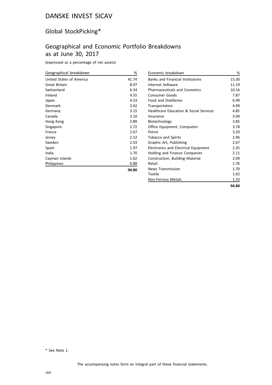# Global StockPicking\*

# Geographical and Economic Portfolio Breakdowns as at June 30, 2017

(expressed as a percentage of net assets)

| Geographical breakdown   | %     |
|--------------------------|-------|
| United States of America | 41.74 |
| Great Britain            | 8.97  |
| Switzerland              | 6.34  |
| Ireland                  | 4.55  |
| Japan                    | 4.53  |
| Denmark                  | 3.42  |
| Germany                  | 3.15  |
| Canada                   | 3.10  |
| Hong Kong                | 2.89  |
| Singapore                | 2.72  |
| France                   | 2.67  |
| Jersey                   | 2.52  |
| Sweden                   | 2.03  |
| Spain                    | 1.97  |
| India                    | 1.70  |
| Cayman Islands           | 1.62  |
| Philippines              | 0.88  |
|                          | 94.80 |

| Economic breakdown                      | %     |
|-----------------------------------------|-------|
| <b>Banks and Financial Institutions</b> | 15.30 |
| Internet Software                       | 11.19 |
| <b>Pharmaceuticals and Cosmetics</b>    | 10.16 |
| Consumer Goods                          | 7.87  |
| <b>Food and Distilleries</b>            | 6.99  |
| Transportation                          | 4.99  |
| Healthcare Education & Social Services  | 4.85  |
| Insurance                               | 3.94  |
| Biotechnology                           | 3.85  |
| Office Equipment, Computers             | 3.78  |
| Petrol                                  | 3.29  |
| <b>Tobacco and Spirits</b>              | 2.96  |
| Graphic Art, Publishing                 | 2.67  |
| Electronics and Electrical Equipment    | 2.35  |
| Holding and Finance Companies           | 2.11  |
| Construction, Building Material         | 2.09  |
| Retail                                  | 1.76  |
| <b>News Transmission</b>                | 1.70  |
| Textile                                 | 1.62  |
| Non-Ferrous Metals                      | 1.33  |
|                                         | 94.80 |

\* See Note 1.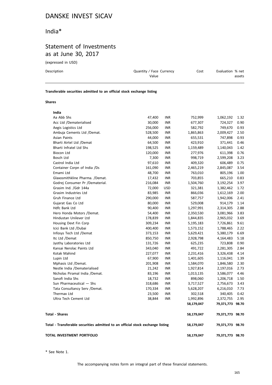## India\*

# Statement of Investments as at June 30, 2017

(expressed in USD)

| Description                                                            | Quantity / Face Currency<br>Value | Cost | Evaluation % net<br>assets |
|------------------------------------------------------------------------|-----------------------------------|------|----------------------------|
| Transferable securities admitted to an official stock exchange listing |                                   |      |                            |

#### **Shares**

| TOTAL INVESTMENT PORTFOLIO                                                     |                   |                          | 58,179,047           | 79,371,773 98.70     |              |
|--------------------------------------------------------------------------------|-------------------|--------------------------|----------------------|----------------------|--------------|
| Total - Transferable securities admitted to an official stock exchange listing |                   |                          | 58,179,047           | 79,371,773 98.70     |              |
| <b>Total - Shares</b>                                                          |                   |                          | 58,179,047           | 79,371,773 98.70     |              |
|                                                                                |                   |                          | 58,179,047           | 79,371,773           | 98.70        |
| Ultra Tech Cement Ltd                                                          | 38,844            | <b>INR</b>               | 1,992,896            | 2,372,755            | 2.95         |
| Thermax Ltd                                                                    | 23,500            | <b>INR</b>               | 302,518              | 340,405              | 0.42         |
| Tata Consultancy Serv / Demat.                                                 | 170,334           | <b>INR</b>               | 5,628,207            | 6,216,010            | 7.73         |
| Sun Pharmaceutical - Shs                                                       | 318,686           | <b>INR</b>               | 3,717,527            | 2,756,673            | 3.43         |
| Sanofi India Shs                                                               | 18,732            | <b>INR</b>               | 898,060              | 1,206,718            | 1.50         |
| Nicholas Piramal India /Demat.                                                 | 83,196            | <b>INR</b>               | 1,013,135            | 3,586,077            | 4.46         |
| Nestle India /Dematerialised                                                   | 21,242            | <b>INR</b>               | 1,927,814            | 2,197,016            | 2.73         |
| Mphasis Ltd /Demat.                                                            | 201,908           | <b>INR</b>               | 1,584,070            | 1,846,580            | 2.30         |
| Lupin Ltd                                                                      | 67,900            | <b>INR</b>               | 1,401,605            | 1,116,041            | 1.39         |
| Kotak Mahind                                                                   | 227,077           | <b>INR</b>               | 2,231,416            | 3,326,438            | 4.14         |
| Kansai Nerolac Paints Ltd                                                      | 343,040           | <b>INR</b>               | 491,722              | 2,281,305            | 2.84         |
| Jyothy Laboratories Ltd                                                        | 131,726           | <b>INR</b>               | 625,235              | 723,808              | 0.90         |
| Itc Ltd /Demat                                                                 | 850,750           | <b>INR</b>               | 2,928,798            | 4,164,483            | 5.18         |
| Infosys Tech Ltd /Demat                                                        | 373,153           | <b>INR</b>               | 5,629,421            | 5,380,179            | 6.69         |
| Icici Bank Ltd /Dubai                                                          | 400,400           | <b>INR</b>               | 1,573,152            | 1,788,465            | 2.22         |
| Housing Devt Fin Corp                                                          | 309,234           | <b>INR</b>               | 5,195,183            | 7,726,861            | 9.61         |
| Hindustan Unilever Ltd                                                         | 178,839           | <b>INR</b>               | 1,844,835            | 2,965,032            | 3.69         |
| Hero Honda Motors /Demat.                                                      | 54,400            | <b>INR</b>               | 2,350,530            | 3,081,966            | 3.83         |
| Hdfc Bank Ltd                                                                  | 90,400            | <b>INR</b>               | 1,297,991            | 2,314,305            | 2.88         |
| Gujarat Gas Co Ltd                                                             | 80,000            | <b>INR</b>               | 529,008              | 914,179              | 1.14         |
| Gruh Finance Ltd                                                               | 290,000           | <b>INR</b>               | 587,757              | 1,942,006            | 2.41         |
| Grasim Industries Ltd                                                          | 83,985            | INR                      | 866,036              | 1,612,169            | 2.00         |
| Grasim Ind. / Gdr 144a                                                         | 72,000            | <b>USD</b>               | 321,381              | 1,382,462            | 1.72         |
| Godrej Consumer Pr /Dematerial.                                                | 216,084           | INR                      | 1,504,760            | 3,192,254            | 3.97         |
| Glaxosmithkline Pharma. /Demat.                                                | 17,432            | INR                      | 703,855              | 665,210              | 0.83         |
| Emami Ltd                                                                      | 48,700            | <b>INR</b>               | 763,010              | 805,196              | 1.00         |
| Container Corpn of India /Ds                                                   | 161,090           | <b>INR</b>               | 2,465,219            | 2,845,087            | 3.54         |
| Castrol India Ltd                                                              | 97,610            | <b>INR</b>               | 409,320              | 606,489              | 0.75         |
| Bosch Ltd                                                                      | 7,300             | <b>INR</b>               | 998,719              | 2,599,208            | 3.23         |
| Biocon Ltd                                                                     | 120,000           | <b>INR</b>               | 277,976              | 611,398              | 0.76         |
| Bharti Infratel Ltd Shs                                                        | 198,525           | <b>INR</b>               | 1,159,489            | 1,140,043            | 1.42         |
| Bharti Airtel Ltd /Demat                                                       | 64,500            | <b>INR</b>               | 423,910              | 371,441              | 0.46         |
| Ambuja Cements Ltd /Demat.<br>Asian Paints                                     | 528,500<br>44,000 | <b>INR</b>               | 1,865,863<br>655,531 | 2,009,427<br>747,898 | 0.93         |
| Aegis Logistics Ltd                                                            | 256,000           | <b>INR</b><br><b>INR</b> | 582,792              | 749,670              | 0.93<br>2.50 |
| Acc Ltd /Dematerialised                                                        | 30,000            | <b>INR</b>               | 677,307              | 724,327              | 0.90         |
| Aa Abb Shs                                                                     | 47,400            | <b>INR</b>               | 752,999              | 1,062,192            | 1.32         |
|                                                                                |                   |                          |                      |                      |              |

\* See Note 1.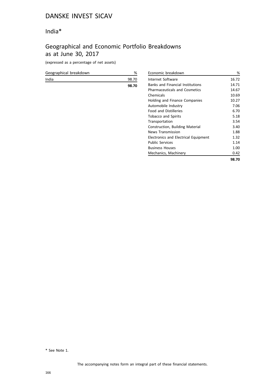# India\*

# Geographical and Economic Portfolio Breakdowns as at June 30, 2017

(expressed as a percentage of net assets)

| Geographical breakdown | %     |
|------------------------|-------|
| India                  | 98.70 |
|                        | 98.70 |
|                        |       |
|                        |       |

| Economic breakdown                      | %     |
|-----------------------------------------|-------|
| Internet Software                       | 16.72 |
| <b>Banks and Financial Institutions</b> | 14.71 |
| <b>Pharmaceuticals and Cosmetics</b>    | 14.67 |
| Chemicals                               | 10.69 |
| Holding and Finance Companies           | 10.27 |
| Automobile Industry                     | 7.06  |
| <b>Food and Distilleries</b>            | 6.70  |
| <b>Tobacco and Spirits</b>              | 5.18  |
| Transportation                          | 3.54  |
| Construction, Building Material         | 3.40  |
| <b>News Transmission</b>                | 1.88  |
| Electronics and Electrical Equipment    | 1.32  |
| <b>Public Services</b>                  | 1.14  |
| <b>Business Houses</b>                  | 1.00  |
| Mechanics, Machinery                    | 0.42  |
|                                         | 98.70 |

\* See Note 1.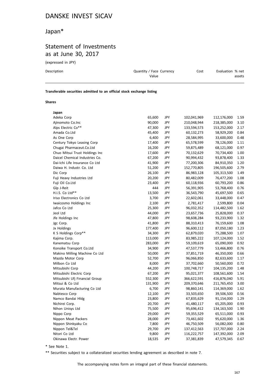# Japan\*

## Statement of Investments as at June 30, 2017

(expressed in JPY)

| Description | Quantity / Face Currency<br>Value | Cost | Evaluation % net<br>assets |
|-------------|-----------------------------------|------|----------------------------|
|             |                                   |      |                            |

#### **Transferable securities admitted to an official stock exchange listing**

#### **Shares**

| Japan                          |         |            |             |             |      |
|--------------------------------|---------|------------|-------------|-------------|------|
| Adeka Corp                     | 65,600  | JPY        | 102,041,969 | 112,176,000 | 1.59 |
| Ajinomoto Co.Inc               | 90,000  | JPY        | 210,048,944 | 218,385,000 | 3.10 |
| Alps Electric Co**             | 47,300  | JPY        | 133,594,573 | 153,252,000 | 2.17 |
| Amada Co.Ltd                   | 45,400  | JPY        | 60,132,273  | 58,929,200  | 0.84 |
| As One Corp                    | 6,400   | JPY        | 28,584,995  | 33,600,000  | 0.48 |
| Century Tokyo Leasing Corp     | 17,400  | <b>JPY</b> | 65,578,599  | 78,126,000  | 1.11 |
| Chugai Pharmaceut.Co.Ltd       | 16,200  | JPY        | 59,875,489  | 68,121,000  | 0.97 |
| Chuo Mitsui Trust Holdings Inc | 17,600  | JPY        | 70,132,629  | 70,734,400  | 1.00 |
| Daicel Chemical Industries Co. | 67,200  | <b>JPY</b> | 90,994,432  | 93,878,400  | 1.33 |
| Dai-Ichi Life Insurance Co Ltd | 41,900  | JPY        | 77,200,306  | 84,910,350  | 1.20 |
| Daiwa H. Industr. Co. Ltd      | 51,200  | JPY        | 152,770,805 | 196,505,600 | 2.79 |
| Dic Corp                       | 26,100  | JPY        | 86,983,128  | 105,313,500 | 1.49 |
| Fuji Heavy Industries Ltd      | 20,200  | JPY        | 80,482,009  | 76,477,200  | 1.08 |
| Fuji Oil Co.Ltd                | 23,400  | JPY        | 60,118,936  | 60,793,200  | 0.86 |
| Glp J-Reit                     | 444     | JPY        | 56,391,905  | 53,768,400  | 0.76 |
| H.I.S. Co Ltd**                | 13,500  | <b>JPY</b> | 36,543,790  | 45,697,500  | 0.65 |
| Iriso Electronics Co Ltd       | 3,700   | JPY        | 22,602,061  | 33,448,000  | 0.47 |
| Iwaicosmo Holdings Inc         | 2,100   | JPY        | 2,781,417   | 2,599,800   | 0.04 |
| Jafco Co Ltd                   | 25,300  | JPY        | 96,032,352  | 114,482,500 | 1.62 |
| Jeol Ltd                       | 44,000  | JPY        | 23,657,736  | 25,828,000  | 0.37 |
| Jfe Holdings Inc               | 47,800  | JPY        | 98,608,284  | 93,233,900  | 1.32 |
| Jgc Corp.                      | 41,800  | JPY        | 88,310,413  | 76,159,600  | 1.08 |
| Jx Holdings                    | 177,400 | JPY        | 96,600,112  | 87,050,180  | 1.23 |
| K S Holdings Corp**            | 34,300  | JPY        | 62,879,020  | 75,288,500  | 1.07 |
| Kajima Corp.                   | 113,000 | JPY        | 83,985,222  | 107,124,000 | 1.52 |
| Kanematsu Corp                 | 283,000 | JPY        | 59,109,619  | 65,090,000  | 0.92 |
| Konoike Transport Co.Ltd       | 34,900  | <b>JPY</b> | 47,537,779  | 53,466,800  | 0.76 |
| Makino Milling Machine Co Ltd  | 50,000  | <b>JPY</b> | 37,851,719  | 46,350,000  | 0.66 |
| Mazda Motor Corp               | 52,700  | JPY        | 96,066,850  | 82,633,600  | 1.17 |
| Milbon Co Ltd                  | 8,000   | <b>JPY</b> | 37,702,660  | 50,560,000  | 0.72 |
| Mitsubishi Corp                | 44,200  | JPY        | 100,748,717 | 104,135,200 | 1.48 |
| Mitsubishi Electric Corp       | 67,200  | JPY        | 95,021,377  | 108,561,600 | 1.54 |
| Mitsubishi Ufj Financial Group | 552,300 | JPY        | 366,622,591 | 416,876,040 | 5.91 |
| Mitsui & Co Ltd                | 131,900 | JPY        | 209,370,646 | 211,765,450 | 3.00 |
| Murata Manufacturing Co Ltd    | 6,700   | JPY        | 98,860,141  | 114,369,000 | 1.62 |
| Nabtesco Corp                  | 12,100  | JPY        | 33,503,650  | 39,506,500  | 0.56 |
| Namco Bandai Hldg              | 23,800  | <b>JPY</b> | 67,835,629  | 91,154,000  | 1.29 |
| Nichirei Corp.                 | 20,700  | JPY        | 41,480,117  | 65,205,000  | 0.93 |
| Nihon Unisys Ltd               | 75,500  | JPY        | 95,696,412  | 134,163,500 | 1.90 |
| Nippo Corp                     | 29,000  | JPY        | 59,355,529  | 65,511,000  | 0.93 |
| Nippon Meat Packers            | 28,000  | JPY        | 73,461,602  | 95,620,000  | 1.36 |
| Nippon Shinkyaku Co            | 7,800   | JPY        | 46,750,509  | 56,082,000  | 0.80 |
| Nippon Tel&Tel                 | 29,700  | JPY        | 137,412,563 | 157,707,000 | 2.24 |
| Nitori Co Ltd                  | 9,800   | JPY        | 116,222,757 | 147,392,000 | 2.09 |
| Okinawa Electr. Power          | 18,535  | JPY        | 37,381,839  | 47,579,345  | 0.67 |
|                                |         |            |             |             |      |

\* See Note 1.

\*\* Securities subject to a collateralized securities lending agreement as described in note 7.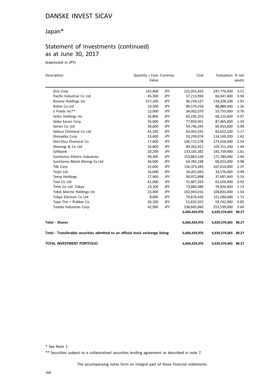# Japan\*

# Statement of Investments (continued) as at June 30, 2017

(expressed in JPY)

| Description                                                                    | Quantity / Face Currency |            | Cost          | Evaluation % net    |        |
|--------------------------------------------------------------------------------|--------------------------|------------|---------------|---------------------|--------|
|                                                                                | Value                    |            |               |                     | assets |
| Orix Corp                                                                      | 142,400                  | JPY        | 225,955,435   | 247,776,000         | 3.51   |
| Pacific Industrial Co Ltd                                                      | 45,300                   | JPY        | 57,213,994    | 66,047,400          | 0.94   |
| Resona Holdings Inc                                                            | 217,200                  | JPY        | 96,234,527    | 134,338,200         | 1.91   |
| Rohm Co.Ltd                                                                    | 10,300                   | JPY        | 89,179,259    | 88,889,000          | 1.26   |
| S Foods Inc**                                                                  | 13,000                   | JPY        | 34,002,070    | 53,755,000          | 0.76   |
| Seibu Holdings Inc                                                             | 32,800                   | JPY        | 65,191,553    | 68,125,600          | 0.97   |
| Seiko Epson Corp                                                               | 35,000                   | JPY        | 77,859,951    | 87,465,000          | 1.24   |
| Seiren Co Ltd                                                                  | 39,600                   | JPY        | 54,746,345    | 69,933,600          | 0.99   |
| Sekisui Chemical Co Ltd                                                        | 41,100                   | JPY        | 63,963,591    | 82,652,100          | 1.17   |
| Shimadzu Corp                                                                  | 53,400                   | JPY        | 93,209,074    | 114,169,200         | 1.62   |
| Shin-Etsu Chemical Co                                                          | 17,600                   | JPY        | 146,722,578   | 179,256,000         | 2.54   |
| Shionogi & Co Ltd                                                              | 16,800                   | JPY        | 89,362,452    | 105,151,200         | 1.49   |
| Softbank                                                                       | 20,200                   | JPY        | 133,105,382   | 183,759,400         | 2.61   |
| Sumitomo Electric Industries                                                   | 99,300                   | <b>JPY</b> | 153,883,528   | 171,789,000         | 2.44   |
| Sumitomo Metal Mining Co.Ltd                                                   | 46,000                   | JPY        | 64,783,198    | 69,023,000          | 0.98   |
| <b>Tdk Corp</b>                                                                | 22,600                   | <b>JPY</b> | 156,373,445   | 167,014,000         | 2.37   |
| Teijin Ltd                                                                     | 16,000                   | JPY        | 34,201,043    | 34,576,000          | 0.49   |
| <b>Temp Holdings</b>                                                           | 17,900                   | JPY        | 30,972,898    | 37,697,400          | 0.53   |
| Toei Co Ltd                                                                    | 61,000                   | JPY        | 52,807,263    | 65,026,000          | 0.92   |
| Toho Co Ltd .Tokyo                                                             | 23,100                   | JPY        | 73,882,080    | 79,926,000          | 1.13   |
| Tokio Marine Holdings Inc                                                      | 23,400                   | JPY        | 102,943,016   | 108,833,400         | 1.54   |
| Tokyo Electron Co Ltd                                                          | 8,000                    | <b>JPY</b> | 74,674,426    | 121,280,000         | 1.72   |
| Toyo Tire + Rubber Co                                                          | 26,100                   | JPY        | 51,632,923    | 59,742,900          | 0.85   |
| Toyota Industries Corp                                                         | 42,900                   | JPY        | 238,605,840   | 253,539,000         | 3.60   |
|                                                                                |                          |            | 6,066,429,976 | 6,929,374,665       | 98.27  |
| <b>Total - Shares</b>                                                          |                          |            | 6,066,429,976 | 6,929,374,665 98.27 |        |
| Total - Transferable securities admitted to an official stock exchange listing |                          |            | 6,066,429,976 | 6,929,374,665 98.27 |        |
| <b>TOTAL INVESTMENT PORTFOLIO</b>                                              |                          |            | 6,066,429,976 | 6,929,374,665 98.27 |        |

\* See Note 1.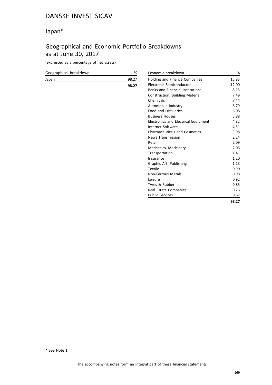## Japan\*

# Geographical and Economic Portfolio Breakdowns as at June 30, 2017

(expressed as a percentage of net assets)

| Geographical breakdown | %     | Economic breakdown                      | %     |
|------------------------|-------|-----------------------------------------|-------|
| Japan                  | 98.27 | Holding and Finance Companies           | 15.83 |
|                        | 98.27 | Electronic Semiconductor                | 12.00 |
|                        |       | <b>Banks and Financial Institutions</b> | 8.15  |
|                        |       | Construction, Building Material         | 7.49  |
|                        |       | Chemicals                               | 7.44  |
|                        |       | Automobile Industry                     | 6.79  |
|                        |       | <b>Food and Distilleries</b>            | 6.08  |
|                        |       | <b>Business Houses</b>                  | 5.88  |
|                        |       | Electronics and Electrical Equipment    | 4.82  |
|                        |       | Internet Software                       | 4.51  |
|                        |       | <b>Pharmaceuticals and Cosmetics</b>    | 3.98  |
|                        |       | <b>News Transmission</b>                | 2.24  |
|                        |       | Retail                                  | 2.09  |
|                        |       | Mechanics, Machinery                    | 2.06  |
|                        |       | Transportation                          | 1.41  |
|                        |       | Insurance                               | 1.20  |
|                        |       | Graphic Art, Publishing                 | 1.13  |
|                        |       | Textile                                 | 0.99  |
|                        |       | <b>Non-Ferrous Metals</b>               | 0.98  |
|                        |       | Leisure                                 | 0.92  |
|                        |       | Tyres & Rubber                          | 0.85  |
|                        |       | Real Estate Companies                   | 0.76  |
|                        |       | <b>Public Services</b>                  | 0.67  |
|                        |       |                                         |       |

\* See Note 1.

**98.27**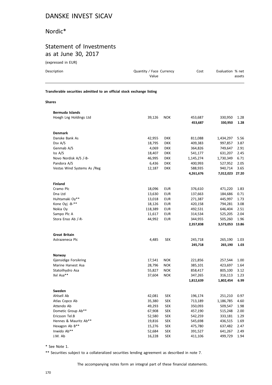#### Nordic\*

## Statement of Investments as at June 30, 2017

(expressed in EUR)

| Description                                                            | Quantity / Face Currency<br>Value |            | Cost               | Evaluation % net   | assets       |
|------------------------------------------------------------------------|-----------------------------------|------------|--------------------|--------------------|--------------|
| Transferable securities admitted to an official stock exchange listing |                                   |            |                    |                    |              |
| <b>Shares</b>                                                          |                                   |            |                    |                    |              |
| <b>Bermuda Islands</b>                                                 |                                   |            |                    |                    |              |
| Hoegh Lng Holdings Ltd                                                 | 39,126                            | <b>NOK</b> | 453,687<br>453,687 | 330,950<br>330,950 | 1.28<br>1.28 |
| <b>Denmark</b>                                                         |                                   |            |                    |                    |              |
| Danske Bank As                                                         | 42,955                            | <b>DKK</b> | 811,088            | 1,434,297          | 5.56         |
| Dsv A/S                                                                | 18,795                            | <b>DKK</b> | 409,383            | 997,857            | 3.87         |
| Genmab A/S                                                             | 4,069                             | <b>DKK</b> | 364,826            | 749,647            | 2.91         |
| Iss A/S                                                                | 18,407                            | <b>DKK</b> | 541,177            | 631,207            | 2.45         |
| Novo Nordisk A/S /-B-                                                  | 46,995                            | <b>DKK</b> | 1,145,274          | 1,730,349          | 6.71         |
| Pandora A/S                                                            | 6,436                             | <b>DKK</b> | 400,993            | 527,952            | 2.05         |
| Vestas Wind Systems As /Reg                                            | 12,187                            | <b>DKK</b> | 588,935            | 940,714            | 3.65         |
|                                                                        |                                   |            | 4,261,676          | 7,012,023 27.20    |              |
| <b>Finland</b>                                                         |                                   |            |                    |                    |              |
| Cramo Plc                                                              | 18,096                            | <b>EUR</b> | 376,610            | 471,220            | 1.83         |
| Dna Ltd                                                                | 13,630                            | <b>EUR</b> | 137,663            | 184,686            | 0.71         |
| Huhtamaki Oy**                                                         | 13,018                            | <b>EUR</b> | 271,387            | 445,997            | 1.73         |
| Kone Oyj -B-**                                                         | 18,126                            | <b>EUR</b> | 420,158            | 794,281            | 3.08         |
| Nokia Oy                                                               | 118,389                           | <b>EUR</b> | 492,531            | 646,404            | 2.51         |
| Sampo Plc A                                                            | 11,617                            | <b>EUR</b> | 314,534            | 525,205            | 2.04         |
| Stora Enso Ab /-R-                                                     | 44,992                            | <b>EUR</b> | 344,955            | 505,260            | 1.96         |
|                                                                        |                                   |            | 2,357,838          | 3,573,053 13.86    |              |

| Astrazeneca Plc       | 4,485  | <b>SEK</b> | 245,718   | 265,190   | 1.03 |
|-----------------------|--------|------------|-----------|-----------|------|
|                       |        |            | 245,718   | 265,190   | 1.03 |
|                       |        |            |           |           |      |
| Norway                |        |            |           |           |      |
| Gjensidige Forsikring | 17,541 | <b>NOK</b> | 221,856   | 257,544   | 1.00 |
| Marine Harvest Asa    | 28,796 | <b>NOK</b> | 385,101   | 423,697   | 1.64 |
| Statoilhydro Asa      | 55,827 | <b>NOK</b> | 858,417   | 805,100   | 3.12 |
| Xxl Asa**             | 37,604 | <b>NOK</b> | 347,265   | 316,113   | 1.23 |
|                       |        |            | 1,812,639 | 1,802,454 | 6.99 |
|                       |        |            |           |           |      |
| Sweden                |        |            |           |           |      |
| Ahlsell Ab            | 42,081 | <b>SEK</b> | 196,174   | 251,210   | 0.97 |
| Atlas Copco Ab        | 35,380 | <b>SEK</b> | 713,189   | 1,186,785 | 4.60 |
| Attendo Ab            | 49,293 | <b>SEK</b> | 350,093   | 509,547   | 1.98 |
| Dometic Group Ab**    | 67,908 | <b>SEK</b> | 457,190   | 515,248   | 2.00 |
| Ericsson Tel.B        | 52,580 | <b>SEK</b> | 542,259   | 333,181   | 1.29 |
| Hennes & Mauritz Ab** | 19,816 | <b>SEK</b> | 545,698   | 436,515   | 1.69 |
| Hexagon Ab B**        | 15,276 | <b>SEK</b> | 475,780   | 637,482   | 2.47 |
| Inwido Ab**           | 52,684 | <b>SEK</b> | 391,527   | 641,267   | 2.49 |
| J.M. Ab               | 16,228 | <b>SEK</b> | 411,106   | 499,729   | 1.94 |

\* See Note 1.

\*\* Securities subject to a collateralized securities lending agreement as described in note 7.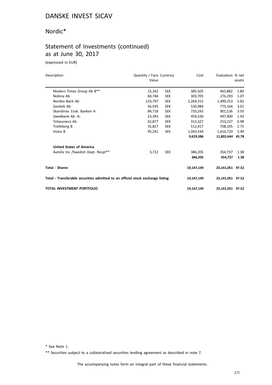#### Nordic\*

## Statement of Investments (continued) as at June 30, 2017

(expressed in EUR)

| Description                                                                    | Quantity / Face Currency<br>Value |            | Cost       | Evaluation % net | assets |
|--------------------------------------------------------------------------------|-----------------------------------|------------|------------|------------------|--------|
| Modern Times Group Ab B**                                                      | 15,342                            | <b>SEK</b> | 385,505    | 463.882          | 1.80   |
| Nobina Ab                                                                      | 60.746                            | <b>SEK</b> | 303,705    | 276,293          | 1.07   |
| Nordea Bank Ab                                                                 | 133,797                           | <b>SEK</b> | 1,264,315  | 1,499,253        | 5.82   |
| Sandvik Ab                                                                     | 56,595                            | <b>SEK</b> | 530,984    | 775,164          | 3.01   |
| Skandinav, Ensk, Banken A                                                      | 84,718                            | <b>SEK</b> | 733,243    | 901.136          | 3.50   |
| Swedbank Ab -A-                                                                | 23,393                            | <b>SEK</b> | 459,330    | 497,900          | 1.93   |
| Teliasonera Ab                                                                 | 62,877                            | <b>SEK</b> | 313,327    | 253,227          | 0.98   |
| Trelleborg B                                                                   | 35,827                            | <b>SEK</b> | 512,417    | 708,105          | 2.75   |
| Volvo B                                                                        | 95,241                            | <b>SEK</b> | 1,043,544  | 1,416,720        | 5.49   |
|                                                                                |                                   |            | 9,629,386  | 11.802.644 45.78 |        |
| <b>United States of America</b>                                                |                                   |            |            |                  |        |
| Autoliv Inc /Swedish Dept. Recpt**                                             | 3,722                             | <b>SEK</b> | 386,205    | 354,737          | 1.38   |
|                                                                                |                                   |            | 386,205    | 354.737          | 1.38   |
| <b>Total - Shares</b>                                                          |                                   |            | 19,147,149 | 25,141,051 97.52 |        |
| Total - Transferable securities admitted to an official stock exchange listing |                                   |            | 19,147,149 | 25,141,051 97.52 |        |
| <b>TOTAL INVESTMENT PORTFOLIO</b>                                              |                                   |            | 19,147,149 | 25,141,051 97.52 |        |

\* See Note 1.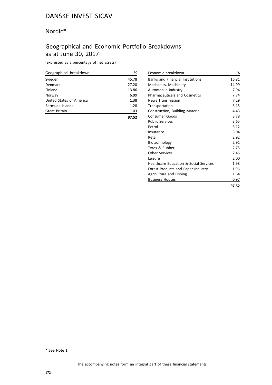#### Nordic\*

# Geographical and Economic Portfolio Breakdowns as at June 30, 2017

(expressed as a percentage of net assets)

| Geographical breakdown   | ℅     |
|--------------------------|-------|
| Sweden                   | 45.78 |
| Denmark                  | 27.20 |
| Finland                  | 13.86 |
| Norway                   | 6.99  |
| United States of America | 1.38  |
| Bermuda Islands          | 1.28  |
| <b>Great Britain</b>     | 1.03  |
|                          |       |

| Economic breakdown                      | %     |
|-----------------------------------------|-------|
| <b>Banks and Financial Institutions</b> | 16.81 |
| Mechanics, Machinery                    | 14.99 |
| Automobile Industry                     | 7.94  |
| <b>Pharmaceuticals and Cosmetics</b>    | 7.74  |
| <b>News Transmission</b>                | 7.29  |
| Transportation                          | 5.15  |
| Construction, Building Material         | 4.43  |
| Consumer Goods                          | 3.78  |
| <b>Public Services</b>                  | 3.65  |
| Petrol                                  | 3.12  |
| Insurance                               | 3.04  |
| Retail                                  | 2.92  |
| Biotechnology                           | 2.91  |
| Tyres & Rubber                          | 2.75  |
| Other Services                          | 2.45  |
| Leisure                                 | 2.00  |
| Healthcare Education & Social Services  | 1.98  |
| Forest Products and Paper Industry      | 1.96  |
| Agriculture and Fishing                 | 1.64  |
| <b>Business Houses</b>                  | 0.97  |
|                                         | 97.52 |

\* See Note 1.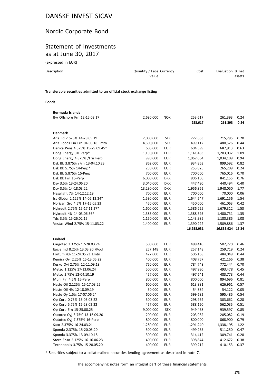## Nordic Corporate Bond

## Statement of Investments as at June 30, 2017

(expressed in EUR)

| Description                                                            | Quantity / Face Currency<br>Value | Evaluation % net<br>Cost |  |
|------------------------------------------------------------------------|-----------------------------------|--------------------------|--|
| Transferable securities admitted to an official stock exchange listing |                                   |                          |  |

#### **Bonds**

| Bermuda Islands                  |            |            |            |            |       |
|----------------------------------|------------|------------|------------|------------|-------|
| Bw Offshore Frn 12-15.03.17      | 2,680,000  | <b>NOK</b> | 253,617    | 261,393    | 0.24  |
|                                  |            |            | 253,617    | 261,393    | 0.24  |
| <b>Denmark</b>                   |            |            |            |            |       |
| Arla Fd 2.625% 14-28.05.19       | 2,000,000  | <b>SEK</b> | 222,663    | 215,295    | 0.20  |
| Arla Foods Fin Frn 04.06.18 Emtn | 4,600,000  | <b>SEK</b> | 499,112    | 480,526    | 0.44  |
| Danica Pens 4.375% 15-29.09.45*  | 606,000    | <b>EUR</b> | 604,599    | 687,913    | 0.63  |
| Dong Energy 3% Perp*             | 1,150,000  | <b>EUR</b> | 1,141,483  | 1,203,032  | 1.09  |
| Dong Energy 4.875% /Frn Perp     | 990,000    | <b>EUR</b> | 1,067,664  | 1,034,109  | 0.94  |
| Dsk Bk 3.875% /Frn 13-04.10.23   | 862,000    | <b>EUR</b> | 934,863    | 899,592    | 0.82  |
| Dsk Bk 5.75% 14-Perp*            | 250,000    | <b>EUR</b> | 253,825    | 265,209    | 0.24  |
| Dsk Bk 5.875% 15-Perp            | 700,000    | <b>EUR</b> | 700,000    | 765,016    | 0.70  |
| Dsk Bk Frn 16-Perp               | 6,000,000  | <b>DKK</b> | 806,106    | 841,155    | 0.76  |
| Dsv 3.5% 13-24.06.20             | 3,040,000  | <b>DKK</b> | 447,480    | 440,494    | 0.40  |
| Dsv 3.5% 14-18.03.22             | 13,290,000 | <b>DKK</b> | 1,956,862  | 1,948,050  | 1.77  |
| Hesalight 7% 14-12.12.19         | 700,000    | <b>EUR</b> | 700,000    | 70,000     | 0.06  |
| Iss Global 2.125% 14-02.12.24*   | 1,590,000  | <b>EUR</b> | 1,644,547  | 1,691,156  | 1.54  |
| Norican Gro 4.5% 17-15.05.23     | 450,000    | <b>EUR</b> | 450,000    | 461,063    | 0.42  |
| Nykredit 2.75% 15-17.11.27*      | 1,600,000  | <b>EUR</b> | 1,586,225  | 1,679,312  | 1.53  |
| Nykredit 4% 14-03.06.36*         | 1,385,000  | <b>EUR</b> | 1,388,395  | 1,480,731  | 1.35  |
| Tdc 3.5% 15-26.02.15             | 1,150,000  | EUR        | 1,143,985  | 1,183,385  | 1.08  |
| Vestas Wind 2.75% 15-11.03.22    | 1,400,000  | <b>EUR</b> | 1,390,222  | 1,509,886  | 1.37  |
|                                  |            |            | 16,938,031 | 16,855,924 | 15.34 |
| <b>Finland</b>                   |            |            |            |            |       |
| Cargotec 2.375% 17-28.03.24      | 500,000    | <b>EUR</b> | 498,410    | 502,720    | 0.46  |
| Eagle Ind 8.25% 13.03.20 / Pool  | 257,148    | <b>EUR</b> | 257,148    | 259,719    | 0.24  |
| Fortum 4% 11-24.05.21 Emtn       | 427,000    | <b>EUR</b> | 506,168    | 484,049    | 0.44  |
| Kemira Oyj 2.25% 15-13.05.22     | 400,000    | <b>EUR</b> | 408,757    | 421,166    | 0.38  |
| Kesko Oyj 2.75% 12-11.09.18      | 750,000    | <b>EUR</b> | 784,748    | 772,444    | 0.70  |
| Metso 1.125% 17-13.06.24         | 500,000    | EUR        | 497,930    | 493,478    | 0.45  |
| Metso 2.75% 12-04.10.19          | 457,000    | <b>EUR</b> | 497,641    | 483,773    | 0.44  |
| Muni Fin 4.5% 15-Perp            | 800,000    | <b>EUR</b> | 800,000    | 894,696    | 0.81  |
| Neste Oil 2.125% 15-17.03.22     | 600,000    | <b>EUR</b> | 613,881    | 626,961    | 0.57  |
| Neste Oil 4% 12-18.09.19         | 50,000     | <b>EUR</b> | 54,884     | 54,122     | 0.05  |
| Neste Oy 1.5% 17-07.06.24        | 600,000    | <b>EUR</b> | 599,682    | 595,485    | 0.54  |
| Op Corp 0.75% 15-03.03.22        | 300,000    | EUR        | 298,962    | 303,662    | 0.28  |
| Op Corp 5.75% 12-28.02.22        | 457,000    | <b>EUR</b> | 588,150    | 562,035    | 0.51  |
| Op Corp Frn 15-25.08.25          | 9,000,000  | <b>SEK</b> | 949,458    | 939,597    | 0.85  |
| Outotec Oyj 3.75% 13-16.09.20    | 200,000    | <b>EUR</b> | 203,982    | 205,082    | 0.19  |
| Outotec Oyj 7.375% 16-Perp       | 800,000    | <b>EUR</b> | 800,000    | 868,900    | 0.79  |
| Sato 2.375% 16-24.03.21          | 1,280,000  | <b>EUR</b> | 1,291,240  | 1,338,195  | 1.22  |
| Sponda 2.375% 15-20.05.20        | 500,000    | <b>EUR</b> | 499,255    | 511,250    | 0.47  |
| Sponda 3.375% 13-09.10.18        | 300,000    | <b>EUR</b> | 314,412    | 309,741    | 0.28  |
| Stora Enso 2.125% 16-16.06.23    | 400,000    | <b>EUR</b> | 398,844    | 412,672    | 0.38  |
| Technopolis 3.75% 15-28.05.20    | 400,000    | <b>EUR</b> | 399,212    | 410,153    | 0.37  |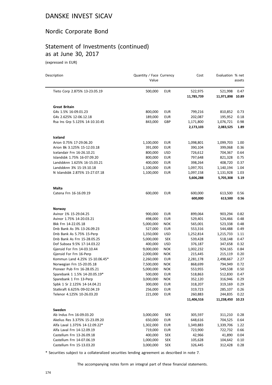## Nordic Corporate Bond

#### Statement of Investments (continued) as at June 30, 2017

(expressed in EUR)

| Description                                             | Quantity / Face Currency<br>Value |                          | Cost               | Evaluation % net   | assets       |
|---------------------------------------------------------|-----------------------------------|--------------------------|--------------------|--------------------|--------------|
| Tieto Corp 2.875% 13-23.05.19                           | 500,000                           | <b>EUR</b>               | 522,975            | 521,998            | 0.47         |
|                                                         |                                   |                          | 11,785,739         | 11,971,898 10.89   |              |
| <b>Great Britain</b>                                    |                                   |                          |                    |                    |              |
| G4s 1.5% 16-09.01.23                                    | 800,000                           | <b>EUR</b>               | 799,216            | 810,852            | 0.73         |
| G4s 2.625% 12-06.12.18                                  | 189,000                           | <b>EUR</b>               | 202,087            | 195,952            | 0.18         |
| Rsa Ins Grp 5.125% 14-10.10.45                          | 843,000                           | GBP                      | 1,171,800          | 1,076,721          | 0.98         |
|                                                         |                                   |                          | 2,173,103          | 2,083,525          | 1.89         |
| Iceland                                                 |                                   |                          |                    |                    |              |
| Arion 0.75% 17-29.06.20                                 | 1,100,000                         | EUR                      | 1,098,801          | 1,099,703          | 1.00         |
| Arion Bk 3.125% 15-12.03.18                             | 391,000                           | <b>EUR</b>               | 390,104            | 399,068            | 0.36         |
| Icelandair Frn 16-26.10.21                              | 800,000                           | <b>USD</b>               | 726,612            | 704,367            | 0.64         |
| Islandsbk 1.75% 16-07.09.20                             | 800,000                           | <b>EUR</b>               | 797,648            | 821,328            | 0.75         |
| Landsbknn 1.625% 16-15.03.21                            | 400,000                           | <b>EUR</b>               | 398,264            | 408,720            | 0.37         |
| Landsbknn 3% 15-19.10.18                                | 1,100,000                         | <b>EUR</b>               | 1,097,701          | 1,140,194          | 1.04         |
| N Islandsbk 2.875% 15-27.07.18                          | 1,100,000                         | <b>EUR</b>               | 1,097,158          | 1,131,928          | 1.03         |
|                                                         |                                   |                          | 5,606,288          | 5,705,308          | 5.19         |
| <b>Malta</b>                                            |                                   |                          |                    |                    |              |
| Catena Frn 16-16.09.19                                  | 600,000                           | EUR                      | 600,000            | 613,500            | 0.56         |
|                                                         |                                   |                          | 600,000            | 613,500            | 0.56         |
| Norway                                                  |                                   |                          |                    |                    |              |
| Avinor 1% 15-29.04.25                                   | 900,000                           | EUR                      | 899,064            | 903,294            | 0.82         |
| Avinor 1.75% 14-20.03.21                                | 498,000                           | <b>EUR</b>               | 529,401            | 524,466            | 0.48         |
| Bkk Frn 14-22.05.18                                     | 5,000,000                         | <b>NOK</b>               | 565,001            | 523,338            | 0.48         |
| Dnb Bank As 3% 13-26.09.23                              | 527,000                           | <b>EUR</b>               | 553,316            | 544,488            | 0.49         |
| Dnb Bank As 5.75% 15-Perp                               | 1,350,000                         | <b>USD</b>               | 1,252,814          | 1,215,733          | 1.11         |
| Dnb Bank As Frn 15-28.05.25                             | 5,000,000                         | <b>SEK</b>               | 539,428            | 518,148            | 0.47         |
| Dof Subsea 9.5% 17-14.03.22                             | 400,000                           | <b>USD</b>               | 376,187            | 347,658            | 0.32         |
| Gjensid For Frn 14-03.10.44                             | 9,000,000                         | <b>NOK</b>               | 1,002,232          | 924,165            | 0.84         |
| Gjensid For Frn 16-Perp                                 | 2,000,000                         | <b>NOK</b>               | 215,445            | 215,119            | 0.20         |
| Kommun Land 4.25% 15-10.06.45*                          | 2,260,000                         | <b>EUR</b>               | 2,281,178          | 2,498,667          | 2.27         |
| Norwegian Frn 15-20.05.18                               | 7,500,000                         | <b>NOK</b>               | 868,699            | 794,949            | 0.72         |
| Pioneer Pub Frn 16-28.05.21                             | 5,000,000                         | <b>NOK</b><br><b>EUR</b> | 553,955            | 549,538<br>512,830 | 0.50<br>0.47 |
| Sparebank 1 1.5% 14-20.05.19*                           | 500,000                           |                          | 518,863            |                    |              |
| Sparebank 1 Frn 13-Perp<br>Spbk 1 Sr 2.125% 14-14.04.21 | 3,000,000<br>300,000              | NOK<br>EUR               | 352,120<br>318,207 | 316,946<br>319,169 | 0.29<br>0.29 |
| Statkraft 6.625% 09-02.04.19                            | 256,000                           | <b>EUR</b>               | 319,723            | 285,107            | 0.26         |
| Telenor 4.125% 10-26.03.20                              | 221,000                           | <b>EUR</b>               | 260,883            | 244,835            | 0.22         |
|                                                         |                                   |                          | 11,406,516         | 11,238,450 10.23   |              |
| Sweden                                                  |                                   |                          |                    |                    |              |
| Ab Indus Frn 16-09.03.20                                | 3,000,000                         | <b>SEK</b>               | 305,597            | 311,210            | 0.28         |
| Akelius Res 3.375% 15-23.09.20                          | 650,000                           | <b>EUR</b>               | 648,616            | 704,525            | 0.64         |
| Alfa Laval 1.375% 14-12.09.22*                          | 1,302,000                         | <b>EUR</b>               | 1,349,883          | 1,339,706          | 1.22         |
| Alfa Laval Frn 14-12.09.19                              | 719,000                           | <b>EUR</b>               | 723,900            | 722,732            | 0.66         |
| Castellum Frn 13-26.09.18                               | 400,000                           | <b>SEK</b>               | 42,966             | 41,890             | 0.04         |
| Castellum Frn 14-07.06.19                               | 1,000,000                         | <b>SEK</b>               | 105,628            | 104,642            | 0.10         |
| Castellum Frn 15-13.03.20                               | 3,000,000                         | <b>SEK</b>               | 326,445            | 312,428            | 0.28         |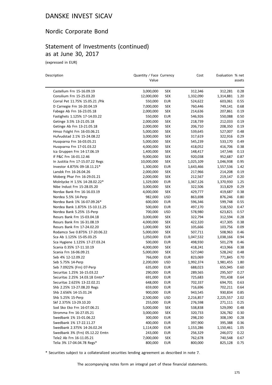## Nordic Corporate Bond

## Statement of Investments (continued) as at June 30, 2017

(expressed in EUR)

| Description                      | Quantity / Face Currency |                   | Cost      | Evaluation % net |        |  |
|----------------------------------|--------------------------|-------------------|-----------|------------------|--------|--|
|                                  | Value                    |                   |           |                  | assets |  |
| Castellum Frn 15-16.09.19        | 3,000,000                | <b>SEK</b>        | 312,346   | 312,281          | 0.28   |  |
| Consilium Frn 15-25.03.20        | 12,000,000               | <b>SEK</b>        | 1,332,090 | 1,314,881        | 1.20   |  |
| Corral Pet 11.75% 15.05.21 / Pik | 550,000                  | <b>EUR</b>        | 524,622   | 603,061          | 0.55   |  |
| D Carnegie Frn 16-20.04.19       | 7,000,000                | <b>SEK</b>        | 760,446   | 749,141          | 0.68   |  |
| Fabege Ab Frn 16-23.05.18        | 2,000,000                | <b>SEK</b>        | 214,636   | 207,861          | 0.19   |  |
| Fastighets 1.125% 17-14.03.22    | 550,000                  | <b>EUR</b>        | 546,926   | 550,088          | 0.50   |  |
| Getinge 3.5% 13-21.05.18         | 2,000,000                | <b>SEK</b>        | 218,739   | 212,033          | 0.19   |  |
| Getinge Ab Frn 13-21.05.18       | 2,000,000                | <b>SEK</b>        | 206,710   | 208,350          | 0.19   |  |
| Hmso Fstght Frn 16-03.06.21      | 5,000,000                | <b>SEK</b>        | 539,645   | 527,007          | 0.48   |  |
| Hufvudstad 2.1% 15-24.08.22      | 3,000,000                | <b>SEK</b>        | 317,619   | 322,916          | 0.29   |  |
| Husqvarna Frn 16-03.05.21        | 5,000,000                | <b>SEK</b>        | 545,239   | 533,170          | 0.49   |  |
| Husqvarna Frn 17-01.03.22        | 4,000,000                | <b>SEK</b>        | 418,052   | 416,706          | 0.38   |  |
| Ica Gruppen Frn 14-17.06.19      | 1,400,000                | <b>SEK</b>        | 148,417   | 147,546          | 0.13   |  |
| If P&C Frn 16-01.12.46           | 9,000,000                | <b>SEK</b>        | 920,038   | 952,687          | 0.87   |  |
| In Justitia Frn 17-15.07.22 Regs | 10,000,000               | <b>SEK</b>        | 1,025,109 | 1,046,938        | 0.95   |  |
| Investor 4.875% 09-18.11.21*     | 1,300,000                | <b>EUR</b>        | 1,643,466 | 1,557,536        | 1.42   |  |
| Lansbk Frn 16-26.04.26           | 2,000,000                | <b>SEK</b>        | 217,966   | 214,208          | 0.19   |  |
| Moberg Phar Frn 16-29.01.21      | 2,000,000                | <b>SEK</b>        | 212,567   | 219,147          | 0.20   |  |
| Molnlycke H 1.5% 14-28.02.22*    | 1,329,000                | <b>EUR</b>        | 1,367,126 | 1,370,930        | 1.25   |  |
| Nibe Indust Frn 15-28.05.20      | 3,000,000                | <b>SEK</b>        | 322,506   | 313,829          | 0.29   |  |
| Nordax Bank Frn 16-16.03.19      | 4,000,000                | <b>SEK</b>        | 429,777   | 419,687          | 0.38   |  |
| Nordea 5.5% 14-Perp              | 982,000                  | <b>USD</b>        | 863,698   | 876,246          | 0.80   |  |
| Nordea Bank 1% 16-07.09.26*      | 600,000                  | <b>EUR</b>        | 596,346   | 599,748          | 0.55   |  |
| Nordea Bank 1.875% 15-10.11.25   | 500,000                  | <b>EUR</b>        | 497,170   | 518,550          | 0.47   |  |
| Nordea Bank 5.25% 15-Perp        | 700,000                  | <b>USD</b>        | 578,980   | 623,821          | 0.57   |  |
| Resurs Bank Frn 15-03.04.18      | 3,000,000                | <b>SEK</b>        | 322,794   | 312,594          | 0.28   |  |
| Resurs Bank Frn 16-31.08.19      | 4,000,000                | <b>SEK</b>        | 422,320   | 417,305          | 0.38   |  |
| Resurs Bank Frn 17-24.02.20      | 1,000,000                | <b>SEK</b>        | 105,666   | 103,756          | 0.09   |  |
| Rodamco Sve 0.875% 17-20.06.22   | 5,000,000                | <b>SEK</b>        | 507,711   | 508,963          | 0.46   |  |
| Sca Ab 1.125% 15-05.03.25        | 1,050,000                | <b>EUR</b>        | 1,047,532 | 1,038,166        | 0.94   |  |
| Sca Hygiene 1.125% 17-27.03.24   | 500,000                  | <b>EUR</b>        | 498,930   | 501,278          | 0.46   |  |
| Scania 0.35% 17-11.10.19         | 4,000,000                | <b>SEK</b>        | 418,241   | 413,966          | 0.38   |  |
| Scania Frn 16-06.09.21           | 5,000,000                | <b>SEK</b>        | 527,040   | 528,242          | 0.48   |  |
| Seb 4% 12-12.09.22               | 766,000                  | <b>EUR</b>        | 823,069   | 771,845          | 0.70   |  |
| Seb 5.75% 14-Perp                | 2,200,000                | <b>USD</b>        | 1,992,374 | 1,981,455        | 1.80   |  |
| Seb 7.0922% (Frn) 07-Perp        | 635,000                  | EUR               | 688,023   | 655,945          | 0.60   |  |
| Securitas 1.25% 16-15.03.22      | 290,000                  | <b>EUR</b>        | 289,565   | 295,507          | 0.27   |  |
| Securitas 2.25% 14.03.18 Emtn*   | 691,000                  | <b>EUR</b>        | 725,683   | 701,438          | 0.64   |  |
| Securitas 2.625% 13-22.02.21     | 648,000                  |                   | 702,337   | 694,701          | 0.63   |  |
| Shb 2.25% 13-27.08.20 Regs       | 659,000                  | EUR<br><b>EUR</b> |           | 702,211          |        |  |
| Shb 2.656% 14-15.01.24           | 900,000                  |                   | 716,696   |                  | 0.64   |  |
|                                  |                          | <b>EUR</b>        | 943,545   | 930,834          | 0.85   |  |
| Shb 5.25% 15-Perp                | 2,500,000                | <b>USD</b>        | 2,216,857 | 2,225,557        | 2.02   |  |
| Skf 2.375% 13-29.10.20           | 255,000                  | <b>EUR</b>        | 276,598   | 271,111          | 0.25   |  |
| Sod Sko Eko Frn 16-07.06.21      | 5,000,000                | <b>SEK</b>        | 538,838   | 529,090          | 0.48   |  |
| Stromma Frn 16-27.05.21          | 3,000,000                | <b>SEK</b>        | 320,733   | 326,782          | 0.30   |  |
| Swedbank 1% 15-01.06.22          | 300,000                  | EUR               | 298,230   | 308,190          | 0.28   |  |
| Swedbank 1% 17-22.11.27          | 400,000                  | <b>EUR</b>        | 397,900   | 395,388          | 0.36   |  |
| Swedbank 2.375% 14-26.02.24      | 1,114,000                | <b>EUR</b>        | 1,153,286 | 1,150,461        | 1.05   |  |
| Swedbank 3% (Frn) 05.12.22 Emtn  | 243,000                  | <b>EUR</b>        | 256,329   | 246,072          | 0.22   |  |
| Tele2 Ab Frn 16-11.05.21         | 7,000,000                | <b>SEK</b>        | 762,678   | 740,548          | 0.67   |  |
| Telia 3% 17-04.04.78 Regs*       | 800,000                  | <b>EUR</b>        | 800,000   | 825,128          | 0.75   |  |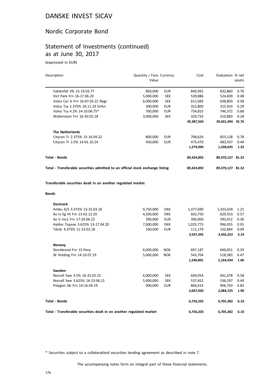# Nordic Corporate Bond

#### Statement of Investments (continued) as at June 30, 2017

(expressed in EUR)

| Description                                                                    | Quantity / Face Currency<br>Value |            | Cost       | Evaluation % net | assets |
|--------------------------------------------------------------------------------|-----------------------------------|------------|------------|------------------|--------|
| Vattenfall 3% 15-19.03.77                                                      | 850,000                           | <b>EUR</b> | 840,941    | 832,860          | 0.76   |
| Vict Park Frn 16-17.06.20                                                      | 5,000,000                         | <b>SEK</b> | 539,886    | 524,609          | 0.48   |
| Volvo Car A Frn 16-07.03.22 Regs                                               | 6,000,000                         | <b>SEK</b> | 612,083    | 638,803          | 0.58   |
| Volvo Tsy 2.375% 26.11.19 Emtn                                                 | 300,000                           | <b>EUR</b> | 322,800    | 315,933          | 0.29   |
| Volvo Tsy 4.2% 14-10.06.75*                                                    | 700,000                           | <b>EUR</b> | 734,815    | 746,372          | 0.68   |
| Wallenstam Frn 16-30.05.18                                                     | 3,000,000                         | <b>SEK</b> | 320,733    | 310,883          | 0.28   |
|                                                                                |                                   |            | 39,387,504 | 39,301,494 35.76 |        |
| <b>The Netherlands</b>                                                         |                                   |            |            |                  |        |
| Citycon Tr 2.375% 15-16.09.22                                                  | 800,000                           | <b>EUR</b> | 798,624    | 855,128          | 0.78   |
| Citycon Tr 2.5% 14-01.10.24                                                    | 450,000                           | <b>EUR</b> | 475,470    | 483,507          | 0.44   |
|                                                                                |                                   |            | 1,274,094  | 1,338,635        | 1.22   |
| Total - Bonds                                                                  |                                   |            | 89,424,892 | 89,370,127 81.32 |        |
| Total - Transferable securities admitted to an official stock exchange listing |                                   |            | 89,424,892 | 89,370,127 81.32 |        |
| <b>Bonds</b>                                                                   |                                   |            |            |                  |        |
| <b>Denmark</b>                                                                 |                                   |            |            |                  |        |
| Ambu A/S 3.375% 13-15.03.18                                                    | 9,750,000                         | <b>DKK</b> | 1,377,690  | 1,333,639        | 1.21   |
| Ax Iv Eg HI Frn 13-02.12.20                                                    | 4,500,000                         | DKK        | 602,750    | 629,353          | 0.57   |
| Ax V Inv1 Frn 17-29.06.22                                                      | 390,000                           | <b>EUR</b> | 390,000    | 393,412          | 0.36   |
| Haldor Topsoe 3.625% 13-17.04.20                                               | 7,000,000                         | <b>DKK</b> | 1,025,773  | 996,955          | 0.91   |
| Tdcdc 4.375% 11-23.02.18                                                       | 100,000                           | <b>EUR</b> | 111,179    | 102,864          | 0.09   |
|                                                                                |                                   |            | 3,507,392  | 3,456,223        | 3.14   |
| Norway                                                                         |                                   |            |            |                  |        |
| Storebrand Frn 15-Perp                                                         | 6,000,000                         | <b>NOK</b> | 697,187    | 646,051          | 0.59   |
| W Holding Frn 14-10.07.19                                                      | 5,000,000                         | <b>NOK</b> | 543,704    | 518,383          | 0.47   |
|                                                                                |                                   |            | 1,240,891  | 1,164,434        | 1.06   |
| Sweden                                                                         |                                   |            |            |                  |        |
| Norcell Swe 3.5% 16-25.02.22                                                   | 6,000,000                         | <b>SEK</b> | 604,054    | 641,678          | 0.58   |
| Norcell Swe 3.625% 16-23.06.21                                                 | 5,000,000                         | <b>SEK</b> | 537,452    | 536,297          | 0.49   |
| Polygon Ab Frn 14-16.04.19                                                     | 900,000                           | <b>EUR</b> | 866,414    | 906,750          | 0.83   |
|                                                                                |                                   |            | 2,007,920  | 2,084,725        | 1.90   |
| Total - Bonds                                                                  |                                   |            | 6,756,203  | 6,705,382        | 6.10   |

**Total - Transferable securities dealt in on another regulated market 6,756,203 6,705,382 6.10**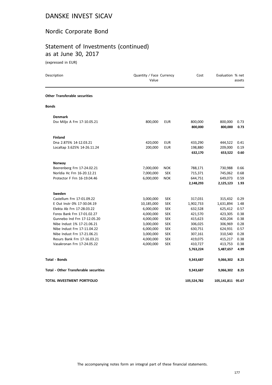## Nordic Corporate Bond

# Statement of Investments (continued) as at June 30, 2017

(expressed in EUR)

| Description                                  | Quantity / Face Currency<br>Value |            | Cost                 | Evaluation % net     | assets       |
|----------------------------------------------|-----------------------------------|------------|----------------------|----------------------|--------------|
| <b>Other Transferable securities</b>         |                                   |            |                      |                      |              |
| <b>Bonds</b>                                 |                                   |            |                      |                      |              |
| <b>Denmark</b>                               |                                   |            |                      |                      |              |
| Dsv Miljo A Frn 17-10.05.21                  | 800,000                           | EUR        | 800,000<br>800,000   | 800,000<br>800,000   | 0.73<br>0.73 |
| <b>Finland</b>                               |                                   |            |                      |                      |              |
| Dna 2.875% 14-12.03.21                       | 420,000                           | <b>EUR</b> | 433,290              | 444,522              | 0.41         |
| Localtap 3.625% 14-26.11.24                  | 200,000                           | <b>EUR</b> | 198,880              | 209,000              | 0.19         |
|                                              |                                   |            | 632,170              | 653,522              | 0.60         |
| Norway                                       |                                   |            |                      |                      |              |
| Beerenberg Frn 17-24.02.21                   | 7,000,000                         | <b>NOK</b> | 788,171              | 730,988              | 0.66         |
| Norldia Hc Frn 16-20.12.21                   | 7,000,000                         | <b>SEK</b> | 715,371              | 745,062              | 0.68         |
| Protector F Frn 16-19.04.46                  | 6,000,000                         | <b>NOK</b> | 644,751              | 649,073              | 0.59         |
|                                              |                                   |            | 2,148,293            | 2,125,123            | 1.93         |
| Sweden                                       |                                   |            |                      |                      |              |
| Castellum Frn 17-01.09.22                    | 3,000,000                         | <b>SEK</b> | 317,031              | 315,432              | 0.29         |
| E Out Instr 0% 17-30.04.19                   | 10,185,000                        | <b>SEK</b> | 1,902,733            | 1,631,894            | 1.48         |
| Elekta Ab Frn 17-28.03.22                    | 6,000,000                         | <b>SEK</b> | 632,528              | 625,412              | 0.57         |
| Forex Bank Frn 17-01.02.27                   | 4,000,000                         | <b>SEK</b> | 421,570              | 423,305              | 0.38         |
| Gunnebo Ind Frn 17-12.05.20                  | 4,000,000                         | <b>SEK</b> | 415,623              | 420,204              | 0.38         |
| Nibe Indust 1% 17-21.06.21                   | 3,000,000                         | <b>SEK</b> | 306,025              | 306,969              | 0.28         |
| Nibe Indust Frn 17-11.04.22                  | 6,000,000                         | <b>SEK</b> | 630,751              | 624,931              | 0.57         |
| Nibe Indust Frn 17-21.06.21                  | 3,000,000                         | <b>SEK</b> | 307,161              | 310,540              | 0.28         |
| Resurs Bank Frn 17-16.03.21                  | 4,000,000                         | <b>SEK</b> | 419,075              | 415,217              | 0.38         |
| Vasakronan Frn 17-24.05.22                   | 4,000,000                         | <b>SEK</b> | 410,727<br>5,763,224 | 413,753<br>5,487,657 | 0.38<br>4.99 |
|                                              |                                   |            |                      |                      |              |
| <b>Total - Bonds</b>                         |                                   |            | 9,343,687            | 9,066,302            | 8.25         |
| <b>Total - Other Transferable securities</b> |                                   |            | 9,343,687            | 9,066,302            | 8.25         |
| TOTAL INVESTMENT PORTFOLIO                   |                                   |            | 105,524,782          | 105,141,811 95.67    |              |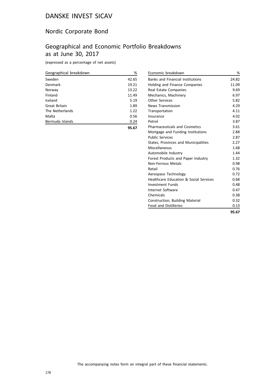## Nordic Corporate Bond

## Geographical and Economic Portfolio Breakdowns as at June 30, 2017

(expressed as a percentage of net assets)

| Geographical breakdown | %     |
|------------------------|-------|
| Sweden                 | 42.65 |
| Denmark                | 19.21 |
| Norway                 | 13.22 |
| Finland                | 11.49 |
| Iceland                | 5.19  |
| Great Britain          | 1.89  |
| The Netherlands        | 1.22  |
| Malta                  | 0.56  |
| Bermuda Islands        | 0.24  |
|                        | 95.67 |

| Economic breakdown                      | %     |
|-----------------------------------------|-------|
| <b>Banks and Financial Institutions</b> | 24.82 |
| <b>Holding and Finance Companies</b>    | 11.09 |
| Real Estate Companies                   | 9.69  |
| Mechanics, Machinery                    | 6.97  |
| <b>Other Services</b>                   | 5.82  |
| <b>News Transmission</b>                | 4.29  |
| Transportation                          | 4.11  |
| Insurance                               | 4.02  |
| Petrol                                  | 3.87  |
| <b>Pharmaceuticals and Cosmetics</b>    | 3.61  |
| Mortgage and Funding Institutions       | 2.88  |
| <b>Public Services</b>                  | 2.87  |
| States, Provinces and Municipalities    | 2.27  |
| Miscellaneous                           | 1.68  |
| Automobile Industry                     | 1.44  |
| Forest Products and Paper Industry      | 1.32  |
| <b>Non-Ferrous Metals</b>               | 0.98  |
| Retail                                  | 0.76  |
| Aerospace Technology                    | 0.72  |
| Healthcare Education & Social Services  | 0.68  |
| Investment Funds                        | 0.48  |
| Internet Software                       | 0.47  |
| Chemicals                               | 0.38  |
| Construction, Building Material         | 0.32  |
| <b>Food and Distilleries</b>            | 0.13  |
|                                         | 95.67 |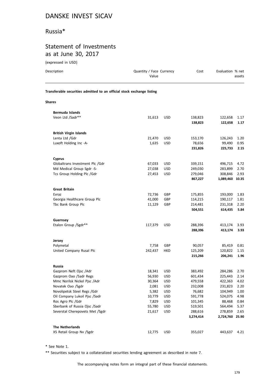## Russia\*

## Statement of Investments as at June 30, 2017

| (expressed in USD)                                                     |                                   |            |                    |                    |              |  |  |  |
|------------------------------------------------------------------------|-----------------------------------|------------|--------------------|--------------------|--------------|--|--|--|
| Description                                                            | Quantity / Face Currency<br>Value |            | Cost               | Evaluation % net   | assets       |  |  |  |
| Transferable securities admitted to an official stock exchange listing |                                   |            |                    |                    |              |  |  |  |
| <b>Shares</b>                                                          |                                   |            |                    |                    |              |  |  |  |
| Bermuda Islands                                                        |                                   |            |                    |                    |              |  |  |  |
| Veon Ltd /Sadr**                                                       | 31,613                            | <b>USD</b> | 138,823<br>138,823 | 122,658<br>122,658 | 1.17<br>1.17 |  |  |  |
| <b>British Virgin Islands</b>                                          |                                   |            |                    |                    |              |  |  |  |
| Lenta Ltd /Gdr                                                         | 21,470                            | <b>USD</b> | 153,170            | 126,243            | 1.20         |  |  |  |
| Luxoft Holding Inc -A-                                                 | 1,635                             | <b>USD</b> | 78,656<br>231,826  | 99,490<br>225,733  | 0.95<br>2.15 |  |  |  |
| <b>Cyprus</b>                                                          |                                   |            |                    |                    |              |  |  |  |
| Globaltrans Investment Plc /Gdr                                        | 67,033                            | <b>USD</b> | 339,151            | 496,715            | 4.72         |  |  |  |
| Md Medical Group Sgdr -S-                                              | 27,038                            | <b>USD</b> | 249,030            | 283,899            | 2.70         |  |  |  |
| Tcs Group Holding Plc /Gdr                                             | 27,453                            | <b>USD</b> | 279,046            | 308,846            | 2.93         |  |  |  |
|                                                                        |                                   |            | 867,227            | 1,089,460 10.35    |              |  |  |  |
| <b>Great Britain</b>                                                   |                                   |            |                    |                    |              |  |  |  |
| Evraz                                                                  | 72,736                            | GBP        | 175,855            | 193,000            | 1.83         |  |  |  |
| Georgia Healthcare Group Plc                                           | 41,000                            | GBP        | 114,215            | 190,117            | 1.81         |  |  |  |
| Tbc Bank Group Plc                                                     | 11,129                            | GBP        | 214,481            | 231,318            | 2.20         |  |  |  |
|                                                                        |                                   |            | 504,551            | 614,435            | 5.84         |  |  |  |
| Guernsey                                                               |                                   |            |                    |                    |              |  |  |  |
| Etalon Group /Sgdr**                                                   | 117,379                           | <b>USD</b> | 288,396            | 413,174            | 3.93         |  |  |  |
|                                                                        |                                   |            | 288,396            | 413,174            | 3.93         |  |  |  |
|                                                                        |                                   |            |                    |                    |              |  |  |  |
| Jersey<br>Polymetal                                                    | 7,758                             | GBP        | 90,057             | 85,419             | 0.81         |  |  |  |
| United Company Rusal Plc                                               | 242,437                           | HKD        | 125,209            | 120,822            | 1.15         |  |  |  |
|                                                                        |                                   |            | 215,266            | 206,241            | 1.96         |  |  |  |
|                                                                        |                                   |            |                    |                    |              |  |  |  |
| Russia                                                                 |                                   |            |                    | 284,286            |              |  |  |  |
| Gazprom Neft Ojsc /Adr<br>Gazprom Oao /Sadr Regs                       | 18,341<br>56,930                  | USD<br>USD | 383,492<br>601,434 | 225,443            | 2.70<br>2.14 |  |  |  |
| Mmc Norilsk Nickel Pisc /Adr                                           | 30,364                            | USD        | 479,558            | 422,363            | 4.02         |  |  |  |
| Novatek Oao /Sgdr                                                      | 2,081                             | USD        | 232,008            | 231,823            | 2.20         |  |  |  |
| Novolipetsk Steel Regs /Gdr                                            | 5,382                             | USD        | 76,682             | 104,949            | 1.00         |  |  |  |
| Oil Company Lukoil Pjsc /Sadr                                          | 10,779                            | USD        | 591,778            | 524,075            | 4.98         |  |  |  |
| Ros Agro Plc /Gdr                                                      | 7,829                             | USD        | 101,345            | 88,468             | 0.84         |  |  |  |
| Sberbank of Russia Ojsc /Sadr                                          | 55,780                            | USD        | 519,501            | 564,494            | 5.37         |  |  |  |
| Severstal Cherepovets Met /Sgdr                                        | 21,617                            | USD        | 288,616            | 278,859            | 2.65         |  |  |  |
|                                                                        |                                   |            | 3,274,414          | 2,724,760          | 25.90        |  |  |  |

| <b>The Netherlands</b>   |            |         |              |  |
|--------------------------|------------|---------|--------------|--|
| X5 Retail Group Nv /Sgdr | 12.775 USD | 355.027 | 443.637 4.21 |  |

\* See Note 1.

\*\* Securities subject to a collateralized securities lending agreement as described in note 7.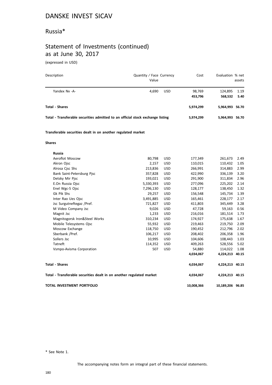#### Russia\*

# Statement of Investments (continued) as at June 30, 2017

(expressed in USD)

| Description                                                                    | Quantity / Face Currency<br>Value |            | Cost       | Evaluation % net | assets |
|--------------------------------------------------------------------------------|-----------------------------------|------------|------------|------------------|--------|
| Yandex Nv -A-                                                                  | 4,690                             | <b>USD</b> | 98,769     | 124,895          | 1.19   |
|                                                                                |                                   |            | 453,796    | 568,532          | 5.40   |
| <b>Total - Shares</b>                                                          |                                   |            | 5,974,299  | 5,964,993 56.70  |        |
| Total - Transferable securities admitted to an official stock exchange listing |                                   |            | 5,974,299  | 5,964,993 56.70  |        |
| Transferable securities dealt in on another regulated market                   |                                   |            |            |                  |        |
| <b>Shares</b>                                                                  |                                   |            |            |                  |        |
| <b>Russia</b>                                                                  |                                   |            |            |                  |        |
| Aeroflot Moscow                                                                | 80,798                            | <b>USD</b> | 177,349    | 261,673          | 2.49   |
| Akron Ojsc                                                                     | 2,157                             | <b>USD</b> | 110,015    | 110,432          | 1.05   |
| Alrosa Cjsc Shs                                                                | 213,836                           | USD        | 266,991    | 314,883          | 2.99   |
| Bank Saint-Petersburg Pjsc                                                     | 357,828                           | <b>USD</b> | 422,990    | 336,139          | 3.20   |
| Detsky Mir Pjsc                                                                | 193,021                           | <b>USD</b> | 291,900    | 311,834          | 2.96   |
| E.On Russia Ojsc                                                               | 5,330,393                         | USD        | 277,096    | 225,202          | 2.14   |
| Enel Wgc-5 Ojsc                                                                | 7,296,130                         | <b>USD</b> | 128,177    | 138,450          | 1.32   |
| Gk Pik Shs                                                                     | 29,257                            | <b>USD</b> | 156,548    | 145,734          | 1.39   |
| Inter Rao Ues Ojsc                                                             | 3,491,885                         | <b>USD</b> | 165,461    | 228,177          | 2.17   |
| Jsc Surgutneftegaz /Pref.                                                      | 721,827                           | USD        | 411,803    | 345,449          | 3.28   |
| M Video Company Jsc                                                            | 9,026                             | <b>USD</b> | 47,728     | 59,163           | 0.56   |
| Magnit Jsc                                                                     | 1,233                             | <b>USD</b> | 216,016    | 181,514          | 1.73   |
| Magnitogorsk Iron&Steel Works                                                  | 310,234                           | <b>USD</b> | 174,927    | 175,638          | 1.67   |
| Mobile Telesystems Ojsc                                                        | 55,932                            | <b>USD</b> | 219,463    | 219,750          | 2.09   |
| Moscow Exchange                                                                | 118,750                           | <b>USD</b> | 190,452    | 212,796          | 2.02   |
| Sberbank /Pref.                                                                | 106,217                           | <b>USD</b> | 208,402    | 206,358          | 1.96   |
| Sollers Jsc                                                                    | 10,995                            | USD        | 104,606    | 108,443          | 1.03   |
| Tatneft                                                                        | 114,352                           | USD        | 409,263    | 528,556          | 5.02   |
| Vsmpo-Avisma Corporation                                                       | 507                               | <b>USD</b> | 54,880     | 114,022          | 1.08   |
|                                                                                |                                   |            | 4,034,067  | 4,224,213 40.15  |        |
| <b>Total - Shares</b>                                                          |                                   |            | 4,034,067  | 4,224,213 40.15  |        |
| Total - Transferable securities dealt in on another regulated market           |                                   |            | 4,034,067  | 4,224,213 40.15  |        |
| TOTAL INVESTMENT PORTFOLIO                                                     |                                   |            | 10,008,366 | 10,189,206 96.85 |        |

\* See Note 1.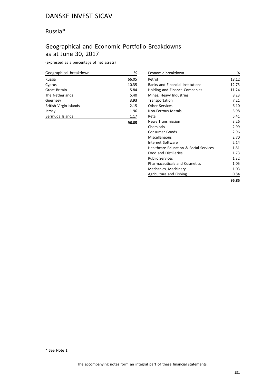## Russia\*

# Geographical and Economic Portfolio Breakdowns as at June 30, 2017

(expressed as a percentage of net assets)

| Geographical breakdown | %     |
|------------------------|-------|
| Russia                 | 66.05 |
| Cyprus                 | 10.35 |
| Great Britain          | 5.84  |
| The Netherlands        | 5.40  |
| Guernsey               | 3.93  |
| British Virgin Islands | 2.15  |
| Jersey                 | 1.96  |
| Bermuda Islands        | 1.17  |
|                        | 96.85 |

| Economic breakdown                      | %     |
|-----------------------------------------|-------|
| Petrol                                  | 18.12 |
| <b>Banks and Financial Institutions</b> | 12.73 |
| Holding and Finance Companies           | 11.24 |
| Mines, Heavy Industries                 | 8.23  |
| Transportation                          | 7.21  |
| Other Services                          | 6.10  |
| Non-Ferrous Metals                      | 5.98  |
| Retail                                  | 5.41  |
| <b>News Transmission</b>                | 3.26  |
| Chemicals                               | 2.99  |
| Consumer Goods                          | 2.96  |
| Miscellaneous                           | 2.70  |
| Internet Software                       | 2.14  |
| Healthcare Education & Social Services  | 1.81  |
| <b>Food and Distilleries</b>            | 1.73  |
| <b>Public Services</b>                  | 1.32  |
| <b>Pharmaceuticals and Cosmetics</b>    | 1.05  |
| Mechanics, Machinery                    | 1.03  |
| Agriculture and Fishing                 | 0.84  |
|                                         | 96.85 |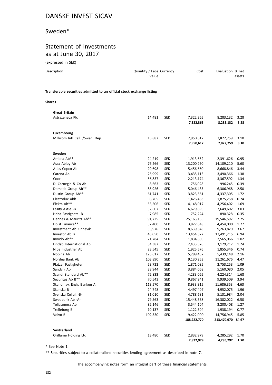### Sweden\*

## Statement of Investments as at June 30, 2017

| (expressed in SEK)                                                     |                                   |            |                        |                        |              |
|------------------------------------------------------------------------|-----------------------------------|------------|------------------------|------------------------|--------------|
| Description                                                            | Quantity / Face Currency<br>Value |            | Cost                   | Evaluation % net       | assets       |
| Transferable securities admitted to an official stock exchange listing |                                   |            |                        |                        |              |
| Shares                                                                 |                                   |            |                        |                        |              |
| <b>Great Britain</b>                                                   |                                   |            |                        |                        |              |
| Astrazeneca Plc                                                        | 14,481                            | <b>SEK</b> | 7,322,365<br>7,322,365 | 8,283,132<br>8,283,132 | 3.28<br>3.28 |
| Luxembourg                                                             |                                   |            |                        |                        |              |
| Millicom Intl Cell. /Swed. Dep.                                        | 15,887                            | <b>SEK</b> | 7,950,617<br>7,950,617 | 7,822,759<br>7,822,759 | 3.10<br>3.10 |
| Sweden                                                                 |                                   |            |                        |                        |              |
| Ambea Ab**                                                             | 24,219                            | <b>SEK</b> | 1,913,652              | 2,391,626              | 0.95         |
| Assa Abloy Ab                                                          | 76,266                            | <b>SEK</b> | 13,200,250             | 14,109,210             | 5.60         |
| Atlas Copco Ab                                                         | 29,698                            | <b>SEK</b> | 5,456,660              | 8,668,846              | 3.44         |
| Catena Ab                                                              | 25,999                            | <b>SEK</b> | 3,435,113              | 3,490,366              | 1.38         |
| Coor                                                                   | 56,837                            | <b>SEK</b> | 2,213,174              | 3,367,592              | 1.34         |
| D. Carnegie & Co Ab                                                    | 8,663                             | <b>SEK</b> | 756,028                | 996,245                | 0.39         |
| Dometic Group Ab**                                                     | 85,926                            | <b>SEK</b> | 5,046,435              | 6,306,968              | 2.50         |
| Dustin Group Ab**                                                      | 61,741                            | SEK        | 3,823,561              | 4,337,305              | 1.72         |
| Electrolux Abb                                                         | 6,765                             | <b>SEK</b> | 1,426,483              | 1,875,258              | 0.74         |
| Elekta Ab**                                                            | 53,506                            | <b>SEK</b> | 4,148,017              | 4,256,402              | 1.69         |
| Essity Aktie -B                                                        | 32,607                            | <b>SEK</b> | 6,679,895              | 7,649,602              | 3.03         |
| Heba Fastighets -B-                                                    | 7,985                             | <b>SEK</b> | 752,224                | 890,328                | 0.35         |
| Hennes & Mauritz Ab**                                                  | 91,725                            | <b>SEK</b> | 25,163,135             | 19,546,597             | 7.75         |
| Hoist Finance**                                                        | 52,400                            | <b>SEK</b> | 3,827,648              | 4,454,000              | 1.77         |
| Investment Ab Kinnevik                                                 | 35,976                            | <b>SEK</b> | 8,639,348              | 9,263,820              | 3.67         |
| Investor Ab B                                                          | 43,050                            | <b>SEK</b> | 13,454,372             | 17,491,215             | 6.94         |
| Inwido Ab**                                                            | 21,784                            | <b>SEK</b> | 1,834,605              | 2,565,066              | 1.02         |
| Lindab International Ab                                                | 34,387                            | <b>SEK</b> | 2,433,576              | 3,129,217              | 1.24         |
| Nibe Industrier Ab                                                     | 23,545                            | <b>SEK</b> | 1,925,576              | 1,855,346              | 0.74         |
| Nobina Ab                                                              | 123,617                           | <b>SEK</b> | 5,299,437              | 5,439,148              | 2.16         |
| Nordea Bank Ab                                                         | 103,890                           | <b>SEK</b> | 9,130,253              | 11,261,676             | 4.47         |
| Platzer Fastigheter                                                    | 53,722                            | <b>SEK</b> | 1,871,085              | 2,753,253              | 1.09         |
| Sandvik Ab                                                             | 38,944                            | <b>SEK</b> | 3,884,068              | 5,160,080              | 2.05         |

Scandi Standard Ab\*\* 72,833 SEK 4,283,065 4,224,314 1.68 Securitas Ab B\*\* 70,543 SEK 9,867,941 9,939,509 3.94 Skandinav. Ensk. Banken A 113,570 SEK 8,933,915 11,686,353 4.63 Skanska B 24,748 SEK 4,497,407 4,952,075 1.96 Svenska Cellul. -B- 81,010 SEK 4,788,681 5,131,984 2.04 Swedbank Ab -A- 79,563 SEK 15,448,558 16,382,022 6.50 Teliasonera Ab 82,146 SEK 3,544,104 3,200,408 1.27 Trelleborg B 10,137 SEK 1,122,504 1,938,194 0.77 Volvo B 102,550 SEK 9,422,000 14,756,945 5.85

Oriflame Holding Ltd 13,480 SEK 2,832,979 4,285,292 1.70

**188,222,770 213,470,970 84.67**

**2,832,979 4,285,292 1.70**

\* See Note 1.

**Switzerland**

\*\* Securities subject to a collateralized securities lending agreement as described in note 7.

The accompanying notes form an integral part of these financial statements.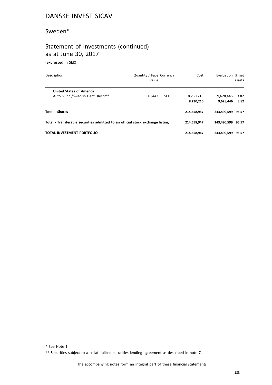## Sweden\*

# Statement of Investments (continued) as at June 30, 2017

(expressed in SEK)

| Description                                                                    | Quantity / Face Currency<br>Value | Cost        | Evaluation % net  | assets |
|--------------------------------------------------------------------------------|-----------------------------------|-------------|-------------------|--------|
| <b>United States of America</b>                                                |                                   |             |                   |        |
| Autoliv Inc /Swedish Dept. Recpt**                                             | 10.443<br><b>SEK</b>              | 8,230,216   | 9.628.446         | 3.82   |
|                                                                                |                                   | 8,230,216   | 9.628.446         | 3.82   |
| <b>Total - Shares</b>                                                          |                                   | 214.558.947 | 243.490.599       | 96.57  |
| Total - Transferable securities admitted to an official stock exchange listing |                                   | 214,558,947 | 243.490.599 96.57 |        |
| TOTAL INVESTMENT PORTFOLIO                                                     |                                   | 214.558.947 | 243.490.599       | 96.57  |

\* See Note 1.

\*\* Securities subject to a collateralized securities lending agreement as described in note 7.

The accompanying notes form an integral part of these financial statements.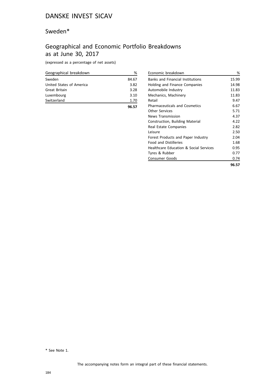## Sweden\*

# Geographical and Economic Portfolio Breakdowns as at June 30, 2017

(expressed as a percentage of net assets)

| Geographical breakdown   | ℅     |
|--------------------------|-------|
| Sweden                   | 84.67 |
| United States of America | 3.82  |
| Great Britain            | 3.28  |
| Luxembourg               | 3.10  |
| Switzerland              | 1.70  |
|                          | 96.57 |

| Economic breakdown                                | %     |
|---------------------------------------------------|-------|
| <b>Banks and Financial Institutions</b>           | 15.99 |
| Holding and Finance Companies                     | 14.98 |
| Automobile Industry                               | 11.83 |
| Mechanics, Machinery                              | 11.83 |
| Retail                                            | 9.47  |
| <b>Pharmaceuticals and Cosmetics</b>              | 6.67  |
| <b>Other Services</b>                             | 5.71  |
| <b>News Transmission</b>                          | 4.37  |
| <b>Construction, Building Material</b>            | 4.22  |
| Real Estate Companies                             | 2.82  |
| Leisure                                           | 2.50  |
| Forest Products and Paper Industry                | 2.04  |
| <b>Food and Distilleries</b>                      | 1.68  |
| <b>Healthcare Education &amp; Social Services</b> | 0.95  |
| Tyres & Rubber                                    | 0.77  |
| <b>Consumer Goods</b>                             | 0.74  |
|                                                   | 96.57 |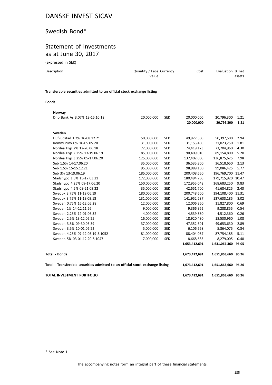# Swedish Bond\*

# Statement of Investments as at June 30, 2017

(expressed in SEK)

| Description                                                            | Quantity / Face Currency<br>Value | Cost | Evaluation % net<br>assets |
|------------------------------------------------------------------------|-----------------------------------|------|----------------------------|
| Transferable securities admitted to an official stock exchange listing |                                   |      |                            |

#### **Bonds**

| Norway                                                                         |             |            |               |                     |       |
|--------------------------------------------------------------------------------|-------------|------------|---------------|---------------------|-------|
| Dnb Bank As 3.07% 13-15.10.18                                                  | 20,000,000  | <b>SEK</b> | 20,000,000    | 20,796,300          | 1.21  |
|                                                                                |             |            | 20,000,000    | 20,796,300          | 1.21  |
| Sweden                                                                         |             |            |               |                     |       |
| Hufvudstad 1.2% 16-08.12.21                                                    | 50,000,000  | <b>SEK</b> | 49,927,500    | 50,397,500          | 2.94  |
| Kommuninv 0% 16-05.05.20                                                       | 31,000,000  | <b>SEK</b> | 31,153,450    | 31,023,250          | 1.81  |
| Nordea Hyp 2% 12-20.06.18                                                      | 72,000,000  | <b>SEK</b> | 74,419,173    | 73,704,960          | 4.30  |
| Nordea Hyp 2.25% 13-19.06.19                                                   | 85,000,000  | <b>SEK</b> | 90,409,010    | 89,154,800          | 5.20  |
| Nordea Hyp 3.25% 05-17.06.20                                                   | 125,000,000 | <b>SEK</b> | 137,402,000   | 136,875,625         | 7.98  |
| Seb 1.5% 14-17.06.20                                                           | 35,000,000  | <b>SEK</b> | 36,535,800    | 36,518,650          | 2.13  |
| Seb 1.5% 15-15.12.21                                                           | 95,000,000  | <b>SEK</b> | 98,989,100    | 99,086,425          | 5.77  |
| Seb 3% 13-19.06.19                                                             | 185,000,000 | <b>SEK</b> | 200,408,650   | 196,769,700         | 11.47 |
| Stadshypo 1.5% 15-17.03.21                                                     | 172,000,000 | <b>SEK</b> | 180,494,750   | 179,715,920 10.47   |       |
| Stadshypo 4.25% 09-17.06.20                                                    | 150,000,000 | <b>SEK</b> | 172,955,048   | 168,683,250         | 9.83  |
| Stadshypo 4.5% 09-21.09.22                                                     | 35,000,000  | <b>SEK</b> | 42,651,700    | 41,684,825          | 2.43  |
| Swedbk 3.75% 11-19.06.19                                                       | 180,000,000 | <b>SEK</b> | 200,748,600   | 194,108,400         | 11.31 |
| Swedbk 3.75% 11-19.09.18                                                       | 131,000,000 | <b>SEK</b> | 141,952,287   | 137,633,185         | 8.02  |
| Sweden 0.75% 16-12.05.28                                                       | 12,000,000  | <b>SEK</b> | 12,006,360    | 11,827,800          | 0.69  |
| Sweden 1% 14-12.11.26                                                          | 9,000,000   | <b>SEK</b> | 9,366,962     | 9,288,855           | 0.54  |
| Sweden 2.25% 12-01.06.32                                                       | 4,000,000   | <b>SEK</b> | 4,539,880     | 4,512,360           | 0.26  |
| Sweden 2.5% 13-12.05.25                                                        | 16,000,000  | <b>SEK</b> | 18,920,480    | 18,530,960          | 1.08  |
| Sweden 3.5% 09-30.03.39                                                        | 37,000,000  | <b>SEK</b> | 47,352,601    | 49,653,630          | 2.89  |
| Sweden 3.5% 10-01.06.22                                                        | 5,000,000   | <b>SEK</b> | 6,106,568     | 5,864,075           | 0.34  |
| Sweden 4.25% 07-12.03.19 S.1052                                                | 81,000,000  | <b>SEK</b> | 88,404,087    | 87,754,185          | 5.11  |
| Sweden 5% 03-01.12.20 S.1047                                                   | 7,000,000   | <b>SEK</b> | 8,668,685     | 8,279,005           | 0.48  |
|                                                                                |             |            | 1,653,412,691 | 1,631,067,360       | 95.05 |
| <b>Total - Bonds</b>                                                           |             |            | 1,673,412,691 | 1,651,863,660 96.26 |       |
| Total - Transferable securities admitted to an official stock exchange listing |             |            | 1,673,412,691 | 1,651,863,660 96.26 |       |
| TOTAL INVESTMENT PORTFOLIO                                                     |             |            | 1,673,412,691 | 1,651,863,660 96.26 |       |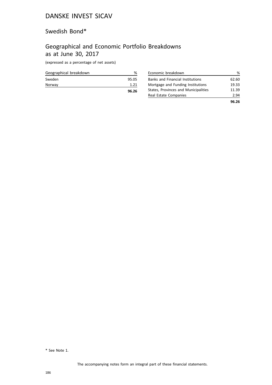## Swedish Bond\*

# Geographical and Economic Portfolio Breakdowns as at June 30, 2017

(expressed as a percentage of net assets)

|                        | 96.26 |
|------------------------|-------|
| Norway                 | 1.21  |
| Sweden                 | 95.05 |
| Geographical breakdown | ℅     |

| Economic breakdown                      | %     |
|-----------------------------------------|-------|
| <b>Banks and Financial Institutions</b> | 62.60 |
| Mortgage and Funding Institutions       | 19.33 |
| States, Provinces and Municipalities    | 11.39 |
| Real Estate Companies                   | 2.94  |
|                                         | 96 26 |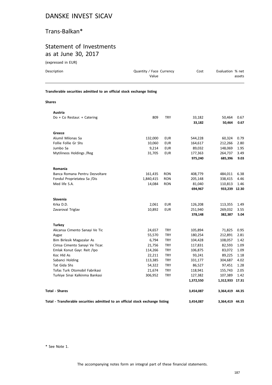## Trans-Balkan\*

## Statement of Investments as at June 30, 2017

(expressed in EUR)

| Description                                                            | Quantity / Face Currency<br>Value |            | Cost             | Evaluation % net | assets       |
|------------------------------------------------------------------------|-----------------------------------|------------|------------------|------------------|--------------|
| Transferable securities admitted to an official stock exchange listing |                                   |            |                  |                  |              |
| <b>Shares</b>                                                          |                                   |            |                  |                  |              |
| Austria                                                                |                                   |            |                  |                  |              |
| Do + Co Restaur. + Catering                                            | 809                               | <b>TRY</b> | 33,182<br>33,182 | 50,464<br>50,464 | 0.67<br>0.67 |
| Greece                                                                 |                                   |            |                  |                  |              |
| Alumil Milonas Sa                                                      | 132,000                           | <b>EUR</b> | 544,228          | 60,324           | 0.79         |
| Follie Follie Gr Shs                                                   | 10,060                            | <b>EUR</b> | 164,617          | 212,266          | 2.80         |
| Jumbo Sa                                                               | 9,214                             | <b>EUR</b> | 89,032           | 148,069          | 1.95         |
| Mytilineos Holdings / Reg                                              | 31,705                            | <b>EUR</b> | 177,363          | 264,737          | 3.49         |
|                                                                        |                                   |            | 975,240          | 685,396          | 9.03         |
| Romania                                                                |                                   |            |                  |                  |              |
| Banca Romana Pentru Dezvoltare                                         | 161,435                           | <b>RON</b> | 408,779          | 484,011          | 6.38         |
| Fondul Proprietatea Sa /Dis                                            | 1,840,415                         | <b>RON</b> | 205,148          | 338,415          | 4.46         |
| Med life S.A.                                                          | 14,084                            | <b>RON</b> | 81,040           | 110,813          | 1.46         |
|                                                                        |                                   |            | 694,967          | 933,239 12.30    |              |
| Slovenia                                                               |                                   |            |                  |                  |              |
| Krka D.D.                                                              | 2,061                             | <b>EUR</b> | 126,208          | 113,355          | 1.49         |
| Zavaroval Triglav                                                      | 10,892                            | <b>EUR</b> | 251,940          | 269,032          | 3.55         |
|                                                                        |                                   |            | 378,148          | 382,387          | 5.04         |
| <b>Turkey</b>                                                          |                                   |            |                  |                  |              |
| Akcansa Cimento Sanayi Ve Tic                                          | 24,657                            | <b>TRY</b> | 105,894          | 71,825           | 0.95         |
| Aygaz                                                                  | 55,570                            | <b>TRY</b> | 180,254          | 212,891          | 2.81         |
| Bim Birlesik Magazalar As                                              | 6,794                             | <b>TRY</b> | 104,428          | 108,057          | 1.42         |
| Cimsa Cimento Sanayi Ve Ticar.                                         | 21,756                            | <b>TRY</b> | 117,831          | 82,593           | 1.09         |

Emlak Konut Gayr. Reit /Ipo 114,266 TRY 106,875 83,072 1.09 Koc Hld As 22,211 TRY 93,241 89,225 1.18 Sabanci Holding 113,385 TRY 331,177 304,687 4.02 Tat Gida Shs 54,322 TRY 86,527 97,451 1.28 Tofas Turk Otomobil Fabrikasi 21,674 TRY 118,941 155,743 2.05 Turkiye Sinai Kalkinma Bankasi 306,952 TRY 127,382 107,389 1.42

| <b>Total - Shares</b> | 3.454.087 | 3,364,419 44.35 |
|-----------------------|-----------|-----------------|
|                       |           |                 |

**Total - Transferable securities admitted to an official stock exchange listing 3,454,087 3,364,419 44.35**

\* See Note 1.

The accompanying notes form an integral part of these financial statements.

**1,372,550 1,312,933 17.31**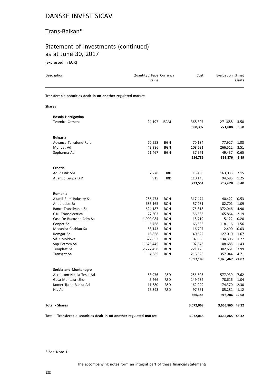## Trans-Balkan\*

# Statement of Investments (continued) as at June 30, 2017

(expressed in EUR)

| Description                                                          | Quantity / Face Currency<br>Value |                          | Cost                 | Evaluation % net           | assets       |
|----------------------------------------------------------------------|-----------------------------------|--------------------------|----------------------|----------------------------|--------------|
| Transferable securities dealt in on another regulated market         |                                   |                          |                      |                            |              |
| <b>Shares</b>                                                        |                                   |                          |                      |                            |              |
| Bosnia Herzigovina                                                   |                                   |                          |                      |                            |              |
| <b>Tvornica Cement</b>                                               | 24,197                            | <b>BAM</b>               | 368,397<br>368,397   | 271,688<br>271,688         | 3.58<br>3.58 |
| <b>Bulgaria</b>                                                      |                                   |                          |                      |                            |              |
| Advance Terrafund Reit                                               | 70,558                            | <b>BGN</b>               | 70,184               | 77,927                     | 1.03         |
| Monbat Ad                                                            | 43,986                            | <b>BGN</b>               | 108,631              | 266,512                    | 3.51         |
| Sopharma Ad                                                          | 21,467                            | <b>BGN</b>               | 37,971               | 49,437                     | 0.65         |
|                                                                      |                                   |                          | 216,786              | 393,876                    | 5.19         |
| Croatia                                                              |                                   |                          |                      |                            |              |
| Ad Plastik Shs                                                       | 7,278                             | <b>HRK</b>               | 113,403              | 163,033                    | 2.15         |
| Atlantic Grupa D.D                                                   | 915                               | <b>HRK</b>               | 110,148              | 94,595                     | 1.25         |
|                                                                      |                                   |                          | 223,551              | 257,628                    | 3.40         |
| Romania                                                              |                                   |                          |                      |                            |              |
| Alumil Rom Industry Sa                                               | 286,473                           | <b>RON</b>               | 317,474              | 40,422                     | 0.53         |
| Antibiotice Sa                                                       | 686,165                           | <b>RON</b>               | 57,281               | 82,701                     | 1.09         |
| Banca Transilvania Sa                                                | 624,187                           | <b>RON</b>               | 175,818              | 372,046                    | 4.90         |
| C.N. Transelectrica                                                  | 27,603                            | <b>RON</b>               | 156,583              | 165,864                    | 2.19         |
| Casa De Bucovina-Cdm Sa                                              | 1,000,084                         | <b>RON</b>               | 18,719               | 15,122                     | 0.20         |
| Conpet Sa                                                            | 5,768                             | <b>RON</b>               | 66,536               | 118,116                    | 1.56         |
| Mecanica Ceahlau Sa                                                  | 88,143                            | <b>RON</b>               | 16,797               | 2,490                      | 0.03         |
| Romgaz Sa                                                            | 18,868                            | <b>RON</b>               | 140,622              | 127,010                    | 1.67         |
| Sif 2 Moldova                                                        | 622,853                           | <b>RON</b>               | 107,066              | 134,306                    | 1.77         |
| Snp Petrom Sa                                                        | 1,675,445                         | <b>RON</b>               | 102,843              | 108,685                    | 1.43         |
| Teraplast Sa                                                         | 2,227,458                         | <b>RON</b>               | 221,125              | 302,661                    | 3.99         |
| Transgaz Sa                                                          | 4,685                             | <b>RON</b>               | 216,325<br>1,597,189 | 357,044<br>1,826,467 24.07 | 4.71         |
|                                                                      |                                   |                          |                      |                            |              |
| Serbia and Montenegro                                                |                                   |                          |                      |                            |              |
| Aerodrom Nikola Tesla Ad                                             | 53,976                            | <b>RSD</b>               | 256,503              | 577,939                    | 7.62         |
| Gosa Montaza -Shs-                                                   | 5,266                             | <b>RSD</b>               | 149,282              | 78,616                     | 1.04         |
| Komercijalna Banka Ad<br>Nis Ad                                      | 11,680<br>15,393                  | <b>RSD</b><br><b>RSD</b> | 162,999<br>97,361    | 174,370<br>85,281          | 2.30<br>1.12 |
|                                                                      |                                   |                          | 666,145              | 916,206 12.08              |              |
| <b>Total - Shares</b>                                                |                                   |                          | 3,072,068            | 3,665,865 48.32            |              |
| Total - Transferable securities dealt in on another regulated market |                                   |                          | 3,072,068            | 3,665,865 48.32            |              |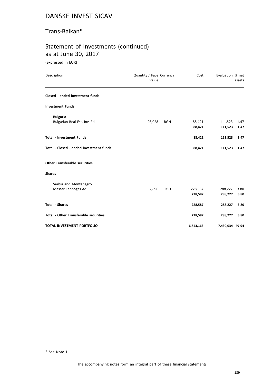## Trans-Balkan\*

## Statement of Investments (continued) as at June 30, 2017

(expressed in EUR)

| Description                                  | Quantity / Face Currency<br>Value |            | Cost      | Evaluation % net | assets |
|----------------------------------------------|-----------------------------------|------------|-----------|------------------|--------|
| Closed - ended investment funds              |                                   |            |           |                  |        |
| <b>Investment Funds</b>                      |                                   |            |           |                  |        |
| <b>Bulgaria</b>                              |                                   |            |           |                  |        |
| Bulgarian Real Est. Inv. Fd                  | 98,028                            | <b>BGN</b> | 88,421    | 111,523          | 1.47   |
|                                              |                                   |            | 88,421    | 111,523          | 1.47   |
| <b>Total - Investment Funds</b>              |                                   |            | 88,421    | 111,523          | 1.47   |
| Total - Closed - ended investment funds      |                                   |            | 88,421    | 111,523          | 1.47   |
| <b>Other Transferable securities</b>         |                                   |            |           |                  |        |
| <b>Shares</b>                                |                                   |            |           |                  |        |
| Serbia and Montenegro                        |                                   |            |           |                  |        |
| Messer Tehnogas Ad                           | 2,896                             | <b>RSD</b> | 228,587   | 288,227          | 3.80   |
|                                              |                                   |            | 228,587   | 288,227          | 3.80   |
| <b>Total - Shares</b>                        |                                   |            | 228,587   | 288,227          | 3.80   |
| <b>Total - Other Transferable securities</b> |                                   |            | 228,587   | 288,227          | 3.80   |
| TOTAL INVESTMENT PORTFOLIO                   |                                   |            | 6,843,163 | 7,430,034 97.94  |        |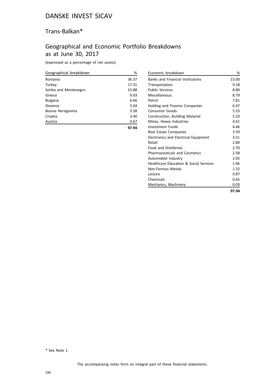## Trans-Balkan\*

# Geographical and Economic Portfolio Breakdowns as at June 30, 2017

(expressed as a percentage of net assets)

| Geographical breakdown | %     |
|------------------------|-------|
| Romania                | 36.37 |
| Turkey                 | 17.31 |
| Serbia and Montenegro  | 15.88 |
| Greece                 | 9.03  |
| <b>Bulgaria</b>        | 6.66  |
| Slovenia               | 5.04  |
| Bosnia Herzigovina     | 3.58  |
| Croatia                | 3.40  |
| Austria                | 0.67  |
|                        | 97.94 |

| Economic breakdown                      | %     |
|-----------------------------------------|-------|
| <b>Banks and Financial Institutions</b> | 15.00 |
| Transportation                          | 9.18  |
| <b>Public Services</b>                  | 8.80  |
| Miscellaneous                           | 8.79  |
| Petrol                                  | 7.81  |
| Holding and Finance Companies           | 6.97  |
| Consumer Goods                          | 5.53  |
| Construction, Building Material         | 5.23  |
| Mines, Heavy Industries                 | 4.61  |
| Investment Funds                        | 4.46  |
| Real Estate Companies                   | 3.59  |
| Electronics and Electrical Equipment    | 3.51  |
| Retail                                  | 2.80  |
| <b>Food and Distilleries</b>            | 2.70  |
| <b>Pharmaceuticals and Cosmetics</b>    | 2.58  |
| Automobile Industry                     | 2.05  |
| Healthcare Education & Social Services  | 1.46  |
| Non-Ferrous Metals                      | 1.32  |
| Leisure                                 | 0.87  |
| Chemicals                               | 0.65  |
| Mechanics, Machinery                    | 0.03  |
|                                         | 97.94 |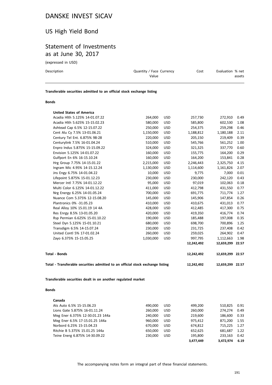## US High Yield Bond

## Statement of Investments as at June 30, 2017

(expressed in USD)

| Description | Quantity / Face Currency<br>Value | Cost | Evaluation % net<br>assets |
|-------------|-----------------------------------|------|----------------------------|
|             |                                   |      |                            |

**Transferable securities admitted to an official stock exchange listing**

### **Bonds**

| Total - Transferable securities admitted to an official stock exchange listing |           |            | 12,242,492 | 12,659,299 22.57 |       |
|--------------------------------------------------------------------------------|-----------|------------|------------|------------------|-------|
| <b>Total - Bonds</b>                                                           |           |            | 12,242,492 | 12,659,299 22.57 |       |
|                                                                                |           |            | 12,242,492 | 12,659,299       | 22.57 |
| Zayo 6.375% 15-15.05.25                                                        | 1,030,000 | <b>USD</b> | 997,795    | 1,112,663        | 1.98  |
| United Contl 5% 17-01.02.24                                                    | 260,000   | <b>USD</b> | 259,025    | 264,902          | 0.47  |
| Transdigm 6.5% 14-15.07.24                                                     | 230,000   | <b>USD</b> | 231,725    | 237,408          | 0.42  |
| Steel Dyn 5.125% 15-01.10.21                                                   | 680,000   | <b>USD</b> | 698,700    | 700,896          | 1.25  |
| Rsp Permian 6.625% 15-01.10.22                                                 | 190,000   | <b>USD</b> | 185,488    | 197,008          | 0.35  |
| Res Enrgy 8.5% 13-01.05.20                                                     | 420,000   | <b>USD</b> | 419,350    | 416,774          | 0.74  |
| Real Alloy 10% 15.01.19 14 4A                                                  | 428,000   | <b>USD</b> | 412,485    | 417,300          | 0.75  |
| Plantronics 0% -31.05.23                                                       | 410,000   | <b>USD</b> | 410,675    | 431,013          | 0.77  |
| Nuance Com 5.375% 12-15.08.20                                                  | 145,000   | <b>USD</b> | 145,906    | 147,854          | 0.26  |
| Nrg Energy 6.25% 14-01.05.24                                                   | 700,000   | <b>USD</b> | 691,775    | 711,774          | 1.27  |
| Multi Color 6.125% 14-01.12.22                                                 | 411,000   | <b>USD</b> | 412,798    | 431,550          | 0.77  |
| Mercer Intl 7.75% 14-01.12.22                                                  | 95,000    | <b>USD</b> | 97,019     | 102,063          | 0.18  |
| Lifepoint 5.875% 15-01.12.23                                                   | 230,000   | <b>USD</b> | 230,000    | 242,120          | 0.43  |
| Jns Engy 6.75% 14-01.04.22                                                     | 10,000    | <b>USD</b> | 9,775      | 7,000            | 0.01  |
| Ingram Mic 4.95% 14-15.12.24                                                   | 1,130,000 | <b>USD</b> | 1,114,600  | 1,161,826        | 2.07  |
| Hrg Group 7.75% 14-15.01.22                                                    | 2,215,000 | <b>USD</b> | 2,246,443  | 2,325,750        | 4.15  |
| Gulfport En 6% 16-15.10.24                                                     | 160,000   | <b>USD</b> | 164,200    | 153,841          | 0.28  |
| Envision 5.125% 14-01.07.22                                                    | 160,000   | <b>USD</b> | 155,775    | 164,200          | 0.29  |
| Enpro Indus 5.875% 15-15.09.22                                                 | 324,000   | <b>USD</b> | 321,325    | 337,770          | 0.60  |
| Centurylink 7.5% 16-01.04.24                                                   | 510,000   | <b>USD</b> | 545,766    | 561,252          | 1.00  |
| Century Tel Ent. 6.875% 98-28                                                  | 220,000   | <b>USD</b> | 205,150    | 219,409          | 0.39  |
| Cent Alu Cy 7.5% 13-01.06.21                                                   | 1,150,000 | <b>USD</b> | 1,188,812  | 1,180,188        | 2.11  |
| Ashtead Cap 6.5% 12-15.07.22                                                   | 250,000   | <b>USD</b> | 254,375    | 259,298          | 0.46  |
| Acadia Hlth 5.625% 15-15.02.23                                                 | 580,000   | <b>USD</b> | 585,800    | 602,530          | 1.08  |
| Acadia Hlth 5.125% 14-01.07.22                                                 | 264,000   | <b>USD</b> | 257,730    | 272,910          | 0.49  |

### **Bonds**

| Canada                           |         |            |           |           |      |
|----------------------------------|---------|------------|-----------|-----------|------|
| Ats Auto 6.5% 15-15.06.23        | 490.000 | <b>USD</b> | 499,200   | 510.825   | 0.91 |
| Lions Gate 5.875% 16-01.11.24    | 260,000 | <b>USD</b> | 260,000   | 274.274   | 0.49 |
| Meg Ener 6.375% 12-30.01.23 144a | 240.000 | <b>USD</b> | 219.600   | 186.600   | 0.33 |
| Meg Ener 6.5% 17-15.01.25 144a   | 960.000 | <b>USD</b> | 975.412   | 871.200   | 1.55 |
| Norbord 6.25% 15-15.04.23        | 670.000 | <b>USD</b> | 674.812   | 715.225   | 1.27 |
| Ritchie B 5.375% 15.01.25 144a   | 650.000 | <b>USD</b> | 652.625   | 681.687   | 1.22 |
| Teine Energ 6.875% 14-30.09.22   | 230.000 | <b>USD</b> | 195.800   | 233.163   | 0.42 |
|                                  |         |            | 3.477.449 | 3.472.974 | 6.19 |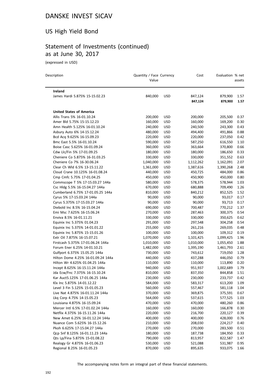## US High Yield Bond

# Statement of Investments (continued) as at June 30, 2017

(expressed in USD)

| Description                                                | Quantity / Face Currency<br>Value |                          | Cost      | Evaluation % net | assets |
|------------------------------------------------------------|-----------------------------------|--------------------------|-----------|------------------|--------|
| Ireland                                                    |                                   |                          |           |                  |        |
| James Hardi 5.875% 15-15.02.23                             | 840,000                           | <b>USD</b>               | 847,124   | 879,900          | 1.57   |
|                                                            |                                   |                          | 847,124   | 879,900          | 1.57   |
| <b>United States of America</b>                            |                                   |                          |           |                  |        |
| Allis Trans 5% 16-01.10.24                                 | 200,000                           | <b>USD</b>               | 200,000   | 205,500          | 0.37   |
| Amer Bld 5.75% 15-15.12.23                                 | 160,000                           | <b>USD</b>               | 160,000   | 169,200          | 0.30   |
| Amn Health 5.125% 16-01.10.24                              | 240,000                           | <b>USD</b>               | 240,500   | 243,300          | 0.43   |
| Asbury Auto 6% 14-15.12.24                                 | 480,000                           | <b>USD</b>               | 494,400   | 491,866          | 0.88   |
| Bcd Acq 9.625% 16-15.09.23                                 | 220,000                           | <b>USD</b>               | 220,000   | 237,050          | 0.42   |
| Bmc East 5.5% 16-01.10.24                                  | 590,000                           | <b>USD</b>               | 587,250   | 616,550          | 1.10   |
| Boise Casc 5.625% 16-01.09.24                              | 360,000                           | <b>USD</b>               | 363,664   | 370,800          | 0.66   |
| Cdw Llc/Fin 5% 17-01.09.25                                 | 180,000                           | <b>USD</b>               | 180,000   | 186,650          | 0.33   |
| Cheniere Co 5.875% 16-31.03.25                             | 330,000                           | <b>USD</b>               | 330,000   | 351,552          | 0.63   |
| Cheniere Co 7% 16-30.06.24                                 | 1,040,000                         | <b>USD</b>               | 1,112,262 | 1,162,091        | 2.07   |
| Clear Ch Wld 6.5% 13-15.11.22                              | 1,361,000                         | <b>USD</b>               | 1,387,616 | 1,390,268        | 2.48   |
| Cloud Crane 10.125% 16-01.08.24                            | 440,000                           | <b>USD</b>               | 450,725   | 484,000          | 0.86   |
| Cmp Cmfc 5.75% 17-01.04.25                                 | 450,000                           | <b>USD</b>               | 450,900   | 450,000          | 0.80   |
| Commscope T 5% 17-15.03.27 144a                            | 580,000                           | <b>USD</b>               | 578,375   | 578,944          | 1.03   |
| Csc Hldg 5.5% 16-15.04.27 144a                             | 670,000                           | <b>USD</b>               | 680,888   | 709,490          | 1.26   |
| Cumberland 6.75% 17-01.05.25 144a                          | 810,000                           | <b>USD</b>               | 840,212   | 852,525          | 1.52   |
| Cyrus 5% 17-15.03.24 144a                                  | 90,000                            | <b>USD</b>               | 90,000    | 93,017           | 0.17   |
| Cyrus 5.375% 17-15.03.27 144a                              | 90,000                            | <b>USD</b>               | 90,000    | 93,713           | 0.17   |
| Diebold Inc 8.5% 16-15.04.24                               | 690,000                           | <b>USD</b>               | 700,487   | 770,212          | 1.37   |
| Emi Msc 7.625% 16-15.06.24                                 | 270,000                           | <b>USD</b>               | 287,463   | 300,375          | 0.54   |
| Enviva 8.5% 16-01.11.21                                    | 330,000                           | <b>USD</b>               | 330,000   | 350,625          | 0.62   |
| Equinix Inc 5.375% 01.04.23                                | 291,000                           | <b>USD</b>               | 297,548   | 304,258          | 0.54   |
| Equinix Inc 5.375% 14-01.01.22                             | 255,000                           | <b>USD</b>               | 261,216   | 269,035          | 0.48   |
| Equinix Inc 5.875% 15-15.01.26                             | 100,000                           | <b>USD</b>               | 100,000   | 109,312          | 0.19   |
| Extr Oil 7.875% 16-15.07.21                                | 1,070,000                         | <b>USD</b>               | 1,101,425 | 1,099,425        | 1.96   |
| Firstcash 5.375% 17-01.06.24 144a                          | 1,010,000                         | USD                      | 1,010,000 | 1,055,450        | 1.88   |
| Forum Ener 6.25% 14-01.10.21                               | 1,482,000                         | <b>USD</b>               | 1,395,190 | 1,461,793        | 2.61   |
| Gulfport 6.375% 15.05.25 144a                              | 730,000                           | <b>USD</b>               | 743,612   | 719,050          | 1.28   |
| Hilton Dome 4.25% 16-01.09.24 144a                         | 440,000                           | USD                      | 437,288   | 446,050          | 0.79   |
| Hilton Wr 4.625% 01.04.25 144a                             | 110,000                           | <b>USD</b>               | 110,000   | 113,890          | 0.20   |
| Incept 8.625% 16-15.11.24 144a                             | 940,000                           | <b>USD</b>               | 951,937   | 1,002,689        | 1.79   |
| Jda Ecw/Fnc 7.375% 16-15.10.24                             | 810,000                           | <b>USD</b>               | 837,350   | 844,858          | 1.51   |
| Kar Auct5.125% 17-01.06.25 144a                            | 230,000                           | <b>USD</b>               | 230,000   | 233,737 0.42     |        |
| Klx Inc 5.875% 14-01.12.22                                 | 584,000                           | <b>USD</b>               | 583,317   | 613,200          | 1.09   |
| Level 3 Fin 5.125% 15-01.05.23                             | 560,000                           | <b>USD</b>               | 557,467   | 581,118          | 1.04   |
|                                                            |                                   |                          |           |                  |        |
| Live Nat 4.875% 16-01.11.24 144a                           | 370,000                           | USD                      | 369,875   | 375,591          | 0.67   |
| Lkg Corp 4.75% 14-15.05.23<br>Louisiana 4.875% 16-15.09.24 | 564,000                           | USD                      | 537,615   | 577,525          | 1.03   |
|                                                            | 470,000                           | <b>USD</b>               | 470,000   | 480,260          | 0.86   |
| Mercer Intl 6.5% 17-01.02.24 144a                          | 160,000                           | <b>USD</b><br><b>USD</b> | 160,000   | 166,878          | 0.30   |
| Netflix 4.375% 16-15.11.26 144a                            | 220,000                           |                          | 216,700   | 220,127          | 0.39   |
| New Amet 6.25% 16-01.12.24 144a                            | 400,000                           | <b>USD</b>               | 400,000   | 428,000          | 0.76   |
| Nuance Com 5.625% 16-15.12.26                              | 210,000                           | <b>USD</b>               | 208,030   | 224,217          | 0.40   |
| Pkoh 6.625% 17-15.04.27 144a                               | 270,000                           | <b>USD</b>               | 270,000   | 283,500          | 0.51   |
| Qcp Snf 8.125% 16-01.11.23 144a                            | 180,000                           | USD                      | 187,738   | 184,950          | 0.33   |
| Qts Lp/Fina 5.875% 15-01.08.22                             | 790,000                           | USD                      | 813,957   | 822,587          | 1.47   |
| Realogy Gr 4.875% 16-01.06.23                              | 530,000                           | <b>USD</b>               | 521,088   | 531,987          | 0.95   |
| Regional 8.25% 16-01.05.23                                 | 870,000                           | <b>USD</b>               | 895,635   | 933,075          | 1.66   |

The accompanying notes form an integral part of these financial statements.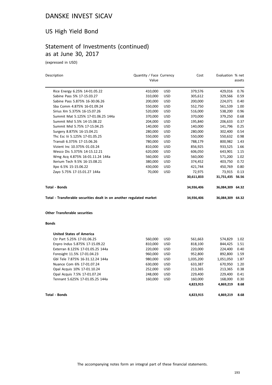# US High Yield Bond

# Statement of Investments (continued) as at June 30, 2017

(expressed in USD)

| Description                                                          | Quantity / Face Currency |            | Cost       | Evaluation % net |        |
|----------------------------------------------------------------------|--------------------------|------------|------------|------------------|--------|
|                                                                      | Value                    |            |            |                  | assets |
| Rice Energy 6.25% 14-01.05.22                                        | 410,000                  | <b>USD</b> | 379,576    | 429,016          | 0.76   |
| Sabine Pass 5% 17-15.03.27                                           | 310,000                  | <b>USD</b> | 305,612    | 329,566          | 0.59   |
| Sabine Pass 5.875% 16-30.06.26                                       | 200,000                  | <b>USD</b> | 200,000    | 224,071          | 0.40   |
| Sba Comm 4.875% 16-01.09.24                                          | 550,000                  | <b>USD</b> | 552,750    | 561,539          | 1.00   |
| Sirius Xm 5.375% 16-15.07.26                                         | 520,000                  | <b>USD</b> | 516,000    | 538,200          | 0.96   |
| Summit Mat 5.125% 17-01.06.25 144a                                   | 370,000                  | <b>USD</b> | 370,000    | 379,250          | 0.68   |
| Summit Mid 5.5% 14-15.08.22                                          | 204,000                  | <b>USD</b> | 195,840    | 206,633          | 0.37   |
| Summit Mid 5.75% 17-15.04.25                                         | 140,000                  | <b>USD</b> | 140,000    | 141,796          | 0.25   |
| Surgery 8.875% 16-15.04.21                                           | 280,000                  | <b>USD</b> | 280,000    | 302,400          | 0.54   |
| The Esc lii 5.125% 17-01.05.25                                       | 550,000                  | <b>USD</b> | 550,000    | 550,632          | 0.98   |
| Transdi 6.375% 17-15.06.26                                           | 780,000                  | <b>USD</b> | 788,179    | 800,982          | 1.43   |
| Vizient Inc 10.375% 01.03.24                                         | 810,000                  | <b>USD</b> | 856,925    | 933,525          | 1.66   |
| Wesco Dis 5.375% 14-15.12.21                                         | 620,000                  | <b>USD</b> | 606,050    | 643,901          | 1.15   |
| Wmg Acq 4.875% 16-01.11.24 144a                                      | 560,000                  | <b>USD</b> | 560,000    | 571,200          | 1.02   |
| Xerium Tech 9.5% 16-15.08.21                                         | 380,000                  | <b>USD</b> | 374,452    | 403,750          | 0.72   |
| Xpo 6.5% 15-15.06.22                                                 | 430,000                  | <b>USD</b> | 421,744    | 450,769          | 0.80   |
| Zayo 5.75% 17-15.01.27 144a                                          | 70,000                   | <b>USD</b> | 72,975     | 73,915           | 0.13   |
|                                                                      |                          |            | 30,611,833 | 31,731,435 56.56 |        |
| <b>Total - Bonds</b>                                                 |                          |            | 34,936,406 | 36,084,309 64.32 |        |
| Total - Transferable securities dealt in on another regulated market |                          |            | 34,936,406 | 36,084,309 64.32 |        |
| <b>Other Transferable securities</b>                                 |                          |            |            |                  |        |
| <b>Bonds</b>                                                         |                          |            |            |                  |        |
| <b>United States of America</b>                                      |                          |            |            |                  |        |
| Ctr Part 5.25% 17-01.06.25                                           | 560,000                  | <b>USD</b> | 561,663    | 574,829          | 1.02   |
| Enpro Indus 5.875% 17-15.09.22                                       | 810,000                  | <b>USD</b> | 818,100    | 844,425          | 1.51   |
| Exterran 8.125% 17-01.05.25 144a                                     | 220,000                  | <b>USD</b> | 220,000    | 224,400          | 0.40   |
| Foresight 11.5% 17-01.04.23                                          | 960,000                  | <b>USD</b> | 952,800    | 892,800          | 1.59   |
| Gbl Tele 7.875% 16-31.12.24 144a                                     | 980,000                  | <b>USD</b> | 1,035,200  | 1,051,050        | 1.87   |
| Nuance Com 6% 17-01.07.24                                            | 630,000                  | <b>USD</b> | 633,387    | 670,950          | 1.20   |
| Opal Acquis 10% 17-01.10.24                                          | 252,000                  | <b>USD</b> | 213,365    | 213,365          | 0.38   |
| Opal Acquis 7.5% 17-01.07.24                                         | 248,000                  | USD        | 229,400    | 229,400          | 0.41   |
| Tennant 5.625% 17-01.05.25 144a                                      | 160,000                  | <b>USD</b> | 160,000    | 168,000          | 0.30   |
|                                                                      |                          |            | 4,823,915  | 4,869,219        | 8.68   |
| <b>Total - Bonds</b>                                                 |                          |            | 4,823,915  | 4,869,219        | 8.68   |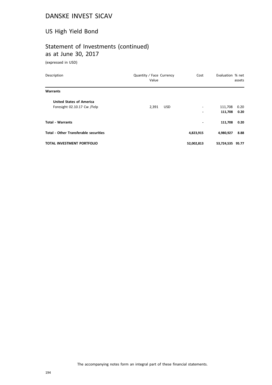## US High Yield Bond

# Statement of Investments (continued) as at June 30, 2017

(expressed in USD)

| Description                                  | Quantity / Face Currency<br>Value | Cost           | Evaluation % net | assets |
|----------------------------------------------|-----------------------------------|----------------|------------------|--------|
| <b>Warrants</b>                              |                                   |                |                  |        |
| <b>United States of America</b>              |                                   |                |                  |        |
| Foresight 02.10.17 Cw /Felp                  | 2,391<br><b>USD</b>               | $\overline{a}$ | 111,708          | 0.20   |
|                                              |                                   |                | 111,708          | 0.20   |
| <b>Total - Warrants</b>                      |                                   | ٠              | 111,708          | 0.20   |
| <b>Total - Other Transferable securities</b> |                                   | 4,823,915      | 4,980,927        | 8.88   |
| <b>TOTAL INVESTMENT PORTFOLIO</b>            |                                   | 52,002,813     | 53,724,535 95.77 |        |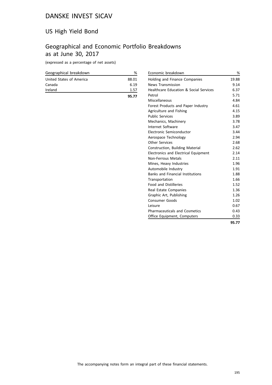## US High Yield Bond

## Geographical and Economic Portfolio Breakdowns as at June 30, 2017

(expressed as a percentage of net assets)

| Geographical breakdown   | %     |
|--------------------------|-------|
| United States of America | 88.01 |
| Canada                   | 6.19  |
| Ireland                  | 1.57  |
|                          | 95.77 |

| Economic breakdown                          | %     |
|---------------------------------------------|-------|
| Holding and Finance Companies               | 19.88 |
| <b>News Transmission</b>                    | 9.14  |
| Healthcare Education & Social Services      | 6.37  |
| Petrol                                      | 5.71  |
| Miscellaneous                               | 4.84  |
| Forest Products and Paper Industry          | 4.61  |
| Agriculture and Fishing                     | 4.15  |
| <b>Public Services</b>                      | 3.89  |
| Mechanics, Machinery                        | 3.78  |
| Internet Software                           | 3.47  |
| Electronic Semiconductor                    | 3.44  |
| Aerospace Technology                        | 2.94  |
| <b>Other Services</b>                       | 2.68  |
| Construction, Building Material             | 2.62  |
| <b>Electronics and Electrical Equipment</b> | 2.14  |
| <b>Non-Ferrous Metals</b>                   | 2.11  |
| Mines, Heavy Industries                     | 1.96  |
| Automobile Industry                         | 1.91  |
| <b>Banks and Financial Institutions</b>     | 1.88  |
| Transportation                              | 1.66  |
| <b>Food and Distilleries</b>                | 1.52  |
| Real Estate Companies                       | 1.36  |
| Graphic Art, Publishing                     | 1.26  |
| <b>Consumer Goods</b>                       | 1.02  |
| Leisure                                     | 0.67  |
| <b>Pharmaceuticals and Cosmetics</b>        | 0.43  |
| Office Equipment, Computers                 | 0.33  |
|                                             | 95.77 |

The accompanying notes form an integral part of these financial statements.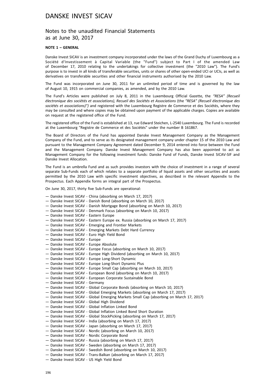### Notes to the unaudited Financial Statements as at June 30, 2017

#### **NOTE 1 – GENERAL**

Danske Invest SICAV is an investment company incorporated under the laws of the Grand Duchy of Luxembourg as a Société d'Investissement à Capital Variable (the "Fund") subject to Part I of the amended Law of December 17, 2010 relating to the undertakings for collective investment (the "2010 Law"). The Fund's purpose is to invest in all kinds of transferable securities, units or shares of other open-ended UCI or UCIs, as well as derivatives on transferable securities and other financial instruments authorised by the 2010 Law.

The Fund was incorporated on June 30, 2011 for an unlimited period of time and is governed by the law of August 10, 1915 on commercial companies, as amended, and by the 2010 Law.

The Fund's Articles were published on July 8, 2011 in the Luxembourg Official Gazette, the *"RESA" (Recueil électronique des sociétés et associations), Recueil des Sociétés et Associations* (the *"RESA" (Recueil électronique des sociétés et associations)")* and registered with the Luxembourg Registre de Commerce et des Sociétés, where they may be consulted and where copies may be obtained upon payment of the applicable charges. Copies are available on request at the registered office of the Fund.

The registered office of the Fund is established at 13, rue Edward Steichen, L-2540 Luxembourg. The Fund is recorded at the Luxembourg "Registre de Commerce et des Sociétés" under the number B 161867.

The Board of Directors of the Fund has appointed Danske Invest Management Company as the Management Company of the Fund, and to serve as its designated management company under chapter 15 of the 2010 Law and pursuant to the Management Company Agreement dated December 9, 2014 entered into force between the Fund and the Management Company. Danske Invest Management Company has also been appointed to act as Management Company for the following investment funds: Danske Fund of Funds, Danske Invest SICAV-SIF and Danske Invest Allocation.

The Fund is an umbrella Fund and as such provides investors with the choice of investment in a range of several separate Sub-Funds each of which relates to a separate portfolio of liquid assets and other securities and assets permitted by the 2010 Law with specific investment objectives, as described in the relevant Appendix to the Prospectus. Each Appendix forms an integral part of the Prospectus.

On June 30, 2017, thirty five Sub-Funds are operational:

- Danske Invest SICAV China (absorbing on March 17, 2017)
- Danske Invest SICAV Danish Bond (absorbing on March 10, 2017)
- Danske Invest SICAV Danish Mortgage Bond (absorbing on March 10, 2017)
- Danske Invest SICAV Denmark Focus (absorbing on March 10, 2017)
- Danske Invest SICAV Eastern Europe
- Danske Invest SICAV Eastern Europe ex. Russia (absorbing on March 17, 2017)
- Danske Invest SICAV Emerging and Frontier Markets
- Danske Invest SICAV Emerging Markets Debt Hard Currency
- Danske Invest SICAV Euro High Yield Bond
- Danske Invest SICAV Europe
- Danske Invest SICAV Europe Absolute
- Danske Invest SICAV Europe Focus (absorbing on March 10, 2017)
- Danske Invest SICAV Europe High Dividend (absorbing on March 10, 2017)
- Danske Invest SICAV Europe Long-Short Dynamic
- Danske Invest SICAV Europe Long-Short Dynamic Plus
- Danske Invest SICAV Europe Small Cap (absorbing on March 10, 2017)
- Danske Invest SICAV European Bond (absorbing on March 10, 2017)
- Danske Invest SICAV European Corporate Sustainable Bond
- Danske Invest SICAV Germany
- Danske Invest SICAV Global Corporate Bonds (absorbing on March 10, 2017)
- Danske Invest SICAV Global Emerging Markets (absorbing on March 17, 2017)
- Danske Invest SICAV Global Emerging Markets Small Cap (absorbing on March 17, 2017)
- Danske Invest SICAV Global High Dividend
- Danske Invest SICAV Global Inflation Linked Bond
- Danske Invest SICAV Global Inflation Linked Bond Short Duration
- Danske Invest SICAV Global StockPicking (absorbing on March 17, 2017)
- Danske Invest SICAV India (absorbing on March 17, 2017)
- Danske Invest SICAV Japan (absorbing on March 17, 2017)
- Danske Invest SICAV Nordic (absorbing on March 10, 2017)
- Danske Invest SICAV Nordic Corporate Bond
- Danske Invest SICAV Russia (absorbing on March 17, 2017)
- Danske Invest SICAV Sweden (absorbing on March 17, 2017)
- Danske Invest SICAV Swedish Bond (absorbing on March 10, 2017)
- Danske Invest SICAV Trans-Balkan (absorbing on March 17, 2017)
- Danske Invest SICAV US High Yield Bond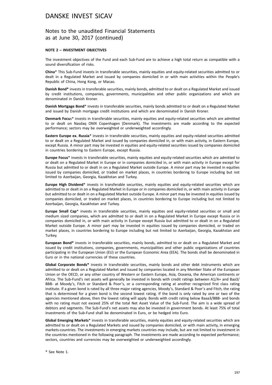### Notes to the unaudited Financial Statements as at June 30, 2017 (continued)

#### **NOTE 2 – INVESTMENT OBJECTIVES**

The investment objectives of the Fund and each Sub-Fund are to achieve a high total return as compatible with a sound diversification of risks.

**China**\* This Sub-Fund invests in transferable securities, mainly equities and equity-related securities admitted to or dealt in a Regulated Market and issued by companies domiciled in or with main activities within the People's Republic of China, Hong Kong, or Macao.

**Danish Bond\*** invests in transferable securities, mainly bonds, admitted to or dealt on a Regulated Market and issued by credit institutions, companies, governments, municipalities and other public organizations and which are denominated in Danish Kroner.

**Danish Mortgage Bond**\* invests in transferable securities, mainly bonds admitted to or dealt on a Regulated Market and issued by Danish mortgage credit institutions and which are denominated in Danish Kroner.

**Denmark Focu**s\* invests in transferable securities, mainly equities and equity-related securities which are admitted to or dealt on Nasdaq OMX Copenhagen (Denmark). The investments are made according to the expected performance; sectors may be overweighted or underweighted accordingly.

**Eastern Europe ex. Russia**\* invests in transferable securities, mainly equities and equity-related securities admitted to or dealt on a Regulated Market and issued by companies domiciled in, or with main activity, in Eastern Europe, except Russia. A minor part may be invested in equities and equity-related securities issued by companies domiciled in countries bordering to Eastern Europe, except Russia.

**Europe Focus**\* invests in transferable securities, mainly equities and equity-related securities which are admitted to or dealt on a Regulated Market in Europe or in companies domiciled in, or with main activity in Europe except for Russia but admitted to or dealt in on a Regulated Market outside Europe. A minor part may be invested in equities issued by companies domiciled, or traded on market places, in countries bordering to Europe including but not limited to Azerbaijan, Georgia, Kazakhstan and Turkey.

**Europe High Dividend**\* invests in transferable securities, mainly equities and equity-related securities which are admitted to or dealt in on a Regulated Market in Europe or in companies domiciled in, or with main activity in Europe but admitted to or dealt in on a Regulated Market outside Europe. A minor part may be invested in equities issued by companies domiciled, or traded on market places, in countries bordering to Europe including but not limited to Azerbaijan, Georgia, Kazakhstan and Turkey.

**Europe Small Cap**\* invests in transferable securities, mainly equities and equity-related securities or small and medium sized companies, which are admitted to or dealt in on a Regulated Market in Europe except Russia or in companies domiciled in, or with main activity in Europe except Russia but admitted to or dealt in on a Regulated Market outside Europe. A minor part may be invested in equities issued by companies domiciled, or traded on market places, in countries bordering to Europe including but not limited to Azerbaijan, Georgia, Kazakhstan and Turkey.

**European Bond\*** invests in transferable securities, mainly bonds, admitted to or dealt on a Regulated Market and issued by credit institutions, companies, governments, municipalities and other public organizations of countries participating in the European Union (EU) or the European Economic Area (EEA). The bonds shall be denominated in Euro or in the national currencies of these countries.

**Global Corporate Bonds\*** invests in transferable securities, mainly bonds and other debt instruments which are admitted to or dealt on a Regulated Market and issued by companies located in any Member State of the European Union or the OECD, or any other country of Western or Eastern Europe, Asia, Oceania, the American continents or Africa. The Sub-Fund's net assets will generally be invested in bonds with credit ratings between A1/A+ and Baa3/ BBB- at Moody's, Fitch or Standard & Poor's, or a corresponding rating at another recognized first class rating institute. If a given bond is rated by all three major rating agencies, Moody's, Standard & Poor's and Fitch, the rating that is determined for a given bond is the second lowest rating. If the bond is only rated by one or two of the agencies mentioned above, then the lowest rating will apply. Bonds with credit rating below Baaa3/BBB- and bonds with no rating must not exceed 25% of the total Net Asset Value of the Sub-Fund. The aim is a wide spread of debtors and segments. The Sub-Fund's net assets may also be invested in government bonds. At least 75% of total investments of the Sub-Fund shall be denominated in Euro, or be hedged into Euro.

**Global Emerging Markets**\* invests in transferable securities, mainly equities and equity-related securities which are admitted to or dealt on a Regulated Markets and issued by companies domiciled, or with main activity, in emerging markets-countries. The investments in emerging markets countries may include, but are not limited to investment in the countries mentioned in the following paragraph. The investments are made according to expected performance; sectors, countries and currencies may be overweighted or underweighted accordingly.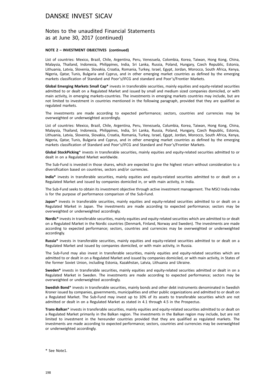### Notes to the unaudited Financial Statements as at June 30, 2017 (continued)

#### **NOTE 2 – INVESTMENT OBJECTIVES (continued)**

List of countries: Mexico, Brazil, Chile, Argentina, Peru, Venezuela, Colombia, Korea, Taiwan, Hong Kong, China, Malaysia, Thailand, Indonesia, Philippines, India, Sri Lanka, Russia, Poland, Hungary, Czech Republic, Estonia, Lithuania, Latvia, Slovenia, Slovakia, Croatia, Romania, Turkey, Israel, Egypt, Jordan, Morocco, South Africa, Kenya, Nigeria, Qatar, Tunis, Bulgaria and Cyprus, and in other emerging market countries as defined by the emerging markets classification of Standard and Poor's/IFCG and standard and Poor's/Frontier Markets.

**Global Emerging Markets Small Cap\*** invests in transferable securities, mainly equities and equity-related securities admitted to or dealt on a Regulated Market and issued by small and medium sized companies domiciled, or with main activity, in emerging markets-countries. The investments in emerging markets countries may include, but are not limited to investment in countries mentioned in the following paragraph, provided that they are qualified as regulated markets.

The investments are made according to expected performance; sectors, countries and currencies may be overweighted or underweighted accordingly.

List of countries: Mexico, Brazil, Chile, Argentina, Peru, Venezuela, Columbia, Korea, Taiwan, Hong Kong, China, Malaysia, Thailand, Indonesia, Philippines, India, Sri Lanka, Russia, Poland, Hungary, Czech Republic, Estonia, Lithuania, Latvia, Slovenia, Slovakia, Croatia, Romania, Turkey, Israel, Egypt, Jordan, Morocco, South Africa, Kenya, Nigeria, Qatar, Tunis, Bulgaria and Cyprus, and in other emerging market countries as defined by the emerging markets classification of Standard and Poor's/IFCG and Standard and Poor's/Frontier Markets.

**Global StockPicking**\* invests in transferable securities, mainly equities and equity-related securities admitted to or dealt in on a Regulated Market worldwide.

The Sub-Fund is invested in those shares, which are expected to give the highest return without consideration to a diversification based on countries, sectors and/or currencies.

**India\*** invests in transferable securities, mainly equities and equity-related securities admitted to or dealt on a Regulated Market and issued by companies domiciled in, or with main activity, in India.

The Sub-Fund seeks to obtain its investment objective through active investment management. The MSCI India Index is for the purpose of performance comparison of the Sub-Fund.

**Japan\*** invests in transferable securities, mainly equities and equity-related securities admitted to or dealt on a Regulated Market in Japan. The investments are made according to expected performance; sectors may be overweighted or underweighted accordingly.

**Nordic\*** invests in transferable securities, mainly equities and equity-related securities which are admitted to or dealt on a Regulated Market in the Nordic countries (Denmark, Finland, Norway and Sweden). The investments are made according to expected performance; sectors, countries and currencies may be overweighted or underweighted accordingly.

**Russia\*** invests in transferable securities, mainly equities and equity-related securities admitted to or dealt on a Regulated Market and issued by companies domiciled, or with main activity, in Russia.

The Sub-Fund may also invest in transferable securities, mainly equities and equity-related securities which are admitted to or dealt in on a Regulated Market and issued by companies domiciled, or with main activity, in States of the former Soviet Union, including Estonia, Kazakhstan, Latvia, Lithuania and Ukraine.

**Sweden\*** invests in transferable securities, mainly equities and equity-related securities admitted or dealt in on a Regulated Market in Sweden. The investments are made according to expected performance; sectors may be overweighted or underweighted accordingly.

**Swedish Bond**\* invests in transferable securities, mainly bonds and other debt instruments denominated in Swedish Kroner issued by companies, governments, municipalities and other public organizations and admitted to or dealt on a Regulated Market. The Sub-Fund may invest up to 10% of its assets to transferable securities which are not admitted or dealt in on a Regulated Market as stated in 4.1 through 4.5 in the Prospectus.

**Trans-Balkan**\* invests in transferable securities, mainly equities and equity-related securities admitted to or dealt on a Regulated Market primarily in the Balkan region. The investments in the Balkan region may include, but are not limited to investment in the hereunder countries provided that they are qualified as regulated markets. The investments are made according to expected performance; sectors, countries and currencies may be overweighted or underweighted accordingly.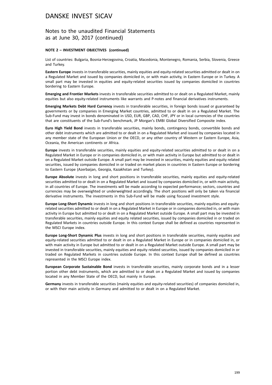### Notes to the unaudited Financial Statements as at June 30, 2017 (continued)

#### **NOTE 2 – INVESTMENT OBJECTIVES (continued)**

List of countries: Bulgaria, Bosnia-Herzegovina, Croatia, Macedonia, Montenegro, Romania, Serbia, Slovenia, Greece and Turkey.

**Eastern Europe** invests in transferable securities, mainly equities and equity-related securities admitted or dealt in on a Regulated Market and issued by companies domiciled in, or with main activity, in Eastern Europe or in Turkey. A small part may be invested in equities and equity-related securities issued by companies domiciled in countries bordering to Eastern Europe.

**Emerging and Frontier Markets** invests in transferable securities admitted to or dealt on a Regulated Market, mainly equities but also equity-related instruments like warrants and P-notes and financial derivatives instruments.

**Emerging Markets Debt Hard Currency** invests in transferable securities, in foreign bonds issued or guaranteed by governments or by companies in Emerging Market countries, admitted to or dealt in on a Regulated Market. The Sub-Fund may invest in bonds denominated in USD, EUR, GBP, CAD, CHF, JPY or in local currencies of the countries that are constituents of the Sub-Fund's benchmark, JP Morgan's EMBI Global Diversified Composite index.

**Euro High Yield Bond** invests in transferable securities, mainly bonds, contingency bonds, convertible bonds and other debt instruments which are admitted to or dealt in on a Regulated Market and issued by companies located in any member state of the European Union or the OECD, or any other country of Western or Eastern Europe, Asia, Oceania, the American continents or Africa.

Europe invests in transferable securities, mainly equities and equity-related securities admitted to or dealt in on a Regulated Market in Europe or in companies domiciled in, or with main activity in Europe but admitted to or dealt in on a Regulated Market outside Europe. A small part may be invested in securities, mainly equities and equity related securities, issued by companies domiciled in or traded on market places in countries in Eastern Europe or bordering to Eastern Europe (Azerbaijan, Georgia, Kazakhstan and Turkey).

**Europe Absolute** invests in long and short positions in transferable securities, mainly equities and equity-related securities admitted to or dealt in on a Regulated Market and issued by companies domiciled in, or with main activity, in all countries of Europe. The investments will be made according to expected performance; sectors, countries and currencies may be overweighted or underweighted accordingly. The short positions will only be taken via financial derivative instruments. The investments in this Sub-Fund will be made using focused investment style.

**Europe Long-Short Dynamic** invests in long and short positions in transferable securities, mainly equities and equityrelated securities admitted to or dealt in on a Regulated Market in Europe or in companies domiciled in, or with main activity in Europe but admitted to or dealt in on a Regulated Market outside Europe. A small part may be invested in transferable securities, mainly equities and equity related securities, issued by companies domiciled in or traded on Regulated Markets in countries outside Europe. In this context Europe shall be defined as countries represented in the MSCI Europe index.

**Europe Long-Short Dynamic Plus** invests in long and short positions in transferable securities, mainly equities and equity-related securities admitted to or dealt in on a Regulated Market in Europe or in companies domiciled in, or with main activity in Europe but admitted to or dealt in on a Regulated Market outside Europe. A small part may be invested in transferable securities, mainly equities and equity related securities, issued by companies domiciled in or traded on Regulated Markets in countries outside Europe. In this context Europe shall be defined as countries represented in the MSCI Europe index.

**European Corporate Sustainable Bond** invests in transferable securities, mainly corporate bonds and in a lesser portion other debt instruments, which are admitted to or dealt on a Regulated Market and issued by companies located in any Member State of the OECD, but mainly in Europe.

**Germany** invests in transferable securities (mainly equities and equity-related securities) of companies domiciled in, or with their main activity in Germany and admitted to or dealt in on a Regulated Market.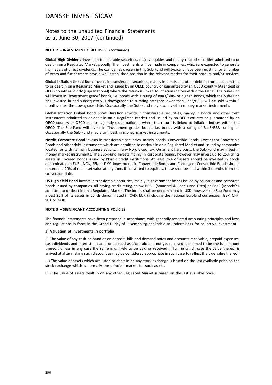### Notes to the unaudited Financial Statements as at June 30, 2017 (continued)

#### **NOTE 2 – INVESTMENT OBJECTIVES (continued)**

**Global High Dividend** invests in transferable securities, mainly equities and equity-related securities admitted to or dealt in on a Regulated Market globally. The investments will be made in companies, which are expected to generate high levels of direct dividends. The companies chosen in this Sub-Fund will typically have been existing for a number of years and furthermore have a well established position in the relevant market for their product and/or services.

**Global Inflation Linked Bond** invests in transferable securities, mainly in bonds and other debt instruments admitted to or dealt in on a Regulated Market and issued by an OECD country or guaranteed by an OECD country (Agencies) or OECD countries jointly (supranational) where the return is linked to inflation indices within the OECD. The Sub-Fund will invest in "investment grade" bonds, i.e. bonds with a rating of Baa3/BBB- or higher. Bonds, which the Sub-Fund has invested in and subsequently is downgraded to a rating category lower than Baa3/BBB- will be sold within 3 months after the downgrade date. Occasionally the Sub-Fund may also invest in money market instruments.

**Global Inflation Linked Bond Short Duration** invests in transferable securities, mainly in bonds and other debt instruments admitted to or dealt in on a Regulated Market and issued by an OECD country or guaranteed by an OECD country or OECD countries jointly (supranational) where the return is linked to inflation indices within the OECD. The Sub-Fund will invest in "investment grade" bonds, i.e. bonds with a rating of Baa3/BBB- or higher. Occasionally the Sub-Fund may also invest in money market instruments.

**Nordic Corporate Bond** invests in transferable securities, mainly bonds, Convertible Bonds, Contingent Convertible Bonds and other debt instruments which are admitted to or dealt in on a Regulated Market and issued by companies located, or with its main business activity, in any Nordic country. On an ancillary basis, the Sub-Fund may invest in money market instruments. The Sub-Fund Invests mainly in corporate bonds, however may invest up to 25% of its assets in Covered Bonds issued by Nordic credit institutions. At least 75% of assets should be invested in bonds denominated in EUR , NOK, SEK or DKK. Investments in Convertible Bonds and Contingent Convertible Bonds should not exceed 20% of net asset value at any time. If converted to equities, these shall be sold within 3 months from the conversion date.

**US High Yield Bond** invests in transferable securities, mainly in government bonds issued by countries and corporate bonds issued by companies, all having credit rating below BBB - (Standard & Poor's and Fitch) or Baa3 (Moody's), admitted to or dealt in on a Regulated Market. The bonds shall be denominated in USD, however the Sub-Fund may invest 25% of its assets in bonds denominated in CAD, EUR (including the national Euroland currencies), GBP, CHF, SEK or NOK.

#### **NOTE 3 – SIGNIFICANT ACCOUNTING POLICIES**

The financial statements have been prepared in accordance with generally accepted accounting principles and laws and regulations in force in the Grand Duchy of Luxembourg applicable to undertakings for collective investment.

#### **a) Valuation of investments in portfolio**

(i) The value of any cash on hand or on deposit, bills and demand notes and accounts receivable, prepaid expenses, cash dividends and interest declared or accrued as aforesaid and not yet received is deemed to be the full amount thereof, unless in any case the same is unlikely to be paid or received in full, in which case the value thereof is arrived at after making such discount as may be considered appropriate in such case to reflect the true value thereof.

(ii) The value of assets which are listed or dealt in on any stock exchange is based on the last available price on the stock exchange which is normally the principal market for such assets.

(iii) The value of assets dealt in on any other Regulated Market is based on the last available price.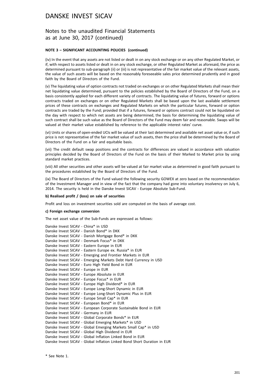### Notes to the unaudited Financial Statements as at June 30, 2017 (continued)

#### **NOTE 3 – SIGNIFICANT ACCOUNTING POLICIES (continued)**

(iv) In the event that any assets are not listed or dealt in on any stock exchange or on any other Regulated Market, or if, with respect to assets listed or dealt in on any stock exchange, or other Regulated Market as aforesaid, the price as determined pursuant to sub-paragraph (ii) or (iii) is not representative of the fair market value of the relevant assets, the value of such assets will be based on the reasonably foreseeable sales price determined prudently and in good faith by the Board of Directors of the Fund.

(v) The liquidating value of option contracts not traded on exchanges or on other Regulated Markets shall mean their net liquidating value determined, pursuant to the policies established by the Board of Directors of the Fund, on a basis consistently applied for each different variety of contracts. The liquidating value of futures, forward or options contracts traded on exchanges or on other Regulated Markets shall be based upon the last available settlement prices of these contracts on exchanges and Regulated Markets on which the particular futures, forward or option contracts are traded by the Fund; provided that if a futures, forward or options contract could not be liquidated on the day with respect to which net assets are being determined, the basis for determining the liquidating value of such contract shall be such value as the Board of Directors of the Fund may deem fair and reasonable. Swaps will be valued at their market value established by reference to the applicable interest rates' curve.

(vi) Units or shares of open-ended UCIs will be valued at their last determined and available net asset value or, if such price is not representative of the fair market value of such assets, then the price shall be determined by the Board of Directors of the Fund on a fair and equitable basis.

(vii) The credit default swap positions and the contracts for differences are valued in accordance with valuation principles decided by the Board of Directors of the Fund on the basis of their Marked to Market price by using standard market practices.

(viii) All other securities and other assets will be valued at fair market value as determined in good faith pursuant to the procedures established by the Board of Directors of the Fund.

(ix) The Board of Directors of the Fund valued the following security GOWEX at zero based on the recommendation of the Investment Manager and in view of the fact that the company had gone into voluntary insolvency on July 6, 2014. The security is held in the Danske Invest SICAV - Europe Absolute Sub-Fund.

#### **b) Realised profit / (loss) on sale of securities**

Profit and loss on investment securities sold are computed on the basis of average cost.

#### **c) Foreign exchange conversion**

The net asset value of the Sub-Funds are expressed as follows:

| Danske Invest SICAV - China* in USD                                      |
|--------------------------------------------------------------------------|
| Danske Invest SICAV - Danish Bond* in DKK                                |
| Danske Invest SICAV - Danish Mortgage Bond* in DKK                       |
| Danske Invest SICAV - Denmark Focus* in DKK                              |
| Danske Invest SICAV - Eastern Europe in EUR                              |
| Danske Invest SICAV - Eastern Europe ex. Russia* in EUR                  |
| Danske Invest SICAV - Emerging and Frontier Markets in EUR               |
| Danske Invest SICAV - Emerging Markets Debt Hard Currency in USD         |
| Danske Invest SICAV - Euro High Yield Bond in EUR                        |
| Danske Invest SICAV - Europe in EUR                                      |
| Danske Invest SICAV - Europe Absolute in EUR                             |
| Danske Invest SICAV - Europe Focus* in EUR                               |
| Danske Invest SICAV - Europe High Dividend* in EUR                       |
| Danske Invest SICAV - Europe Long-Short Dynamic in EUR                   |
| Danske Invest SICAV - Europe Long-Short Dynamic Plus in EUR              |
| Danske Invest SICAV - Europe Small Cap* in EUR                           |
| Danske Invest SICAV - European Bond* in EUR                              |
| Danske Invest SICAV - European Corporate Sustainable Bond in EUR         |
| Danske Invest SICAV - Germany in EUR                                     |
| Danske Invest SICAV - Global Corporate Bonds* in EUR                     |
| Danske Invest SICAV - Global Emerging Markets* in USD                    |
| Danske Invest SICAV - Global Emerging Markets Small Cap* in USD          |
| Danske Invest SICAV - Global High Dividend in EUR                        |
| Danske Invest SICAV - Global Inflation Linked Bond in EUR                |
| Danske Invest SICAV - Global Inflation Linked Bond Short Duration in EUR |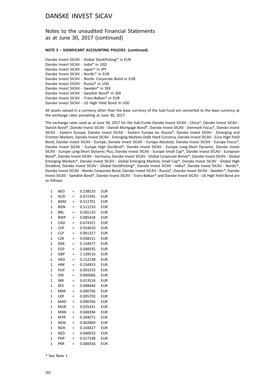### Notes to the unaudited Financial Statements as at June 30, 2017 (continued)

#### **NOTE 3 – SIGNIFICANT ACCOUNTING POLICIES (continued)**

Danske Invest SICAV - Global StockPicking\* in EUR Danske Invest SICAV - India\* in USD Danske Invest SICAV - Japan\* in JPY Danske Invest SICAV - Nordic\* in EUR Danske Invest SICAV - Nordic Corporate Bond in EUR Danske Invest SICAV - Russia\* in USD Danske Invest SICAV - Sweden\* in SEK Danske Invest SICAV - Swedish Bond\* in SEK Danske Invest SICAV - Trans-Balkan\* in EUR Danske Invest SICAV - US High Yield Bond in USD

All assets valued in a currency other than the base currency of the Sub-Fund are converted to the base currency at the exchange rates prevailing at June 30, 2017.

The exchange rates used as at June 30, 2017 for the Sub-Funds Danske Invest SICAV - China\*, Danske Invest SICAV - Danish Bond\*, Danske Invest SICAV - Danish Mortgage Bond\*, Danske Invest SICAV - Denmark Focus\*, Danske Invest SICAV - Eastern Europe, Danske Invest SICAV - Eastern Europe ex. Russia\*, Danske Invest SICAV - Emerging and Frontier Markets, Danske Invest SICAV - Emerging Markets Debt Hard Currency, Danske Invest SICAV - Euro High Yield Bond, Danske Invest SICAV - Europe, Danske Invest SICAV - Europe Absolute, Danske Invest SICAV - Europe Focus\*, Danske Invest SICAV - Europe High Dividend\*, Danske Invest SICAV - Europe Long-Short Dynamic, Danske Invest SICAV - Europe Long-Short Dynamic Plus, Danske Invest SICAV - Europe Small Cap\*, Danske Invest SICAV - European Bond\*, Danske Invest SICAV - Germany, Danske Invest SICAV - Global Corporate Bonds\*, Danske Invest SICAV - Global Emerging Markets\*, Danske Invest SICAV - Global Emerging Markets Small Cap\*, Danske Invest SICAV - Global High Dividend, Danske Invest SICAV - Global StockPicking\*, Danske Invest SICAV - India\*, Danske Invest SICAV - Nordic\*, Danske Invest SICAV - Nordic Corporate Bond, Danske Invest SICAV - Russia\*, Danske Invest SICAV - Sweden\*, Danske Invest SICAV - Swedish Bond\*, Danske Invest SICAV - Trans-Balkan\* and Danske Invest SICAV - US High Yield Bond are as follows:

| 1            | AED        | =   | 0.238525 | EUR        |
|--------------|------------|-----|----------|------------|
| $\mathbf{1}$ | <b>AUD</b> | $=$ | 0.672391 | EUR        |
| 1            | <b>BAM</b> | $=$ | 0.512701 | EUR        |
| $\mathbf{1}$ | <b>BGN</b> | $=$ | 0.511310 | EUR        |
| 1            | <b>BRL</b> | $=$ | 0.265133 | EUR        |
| 1            | <b>BWP</b> | $=$ | 0.085418 | <b>EUR</b> |
| 1            | CAD        | =   | 0.674321 | EUR        |
| 1            | CHF        | $=$ | 0.914010 | <b>EUR</b> |
| 1            | <b>CLP</b> | $=$ | 0.001317 | EUR        |
| $\mathbf{1}$ | CZK        | =   | 0.038151 | EUR        |
| 1            | <b>DKK</b> | =   | 0.134477 | <b>EUR</b> |
| 1            | <b>EGP</b> | $=$ | 0.048335 | <b>EUR</b> |
| 1            | GBP        | =   | 1.139516 | EUR        |
| 1            | HKD        | $=$ | 0.112238 | <b>EUR</b> |
| 1            | <b>HRK</b> | =   | 0.134953 | <b>EUR</b> |
| 1            | <b>HUF</b> | $=$ | 0.003233 | EUR        |
| 1            | IDR        | =   | 0.000066 | EUR        |
| $\mathbf{1}$ | <b>INR</b> | $=$ | 0.013524 | EUR        |
| 1            | <b>KES</b> | $=$ | 0.008440 | EUR        |
| 1            | <b>KRW</b> | $=$ | 0.000766 | <b>EUR</b> |
| 1            | LKR        | $=$ | 0.005703 | EUR        |
| $\mathbf{1}$ | <b>MAD</b> | $=$ | 0.090766 | EUR        |
| 1            | <b>MUR</b> | $=$ | 0.025431 | <b>EUR</b> |
| $\mathbf{1}$ | <b>MXN</b> | $=$ | 0.048394 | EUR        |
| 1            | <b>MYR</b> | $=$ | 0.204071 | EUR        |
| $\mathbf{1}$ | <b>NGN</b> | $=$ | 0.002869 | <b>EUR</b> |
| 1            | <b>NOK</b> | $=$ | 0.104427 | <b>EUR</b> |
| $\mathbf{1}$ | <b>NZD</b> | $=$ | 0.640633 | EUR        |
| 1            | PHP        | $=$ | 0.017338 | <b>EUR</b> |
| $\mathbf{1}$ | <b>PKR</b> | $=$ | 0.008356 | <b>EUR</b> |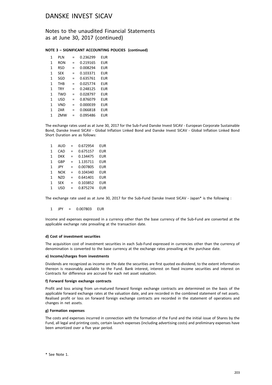Notes to the unaudited Financial Statements as at June 30, 2017 (continued)

#### **NOTE 3 – SIGNIFICANT ACCOUNTING POLICIES (continued)**

| 1 | PI N       | =   | 0.236299 | EUR |
|---|------------|-----|----------|-----|
| 1 | RON        | $=$ | 0.219165 | FUR |
| 1 | <b>RSD</b> | =   | 0.008294 | FUR |
| 1 | <b>SEK</b> | =   | 0.103371 | FUR |
| 1 | SGD        | =   | 0.635761 | EUR |
| 1 | <b>THB</b> | =   | 0.025774 | EUR |
| 1 | <b>TRY</b> | $=$ | 0.248125 | EUR |
| 1 | <b>TWD</b> | =   | 0.028797 | FUR |
| 1 | <b>USD</b> | $=$ | 0.876079 | FUR |
| 1 | <b>VND</b> | $=$ | 0.000039 | EUR |
| 1 | 7AR        | $=$ | 0.066818 | EUR |
| 1 | ZMW        |     | 0.095486 | FUR |

The exchange rates used as at June 30, 2017 for the Sub-Fund Danske Invest SICAV - European Corporate Sustainable Bond, Danske Invest SICAV - Global Inflation Linked Bond and Danske Invest SICAV - Global Inflation Linked Bond Short Duration are as follows:

| 1            | AUD        | $=$ | 0.672954 | <b>EUR</b> |
|--------------|------------|-----|----------|------------|
| $\mathbf{1}$ | CAD        | $=$ | 0.675157 | <b>EUR</b> |
| $\mathbf{1}$ | <b>DKK</b> | $=$ | 0.134475 | <b>EUR</b> |
| $\mathbf{1}$ | GBP        | $=$ | 1.135711 | <b>EUR</b> |
| $\mathbf{1}$ | JPY        | =   | 0.007805 | <b>EUR</b> |
| $\mathbf{1}$ | <b>NOK</b> | $=$ | 0.104340 | <b>EUR</b> |
| $\mathbf{1}$ | <b>NZD</b> | $=$ | 0.641401 | <b>EUR</b> |
| $\mathbf{1}$ | <b>SEK</b> | =   | 0.103852 | <b>EUR</b> |
| 1            | <b>USD</b> | $=$ | 0.875274 | <b>EUR</b> |

The exchange rate used as at June 30, 2017 for the Sub-Fund Danske Invest SICAV - Japan\* is the following :

1 JPY = 0.007803 EUR

Income and expenses expressed in a currency other than the base currency of the Sub-Fund are converted at the applicable exchange rate prevailing at the transaction date.

#### **d) Cost of investment securities**

The acquisition cost of investment securities in each Sub-Fund expressed in currencies other than the currency of denomination is converted to the base currency at the exchange rates prevailing at the purchase date.

#### **e) Income/charges from investments**

Dividends are recognized as income on the date the securities are first quoted ex-dividend, to the extent information thereon is reasonably available to the Fund. Bank interest, interest on fixed income securities and interest on Contracts for difference are accrued for each net asset valuation.

#### **f) Forward foreign exchange contracts**

Profit and loss arising from un-matured forward foreign exchange contracts are determined on the basis of the applicable forward exchange rates at the valuation date, and are recorded in the combined statement of net assets. Realised profit or loss on forward foreign exchange contracts are recorded in the statement of operations and changes in net assets.

#### **g) Formation expenses**

The costs and expenses incurred in connection with the formation of the Fund and the initial issue of Shares by the Fund, all legal and printing costs, certain launch expenses (including advertising costs) and preliminary expenses have been amortized over a five year period.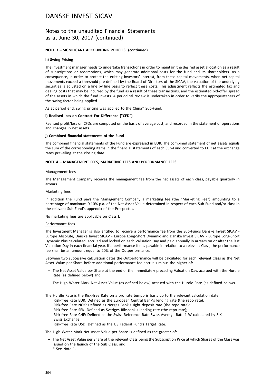### Notes to the unaudited Financial Statements as at June 30, 2017 (continued)

### **NOTE 3 – SIGNIFICANT ACCOUNTING POLICIES (continued)**

#### **h) Swing Pricing**

The investment manager needs to undertake transactions in order to maintain the desired asset allocation as a result of subscriptions or redemptions, which may generate additional costs for the fund and its shareholders. As a consequence, in order to protect the existing investors' interest, from these capital movements, when net capital movements exceed a threshold pre-defined by the Board of Directors of the SICAV, the valuation of the underlying securities is adjusted on a line by line basis to reflect these costs. This adjustment reflects the estimated tax and dealing costs that may be incurred by the fund as a result of these transactions, and the estimated bid-offer spread of the assets in which the fund invests. A periodical review is undertaken in order to verify the appropriateness of the swing factor being applied.

As at period end, swing pricing was applied to the China\* Sub-Fund.

#### **i) Realised loss on Contract For Difference ("CFD")**

Realised profit/loss on CFDs are computed on the basis of average cost, and recorded in the statement of operations and changes in net assets.

#### **j) Combined financial statements of the Fund**

The combined financial statements of the Fund are expressed in EUR. The combined statement of net assets equals the sum of the corresponding items in the financial statements of each Sub-Fund converted to EUR at the exchange rates prevailing at the closing date.

#### **NOTE 4 – MANAGEMENT FEES, MARKETING FEES AND PERFORMANCE FEES**

#### Management fees

The Management Company receives the management fee from the net assets of each class, payable quarterly in arrears.

#### Marketing fees

In addition the Fund pays the Management Company a marketing fee (the "Marketing Fee") amounting to a percentage of maximum 0.10% p.a. of the Net Asset Value determined in respect of each Sub-Fund and/or class in the relevant Sub-Fund's appendix of the Prospectus.

No marketing fees are applicable on Class I.

#### Performance fees

The Investment Manager is also entitled to receive a performance fee from the Sub-Funds Danske Invest SICAV - Europe Absolute, Danske Invest SICAV - Europe Long-Short Dynamic and Danske Invest SICAV - Europe Long-Short Dynamic Plus calculated, accrued and locked on each Valuation Day and paid annually in arrears on or after the last Valuation Day in each financial year. If a performance fee is payable in relation to a relevant Class, the performance fee shall be an amount equal to 20% of the Outperformance.

Between two successive calculation dates the Outperformance will be calculated for each relevant Class as the Net Asset Value per Share before additional performance fee accruals minus the higher of:

- The Net Asset Value per Share at the end of the immediately preceding Valuation Day, accrued with the Hurdle Rate (as defined below) and
- The High Water Mark Net Asset Value (as defined below) accrued with the Hurdle Rate (as defined below).

The Hurdle Rate is the Risk-free Rate on a pro rate temporis basis up to the relevant calculation date. Risk-free Rate EUR: Defined as the European Central Bank's lending rate (the repo rate); Risk-free Rate NOK: Defined as Norges Bank's sight deposit rate (the repo rate); Risk-free Rate SEK: Defined as Sveriges Riksbank's lending rate (the repo rate); Risk-free Rate CHF: Defined as the Swiss Reference Rate Swiss Average Rate 1 W calculated by SIX Swiss Exchange; Risk-free Rate USD: Defined as the US Federal Fund's Target Rate.

The High Water Mark Net Asset Value per Share is defined as the greater of:

- The Net Asset Value per Share of the relevant Class being the Subscription Price at which Shares of the Class was issued on the launch of the Sub Class; and
	- \* See Note 1.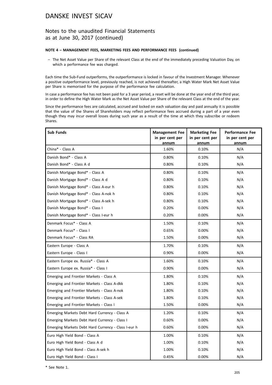### Notes to the unaudited Financial Statements as at June 30, 2017 (continued)

#### **NOTE 4 – MANAGEMENT FEES, MARKETING FEES AND PERFORMANCE FEES (continued)**

– The Net Asset Value per Share of the relevant Class at the end of the immediately preceding Valuation Day, on which a performance fee was charged.

Each time the Sub-Fund outperforms, the outperformance is locked in favour of the Investment Manager. Whenever a positive outperformance level, previously reached, is not achieved thereafter, a High Water Mark Net Asset Value per Share is memorised for the purpose of the performance fee calculation.

In case a performance fee has not been paid for a 3 year period, a reset will be done at the year end of the third year, in order to define the High Water Mark as the Net Asset Value per Share of the relevant Class at the end of the year.

Since the performance fees are calculated, accrued and locked on each valuation day and paid annually it is possible that the value of the Shares of Shareholders may reflect performance fees accrued during a part of a year even though they may incur overall losses during such year as a result of the time at which they subscribe or redeem Shares.

| <b>Sub Funds</b>                                    | <b>Management Fee</b><br>in per cent per<br>annum | <b>Marketing Fee</b><br>in per cent per<br>annum | <b>Performance Fee</b><br>in per cent per<br>annum |
|-----------------------------------------------------|---------------------------------------------------|--------------------------------------------------|----------------------------------------------------|
| China* - Class A                                    | 1.60%                                             | 0.10%                                            | N/A                                                |
| Danish Bond* - Class A                              | 0.80%                                             | 0.10%                                            | N/A                                                |
| Danish Bond* - Class A d                            | 0.80%                                             | 0.10%                                            | N/A                                                |
| Danish Mortgage Bond* - Class A                     | 0.80%                                             | 0.10%                                            | N/A                                                |
| Danish Mortgage Bond* - Class A d                   | 0.80%                                             | 0.10%                                            | N/A                                                |
| Danish Mortgage Bond* - Class A-eur h               | 0.80%                                             | 0.10%                                            | N/A                                                |
| Danish Mortgage Bond* - Class A-nok h               | 0.80%                                             | 0.10%                                            | N/A                                                |
| Danish Mortgage Bond* - Class A-sek h               | 0.80%                                             | 0.10%                                            | N/A                                                |
| Danish Mortgage Bond* - Class I                     | 0.20%                                             | 0.00%                                            | N/A                                                |
| Danish Mortgage Bond* - Class I-eur h               | 0.20%                                             | 0.00%                                            | N/A                                                |
| Denmark Focus* - Class A                            | 1.50%                                             | 0.10%                                            | N/A                                                |
| Denmark Focus* - Class I                            | 0.65%                                             | $0.00\%$                                         | N/A                                                |
| Denmark Focus* - Class RA                           | 1.50%                                             | $0.00\%$                                         | N/A                                                |
| Eastern Europe - Class A                            | 1.70%                                             | 0.10%                                            | N/A                                                |
| Eastern Europe - Class I                            | 0.90%                                             | 0.00%                                            | N/A                                                |
| Eastern Europe ex. Russia* - Class A                | 1.60%                                             | 0.10%                                            | N/A                                                |
| Eastern Europe ex. Russia* - Class I                | 0.90%                                             | $0.00\%$                                         | N/A                                                |
| Emerging and Frontier Markets - Class A             | 1.80%                                             | 0.10%                                            | N/A                                                |
| Emerging and Frontier Markets - Class A-dkk         | 1.80%                                             | 0.10%                                            | N/A                                                |
| Emerging and Frontier Markets - Class A-nok         | 1.80%                                             | 0.10%                                            | N/A                                                |
| Emerging and Frontier Markets - Class A-sek         | 1.80%                                             | 0.10%                                            | N/A                                                |
| Emerging and Frontier Markets - Class I             | 1.50%                                             | $0.00\%$                                         | N/A                                                |
| Emerging Markets Debt Hard Currency - Class A       | 1.20%                                             | 0.10%                                            | N/A                                                |
| Emerging Markets Debt Hard Currency - Class I       | 0.60%                                             | $0.00\%$                                         | N/A                                                |
| Emerging Markets Debt Hard Currency - Class I-eur h | 0.60%                                             | 0.00%                                            | N/A                                                |
| Euro High Yield Bond - Class A                      | 1.00%                                             | 0.10%                                            | N/A                                                |
| Euro High Yield Bond - Class A d                    | 1.00%                                             | 0.10%                                            | N/A                                                |
| Euro High Yield Bond - Class A-sek h                | 1.00%                                             | 0.10%                                            | N/A                                                |
| Euro High Yield Bond - Class I                      | 0.45%                                             | 0.00%                                            | N/A                                                |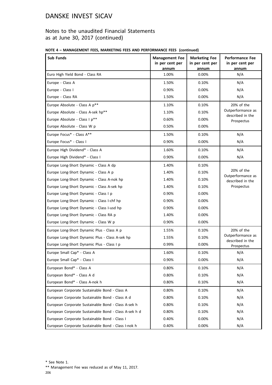## Notes to the unaudited Financial Statements as at June 30, 2017 (continued)

|  | NOTE 4 - MANAGEMENT FEES, MARKETING FEES AND PERFORMANCE FEES (continued) |  |  |  |
|--|---------------------------------------------------------------------------|--|--|--|
|--|---------------------------------------------------------------------------|--|--|--|

| Sub Funds                                             | <b>Management Fee</b><br>in per cent per<br>annum | <b>Marketing Fee</b><br>in per cent per<br>annum | <b>Performance Fee</b><br>in per cent per<br>annum                |
|-------------------------------------------------------|---------------------------------------------------|--------------------------------------------------|-------------------------------------------------------------------|
| Euro High Yield Bond - Class RA                       | 1.00%                                             | 0.00%                                            | N/A                                                               |
| Europe - Class A                                      | 1.50%                                             | 0.10%                                            | N/A                                                               |
| Europe - Class I                                      | 0.90%                                             | 0.00%                                            | N/A                                                               |
| Europe - Class RA                                     | 1.50%                                             | 0.00%                                            | N/A                                                               |
| Europe Absolute - Class A p**                         | 1.10%                                             | 0.10%                                            | 20% of the                                                        |
| Europe Absolute - Class A-sek hp**                    | 1.10%                                             | 0.10%                                            | Outperformance as<br>described in the                             |
| Europe Absolute - Class I p**                         | 0.60%                                             | $0.00\%$                                         | Prospectus                                                        |
| Europe Absolute - Class W p                           | 0.50%                                             | $0.00\%$                                         |                                                                   |
| Europe Focus* - Class A**                             | 1.50%                                             | 0.10%                                            | N/A                                                               |
| Europe Focus* - Class I                               | 0.90%                                             | $0.00\%$                                         | N/A                                                               |
| Europe High Dividend* - Class A                       | 1.60%                                             | 0.10%                                            | N/A                                                               |
| Europe High Dividend* - Class I                       | 0.90%                                             | $0.00\%$                                         | N/A                                                               |
| Europe Long-Short Dynamic - Class A dp                | 1.40%                                             | 0.10%                                            |                                                                   |
| Europe Long-Short Dynamic - Class A p                 | 1.40%                                             | 0.10%                                            | 20% of the<br>Outperformance as<br>described in the<br>Prospectus |
| Europe Long-Short Dynamic - Class A-nok hp            | 1.40%                                             | 0.10%                                            |                                                                   |
| Europe Long-Short Dynamic - Class A-sek hp            | 1.40%                                             | 0.10%                                            |                                                                   |
| Europe Long-Short Dynamic - Class I p                 | 0.90%                                             | $0.00\%$                                         |                                                                   |
| Europe Long-Short Dynamic - Class I-chf hp            | 0.90%                                             | $0.00\%$                                         |                                                                   |
| Europe Long-Short Dynamic - Class I-usd hp            | 0.90%                                             | $0.00\%$                                         |                                                                   |
| Europe Long-Short Dynamic - Class RA p                | 1.40%                                             | $0.00\%$                                         |                                                                   |
| Europe Long-Short Dynamic - Class W p                 | 0.90%                                             | 0.00%                                            |                                                                   |
| Europe Long-Short Dynamic Plus - Class A p            | 1.55%                                             | 0.10%                                            | 20% of the                                                        |
| Europe Long-Short Dynamic Plus - Class A-sek hp       | 1.55%                                             | 0.10%                                            | Outperformance as<br>described in the                             |
| Europe Long-Short Dynamic Plus - Class I p            | 0.99%                                             | 0.00%                                            | Prospectus                                                        |
| Europe Small Cap* - Class A                           | 1.60%                                             | 0.10%                                            | N/A                                                               |
| Europe Small Cap* - Class I                           | 0.90%                                             | 0.00%                                            | N/A                                                               |
| European Bond* - Class A                              | 0.80%                                             | 0.10%                                            | N/A                                                               |
| European Bond* - Class A d                            | 0.80%                                             | 0.10%                                            | N/A                                                               |
| European Bond* - Class A-nok h                        | 0.80%                                             | $0.10\%$                                         | N/A                                                               |
| European Corporate Sustainable Bond - Class A         | 0.80%                                             | 0.10%                                            | N/A                                                               |
| European Corporate Sustainable Bond - Class A d       | 0.80%                                             | 0.10%                                            | N/A                                                               |
| European Corporate Sustainable Bond - Class A-sek h   | 0.80%                                             | $0.10\%$                                         | N/A                                                               |
| European Corporate Sustainable Bond - Class A-sek h d | 0.80%                                             | 0.10%                                            | N/A                                                               |
| European Corporate Sustainable Bond - Class I         | 0.40%                                             | 0.00%                                            | N/A                                                               |
| European Corporate Sustainable Bond - Class I-nok h   | 0.40%                                             | 0.00%                                            | N/A                                                               |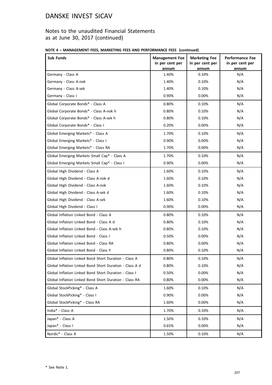## Notes to the unaudited Financial Statements as at June 30, 2017 (continued)

| NOTE 4 - MANAGEMENT FEES, MARKETING FEES AND PERFORMANCE FEES (continued) |  |  |  |  |
|---------------------------------------------------------------------------|--|--|--|--|
|---------------------------------------------------------------------------|--|--|--|--|

| Sub Funds                                               | <b>Management Fee</b><br>in per cent per | <b>Marketing Fee</b><br>in per cent per | <b>Performance Fee</b><br>in per cent per |
|---------------------------------------------------------|------------------------------------------|-----------------------------------------|-------------------------------------------|
| Germany - Class A                                       | annum<br>1.40%                           | annum<br>0.10%                          | annum<br>N/A                              |
| Germany - Class A-nok                                   | 1.40%                                    | 0.10%                                   | N/A                                       |
| Germany - Class A-sek                                   | 1.40%                                    | 0.10%                                   | N/A                                       |
| Germany - Class I                                       | 0.90%                                    | 0.00%                                   | N/A                                       |
| Global Corporate Bonds* - Class A                       | 0.80%                                    | 0.10%                                   | N/A                                       |
| Global Corporate Bonds* - Class A-nok h                 | 0.80%                                    | 0.10%                                   | N/A                                       |
| Global Corporate Bonds* - Class A-sek h                 | 0.80%                                    | 0.10%                                   | N/A                                       |
| Global Corporate Bonds* - Class I                       | 0.20%                                    | 0.00%                                   | N/A                                       |
| Global Emerging Markets* - Class A                      | 1.70%                                    | 0.10%                                   | N/A                                       |
| Global Emerging Markets* - Class I                      | 0.90%                                    | 0.00%                                   | N/A                                       |
| Global Emerging Markets* - Class RA                     | 1.70%                                    | $0.00\%$                                | N/A                                       |
| Global Emerging Markets Small Cap* - Class A            | 1.70%                                    | 0.10%                                   | N/A                                       |
| Global Emerging Markets Small Cap* - Class I            | 0.90%                                    | 0.00%                                   | N/A                                       |
| Global High Dividend - Class A                          | 1.60%                                    | 0.10%                                   | N/A                                       |
| Global High Dividend - Class A-nok d                    | 1.60%                                    | 0.10%                                   | N/A                                       |
| Global High Dividend - Class A-nok                      | 1.60%                                    | 0.10%                                   | N/A                                       |
| Global High Dividend - Class A-sek d                    | 1.60%                                    | 0.10%                                   | N/A                                       |
| Global High Dividend - Class A-sek                      | 1.60%                                    | 0.10%                                   | N/A                                       |
| Global High Dividend - Class I                          | 0.90%                                    | $0.00\%$                                | N/A                                       |
| Global Inflation Linked Bond - Class A                  | 0.80%                                    | 0.10%                                   | N/A                                       |
| Global Inflation Linked Bond - Class A d                | 0.80%                                    | 0.10%                                   | N/A                                       |
| Global Inflation Linked Bond - Class A-sek h            | 0.80%                                    | 0.10%                                   | N/A                                       |
| Global Inflation Linked Bond - Class I                  | 0.50%                                    | $0.00\%$                                | N/A                                       |
| Global Inflation Linked Bond - Class RA                 | 0.80%                                    | 0.00%                                   | N/A                                       |
| Global Inflation Linked Bond - Class Y                  | 0.80%                                    | 0.10%                                   | N/A                                       |
| Global Inflation Linked Bond Short Duration - Class A   | 0.80%                                    | 0.10%                                   | N/A                                       |
| Global Inflation Linked Bond Short Duration - Class A d | 0.80%                                    | 0.10%                                   | N/A                                       |
| Global Inflation Linked Bond Short Duration - Class I   | 0.50%                                    | 0.00%                                   | N/A                                       |
| Global Inflation Linked Bond Short Duration - Class RA  | 0.80%                                    | 0.00%                                   | N/A                                       |
| Global StockPicking* - Class A                          | 1.60%                                    | 0.10%                                   | N/A                                       |
| Global StockPicking* - Class I                          | 0.90%                                    | 0.00%                                   | N/A                                       |
| Global StockPicking* - Class RA                         | 1.60%                                    | 0.00%                                   | N/A                                       |
| India* - Class A                                        | 1.70%                                    | 0.10%                                   | N/A                                       |
| Japan* - Class A                                        | 1.50%                                    | 0.10%                                   | N/A                                       |
| Japan* - Class I                                        | 0.65%                                    | 0.00%                                   | N/A                                       |
| Nordic* - Class A                                       | 1.50%                                    | 0.10%                                   | N/A                                       |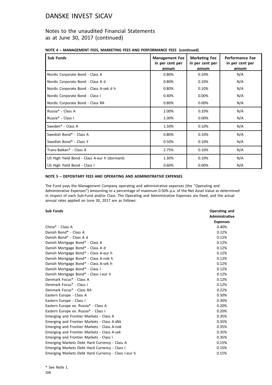### Notes to the unaudited Financial Statements as at June 30, 2017 (continued)

|  |  |  |  |  | NOTE 4 - MANAGEMENT FEES, MARKETING FEES AND PERFORMANCE FEES (continued) |  |
|--|--|--|--|--|---------------------------------------------------------------------------|--|
|--|--|--|--|--|---------------------------------------------------------------------------|--|

| <b>Sub Funds</b>                             | <b>Management Fee</b><br>in per cent per<br>annum | <b>Marketing Fee</b><br>in per cent per<br>annum | <b>Performance Fee</b><br>in per cent per<br>annum |
|----------------------------------------------|---------------------------------------------------|--------------------------------------------------|----------------------------------------------------|
| Nordic Corporate Bond - Class A              | 0.80%                                             | 0.10%                                            | N/A                                                |
| Nordic Corporate Bond - Class A d            | 0.80%                                             | 0.10%                                            | N/A                                                |
| Nordic Corporate Bond - Class A-sek d h      | 0.80%                                             | 0.10%                                            | N/A                                                |
| Nordic Corporate Bond - Class I              | 0.40%                                             | 0.00%                                            | N/A                                                |
| Nordic Corporate Bond - Class RA             | 0.80%                                             | 0.00%                                            | N/A                                                |
| Russia* - Class A                            | 2.00%                                             | 0.10%                                            | N/A                                                |
| Russia* - Class I                            | 1.00%                                             | 0.00%                                            | N/A                                                |
| Sweden* - Class A                            | 1.50%                                             | 0.10%                                            | N/A                                                |
| Swedish Bond* - Class A                      | 0.80%                                             | 0.10%                                            | N/A                                                |
| Swedish Bond* - Class Y                      | 0.50%                                             | 0.10%                                            | N/A                                                |
| Trans-Balkan* - Class A                      | 2.75%                                             | 0.10%                                            | N/A                                                |
| US High Yield Bond - Class A-eur h (dormant) | 1.30%                                             | 0.10%                                            | N/A                                                |
| US High Yield Bond - Class I                 | 0.60%                                             | 0.00%                                            | N/A                                                |

### **NOTE 5 – DEPOSITARY FEES AND OPERATING AND ADMINISTRATIVE EXPENSES**

The Fund pays the Management Company operating and administrative expenses (the "Operating and Administrative Expenses") amounting to a percentage of maximum 0.50% p.a. of the Net Asset Value as determined in respect of each Sub-Fund and/or Class. The Operating and Administrative Expenses are fixed, and the actual annual rates applied on June 30, 2017 are as follows:

#### **Sub Funds Operating and**

|                                                     | <b>Administrative</b> |
|-----------------------------------------------------|-----------------------|
|                                                     | <b>Expenses</b>       |
| China* - Class A                                    | 0.40%                 |
| Danish Bond* - Class A                              | 0.12%                 |
| Danish Bond* - Class A d                            | 0.12%                 |
| Danish Mortgage Bond* - Class A                     | 0.12%                 |
| Danish Mortgage Bond* - Class A d                   | 0.12%                 |
| Danish Mortgage Bond* - Class A-eur h               | 0.12%                 |
| Danish Mortgage Bond* - Class A-nok h               | 0.12%                 |
| Danish Mortgage Bond* - Class A-sek h               | 0.12%                 |
| Danish Mortgage Bond* - Class I                     | 0.12%                 |
| Danish Mortgage Bond* - Class I-eur h               | 0.12%                 |
| Denmark Focus* - Class A                            | 0.12%                 |
| Denmark Focus* - Class I                            | 0.12%                 |
| Denmark Focus* - Class RA                           | 0.22%                 |
| Eastern Europe - Class A                            | 0.30%                 |
| Eastern Europe - Class I                            | 0.30%                 |
| Eastern Europe ex. Russia* - Class A                | 0.20%                 |
| Eastern Europe ex. Russia* - Class I                | 0.20%                 |
| Emerging and Frontier Markets - Class A             | 0.35%                 |
| Emerging and Frontier Markets - Class A-dkk         | 0.35%                 |
| Emerging and Frontier Markets - Class A-nok         | 0.35%                 |
| Emerging and Frontier Markets - Class A-sek         | 0.35%                 |
| Emerging and Frontier Markets - Class I             | 0.35%                 |
| Emerging Markets Debt Hard Currency - Class A       | 0.15%                 |
| Emerging Markets Debt Hard Currency - Class I       | 0.15%                 |
| Emerging Markets Debt Hard Currency - Class I-eur h | 0.15%                 |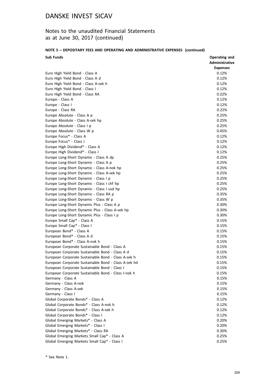## Notes to the unaudited Financial Statements as at June 30, 2017 (continued)

### **NOTE 5 – DEPOSITARY FEES AND OPERATING AND ADMINISTRATIVE EXPENSES (continued)**

| <b>Sub Funds</b>                                     | Operating and         |
|------------------------------------------------------|-----------------------|
|                                                      | <b>Administrative</b> |
|                                                      | <b>Expenses</b>       |
| Euro High Yield Bond - Class A                       | 0.12%                 |
| Euro High Yield Bond - Class A d                     | 0.12%                 |
| Euro High Yield Bond - Class A-sek h                 | 0.12%                 |
| Euro High Yield Bond - Class I                       | 0.12%                 |
| Euro High Yield Bond - Class RA                      | 0.22%                 |
| Europe - Class A                                     | 0.12%                 |
| Europe - Class I                                     | 0.12%                 |
| Europe - Class RA                                    | 0.22%                 |
| Europe Absolute - Class A p                          | 0.25%                 |
| Europe Absolute - Class A-sek hp                     | 0.25%                 |
| Europe Absolute - Class I p                          | 0.25%                 |
| Europe Absolute - Class W p                          | 0.45%                 |
| Europe Focus* - Class A                              | 0.12%                 |
| Europe Focus* - Class I                              | 0.12%                 |
| Europe High Dividend* - Class A                      | 0.12%                 |
| Europe High Dividend* - Class I                      | 0.12%                 |
| Europe Long-Short Dynamic - Class A dp               | 0.25%                 |
| Europe Long-Short Dynamic - Class A p                | 0.25%                 |
| Europe Long-Short Dynamic - Class A-nok hp           | 0.25%                 |
| Europe Long-Short Dynamic - Class A-sek hp           | 0.25%                 |
| Europe Long-Short Dynamic - Class I p                | 0.25%                 |
| Europe Long-Short Dynamic - Class I chf hp           | 0.25%                 |
| Europe Long-Short Dynamic - Class I usd hp           | 0.25%                 |
| Europe Long-Short Dynamic - Class RA p               | 0.35%                 |
| Europe Long-Short Dynamic - Class W p                | 0.35%                 |
| Europe Long-Short Dynamic Plus - Class A p           | 0.30%                 |
| Europe Long-Short Dynamic Plus - Class A-sek hp      | 0.30%                 |
| Europe Long-Short Dynamic Plus - Class I p           | 0.30%                 |
| Europe Small Cap* - Class A                          | 0.15%                 |
| Europe Small Cap* - Class I                          | 0.15%                 |
| European Bond* - Class A                             | 0.15%                 |
| European Bond* - Class A d                           | 0.15%                 |
| European Bond* - Class A-nok h                       | 0.15%                 |
| European Corporate Sustainable Bond - Class A        | 0.15%                 |
| European Corporate Sustainable Bond - Class A d      | 0.15%                 |
| European Corporate Sustainable Bond - Class A-sek h  | 0.15%                 |
| European Corporate Sustainable Bond - Class A-sek hd | 0.15%                 |
| European Corporate Sustainable Bond - Class I        | 0.15%                 |
| European Corporate Sustainable Bond - Class I-nok h  | 0.15%                 |
|                                                      | 0.15%                 |
| Germany - Class A<br>Germany - Class A-nok           | 0.15%                 |
| Germany - Class A-sek                                | 0.15%                 |
|                                                      |                       |
| Germany - Class I                                    | 0.15%                 |
| Global Corporate Bonds* - Class A                    | 0.12%                 |
| Global Corporate Bonds* - Class A-nok h              | 0.12%                 |
| Global Corporate Bonds* - Class A-sek h              | 0.12%                 |
| Global Corporate Bonds* - Class I                    | 0.12%                 |
| Global Emerging Markets* - Class A                   | 0.20%                 |
| Global Emerging Markets* - Class I                   | 0.20%                 |
| Global Emerging Markets* - Class RA                  | 0.30%                 |
| Global Emerging Markets Small Cap* - Class A         | 0.25%                 |
| Global Emerging Markets Small Cap* - Class I         | 0.25%                 |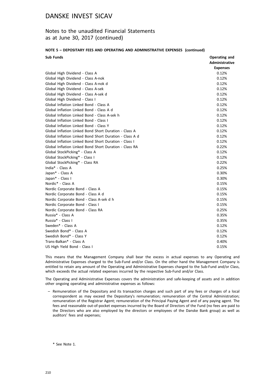### Notes to the unaudited Financial Statements as at June 30, 2017 (continued)

#### **NOTE 5 – DEPOSITARY FEES AND OPERATING AND ADMINISTRATIVE EXPENSES (continued)**

| <b>Sub Funds</b>                                        | Operating and   |
|---------------------------------------------------------|-----------------|
|                                                         | Administrative  |
|                                                         | <b>Expenses</b> |
| Global High Dividend - Class A                          | 0.12%           |
| Global High Dividend - Class A-nok                      | 0.12%           |
| Global High Dividend - Class A-nok d                    | 0.12%           |
| Global High Dividend - Class A-sek                      | 0.12%           |
| Global High Dividend - Class A-sek d                    | 0.12%           |
| Global High Dividend - Class I                          | 0.12%           |
| Global Inflation Linked Bond - Class A                  | 0.12%           |
| Global Inflation Linked Bond - Class A d                | 0.12%           |
| Global Inflation Linked Bond - Class A-sek h            | 0.12%           |
| Global Inflation Linked Bond - Class I                  | 0.12%           |
| Global Inflation Linked Bond - Class Y                  | 0.12%           |
| Global Inflation Linked Bond Short Duration - Class A   | 0.12%           |
| Global Inflation Linked Bond Short Duration - Class A d | 0.12%           |
| Global Inflation Linked Bond Short Duration - Class I   | 0.12%           |
| Global Inflation Linked Bond Short Duration - Class RA  | 0.22%           |
| Global StockPicking* - Class A                          | 0.12%           |
| Global StockPicking* - Class I                          | 0.12%           |
| Global StockPicking* - Class RA                         | 0.22%           |
| India* - Class A                                        | 0.25%           |
| Japan* - Class A                                        | 0.30%           |
| Japan* - Class I                                        | 0.30%           |
| Nordic* - Class A                                       | 0.15%           |
| Nordic Corporate Bond - Class A                         | 0.15%           |
| Nordic Corporate Bond - Class A d                       | 0.15%           |
| Nordic Corporate Bond - Class A-sek d h                 | 0.15%           |
| Nordic Corporate Bond - Class I                         | 0.15%           |
| Nordic Corporate Bond - Class RA                        | 0.25%           |
| Russia* - Class A                                       | 0.35%           |
| Russia* - Class I                                       | 0.35%           |
| Sweden* - Class A                                       | 0.12%           |
| Swedish Bond* - Class A                                 | 0.12%           |
| Swedish Bond* - Class Y                                 | 0.12%           |
| Trans-Balkan* - Class A                                 | 0.40%           |
| US High Yield Bond - Class I                            | 0.15%           |

This means that the Management Company shall bear the excess in actual expenses to any Operating and Administrative Expenses charged to the Sub-Fund and/or Class. On the other hand the Management Company is entitled to retain any amount of the Operating and Administrative Expenses charged to the Sub-Fund and/or Class, which exceeds the actual related expenses incurred by the respective Sub-Fund and/or Class.

The Operating and Administrative Expenses covers the administration and safe-keeping of assets and in addition other ongoing operating and administrative expenses as follows:

– Remuneration of the Depositary and its transaction charges and such part of any fees or charges of a local correspondent as may exceed the Depositary's remuneration; remuneration of the Central Administration; remuneration of the Registrar Agent; remuneration of the Principal Paying Agent and of any paying agent. The fees and reasonable out-of-pocket expenses incurred by the Board of Directors of the Fund (no fees are paid to the Directors who are also employed by the directors or employees of the Danske Bank group) as well as auditors' fees and expenses;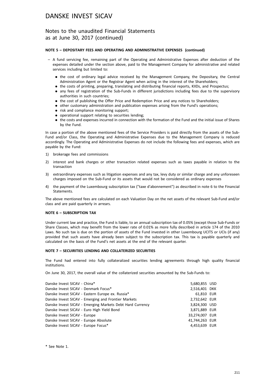### Notes to the unaudited Financial Statements as at June 30, 2017 (continued)

### **NOTE 5 – DEPOSITARY FEES AND OPERATING AND ADMINISTRATIVE EXPENSES (continued)**

- A fund servicing fee, remaining part of the Operating and Administrative Expenses after deduction of the expenses detailed under the section above, paid to the Management Company for administrative and related services including but limited to:
	- . the cost of ordinary legal advice received by the Management Company, the Depositary, the Central Administration Agent or the Registrar Agent when acting in the interest of the Shareholders;
	- . the costs of printing, preparing, translating and distributing financial reports, KIIDs, and Prospectus;
	- . any fees of registration of the Sub-Funds in different jurisdictions including fees due to the supervisory authorities in such countries;
	- . the cost of publishing the Offer Price and Redemption Price and any notices to Shareholders;
	- . other customary administration and publication expenses arising from the Fund's operations;
	- risk and compliance monitoring support;
	- . operational support relating to securities lending;
	- . the costs and expenses incurred in connection with the formation of the Fund and the initial issue of Shares by the Fund.

In case a portion of the above mentioned fees of the Service Providers is paid directly from the assets of the Sub-Fund and/or Class, the Operating and Administrative Expenses due to the Management Company is reduced accordingly. The Operating and Administrative Expenses do not include the following fees and expenses, which are payable by the Fund:

- 1) brokerage fees and commissions
- 2) interest and bank charges or other transaction related expenses such as taxes payable in relation to the transaction
- 3) extraordinary expenses such as litigation expenses and any tax, levy duty or similar charge and any unforeseen charges imposed on the Sub-Fund or its assets that would not be considered as ordinary expenses
- 4) the payment of the Luxembourg subscription tax ("taxe d'abonnement") as described in note 6 to the Financial **Statements**

The above mentioned fees are calculated on each Valuation Day on the net assets of the relevant Sub-Fund and/or class and are paid quarterly in arrears.

#### **NOTE 6 – SUBSCRIPTION TAX**

Under current law and practice, the Fund is liable, to an annual subscription tax of 0.05% (except those Sub-Funds or Share Classes, which may benefit from the lower rate of 0.01% as more fully described in article 174 of the 2010 Laws. No such tax is due on the portion of assets of the Fund invested in other Luxembourg UCITS or UCIs (if any) provided that such assets have already been subject to the subscription tax. This tax is payable quarterly and calculated on the basis of the Fund's net assets at the end of the relevant quarter.

#### **NOTE 7 – SECUIRITIES LENDING AND COLLATERIZED SECURITIES**

The Fund had entered into fully collateralized securities lending agreements through high quality financial institutions.

On June 30, 2017, the overall value of the collaterized securities amounted by the Sub-Funds to:

| 5,680,855 USD  |  |
|----------------|--|
| 2,516,401 DKK  |  |
| 61.810 EUR     |  |
| 2,732,642 EUR  |  |
| 3,824,300 USD  |  |
| 3,871,889 EUR  |  |
| 33,274,007 EUR |  |
| 41,744,263 EUR |  |
| 4,453,639 EUR  |  |
|                |  |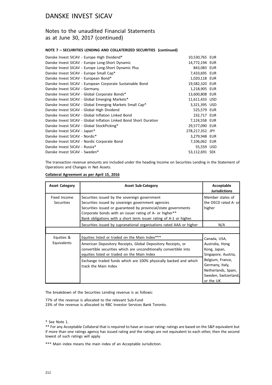### Notes to the unaudited Financial Statements as at June 30, 2017 (continued)

### **NOTE 7 – SECUIRITIES LENDING AND COLLATERIZED SECURITIES (continued)**

| Danske Invest SICAV - Europe High Dividend*                       | 10,530,765 EUR  |  |
|-------------------------------------------------------------------|-----------------|--|
| Danske Invest SICAV - Europe Long-Short Dynamic                   | 14,772,194 EUR  |  |
| Danske Invest SICAV - Europe Long-Short Dynamic Plus              | 843,083 EUR     |  |
| Danske Invest SICAV - Europe Small Cap*                           | 7,433,695 EUR   |  |
| Danske Invest SICAV - European Bond*                              | 1,020,118 EUR   |  |
| Danske Invest SICAV - European Corporate Sustainable Bond         | 19,582,320 EUR  |  |
| Danske Invest SICAV - Germany                                     | 1,218,905 EUR   |  |
| Danske Invest SICAV - Global Corporate Bonds*                     | 13,600,808 EUR  |  |
| Danske Invest SICAV - Global Emerging Markets*                    | 11,611,433 USD  |  |
| Danske Invest SICAV - Global Emerging Markets Small Cap*          | 3,321,395 USD   |  |
| Danske Invest SICAV - Global High Dividend                        | 525,579 EUR     |  |
| Danske Invest SICAV - Global Inflation Linked Bond                | 232,717 EUR     |  |
| Danske Invest SICAV - Global Inflation Linked Bond Short Duration | 7,124,558 EUR   |  |
| Danske Invest SICAV - Global StockPicking*                        | 29,577,090 EUR  |  |
| Danske Invest SICAV - Japan*                                      | 278,217,352 JPY |  |
| Danske Invest SICAV - Nordic*                                     | 3,279,948 EUR   |  |
| Danske Invest SICAV - Nordic Corporate Bond                       | 7,106,062 EUR   |  |
| Danske Invest SICAV - Russia*                                     | 55,559 USD      |  |
| Danske Invest SICAV - Sweden*                                     | 53,112,691 SEK  |  |
|                                                                   |                 |  |

The transaction revenue amounts are included under the heading Income on Securities Lending in the Statement of Operations and Changes in Net Assets.

### **Collateral Agreement as per April 15, 2016**

| <b>Asset Category</b>             | <b>Asset Sub-Category</b>                                                                                                                                                                                                                                                                               | Acceptable<br><b>Jurisdictions</b>                                          |  |
|-----------------------------------|---------------------------------------------------------------------------------------------------------------------------------------------------------------------------------------------------------------------------------------------------------------------------------------------------------|-----------------------------------------------------------------------------|--|
| Fixed Income<br><b>Securities</b> | Securities issued by the sovereign government<br>Securities issued by sovereign government agencies<br>Securities issued or guaranteed by provincial/state governments<br>Corporate bonds with an issuer rating of A- or higher**<br>Bank obligations with a short term issuer rating of A-1 or higher. | Member states of<br>the OECD rated A- or<br>higher                          |  |
|                                   | Securities issued by supranational organisations rated AAA or higher                                                                                                                                                                                                                                    | N/A                                                                         |  |
|                                   |                                                                                                                                                                                                                                                                                                         |                                                                             |  |
| Equities &                        | Equities listed or traded on the Main Index***                                                                                                                                                                                                                                                          | Canada, USA,                                                                |  |
| Equivalents                       | American Depository Receipts, Global Depository Receipts, or<br>convertible securities which are unconditionally convertible into<br>equities listed or traded on the Main Index<br>Exchange traded funds which are 100% physically backed and which                                                    | Australia, Hong<br>Kong, Japan,<br>Singapore, Austria,<br>Belgium, France,  |  |
|                                   | track the Main Index                                                                                                                                                                                                                                                                                    | Germany, Italy,<br>Netherlands, Spain,<br>Sweden, Switzerland,<br>or the UK |  |

The breakdown of the Securities Lending revenue is as follows:

77% of the revenue is allocated to the relevant Sub-Fund 23% of the revenue is allocated to RBC Investor Services Bank Toronto.

\* See Note 1.

\*\* For any Acceptable Collateral that is required to have an issuer rating: ratings are based on the S&P equivalent but if more than one ratings agency has issued rating and the ratings are not equivalent to each other, then the second lowest of such ratings will apply.

\*\*\* Main index means the main index of an Acceptable Jurisdiction.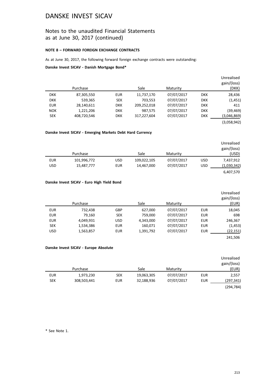### Notes to the unaudited Financial Statements as at June 30, 2017 (continued)

### **NOTE 8 – FORWARD FOREIGN EXCHANGE CONTRACTS**

As at June 30, 2017, the following forward foreign exchange contracts were outstanding:

**Danske Invest SICAV - Danish Mortgage Bond\***

|            |             |            |             |            |            | Unrealised  |
|------------|-------------|------------|-------------|------------|------------|-------------|
|            |             |            |             |            |            | gain/(loss) |
|            | Purchase    |            | Sale        | Maturity   |            | (DKK)       |
| <b>DKK</b> | 87,305,550  | <b>EUR</b> | 11,737,170  | 07/07/2017 | <b>DKK</b> | 28,436      |
| <b>DKK</b> | 539,365     | <b>SEK</b> | 703,553     | 07/07/2017 | <b>DKK</b> | (1, 451)    |
| <b>EUR</b> | 28,140,611  | <b>DKK</b> | 209,252,018 | 07/07/2017 | <b>DKK</b> | 411         |
| <b>NOK</b> | 1,221,206   | <b>DKK</b> | 987,575     | 07/07/2017 | <b>DKK</b> | (39, 469)   |
| <b>SEK</b> | 408,720,546 | <b>DKK</b> | 317,227,604 | 07/07/2017 | <b>DKK</b> | (3,046,869) |
|            |             |            |             |            |            | (3,058,942) |

### **Danske Invest SICAV - Emerging Markets Debt Hard Currency**

|            | Purchase    |            | Sale        | Maturity   |            | Unrealised<br>gain/(loss)<br>(USD) |
|------------|-------------|------------|-------------|------------|------------|------------------------------------|
| <b>EUR</b> | 101,996,772 | <b>USD</b> | 109,022,105 | 07/07/2017 | <b>USD</b> | 7,437,912                          |
| <b>USD</b> | 15,487,777  | <b>EUR</b> | 14,467,000  | 07/07/2017 | <b>USD</b> | (1,030,342)                        |
|            |             |            |             |            |            | 6,407,570                          |

### **Danske Invest SICAV - Euro High Yield Bond**

| Unrealised<br>gain/(loss)<br>(EUR) |            | Maturity   | Sale      |            | Purchase  |            |
|------------------------------------|------------|------------|-----------|------------|-----------|------------|
|                                    |            |            |           |            |           |            |
| 18,045                             | <b>EUR</b> | 07/07/2017 | 627,000   | GBP        | 732,438   | <b>EUR</b> |
| 698                                | <b>EUR</b> | 07/07/2017 | 759.000   | <b>SEK</b> | 79.160    | <b>EUR</b> |
| 246,367                            | <b>EUR</b> | 07/07/2017 | 4,343,000 | <b>USD</b> | 4,049,931 | <b>EUR</b> |
| (1, 453)                           | <b>EUR</b> | 07/07/2017 | 160,071   | <b>EUR</b> | 1,534,386 | <b>SEK</b> |
| (22, 151)                          | <b>EUR</b> | 07/07/2017 | 1,391,792 | <b>EUR</b> | 1,563,857 | <b>USD</b> |
| 241.506                            |            |            |           |            |           |            |

### **Danske Invest SICAV - Europe Absolute**

|            |             |            |            |            |     | Unrealised<br>gain/(loss) |
|------------|-------------|------------|------------|------------|-----|---------------------------|
|            | Purchase    |            | Sale       | Maturity   |     | (EUR)                     |
| <b>EUR</b> | 1,973,230   | <b>SEK</b> | 19,063,305 | 07/07/2017 | EUR | 2,557                     |
| <b>SEK</b> | 308,503,441 | <b>EUR</b> | 32,188,936 | 07/07/2017 | EUR | (297, 341)                |
|            |             |            |            |            |     | (294, 784)                |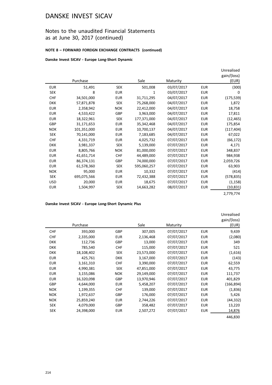## Notes to the unaudited Financial Statements as at June 30, 2017 (continued)

### **NOTE 8 – FORWARD FOREIGN EXCHANGE CONTRACTS (continued)**

**Danske Invest SICAV - Europe Long-Short Dynamic**

|            | Purchase    |            | Sale        | Maturity   |            | Unrealised<br>gain/(loss)<br>(EUR) |
|------------|-------------|------------|-------------|------------|------------|------------------------------------|
| <b>EUR</b> | 51,491      | <b>SEK</b> | 501,008     | 03/07/2017 | <b>EUR</b> | (300)                              |
| <b>SEK</b> | 8           | <b>EUR</b> | 1           | 03/07/2017 | <b>EUR</b> | 0                                  |
| <b>CHF</b> | 34,501,000  | <b>EUR</b> | 31,711,295  | 04/07/2017 | <b>EUR</b> | (175, 539)                         |
| <b>DKK</b> | 57,871,878  | <b>SEK</b> | 75,268,000  | 04/07/2017 | <b>EUR</b> | 1,872                              |
| <b>EUR</b> | 2,358,942   | <b>NOK</b> | 22,412,000  | 04/07/2017 | <b>EUR</b> | 18,758                             |
| <b>EUR</b> | 4,533,422   | <b>GBP</b> | 3,963,000   | 04/07/2017 | <b>EUR</b> | 17,811                             |
| <b>EUR</b> | 18,322,961  | SEK        | 177,371,000 | 04/07/2017 | <b>EUR</b> | (12, 465)                          |
| GBP        | 31,171,653  | <b>EUR</b> | 35,342,468  | 04/07/2017 | <b>EUR</b> | 175,854                            |
| <b>NOK</b> | 101,351,000 | <b>EUR</b> | 10,700,137  | 04/07/2017 | <b>EUR</b> | (117, 404)                         |
| <b>SEK</b> | 70,141,000  | <b>EUR</b> | 7,183,685   | 04/07/2017 | <b>EUR</b> | 67,022                             |
| <b>CHF</b> | 4,331,719   | <b>EUR</b> | 4,025,732   | 07/07/2017 | <b>EUR</b> | (66, 172)                          |
| <b>DKK</b> | 3,981,337   | <b>SEK</b> | 5,139,000   | 07/07/2017 | <b>EUR</b> | 4,171                              |
| <b>EUR</b> | 8,805,766   | <b>NOK</b> | 81,000,000  | 07/07/2017 | <b>EUR</b> | 348,837                            |
| <b>EUR</b> | 41,651,714  | <b>CHF</b> | 44,489,000  | 07/07/2017 | <b>EUR</b> | 984,938                            |
| <b>EUR</b> | 86,374,131  | <b>GBP</b> | 74,000,000  | 07/07/2017 | <b>EUR</b> | 2,059,726                          |
| <b>EUR</b> | 61,578,360  | <b>SEK</b> | 595,060,257 | 07/07/2017 | <b>EUR</b> | 63,903                             |
| <b>NOK</b> | 95,000      | <b>EUR</b> | 10,332      | 07/07/2017 | <b>EUR</b> | (414)                              |
| <b>SEK</b> | 695,075,566 | <b>EUR</b> | 72,432,388  | 07/07/2017 | <b>EUR</b> | (578, 835)                         |
| <b>USD</b> | 20,000      | <b>EUR</b> | 18,675      | 07/07/2017 | <b>EUR</b> | (1, 158)                           |
| <b>EUR</b> | 1,504,997   | <b>SEK</b> | 14,663,282  | 08/07/2017 | <b>EUR</b> | (10,831)                           |
|            |             |            |             |            |            | 2,779,774                          |

**Danske Invest SICAV - Europe Long-Short Dynamic Plus**

|            | Purchase   |            | Sale       | Maturity   |            | Unrealised<br>gain/(loss)<br>(EUR) |
|------------|------------|------------|------------|------------|------------|------------------------------------|
| <b>CHF</b> | 393,000    | <b>GBP</b> | 307,005    | 07/07/2017 | <b>EUR</b> | 9,439                              |
| <b>CHF</b> | 2,335,000  | <b>EUR</b> | 2,136,468  | 07/07/2017 | <b>EUR</b> | (2,080)                            |
| <b>DKK</b> | 112,736    | GBP        | 13,000     | 07/07/2017 | <b>EUR</b> | 349                                |
| <b>DKK</b> | 785,540    | <b>CHF</b> | 115,000    | 07/07/2017 | <b>EUR</b> | 521                                |
| <b>DKK</b> | 18,108,402 | SEK        | 23,573,000 | 07/07/2017 | <b>EUR</b> | (1,616)                            |
| <b>EUR</b> | 425,761    | <b>DKK</b> | 3,167,000  | 07/07/2017 | <b>EUR</b> | (143)                              |
| <b>EUR</b> | 3,161,310  | <b>CHF</b> | 3,390,000  | 07/07/2017 | <b>EUR</b> | 62,559                             |
| <b>EUR</b> | 4,990,381  | SEK        | 47,851,000 | 07/07/2017 | <b>EUR</b> | 43,775                             |
| <b>EUR</b> | 3,155,086  | <b>NOK</b> | 29,149,000 | 07/07/2017 | <b>EUR</b> | 111,737                            |
| <b>EUR</b> | 16,320,098 | <b>GBP</b> | 13,970,946 | 07/07/2017 | <b>EUR</b> | 401,829                            |
| GBP        | 4,644,000  | <b>EUR</b> | 5,458,207  | 07/07/2017 | <b>EUR</b> | (166, 894)                         |
| <b>NOK</b> | 1,199,355  | <b>CHF</b> | 139,000    | 07/07/2017 | <b>EUR</b> | (1,836)                            |
| <b>NOK</b> | 1,972,637  | GBP        | 176,000    | 07/07/2017 | <b>EUR</b> | 5,426                              |
| <b>NOK</b> | 25,859,240 | <b>EUR</b> | 2,744,226  | 07/07/2017 | <b>EUR</b> | (44,332)                           |
| <b>SEK</b> | 4,079,000  | <b>GBP</b> | 358,482    | 07/07/2017 | <b>EUR</b> | 13,220                             |
| <b>SEK</b> | 24,398,000 | <b>EUR</b> | 2,507,272  | 07/07/2017 | <b>EUR</b> | 14,876                             |
|            |            |            |            |            |            | 446,830                            |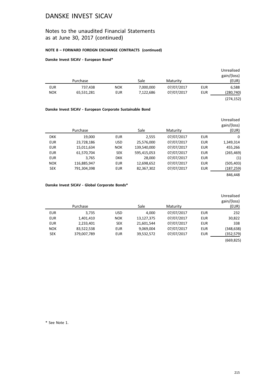## Notes to the unaudited Financial Statements as at June 30, 2017 (continued)

### **NOTE 8 – FORWARD FOREIGN EXCHANGE CONTRACTS (continued)**

### **Danske Invest SICAV - European Bond\***

|            |            |            |           |            |            | Unrealised<br>gain/(loss) |
|------------|------------|------------|-----------|------------|------------|---------------------------|
|            | Purchase   |            | Sale      | Maturity   |            | (EUR)                     |
| <b>EUR</b> | 737,438    | <b>NOK</b> | 7,000,000 | 07/07/2017 | <b>EUR</b> | 6,588                     |
| <b>NOK</b> | 65,531,281 | <b>EUR</b> | 7,122,686 | 07/07/2017 | EUR        | (280,740)                 |
|            |            |            |           |            |            | (274, 152)                |

### **Danske Invest SICAV - European Corporate Sustainable Bond**

| Unrealised<br>gain/(loss)<br>(EUR) |            | Maturity   | Sale        |            | Purchase    |            |
|------------------------------------|------------|------------|-------------|------------|-------------|------------|
| $\mathbf{0}$                       | EUR        | 07/07/2017 | 2,555       | <b>EUR</b> | 19,000      | <b>DKK</b> |
| 1,349,314                          | <b>EUR</b> | 07/07/2017 | 25,576,000  | <b>USD</b> | 23,728,186  | <b>EUR</b> |
| 455,266                            | <b>EUR</b> | 07/07/2017 | 139,540,000 | <b>NOK</b> | 15,011,634  | <b>EUR</b> |
| (265, 469)                         | EUR        | 07/07/2017 | 595,415,053 | <b>SEK</b> | 61,570,704  | <b>EUR</b> |
| (1)                                | <b>EUR</b> | 07/07/2017 | 28,000      | <b>DKK</b> | 3.765       | <b>EUR</b> |
| (505, 403)                         | <b>EUR</b> | 07/07/2017 | 12,698,652  | <b>EUR</b> | 116,885,947 | <b>NOK</b> |
| (187, 259)                         | EUR        | 07/07/2017 | 82,367,302  | <b>EUR</b> | 791,304,398 | <b>SEK</b> |
| 846.448                            |            |            |             |            |             |            |

### **Danske Invest SICAV - Global Corporate Bonds\***

|            |             |            |            |            |            | Unrealised  |
|------------|-------------|------------|------------|------------|------------|-------------|
|            |             |            |            |            |            | gain/(loss) |
|            | Purchase    |            | Sale       | Maturity   |            | (EUR)       |
| <b>EUR</b> | 3,735       | <b>USD</b> | 4,000      | 07/07/2017 | EUR        | 232         |
| <b>EUR</b> | 1,401,410   | <b>NOK</b> | 13,127,375 | 07/07/2017 | <b>EUR</b> | 30,822      |
| <b>EUR</b> | 2,233,401   | <b>SEK</b> | 21,601,544 | 07/07/2017 | EUR        | 338         |
| <b>NOK</b> | 83,522,538  | <b>EUR</b> | 9,069,004  | 07/07/2017 | <b>EUR</b> | (348, 638)  |
| <b>SEK</b> | 379,007,789 | <b>EUR</b> | 39,532,572 | 07/07/2017 | EUR        | (352, 579)  |
|            |             |            |            |            |            | (669, 825)  |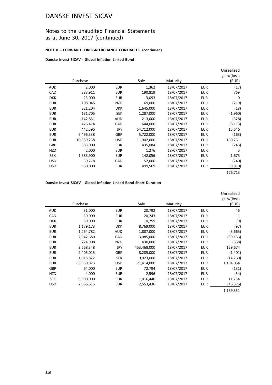## Notes to the unaudited Financial Statements as at June 30, 2017 (continued)

### **NOTE 8 – FORWARD FOREIGN EXCHANGE CONTRACTS (continued)**

**Danske Invest SICAV - Global Inflation Linked Bond**

|            |            |            |            |            |            | Unrealised<br>gain/(loss) |
|------------|------------|------------|------------|------------|------------|---------------------------|
|            | Purchase   |            | Sale       | Maturity   |            | (EUR)                     |
| <b>AUD</b> | 2,000      | <b>EUR</b> | 1,362      | 18/07/2017 | <b>EUR</b> | (17)                      |
| CAD        | 283,911    | <b>EUR</b> | 190,819    | 18/07/2017 | <b>EUR</b> | 769                       |
| <b>DKK</b> | 23,000     | <b>EUR</b> | 3,093      | 18/07/2017 | <b>EUR</b> | $\mathbf{0}$              |
| <b>EUR</b> | 108,045    | NZD        | 169,000    | 18/07/2017 | <b>EUR</b> | (219)                     |
| <b>EUR</b> | 221,204    | <b>DKK</b> | 1,645,000  | 18/07/2017 | <b>EUR</b> | (18)                      |
| <b>EUR</b> | 131,705    | SEK        | 1,287,000  | 18/07/2017 | <b>EUR</b> | (1,960)                   |
| <b>EUR</b> | 142,851    | <b>AUD</b> | 213,000    | 18/07/2017 | <b>EUR</b> | (328)                     |
| <b>EUR</b> | 426,474    | CAD        | 644,000    | 18/07/2017 | <b>EUR</b> | (8, 113)                  |
| <b>EUR</b> | 442,595    | <b>JPY</b> | 54,712,000 | 18/07/2017 | <b>EUR</b> | 15,646                    |
| <b>EUR</b> | 6,496,338  | <b>GBP</b> | 5,722,000  | 18/07/2017 | <b>EUR</b> | (163)                     |
| <b>EUR</b> | 10,589,238 | <b>USD</b> | 11,902,000 | 18/07/2017 | <b>EUR</b> | 180,231                   |
| <b>GBP</b> | 383,000    | <b>EUR</b> | 435,084    | 18/07/2017 | <b>EUR</b> | (243)                     |
| <b>NZD</b> | 2,000      | <b>EUR</b> | 1,276      | 18/07/2017 | <b>EUR</b> | 5                         |
| <b>SEK</b> | 1,383,900  | <b>EUR</b> | 142,056    | 18/07/2017 | <b>EUR</b> | 1,673                     |
| <b>USD</b> | 39,278     | CAD        | 52,000     | 18/07/2017 | <b>EUR</b> | (740)                     |
| <b>USD</b> | 560,000    | <b>EUR</b> | 499,569    | 18/07/2017 | <b>EUR</b> | (9,810)                   |
|            |            |            |            |            |            | 176,713                   |

### **Danske Invest SICAV - Global Inflation Linked Bond Short Duration**

|            |            |            |             |            |            | Unrealised<br>gain/(loss) |
|------------|------------|------------|-------------|------------|------------|---------------------------|
|            | Purchase   |            | Sale        | Maturity   |            | (EUR)                     |
| <b>AUD</b> | 31,000     | <b>EUR</b> | 20,792      | 18/07/2017 | <b>EUR</b> | 46                        |
| CAD        | 30,000     | <b>EUR</b> | 20,243      | 18/07/2017 | <b>EUR</b> | 1                         |
| <b>DKK</b> | 80,000     | <b>EUR</b> | 10,759      | 18/07/2017 | <b>EUR</b> | (0)                       |
| <b>EUR</b> | 1,179,173  | <b>DKK</b> | 8,769,000   | 18/07/2017 | <b>EUR</b> | (97)                      |
| <b>EUR</b> | 1,264,782  | <b>AUD</b> | 1,887,000   | 18/07/2017 | <b>EUR</b> | (3,665)                   |
| <b>EUR</b> | 2,042,680  | CAD        | 3,085,000   | 18/07/2017 | <b>EUR</b> | (39, 156)                 |
| <b>EUR</b> | 274,908    | <b>NZD</b> | 430,000     | 18/07/2017 | <b>EUR</b> | (558)                     |
| <b>EUR</b> | 3,668,348  | JPY        | 453,468,000 | 18/07/2017 | <b>EUR</b> | 129,674                   |
| <b>EUR</b> | 9,405,015  | GBP        | 8,285,000   | 18/07/2017 | <b>EUR</b> | (1,401)                   |
| <b>EUR</b> | 1,015,822  | SEK        | 9,923,000   | 18/07/2017 | <b>EUR</b> | (14, 760)                 |
| <b>EUR</b> | 63,559,823 | USD.       | 71,414,000  | 18/07/2017 | <b>EUR</b> | 1,104,054                 |
| <b>GBP</b> | 64,000     | <b>EUR</b> | 72,794      | 18/07/2017 | <b>EUR</b> | (131)                     |
| <b>NZD</b> | 4,000      | <b>EUR</b> | 2,596       | 18/07/2017 | <b>EUR</b> | (34)                      |
| <b>SEK</b> | 9,900,000  | <b>EUR</b> | 1,016,440   | 18/07/2017 | <b>EUR</b> | 11,754                    |
| <b>USD</b> | 2,866,615  | <b>EUR</b> | 2,553,436   | 18/07/2017 | <b>EUR</b> | (46,376)                  |
|            |            |            |             |            |            | 1,139,351                 |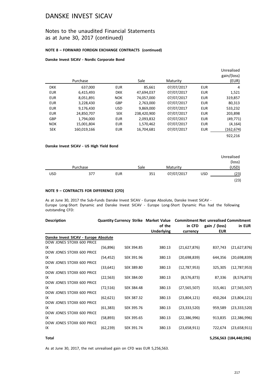### Notes to the unaudited Financial Statements as at June 30, 2017 (continued)

#### **NOTE 8 – FORWARD FOREIGN EXCHANGE CONTRACTS (continued)**

#### **Danske Invest SICAV - Nordic Corporate Bond**

|            | Purchase    |            | Sale        | Maturity   |            | Unrealised<br>gain/(loss)<br>(EUR) |
|------------|-------------|------------|-------------|------------|------------|------------------------------------|
| <b>DKK</b> | 637,000     | <b>EUR</b> | 85,661      | 07/07/2017 | <b>EUR</b> | 4                                  |
| <b>EUR</b> | 6,415,493   | <b>DKK</b> | 47.694.037  | 07/07/2017 | <b>EUR</b> | 1,521                              |
| <b>EUR</b> | 8,051,891   | <b>NOK</b> | 74,057,000  | 07/07/2017 | <b>EUR</b> | 319,857                            |
| <b>EUR</b> | 3,228,430   | <b>GBP</b> | 2,763,000   | 07/07/2017 | <b>EUR</b> | 80,313                             |
| <b>EUR</b> | 9,176,430   | <b>USD</b> | 9,869,000   | 07/07/2017 | <b>EUR</b> | 533,232                            |
| <b>EUR</b> | 24,850,707  | <b>SEK</b> | 238,420,900 | 07/07/2017 | <b>EUR</b> | 203,898                            |
| <b>GBP</b> | 1,794,000   | <b>EUR</b> | 2,093,832   | 07/07/2017 | <b>EUR</b> | (49, 771)                          |
| <b>NOK</b> | 15,001,804  | <b>EUR</b> | 1,570,462   | 07/07/2017 | <b>EUR</b> | (4,164)                            |
| <b>SEK</b> | 160,019,166 | <b>EUR</b> | 16,704,681  | 07/07/2017 | EUR        | (162,674)                          |
|            |             |            |             |            |            | 922.216                            |

#### **Danske Invest SICAV - US High Yield Bond**

|            |          |            |      |            |            | Unrealised |
|------------|----------|------------|------|------------|------------|------------|
|            |          |            |      |            |            | (loss)     |
|            | Purchase |            | Sale | Maturity   |            | (USD)      |
| <b>USD</b> | 377      | <b>EUR</b> | 351  | 07/07/2017 | <b>USD</b> | (23)       |
|            |          |            |      |            |            | (23)       |

#### **NOTE 9 – CONTRACTS FOR DIFFERENCE (CFD)**

As at June 30, 2017 the Sub-Funds Danske Invest SICAV - Europe Absolute, Danske Invest SICAV - Europe Long-Short Dynamic and Danske Invest SICAV - Europe Long-Short Dynamic Plus had the following outstanding CFD:

| <b>Description</b>                    |           |            |                   | Quantity Currency Strike Market Value Commitment Net unrealised Commitment |                 |                |  |
|---------------------------------------|-----------|------------|-------------------|----------------------------------------------------------------------------|-----------------|----------------|--|
|                                       |           |            | of the            | in CFD                                                                     | gain $/$ (loss) | in EUR         |  |
|                                       |           |            | <b>Underlying</b> | currency                                                                   | <b>EUR</b>      |                |  |
| Danske Invest SICAV - Europe Absolute |           |            |                   |                                                                            |                 |                |  |
| DOW JONES STOXX 600 PRICE             |           |            |                   |                                                                            |                 |                |  |
| IX                                    | (56, 896) | SEK 394.85 | 380.13            | (21,627,876)                                                               | 837,743         | (21,627,876)   |  |
| DOW JONES STOXX 600 PRICE             |           |            |                   |                                                                            |                 |                |  |
| IX                                    | (54, 452) | SEK 391.96 | 380.13            | (20,698,839)                                                               | 644,356         | (20,698,839)   |  |
| DOW JONES STOXX 600 PRICE             |           |            |                   |                                                                            |                 |                |  |
| IX                                    | (33, 641) | SEK 389.80 | 380.13            | (12,787,953)                                                               | 325,305         | (12,787,953)   |  |
| DOW JONES STOXX 600 PRICE             |           |            |                   |                                                                            |                 |                |  |
| IX                                    | (22, 563) | SEK 384.00 | 380.13            | (8,576,873)                                                                | 87,336          | (8,576,873)    |  |
| DOW JONES STOXX 600 PRICE             |           |            |                   |                                                                            |                 |                |  |
| IX                                    | (72, 516) | SEK 384.48 | 380.13            | (27, 565, 507)                                                             | 315,461         | (27, 565, 507) |  |
| DOW JONES STOXX 600 PRICE             |           |            |                   |                                                                            |                 |                |  |
| IX                                    | (62, 621) | SEK 387.32 | 380.13            | (23,804,121)                                                               | 450,264         | (23,804,121)   |  |
| DOW JONES STOXX 600 PRICE             |           |            |                   |                                                                            |                 |                |  |
| IX                                    | (61, 383) | SEK 395.76 | 380.13            | (23, 333, 520)                                                             | 959,589         | (23, 333, 520) |  |
| DOW JONES STOXX 600 PRICE             |           |            |                   |                                                                            |                 |                |  |
| IX                                    | (58, 893) | SEK 395.65 | 380.13            | (22, 386, 996)                                                             | 913,835         | (22, 386, 996) |  |
| DOW JONES STOXX 600 PRICE             |           |            |                   |                                                                            |                 |                |  |
| IX                                    | (62, 239) | SEK 391.74 | 380.13            | (23,658,911)                                                               | 722,674         | (23,658,911)   |  |
|                                       |           |            |                   |                                                                            |                 |                |  |

**Total 5,256,563 (184,440,596)**

As at June 30, 2017, the net unrealised gain on CFD was EUR 5,256,563.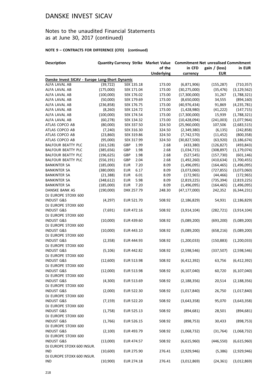## Notes to the unaudited Financial Statements as at June 30, 2017 (continued)

| <b>Description</b>                              |            |                    |                   | Quantity Currency Strike Market Value Commitment Net unrealised Commitment |               |               |  |
|-------------------------------------------------|------------|--------------------|-------------------|----------------------------------------------------------------------------|---------------|---------------|--|
|                                                 |            |                    | of the            | in CFD                                                                     | gain / (loss) | in EUR        |  |
|                                                 |            |                    | <b>Underlying</b> | currency                                                                   | <b>EUR</b>    |               |  |
| Danske Invest SICAV - Europe Long-Short Dynamic |            |                    |                   |                                                                            |               |               |  |
| ALFA LAVAL AB                                   | (39, 722)  | SEK 135.18         | 173.00            | (6,871,906)                                                                | (155, 287)    | (710, 357)    |  |
| ALFA LAVAL AB                                   | (175,000)  | SEK 171.04         | 173.00            | (30, 275, 000)                                                             | (35, 476)     | (3, 129, 562) |  |
| ALFA LAVAL AB                                   | (100,000)  | SEK 176.02         | 173.00            | (17,300,000)                                                               | 31,267        | (1,788,321)   |  |
| ALFA LAVAL AB                                   | (50,000)   | SEK 179.69         | 173.00            | (8,650,000)                                                                | 34,555        | (894, 160)    |  |
| ALFA LAVAL AB                                   | (236, 858) | SEK 176.75         | 173.00            | (40, 976, 434)                                                             | 91,869        | (4, 235, 781) |  |
| ALFA LAVAL AB                                   | (8, 260)   | SEK 124.72         | 173.00            | (1,428,980)                                                                | (41, 222)     | (147, 715)    |  |
| ALFA LAVAL AB                                   | (100,000)  | SEK 174.54         | 173.00            | (17,300,000)                                                               | 15,939        | (1,788,321)   |  |
| ALFA LAVAL AB                                   | (60, 278)  | SEK 134.32         | 173.00            | (10, 428, 094)                                                             | (241,003)     | (1,077,964)   |  |
| ATLAS COPCO AB                                  | (80,000)   | SEK 337.50         | 324.50            | (25,960,000)                                                               | 107,506       | (2,683,515)   |  |
| ATLAS COPCO AB                                  | (7, 240)   | SEK 316.30         | 324.50            | (2,349,380)                                                                | (6, 135)      | (242, 858)    |  |
| ATLAS COPCO AB                                  | (23,860)   | SEK 319.86         | 324.50            | (7,742,570)                                                                | (11, 452)     | (800, 358)    |  |
| ATLAS COPCO AB                                  | (95,000)   | SEK 317.99         | 324.50            | (30,827,500)                                                               | (63, 920)     | (3, 186, 674) |  |
| <b>BALFOUR BEATTY PLC</b>                       | (161, 528) | GBP<br>1.99        | 2.68              | (433, 380)                                                                 | (126, 827)    | (493, 843)    |  |
| <b>BALFOUR BEATTY PLC</b>                       | (385, 656) | <b>GBP</b><br>1.98 | 2.68              | (1,034,715)                                                                | (308, 897)    | (1, 179, 074) |  |
| <b>BALFOUR BEATTY PLC</b>                       | (196, 625) | 1.98<br>GBP        | 2.68              | (527, 545)                                                                 | (157, 730)    | (601, 146)    |  |
| <b>BALFOUR BEATTY PLC</b>                       | (556, 191) | GBP<br>2.04        | 2.68              | (1,492,260)                                                                | (410, 634)    | (1,700,455)   |  |
| <b>BANKINTER SA</b>                             | (185,000)  | 7.20<br>EUR        | 8.09              | (1,496,095)                                                                | (164, 465)    | (1,496,095)   |  |
| <b>BANKINTER SA</b>                             | (380,000)  | 6.17<br><b>EUR</b> | 8.09              | (3,073,060)                                                                | (727, 855)    | (3,073,060)   |  |
| <b>BANKINTER SA</b>                             | (21, 388)  | 6.01<br><b>EUR</b> | 8.09              | (172, 965)                                                                 | (44, 466)     | (172, 965)    |  |
| <b>BANKINTER SA</b>                             | (348, 612) | <b>EUR</b><br>5.98 | 8.09              | (2,819,225)                                                                | (735, 394)    | (2,819,225)   |  |
| <b>BANKINTER SA</b>                             | (185,000)  | <b>EUR</b><br>7.20 | 8.09              | (1,496,095)                                                                | (164, 465)    | (1,496,095)   |  |
| <b>DANSKE BANK AS</b>                           | (190,000)  | DKK 257.79         | 248.30            | (47, 177, 000)                                                             | 242,352       | (6, 344, 231) |  |
| DJ EUROPE STOXX 600                             |            |                    |                   |                                                                            |               |               |  |
| <b>INDUST G&amp;S</b>                           | (4, 297)   | EUR 521.70         | 508.92            | (2, 186, 829)                                                              | 54,931        | (2, 186, 829) |  |
| DJ EUROPE STOXX 600                             |            |                    |                   |                                                                            |               |               |  |
| <b>INDUST G&amp;S</b>                           | (7,691)    | EUR 472.16         | 508.92            | (3,914,104)                                                                | (282, 721)    | (3,914,104)   |  |
| DJ EUROPE STOXX 600                             |            |                    |                   |                                                                            |               |               |  |
| <b>INDUST G&amp;S</b>                           | (10,000)   | EUR 439.60         | 508.92            | (5,089,200)                                                                | (693, 200)    | (5,089,200)   |  |
| DJ EUROPE STOXX 600                             |            |                    |                   |                                                                            |               |               |  |
| <b>INDUST G&amp;S</b>                           | (10,000)   | EUR 443.10         | 508.92            | (5,089,200)                                                                | (658, 216)    | (5,089,200)   |  |
| DJ EUROPE STOXX 600                             |            |                    |                   |                                                                            |               |               |  |
| <b>INDUST G&amp;S</b>                           | (2, 358)   | EUR 444.93         | 508.92            | (1,200,033)                                                                | (150, 883)    | (1,200,033)   |  |
| DJ EUROPE STOXX 600                             |            |                    |                   |                                                                            |               |               |  |
| <b>INDUST G&amp;S</b>                           | (5, 106)   | EUR 442.82         | 508.92            | (2,598,546)                                                                | (337,507)     | (2,598,546)   |  |
| DJ EUROPE STOXX 600                             |            |                    |                   |                                                                            |               |               |  |
| <b>INDUST G&amp;S</b>                           | (12,600)   | EUR 513.98         | 508.92            | (6,412,392)                                                                | 63,756        | (6,412,392)   |  |
| DJ EUROPE STOXX 600                             |            |                    |                   |                                                                            |               |               |  |
| <b>INDUST G&amp;S</b>                           | (12,000)   | EUR 513.98         | 508.92            | (6, 107, 040)                                                              | 60,720        | (6, 107, 040) |  |
| DJ EUROPE STOXX 600                             |            |                    |                   |                                                                            |               |               |  |
| <b>INDUST G&amp;S</b>                           | (4,300)    | EUR 513.69         | 508.92            | (2, 188, 356)                                                              | 20,514        | (2, 188, 356) |  |
| DJ EUROPE STOXX 600                             |            |                    |                   |                                                                            |               |               |  |
| <b>INDUST G&amp;S</b>                           | (2,000)    | EUR 522.30         | 508.92            | (1,017,840)                                                                | 26,750        | (1,017,840)   |  |
| DJ EUROPE STOXX 600                             |            |                    |                   |                                                                            |               |               |  |
| <b>INDUST G&amp;S</b>                           | (7, 159)   | EUR 522.20         | 508.92            | (3,643,358)                                                                | 95,070        | (3,643,358)   |  |
| DJ EUROPE STOXX 600                             |            |                    |                   |                                                                            |               |               |  |
| <b>INDUST G&amp;S</b>                           | (1,758)    | EUR 525.13         | 508.92            | (894, 681)                                                                 | 28,501        | (894, 681)    |  |
| DJ EUROPE STOXX 600                             |            |                    |                   |                                                                            |               |               |  |
| <b>INDUST G&amp;S</b>                           | (1,766)    | EUR 526.15         | 508.92            | (898, 753)                                                                 | 30,433        | (898, 753)    |  |
| DJ EUROPE STOXX 600                             |            |                    |                   |                                                                            |               |               |  |
| <b>INDUST G&amp;S</b>                           | (2, 100)   | EUR 493.79         | 508.92            | (1,068,732)                                                                | (31, 764)     | (1,068,732)   |  |
| DJ EUROPE STOXX 600                             |            |                    |                   |                                                                            |               |               |  |
| <b>INDUST G&amp;S</b>                           | (13,000)   | EUR 474.57         | 508.92            | (6,615,960)                                                                | (446, 550)    | (6,615,960)   |  |
| DJ EUROPE STOXX 600 INSUR.<br>IND               | (10,600)   |                    |                   |                                                                            |               |               |  |
| DJ EUROPE STOXX 600 INSUR.                      |            | EUR 275.90         | 276.41            | (2,929,946)                                                                | (5,386)       | (2,929,946)   |  |
| <b>IND</b>                                      | (10,900)   | EUR 274.18         | 276.41            | (3,012,869)                                                                |               | (3,012,869)   |  |
|                                                 |            |                    |                   |                                                                            | (24, 361)     |               |  |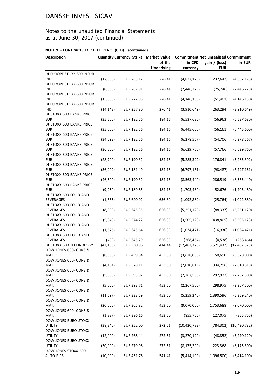## Notes to the unaudited Financial Statements as at June 30, 2017 (continued)

| in CFD<br>gain / (loss)<br>of the<br>in EUR<br><b>Underlying</b><br><b>EUR</b><br>currency<br>(17,500)<br>276.41<br>(4,837,175)<br>(232, 642)<br>(4,837,175)<br>EUR 263.12<br>(2,446,229)<br>(2,446,229)<br>(8,850)<br>EUR 267.91<br>276.41<br>(75, 246)<br>DJ EUROPE STOXX 600 INSUR.<br><b>IND</b><br>(15,000)<br><b>EUR 272.98</b><br>276.41<br>(4, 146, 150)<br>(51, 401)<br>(4, 146, 150)<br>DJ EUROPE STOXX 600 INSUR.<br>IND<br>(14, 148)<br>EUR 257.80<br>276.41<br>(3,910,649)<br>(263, 294)<br>(3,910,649)<br>DJ STOXX 600 BANKS PRICE<br><b>EUR</b><br>(35,500)<br>EUR 182.56<br>(6,537,680)<br>(56, 963)<br>(6,537,680)<br>184.16<br>(35,000)<br>EUR 182.56<br>184.16<br>(6,445,600)<br>(56, 161)<br>(6,445,600)<br>(34,093)<br>EUR 182.56<br>(6, 278, 567)<br>184.16<br>(6, 278, 567)<br>(54, 706)<br>EUR 182.56<br>(6,629,760)<br>(6,629,760)<br>(36,000)<br>184.16<br>(57, 766)<br>DJ STOXX 600 BANKS PRICE<br><b>EUR</b><br>(28, 700)<br>EUR 190.32<br>184.16<br>(5, 285, 392)<br>176,841<br>(5,285,392)<br>DJ STOXX 600 BANKS PRICE<br><b>EUR</b><br>(36,909)<br>EUR 181.49<br>184.16<br>(6,797,161)<br>(6,797,161)<br>(98, 487)<br>DJ STOXX 600 BANKS PRICE<br>(46,500)<br><b>EUR</b><br>EUR 190.32<br>184.16<br>(8, 563, 440)<br>286,519<br>(8,563,440)<br>DJ STOXX 600 BANKS PRICE<br><b>EUR</b><br>(9,250)<br>EUR 189.85<br>(1,703,480)<br>184.16<br>(1,703,480)<br>52,676<br>DJ STOXX 600 FOOD AND<br>(1,665)<br>EUR 640.92<br>656.39<br>(1,092,889)<br>(25, 764)<br>(1,092,889)<br>(8,000)<br>(5,251,120)<br>(5,251,120)<br>EUR 645.35<br>656.39<br>(88, 337)<br>EUR 574.22<br>656.39<br>(3,505,123)<br>(438, 805)<br>(3,505,123)<br>(5, 340)<br><b>BEVERAGES</b><br>(1, 576)<br>EUR 645.64<br>656.39<br>(1,034,471)<br>(16, 936)<br>(1,034,471)<br>DJ STOXX 600 FOOD AND<br><b>BEVERAGES</b><br>(409)<br>EUR 645.29<br>(268, 464)<br>(4,538)<br>(268, 464)<br>656.39<br>(42, 183)<br>DJ STOXX 600 TECHNOLOGY<br>EUR 330.96<br>(17, 482, 323)<br>(3,521,437)<br>(17, 482, 323)<br>414.44<br>DOW JONES 600- CONS.&<br>MAT.<br>(8,000)<br>453.50<br>(3,628,000)<br>(3,628,000)<br>EUR 459.84<br>50,690<br>DOW JONES 600- CONS.&<br>MAT.<br>(4, 434)<br>EUR 378.11<br>453.50<br>(2,010,819)<br>(334, 296)<br>(2,010,819)<br>DOW JONES 600- CONS.&<br>(5,000)<br>EUR 393.92<br>453.50<br>(2, 267, 500)<br>(297, 922)<br>(2, 267, 500)<br>(5,000)<br>EUR 393.71<br>453.50<br>(2, 267, 500)<br>(298, 975)<br>(2, 267, 500)<br>(11, 597)<br>EUR 333.59<br>453.50<br>(5,259,240)<br>(1,390,596)<br>(5,259,240)<br>MAT.<br>(20,000)<br>EUR 365.82<br>453.50<br>(9,070,000)<br>(1,753,688)<br>(9,070,000)<br>DOW JONES 600- CONS.&<br>MAT.<br>(1,887)<br>EUR 386.16<br>453.50<br>(855, 755)<br>(127, 075)<br>(855, 755)<br>DOW JONES EURO STOXX<br><b>UTILITY</b><br>(10, 420, 782)<br>(38, 240)<br>EUR 252.00<br>272.51<br>(784, 302)<br>(10, 420, 782)<br>DOW JONES EURO STOXX<br>(12,000)<br>UTILITY<br>EUR 268.44<br>272.51<br>(3,270,120)<br>(48, 852)<br>(3,270,120)<br>DOW JONES EURO STOXX<br>(30,000)<br>EUR 279.96<br>272.51<br>(8, 175, 300)<br>223,368<br>(8, 175, 300) | <b>Description</b>         |          |            |        | <b>Quantity Currency Strike Market Value Commitment Net unrealised Commitment</b> |             |             |  |
|--------------------------------------------------------------------------------------------------------------------------------------------------------------------------------------------------------------------------------------------------------------------------------------------------------------------------------------------------------------------------------------------------------------------------------------------------------------------------------------------------------------------------------------------------------------------------------------------------------------------------------------------------------------------------------------------------------------------------------------------------------------------------------------------------------------------------------------------------------------------------------------------------------------------------------------------------------------------------------------------------------------------------------------------------------------------------------------------------------------------------------------------------------------------------------------------------------------------------------------------------------------------------------------------------------------------------------------------------------------------------------------------------------------------------------------------------------------------------------------------------------------------------------------------------------------------------------------------------------------------------------------------------------------------------------------------------------------------------------------------------------------------------------------------------------------------------------------------------------------------------------------------------------------------------------------------------------------------------------------------------------------------------------------------------------------------------------------------------------------------------------------------------------------------------------------------------------------------------------------------------------------------------------------------------------------------------------------------------------------------------------------------------------------------------------------------------------------------------------------------------------------------------------------------------------------------------------------------------------------------------------------------------------------------------------------------------------------------------------------------------------------------------------------------------------------------------------------------------------------------------------------------------------------------------------------------------------------------------------------------------------------------------------------------------------------------------------------------------|----------------------------|----------|------------|--------|-----------------------------------------------------------------------------------|-------------|-------------|--|
|                                                                                                                                                                                                                                                                                                                                                                                                                                                                                                                                                                                                                                                                                                                                                                                                                                                                                                                                                                                                                                                                                                                                                                                                                                                                                                                                                                                                                                                                                                                                                                                                                                                                                                                                                                                                                                                                                                                                                                                                                                                                                                                                                                                                                                                                                                                                                                                                                                                                                                                                                                                                                                                                                                                                                                                                                                                                                                                                                                                                                                                                                                  |                            |          |            |        |                                                                                   |             |             |  |
|                                                                                                                                                                                                                                                                                                                                                                                                                                                                                                                                                                                                                                                                                                                                                                                                                                                                                                                                                                                                                                                                                                                                                                                                                                                                                                                                                                                                                                                                                                                                                                                                                                                                                                                                                                                                                                                                                                                                                                                                                                                                                                                                                                                                                                                                                                                                                                                                                                                                                                                                                                                                                                                                                                                                                                                                                                                                                                                                                                                                                                                                                                  | DJ EUROPE STOXX 600 INSUR. |          |            |        |                                                                                   |             |             |  |
|                                                                                                                                                                                                                                                                                                                                                                                                                                                                                                                                                                                                                                                                                                                                                                                                                                                                                                                                                                                                                                                                                                                                                                                                                                                                                                                                                                                                                                                                                                                                                                                                                                                                                                                                                                                                                                                                                                                                                                                                                                                                                                                                                                                                                                                                                                                                                                                                                                                                                                                                                                                                                                                                                                                                                                                                                                                                                                                                                                                                                                                                                                  | <b>IND</b>                 |          |            |        |                                                                                   |             |             |  |
|                                                                                                                                                                                                                                                                                                                                                                                                                                                                                                                                                                                                                                                                                                                                                                                                                                                                                                                                                                                                                                                                                                                                                                                                                                                                                                                                                                                                                                                                                                                                                                                                                                                                                                                                                                                                                                                                                                                                                                                                                                                                                                                                                                                                                                                                                                                                                                                                                                                                                                                                                                                                                                                                                                                                                                                                                                                                                                                                                                                                                                                                                                  | DJ EUROPE STOXX 600 INSUR. |          |            |        |                                                                                   |             |             |  |
|                                                                                                                                                                                                                                                                                                                                                                                                                                                                                                                                                                                                                                                                                                                                                                                                                                                                                                                                                                                                                                                                                                                                                                                                                                                                                                                                                                                                                                                                                                                                                                                                                                                                                                                                                                                                                                                                                                                                                                                                                                                                                                                                                                                                                                                                                                                                                                                                                                                                                                                                                                                                                                                                                                                                                                                                                                                                                                                                                                                                                                                                                                  | IND                        |          |            |        |                                                                                   |             |             |  |
|                                                                                                                                                                                                                                                                                                                                                                                                                                                                                                                                                                                                                                                                                                                                                                                                                                                                                                                                                                                                                                                                                                                                                                                                                                                                                                                                                                                                                                                                                                                                                                                                                                                                                                                                                                                                                                                                                                                                                                                                                                                                                                                                                                                                                                                                                                                                                                                                                                                                                                                                                                                                                                                                                                                                                                                                                                                                                                                                                                                                                                                                                                  |                            |          |            |        |                                                                                   |             |             |  |
|                                                                                                                                                                                                                                                                                                                                                                                                                                                                                                                                                                                                                                                                                                                                                                                                                                                                                                                                                                                                                                                                                                                                                                                                                                                                                                                                                                                                                                                                                                                                                                                                                                                                                                                                                                                                                                                                                                                                                                                                                                                                                                                                                                                                                                                                                                                                                                                                                                                                                                                                                                                                                                                                                                                                                                                                                                                                                                                                                                                                                                                                                                  |                            |          |            |        |                                                                                   |             |             |  |
|                                                                                                                                                                                                                                                                                                                                                                                                                                                                                                                                                                                                                                                                                                                                                                                                                                                                                                                                                                                                                                                                                                                                                                                                                                                                                                                                                                                                                                                                                                                                                                                                                                                                                                                                                                                                                                                                                                                                                                                                                                                                                                                                                                                                                                                                                                                                                                                                                                                                                                                                                                                                                                                                                                                                                                                                                                                                                                                                                                                                                                                                                                  |                            |          |            |        |                                                                                   |             |             |  |
|                                                                                                                                                                                                                                                                                                                                                                                                                                                                                                                                                                                                                                                                                                                                                                                                                                                                                                                                                                                                                                                                                                                                                                                                                                                                                                                                                                                                                                                                                                                                                                                                                                                                                                                                                                                                                                                                                                                                                                                                                                                                                                                                                                                                                                                                                                                                                                                                                                                                                                                                                                                                                                                                                                                                                                                                                                                                                                                                                                                                                                                                                                  |                            |          |            |        |                                                                                   |             |             |  |
|                                                                                                                                                                                                                                                                                                                                                                                                                                                                                                                                                                                                                                                                                                                                                                                                                                                                                                                                                                                                                                                                                                                                                                                                                                                                                                                                                                                                                                                                                                                                                                                                                                                                                                                                                                                                                                                                                                                                                                                                                                                                                                                                                                                                                                                                                                                                                                                                                                                                                                                                                                                                                                                                                                                                                                                                                                                                                                                                                                                                                                                                                                  |                            |          |            |        |                                                                                   |             |             |  |
|                                                                                                                                                                                                                                                                                                                                                                                                                                                                                                                                                                                                                                                                                                                                                                                                                                                                                                                                                                                                                                                                                                                                                                                                                                                                                                                                                                                                                                                                                                                                                                                                                                                                                                                                                                                                                                                                                                                                                                                                                                                                                                                                                                                                                                                                                                                                                                                                                                                                                                                                                                                                                                                                                                                                                                                                                                                                                                                                                                                                                                                                                                  | DJ STOXX 600 BANKS PRICE   |          |            |        |                                                                                   |             |             |  |
|                                                                                                                                                                                                                                                                                                                                                                                                                                                                                                                                                                                                                                                                                                                                                                                                                                                                                                                                                                                                                                                                                                                                                                                                                                                                                                                                                                                                                                                                                                                                                                                                                                                                                                                                                                                                                                                                                                                                                                                                                                                                                                                                                                                                                                                                                                                                                                                                                                                                                                                                                                                                                                                                                                                                                                                                                                                                                                                                                                                                                                                                                                  | <b>EUR</b>                 |          |            |        |                                                                                   |             |             |  |
|                                                                                                                                                                                                                                                                                                                                                                                                                                                                                                                                                                                                                                                                                                                                                                                                                                                                                                                                                                                                                                                                                                                                                                                                                                                                                                                                                                                                                                                                                                                                                                                                                                                                                                                                                                                                                                                                                                                                                                                                                                                                                                                                                                                                                                                                                                                                                                                                                                                                                                                                                                                                                                                                                                                                                                                                                                                                                                                                                                                                                                                                                                  | DJ STOXX 600 BANKS PRICE   |          |            |        |                                                                                   |             |             |  |
|                                                                                                                                                                                                                                                                                                                                                                                                                                                                                                                                                                                                                                                                                                                                                                                                                                                                                                                                                                                                                                                                                                                                                                                                                                                                                                                                                                                                                                                                                                                                                                                                                                                                                                                                                                                                                                                                                                                                                                                                                                                                                                                                                                                                                                                                                                                                                                                                                                                                                                                                                                                                                                                                                                                                                                                                                                                                                                                                                                                                                                                                                                  | <b>EUR</b>                 |          |            |        |                                                                                   |             |             |  |
|                                                                                                                                                                                                                                                                                                                                                                                                                                                                                                                                                                                                                                                                                                                                                                                                                                                                                                                                                                                                                                                                                                                                                                                                                                                                                                                                                                                                                                                                                                                                                                                                                                                                                                                                                                                                                                                                                                                                                                                                                                                                                                                                                                                                                                                                                                                                                                                                                                                                                                                                                                                                                                                                                                                                                                                                                                                                                                                                                                                                                                                                                                  | DJ STOXX 600 BANKS PRICE   |          |            |        |                                                                                   |             |             |  |
|                                                                                                                                                                                                                                                                                                                                                                                                                                                                                                                                                                                                                                                                                                                                                                                                                                                                                                                                                                                                                                                                                                                                                                                                                                                                                                                                                                                                                                                                                                                                                                                                                                                                                                                                                                                                                                                                                                                                                                                                                                                                                                                                                                                                                                                                                                                                                                                                                                                                                                                                                                                                                                                                                                                                                                                                                                                                                                                                                                                                                                                                                                  | <b>EUR</b>                 |          |            |        |                                                                                   |             |             |  |
|                                                                                                                                                                                                                                                                                                                                                                                                                                                                                                                                                                                                                                                                                                                                                                                                                                                                                                                                                                                                                                                                                                                                                                                                                                                                                                                                                                                                                                                                                                                                                                                                                                                                                                                                                                                                                                                                                                                                                                                                                                                                                                                                                                                                                                                                                                                                                                                                                                                                                                                                                                                                                                                                                                                                                                                                                                                                                                                                                                                                                                                                                                  |                            |          |            |        |                                                                                   |             |             |  |
|                                                                                                                                                                                                                                                                                                                                                                                                                                                                                                                                                                                                                                                                                                                                                                                                                                                                                                                                                                                                                                                                                                                                                                                                                                                                                                                                                                                                                                                                                                                                                                                                                                                                                                                                                                                                                                                                                                                                                                                                                                                                                                                                                                                                                                                                                                                                                                                                                                                                                                                                                                                                                                                                                                                                                                                                                                                                                                                                                                                                                                                                                                  |                            |          |            |        |                                                                                   |             |             |  |
|                                                                                                                                                                                                                                                                                                                                                                                                                                                                                                                                                                                                                                                                                                                                                                                                                                                                                                                                                                                                                                                                                                                                                                                                                                                                                                                                                                                                                                                                                                                                                                                                                                                                                                                                                                                                                                                                                                                                                                                                                                                                                                                                                                                                                                                                                                                                                                                                                                                                                                                                                                                                                                                                                                                                                                                                                                                                                                                                                                                                                                                                                                  |                            |          |            |        |                                                                                   |             |             |  |
|                                                                                                                                                                                                                                                                                                                                                                                                                                                                                                                                                                                                                                                                                                                                                                                                                                                                                                                                                                                                                                                                                                                                                                                                                                                                                                                                                                                                                                                                                                                                                                                                                                                                                                                                                                                                                                                                                                                                                                                                                                                                                                                                                                                                                                                                                                                                                                                                                                                                                                                                                                                                                                                                                                                                                                                                                                                                                                                                                                                                                                                                                                  |                            |          |            |        |                                                                                   |             |             |  |
|                                                                                                                                                                                                                                                                                                                                                                                                                                                                                                                                                                                                                                                                                                                                                                                                                                                                                                                                                                                                                                                                                                                                                                                                                                                                                                                                                                                                                                                                                                                                                                                                                                                                                                                                                                                                                                                                                                                                                                                                                                                                                                                                                                                                                                                                                                                                                                                                                                                                                                                                                                                                                                                                                                                                                                                                                                                                                                                                                                                                                                                                                                  |                            |          |            |        |                                                                                   |             |             |  |
|                                                                                                                                                                                                                                                                                                                                                                                                                                                                                                                                                                                                                                                                                                                                                                                                                                                                                                                                                                                                                                                                                                                                                                                                                                                                                                                                                                                                                                                                                                                                                                                                                                                                                                                                                                                                                                                                                                                                                                                                                                                                                                                                                                                                                                                                                                                                                                                                                                                                                                                                                                                                                                                                                                                                                                                                                                                                                                                                                                                                                                                                                                  |                            |          |            |        |                                                                                   |             |             |  |
|                                                                                                                                                                                                                                                                                                                                                                                                                                                                                                                                                                                                                                                                                                                                                                                                                                                                                                                                                                                                                                                                                                                                                                                                                                                                                                                                                                                                                                                                                                                                                                                                                                                                                                                                                                                                                                                                                                                                                                                                                                                                                                                                                                                                                                                                                                                                                                                                                                                                                                                                                                                                                                                                                                                                                                                                                                                                                                                                                                                                                                                                                                  |                            |          |            |        |                                                                                   |             |             |  |
|                                                                                                                                                                                                                                                                                                                                                                                                                                                                                                                                                                                                                                                                                                                                                                                                                                                                                                                                                                                                                                                                                                                                                                                                                                                                                                                                                                                                                                                                                                                                                                                                                                                                                                                                                                                                                                                                                                                                                                                                                                                                                                                                                                                                                                                                                                                                                                                                                                                                                                                                                                                                                                                                                                                                                                                                                                                                                                                                                                                                                                                                                                  |                            |          |            |        |                                                                                   |             |             |  |
|                                                                                                                                                                                                                                                                                                                                                                                                                                                                                                                                                                                                                                                                                                                                                                                                                                                                                                                                                                                                                                                                                                                                                                                                                                                                                                                                                                                                                                                                                                                                                                                                                                                                                                                                                                                                                                                                                                                                                                                                                                                                                                                                                                                                                                                                                                                                                                                                                                                                                                                                                                                                                                                                                                                                                                                                                                                                                                                                                                                                                                                                                                  | <b>BEVERAGES</b>           |          |            |        |                                                                                   |             |             |  |
|                                                                                                                                                                                                                                                                                                                                                                                                                                                                                                                                                                                                                                                                                                                                                                                                                                                                                                                                                                                                                                                                                                                                                                                                                                                                                                                                                                                                                                                                                                                                                                                                                                                                                                                                                                                                                                                                                                                                                                                                                                                                                                                                                                                                                                                                                                                                                                                                                                                                                                                                                                                                                                                                                                                                                                                                                                                                                                                                                                                                                                                                                                  | DJ STOXX 600 FOOD AND      |          |            |        |                                                                                   |             |             |  |
|                                                                                                                                                                                                                                                                                                                                                                                                                                                                                                                                                                                                                                                                                                                                                                                                                                                                                                                                                                                                                                                                                                                                                                                                                                                                                                                                                                                                                                                                                                                                                                                                                                                                                                                                                                                                                                                                                                                                                                                                                                                                                                                                                                                                                                                                                                                                                                                                                                                                                                                                                                                                                                                                                                                                                                                                                                                                                                                                                                                                                                                                                                  | <b>BEVERAGES</b>           |          |            |        |                                                                                   |             |             |  |
|                                                                                                                                                                                                                                                                                                                                                                                                                                                                                                                                                                                                                                                                                                                                                                                                                                                                                                                                                                                                                                                                                                                                                                                                                                                                                                                                                                                                                                                                                                                                                                                                                                                                                                                                                                                                                                                                                                                                                                                                                                                                                                                                                                                                                                                                                                                                                                                                                                                                                                                                                                                                                                                                                                                                                                                                                                                                                                                                                                                                                                                                                                  | DJ STOXX 600 FOOD AND      |          |            |        |                                                                                   |             |             |  |
|                                                                                                                                                                                                                                                                                                                                                                                                                                                                                                                                                                                                                                                                                                                                                                                                                                                                                                                                                                                                                                                                                                                                                                                                                                                                                                                                                                                                                                                                                                                                                                                                                                                                                                                                                                                                                                                                                                                                                                                                                                                                                                                                                                                                                                                                                                                                                                                                                                                                                                                                                                                                                                                                                                                                                                                                                                                                                                                                                                                                                                                                                                  | <b>BEVERAGES</b>           |          |            |        |                                                                                   |             |             |  |
|                                                                                                                                                                                                                                                                                                                                                                                                                                                                                                                                                                                                                                                                                                                                                                                                                                                                                                                                                                                                                                                                                                                                                                                                                                                                                                                                                                                                                                                                                                                                                                                                                                                                                                                                                                                                                                                                                                                                                                                                                                                                                                                                                                                                                                                                                                                                                                                                                                                                                                                                                                                                                                                                                                                                                                                                                                                                                                                                                                                                                                                                                                  | DJ STOXX 600 FOOD AND      |          |            |        |                                                                                   |             |             |  |
|                                                                                                                                                                                                                                                                                                                                                                                                                                                                                                                                                                                                                                                                                                                                                                                                                                                                                                                                                                                                                                                                                                                                                                                                                                                                                                                                                                                                                                                                                                                                                                                                                                                                                                                                                                                                                                                                                                                                                                                                                                                                                                                                                                                                                                                                                                                                                                                                                                                                                                                                                                                                                                                                                                                                                                                                                                                                                                                                                                                                                                                                                                  |                            |          |            |        |                                                                                   |             |             |  |
|                                                                                                                                                                                                                                                                                                                                                                                                                                                                                                                                                                                                                                                                                                                                                                                                                                                                                                                                                                                                                                                                                                                                                                                                                                                                                                                                                                                                                                                                                                                                                                                                                                                                                                                                                                                                                                                                                                                                                                                                                                                                                                                                                                                                                                                                                                                                                                                                                                                                                                                                                                                                                                                                                                                                                                                                                                                                                                                                                                                                                                                                                                  |                            |          |            |        |                                                                                   |             |             |  |
|                                                                                                                                                                                                                                                                                                                                                                                                                                                                                                                                                                                                                                                                                                                                                                                                                                                                                                                                                                                                                                                                                                                                                                                                                                                                                                                                                                                                                                                                                                                                                                                                                                                                                                                                                                                                                                                                                                                                                                                                                                                                                                                                                                                                                                                                                                                                                                                                                                                                                                                                                                                                                                                                                                                                                                                                                                                                                                                                                                                                                                                                                                  |                            |          |            |        |                                                                                   |             |             |  |
|                                                                                                                                                                                                                                                                                                                                                                                                                                                                                                                                                                                                                                                                                                                                                                                                                                                                                                                                                                                                                                                                                                                                                                                                                                                                                                                                                                                                                                                                                                                                                                                                                                                                                                                                                                                                                                                                                                                                                                                                                                                                                                                                                                                                                                                                                                                                                                                                                                                                                                                                                                                                                                                                                                                                                                                                                                                                                                                                                                                                                                                                                                  |                            |          |            |        |                                                                                   |             |             |  |
|                                                                                                                                                                                                                                                                                                                                                                                                                                                                                                                                                                                                                                                                                                                                                                                                                                                                                                                                                                                                                                                                                                                                                                                                                                                                                                                                                                                                                                                                                                                                                                                                                                                                                                                                                                                                                                                                                                                                                                                                                                                                                                                                                                                                                                                                                                                                                                                                                                                                                                                                                                                                                                                                                                                                                                                                                                                                                                                                                                                                                                                                                                  |                            |          |            |        |                                                                                   |             |             |  |
|                                                                                                                                                                                                                                                                                                                                                                                                                                                                                                                                                                                                                                                                                                                                                                                                                                                                                                                                                                                                                                                                                                                                                                                                                                                                                                                                                                                                                                                                                                                                                                                                                                                                                                                                                                                                                                                                                                                                                                                                                                                                                                                                                                                                                                                                                                                                                                                                                                                                                                                                                                                                                                                                                                                                                                                                                                                                                                                                                                                                                                                                                                  |                            |          |            |        |                                                                                   |             |             |  |
|                                                                                                                                                                                                                                                                                                                                                                                                                                                                                                                                                                                                                                                                                                                                                                                                                                                                                                                                                                                                                                                                                                                                                                                                                                                                                                                                                                                                                                                                                                                                                                                                                                                                                                                                                                                                                                                                                                                                                                                                                                                                                                                                                                                                                                                                                                                                                                                                                                                                                                                                                                                                                                                                                                                                                                                                                                                                                                                                                                                                                                                                                                  |                            |          |            |        |                                                                                   |             |             |  |
|                                                                                                                                                                                                                                                                                                                                                                                                                                                                                                                                                                                                                                                                                                                                                                                                                                                                                                                                                                                                                                                                                                                                                                                                                                                                                                                                                                                                                                                                                                                                                                                                                                                                                                                                                                                                                                                                                                                                                                                                                                                                                                                                                                                                                                                                                                                                                                                                                                                                                                                                                                                                                                                                                                                                                                                                                                                                                                                                                                                                                                                                                                  |                            |          |            |        |                                                                                   |             |             |  |
|                                                                                                                                                                                                                                                                                                                                                                                                                                                                                                                                                                                                                                                                                                                                                                                                                                                                                                                                                                                                                                                                                                                                                                                                                                                                                                                                                                                                                                                                                                                                                                                                                                                                                                                                                                                                                                                                                                                                                                                                                                                                                                                                                                                                                                                                                                                                                                                                                                                                                                                                                                                                                                                                                                                                                                                                                                                                                                                                                                                                                                                                                                  | MAT.                       |          |            |        |                                                                                   |             |             |  |
|                                                                                                                                                                                                                                                                                                                                                                                                                                                                                                                                                                                                                                                                                                                                                                                                                                                                                                                                                                                                                                                                                                                                                                                                                                                                                                                                                                                                                                                                                                                                                                                                                                                                                                                                                                                                                                                                                                                                                                                                                                                                                                                                                                                                                                                                                                                                                                                                                                                                                                                                                                                                                                                                                                                                                                                                                                                                                                                                                                                                                                                                                                  | DOW JONES 600- CONS.&      |          |            |        |                                                                                   |             |             |  |
|                                                                                                                                                                                                                                                                                                                                                                                                                                                                                                                                                                                                                                                                                                                                                                                                                                                                                                                                                                                                                                                                                                                                                                                                                                                                                                                                                                                                                                                                                                                                                                                                                                                                                                                                                                                                                                                                                                                                                                                                                                                                                                                                                                                                                                                                                                                                                                                                                                                                                                                                                                                                                                                                                                                                                                                                                                                                                                                                                                                                                                                                                                  | MAT.                       |          |            |        |                                                                                   |             |             |  |
|                                                                                                                                                                                                                                                                                                                                                                                                                                                                                                                                                                                                                                                                                                                                                                                                                                                                                                                                                                                                                                                                                                                                                                                                                                                                                                                                                                                                                                                                                                                                                                                                                                                                                                                                                                                                                                                                                                                                                                                                                                                                                                                                                                                                                                                                                                                                                                                                                                                                                                                                                                                                                                                                                                                                                                                                                                                                                                                                                                                                                                                                                                  | DOW JONES 600- CONS.&      |          |            |        |                                                                                   |             |             |  |
|                                                                                                                                                                                                                                                                                                                                                                                                                                                                                                                                                                                                                                                                                                                                                                                                                                                                                                                                                                                                                                                                                                                                                                                                                                                                                                                                                                                                                                                                                                                                                                                                                                                                                                                                                                                                                                                                                                                                                                                                                                                                                                                                                                                                                                                                                                                                                                                                                                                                                                                                                                                                                                                                                                                                                                                                                                                                                                                                                                                                                                                                                                  | MAT.                       |          |            |        |                                                                                   |             |             |  |
|                                                                                                                                                                                                                                                                                                                                                                                                                                                                                                                                                                                                                                                                                                                                                                                                                                                                                                                                                                                                                                                                                                                                                                                                                                                                                                                                                                                                                                                                                                                                                                                                                                                                                                                                                                                                                                                                                                                                                                                                                                                                                                                                                                                                                                                                                                                                                                                                                                                                                                                                                                                                                                                                                                                                                                                                                                                                                                                                                                                                                                                                                                  | DOW JONES 600- CONS.&      |          |            |        |                                                                                   |             |             |  |
|                                                                                                                                                                                                                                                                                                                                                                                                                                                                                                                                                                                                                                                                                                                                                                                                                                                                                                                                                                                                                                                                                                                                                                                                                                                                                                                                                                                                                                                                                                                                                                                                                                                                                                                                                                                                                                                                                                                                                                                                                                                                                                                                                                                                                                                                                                                                                                                                                                                                                                                                                                                                                                                                                                                                                                                                                                                                                                                                                                                                                                                                                                  |                            |          |            |        |                                                                                   |             |             |  |
|                                                                                                                                                                                                                                                                                                                                                                                                                                                                                                                                                                                                                                                                                                                                                                                                                                                                                                                                                                                                                                                                                                                                                                                                                                                                                                                                                                                                                                                                                                                                                                                                                                                                                                                                                                                                                                                                                                                                                                                                                                                                                                                                                                                                                                                                                                                                                                                                                                                                                                                                                                                                                                                                                                                                                                                                                                                                                                                                                                                                                                                                                                  |                            |          |            |        |                                                                                   |             |             |  |
|                                                                                                                                                                                                                                                                                                                                                                                                                                                                                                                                                                                                                                                                                                                                                                                                                                                                                                                                                                                                                                                                                                                                                                                                                                                                                                                                                                                                                                                                                                                                                                                                                                                                                                                                                                                                                                                                                                                                                                                                                                                                                                                                                                                                                                                                                                                                                                                                                                                                                                                                                                                                                                                                                                                                                                                                                                                                                                                                                                                                                                                                                                  |                            |          |            |        |                                                                                   |             |             |  |
|                                                                                                                                                                                                                                                                                                                                                                                                                                                                                                                                                                                                                                                                                                                                                                                                                                                                                                                                                                                                                                                                                                                                                                                                                                                                                                                                                                                                                                                                                                                                                                                                                                                                                                                                                                                                                                                                                                                                                                                                                                                                                                                                                                                                                                                                                                                                                                                                                                                                                                                                                                                                                                                                                                                                                                                                                                                                                                                                                                                                                                                                                                  |                            |          |            |        |                                                                                   |             |             |  |
|                                                                                                                                                                                                                                                                                                                                                                                                                                                                                                                                                                                                                                                                                                                                                                                                                                                                                                                                                                                                                                                                                                                                                                                                                                                                                                                                                                                                                                                                                                                                                                                                                                                                                                                                                                                                                                                                                                                                                                                                                                                                                                                                                                                                                                                                                                                                                                                                                                                                                                                                                                                                                                                                                                                                                                                                                                                                                                                                                                                                                                                                                                  |                            |          |            |        |                                                                                   |             |             |  |
|                                                                                                                                                                                                                                                                                                                                                                                                                                                                                                                                                                                                                                                                                                                                                                                                                                                                                                                                                                                                                                                                                                                                                                                                                                                                                                                                                                                                                                                                                                                                                                                                                                                                                                                                                                                                                                                                                                                                                                                                                                                                                                                                                                                                                                                                                                                                                                                                                                                                                                                                                                                                                                                                                                                                                                                                                                                                                                                                                                                                                                                                                                  |                            |          |            |        |                                                                                   |             |             |  |
|                                                                                                                                                                                                                                                                                                                                                                                                                                                                                                                                                                                                                                                                                                                                                                                                                                                                                                                                                                                                                                                                                                                                                                                                                                                                                                                                                                                                                                                                                                                                                                                                                                                                                                                                                                                                                                                                                                                                                                                                                                                                                                                                                                                                                                                                                                                                                                                                                                                                                                                                                                                                                                                                                                                                                                                                                                                                                                                                                                                                                                                                                                  |                            |          |            |        |                                                                                   |             |             |  |
|                                                                                                                                                                                                                                                                                                                                                                                                                                                                                                                                                                                                                                                                                                                                                                                                                                                                                                                                                                                                                                                                                                                                                                                                                                                                                                                                                                                                                                                                                                                                                                                                                                                                                                                                                                                                                                                                                                                                                                                                                                                                                                                                                                                                                                                                                                                                                                                                                                                                                                                                                                                                                                                                                                                                                                                                                                                                                                                                                                                                                                                                                                  | <b>UTILITY</b>             |          |            |        |                                                                                   |             |             |  |
|                                                                                                                                                                                                                                                                                                                                                                                                                                                                                                                                                                                                                                                                                                                                                                                                                                                                                                                                                                                                                                                                                                                                                                                                                                                                                                                                                                                                                                                                                                                                                                                                                                                                                                                                                                                                                                                                                                                                                                                                                                                                                                                                                                                                                                                                                                                                                                                                                                                                                                                                                                                                                                                                                                                                                                                                                                                                                                                                                                                                                                                                                                  | DOW JONES STOXX 600        |          |            |        |                                                                                   |             |             |  |
|                                                                                                                                                                                                                                                                                                                                                                                                                                                                                                                                                                                                                                                                                                                                                                                                                                                                                                                                                                                                                                                                                                                                                                                                                                                                                                                                                                                                                                                                                                                                                                                                                                                                                                                                                                                                                                                                                                                                                                                                                                                                                                                                                                                                                                                                                                                                                                                                                                                                                                                                                                                                                                                                                                                                                                                                                                                                                                                                                                                                                                                                                                  | AUTO P.PR.                 | (10,000) | EUR 431.76 | 541.41 | (5,414,100)                                                                       | (1,096,500) | (5,414,100) |  |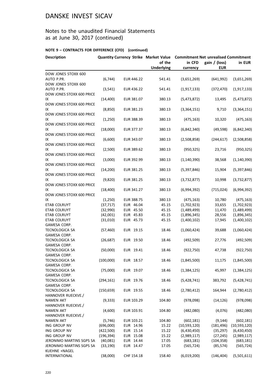## Notes to the unaudited Financial Statements as at June 30, 2017 (continued)

| <b>Description</b>                          | <b>Quantity Currency Strike Market Value</b> |            |                             | <b>Commitment Net unrealised Commitment</b> |                             |               |  |
|---------------------------------------------|----------------------------------------------|------------|-----------------------------|---------------------------------------------|-----------------------------|---------------|--|
|                                             |                                              |            | of the<br><b>Underlying</b> | in CFD<br>currency                          | gain / (loss)<br><b>EUR</b> | in EUR        |  |
| DOW JONES STOXX 600                         |                                              |            |                             |                                             |                             |               |  |
| AUTO P.PR.<br>DOW JONES STOXX 600           | (6, 744)                                     | EUR 446.22 | 541.41                      | (3,651,269)                                 | (641, 992)                  | (3,651,269)   |  |
| AUTO P.PR.<br>DOW JONES STOXX 600 PRICE     | (3, 541)                                     | EUR 436.22 | 541.41                      | (1,917,133)                                 | (372, 470)                  | (1,917,133)   |  |
| IX<br>DOW JONES STOXX 600 PRICE             | (14, 400)                                    | EUR 381.07 | 380.13                      | (5,473,872)                                 | 13,495                      | (5,473,872)   |  |
| ΙX<br><b>DOW JONES STOXX 600 PRICE</b>      | (8,850)                                      | EUR 381.23 | 380.13                      | (3,364,151)                                 | 9,710                       | (3,364,151)   |  |
| IX<br>DOW JONES STOXX 600 PRICE             | (1,250)                                      | EUR 388.39 | 380.13                      | (475, 163)                                  | 10,320                      | (475, 163)    |  |
| IX<br>DOW JONES STOXX 600 PRICE             | (18,000)                                     | EUR 377.37 | 380.13                      | (6,842,340)                                 | (49, 598)                   | (6,842,340)   |  |
| IX<br>DOW JONES STOXX 600 PRICE             | (6,600)                                      | EUR 343.07 | 380.13                      | (2,508,858)                                 | (244, 617)                  | (2,508,858)   |  |
| IX<br>DOW JONES STOXX 600 PRICE             | (2,500)                                      | EUR 389.62 | 380.13                      | (950, 325)                                  | 23,716                      | (950, 325)    |  |
| IX<br><b>DOW JONES STOXX 600 PRICE</b>      | (3,000)                                      | EUR 392.99 | 380.13                      | (1, 140, 390)                               | 38,568                      | (1, 140, 390) |  |
| IX<br>DOW JONES STOXX 600 PRICE             | (14, 200)                                    | EUR 381.25 | 380.13                      | (5,397,846)                                 | 15,904                      | (5,397,846)   |  |
| IX<br>DOW JONES STOXX 600 PRICE             | (9,820)                                      | EUR 381.25 | 380.13                      | (3,732,877)                                 | 10,998                      | (3,732,877)   |  |
| IX<br>DOW JONES STOXX 600 PRICE             | (18, 400)                                    | EUR 341.27 | 380.13                      | (6,994,392)                                 | (715, 024)                  | (6,994,392)   |  |
| ΙX                                          | (1,250)                                      | EUR 388.75 | 380.13                      | (475, 163)                                  | 10,780                      | (475, 163)    |  |
| ETAB COLRUYT                                | (37, 717)                                    | EUR 46.04  | 45.15                       | (1,702,923)                                 | 33,655                      | (1,702,923)   |  |
| ETAB COLRUYT                                | (32,990)                                     | EUR 45.50  | 45.15                       | (1,489,499)                                 | 11,470                      | (1,489,499)   |  |
| ETAB COLRUYT                                | (42,001)                                     | EUR 45.83  | 45.15                       | (1,896,345)                                 | 28,556                      | (1,896,345)   |  |
| <b>ETAB COLRUYT</b>                         | (31,010)                                     | EUR 45.73  | 45.15                       | (1,400,102)                                 | 17,945                      | (1,400,102)   |  |
| GAMESA CORP.                                |                                              |            |                             |                                             |                             |               |  |
| <b>TECNOLOGICA SA</b>                       | (57, 460)                                    | EUR 19.15  | 18.46                       | (1,060,424)                                 | 39,688                      | (1,060,424)   |  |
| GAMESA CORP.                                |                                              |            |                             |                                             |                             |               |  |
| TECNOLOGICA SA<br>GAMESA CORP.              | (26, 687)                                    | EUR 19.50  | 18.46                       | (492, 509)                                  | 27,776                      | (492, 509)    |  |
| TECNOLOGICA SA<br>GAMESA CORP.              | (50,000)                                     | EUR 19.41  | 18.46                       | (922, 750)                                  | 47,738                      | (922, 750)    |  |
| TECNOLOGICA SA<br>GAMESA CORP.              | (100,000)                                    | EUR 18.57  | 18.46                       | (1,845,500)                                 | 11,175                      | (1,845,500)   |  |
| <b>TECNOLOGICA SA</b><br>GAMESA CORP.       | (75,000)                                     | EUR 19.07  | 18.46                       | (1,384,125)                                 | 45,997                      | (1, 384, 125) |  |
| TECNOLOGICA SA<br>GAMESA CORP.              | (294, 161)                                   | EUR 19.76  | 18.46                       | (5,428,741)                                 | 383,792                     | (5,428,741)   |  |
| <b>TECNOLOGICA SA</b><br>HANNOVER RUECKVE./ | (150, 659)                                   | EUR 19.55  | 18.46                       | (2,780,412)                                 | 164,944                     | (2,780,412)   |  |
| <b>NAMEN AKT</b><br>HANNOVER RUECKVE./      | (9, 333)                                     | EUR 103.29 | 104.80                      | (978,098)                                   | (14, 126)                   | (978,098)     |  |
| <b>NAMEN AKT</b><br>HANNOVER RUECKVE./      | (4,600)                                      | EUR 103.91 | 104.80                      | (482,080)                                   | (4,076)                     | (482,080)     |  |
| <b>NAMEN AKT</b>                            | (5, 746)                                     | EUR 103.21 | 104.80                      | (602, 181)                                  | (9, 144)                    | (602, 181)    |  |
| ING GROUP NV                                | (696,000)                                    | EUR 14.96  | 15.22                       | (10,593,120)                                | (181, 496)                  | (10,593,120)  |  |
| ING GROUP NV                                | (422,500)                                    | EUR 15.14  | 15.22                       | (6,430,450)                                 | (35, 297)                   | (6,430,450)   |  |
| ING GROUP NV                                | (196, 394)                                   | EUR 15.08  | 15.22                       | (2,989,117)                                 | (27, 245)                   | (2,989,117)   |  |
| JERONIMO MARTINS SGPS SA                    | (40,081)                                     | EUR 14.44  | 17.05                       | (683, 181)                                  | (104, 358)                  | (683, 181)    |  |
| JERONIMO MARTINS SGPS SA<br>KUEHNE +NAGEL   | (33, 190)                                    | EUR 14.47  | 17.05                       | (565, 724)                                  | (85, 574)                   | (565, 724)    |  |
| INTERNATIONAL                               | (38,000)                                     | CHF 154.18 | 158.40                      | (6,019,200)                                 | (146, 404)                  | (5,501,611)   |  |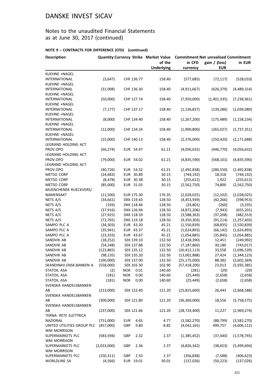## Notes to the unaudited Financial Statements as at June 30, 2017 (continued)

| <b>Description</b>            |                      |                        | <b>Quantity Currency Strike Market Value</b> | <b>Commitment Net unrealised Commitment</b> |                             |                           |  |
|-------------------------------|----------------------|------------------------|----------------------------------------------|---------------------------------------------|-----------------------------|---------------------------|--|
|                               |                      |                        | of the<br><b>Underlying</b>                  | in CFD<br>currency                          | gain / (loss)<br><b>EUR</b> | in EUR                    |  |
| KUEHNE +NAGEL                 |                      |                        |                                              |                                             |                             |                           |  |
| INTERNATIONAL                 | (3,647)              | CHF 136.77             | 158.40                                       | (577, 685)                                  | (72, 117)                   | (528, 010)                |  |
| KUEHNE +NAGEL                 |                      |                        |                                              |                                             |                             |                           |  |
| INTERNATIONAL                 | (31,008)             | CHF 136.30             | 158.40                                       | (4,911,667)                                 | (626, 379)                  | (4,489,314)               |  |
| KUEHNE +NAGEL                 |                      |                        |                                              |                                             |                             |                           |  |
| INTERNATIONAL                 | (50,000)             | CHF 127.74             | 158.40                                       | (7,920,000)                                 | (1,401,335)                 | (7, 238, 961)             |  |
| KUEHNE +NAGEL                 |                      |                        |                                              |                                             |                             |                           |  |
| <b>INTERNATIONAL</b>          | (7, 177)             | CHF 137.17             | 158.40                                       | (1, 136, 837)                               | (139, 286)                  | (1,039,080)               |  |
| KUEHNE +NAGEL                 |                      |                        |                                              |                                             |                             |                           |  |
| INTERNATIONAL                 | (8,000)              | CHF 134.40             | 158.40                                       | (1, 267, 200)                               | (175, 489)                  | (1, 158, 234)             |  |
| KUEHNE +NAGEL                 |                      |                        |                                              |                                             |                             |                           |  |
| <b>INTERNATIONAL</b>          | (12,000)             | CHF 134.24             | 158.40                                       | (1,900,800)                                 | (265, 027)                  | (1,737,351)               |  |
| KUEHNE +NAGEL                 |                      |                        |                                              |                                             |                             |                           |  |
| INTERNATIONAL                 | (15,000)             | CHF 140.13             | 158.40                                       | (2,376,000)                                 | (250, 420)                  | (2, 171, 688)             |  |
| LEGRAND HOLDING ACT.          |                      |                        |                                              |                                             |                             |                           |  |
| PROV.OPO                      | (66, 274)            | EUR 54.47              | 61.21                                        | (4,056,632)                                 | (446, 770)                  | (4,056,632)               |  |
| LEGRAND HOLDING ACT.          |                      |                        |                                              |                                             |                             |                           |  |
| PROV.OPO                      | (79,000)             | EUR 54.02              | 61.21                                        | (4,835,590)                                 | (568, 101)                  | (4,835,590)               |  |
| LEGRAND HOLDING ACT.          |                      |                        |                                              |                                             |                             |                           |  |
| PROV.OPO<br><b>METSO CORP</b> | (40, 726)            | EUR 54.32              | 61.21                                        | (2,492,838)                                 | (280, 550)                  | (2,492,838)               |  |
| <b>METSO CORP</b>             | (24, 683)            | EUR 30.89              | 30.15                                        | (744, 192)                                  | 18,318                      | (744, 192)                |  |
| METSO CORP                    | (8, 478)<br>(85,000) | EUR 30.38<br>EUR 31.03 | 30.15<br>30.15                               | (255, 612)<br>(2,562,750)                   | 1,922<br>74,800             | (255, 612)<br>(2,562,750) |  |
| MUENCHENER RUECKVERS/         |                      |                        |                                              |                                             |                             |                           |  |
| NAMENSAKT                     | (11,500)             | EUR 175.30             | 176.35                                       | (2,028,025)                                 | (12, 102)                   | (2,028,025)               |  |
| NETS A/S                      | (34, 661)            | DKK 119.43             | 128.50                                       | (4,453,939)                                 | (42, 266)                   | (598, 953)                |  |
| NETS A/S                      | (193)                | DKK 118.46             | 128.50                                       | (24, 801)                                   | (260)                       | (3, 335)                  |  |
| NETS A/S                      | (37, 916)            | DKK 126.94             | 128.50                                       | (4,872,206)                                 | (7, 943)                    | (655, 201)                |  |
| NETS A/S                      | (27, 925)            | DKK 118.59             | 128.50                                       | (3,588,363)                                 | (37, 208)                   | (482, 553)                |  |
| NETS A/S                      | (72, 765)            | DKK 119.18             | 128.50                                       | (9,350,303)                                 | (91, 214)                   | (1, 257, 403)             |  |
| SAMPO PLC A                   | (34, 303)            | EUR 43.20              | 45.21                                        | (1,550,839)                                 | (68, 835)                   | (1,550,839)               |  |
| SAMPO PLC A                   | (35, 941)            | EUR 43.37              | 45.21                                        | (1,624,893)                                 | (66, 142)                   | (1,624,893)               |  |
| SAMPO PLC A                   | (23, 333)            | EUR 43.67              | 45.21                                        | (1,054,885)                                 | (35, 845)                   | (1,054,885)               |  |
| SANDVIK AB                    | (18, 252)            | SEK 139.10             | 132.50                                       | (2,418,390)                                 | 12,451                      | (249, 992)                |  |
| SANDVIK AB                    | (54, 248)            | SEK 137.88             | 132.50                                       | (7, 187, 860)                               | 30,180                      | (743, 017)                |  |
| SANDVIK AB                    | (123, 865)           | SEK 135.12             | 132.50                                       | (16, 412, 113)                              | 33,558                      | (1,696,539)               |  |
| SANDVIK AB                    | (98, 135)            | SEK 135.20             | 132.50                                       | (13,002,888)                                | 27,424                      | (1,344,123)               |  |
| SANDVIK AB                    | (190,000)            | SEK 137.00             | 132.50                                       | (25, 175, 000)                              | 88,382                      | (2,602,369)               |  |
| SKANDINAV.ENSK.BANKEN A       | (558,000)            | SEK 103.30             | 102.90                                       | (57, 418, 200)                              | 23,013                      | (5,935,385)               |  |
| <b>STATOIL ASA</b>            | (2)                  | <b>NOK</b><br>0.01     | 140.60                                       | (281)                                       | (29)                        | (29)                      |  |
| <b>STATOIL ASA</b>            | (181)                | <b>NOK</b><br>0.00     | 140.60                                       | (25, 449)                                   | (2,658)                     | (2,658)                   |  |
| <b>STATOIL ASA</b>            | (181)                | <b>NOK</b><br>0.00     | 140.60                                       | (25, 449)                                   | (2,658)                     | (2,658)                   |  |
| SVENSKA HANDELSBANKEN         |                      |                        |                                              |                                             |                             |                           |  |
| АΒ                            | (213,000)            | SEK 122.40             | 121.20                                       | (25, 815, 600)                              | 26,443                      | (2,668,588)               |  |
| SVENSKA HANDELSBANKEN         |                      |                        |                                              |                                             |                             |                           |  |
| AB                            | (300,000)            | SEK 121.80             | 121.20                                       | (36, 360, 000)                              | 18,556                      | (3,758,575)               |  |
| SVENSKA HANDELSBANKEN         |                      |                        |                                              |                                             |                             |                           |  |
| AB                            | (237,000)            | SEK 121.66             | 121.20                                       | (28, 724, 400)                              | 11,227                      | (2,969,274)               |  |
| TERNA- RETE ELETTRICA         |                      |                        |                                              |                                             |                             |                           |  |
| NAZIONAL                      | (751,000)            | <b>EUR</b><br>4.65     | 4.77                                         | (3,582,270)                                 | (88, 799)                   | (3,582,270)               |  |
| UNITED UTILITIES GROUP PLC    | (457,000)            | GBP<br>9.80            | 8.85                                         | (4,042,165)                                 | 499,757                     | (4,606,112)               |  |
| WM MORRISON                   |                      |                        |                                              |                                             |                             |                           |  |
| SUPERMARKETS PLC              | (583, 594)           | GBP<br>2.32            | 2.37                                         | (1,385,452)                                 | (37, 440)                   | (1,578,745)               |  |
| WM MORRISON                   |                      |                        |                                              |                                             |                             |                           |  |
| SUPERMARKETS PLC              | (2,033,000)          | GBP<br>2.36            | 2.37                                         | (4,826,342)                                 | (38, 653)                   | (5,499,694)               |  |
| <b>WM MORRISON</b>            |                      |                        |                                              |                                             |                             |                           |  |
| SUPERMARKETS PLC              | (150, 311)           | GBP<br>2.33            | 2.37                                         | (356, 838)                                  | (7,588)                     | (406, 623)                |  |
| <b>WORLDLINE SA</b>           | (4, 566)             | EUR 19.01              | 30.01                                        | (137, 026)                                  | (50, 223)                   | (137, 026)                |  |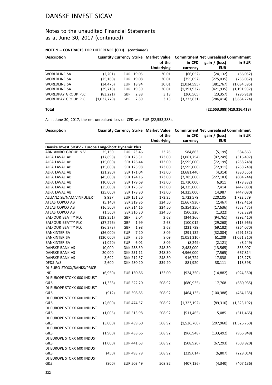## Notes to the unaudited Financial Statements as at June 30, 2017 (continued)

#### **NOTE 9 – CONTRACTS FOR DIFFERENCE (CFD) (continued)**

| <b>Description</b>  |             |            |           |                   | <b>Quantity Currency Strike Market Value Commitment Net unrealised Commitment</b> |               |               |  |
|---------------------|-------------|------------|-----------|-------------------|-----------------------------------------------------------------------------------|---------------|---------------|--|
|                     |             |            |           | of the            | in CFD                                                                            | gain / (loss) | in EUR        |  |
|                     |             |            |           | <b>Underlying</b> | currency                                                                          | <b>EUR</b>    |               |  |
| <b>WORLDLINE SA</b> | (2,201)     |            | EUR 19.05 | 30.01             | (66,052)                                                                          | (24.132)      | (66, 052)     |  |
| <b>WORLDLINE SA</b> | (25, 160)   |            | EUR 19.08 | 30.01             | (755,052)                                                                         | (275, 035)    | (755, 052)    |  |
| <b>WORLDLINE SA</b> | (34, 475)   |            | EUR 18.94 | 30.01             | (1,034,595)                                                                       | (381, 767)    | (1,034,595)   |  |
| <b>WORLDLINE SA</b> | (39, 718)   |            | EUR 19.39 | 30.01             | (1, 191, 937)                                                                     | (421, 935)    | (1, 191, 937) |  |
| WORLDPAY GROUP PLC  | (83, 221)   | GBP        | 2.88      | 3.13              | (260, 565)                                                                        | (23, 357)     | (296, 918)    |  |
| WORLDPAY GROUP PLC  | (1,032,779) | <b>GBP</b> | 2.89      | 3.13              | (3,233,631)                                                                       | (286,414)     | (3,684,774)   |  |

#### **Total (22,553,388)(419,316,418)**

As at June 30, 2017, the net unrealised loss on CFD was EUR (22,553,388).

| <b>Description</b>                                   |            |                    |                   | Quantity Currency Strike Market Value Commitment Net unrealised Commitment |               |             |
|------------------------------------------------------|------------|--------------------|-------------------|----------------------------------------------------------------------------|---------------|-------------|
|                                                      |            |                    | of the            | in CFD                                                                     | gain / (loss) | in EUR      |
|                                                      |            |                    | <b>Underlying</b> | currency                                                                   | <b>EUR</b>    |             |
| Danske Invest SICAV - Europe Long-Short Dynamic Plus |            |                    |                   |                                                                            |               |             |
| ABN AMRO GROUP N.V.                                  | 25,150     | EUR 23.46          | 23.26             | 584,863                                                                    | (5, 199)      | 584,863     |
| ALFA LAVAL AB                                        | (17, 698)  | SEK 125.31         | 173.00            | (3,061,754)                                                                | (87, 249)     | (316, 497)  |
| ALFA LAVAL AB                                        | (15,000)   | SEK 126.44         | 173.00            | (2,595,000)                                                                | (72, 199)     | (268, 248)  |
| ALFA LAVAL AB                                        | (15,000)   | SEK 125.98         | 173.00            | (2,595,000)                                                                | (72, 911)     | (268, 248)  |
| ALFA LAVAL AB                                        | (21, 280)  | SEK 171.04         | 173.00            | (3,681,440)                                                                | (4, 314)      | (380, 555)  |
| ALFA LAVAL AB                                        | (45,000)   | SEK 124.16         | 173.00            | (7,785,000)                                                                | (227, 183)    | (804, 744)  |
| ALFA LAVAL AB                                        | (10,000)   | SEK 179.69         | 173.00            | (1,730,000)                                                                | 6,911         | (178, 832)  |
| ALFA LAVAL AB                                        | (25,000)   | SEK 175.87         | 173.00            | (4,325,000)                                                                | 7,414         | (447,080)   |
| ALFA LAVAL AB                                        | (25,000)   | SEK 178.80         | 173.00            | (4,325,000)                                                                | 14,987        | (447,080)   |
| ALLIANZ SE/NAM.VINKULIERT                            | 9,937      | EUR 151.20         | 173.35            | 1,722,579                                                                  | 220,105       | 1,722,579   |
| ATLAS COPCO AB                                       | (5, 140)   | SEK 319.86         | 324.50            | (1,667,930)                                                                | (2,467)       | (172, 416)  |
| ATLAS COPCO AB                                       | (16,500)   | SEK 314.16         | 324.50            | (5,354,250)                                                                | (17, 636)     | (553, 475)  |
| ATLAS COPCO AB                                       | (1,560)    | SEK 316.30         | 324.50            | (506, 220)                                                                 | (1, 322)      | (52, 329)   |
| <b>BALFOUR BEATTY PLC</b>                            | (128, 351) | GBP<br>2.04        | 2.68              | (344, 366)                                                                 | (94, 761)     | (392, 410)  |
| <b>BALFOUR BEATTY PLC</b>                            | (37, 276)  | GBP<br>1.99        | 2.68              | (100, 012)                                                                 | (29, 268)     | (113, 965)  |
| <b>BALFOUR BEATTY PLC</b>                            | (86, 373)  | GBP<br>1.98        | 2.68              | (231, 739)                                                                 | (69, 182)     | (264,070)   |
| BANKINTER SA                                         | (36,000)   | <b>EUR</b><br>7.20 | 8.09              | (291, 132)                                                                 | (32,004)      | (291, 132)  |
| <b>BANKINTER SA</b>                                  | (130,000)  | 8.56<br><b>EUR</b> | 8.09              | (1,051,310)                                                                | 61,209        | (1,051,310) |
| BANKINTER SA                                         | (1,020)    | <b>EUR</b><br>6.01 | 8.09              | (8, 249)                                                                   | (2, 121)      | (8, 249)    |
| DANSKE BANK AS                                       | 10,000     | DKK 258.39         | 248.30            | 2,483,000                                                                  | (13, 565)     | 333,907     |
| DANSKE BANK AS                                       | 20,000     | DKK 251.11         | 248.30            | 4,966,000                                                                  | (7, 565)      | 667,814     |
| DANSKE BANK AS                                       | 3,692      | DKK 212.37         | 248.30            | 916,724                                                                    | 17,838        | 123,278     |
| DFDS A/S                                             | 2,600      | DKK 230.20         | 339.20            | 881,920                                                                    | 38,111        | 118,598     |
| DJ EURO STOXX/BANKS/PRICE                            |            |                    |                   |                                                                            |               |             |
| IND                                                  | (6,950)    | EUR 130.86         | 133.00            | (924, 350)                                                                 | (14, 882)     | (924, 350)  |
| DJ EUROPE STOXX 600 INDUST                           |            |                    |                   |                                                                            |               |             |
| G&S                                                  | (1, 338)   | <b>EUR 522.20</b>  | 508.92            | (680, 935)                                                                 | 17,768        | (680, 935)  |
| DJ EUROPE STOXX 600 INDUST                           |            |                    |                   |                                                                            |               |             |
| G&S                                                  | (912)      | EUR 398.85         | 508.92            | (464, 135)                                                                 | (100, 388)    | (464, 135)  |
| DJ EUROPE STOXX 600 INDUST                           |            |                    |                   |                                                                            |               |             |
| G&S                                                  | (2,600)    | EUR 474.57         | 508.92            | (1,323,192)                                                                | (89,310)      | (1,323,192) |
| DJ EUROPE STOXX 600 INDUST                           |            |                    |                   |                                                                            |               |             |
| G&S                                                  | (1,005)    | EUR 513.98         | 508.92            | (511, 465)                                                                 | 5,085         | (511, 465)  |
| DJ EUROPE STOXX 600 INDUST                           |            |                    |                   |                                                                            |               |             |
| G&S                                                  | (3,000)    | EUR 439.60         | 508.92            | (1,526,760)                                                                | (207,960)     | (1,526,760) |
| DJ EUROPE STOXX 600 INDUST                           |            |                    |                   |                                                                            |               |             |
| G&S                                                  | (1,900)    | EUR 438.66         | 508.92            | (966, 948)                                                                 | (133, 492)    | (966, 948)  |
| DJ EUROPE STOXX 600 INDUST                           |            |                    |                   |                                                                            |               |             |
| G&S                                                  | (1,000)    | EUR 441.63         | 508.92            | (508, 920)                                                                 | (67, 293)     | (508, 920)  |
| DJ EUROPE STOXX 600 INDUST                           |            |                    |                   |                                                                            |               |             |
| G&S                                                  | (450)      | EUR 493.79         | 508.92            | (229, 014)                                                                 | (6, 807)      | (229, 014)  |
| DJ EUROPE STOXX 600 INDUST                           |            |                    |                   |                                                                            |               |             |
| G&S                                                  | (800)      | EUR 503.49         | 508.92            | (407, 136)                                                                 | (4, 340)      | (407, 136)  |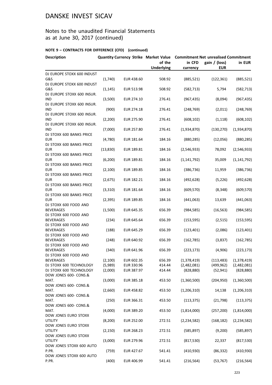## Notes to the unaudited Financial Statements as at June 30, 2017 (continued)

| <b>Description</b>                        |           |            | of the            | <b>Quantity Currency Strike Market Value Commitment Net unrealised Commitment</b><br>in CFD<br>gain / (loss)<br>in EUR |            |               |  |
|-------------------------------------------|-----------|------------|-------------------|------------------------------------------------------------------------------------------------------------------------|------------|---------------|--|
|                                           |           |            | <b>Underlying</b> | currency                                                                                                               | <b>EUR</b> |               |  |
| DJ EUROPE STOXX 600 INDUST                |           |            |                   |                                                                                                                        |            |               |  |
| G&S                                       | (1,740)   | EUR 438.60 | 508.92            | (885, 521)                                                                                                             | (122, 361) | (885, 521)    |  |
| DJ EUROPE STOXX 600 INDUST                |           |            |                   |                                                                                                                        |            |               |  |
| G&S                                       | (1, 145)  | EUR 513.98 | 508.92            | (582, 713)                                                                                                             | 5,794      | (582, 713)    |  |
| DJ EUROPE STOXX 600 INSUR.                |           |            |                   |                                                                                                                        |            |               |  |
| <b>IND</b><br>DJ EUROPE STOXX 600 INSUR.  | (3,500)   | EUR 274.10 | 276.41            | (967, 435)                                                                                                             | (8,094)    | (967, 435)    |  |
| IND                                       | (900)     | EUR 274.18 | 276.41            | (248, 769)                                                                                                             | (2,011)    | (248, 769)    |  |
| DJ EUROPE STOXX 600 INSUR.                |           |            |                   |                                                                                                                        |            |               |  |
| IND                                       | (2, 200)  | EUR 275.90 | 276.41            | (608, 102)                                                                                                             | (1, 118)   | (608, 102)    |  |
| DJ EUROPE STOXX 600 INSUR.                |           |            |                   |                                                                                                                        |            |               |  |
| IND                                       | (7,000)   | EUR 257.80 | 276.41            | (1,934,870)                                                                                                            | (130, 270) | (1,934,870)   |  |
| DJ STOXX 600 BANKS PRICE                  |           |            |                   |                                                                                                                        |            |               |  |
| <b>EUR</b>                                | (4,780)   | EUR 181.64 | 184.16            | (880, 285)                                                                                                             | (12,056)   | (880, 285)    |  |
| DJ STOXX 600 BANKS PRICE                  |           |            |                   |                                                                                                                        |            |               |  |
| <b>EUR</b>                                | (13, 830) | EUR 189.81 | 184.16            | (2,546,933)                                                                                                            | 78,092     | (2,546,933)   |  |
| DJ STOXX 600 BANKS PRICE<br><b>EUR</b>    |           | EUR 189.81 | 184.16            |                                                                                                                        | 35,009     |               |  |
| DJ STOXX 600 BANKS PRICE                  | (6, 200)  |            |                   | (1, 141, 792)                                                                                                          |            | (1, 141, 792) |  |
| <b>EUR</b>                                | (2, 100)  | EUR 189.85 | 184.16            | (386, 736)                                                                                                             | 11,959     | (386, 736)    |  |
| DJ STOXX 600 BANKS PRICE                  |           |            |                   |                                                                                                                        |            |               |  |
| <b>EUR</b>                                | (2,675)   | EUR 182.21 | 184.16            | (492, 628)                                                                                                             | (5, 226)   | (492, 628)    |  |
| DJ STOXX 600 BANKS PRICE                  |           |            |                   |                                                                                                                        |            |               |  |
| <b>EUR</b>                                | (3, 310)  | EUR 181.64 | 184.16            | (609, 570)                                                                                                             | (8, 348)   | (609, 570)    |  |
| DJ STOXX 600 BANKS PRICE                  |           |            |                   |                                                                                                                        |            |               |  |
| EUR                                       | (2, 395)  | EUR 189.85 | 184.16            | (441,063)                                                                                                              | 13,639     | (441,063)     |  |
| DJ STOXX 600 FOOD AND                     |           |            |                   |                                                                                                                        |            |               |  |
| <b>BEVERAGES</b>                          | (1,500)   | EUR 645.35 | 656.39            | (984, 585)                                                                                                             | (16, 563)  | (984, 585)    |  |
| DJ STOXX 600 FOOD AND<br><b>BEVERAGES</b> | (234)     | EUR 645.64 | 656.39            |                                                                                                                        | (2,515)    |               |  |
| DJ STOXX 600 FOOD AND                     |           |            |                   | (153, 595)                                                                                                             |            | (153, 595)    |  |
| <b>BEVERAGES</b>                          | (188)     | EUR 645.29 | 656.39            | (123, 401)                                                                                                             | (2,086)    | (123, 401)    |  |
| DJ STOXX 600 FOOD AND                     |           |            |                   |                                                                                                                        |            |               |  |
| <b>BEVERAGES</b>                          | (248)     | EUR 640.92 | 656.39            | (162, 785)                                                                                                             | (3,837)    | (162, 785)    |  |
| DJ STOXX 600 FOOD AND                     |           |            |                   |                                                                                                                        |            |               |  |
| <b>BEVERAGES</b>                          | (340)     | EUR 641.96 | 656.39            | (223, 173)                                                                                                             | (4,906)    | (223, 173)    |  |
| DJ STOXX 600 FOOD AND                     |           |            |                   |                                                                                                                        |            |               |  |
| BEVERAGES                                 | (2,100)   | EUR 602.35 | 656.39            | (1,378,419)                                                                                                            | (113, 483) | (1,378,419)   |  |
| DJ STOXX 600 TECHNOLOGY                   | (5,989)   | EUR 330.96 | 414.44            | (2,482,081)                                                                                                            | (499, 962) | (2,482,081)   |  |
| DJ STOXX 600 TECHNOLOGY                   | (2,000)   | EUR 387.97 | 414.44            | (828, 880)                                                                                                             | (52, 941)  | (828, 880)    |  |
| DOW JONES 600- CONS.&<br>MAT.             | (3,000)   | EUR 385.18 | 453.50            | (1,360,500)                                                                                                            | (204, 950) | (1,360,500)   |  |
| DOW JONES 600- CONS.&                     |           |            |                   |                                                                                                                        |            |               |  |
| MAT.                                      | (2,660)   | EUR 458.82 | 453.50            | (1,206,310)                                                                                                            | 14,138     | (1, 206, 310) |  |
| DOW JONES 600- CONS.&                     |           |            |                   |                                                                                                                        |            |               |  |
| MAT.                                      | (250)     | EUR 366.31 | 453.50            | (113, 375)                                                                                                             | (21, 798)  | (113, 375)    |  |
| DOW JONES 600- CONS.&                     |           |            |                   |                                                                                                                        |            |               |  |
| MAT.                                      | (4,000)   | EUR 389.20 | 453.50            | (1,814,000)                                                                                                            | (257, 200) | (1,814,000)   |  |
| DOW JONES EURO STOXX                      |           |            |                   |                                                                                                                        |            |               |  |
| <b>UTILITY</b>                            | (8, 200)  | EUR 252.00 | 272.51            | (2, 234, 582)                                                                                                          | (168, 182) | (2, 234, 582) |  |
| DOW JONES EURO STOXX                      |           |            |                   |                                                                                                                        |            |               |  |
| <b>UTILITY</b>                            | (2, 150)  | EUR 268.23 | 272.51            | (585, 897)                                                                                                             | (9,200)    | (585, 897)    |  |
| DOW JONES EURO STOXX<br><b>UTILITY</b>    | (3,000)   | EUR 279.96 | 272.51            | (817, 530)                                                                                                             | 22,337     | (817, 530)    |  |
| DOW JONES STOXX 600 AUTO                  |           |            |                   |                                                                                                                        |            |               |  |
| P.PR.                                     | (759)     | EUR 427.67 | 541.41            | (410, 930)                                                                                                             | (86, 332)  | (410, 930)    |  |
| DOW JONES STOXX 600 AUTO                  |           |            |                   |                                                                                                                        |            |               |  |
| P.PR.                                     | (400)     | EUR 406.99 | 541.41            | (216, 564)                                                                                                             | (53, 767)  | (216, 564)    |  |
|                                           |           |            |                   |                                                                                                                        |            |               |  |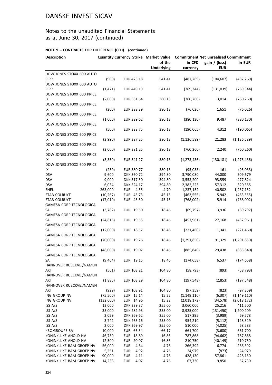## Notes to the unaudited Financial Statements as at June 30, 2017 (continued)

| <b>Description</b>                |           |                    | <b>Quantity Currency Strike Market Value</b> | <b>Commitment Net unrealised Commitment</b> |               |               |  |
|-----------------------------------|-----------|--------------------|----------------------------------------------|---------------------------------------------|---------------|---------------|--|
|                                   |           |                    | of the                                       | in CFD                                      | gain / (loss) | in EUR        |  |
|                                   |           |                    | <b>Underlying</b>                            | currency                                    | <b>EUR</b>    |               |  |
| DOW JONES STOXX 600 AUTO          |           |                    |                                              |                                             |               |               |  |
| P.PR.                             | (900)     | EUR 425.18         | 541.41                                       | (487, 269)                                  | (104, 607)    | (487, 269)    |  |
| DOW JONES STOXX 600 AUTO<br>P.PR. |           |                    |                                              |                                             |               |               |  |
| DOW JONES STOXX 600 PRICE         | (1, 421)  | EUR 449.19         | 541.41                                       | (769, 344)                                  | (131,039)     | (769, 344)    |  |
| IX                                | (2,000)   | EUR 381.64         | 380.13                                       | (760, 260)                                  | 3,014         | (760, 260)    |  |
| DOW JONES STOXX 600 PRICE         |           |                    |                                              |                                             |               |               |  |
| ΙX                                | (200)     | EUR 388.39         | 380.13                                       | (76, 026)                                   | 1,651         | (76, 026)     |  |
| DOW JONES STOXX 600 PRICE         |           |                    |                                              |                                             |               |               |  |
| IХ                                | (1,000)   | EUR 389.62         | 380.13                                       | (380, 130)                                  | 9,487         | (380, 130)    |  |
| DOW JONES STOXX 600 PRICE         |           |                    |                                              |                                             |               |               |  |
| IX                                | (500)     | EUR 388.75         | 380.13                                       | (190,065)                                   | 4,312         | (190,065)     |  |
| DOW JONES STOXX 600 PRICE         |           |                    |                                              |                                             |               |               |  |
| ΙX                                | (2,990)   | EUR 387.25         | 380.13                                       | (1, 136, 589)                               | 21,283        | (1, 136, 589) |  |
| DOW JONES STOXX 600 PRICE         |           |                    |                                              |                                             |               |               |  |
| IX                                | (2,000)   | EUR 381.25         | 380.13                                       | (760, 260)                                  | 2,240         | (760, 260)    |  |
| DOW JONES STOXX 600 PRICE         |           |                    |                                              |                                             |               |               |  |
| IX                                | (3,350)   | EUR 341.27         | 380.13                                       | (1, 273, 436)                               | (130, 181)    | (1, 273, 436) |  |
| DOW JONES STOXX 600 PRICE         |           |                    |                                              |                                             |               |               |  |
| IX                                | (250)     | EUR 380.77         | 380.13                                       | (95,033)                                    | 161           | (95, 033)     |  |
| <b>DSV</b>                        | 9.600     | DKK 360.72         | 394.80                                       | 3,790,080                                   | 44,000        | 509,679       |  |
| <b>DSV</b>                        | 9,000     | DKK 317.50         | 394.80                                       | 3,553,200                                   | 93,559        | 477,824       |  |
| <b>DSV</b>                        | 6,034     | DKK 324.17         | 394.80                                       | 2,382,223                                   | 57,312        | 320,355       |  |
| <b>ENEL</b>                       | 263,000   | <b>EUR</b><br>4.55 | 4.70                                         | 1,237,152                                   | 40,502        | 1,237,152     |  |
| ETAB COLRUYT                      | (10, 267) | EUR 45.73          | 45.15                                        | (463, 555)                                  | 5,942         | (463, 555)    |  |
| ETAB COLRUYT                      | (17,010)  | EUR 45.50          | 45.15                                        | (768,002)                                   | 5,914         | (768,002)     |  |
| GAMESA CORP.TECNOLOGICA           |           |                    |                                              |                                             |               |               |  |
| SA                                | (3,782)   | EUR 19.50          | 18.46                                        | (69, 797)                                   | 3,936         | (69, 797)     |  |
| GAMESA CORP.TECNOLOGICA           |           |                    |                                              |                                             |               |               |  |
| SА                                | (24, 815) | EUR 19.55          | 18.46                                        | (457, 961)                                  | 27,168        | (457, 961)    |  |
| GAMESA CORP.TECNOLOGICA<br>SA     | (12,000)  | EUR 18.57          | 18.46                                        | (221, 460)                                  | 1,341         |               |  |
| GAMESA CORP.TECNOLOGICA           |           |                    |                                              |                                             |               | (221, 460)    |  |
| SА                                | (70,000)  | EUR 19.76          | 18.46                                        | (1,291,850)                                 | 91,329        | (1,291,850)   |  |
| GAMESA CORP.TECNOLOGICA           |           |                    |                                              |                                             |               |               |  |
| SА                                | (48,000)  | EUR 19.07          | 18.46                                        | (885, 840)                                  | 29,438        | (885, 840)    |  |
| <b>GAMESA CORP.TECNOLOGICA</b>    |           |                    |                                              |                                             |               |               |  |
| SA                                | (9,464)   | EUR 19.15          | 18.46                                        | (174, 658)                                  | 6,537         | (174, 658)    |  |
| HANNOVER RUECKVE./NAMEN           |           |                    |                                              |                                             |               |               |  |
| AKT                               | (561)     | EUR 103.21         | 104.80                                       | (58, 793)                                   | (893)         | (58, 793)     |  |
| HANNOVER RUECKVE./NAMEN           |           |                    |                                              |                                             |               |               |  |
| AKT                               | (1,885)   | EUR 103.29         | 104.80                                       | (197, 548)                                  | (2,853)       | (197, 548)    |  |
| HANNOVER RUECKVE./NAMEN           |           |                    |                                              |                                             |               |               |  |
| AKT                               | (929)     | EUR 103.91         | 104.80                                       | (97, 359)                                   | (823)         | (97, 359)     |  |
| ING GROUP NV                      | (75, 500) | EUR 15.14          | 15.22                                        | (1, 149, 110)                               | (6, 307)      | (1, 149, 110) |  |
| ING GROUP NV                      | (132,600) | EUR 14.96          | 15.22                                        | (2,018,172)                                 | (34, 578)     | (2,018,172)   |  |
| ISS A/S                           | 12,000    | DKK 239.37         | 255.00                                       | 3,060,000                                   | 25,216        | 411,500       |  |
| ISS A/S                           | 35,000    | DKK 282.93         | 255.00                                       | 8,925,000                                   | (131, 450)    | 1,200,209     |  |
| ISS A/S                           | 2,029     | DKK 269.62         | 255.00                                       | 517,395                                     | (3,989)       | 69,578        |  |
| ISS A/S                           | 3,742     | DKK 265.16         | 255.00                                       | 954,210                                     | (5, 112)      | 128,319       |  |
| ISS A/S                           | 2,000     | DKK 269.97         | 255.00                                       | 510,000                                     | (4,025)       | 68,583        |  |
| <b>KBC GROUPE SA</b>              | 10,000    | EUR 66.54          | 66.17                                        | 661,700                                     | (3,680)       | 661,700       |  |
| KONINKLIJKE AHOLD NV              | 46,730    | EUR 18.89          | 16.86                                        | 787,868                                     | (94, 662)     | 787,868       |  |
| KONINKLIJKE AHOLD NV              | 12,500    | EUR 20.07          | 16.86                                        | 210,750                                     | (40, 149)     | 210,750       |  |
| KONINKLIJKE BAM GROEP NV          | 56,000    | <b>EUR</b><br>4.64 | 4.76                                         | 266,392                                     | 6,774         | 266,392       |  |
| KONINKLIJKE BAM GROEP NV          | 5,251     | <b>EUR</b><br>4.92 | 4.76                                         | 24,979                                      | (873)         | 24,979        |  |
| KONINKLIJKE BAM GROEP NV          | 90,000    | 4.11<br><b>EUR</b> | 4.76                                         | 428,130                                     | 57,861        | 428,130       |  |
| KONINKLIJKE BAM GROEP NV          | 14,238    | 4.07<br><b>EUR</b> | 4.76                                         | 67,730                                      | 9,850         | 67,730        |  |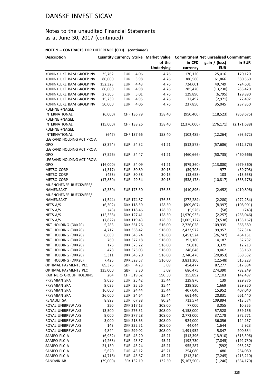## Notes to the unaudited Financial Statements as at June 30, 2017 (continued)

| <b>Description</b>        |           |            |      | Quantity Currency Strike Market Value Commitment Net unrealised Commitment |               |               |               |
|---------------------------|-----------|------------|------|----------------------------------------------------------------------------|---------------|---------------|---------------|
|                           |           |            |      | of the                                                                     | in CFD        | gain / (loss) | in EUR        |
|                           |           |            |      | <b>Underlying</b>                                                          | currency      | <b>EUR</b>    |               |
| KONINKLIJKE BAM GROEP NV  | 35,762    | <b>EUR</b> | 4.06 | 4.76                                                                       | 170,120       | 25,016        | 170,120       |
| KONINKLIJKE BAM GROEP NV  | 80,000    | <b>EUR</b> | 3.98 | 4.76                                                                       | 380,560       | 61,866        | 380,560       |
| KONINKLIJKE BAM GROEP NV  | 152,323   | <b>EUR</b> | 4.43 | 4.76                                                                       | 724,601       | 49,749        | 724,601       |
| KONINKLIJKE BAM GROEP NV  | 60,000    | <b>EUR</b> | 4.98 | 4.76                                                                       | 285,420       | (13, 230)     | 285,420       |
| KONINKLIJKE BAM GROEP NV  | 27,305    | <b>EUR</b> | 5.01 | 4.76                                                                       | 129,890       | (6, 795)      | 129,890       |
| KONINKLIJKE BAM GROEP NV  | 15,239    | <b>EUR</b> | 4.95 | 4.76                                                                       | 72,492        | (2,971)       | 72,492        |
| KONINKLIJKE BAM GROEP NV  | 50,000    | <b>EUR</b> | 4.06 | 4.76                                                                       | 237,850       |               | 237,850       |
| KUEHNE +NAGEL             |           |            |      |                                                                            |               | 35,045        |               |
| <b>INTERNATIONAL</b>      | (6,000)   | CHF 136.79 |      | 158.40                                                                     | (950, 400)    | (118, 523)    | (868, 675)    |
|                           |           |            |      |                                                                            |               |               |               |
| KUEHNE +NAGEL             |           |            |      |                                                                            |               |               |               |
| <b>INTERNATIONAL</b>      | (15,000)  | CHF 138.26 |      | 158.40                                                                     | (2,376,000)   | (276, 171)    | (2, 171, 688) |
| KUEHNE +NAGEL             |           |            |      |                                                                            |               |               |               |
| <b>INTERNATIONAL</b>      | (647)     | CHF 137.66 |      | 158.40                                                                     | (102, 485)    | (12, 264)     | (93, 672)     |
| LEGRAND HOLDING ACT.PROV. |           |            |      |                                                                            |               |               |               |
| OPO                       | (8, 374)  | EUR 54.32  |      | 61.21                                                                      | (512, 573)    | (57, 686)     | (512, 573)    |
| LEGRAND HOLDING ACT.PROV. |           |            |      |                                                                            |               |               |               |
| OPO                       | (7, 526)  | EUR 54.47  |      | 61.21                                                                      | (460, 666)    | (50, 735)     | (460, 666)    |
| LEGRAND HOLDING ACT.PROV. |           |            |      |                                                                            |               |               |               |
| OPO                       | (16,000)  | EUR 54.09  |      | 61.21                                                                      | (979, 360)    | (113,880)     | (979, 360)    |
| METSO CORP                | (1, 317)  | EUR 30.89  |      | 30.15                                                                      | (39,708)      | 977           | (39, 708)     |
| <b>METSO CORP</b>         | (453)     | EUR 30.38  |      | 30.15                                                                      | (13, 658)     | 103           | (13, 658)     |
| METSO CORP                | (17, 850) | EUR 29.54  |      | 30.15                                                                      | (538, 178)    | (10, 817)     | (538, 178)    |
| MUENCHENER RUECKVERS/     |           |            |      |                                                                            |               |               |               |
| NAMENSAKT                 | (2, 330)  | EUR 175.30 |      | 176.35                                                                     | (410, 896)    | (2,452)       | (410, 896)    |
| MUENCHENER RUECKVERS/     |           |            |      |                                                                            |               |               |               |
| NAMENSAKT                 | (1, 544)  | EUR 174.87 |      | 176.35                                                                     | (272, 284)    | (2, 280)      | (272, 284)    |
| NETS A/S                  | (6, 302)  | DKK 118.59 |      | 128.50                                                                     | (809, 807)    | (8, 397)      | (108, 901)    |
| NETS A/S                  | (43)      | DKK 118.46 |      | 128.50                                                                     | (5,526)       | (58)          | (743)         |
| NETS A/S                  | (15, 338) | DKK 127.41 |      | 128.50                                                                     | (1,970,933)   | (2, 257)      | (265, 046)    |
| NETS A/S                  | (7,822)   | DKK 119.43 |      | 128.50                                                                     | (1,005,127)   | (9,538)       | (135, 167)    |
| NKT HOLDING (DKK20)       | 5,283     | DKK 361.26 |      | 516.00                                                                     | 2,726,028     | 109,935       | 366,589       |
| NKT HOLDING (DKK20)       | 4,717     | DKK 358.42 |      | 516.00                                                                     | 2,433,972     | 99,957        | 327,314       |
| NKT HOLDING (DKK20)       | 6,689     | DKK 545.74 |      | 516.00                                                                     | 3,451,524     | (26, 747)     | 464,151       |
| NKT HOLDING (DKK20)       | 760       | DKK 377.18 |      | 516.00                                                                     | 392,160       | 14,187        | 52,737        |
| NKT HOLDING (DKK20)       | 176       | DKK 373.22 |      | 516.00                                                                     | 90,816        | 3,379         | 12,213        |
| NKT HOLDING (DKK20)       | 478       | DKK 375.03 |      | 516.00                                                                     | 246,648       | 9,062         | 33,169        |
| NKT HOLDING (DKK20)       | 5,311     | DKK 545.20 |      | 516.00                                                                     | 2,740,476     | (20, 853)     | 368,532       |
| NKT HOLDING (DKK20)       | 7,425     | DKK 528.57 |      | 516.00                                                                     | 3,831,300     | (12, 548)     | 515,223       |
| OPTIMAL PAYMENTS PLC      |           |            |      |                                                                            |               |               |               |
|                           | 89,376    | GBP        | 4.23 | 5.09                                                                       | 454,477       | 87,277        | 517,884       |
| OPTIMAL PAYMENTS PLC      | 135,000   | GBP        | 3.30 | 5.09                                                                       | 686,475       | 274,390       | 782,249       |
| PARTNERS GROUP HOLDING    | 264       | CHF 519.62 |      | 590.50                                                                     | 155,892       | 17,103        | 142,487       |
| PRYSMIAN SPA              | 9,036     | EUR 25.42  |      | 25.44                                                                      | 229,876       | 139           | 229,876       |
| PRYSMIAN SPA              | 9,035     | EUR 25.26  |      | 25.44                                                                      | 229,850       | 1,669         | 229,850       |
| PRYSMIAN SPA              | 16,000    | EUR 24.44  |      | 25.44                                                                      | 407,040       | 15,952        | 407,040       |
| PRYSMIAN SPA              | 26,000    | EUR 24.64  |      | 25.44                                                                      | 661,440       | 20,831        | 661,440       |
| <b>RENAULT SA</b>         | 8,893     | EUR 67.88  |      | 80.24                                                                      | 713,574       | 109,894       | 713,574       |
| ROYAL UNIBREW A/S         | 250       | DKK 217.13 |      | 308.00                                                                     | 77,000        | 3,055         | 10,355        |
| ROYAL UNIBREW A/S         | 13,500    | DKK 276.31 |      | 308.00                                                                     | 4,158,000     | 57,528        | 559,156       |
| ROYAL UNIBREW A/S         | 9,000     | DKK 277.28 |      | 308.00                                                                     | 2,772,000     | 37,178        | 372,771       |
| ROYAL UNIBREW A/S         | 3,000     | DKK 218.63 |      | 308.00                                                                     | 924,000       | 36,056        | 124,257       |
| ROYAL UNIBREW A/S         | 143       | DKK 222.51 |      | 308.00                                                                     | 44,044        | 1,644         | 5,923         |
| ROYAL UNIBREW A/S         | 4,844     | DKK 299.02 |      | 308.00                                                                     | 1,491,952     | 5,847         | 200,634       |
| SAMPO PLC A               | (6,932)   | EUR 43.20  |      | 45.21                                                                      | (313, 396)    | (13,910)      | (313, 396)    |
| SAMPO PLC A               | (4, 263)  | EUR 43.37  |      | 45.21                                                                      | (192, 730)    | (7, 845)      | (192, 730)    |
| SAMPO PLC A               | 21,130    | EUR 45.24  |      | 45.21                                                                      | 955,287       | (592)         | 955,287       |
| SAMPO PLC A               | 5,620     | EUR 45.12  |      | 45.21                                                                      | 254,080       | 480           | 254,080       |
| SAMPO PLC A               | (4, 716)  | EUR 43.67  |      | 45.21                                                                      | (213, 210)    | (7, 245)      | (213, 210)    |
| SANDVIK AB                | (39,000)  | SEK 132.19 |      | 132.50                                                                     | (5, 167, 500) | (1, 246)      | (534, 170)    |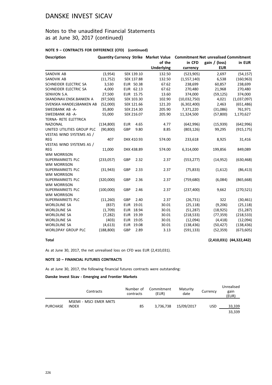## Notes to the unaudited Financial Statements as at June 30, 2017 (continued)

#### **NOTE 9 – CONTRACTS FOR DIFFERENCE (CFD) (continued)**

| <b>Description</b>         |            |            |            | <b>Quantity Currency Strike Market Value</b> | <b>Commitment Net unrealised Commitment</b> |               |             |
|----------------------------|------------|------------|------------|----------------------------------------------|---------------------------------------------|---------------|-------------|
|                            |            |            |            | of the                                       | in CFD                                      | gain / (loss) | in EUR      |
|                            |            |            |            | <b>Underlying</b>                            | currency                                    | <b>EUR</b>    |             |
| SANDVIK AB                 | (3,954)    |            | SEK 139.10 | 132.50                                       | (523, 905)                                  | 2,697         | (54, 157)   |
| SANDVIK AB                 | (11,752)   |            | SEK 137.88 | 132.50                                       | (1,557,140)                                 | 6,538         | (160, 963)  |
| SCHNEIDER ELECTRIC SA      | 3,530      |            | EUR 50.38  | 67.62                                        | 238,699                                     | 60,857        | 238,699     |
| SCHNEIDER ELECTRIC SA      | 4,000      |            | EUR 62.13  | 67.62                                        | 270,480                                     | 21,968        | 270,480     |
| SENVION S.A.               | 27,500     |            | EUR 15.75  | 13.60                                        | 374,000                                     | (59, 125)     | 374,000     |
| SKANDINAV.ENSK.BANKEN A    | (97, 500)  |            | SEK 103.30 | 102.90                                       | (10,032,750)                                | 4,021         | (1,037,097) |
| SVENSKA HANDELSBANKEN AB   | (52,000)   |            | SEK 121.66 | 121.20                                       | (6,302,400)                                 | 2,463         | (651, 486)  |
| SWEDBANK AB -A-            | 35,800     |            | SEK 214.30 | 205.90                                       | 7,371,220                                   | (31,086)      | 761,971     |
| SWEDBANK AB -A-            | 55,000     |            | SEK 216.07 | 205.90                                       | 11,324,500                                  | (57,800)      | 1,170,627   |
| TERNA- RETE ELETTRICA      |            |            |            |                                              |                                             |               |             |
| <b>NAZIONAL</b>            | (134,800)  | <b>EUR</b> | 4.65       | 4.77                                         | (642,996)                                   | (15, 939)     | (642, 996)  |
| UNITED UTILITIES GROUP PLC | (90, 800)  | GBP        | 9.80       | 8.85                                         | (803, 126)                                  | 99,295        | (915, 175)  |
| VESTAS WIND SYSTEMS AS /   |            |            |            |                                              |                                             |               |             |
| <b>REG</b>                 | 407        |            | DKK 410.93 | 574.00                                       | 233,618                                     | 8,925         | 31,416      |
| VESTAS WIND SYSTEMS AS /   |            |            |            |                                              |                                             |               |             |
| <b>REG</b>                 | 11,000     |            | DKK 438.89 | 574.00                                       | 6,314,000                                   | 199,856       | 849,089     |
| <b>WM MORRISON</b>         |            |            |            |                                              |                                             |               |             |
| SUPERMARKETS PLC           | (233,057)  | GBP        | 2.32       | 2.37                                         | (553, 277)                                  | (14, 952)     | (630, 468)  |
| <b>WM MORRISON</b>         |            |            |            |                                              |                                             |               |             |
| SUPERMARKETS PLC           | (31, 943)  | GBP        | 2.33       | 2.37                                         | (75, 833)                                   | (1,612)       | (86, 413)   |
| <b>WM MORRISON</b>         |            |            |            |                                              |                                             |               |             |
| SUPERMARKETS PLC           | (320,000)  | GBP        | 2.36       | 2.37                                         | (759, 680)                                  | (6,084)       | (865, 668)  |
| <b>WM MORRISON</b>         |            |            |            |                                              |                                             |               |             |
| SUPERMARKETS PLC           | (100,000)  | <b>GBP</b> | 2.46       | 2.37                                         | (237, 400)                                  | 9,662         | (270, 521)  |
| <b>WM MORRISON</b>         |            |            |            |                                              |                                             |               |             |
| SUPERMARKETS PLC           | (11,260)   | GBP        | 2.40       | 2.37                                         | (26, 731)                                   | 322           | (30, 461)   |
| <b>WORLDLINE SA</b>        | (837)      |            | EUR 19.01  | 30.01                                        | (25, 118)                                   | (9,206)       | (25, 118)   |
| <b>WORLDLINE SA</b>        | (1,709)    |            | EUR 18.94  | 30.01                                        | (51, 287)                                   | (18, 925)     | (51, 287)   |
| <b>WORLDLINE SA</b>        | (7, 282)   |            | EUR 19.39  | 30.01                                        | (218, 533)                                  | (77, 359)     | (218, 533)  |
| <b>WORLDLINE SA</b>        | (403)      |            | EUR 19.05  | 30.01                                        | (12,094)                                    | (4, 418)      | (12,094)    |
| <b>WORLDLINE SA</b>        | (4,613)    |            | EUR 19.08  | 30.01                                        | (138, 436)                                  | (50, 427)     | (138, 436)  |
| <b>WORLDPAY GROUP PLC</b>  | (188, 800) | GBP        | 2.89       | 3.13                                         | (591, 133)                                  | (52, 359)     | (673, 605)  |
|                            |            |            |            |                                              |                                             |               |             |

**Total (2,410,031) (44,322,442)**

As at June 30, 2017, the net unrealised loss on CFD was EUR (2,410,031).

#### **NOTE 10 – FINANCIAL FUTURES CONTRACTS**

As at June 30, 2017, the following financial futures contracts were outstanding:

#### **Danske Invest Sicav - Emerging and Frontier Markets**

|                 | Contracts                              | Number of<br>contracts | Commitment<br>(EUR) | Maturity<br>date | Currency | Unrealised<br>gain<br>(EUR) |
|-----------------|----------------------------------------|------------------------|---------------------|------------------|----------|-----------------------------|
| <b>PURCHASE</b> | MSEMI - MSCI EMER MKTS<br><b>INDEX</b> | 85                     | 3.736.738           | 15/09/2017       | USD      | 33.339<br>33,339            |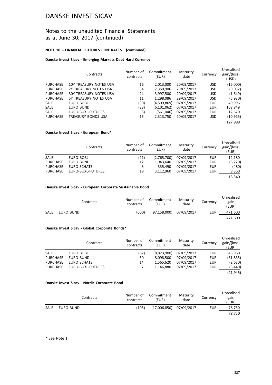## Notes to the unaudited Financial Statements as at June 30, 2017 (continued)

#### **NOTE 10 – FINANCIAL FUTURES CONTRACTS (continued)**

#### **Danske Invest Sicav - Emerging Markets Debt Hard Currency**

|                 | Contracts                     | Number of<br>contracts | Commitment<br>(EUR) | Maturity<br>date | Currency   | Unrealised<br>gain/(loss)<br>(USD) |
|-----------------|-------------------------------|------------------------|---------------------|------------------|------------|------------------------------------|
| <b>PURCHASE</b> | 10Y TREASURY NOTES USA        | 16                     | 2,013,000           | 20/09/2017       | <b>USD</b> | (16,000)                           |
| <b>PURCHASE</b> | 2Y TREASURY NOTES USA         | 34                     | 7,350,906           | 29/09/2017       | <b>USD</b> | (9,032)                            |
| <b>PURCHASE</b> | <b>30Y TREASURY NOTES USA</b> | 24                     | 3,997,500           | 20/09/2017       | <b>USD</b> | (1,649)                            |
| <b>PURCHASE</b> | 5Y TREASURY NOTES USA         | 11                     | 1,298,086           | 29/09/2017       | <b>USD</b> | (5,930)                            |
| <b>SALE</b>     | EURO BOBL                     | (30)                   | (4,509,869)         | 07/09/2017       | <b>EUR</b> | 49,996                             |
| <b>SALE</b>     | EURO BUND                     | (33)                   | (6, 101, 062)       | 07/09/2017       | <b>EUR</b> | 108,849                            |
| <b>SALE</b>     | EURO-BUXL-FUTURES             | (3)                    | (561,046)           | 07/09/2017       | <b>EUR</b> | 12,670                             |
| <b>PURCHASE</b> | TREASURY BONDS USA            | 15                     | 2,313,750           | 20/09/2017       | <b>USD</b> | (10, 915)                          |
|                 |                               |                        |                     |                  |            | 127.989                            |

#### **Danske Invest Sicav - European Bond\***

|                 | Contracts         | Number of<br>contracts | Commitment<br>(EUR) | Maturity<br>date | Currency   | Unrealised<br>gain/(loss)<br>(EUR) |
|-----------------|-------------------|------------------------|---------------------|------------------|------------|------------------------------------|
| <b>SALE</b>     | EURO BOBL         | (21)                   | (2,765,700)         | 07/09/2017       | <b>EUR</b> | 12,180                             |
| <b>PURCHASE</b> | EURO BUND         | 12                     | 1.943.640           | 07/09/2017       | <b>EUR</b> | (6, 720)                           |
| <b>PURCHASE</b> | EURO SCHATZ       | 3                      | 335.490             | 07/09/2017       | <b>EUR</b> | (480)                              |
| <b>PURCHASE</b> | EURO-BUXL-FUTURES | 19                     | 3.112.960           | 07/09/2017       | <b>EUR</b> | 8,360                              |
|                 |                   |                        |                     |                  |            | 13.340                             |

#### **Danske Invest Sicav - European Corporate Sustainable Bond**

|      | Contracts | Number of<br>contracts | Commitment<br>(EUR) | Maturity<br>date | Currency | Unrealised<br>gain<br>(EUR) |
|------|-----------|------------------------|---------------------|------------------|----------|-----------------------------|
| SALE | EURO BUND | (600)                  | (97, 158, 000)      | 07/09/2017       | EUR      | 471,600                     |
|      |           |                        |                     |                  |          | 471.600                     |

#### **Danske Invest Sicav - Global Corporate Bonds\***

|                 | Contracts         | Number of<br>contracts | Commitment<br>(EUR) | Maturity<br>date | Currency   | Unrealised<br>gain/(loss)<br>(EUR) |
|-----------------|-------------------|------------------------|---------------------|------------------|------------|------------------------------------|
| <b>SALE</b>     | EURO BOBL         | (67)                   | (8,823,900)         | 07/09/2017       | EUR        | 45.960                             |
| <b>PURCHASE</b> | EURO BUND         | 50                     | 8.098.500           | 07/09/2017       | <b>EUR</b> | (61, 835)                          |
| <b>PURCHASE</b> | EURO SCHATZ       | 14                     | 1.565.620           | 07/09/2017       | <b>EUR</b> | (2,630)                            |
| <b>PURCHASE</b> | EURO-BUXL-FUTURES |                        | 1.146.880           | 07/09/2017       | <b>EUR</b> | (3,440)                            |
|                 |                   |                        |                     |                  |            | (21, 945)                          |

#### **Danske Invest Sicav - Nordic Corporate Bond**

|      | Contracts | contracts | Number of Commitment<br>(EUR) | Maturity<br>date | Currency | Unrealised<br>gain<br>(EUR) |
|------|-----------|-----------|-------------------------------|------------------|----------|-----------------------------|
| SALE | EURO BUND | (105)     | (17,006,850)                  | 07/09/2017       | EUR      | 78.750                      |
|      |           |           |                               |                  |          | 78.750                      |

\* See Note 1.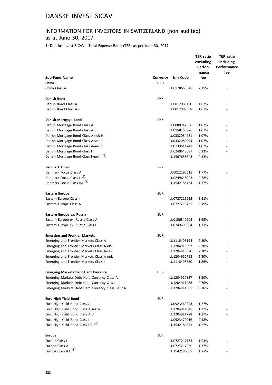# INFORMATION FOR INVESTORS IN SWITZERLAND (non audited)

## as at June 30, 2017

1) Danske Invest SICAV - Total Expense Ratio (TER) as per June 30, 2017

|                                                                  |                        |              | <b>TER ratio</b><br>excluding<br>Perfor- | <b>TER ratio</b><br>including<br>Performance |
|------------------------------------------------------------------|------------------------|--------------|------------------------------------------|----------------------------------------------|
|                                                                  |                        |              | mance                                    | fee                                          |
| <b>Sub-Fund Name</b><br>China                                    | Currency<br><b>USD</b> | Isin Code    | fee                                      |                                              |
| China Class A                                                    |                        | LU0178668348 | 2.15%                                    |                                              |
|                                                                  |                        |              |                                          |                                              |
| Danish Bond                                                      | <b>DKK</b>             |              |                                          |                                              |
| Danish Bond Class A                                              |                        | LU0012089180 | 1.07%                                    |                                              |
| Danish Bond Class A d                                            |                        | LU0012089008 | 1.07%                                    |                                              |
| Danish Mortgage Bond                                             | <b>DKK</b>             |              |                                          |                                              |
| Danish Mortgage Bond Class A                                     |                        | LU0080347536 | 1.07%                                    |                                              |
| Danish Mortgage Bond Class A d                                   |                        | LU0158165976 | 1.07%                                    |                                              |
| Danish Mortgage Bond Class A-nok h                               |                        | LU0332084721 | 1.07%                                    |                                              |
| Danish Mortgage Bond Class A-sek h                               |                        | LU0332084994 | 1.07%                                    |                                              |
| Danish Mortgage Bond Class A-eur h                               |                        | LU0739644747 | 1.07%                                    |                                              |
| Danish Mortgage Bond Class I                                     |                        | LU0249648097 | 0.33%                                    |                                              |
| Danish Mortgage Bond Class I-eur h $\overline{O}$                |                        | LU1567658643 | 0.33%                                    |                                              |
| <b>Denmark Focus</b>                                             | <b>DKK</b>             |              |                                          |                                              |
| Denmark Focus Class A                                            |                        | LU0012195615 | 1.77%                                    |                                              |
| Denmark Focus Class I 3                                          |                        | LU0249648923 | 0.78%                                    |                                              |
| Denmark Focus Class RA <sup>1</sup>                              |                        | LU1542185134 | 1.77%                                    |                                              |
| <b>Eastern Europe</b>                                            | <b>EUR</b>             |              |                                          |                                              |
| Eastern Europe Class I                                           |                        | LU0727216912 | 1.21%                                    |                                              |
| Eastern Europe Class A                                           |                        | LU0727216755 | 2.15%                                    |                                              |
| Eastern Europe ex. Russia                                        | <b>EUR</b>             |              |                                          |                                              |
| Eastern Europe ex. Russia Class A                                |                        | LU0156840208 | 1.95%                                    |                                              |
| Eastern Europe ex. Russia Class I                                |                        | LU0249695924 | 1.11%                                    |                                              |
|                                                                  |                        |              |                                          |                                              |
| <b>Emerging and Frontier Markets</b>                             | <b>EUR</b>             |              |                                          |                                              |
| Emerging and Frontier Markets Class A                            |                        | LU1116403194 | 2.30%                                    |                                              |
| Emerging and Frontier Markets Class A-dkk                        |                        | LU1204910597 | 2.30%                                    |                                              |
| Emerging and Frontier Markets Class A-sek                        |                        | LU1204910670 | 2.30%                                    |                                              |
| Emerging and Frontier Markets Class A-nok                        |                        | LU1204910753 | 2.30%                                    |                                              |
| <b>Emerging and Frontier Markets Class I</b>                     |                        | LU1116403350 | 1.86%                                    |                                              |
| <b>Emerging Markets Debt Hard Currency</b>                       | <b>USD</b>             |              |                                          |                                              |
| Emerging Markets Debt Hard Currency Class A                      |                        | LU1204910837 | 1.50%                                    |                                              |
| Emerging Markets Debt Hard Currency Class I                      |                        | LU1204911488 | 0.76%                                    |                                              |
| Emerging Markets Debt Hard Currency Class I-eur h                |                        | LU1204911561 | 0.76%                                    |                                              |
| Euro High Yield Bond                                             | <b>EUR</b>             |              |                                          |                                              |
| Euro High Yield Bond Class A                                     |                        | LU0923469943 | 1.27%                                    |                                              |
| Euro High Yield Bond Class A-sek h                               |                        | LU1204911645 | 1.27%                                    |                                              |
| Euro High Yield Bond Class A d                                   |                        | LU1204911728 | 1.27%                                    |                                              |
| Euro High Yield Bond Class I                                     |                        | LU0923470016 | 0.58%                                    |                                              |
| Euro High Yield Bond Class RA $^{\textcircled{\tiny{\text{1}}}}$ |                        | LU1542186371 | 1.27%                                    |                                              |
| <b>Europe</b>                                                    | <b>EUR</b>             |              |                                          |                                              |
| Europe Class I                                                   |                        | LU0727217134 | 1.03%                                    |                                              |
| Europe Class A                                                   |                        | LU0727217050 | 1.77%                                    |                                              |
| Europe Class RA <sup>1</sup>                                     |                        | LU1542186538 | 1.77%                                    |                                              |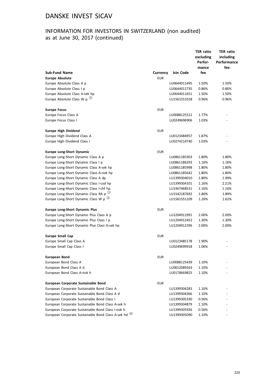## INFORMATION FOR INVESTORS IN SWITZERLAND (non audited) as at June 30, 2017 (continued)

|                                                                 |            |              | <b>TER ratio</b><br>excluding<br>Perfor- | <b>TER ratio</b><br>including<br>Performance |
|-----------------------------------------------------------------|------------|--------------|------------------------------------------|----------------------------------------------|
|                                                                 |            |              | mance                                    | fee                                          |
| <b>Sub-Fund Name</b>                                            | Currency   | Isin Code    | fee                                      |                                              |
| <b>Europe Absolute</b>                                          | <b>EUR</b> |              |                                          |                                              |
| Europe Absolute Class A p                                       |            | LU0644011495 | 1.50%                                    | 1.50%                                        |
| Europe Absolute Class I p                                       |            | LU0644011735 | 0.86%                                    | 0.86%                                        |
| Europe Absolute Class A-sek hp                                  |            | LU0644011651 | 1.50%                                    | 1.50%                                        |
| Europe Absolute Class W p $(2)$                                 |            | LU1561551018 | 0.96%                                    | 0.96%                                        |
| <b>Europe Focus</b>                                             | <b>EUR</b> |              |                                          |                                              |
| Europe Focus Class A                                            |            | LU0088125512 | 1.77%                                    |                                              |
| Europe Focus Class I                                            |            | LU0249696906 | 1.03%                                    |                                              |
| <b>Europe High Dividend</b>                                     | <b>EUR</b> |              |                                          |                                              |
| Europe High Dividend Class A                                    |            | LU0123484957 | 1.87%                                    |                                              |
| Europe High Dividend Class I                                    |            | LU0274214740 | 1.03%                                    |                                              |
| <b>Europe Long-Short Dynamic</b>                                | <b>EUR</b> |              |                                          |                                              |
| Europe Long-Short Dynamic Class A p                             |            | LU0861185303 | 1.80%                                    | 1.80%                                        |
| Europe Long-Short Dynamic Class I p                             |            | LU0861186293 | 1.16%                                    | 1.16%                                        |
| Europe Long-Short Dynamic Class A-sek hp                        |            | LU0861185998 | 1.80%                                    | 1.80%                                        |
| Europe Long-Short Dynamic Class A-nok hp                        |            | LU0861185642 | 1.80%                                    | 1.80%                                        |
| Europe Long-Short Dynamic Class A dp                            |            | LU1399304010 | 1.80%                                    | 1.99%                                        |
| Europe Long-Short Dynamic Class I-usd hp                        |            | LU1399304101 | 1.16%                                    | 2.21%                                        |
| Europe Long-Short Dynamic Class I-chf hp                        |            | LU1467468531 | 1.16%                                    | 1.16%                                        |
| Europe Long-Short Dynamic Class RA p $^{(1)}$                   |            | LU1542187692 | 1.80%                                    | 1.89%                                        |
| Europe Long-Short Dynamic Class W p $(2)$                       |            | LU1561551109 | 1.26%                                    | 1.62%                                        |
| <b>Europe Long-Short Dynamic Plus</b>                           | <b>EUR</b> |              |                                          |                                              |
| Europe Long-Short Dynamic Plus Class A p                        |            | LU1204911991 | 2.00%                                    | 2.00%                                        |
| Europe Long-Short Dynamic Plus Class I p                        |            | LU1204912452 | 1.30%                                    | 1.30%                                        |
| Europe Long-Short Dynamic Plus Class A-sek hp                   |            | LU1204912296 | 2.00%                                    | 2.00%                                        |
| <b>Europe Small Cap</b>                                         | <b>EUR</b> |              |                                          |                                              |
| Europe Small Cap Class A                                        |            | LU0123485178 | 1.90%                                    |                                              |
| Europe Small Cap Class I                                        |            | LU0249699918 | 1.06%                                    |                                              |
| <b>European Bond</b>                                            | EUR        |              |                                          |                                              |
| European Bond Class A                                           |            | LU0088125439 | 1.10%                                    |                                              |
| European Bond Class A d                                         |            | LU0012089263 | 1.10%                                    |                                              |
| European Bond Class A-nok h                                     |            | LU0178669825 | 1.10%                                    |                                              |
| European Corporate Sustainable Bond                             | <b>EUR</b> |              |                                          |                                              |
| European Corporate Sustainable Bond Class A                     |            | LU1399304283 | 1.10%                                    |                                              |
| European Corporate Sustainable Bond Class A d                   |            | LU1399304366 | 1.10%                                    |                                              |
| European Corporate Sustainable Bond Class I                     |            | LU1399305330 | 0.56%                                    |                                              |
| European Corporate Sustainable Bond Class A-sek h               |            | LU1399304879 | 1.10%                                    |                                              |
| European Corporate Sustainable Bond Class I-nok h               |            | LU1399305926 | 0.56%                                    |                                              |
| European Corporate Sustainable Bond Class A-sek hd <sup>6</sup> |            | LU1399305090 | 1.10%                                    |                                              |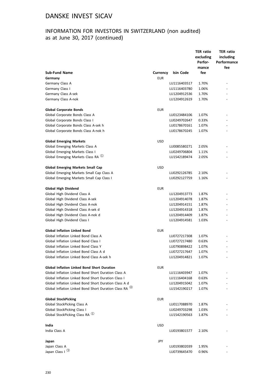## INFORMATION FOR INVESTORS IN SWITZERLAND (non audited) as at June 30, 2017 (continued)

|                                                                                                           |            |                              | <b>TER ratio</b> | <b>TER ratio</b>         |
|-----------------------------------------------------------------------------------------------------------|------------|------------------------------|------------------|--------------------------|
|                                                                                                           |            |                              | excluding        | including                |
|                                                                                                           |            |                              | Perfor-          | Performance              |
| <b>Sub-Fund Name</b>                                                                                      | Currency   | Isin Code                    | mance<br>fee     | fee                      |
| Germany                                                                                                   | <b>EUR</b> |                              |                  |                          |
| Germany Class A                                                                                           |            | LU1116403517                 | 1.70%            |                          |
| Germany Class I                                                                                           |            | LU1116403780                 | 1.06%            |                          |
| Germany Class A-sek                                                                                       |            | LU1204912536                 | 1.70%            |                          |
| Germany Class A-nok                                                                                       |            | LU1204912619                 | 1.70%            |                          |
| <b>Global Corporate Bonds</b>                                                                             | <b>EUR</b> |                              |                  |                          |
| Global Corporate Bonds Class A                                                                            |            | LU0123484106                 | 1.07%            |                          |
| Global Corporate Bonds Class I                                                                            |            | LU0249702647                 | 0.33%            |                          |
| Global Corporate Bonds Class A-sek h                                                                      |            | LU0178670161                 | 1.07%            |                          |
| Global Corporate Bonds Class A-nok h                                                                      |            | LU0178670245                 | 1.07%            | $\overline{\phantom{m}}$ |
| <b>Global Emerging Markets</b>                                                                            | <b>USD</b> |                              |                  |                          |
| Global Emerging Markets Class A                                                                           |            | LU0085580271                 | 2.05%            |                          |
| Global Emerging Markets Class I                                                                           |            | LU0249706804                 | 1.11%            |                          |
| Global Emerging Markets Class RA (1)                                                                      |            | LU1542189474                 | 2.05%            |                          |
| <b>Global Emerging Markets Small Cap</b>                                                                  | <b>USD</b> |                              |                  |                          |
| Global Emerging Markets Small Cap Class A                                                                 |            | LU0292126785                 | 2.10%            |                          |
| Global Emerging Markets Small Cap Class I                                                                 |            | LU0292127759                 | 1.16%            |                          |
| Global High Dividend                                                                                      | <b>EUR</b> |                              |                  |                          |
| Global High Dividend Class A                                                                              |            | LU1204913773                 | 1.87%            | $\overline{\phantom{a}}$ |
| Global High Dividend Class A-sek                                                                          |            | LU1204914078                 | 1.87%            |                          |
| Global High Dividend Class A-nok                                                                          |            | LU1204914151                 | 1.87%            |                          |
| Global High Dividend Class A-sek d                                                                        |            | LU1204914318                 | 1.87%            |                          |
| Global High Dividend Class A-nok d                                                                        |            | LU1204914409                 | 1.87%            |                          |
| Global High Dividend Class I                                                                              |            | LU1204914581                 | 1.03%            |                          |
| <b>Global Inflation Linked Bond</b>                                                                       | EUR        |                              |                  |                          |
| Global Inflation Linked Bond Class A                                                                      |            | LU0727217308                 | 1.07%            |                          |
| Global Inflation Linked Bond Class I                                                                      |            | LU0727217480                 | 0.63%            |                          |
| Global Inflation Linked Bond Class Y                                                                      |            | LU0790898422                 | 1.07%            |                          |
| Global Inflation Linked Bond Class A d                                                                    |            | LU0727217647                 | 1.07%            | ٠                        |
| Global Inflation Linked Bond Class A-sek h                                                                |            | LU1204914821                 | 1.07%            |                          |
| <b>Global Inflation Linked Bond Short Duration</b><br>Global Inflation Linked Bond Short Duration Class A | <b>EUR</b> |                              |                  |                          |
| Global Inflation Linked Bond Short Duration Class I                                                       |            | LU1116403947                 | 1.07%            |                          |
| Global Inflation Linked Bond Short Duration Class A d                                                     |            | LU1116404168<br>LU1204915042 | 0.63%<br>1.07%   |                          |
| Global Inflation Linked Bond Short Duration Class RA (4)                                                  |            | LU1542190217                 | 1.07%            |                          |
| <b>Global StockPicking</b>                                                                                | <b>EUR</b> |                              |                  |                          |
| Global StockPicking Class A                                                                               |            | LU0117088970                 | 1.87%            |                          |
| Global StockPicking Class I                                                                               |            | LU0249703298                 | 1.03%            |                          |
| Global StockPicking Class RA <sup>1</sup>                                                                 |            | LU1542190563                 | 1.87%            |                          |
| India                                                                                                     | <b>USD</b> |                              |                  |                          |
| India Class A                                                                                             |            | LU0193801577                 | 2.10%            |                          |
| Japan                                                                                                     | JPY        |                              |                  |                          |
| Japan Class A                                                                                             |            | LU0193802039                 | 1.95%            |                          |
| Japan Class I 3                                                                                           |            | LU0739645470                 | 0.96%            |                          |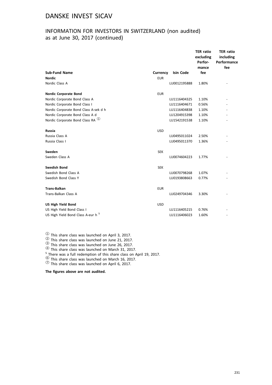## INFORMATION FOR INVESTORS IN SWITZERLAND (non audited) as at June 30, 2017 (continued)

|                                               |            |              | <b>TER ratio</b><br>excluding<br>Perfor-<br>mance | <b>TER ratio</b><br>including<br>Performance<br>fee |
|-----------------------------------------------|------------|--------------|---------------------------------------------------|-----------------------------------------------------|
| <b>Sub-Fund Name</b>                          | Currency   | Isin Code    | fee                                               |                                                     |
| <b>Nordic</b>                                 | <b>EUR</b> |              |                                                   |                                                     |
| Nordic Class A                                |            | LU0012195888 | 1.80%                                             |                                                     |
| <b>Nordic Corporate Bond</b>                  | <b>EUR</b> |              |                                                   |                                                     |
| Nordic Corporate Bond Class A                 |            | LU1116404325 | 1.10%                                             |                                                     |
| Nordic Corporate Bond Class I                 |            | LU1116404671 | 0.56%                                             |                                                     |
| Nordic Corporate Bond Class A-sek d h         |            | LU1116404838 | 1.10%                                             |                                                     |
| Nordic Corporate Bond Class A d               |            | LU1204915398 | 1.10%                                             |                                                     |
| Nordic Corporate Bond Class RA <sup>1</sup>   |            | LU1542191538 | 1.10%                                             |                                                     |
| Russia                                        | <b>USD</b> |              |                                                   |                                                     |
| Russia Class A                                |            | LU0495011024 | 2.50%                                             |                                                     |
| Russia Class I                                |            | LU0495011370 | 1.36%                                             |                                                     |
| Sweden                                        | <b>SEK</b> |              |                                                   |                                                     |
| Sweden Class A                                |            | LU0074604223 | 1.77%                                             |                                                     |
| <b>Swedish Bond</b>                           | <b>SEK</b> |              |                                                   |                                                     |
| Swedish Bond Class A                          |            | LU0070798268 | 1.07%                                             |                                                     |
| Swedish Bond Class Y                          |            | LU0193808663 | 0.77%                                             |                                                     |
| <b>Trans-Balkan</b>                           | <b>EUR</b> |              |                                                   |                                                     |
| Trans-Balkan Class A                          |            | LU0249704346 | 3.30%                                             |                                                     |
| <b>US High Yield Bond</b>                     | <b>USD</b> |              |                                                   |                                                     |
| US High Yield Bond Class I                    |            | LU1116405215 | 0.76%                                             |                                                     |
| US High Yield Bond Class A-eur h <sup>5</sup> |            | LU1116406023 | 1.60%                                             |                                                     |

 $\frac{1}{2}$  This share class was launched on April 3, 2017.<br>  $\frac{1}{2}$  This share class was launched on June 21, 2017.<br>  $\frac{1}{3}$  This share class was launched on June 26, 2017.<br>  $\frac{1}{3}$  This share class was launched on M

 $^\circledR$  This share class was launched on March 16, 2017.<br> $^\circledR$  This share class was launched on April 6, 2017.

**The figures above are not audited.**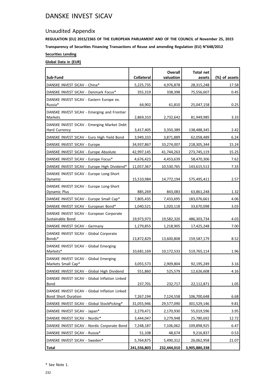## Unaudited Appendix

**REGULATION (EU) 2015/2365 OF THE EUROPEAN PARLIAMENT AND OF THE COUNCIL of November 25, 2015 Transparency of Securities Financing Transactions of Reuse and amending Regulation (EU) N°648/2012 Securities Lending**

## **Global Data in (EUR)**

|                                                                |                   | Overall     | <b>Total net</b> |               |
|----------------------------------------------------------------|-------------------|-------------|------------------|---------------|
| Sub-Fund                                                       | <b>Collateral</b> | valuation   | assets           | (%) of assets |
| DANSKE INVEST SICAV - China*                                   | 5,225,735         | 4,976,878   | 28,315,248       | 17.58         |
| DANSKE INVEST SICAV - Denmark Focus*                           | 355,319           | 338,398     | 75,556,607       | 0.45          |
| DANSKE INVEST SICAV - Eastern Europe ex.                       |                   |             |                  |               |
| Russia*                                                        | 64,902            | 61,810      | 25,047,158       | 0.25          |
| DANSKE INVEST SICAV - Emerging and Frontier<br>Markets         | 2,869,310         | 2,732,642   | 81,949,985       | 3.33          |
| DANSKE INVEST SICAV - Emerging Market Debt                     |                   |             |                  |               |
| Hard Currency                                                  | 3,417,405         | 3,350,389   | 138,488,345      | 2.42          |
| DANSKE INVEST SICAV - Euro High Yield Bond                     | 3,949,333         | 3,871,889   | 62,058,489       | 6.24          |
| DANSKE INVEST SICAV - Europe                                   | 34,937,867        | 33,274,007  | 218,305,344      | 15.24         |
| DANSKE INVEST SICAV - Europe Absolute                          | 42,997,145        | 41,744,263  | 273,745,119      | 15.25         |
| DANSKE INVEST SICAV - Europe Focus*                            | 4,676,423         | 4,453,639   | 58,470,306       | 7.62          |
| DANSKE INVEST SICAV - Europe High Dividend*                    | 11,057,367        | 10,530,765  | 143,615,513      | 7.33          |
| DANSKE INVEST SICAV - Europe Long-Short                        |                   |             |                  |               |
| Dynamic                                                        | 15,510,984        | 14,772,194  | 575,495,411      | 2.57          |
| DANSKE INVEST SICAV - Europe Long-Short<br><b>Dynamic Plus</b> |                   |             |                  |               |
|                                                                | 885,269           | 843,083     | 63,861,248       | 1.32          |
| DANSKE INVEST SICAV - Europe Small Cap*                        | 7,805,435         | 7,433,695   | 183,076,661      | 4.06          |
| DANSKE INVEST SICAV - European Bond*                           | 1,040,521         | 1,020,118   | 33,670,098       | 3.03          |
| DANSKE INVEST SICAV - European Corporate<br>Sustainable Bond   | 19,973,973        | 19,582,320  | 486,303,734      | 4.03          |
| DANSKE INVEST SICAV - Germany                                  | 1,279,855         | 1,218,905   | 17,425,248       | 7.00          |
| DANSKE INVEST SICAV - Global Corporate<br>Bonds*               | 13,872,829        | 13,600,808  | 159,587,179      | 8.52          |
| DANSKE INVEST SICAV - Global Emerging                          |                   |             |                  |               |
| Markets*                                                       | 10,681,169        | 10,172,533  | 519,765,114      | 1.96          |
| DANSKE INVEST SICAV - Global Emerging                          |                   |             |                  |               |
| Markets Small Cap*                                             | 3,055,573         | 2,909,804   | 92,195,249       | 3.16          |
| DANSKE INVEST SICAV - Global High Dividend                     | 551,860           | 525,579     | 12,626,608       | 4.16          |
| DANSKE INVEST SICAV - Global Inflation Linked<br>Bond          | 237,701           | 232,717     | 22,112,871       | 1.05          |
| DANSKE INVEST SICAV - Global Inflation Linked                  |                   |             |                  |               |
| Bond Short Duration                                            | 7,267,194         | 7,124,558   | 106,700,648      | 6.68          |
| DANSKE INVEST SICAV - Global StockPicking*                     | 31,055,946        | 29,577,090  | 301,529,146      | 9.81          |
| DANSKE INVEST SICAV - Japan*                                   | 2,279,471         | 2,170,930   | 55,019,596       | 3.95          |
| DANSKE INVEST SICAV - Nordic*                                  | 3,444,047         | 3,279,948   | 25,780,692       | 12.72         |
| DANSKE INVEST SICAV - Nordic Corporate Bond                    | 7,248,187         | 7,106,062   | 109,898,925      | 6.47          |
| DANSKE INVEST SICAV - Russia*                                  | 51,108            | 48,674      | 9,216,837        | 0.53          |
| DANSKE INVEST SICAV - Sweden*                                  | 5,764,875         | 5,490,312   | 26,062,958       | 21.07         |
| <b>Total</b>                                                   | 241,556,803       | 232,444,010 | 3,905,880,338    |               |

\* See Note 1.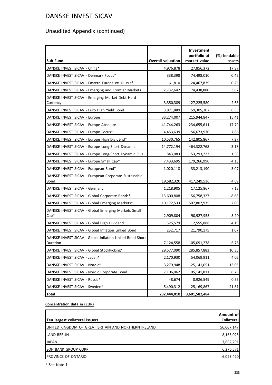# Unaudited Appendix (continued)

| Sub-Fund                                                             | <b>Overall valuation</b> | Investment<br>portfolio at<br>market value | (%) lendable<br>assets |
|----------------------------------------------------------------------|--------------------------|--------------------------------------------|------------------------|
| DANSKE INVEST SICAV - China*                                         | 4,976,878                | 27,856,372                                 | 17.87                  |
| DANSKE INVEST SICAV - Denmark Focus*                                 | 338,398                  | 74,498,010                                 | 0.45                   |
| DANSKE INVEST SICAV - Eastern Europe ex. Russia*                     | 61,810                   | 24,467,839                                 | 0.25                   |
| DANSKE INVEST SICAV - Emerging and Frontier Markets                  | 2,732,642                | 74,438,880                                 | 3.67                   |
| DANSKE INVEST SICAV - Emerging Market Debt Hard<br>Currency          | 3,350,389                | 127,225,580                                | 2.63                   |
| DANSKE INVEST SICAV - Euro High Yield Bond                           | 3,871,889                | 59,305,307                                 | 6.53                   |
| DANSKE INVEST SICAV - Europe                                         | 33,274,007               | 215,944,847                                | 15.41                  |
| DANSKE INVEST SICAV - Europe Absolute                                | 41,744,263               | 234,655,611                                | 17.79                  |
| DANSKE INVEST SICAV - Europe Focus*                                  | 4,453,639                | 56,673,970                                 | 7.86                   |
| DANSKE INVEST SICAV - Europe High Dividend*                          | 10,530,765               | 142,805,867                                | 7.37                   |
| DANSKE INVEST SICAV - Europe Long-Short Dynamic                      | 14,772,194               | 464,322,768                                | 3.18                   |
| DANSKE INVEST SICAV - Europe Long-Short Dynamic Plus                 | 843,083                  | 53,293,223                                 | 1.58                   |
| DANSKE INVEST SICAV - Europe Small Cap*                              | 7,433,695                | 179,266,990                                | 4.15                   |
| DANSKE INVEST SICAV - European Bond*                                 | 1,020,118                | 33,213,190                                 | 3.07                   |
| DANSKE INVEST SICAV - European Corporate Sustainable<br>Bond         | 19,582,320               | 417,249,536                                | 4.69                   |
| DANSKE INVEST SICAV - Germany                                        | 1,218,905                | 17,125,867                                 | 7.12                   |
| DANSKE INVEST SICAV - Global Corporate Bonds*                        | 13,600,808               | 156,758,327                                | 8.68                   |
| DANSKE INVEST SICAV - Global Emerging Markets*                       | 10,172,533               | 507,807,935                                | 2.00                   |
| DANSKE INVEST SICAV - Global Emerging Markets Small<br>$Cap^*$       | 2,909,804                | 90,927,953                                 | 3.20                   |
| DANSKE INVEST SICAV - Global High Dividend                           | 525,579                  | 12,555,888                                 | 4.19                   |
| DANSKE INVEST SICAV - Global Inflation Linked Bond                   | 232,717                  | 21,790,175                                 | 1.07                   |
| DANSKE INVEST SICAV - Global Inflation Linked Bond Short<br>Duration | 7,124,558                | 105,091,278                                | 6.78                   |
| DANSKE INVEST SICAV - Global StockPicking*                           | 29,577,090               | 285,857,883                                | 10.35                  |
| DANSKE INVEST SICAV - Japan*                                         | 2,170,930                | 54,069,911                                 | 4.02                   |
| DANSKE INVEST SICAV - Nordic*                                        | 3,279,948                | 25,141,051                                 | 13.05                  |
| DANSKE INVEST SICAV - Nordic Corporate Bond                          | 7,106,062                | 105,141,811                                | 6.76                   |
| DANSKE INVEST SICAV - Russia*                                        | 48,674                   | 8,926,549                                  | 0.55                   |
| DANSKE INVEST SICAV - Sweden*                                        | 5,490,312                | 25,169,867                                 | 21.81                  |
| <b>Total</b>                                                         | 232,444,010              | 3,601,582,484                              |                        |

#### **Concentration data in (EUR)**

| Ten largest collateral issuers                       | Amount of<br>Collateral |
|------------------------------------------------------|-------------------------|
| UNITED KINGDOM OF GREAT BRITAIN AND NORTHERN IRELAND | 56,667,147              |
| LAND BERLIN                                          | 8,183,025               |
| <b>JAPAN</b>                                         | 7,682,291               |
| ISOFTBANK GROUP CORP                                 | 6,276,571               |
| PROVINCE OF ONTARIO                                  | 6,023,420               |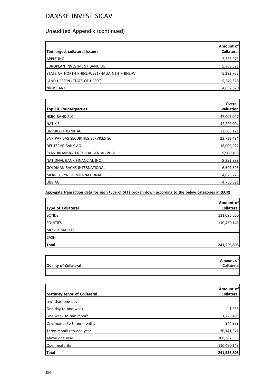# Unaudited Appendix (continued)

| Ten largest collateral issuers               | Amount of<br><b>Collateral</b> |
|----------------------------------------------|--------------------------------|
| IAPPLE INC                                   | 5,383,971                      |
| Ieuropean investment bank eib                | 5,369,521                      |
| ISTATE OF NORTH RHINE-WESTPHALIA NTH RHINE-W | 5,282,765                      |
| LAND HESSEN (STATE OF HESSE)                 | 5,249,326                      |
| <b>INRW BANK</b>                             | 4,682,670                      |

| <b>Top 10 Counterparties</b>              | Overall<br>valuation |
|-------------------------------------------|----------------------|
| IHSBC BANK PLC                            | 47,006,047           |
| <b>I</b> NATIXIS                          | 42,220,004           |
| LUNICREDIT BANK AG                        | 32,503,121           |
| <b>BNP PARIBAS SECURITIES SERVICES SC</b> | 23,733,494           |
| I DEUTSCHE BANK AG                        | 16,009,922           |
| Iskandinaviska enskilda bkn ab publ       | 9,900,100            |
| NATIONAL BANK FINANCIAL INC.              | 9,282,889            |
| <b>GOLDMAN SACHS INTERNATIONAL</b>        | 6,547,526            |
| IMERRILL LYNCH INTERNATIONAL              | 4,823,276            |
| <b>UBS AG</b>                             | 4,763,621            |

**Aggregate transaction data for each type of SFTs broken down according to the below categories in (EUR)**

| Type of Collateral  | Amount of<br>Collateral |
|---------------------|-------------------------|
| <b>BONDS</b>        | 131,096,660             |
| <b>EQUITIES</b>     | 110,460,143             |
| <b>MONEY MARKET</b> |                         |
| <b>CASH</b>         |                         |
| <b>Total</b>        | 241,556,803             |

|                              | Amount of         |
|------------------------------|-------------------|
| <b>Quality of Collateral</b> | <b>Collateral</b> |
|                              |                   |
|                              |                   |

| Maturity tenor of Collateral | Amount of<br>Collateral |
|------------------------------|-------------------------|
| Less than one day            |                         |
| One day to one week          | 1,356                   |
| One week to one month        | 1,726,409               |
| One month to three months    | 844,989                 |
| Three months to one year     | 20,141,571              |
| Above one year               | 108,382,335             |
| Open maturity                | 110,460,143             |
| Total                        | 241,556,803             |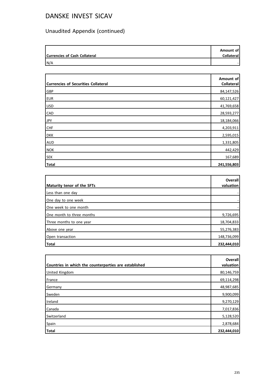# Unaudited Appendix (continued)

| <b>Currencies of Cash Collateral</b> | Amount of<br>Collateral |
|--------------------------------------|-------------------------|
| N/A                                  |                         |

| <b>Currencies of Securities Collateral</b> | Amount of<br>Collateral |
|--------------------------------------------|-------------------------|
| <b>GBP</b>                                 | 84,147,526              |
| EUR <sup></sup>                            | 60,121,427              |
| <b>USD</b>                                 | 41,769,658              |
| <b>CAD</b>                                 | 28,593,277              |
| JPY                                        | 18,184,066              |
| <b>CHF</b>                                 | 4,203,911               |
| <b>DKK</b>                                 | 2,595,015               |
| <b>AUD</b>                                 | 1,331,805               |
| NOK                                        | 442,429                 |
| SEK                                        | 167,689                 |
| Total                                      | 241,556,803             |

|                            | Overall<br>valuation |
|----------------------------|----------------------|
| Maturity tenor of the SFTs |                      |
| Less than one day          |                      |
| One day to one week        |                      |
| One week to one month      |                      |
| One month to three months  | 9,726,695            |
| Three months to one year   | 18,704,833           |
| Above one year             | 55,276,383           |
| Open transaction           | 148,736,099          |
| Total                      | 232,444,010          |

| Countries in which the counterparties are established | Overall<br>valuation |
|-------------------------------------------------------|----------------------|
| <b>United Kingdom</b>                                 | 80,146,759           |
| France                                                | 69,114,298           |
| Germany                                               | 48,987,685           |
| Sweden                                                | 9,900,099            |
| Ireland                                               | 9,270,129            |
| Canada                                                | 7,017,836            |
| Switzerland                                           | 5,128,520            |
| Spain                                                 | 2,878,684            |
| Total                                                 | 232,444,010          |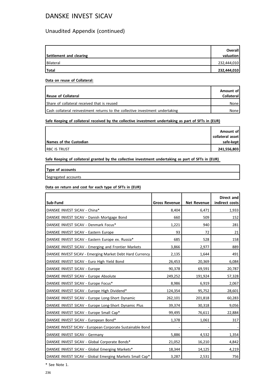## Unaudited Appendix (continued)

| Settlement and clearing | Overall<br>valuation |
|-------------------------|----------------------|
| Bilateral               | 232,444,010          |
| Total                   | 232,444,010          |

#### **Data on reuse of Collateral:**

| Reuse of Collateral                                                           | Amount of<br>Collateral |
|-------------------------------------------------------------------------------|-------------------------|
| Share of collateral received that is reused                                   | None                    |
| Cash collateral reinvestment returns to the collective investment undertaking | None l                  |

#### **Safe Keeping of collateral received by the collective investment undertaking as part of SFTs in (EUR)**

|                        | Amount of        |
|------------------------|------------------|
|                        | collateral asset |
| Names of the Custodian | safe-kept        |
| <b>RBC IS TRUST</b>    | 241,556,803      |

**Safe Keeping of collateral granted by the collective investment undertaking as part of SFTs in (EUR)**

**Type of accounts**

Segregated accounts

#### **Data on return and cost for each type of SFTs in (EUR)**

| Sub-Fund                                                  | <b>Gross Revenue</b> | <b>Net Revenue</b> | Direct and<br>indirect costs |
|-----------------------------------------------------------|----------------------|--------------------|------------------------------|
| DANSKE INVEST SICAV - China*                              | 8,404                | 6,471              | 1,933                        |
| DANSKE INVEST SICAV - Danish Mortgage Bond                | 660                  | 509                | 152                          |
| DANSKE INVEST SICAV - Denmark Focus*                      | 1,221                | 940                | 281                          |
| DANSKE INVEST SICAV - Eastern Europe                      | 93                   | 72                 | 21                           |
| DANSKE INVEST SICAV - Eastern Europe ex. Russia*          | 685                  | 528                | 158                          |
| DANSKE INVEST SICAV - Emerging and Frontier Markets       | 3,866                | 2,977              | 889                          |
| DANSKE INVEST SICAV - Emerging Market Debt Hard Currency  | 2,135                | 1,644              | 491                          |
| DANSKE INVEST SICAV - Euro High Yield Bond                | 26,453               | 20,369             | 6,084                        |
| DANSKE INVEST SICAV - Europe                              | 90,378               | 69,591             | 20,787                       |
| DANSKE INVEST SICAV - Europe Absolute                     | 249,252              | 191,924            | 57,328                       |
| DANSKE INVEST SICAV - Europe Focus*                       | 8,986                | 6,919              | 2,067                        |
| DANSKE INVEST SICAV - Europe High Dividend*               | 124,354              | 95,752             | 28,601                       |
| DANSKE INVEST SICAV - Europe Long-Short Dynamic           | 262,101              | 201,818            | 60,283                       |
| DANSKE INVEST SICAV - Europe Long-Short Dynamic Plus      | 39,374               | 30,318             | 9,056                        |
| DANSKE INVEST SICAV - Europe Small Cap*                   | 99,495               | 76,611             | 22,884                       |
| DANSKE INVEST SICAV - European Bond*                      | 1,378                | 1,061              | 317                          |
| DANSKE INVEST SICAV - European Corporate Sustainable Bond |                      |                    |                              |
| DANSKE INVEST SICAV - Germany                             | 5,886                | 4,532              | 1,354                        |
| DANSKE INVEST SICAV - Global Corporate Bonds*             | 21,052               | 16,210             | 4,842                        |
| DANSKE INVEST SICAV - Global Emerging Markets*            | 18,344               | 14,125             | 4,219                        |
| DANSKE INVEST SICAV - Global Emerging Markets Small Cap*  | 3,287                | 2,531              | 756                          |

\* See Note 1.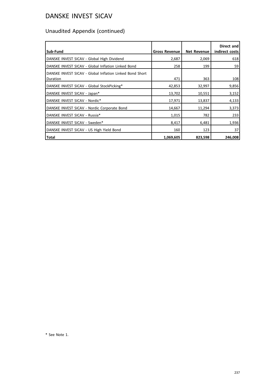# Unaudited Appendix (continued)

| Sub-Fund                                                 | <b>Gross Revenue</b> | <b>Net Revenue</b> | Direct and<br>indirect costs |
|----------------------------------------------------------|----------------------|--------------------|------------------------------|
| DANSKE INVEST SICAV - Global High Dividend               | 2,687                | 2,069              | 618                          |
| DANSKE INVEST SICAV - Global Inflation Linked Bond       | 258                  | 199                | 59                           |
| DANSKE INVEST SICAV - Global Inflation Linked Bond Short |                      |                    |                              |
| Duration                                                 | 471                  | 363                | 108                          |
| DANSKE INVEST SICAV - Global StockPicking*               | 42,853               | 32,997             | 9,856                        |
| DANSKE INVEST SICAV - Japan*                             | 13,702               | 10,551             | 3,152                        |
| DANSKE INVEST SICAV - Nordic*                            | 17,971               | 13,837             | 4,133                        |
| DANSKE INVEST SICAV - Nordic Corporate Bond              | 14,667               | 11,294             | 3,373                        |
| DANSKE INVEST SICAV - Russia*                            | 1,015                | 782                | 233                          |
| DANSKE INVEST SICAV - Sweden*                            | 8,417                | 6,481              | 1,936                        |
| DANSKE INVEST SICAV - US High Yield Bond                 | 160                  | 123                | 37                           |
| Total                                                    | 1,069,605            | 823,598            | 246,008                      |

\* See Note 1.